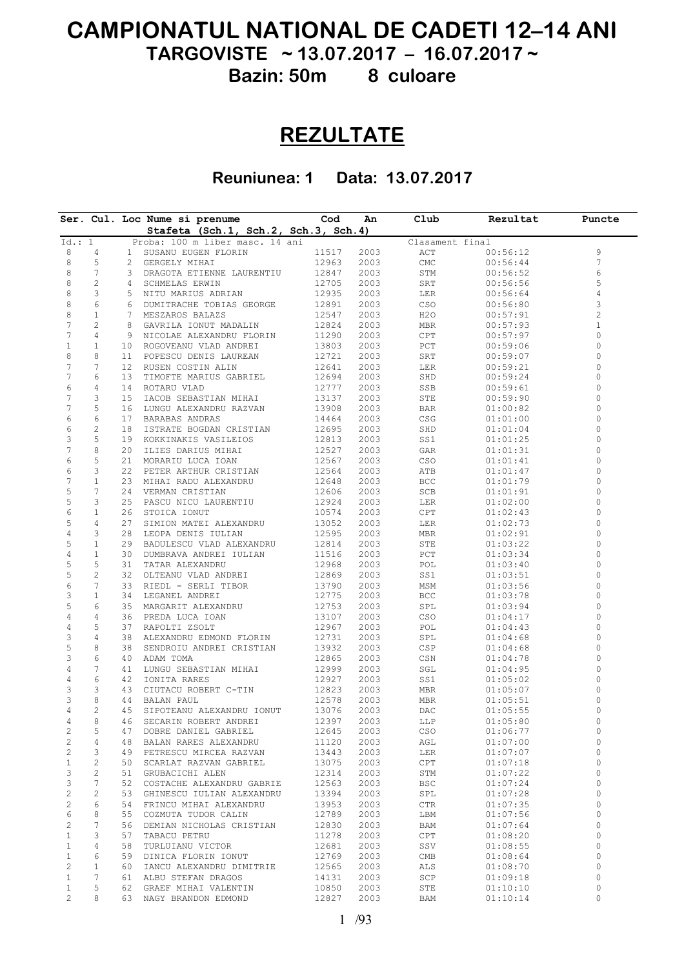# **CAMPIONATUL NATIONAL DE CADETI 12–14 ANI**

**TARGOVISTE ~ 13.07.2017 – 16.07.2017 ~**

**Bazin: 50m 8 culoare**

## **REZULTATE**

**Reuniunea: 1 Data: 13.07.2017**

|                  |                |    | Ser. Cul. Loc Nume si prenume   |                        | Cod                                  | An   | $\texttt{Club}$    | Rezultat        | Puncte         |
|------------------|----------------|----|---------------------------------|------------------------|--------------------------------------|------|--------------------|-----------------|----------------|
|                  |                |    |                                 |                        | Stafeta (Sch.1, Sch.2, Sch.3, Sch.4) |      |                    |                 |                |
| Id.: 1           |                |    | Proba: 100 m liber masc. 14 ani |                        |                                      |      |                    | Clasament final |                |
| 8                | 4              |    | 1 SUSANU EUGEN FLORIN           |                        | 11517                                | 2003 | ACT                | 00:56:12        | 9              |
| 8                | 5              | 2  | GERGELY MIHAI                   |                        | 12963                                | 2003 | $\mathop{\rm CMC}$ | 00:56:44        | 7              |
| 8                | 7              |    | 3 DRAGOTA ETIENNE LAURENTIU     |                        | 12847                                | 2003 | STM                | 00:56:52        | 6              |
| 8                | $\mathbf{2}$   | 4  | SCHMELAS ERWIN                  |                        | 12705                                | 2003 | SRT                | 00:56:56        | 5              |
| 8                | 3              |    | 5 NITU MARIUS ADRIAN            |                        | 12935                                | 2003 | LER                | 00:56:64        | 4              |
| 8                | 6              | 6  | DUMITRACHE TOBIAS GEORGE        |                        | 12891                                | 2003 | CSO                | 00:56:80        | 3              |
| 8                | $\mathbf{1}$   |    | 7 MESZAROS BALAZS               |                        | 12547                                | 2003 | H2O                | 00:57:91        | $\overline{c}$ |
| 7                | 2              | 8  | GAVRILA IONUT MADALIN           |                        | 12824                                | 2003 | MBR                | 00:57:93        | 1              |
| 7                | 4              |    | 9 NICOLAE ALEXANDRU FLORIN      |                        | 11290                                | 2003 | CPT                | 00:57:97        | 0              |
| $\mathbf{1}$     | 1              |    | 10 ROGOVEANU VLAD ANDREI        |                        | 13803                                | 2003 | PCT                | 00:59:06        | 0              |
| 8                | 8              | 11 | POPESCU DENIS LAUREAN           |                        | 12721                                | 2003 | SRT                | 00:59:07        | 0              |
| $\boldsymbol{7}$ | 7              |    | 12 RUSEN COSTIN ALIN            |                        | 12641                                | 2003 | LER                | 00:59:21        | 0              |
| 7                | 6              | 13 | TIMOFTE MARIUS GABRIEL          |                        | 12694                                | 2003 | SHD                | 00:59:24        | 0              |
| 6                | 4              |    | 14 ROTARU VLAD                  |                        | 12777                                | 2003 | SSB                | 00:59:61        | 0              |
| 7                | 3              | 15 | IACOB SEBASTIAN MIHAI           |                        | 13137                                | 2003 | STE                | 00:59:90        | 0              |
| 7                | 5              | 16 | LUNGU ALEXANDRU RAZVAN          |                        | 13908                                | 2003 | BAR                | 01:00:82        | 0              |
| 6                | 6              | 17 | BARABAS ANDRAS                  |                        | 14464                                | 2003 | CSG                | 01:01:00        | 0              |
| 6                | 2              | 18 | ISTRATE BOGDAN CRISTIAN         |                        | 12695                                | 2003 | SHD                | 01:01:04        | 0              |
| З                | 5              |    | 19 KOKKINAKIS VASILEIOS         |                        | 12813                                | 2003 | SS1                | 01:01:25        | 0              |
| 7                | 8              | 20 | ILIES DARIUS MIHAI              |                        | 12527                                | 2003 | GAR                | 01:01:31        | 0              |
| 6                | 5              | 21 | MORARIU LUCA IOAN               |                        | 12567                                | 2003 | CSO                | 01:01:41        | 0              |
| 6                | 3              |    | 22 PETER ARTHUR CRISTIAN        |                        | 12564                                | 2003 | ATB                | 01:01:47        | 0              |
| 7                | 1              | 23 | MIHAI RADU ALEXANDRU            |                        | 12648                                | 2003 | BCC                | 01:01:79        | 0              |
| 5                | 7              |    | 24 VERMAN CRISTIAN              |                        | 12606                                | 2003 | SCB                | 01:01:91        | 0              |
| 5                | 3              | 25 | PASCU NICU LAURENTIU            |                        | 12924                                | 2003 | LER                | 01:02:00        | 0              |
| 6                | $\mathbf{1}$   |    | 26 STOICA IONUT                 |                        | 10574                                | 2003 | CPT                | 01:02:43        | $\Omega$       |
|                  | 4              | 27 |                                 |                        |                                      |      |                    |                 | 0              |
| 5                |                |    |                                 | SIMION MATEI ALEXANDRU | 13052                                | 2003 | LER                | 01:02:73        |                |
| 4                | 3              |    | 28 LEOPA DENIS IULIAN           |                        | 12595                                | 2003 | MBR                | 01:02:91        | 0              |
| 5                | $\mathbf{1}$   | 29 | BADULESCU VLAD ALEXANDRU        |                        | 12814                                | 2003 | STE                | 01:03:22        | 0              |
| 4                | $\mathbf{1}$   | 30 | DUMBRAVA ANDREI IULIAN          |                        | 11516                                | 2003 | PCT                | 01:03:34        | 0              |
| 5                | 5              | 31 | TATAR ALEXANDRU                 |                        | 12968                                | 2003 | POL                | 01:03:40        | 0              |
| 5                | $\overline{c}$ |    | 32 OLTEANU VLAD ANDREI          |                        | 12869                                | 2003 | SS1                | 01:03:51        | 0              |
| 6                | 7              | 33 | RIEDL - SERLI TIBOR             |                        | 13790                                | 2003 | MSM                | 01:03:56        | 0              |
| З                | $\mathbf{1}$   |    | 34 LEGANEL ANDREI               |                        | 12775                                | 2003 | BCC                | 01:03:78        | 0              |
| 5                | 6              | 35 | MARGARIT ALEXANDRU              |                        | 12753                                | 2003 | SPL                | 01:03:94        | 0              |
| 4                | 4              |    | 36 PREDA LUCA IOAN              |                        | 13107                                | 2003 | CSO                | 01:04:17        | 0              |
| 4                | 5              | 37 | RAPOLTI ZSOLT                   |                        | 12967                                | 2003 | POL                | 01:04:43        | 0              |
| З                | 4              |    | 38 ALEXANDRU EDMOND FLORIN      |                        | 12731                                | 2003 | SPL                | 01:04:68        | 0              |
| 5                | 8              | 38 | SENDROIU ANDREI CRISTIAN        |                        | 13932                                | 2003 | CSP                | 01:04:68        | 0              |
| 3                | 6              | 40 | ADAM TOMA                       |                        | 12865                                | 2003 | CSN                | 01:04:78        | 0              |
| 4                | 7              | 41 | LUNGU SEBASTIAN MIHAI           |                        | 12999                                | 2003 | SGL                | 01:04:95        | 0              |
| 4                | 6              | 42 | IONITA RARES                    |                        | 12927                                | 2003 | SS1                | 01:05:02        | 0              |
| 3                | 3              |    | 43 CIUTACU ROBERT C-TIN         |                        | 12823                                | 2003 | MBR                | 01:05:07        | 0              |
| 3                | 8              |    | 44 BALAN PAUL                   |                        | 12578                                | 2003 | MBR                | 01:05:51        | 0              |
| 4                | 2              | 45 | SIPOTEANU ALEXANDRU IONUT       |                        | 13076                                | 2003 | DAC                | 01:05:55        | 0              |
| 4                | 8              | 46 |                                 | SECARIN ROBERT ANDREI  | 12397                                | 2003 | LLP                | 01:05:80        | 0              |
| 2                | 5              | 47 |                                 | DOBRE DANIEL GABRIEL   | 12645                                | 2003 | CSO                | 01:06:77        | 0              |
| $\sqrt{2}$       | 4              | 48 | BALAN RARES ALEXANDRU           |                        | 11120                                | 2003 | AGL                | 01:07:00        | 0              |
| $\mathbf{2}$     | 3              | 49 | PETRESCU MIRCEA RAZVAN          |                        | 13443                                | 2003 | LER                | 01:07:07        | 0              |
|                  |                |    |                                 |                        |                                      |      |                    |                 |                |
| $\mathbf 1$      | $\mathbf{2}$   | 50 | SCARLAT RAZVAN GABRIEL          |                        | 13075                                | 2003 | CPT                | 01:07:18        | 0              |
| 3                | 2              | 51 | GRUBACICHI ALEN                 |                        | 12314                                | 2003 | STM                | 01:07:22        | 0              |
| 3                | 7              | 52 | COSTACHE ALEXANDRU GABRIE       |                        | 12563                                | 2003 | <b>BSC</b>         | 01:07:24        | $\circ$        |
| $\sqrt{2}$       | $\mathbf{2}$   | 53 | GHINESCU IULIAN ALEXANDRU       |                        | 13394                                | 2003 | SPL                | 01:07:28        | $\circ$        |
| $\sqrt{2}$       | 6              | 54 | FRINCU MIHAI ALEXANDRU          |                        | 13953                                | 2003 | CTR                | 01:07:35        | 0              |
| 6                | 8              | 55 | COZMUTA TUDOR CALIN             |                        | 12789                                | 2003 | LBM                | 01:07:56        | 0              |
| $\overline{c}$   | 7              | 56 | DEMIAN NICHOLAS CRISTIAN        |                        | 12830                                | 2003 | BAM                | 01:07:64        | 0              |
| $\mathbf{1}$     | 3              | 57 | TABACU PETRU                    |                        | 11278                                | 2003 | CPT                | 01:08:20        | $\circ$        |
| $\mathbf{1}$     | 4              | 58 | TURLUIANU VICTOR                |                        | 12681                                | 2003 | SSV                | 01:08:55        | 0              |
| $\mathbf{1}$     | 6              | 59 | DINICA FLORIN IONUT             |                        | 12769                                | 2003 | CMB                | 01:08:64        | 0              |
| $\mathbf{2}$     | $\mathbf{1}$   | 60 | IANCU ALEXANDRU DIMITRIE        |                        | 12565                                | 2003 | ALS                | 01:08:70        | 0              |
| $\mathbf{1}$     | 7              | 61 | ALBU STEFAN DRAGOS              |                        | 14131                                | 2003 | SCP                | 01:09:18        | 0              |
|                  |                |    |                                 |                        |                                      |      |                    |                 |                |
| $\mathbf{1}$     | 5              | 62 |                                 | GRAEF MIHAI VALENTIN   | 10850                                | 2003 | STE                | 01:10:10        | 0              |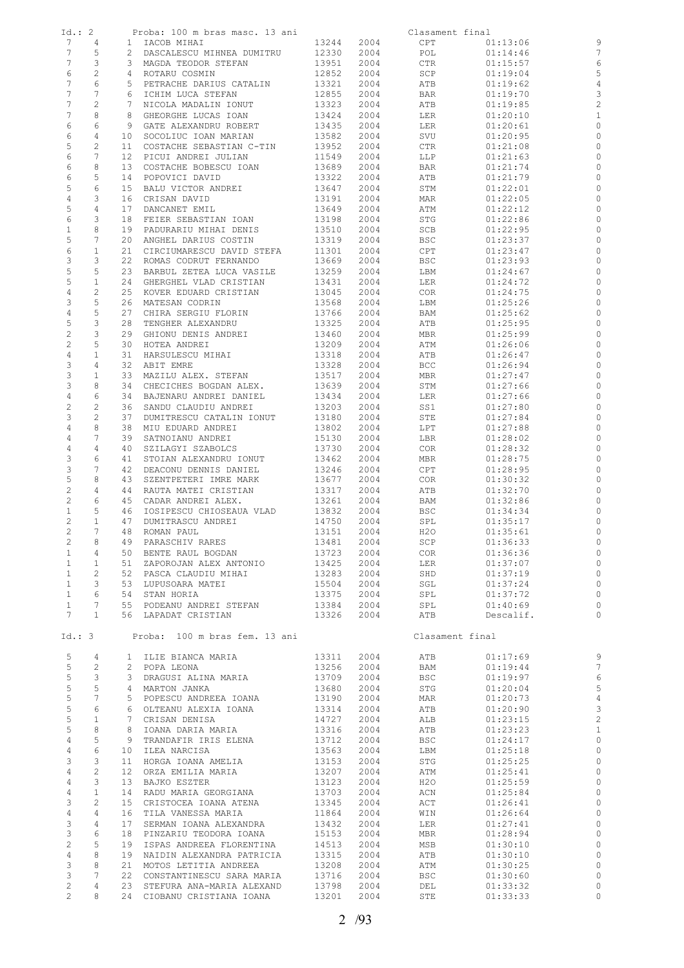| Id.: 2                 |                         | Proba: 100 m bras masc. 13 ani                                           |                                   |            | Clasament final |                      |                          |
|------------------------|-------------------------|--------------------------------------------------------------------------|-----------------------------------|------------|-----------------|----------------------|--------------------------|
| 7                      | 4                       | 1 IACOB MIHAI                                                            | 13244                             | 2004       | CPT             | 01:13:06             | 9                        |
| 7                      | 5                       | 2 DASCALESCU MIHNEA DUMITRU                                              | 12330                             | 2004       | POL             | 01:14:46             | $\overline{7}$           |
| 7                      | 3                       | 3 MAGDA TEODOR STEFAN                                                    | 13951                             | 2004       | CTR             | 01:15:57             | 6                        |
| 6                      | $\sqrt{2}$              | 4 ROTARU COSMIN                                                          | 12852                             | 2004       | SCP             | 01:19:04             | 5                        |
| 7                      | 6                       | 5 PETRACHE DARIUS CATALIN                                                | 13321                             | 2004       | ATB             | 01:19:62             | $\overline{4}$           |
| 7                      | 7                       | 6 ICHIM LUCA STEFAN                                                      | 12855                             | 2004       | BAR             | 01:19:70             | 3                        |
| 7                      | $\mathbf{2}$            | 7 NICOLA MADALIN IONUT                                                   | 13323                             | 2004       | ATB             | 01:19:85             | $\overline{c}$           |
| 7                      | 8                       | 8 GHEORGHE LUCAS IOAN                                                    | 13424                             | 2004       | LER             | 01:20:10             | $\mathbf{1}$             |
| 6                      | 6                       | 9 GATE ALEXANDRU ROBERT                                                  | 13435                             | 2004       | LER             | 01:20:61             | $\circ$                  |
| 6                      | 4                       | 10 SOCOLIUC IOAN MARIAN                                                  | 13582                             | 2004       | SVU             | 01:20:95             | $\circ$                  |
| 5                      | $\mathbf{2}$            | COSTACHE SEBASTIAN C-TIN<br>11                                           | 13952                             | 2004       | CTR             | 01:21:08             | $\circ$                  |
| 6                      | 7                       | 12 PICUI ANDREI JULIAN                                                   | 11549                             | 2004       | LLP             | 01:21:63             | $\circ$                  |
| 6                      | 8                       | 13 COSTACHE BOBESCU IOAN                                                 | 13689                             | 2004       | BAR             | 01:21:74             | 0                        |
| 6                      | 5                       | 14 POPOVICI DAVID                                                        | 13322                             | 2004       | ATB             | 01:21:79             | $\circ$                  |
| 5                      | 6                       | 15<br>BALU VICTOR ANDREI                                                 | 13647                             | 2004       | STM             | 01:22:01             | $\circ$                  |
| $\overline{4}$         | 3                       | 16<br>CRISAN DAVID                                                       | 13191                             | 2004       | MAR             | 01:22:05             | $\circ$                  |
| 5                      | 4                       | DANCANET EMIL<br>17                                                      | 13649                             | 2004       | ATM             | 01:22:12             | 0                        |
| 6                      | 3                       | 18 FEIER SEBASTIAN IOAN                                                  | 13198                             | 2004       | STG             | 01:22:86             | $\circ$                  |
| $\mathbf{1}$           | 8                       | 19 PADURARIU MIHAI DENIS                                                 | 13510                             | 2004       | SCB             | 01:22:95             | 0                        |
| 5                      | 7                       | 20<br>ANGHEL DARIUS COSTIN                                               | 13319                             | 2004       | BSC             | 01:23:37             | $\circ$                  |
| 6                      | $\mathbf{1}$            | 21<br>CIRCIUMARESCU DAVID STEFA                                          | 11301                             | 2004       | CPT             | 01:23:47             | $\circ$                  |
| 3                      | 3                       | 22 ROMAS CODRUT FERNANDO                                                 | 13669                             | 2004       | BSC             | 01:23:93             | 0                        |
| 5                      | 5                       | 23<br>BARBUL ZETEA LUCA VASILE                                           | 13259                             | 2004       | LBM             | 01:24:67             | $\circ$                  |
| 5                      | $\mathbf{1}$            | 24<br>GHERGHEL VLAD CRISTIAN                                             | 13431                             | 2004       | LER             | 01:24:72             | 0                        |
| $\overline{4}$         | $\mathbf{2}$            | 25<br>KOVER EDUARD CRISTIAN                                              | 13045                             | 2004       | COR             | 01:24:75             | 0                        |
| 3                      | 5                       | 26<br>MATESAN CODRIN                                                     | 13568                             | 2004       | LBM             | 01:25:26             | $\circ$                  |
| $\overline{4}$         | 5                       | 27<br>CHIRA SERGIU FLORIN                                                | 13766                             | 2004       | BAM             | 01:25:62             | 0                        |
| 5                      | 3                       | 28<br>TENGHER ALEXANDRU                                                  | 13325                             | 2004       | ATB             | 01:25:95             | $\circ$                  |
| $\overline{c}$         | 3                       | 29<br>GHIONU DENIS ANDREI                                                | 13460                             | 2004       | MBR             | 01:25:99             | 0                        |
| $\overline{c}$         | 5                       | 30<br>HOTEA ANDREI                                                       | 13209                             | 2004       | ATM             | 01:26:06             | $\circ$                  |
| $\overline{4}$         | $\mathbf{1}$            | 31<br>HARSULESCU MIHAI                                                   | 13318                             | 2004       | ATB             | 01:26:47             | 0                        |
| 3                      | $\overline{4}$          | 32<br>ABIT EMRE                                                          | 13328                             | 2004       | BCC             | 01:26:94             | 0                        |
| 3                      | $\mathbf{1}$            | 33 MAZILU ALEX. STEFAN                                                   | 13517                             | 2004       | MBR             | 01:27:47             | $\circ$                  |
| 3                      | 8                       | 34<br>CHECICHES BOGDAN ALEX.                                             | 13639                             | 2004       | STM             | 01:27:66             | 0                        |
| $\overline{4}$         | 6                       | 34 BAJENARU ANDREI DANIEL                                                | 13434                             | 2004       | LER             | 01:27:66             | $\circ$                  |
| $\overline{c}$         | $\mathbf{2}$            | 36<br>SANDU CLAUDIU ANDREI                                               | 13203                             | 2004       | SS1             | 01:27:80             | 0                        |
| 3                      | 2                       | 37<br>DUMITRESCU CATALIN IONUT                                           | 13180                             | 2004       | STE             | 01:27:84             | $\circ$                  |
| $\overline{4}$         | 8                       | 38<br>MIU EDUARD ANDREI                                                  | 13802                             | 2004       | LPT             | 01:27:88             | 0                        |
| 4                      | 7                       | 39<br>SATNOIANU ANDREI                                                   | 15130                             | 2004       | LBR             | 01:28:02             | 0                        |
| 4                      | 4                       | SZILAGYI SZABOLCS<br>40                                                  | 13730                             | 2004       | COR             | 01:28:32             | $\circ$                  |
| 3                      | 6                       | 41<br>STOIAN ALEXANDRU IONUT                                             | 13462                             | 2004       | MBR             | 01:28:75             | $\circ$                  |
| 3                      | 7                       | 42<br>DEACONU DENNIS DANIEL                                              | 13246                             | 2004       | CPT             | 01:28:95             | $\circ$                  |
| 5                      | 8                       | 43<br>SZENTPETERI IMRE MARK                                              | 13677                             | 2004       | COR             | 01:30:32             | $\circ$                  |
| $\overline{c}$         | 4                       | 44<br>RAUTA MATEI CRISTIAN                                               | 13317                             | 2004       | ATB             | 01:32:70             | 0                        |
| $\overline{c}$         | 6                       | 45 CADAR ANDREI ALEX.                                                    |                                   |            |                 |                      | $\circ$                  |
| $\mathbf{1}$           | 5                       |                                                                          | 13261                             | 2004       | BAM             | 01:32:86<br>01:34:34 | $\circ$                  |
| $\mathbf{2}^{\prime}$  | $\mathbf{1}$            | IOSIPESCU CHIOSEAUA VLAD<br>46<br>47                                     | 13832                             | 2004       | BSC             |                      | $\circ$                  |
| $\mathbf{2}^{\prime}$  | $7^{\circ}$             | DUMITRASCU ANDREI<br>48 ROMAN PAUL                                       | 14750                             | 2004       | SPL             | 01:35:17             | $\circ$                  |
|                        |                         |                                                                          | 13151                             | 2004       | H20             | 01:35:61             |                          |
| $2^{\circ}$            | 8 <sup>8</sup>          | 49 PARASCHIV RARES                                                       |                                   | 13481 2004 | SCP             | 01:36:33             | $\overline{\phantom{0}}$ |
| $\mathbf{1}$           | 4                       | 50 BENTE RAUL BOGDAN                                                     | 13723<br>13723 2004<br>13425 2004 | 2004       | COR             | 01:36:36             | $\circ$                  |
| 1                      | 1                       | 51 ZAPOROJAN ALEX ANTONIO                                                |                                   |            | LER             | 01:37:07             | $\circ$                  |
| 1                      | $\mathbf{2}$            | 52 PASCA CLAUDIU MIHAI                                                   | 13283                             | 2004       | SHD             | 01:37:19             | $\circ$                  |
| 1                      | $\overline{\mathbf{3}}$ | 53  LUPUSOARA MATEI<br>54   STAN HORIA                                   | 15504                             | 2004       | SGL             | 01:37:24             | $\circ$                  |
| $1 \quad \blacksquare$ | 6                       | 54 STAN HORIA                                                            | 13375                             | 2004       | SPL             | 01:37:72             | $\circ$                  |
| $\mathbf{1}$           | $7\phantom{.0}$         | 55 PODEANU ANDREI STEFAN                                                 | 13384                             | 2004       | SPL             | 01:40:69             | $\circ$                  |
| 7                      | $\mathbf{1}$            | 56 LAPADAT CRISTIAN                                                      | 13326                             | 2004       | ATB             | Descalif.            | $\circ$                  |
|                        |                         | Id.: 3 Proba: 100 m bras fem. 13 ani                                     |                                   |            | Clasament final |                      |                          |
| 5                      | 4                       | 1 ILIE BIANCA MARIA                                                      | 13311                             |            | $2004$ $ATB$    | 01:17:69             | 9                        |
| 5 <sup>5</sup>         | $\overline{c}$          | 2 POPA LEONA                                                             | 13256                             | 2004       | BAM             | 01:19:44             | $\overline{7}$           |
| 5                      | $\mathbf{3}$            | 3 DRAGUSI ALINA MARIA 13709                                              |                                   | 2004       | BSC             | 01:19:97             | $\epsilon$               |
| 5 <sup>5</sup>         | 5                       | 4 MARTON JANKA                                                           | 13680                             | 2004       | STG             | 01:20:04             | 5                        |
| 5                      | $7\phantom{.0}$         | 5 POPESCU ANDREEA IOANA 13190                                            |                                   | 2004       | MAR             | 01:20:73             |                          |
| $5\phantom{.0}$        | 6                       |                                                                          |                                   | 2004       | ATB             | 01:20:90             | $\frac{4}{3}$            |
| 5                      | $\mathbf{1}$            | 6 OLTEANU ALEXIA IOANA 13314<br>7 CRISAN DENISA 14727<br>7 CRISAN DENISA |                                   | 2004       | ALB             | 01:23:15             | $\overline{\mathbf{c}}$  |
| 5 <sub>1</sub>         | 8                       | 8 IOANA DARIA MARIA                                                      | 13316                             | 2004       | ATB             | 01:23:23             | $\mathbf{1}$             |
| 4                      | 5                       | 9 TRANDAFIR IRIS ELENA                                                   | 13712                             | 2004       | BSC             | 01:24:17             | $\circ$                  |
| $\overline{4}$         | 6                       | 10 ILEA NARCISA                                                          | 13563                             | 2004       | LBM             | 01:25:18             | $\circ$                  |
| 3                      | $\mathcal{S}$           | 11 HORGA IOANA AMELIA                                                    | 13153                             | 2004       | STG             | 01:25:25             | $\circ$                  |
| $\overline{4}$         | $\overline{2}$          | 12 ORZA EMILIA MARIA                                                     |                                   | 2004       | ATM             | 01:25:41             | $\circ$                  |
| $\overline{4}$         | $\mathbf{3}$            | 13 BAJKO ESZTER                                                          | 13207<br>13123                    | 2004       |                 | 01:25:59             |                          |
| $\overline{4}$         | $\mathbf{1}$            | 13 ERSIE – 1<br>14 RADU MARIA GEORGIANA                                  |                                   | 2004       | H20<br>ACN      | 01:25:84             | $\circ$<br>$\circ$       |
| $\mathcal{E}$          | $\overline{2}$          | 15 CRISTOCEA IOANA ATENA                                                 | 13703<br>13345                    | 2004       | ACT             | 01:26:41             | $\circ$                  |
| $\overline{4}$         | 4                       | 16 TILA VANESSA MARIA                                                    | 11864                             | 2004       |                 |                      | $\circ$                  |
| 3                      | $4\overline{ }$         |                                                                          | 13432                             |            | WIN             | 01:26:64             |                          |
| $\mathcal{E}$          | 6                       | 17 SERMAN IOANA ALEXANDRA<br>18 PINZARIU TEODORA IOANA                   |                                   | 2004       | LER             | 01:27:41             | $\circ$                  |
| $\overline{2}$         | 5                       |                                                                          | 15153<br>14513                    | 2004       | MBR             | 01:28:94             | $\circ$                  |
|                        |                         | 19 ISPAS ANDREEA FLORENTINA                                              |                                   | 2004       | MSB             | 01:30:10             | $\circ$                  |
| $\overline{4}$         | 8<br>8                  | 19 NAIDIN ALEXANDRA PATRICIA 13315                                       |                                   | 2004       | ATB             | 01:30:10             | $\circ$<br>$\circ$       |
| 3<br>$\mathcal{E}$     | $7^{\circ}$             | 21 MOTOS LETITIA ANDREEA                                                 | 13208                             | 2004       | ATM             | 01:30:25             |                          |
|                        |                         | 22 CONSTANTINESCU SARA MARIA 13716<br>23 STEFURA ANA-MARIA ALEXAND 13798 |                                   | 2004       | BSC             | 01:30:60             | $\circ$                  |
| $\mathbf{2}$           | 4                       |                                                                          |                                   | 2004       | DEL             | 01:33:32             | $\circ$                  |
| $\overline{2}$         | 8                       | 24 CIOBANU CRISTIANA IOANA 13201 2004                                    |                                   |            | STE             | 01:33:33             | $\circ$                  |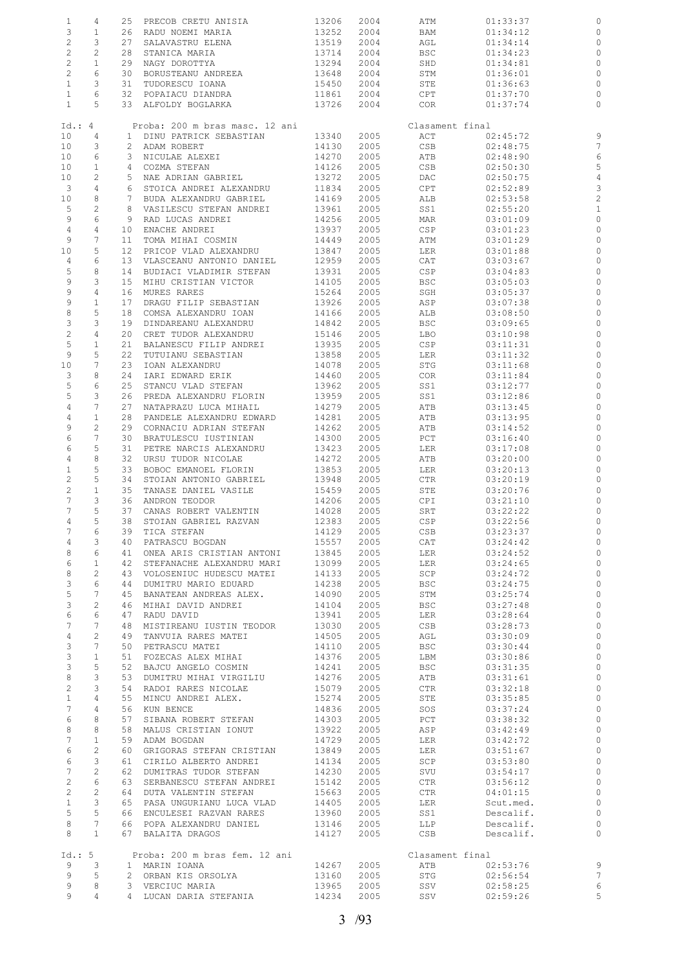| $\mathbf{1}$              | 4                     | 25              | PRECOB CRETU ANISIA            | 13206 | 2004 | ATM             | 01:33:37  | 0              |
|---------------------------|-----------------------|-----------------|--------------------------------|-------|------|-----------------|-----------|----------------|
| 3                         | $\mathbf{1}$          | 26              | RADU NOEMI MARIA               | 13252 | 2004 | BAM             | 01:34:12  | 0              |
| $\overline{c}$            | 3                     | 27              | SALAVASTRU ELENA               | 13519 | 2004 | AGL             | 01:34:14  | 0              |
|                           |                       |                 |                                |       |      |                 |           |                |
| $\overline{c}$            | 2                     | 28              | STANICA MARIA                  | 13714 | 2004 | <b>BSC</b>      | 01:34:23  | 0              |
| $\overline{c}$            | $\mathbf{1}$          | 29              | NAGY DOROTTYA                  | 13294 | 2004 | SHD             | 01:34:81  | $\circ$        |
| $\overline{c}$            | 6                     | 30              | BORUSTEANU ANDREEA             | 13648 | 2004 | STM             | 01:36:01  | 0              |
| $\mathbf{1}$              | 3                     | 31              | TUDORESCU IOANA                | 15450 | 2004 | STE             | 01:36:63  | $\circ$        |
|                           | 6                     | 32              |                                | 11861 |      |                 |           |                |
| $\mathbf{1}$              |                       |                 | POPAIACU DIANDRA               |       | 2004 | CPT             | 01:37:70  | 0              |
| $\mathbf{1}$              | 5                     |                 | 33 ALFOLDY BOGLARKA            | 13726 | 2004 | COR             | 01:37:74  | $\circ$        |
|                           |                       |                 |                                |       |      |                 |           |                |
| Id.: 4                    |                       |                 | Proba: 200 m bras masc. 12 ani |       |      | Clasament final |           |                |
| 10 <sub>o</sub>           | 4                     | $\mathbf{1}$    | DINU PATRICK SEBASTIAN         | 13340 | 2005 | ACT             | 02:45:72  | 9              |
|                           |                       |                 |                                |       |      |                 |           |                |
| 10                        | 3                     | 2               | ADAM ROBERT                    | 14130 | 2005 | CSB             | 02:48:75  | 7              |
| 10                        | 6                     | 3               | NICULAE ALEXEI                 | 14270 | 2005 | ATB             | 02:48:90  | 6              |
| 10                        | $\mathbf{1}$          | 4               | COZMA STEFAN                   | 14126 | 2005 | CSB             | 02:50:30  | 5              |
| 10                        | $\mathbf{2}$          |                 | 5 NAE ADRIAN GABRIEL           | 13272 | 2005 | DAC             | 02:50:75  | $\overline{4}$ |
| 3                         | 4                     | 6               | STOICA ANDREI ALEXANDRU        | 11834 | 2005 | CPT             | 02:52:89  | 3              |
|                           |                       |                 |                                |       |      |                 |           |                |
| 10                        | 8                     | $7\phantom{.0}$ | BUDA ALEXANDRU GABRIEL         | 14169 | 2005 | ALB             | 02:53:58  | $\overline{c}$ |
| 5                         | 2                     | 8               | VASILESCU STEFAN ANDREI        | 13961 | 2005 | SS1             | 02:55:20  | $\mathbf{1}$   |
| 9                         | 6                     | 9               | RAD LUCAS ANDREI               | 14256 | 2005 | MAR             | 03:01:09  | $\circ$        |
| 4                         | 4                     | 10              | ENACHE ANDREI                  | 13937 | 2005 | CSP             | 03:01:23  | 0              |
|                           | 7                     |                 |                                |       |      |                 |           |                |
| 9                         |                       | 11              | TOMA MIHAI COSMIN              | 14449 | 2005 | ATM             | 03:01:29  | $\circ$        |
| 10                        | 5                     | $12 \,$         | PRICOP VLAD ALEXANDRU          | 13847 | 2005 | LER             | 03:01:88  | 0              |
| 4                         | 6                     | 13              | VLASCEANU ANTONIO DANIEL       | 12959 | 2005 | CAT             | 03:03:67  | $\circ$        |
| 5                         | 8                     | 14              | BUDIACI VLADIMIR STEFAN        | 13931 | 2005 | CSP             | 03:04:83  | $\circ$        |
| 9                         | 3                     | 15              | MIHU CRISTIAN VICTOR           | 14105 | 2005 | <b>BSC</b>      | 03:05:03  | $\circ$        |
|                           |                       |                 |                                |       |      |                 |           |                |
| 9                         | 4                     | 16              | MURES RARES                    | 15264 | 2005 | SGH             | 03:05:37  | $\circ$        |
| 9                         | $\mathbf 1$           | 17              | DRAGU FILIP SEBASTIAN          | 13926 | 2005 | ASP             | 03:07:38  | $\circ$        |
| $\,8\,$                   | 5                     | 18              | COMSA ALEXANDRU IOAN           | 14166 | 2005 | ALB             | 03:08:50  | 0              |
| $\ensuremath{\mathsf{3}}$ | 3                     | 19              | DINDAREANU ALEXANDRU           | 14842 | 2005 | <b>BSC</b>      | 03:09:65  | 0              |
|                           |                       |                 |                                |       |      |                 |           |                |
| $\sqrt{2}$                | 4                     | 20              | CRET TUDOR ALEXANDRU           | 15146 | 2005 | LBO             | 03:10:98  | 0              |
| 5                         | $\mathbf{1}$          | 21              | BALANESCU FILIP ANDREI         | 13935 | 2005 | $_{\tt CSP}$    | 03:11:31  | 0              |
| 9                         | 5                     | 22              | TUTUIANU SEBASTIAN             | 13858 | 2005 | LER             | 03:11:32  | 0              |
| 10                        | $\overline{7}$        | 23              | IOAN ALEXANDRU                 | 14078 | 2005 | STG             | 03:11:68  | $\circ$        |
| 3                         | 8                     | 24              |                                | 14460 | 2005 |                 |           |                |
|                           |                       |                 | IARI EDWARD ERIK               |       |      | COR             | 03:11:84  | 0              |
| 5                         | 6                     | 25              | STANCU VLAD STEFAN             | 13962 | 2005 | SS1             | 03:12:77  | $\circ$        |
| 5                         | 3                     | 26              | PREDA ALEXANDRU FLORIN         | 13959 | 2005 | SS1             | 03:12:86  | 0              |
| $\overline{4}$            | 7                     | 27              | NATAPRAZU LUCA MIHAIL          | 14279 | 2005 | ATB             | 03:13:45  | $\circ$        |
| $\sqrt{4}$                | $1\,$                 | 28              | PANDELE ALEXANDRU EDWARD       | 14281 | 2005 | ATB             | 03:13:95  | $\circ$        |
| 9                         | $\overline{c}$        |                 |                                |       |      |                 |           |                |
|                           |                       | 29              | CORNACIU ADRIAN STEFAN         | 14262 | 2005 | ATB             | 03:14:52  | $\circ$        |
| 6                         | 7                     | 30              | BRATULESCU IUSTINIAN           | 14300 | 2005 | PCT             | 03:16:40  | 0              |
| 6                         | 5                     | 31              | PETRE NARCIS ALEXANDRU         | 13423 | 2005 | LER             | 03:17:08  | $\circ$        |
| 4                         | 8                     | 32              | URSU TUDOR NICOLAE             | 14272 | 2005 | ATB             | 03:20:00  | 0              |
| $\mathbf{1}$              | 5                     | 33              | BOBOC EMANOEL FLORIN           | 13853 | 2005 | LER             | 03:20:13  | $\circ$        |
|                           |                       |                 |                                |       |      |                 |           |                |
| $\overline{c}$            | 5                     | 34              | STOIAN ANTONIO GABRIEL         | 13948 | 2005 | CTR             | 03:20:19  | 0              |
| $\mathbf{2}$              | $1\,$                 | 35              | TANASE DANIEL VASILE           | 15459 | 2005 | STE             | 03:20:76  | $\circ$        |
| 7                         | 3                     | 36              | ANDRON TEODOR                  | 14206 | 2005 | CPI             | 03:21:10  | 0              |
| 7                         | 5                     | 37              | CANAS ROBERT VALENTIN          | 14028 | 2005 | SRT             | 03:22:22  | $\circ$        |
|                           |                       |                 |                                |       |      |                 |           |                |
| 4                         | 5                     | 38              | STOIAN GABRIEL RAZVAN          | 12383 | 2005 | CSP             | 03:22:56  | $\circ$        |
| $7\phantom{.0}$           | 6                     |                 | 39 TICA STEFAN                 | 14129 | 2005 | CSB             | 03:23:37  |                |
| 4                         | 3                     |                 | 40 PATRASCU BOGDAN             | 15557 | 2005 | CAT             | 03:24:42  | $\circ$        |
| 8                         | 6                     |                 | 41 ONEA ARIS CRISTIAN ANTONI   | 13845 | 2005 | LER             | 03:24:52  | 0              |
| 6                         | $\mathbf{1}$          |                 | 42 STEFANACHE ALEXANDRU MARI   | 13099 | 2005 | LER             | 03:24:65  | $\circ$        |
|                           |                       |                 |                                |       |      |                 |           |                |
| 8                         | $\mathbf{2}^{\prime}$ |                 | 43 VOLOSENIUC HUDESCU MATEI    | 14133 | 2005 | SCP             | 03:24:72  | $\circ$        |
| $\mathcal{E}$             | 6                     |                 | 44 DUMITRU MARIO EDUARD        | 14238 | 2005 | BSC             | 03:24:75  | $\circ$        |
| 5                         | $7\phantom{.0}$       | 45              | BANATEAN ANDREAS ALEX.         | 14090 | 2005 | STM             | 03:25:74  | $\circ$        |
| 3                         | 2                     |                 | 46 MIHAI DAVID ANDREI          | 14104 | 2005 | BSC             | 03:27:48  | $\circ$        |
| 6                         | 6                     | 47              | RADU DAVID                     | 13941 | 2005 | LER             | 03:28:64  | $\circ$        |
|                           |                       |                 |                                |       |      |                 |           |                |
| 7                         | $7\phantom{.0}$       |                 | 48 MISTIREANU IUSTIN TEODOR    | 13030 | 2005 | CSB             | 03:28:73  | $\circ$        |
| $\overline{4}$            | $\mathbf{2}^{\prime}$ |                 | 49 TANVUIA RARES MATEI         | 14505 | 2005 | AGL             | 03:30:09  | $\circ$        |
| $\mathcal{E}$             | $7\phantom{.0}$       |                 | 50 PETRASCU MATEI              | 14110 | 2005 | BSC             | 03:30:44  | $\circ$        |
| $\mathcal{E}$             | $\mathbf{1}$          | 51              | FOZECAS ALEX MIHAI             | 14376 | 2005 | LBM             | 03:30:86  | $\circ$        |
| $\mathcal{E}$             | 5                     |                 | 52 BAJCU ANGELO COSMIN         | 14241 | 2005 | BSC             | 03:31:35  | $\circ$        |
|                           |                       |                 |                                |       |      |                 |           |                |
| $\,8\,$                   | 3                     |                 | 53 DUMITRU MIHAI VIRGILIU      | 14276 | 2005 | ATB             | 03:31:61  | $\circ$        |
| $\overline{c}$            | 3                     |                 | 54 RADOI RARES NICOLAE         | 15079 | 2005 | CTR             | 03:32:18  | $\circ$        |
| $\mathbf{1}$              | $\overline{4}$        |                 | 55 MINCU ANDREI ALEX.          | 15274 | 2005 | STE             | 03:35:85  | $\circ$        |
| $7\phantom{.}$            | $\overline{4}$        |                 | 56 KUN BENCE                   | 14836 | 2005 | SOS             | 03:37:24  | $\circ$        |
| 6                         | 8                     | 57              | SIBANA ROBERT STEFAN           | 14303 | 2005 | PCT             | 03:38:32  | $\circ$        |
|                           |                       |                 |                                |       |      |                 |           |                |
| 8                         | 8                     |                 | 58 MALUS CRISTIAN IONUT        | 13922 | 2005 | ASP             | 03:42:49  | $\circ$        |
| 7                         | $\mathbf{1}$          |                 | 59 ADAM BOGDAN                 | 14729 | 2005 | LER             | 03:42:72  | $\circ$        |
| 6                         | 2                     |                 | 60 GRIGORAS STEFAN CRISTIAN    | 13849 | 2005 | LER             | 03:51:67  | $\circ$        |
| 6                         | 3                     |                 | 61 CIRILO ALBERTO ANDREI       | 14134 | 2005 | SCP             | 03:53:80  | $\circ$        |
| 7                         | $\overline{c}$        |                 | 62 DUMITRAS TUDOR STEFAN       | 14230 | 2005 | SVU             | 03:54:17  | $\circ$        |
|                           |                       |                 |                                |       |      |                 |           |                |
| $\mathbf{2}$              | 6                     | 63              | SERBANESCU STEFAN ANDREI       | 15142 | 2005 | CTR             | 03:56:12  | $\circ$        |
| $\mathbf{2}$              | 2                     |                 | 64 DUTA VALENTIN STEFAN        | 15663 | 2005 | CTR             | 04:01:15  | $\circ$        |
| $\mathbf{1}$              | 3                     |                 | 65 PASA UNGURIANU LUCA VLAD    | 14405 | 2005 | LER             | Scut.med. | $\circ$        |
| 5                         | 5                     |                 | 66 ENCULESEI RAZVAN RARES      | 13960 | 2005 | SS1             | Descalif. | $\circ$        |
| 8                         | $7\phantom{.0}$       |                 | 66 POPA ALEXANDRU DANIEL       | 13146 | 2005 | LLP             | Descalif. | $\circ$        |
|                           |                       |                 |                                |       |      |                 |           |                |
| 8                         | $\mathbf{1}$          |                 | 67 BALAITA DRAGOS              | 14127 | 2005 | CSB             | Descalif. | $\circ$        |
|                           |                       |                 |                                |       |      |                 |           |                |
| Id.: 5                    |                       |                 | Proba: 200 m bras fem. 12 ani  |       |      | Clasament final |           |                |
| 9                         | 3                     |                 | 1 MARIN IOANA                  | 14267 | 2005 | ATB             | 02:53:76  | $\overline{9}$ |
| 9                         | 5                     |                 | 2 ORBAN KIS ORSOLYA            | 13160 | 2005 | STG             | 02:56:54  | $\overline{7}$ |
|                           |                       |                 |                                |       |      |                 |           |                |
| 9                         | 8                     |                 | 3 VERCIUC MARIA                | 13965 | 2005 | SSV             | 02:58:25  | 6              |
| 9                         | $\overline{4}$        |                 | 4 LUCAN DARIA STEFANIA         | 14234 | 2005 | SSV             | 02:59:26  | 5              |
|                           |                       |                 |                                |       |      |                 |           |                |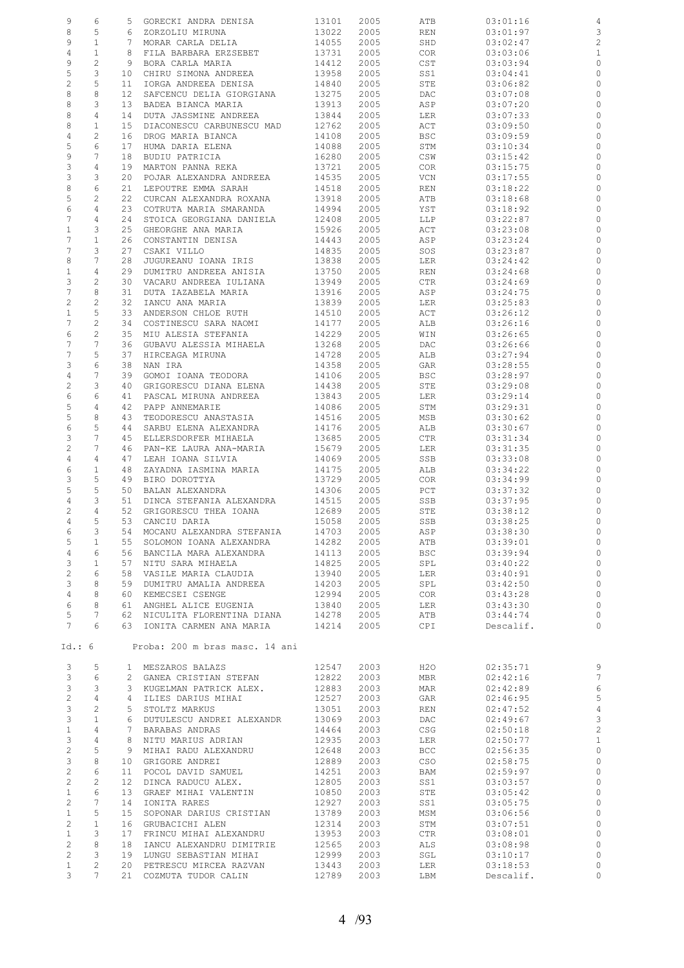| 9                                | 6                             |                 | 5 GORECKI ANDRA DENISA                       | 13101          | 2005 | ATB        | 03:01:16  | $\overline{4}$     |
|----------------------------------|-------------------------------|-----------------|----------------------------------------------|----------------|------|------------|-----------|--------------------|
| 8                                | 5                             |                 | 6 ZORZOLIU MIRUNA                            | 13022          | 2005 | REN        | 03:01:97  | $\mathbf{3}$       |
| 9                                | $\mathbf{1}$                  |                 | 7 MORAR CARLA DELIA                          | 14055          | 2005 | SHD        | 03:02:47  | 2                  |
| 4                                | $\mathbf{1}$                  |                 | 8 FILA BARBARA ERZSEBET                      | 13731          | 2005 | COR        | 03:03:06  | $\overline{1}$     |
| 9                                | $\overline{c}$                |                 | 9 BORA CARLA MARIA                           | 14412          | 2005 | CST        | 03:03:94  | $\circ$            |
| 5                                | 3                             |                 | 10 CHIRU SIMONA ANDREEA                      | 13958          | 2005 | SS1        | 03:04:41  | $\circ$            |
| $\mathbf{2}$                     | 5                             | 11              | IORGA ANDREEA DENISA                         | 14840          | 2005 | STE        | 03:06:82  | $\circ$            |
| 8                                | 8                             | 12 <sup>7</sup> | SAFCENCU DELIA GIORGIANA                     | 13275          | 2005 | DAC        | 03:07:08  | $\circ$            |
| 8                                | 3                             | 13              | BADEA BIANCA MARIA                           | 13913          | 2005 | ASP        | 03:07:20  | $\circ$            |
| 8                                | 4                             | 14              | DUTA JASSMINE ANDREEA                        | 13844          | 2005 | LER        | 03:07:33  | $\circ$            |
| 8                                | $\mathbf{1}$                  | 15              | DIACONESCU CARBUNESCU MAD                    | 12762          | 2005 | ACT        | 03:09:50  | $\circ$            |
| 4                                | $\overline{c}$                | 16              | DROG MARIA BIANCA                            | 14108          | 2005 | BSC        | 03:09:59  | $\circ$            |
| 5                                | 6                             | 17              | HUMA DARIA ELENA                             | 14088          | 2005 | STM        | 03:10:34  | $\circ$            |
| 9                                | $7\phantom{.0}$               | 18              | BUDIU PATRICIA                               | 16280          | 2005 | CSW        | 03:15:42  | $\circ$            |
| 3                                | 4                             | 19              |                                              | 13721          | 2005 | COR        | 03:15:75  | $\circ$            |
| 3                                | 3                             | 20              | MARTON PANNA REKA<br>POJAR ALEXANDRA ANDREEA |                |      |            | 03:17:55  | $\circ$            |
| 8                                | 6                             |                 |                                              | 14535          | 2005 | VCN        |           | $\circ$            |
|                                  |                               | 21              | LEPOUTRE EMMA SARAH                          | 14518          | 2005 | REN        | 03:18:22  | $\circ$            |
| 5                                | $\overline{c}$                | 22              | CURCAN ALEXANDRA ROXANA                      | 13918          | 2005 | ATB        | 03:18:68  | $\circ$            |
| 6<br>7                           | 4<br>$\overline{4}$           | 23<br>24        | COTRUTA MARIA SMARANDA                       | 14994          | 2005 | YST        | 03:18:92  | $\circ$            |
| $\mathbf{1}$                     |                               |                 | STOICA GEORGIANA DANIELA                     | 12408          | 2005 | LLP        | 03:22:87  | $\circ$            |
| 7                                | 3                             | 25              | GHEORGHE ANA MARIA                           | 15926          | 2005 | ACT        | 03:23:08  |                    |
|                                  | $\mathbf{1}$                  |                 | 26 CONSTANTIN DENISA                         | 14443          | 2005 | ASP        | 03:23:24  | $\circ$            |
| 7                                | 3<br>7                        | 27              | CSAKI VILLO                                  | 14835          | 2005 | SOS        | 03:23:87  | $\circ$            |
| 8                                |                               | 28              | JUGUREANU IOANA IRIS                         | 13838          | 2005 | LER        | 03:24:42  | $\circ$            |
| $\mathbf{1}$                     | $\overline{4}$                | 29              | DUMITRU ANDREEA ANISIA                       | 13750<br>13949 | 2005 | REN        | 03:24:68  | $\circ$            |
| 3                                | $\overline{c}$                |                 | 30 VACARU ANDREEA IULIANA                    |                | 2005 | CTR        | 03:24:69  | $\circ$            |
| 7                                | 8                             | 31              | DUTA IAZABELA MARIA                          | 13916          | 2005 | ASP        | 03:24:75  | $\circ$            |
| $\sqrt{2}$                       | $\overline{c}$                | 32              | IANCU ANA MARIA                              | 13839          | 2005 | LER        | 03:25:83  | $\circ$            |
| $\mathbf{1}$                     | 5                             | 33              | ANDERSON CHLOE RUTH                          | 14510          | 2005 | ACT        | 03:26:12  | $\circ$            |
| 7                                | $\overline{c}$                | 34              | COSTINESCU SARA NAOMI                        | 14177          | 2005 | ALB        | 03:26:16  | $\circ$            |
| 6                                | $\mathbf{2}$                  | 35              | MIU ALESIA STEFANIA                          | 14229          | 2005 | WIN        | 03:26:65  | $\circ$            |
| 7                                | 7                             | 36              | GUBAVU ALESSIA MIHAELA                       | 13268          | 2005 | DAC        | 03:26:66  | $\circ$            |
| 7                                | 5                             | 37              | HIRCEAGA MIRUNA                              | 14728          | 2005 | ALB        | 03:27:94  | $\circ$            |
| 3                                | 6                             | 38              | NAN IRA                                      | 14358          | 2005 | GAR        | 03:28:55  | $\circ$            |
| 4                                | 7                             | 39              | GOMOI IOANA TEODORA                          | 14106          | 2005 | BSC        | 03:28:97  | $\circ$            |
| $\sqrt{2}$                       | 3                             | 40              | GRIGORESCU DIANA ELENA                       | 14438          | 2005 | STE        | 03:29:08  | $\circ$            |
| 6                                | 6                             | 41              | PASCAL MIRUNA ANDREEA                        | 13843          | 2005 | LER        | 03:29:14  | $\circ$            |
| 5                                | $\overline{4}$                | 42              | PAPP ANNEMARIE                               | 14086          | 2005 | STM        | 03:29:31  | $\circ$            |
| 5                                | 8                             | 43              | TEODORESCU ANASTASIA                         | 14516          | 2005 | MSB        | 03:30:62  | $\circ$            |
| 6                                | 5                             | 44              | SARBU ELENA ALEXANDRA                        | 14176          | 2005 | ALB        | 03:30:67  | $\circ$            |
| 3                                | 7                             | 45              | ELLERSDORFER MIHAELA                         | 13685          | 2005 | CTR        | 03:31:34  | $\circ$            |
| $\sqrt{2}$                       | 7                             | 46              | PAN-KE LAURA ANA-MARIA                       | 15679          | 2005 | LER        | 03:31:35  | $\circ$            |
| 4                                | 4                             | 47              | LEAH IOANA SILVIA                            | 14069          | 2005 | SSB        | 03:33:08  | $\circ$            |
| 6                                | $\mathbf{1}$                  | 48              | ZAYADNA IASMINA MARIA                        | 14175          | 2005 | ALB        | 03:34:22  | $\circ$            |
| 3                                | 5                             |                 | 49 BIRO DOROTTYA                             | 13729          | 2005 | COR        | 03:34:99  | $\circ$            |
| 5                                | 5                             |                 | 50 BALAN ALEXANDRA                           | 14306          | 2005 | PCT        | 03:37:32  | $\circ$            |
| 4                                | 3                             | 51              | DINCA STEFANIA ALEXANDRA 14515               |                | 2005 | SSB        | 03:37:95  | $\circ$            |
| $\overline{c}$                   | $\overline{4}$                | 52              | GRIGORESCU THEA IOANA 12689                  |                | 2005 | STE        | 03:38:12  | $\circ$            |
| 4                                | 5                             |                 | 53 CANCIU DARIA                              | 15058          | 2005 | SSB        | 03:38:25  | $\circ$            |
| 6                                | $\mathcal{S}$                 |                 | 54 MOCANU ALEXANDRA STEFANIA                 | 14703          | 2005 | ASP        | 03:38:30  | $\overline{0}$     |
| 5                                | $\mathbf{1}$                  |                 | 55 SOLOMON IOANA ALEXANDRA                   | 14282          | 2005 | ATB        | 03:39:01  | $\circ$            |
| 4                                | 6                             |                 | 56 BANCILA MARA ALEXANDRA                    | 14113          | 2005 | <b>BSC</b> | 03:39:94  | $\circ$            |
| 3                                | $\mathbf{1}$                  |                 | 57 NITU SARA MIHAELA                         | 14825          | 2005 | SPL        | 03:40:22  | $\circ$            |
| $\overline{c}$                   | 6                             |                 | 58 VASILE MARIA CLAUDIA                      | 13940          | 2005 | LER        | 03:40:91  | $\circ$            |
| 3                                | 8                             |                 | 59 DUMITRU AMALIA ANDREEA                    | 14203          | 2005 | SPL        | 03:42:50  | $\circ$            |
| $\overline{4}$                   | 8                             |                 | 60 KEMECSEI CSENGE                           | 12994          | 2005 | COR        | 03:43:28  | $\circ$            |
| $\epsilon$                       | 8                             |                 | 61 ANGHEL ALICE EUGENIA                      | 13840          | 2005 | LER        | 03:43:30  | $\circ$            |
| 5                                | $7\phantom{.0}$               |                 | 62 NICULITA FLORENTINA DIANA                 | 14278          | 2005 | ATB        | 03:44:74  | 0                  |
| $7\phantom{.0}$                  | 6                             |                 | 63 IONITA CARMEN ANA MARIA                   | 14214          | 2005 | CPI        | Descalif. | $\circ$            |
| Id.: 6                           |                               |                 | Proba: 200 m bras masc. 14 ani               |                |      |            |           |                    |
| 3                                | 5                             |                 | 1 MESZAROS BALAZS                            | 12547          | 2003 | H20        | 02:35:71  | $\mathsf 9$        |
| 3                                | 6                             |                 | 2 GANEA CRISTIAN STEFAN                      | 12822          | 2003 | MBR        | 02:42:16  | 7                  |
| $\mathfrak{Z}$                   | 3                             |                 | 3 KUGELMAN PATRICK ALEX.                     | 12883          | 2003 | MAR        | 02:42:89  | 6                  |
| $\overline{c}$                   | 4                             |                 | 4 ILIES DARIUS MIHAI                         | 12527          | 2003 | GAR        | 02:46:95  | 5                  |
| 3                                | $\overline{c}$                |                 | 5 STOLTZ MARKUS                              | 13051          | 2003 | REN        | 02:47:52  | $\overline{4}$     |
| 3                                | $\mathbf{1}$                  |                 | 6 DUTULESCU ANDREI ALEXANDR                  | 13069          | 2003 | DAC        | 02:49:67  | 3                  |
| $\mathtt 1$                      | 4                             |                 | 7 BARABAS ANDRAS                             | 14464          | 2003 | CSG        | 02:50:18  | $\sqrt{2}$         |
| 3                                | 4                             |                 | 8 NITU MARIUS ADRIAN                         | 12935          | 2003 | LER        | 02:50:77  | $\mathbf{1}$       |
| $\sqrt{2}$                       | 5                             |                 | 9 MIHAI RADU ALEXANDRU                       | 12648          | 2003 | <b>BCC</b> | 02:56:35  | $\circ$            |
| 3                                | 8                             |                 | 10 GRIGORE ANDREI                            | 12889          | 2003 | CSO        | 02:58:75  | $\circ$            |
| $\overline{c}$                   | 6                             |                 | 11 POCOL DAVID SAMUEL                        | 14251          | 2003 | BAM        | 02:59:97  | $\circ$            |
| $\overline{c}$                   | $\overline{c}$                | 12 <sub>2</sub> | DINCA RADUCU ALEX.                           | 12805          | 2003 |            |           | $\circ$            |
| $\mathbf{1}$                     | 6                             |                 |                                              |                |      | SS1        | 03:03:57  | $\circ$            |
|                                  | 7                             |                 | 13 GRAEF MIHAI VALENTIN                      | 10850          | 2003 | STE        | 03:05:42  | $\circ$            |
| $\overline{c}$                   |                               | 14              | IONITA RARES                                 | 12927          | 2003 | SS1        | 03:05:75  |                    |
| $\mathbf{1}$                     | 5<br>$\mathbf{1}$             | 15              | SOPONAR DARIUS CRISTIAN                      | 13789          | 2003 | MSM        | 03:06:56  | $\circ$<br>$\circ$ |
| $\overline{c}$                   |                               |                 | 16 GRUBACICHI ALEN                           | 12314          | 2003 | STM        | 03:07:51  | $\circ$            |
| $\mathbf{1}$                     | 3<br>8                        |                 | 17 FRINCU MIHAI ALEXANDRU                    | 13953          | 2003 | CTR        | 03:08:01  |                    |
| $\overline{c}$<br>$\overline{c}$ | 3                             | 18              | IANCU ALEXANDRU DIMITRIE                     | 12565          | 2003 | ALS        | 03:08:98  | 0<br>$\circ$       |
|                                  |                               |                 | 19 LUNGU SEBASTIAN MIHAI                     | 12999          | 2003 | SGL        | 03:10:17  |                    |
| $\mathbf{1}$<br>3                | $\overline{c}$<br>$7^{\circ}$ |                 | 20 PETRESCU MIRCEA RAZVAN                    | 13443          | 2003 | LER        | 03:18:53  | 0<br>$\circ$       |
|                                  |                               |                 | 21 COZMUTA TUDOR CALIN                       | 12789          | 2003 | LBM        | Descalif. |                    |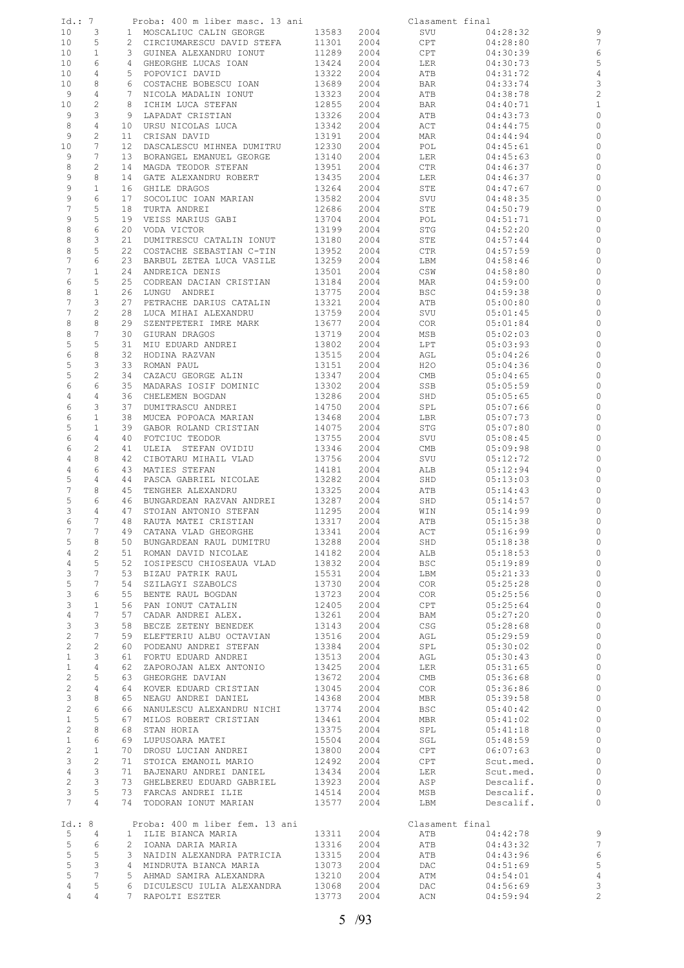| Id.: 7          |                 |    | Proba: 400 m liber masc. 13 ani |       |      | Clasament final |           |                          |
|-----------------|-----------------|----|---------------------------------|-------|------|-----------------|-----------|--------------------------|
| 10              | 3               |    | 1 MOSCALIUC CALIN GEORGE        | 13583 | 2004 | SVU             | 04:28:32  | 9                        |
| 10              | 5               |    | 2 CIRCIUMARESCU DAVID STEFA     | 11301 | 2004 | CPT             | 04:28:80  | 7                        |
| 10              | $\mathbf{1}$    |    | 3 GUINEA ALEXANDRU IONUT        | 11289 | 2004 | CPT             | 04:30:39  | 6                        |
| 10              | 6               |    | 4 GHEORGHE LUCAS IOAN           | 13424 | 2004 | LER             | 04:30:73  | 5                        |
| 10              | 4               | 5  | POPOVICI DAVID                  | 13322 | 2004 | ATB             | 04:31:72  | $\overline{4}$           |
| 10              | 8               |    | 6 COSTACHE BOBESCU IOAN         | 13689 | 2004 | BAR             | 04:33:74  | 3                        |
| 9               | 4               | 7  |                                 |       |      |                 |           | $\overline{c}$           |
|                 |                 |    | NICOLA MADALIN IONUT            | 13323 | 2004 | ATB             | 04:38:78  |                          |
| 10              | $\mathbf{2}$    | 8  | ICHIM LUCA STEFAN               | 12855 | 2004 | BAR             | 04:40:71  | $\mathbf{1}$             |
| 9               | 3               | 9  | LAPADAT CRISTIAN                | 13326 | 2004 | ATB             | 04:43:73  | $\circ$                  |
| 8               | 4               |    | 10 URSU NICOLAS LUCA            | 13342 | 2004 | ACT             | 04:44:75  | $\circ$                  |
| 9               | 2               | 11 | CRISAN DAVID                    | 13191 | 2004 | MAR             | 04:44:94  | 0                        |
| 10              | 7               | 12 | DASCALESCU MIHNEA DUMITRU       | 12330 | 2004 | POL             | 04:45:61  | $\circ$                  |
| 9               | 7               | 13 | BORANGEL EMANUEL GEORGE         | 13140 | 2004 | LER             | 04:45:63  | $\circ$                  |
| 8               | $\mathbf{2}$    | 14 | MAGDA TEODOR STEFAN             | 13951 | 2004 | CTR             | 04:46:37  | 0                        |
| 9               | 8               | 14 | GATE ALEXANDRU ROBERT           | 13435 | 2004 | LER             | 04:46:37  | $\circ$                  |
| 9               | $\mathbf{1}$    | 16 | GHILE DRAGOS                    | 13264 | 2004 | STE             | 04:47:67  | $\circ$                  |
| 9               | 6               | 17 | SOCOLIUC IOAN MARIAN            | 13582 | 2004 | SVU             | 04:48:35  | 0                        |
| 7               | 5               | 18 | TURTA ANDREI                    | 12686 | 2004 | STE             | 04:50:79  | $\circ$                  |
| 9               | 5               | 19 | VEISS MARIUS GABI               | 13704 | 2004 | POL             | 04:51:71  | 0                        |
|                 | $\epsilon$      |    |                                 |       |      |                 |           |                          |
| 8               |                 | 20 | VODA VICTOR                     | 13199 | 2004 | STG             | 04:52:20  | $\circ$                  |
| 8               | 3               | 21 | DUMITRESCU CATALIN IONUT        | 13180 | 2004 | STE             | 04:57:44  | 0                        |
| 8               | 5               | 22 | COSTACHE SEBASTIAN C-TIN        | 13952 | 2004 | CTR             | 04:57:59  | $\circ$                  |
| 7               | 6               | 23 | BARBUL ZETEA LUCA VASILE        | 13259 | 2004 | LBM             | 04:58:46  | 0                        |
| 7               | $\mathbf{1}$    | 24 | ANDREICA DENIS                  | 13501 | 2004 | CSW             | 04:58:80  | $\circ$                  |
| 6               | 5               | 25 | CODREAN DACIAN CRISTIAN         | 13184 | 2004 | MAR             | 04:59:00  | $\circ$                  |
| 8               | $1\,$           | 26 | LUNGU ANDREI                    | 13775 | 2004 | BSC             | 04:59:38  | $\circ$                  |
| 7               | 3               | 27 | PETRACHE DARIUS CATALIN         | 13321 | 2004 | ATB             | 05:00:80  | $\circ$                  |
| 7               | 2               | 28 | LUCA MIHAI ALEXANDRU            | 13759 | 2004 | SVU             | 05:01:45  | $\circ$                  |
| 8               | 8               | 29 | SZENTPETERI IMRE MARK           | 13677 | 2004 | COR             | 05:01:84  | $\circ$                  |
| 8               | $\overline{7}$  |    | 30 GIURAN DRAGOS                | 13719 | 2004 | MSB             | 05:02:03  | $\circ$                  |
| 5               | 5               | 31 | MIU EDUARD ANDREI               | 13802 | 2004 | LPT             | 05:03:93  | 0                        |
|                 |                 |    |                                 |       |      |                 |           |                          |
| 6               | 8               | 32 | HODINA RAZVAN                   | 13515 | 2004 | AGL             | 05:04:26  | $\circ$                  |
| 5               | 3               | 33 | ROMAN PAUL                      | 13151 | 2004 | H2O             | 05:04:36  | 0                        |
| 5               | $\overline{c}$  | 34 | CAZACU GEORGE ALIN              | 13347 | 2004 | CMB             | 05:04:65  | $\circ$                  |
| 6               | 6               | 35 | MADARAS IOSIF DOMINIC           | 13302 | 2004 | SSB             | 05:05:59  | 0                        |
| 4               | 4               | 36 | CHELEMEN BOGDAN                 | 13286 | 2004 | SHD             | 05:05:65  | $\circ$                  |
| 6               | 3               | 37 | DUMITRASCU ANDREI               | 14750 | 2004 | SPL             | 05:07:66  | 0                        |
| 6               | $1\,$           | 38 | MUCEA POPOACA MARIAN            | 13468 | 2004 | LBR             | 05:07:73  | $\circ$                  |
| 5               | $\mathbf{1}$    | 39 | GABOR ROLAND CRISTIAN           | 14075 | 2004 | STG             | 05:07:80  | $\circ$                  |
| 6               | 4               | 40 | FOTCIUC TEODOR                  | 13755 | 2004 | SVU             | 05:08:45  | $\circ$                  |
| 6               | $\overline{c}$  | 41 | ULEIA STEFAN OVIDIU             | 13346 | 2004 | CMB             | 05:09:98  | $\circ$                  |
| 4               | 8               | 42 | CIBOTARU MIHAIL VLAD            | 13756 | 2004 | SVU             | 05:12:72  | $\circ$                  |
| 4               | 6               | 43 | MATIES STEFAN                   | 14181 | 2004 | ALB             | 05:12:94  | 0                        |
|                 |                 |    |                                 |       |      |                 |           |                          |
| 5               | 4               | 44 | PASCA GABRIEL NICOLAE           | 13282 | 2004 | SHD             | 05:13:03  | $\circ$                  |
| 7               | 8               | 45 | TENGHER ALEXANDRU               | 13325 | 2004 | ATB             | 05:14:43  | 0                        |
| 5               | 6               | 46 | BUNGARDEAN RAZVAN ANDREI        | 13287 | 2004 | SHD             | 05:14:57  | $\circ$                  |
| 3               | 4               | 47 | STOIAN ANTONIO STEFAN           | 11295 | 2004 | WIN             | 05:14:99  | 0                        |
| 6               | $7\phantom{.0}$ |    | 48 RAUTA MATEI CRISTIAN         | 13317 | 2004 | ATB             | 05:15:38  | $\circ$                  |
| 7               | 7               |    | 49 CATANA VLAD GHEORGHE         | 13341 | 2004 | ACT             | 05:16:99  | $\overline{\phantom{0}}$ |
| 5               | 8               |    | 50 BUNGARDEAN RAUL DUMITRU      | 13288 | 2004 | SHD             | 05:18:38  | 0                        |
| $\overline{4}$  | $\overline{2}$  |    | 51 ROMAN DAVID NICOLAE          | 14182 | 2004 | ALB             | 05:18:53  | $\circ$                  |
| $\overline{4}$  | 5               |    | 52 IOSIPESCU CHIOSEAUA VLAD     | 13832 | 2004 | <b>BSC</b>      | 05:19:89  | $\circ$                  |
| $\mathsf 3$     | $7\phantom{.0}$ |    | 53 BIZAU PATRIK RAUL            | 15531 | 2004 | LBM             | 05:21:33  | $\circ$                  |
| 5               | $7\phantom{.0}$ |    | 54 SZILAGYI SZABOLCS            | 13730 | 2004 | COR             | 05:25:28  | $\circ$                  |
|                 |                 |    |                                 |       |      |                 |           |                          |
| $\mathcal{E}$   | 6               |    | 55 BENTE RAUL BOGDAN            | 13723 | 2004 | COR             | 05:25:56  | $\circ$                  |
| $\mathcal{E}$   | $\mathbf{1}$    |    | 56 PAN IONUT CATALIN            | 12405 | 2004 | CPT             | 05:25:64  | $\circ$                  |
| $\overline{4}$  | $7\phantom{.0}$ |    | 57 CADAR ANDREI ALEX.           | 13261 | 2004 | BAM             | 05:27:20  | $\circ$                  |
| 3               | 3               |    | 58 BECZE ZETENY BENEDEK         | 13143 | 2004 | CSG             | 05:28:68  | $\circ$                  |
| $\mathbf{2}$    | $7\phantom{.0}$ |    | 59 ELEFTERIU ALBU OCTAVIAN      | 13516 | 2004 | AGL             | 05:29:59  | $\circ$                  |
| $\mathbf{2}$    | 2               |    | 60 PODEANU ANDREI STEFAN        | 13384 | 2004 | SPL             | 05:30:02  | $\circ$                  |
| $\mathbf{1}$    | 3               |    | 61 FORTU EDUARD ANDREI          | 13513 | 2004 | AGL             | 05:30:43  | $\circ$                  |
| $\mathbf{1}$    | 4               |    | 62 ZAPOROJAN ALEX ANTONIO       | 13425 | 2004 | LER             | 05:31:65  | $\circ$                  |
| $\overline{c}$  | 5               |    | 63 GHEORGHE DAVIAN              | 13672 | 2004 | CMB             | 05:36:68  | $\circ$                  |
| $\overline{c}$  | $\overline{4}$  |    | 64 KOVER EDUARD CRISTIAN        | 13045 | 2004 | COR             | 05:36:86  | $\circ$                  |
| $\mathcal{E}$   | 8               |    | 65 NEAGU ANDREI DANIEL          | 14368 | 2004 | MBR             | 05:39:58  | $\circ$                  |
| $\overline{2}$  | 6               |    | 66 NANULESCU ALEXANDRU NICHI    | 13774 | 2004 | BSC             | 05:40:42  | $\circ$                  |
|                 |                 |    |                                 |       |      |                 |           |                          |
| $\mathbf{1}$    | 5               |    | 67 MILOS ROBERT CRISTIAN        | 13461 | 2004 | MBR             | 05:41:02  | $\circ$                  |
| $\mathbf{2}$    | 8               |    | 68 STAN HORIA                   | 13375 | 2004 | SPL             | 05:41:18  | $\circ$                  |
| $\mathbf{1}$    | 6               |    | 69 LUPUSOARA MATEI              | 15504 | 2004 | SGL             | 05:48:59  | $\circ$                  |
| $\overline{2}$  | $\mathbf{1}$    |    | 70 DROSU LUCIAN ANDREI          | 13800 | 2004 | CPT             | 06:07:63  | $\circ$                  |
| 3               | 2               |    | 71 STOICA EMANOIL MARIO         | 12492 | 2004 | CPT             | Scut.med. | $\circ$                  |
| $\overline{4}$  | 3               |    | 71 BAJENARU ANDREI DANIEL       | 13434 | 2004 | LER             | Scut.med. | $\circ$                  |
| $\overline{c}$  | 3               |    | 73 GHELBEREU EDUARD GABRIEL     | 13923 | 2004 | ASP             | Descalif. | $\circ$                  |
| 3               | 5               |    | 73 FARCAS ANDREI ILIE           | 14514 | 2004 | MSB             | Descalif. | $\circ$                  |
| $7\phantom{.0}$ | $\overline{4}$  |    | 74 TODORAN IONUT MARIAN         | 13577 | 2004 | LBM             | Descalif. | $\circ$                  |
|                 |                 |    |                                 |       |      |                 |           |                          |
| Id.: 8          |                 |    | Proba: 400 m liber fem. 13 ani  |       |      | Clasament final |           |                          |
| 5               | 4               |    | 1 ILIE BIANCA MARIA             | 13311 | 2004 | ATB             | 04:42:78  | $\overline{9}$           |
| 5               | 6               |    | 2 IOANA DARIA MARIA             | 13316 | 2004 | ATB             | 04:43:32  | $\overline{7}$           |
| 5               | 5               |    | 3 NAIDIN ALEXANDRA PATRICIA     | 13315 | 2004 | ATB             | 04:43:96  | $\epsilon$               |
| 5               | 3               |    |                                 |       |      |                 |           | 5                        |
|                 |                 |    | 4 MINDRUTA BIANCA MARIA         | 13073 | 2004 | DAC             | 04:51:69  |                          |
| 5               | 7               |    | 5 AHMAD SAMIRA ALEXANDRA        | 13210 | 2004 | ATM             | 04:54:01  | $\overline{4}$           |
| $\overline{4}$  | 5               |    | 6 DICULESCU IULIA ALEXANDRA     | 13068 | 2004 | DAC             | 04:56:69  | 3                        |
| 4               | $\overline{4}$  |    | 7 RAPOLTI ESZTER                | 13773 | 2004 | ACN             | 04:59:94  | $\overline{c}$           |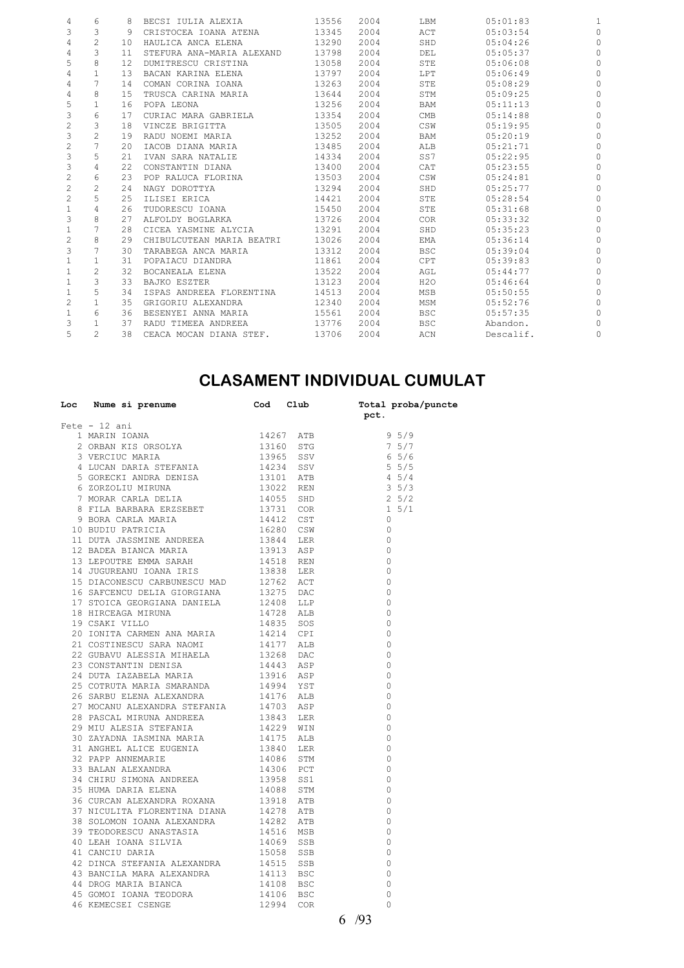| 4              | 6              | 8    | BECSI IULIA ALEXIA        | 13556 | 2004 | LBM        | 05:01:83  |   |
|----------------|----------------|------|---------------------------|-------|------|------------|-----------|---|
| 3              | 3              | 9    | CRISTOCEA IOANA ATENA     | 13345 | 2004 | ACT        | 05:03:54  |   |
| 4              | $\mathfrak{D}$ | 10   | HAULICA ANCA ELENA        | 13290 | 2004 | SHD        | 05:04:26  |   |
| 4              | 3              | 11   | STEFURA ANA-MARIA ALEXAND | 13798 | 2004 | DEL        | 05:05:37  |   |
| 5              | 8              | 12   | DUMITRESCU CRISTINA       | 13058 | 2004 | STE        | 05:06:08  |   |
| 4              | 1              | 13   | BACAN KARINA ELENA        | 13797 | 2004 | LPT        | 0.5:06:49 |   |
| 4              |                | 14   | COMAN CORINA IOANA        | 13263 | 2004 | STE        | 05:08:29  |   |
| 4              | 8              | 15   | TRUSCA CARINA MARIA       | 13644 | 2004 | STM        | 05:09:25  |   |
| 5              | 1              | 16   | POPA LEONA                | 13256 | 2004 | BAM        | 05:11:13  |   |
| 3              | 6              | 17   | CURIAC MARA GABRIELA      | 13354 | 2004 | CMB        | 05:14:88  |   |
| 2              | 3              | 18   | VINCZE BRIGITTA           | 13505 | 2004 | CSW        | 0.5:19:95 |   |
| 3              | $\overline{a}$ | 19   | RADU NOEMI MARIA          | 13252 | 2004 | BAM        | 05:20:19  |   |
| 2              | 7              | 2.0  | IACOB DIANA MARIA         | 13485 | 2004 | ALB        | 05:21:71  |   |
| 3              | 5              | 2.1  | IVAN SARA NATALIE         | 14334 | 2004 | SS7        | 05:22:95  |   |
| 3              | 4              | 2.2. | CONSTANTIN DIANA          | 13400 | 2004 | CAT        | 05:23:55  |   |
| 2              | 6              | 23   | POP RALUCA FLORINA        | 13503 | 2004 | CSW        | 05:24:81  |   |
| 2              | $\overline{c}$ | 2.4  | NAGY DOROTTYA             | 13294 | 2004 | SHD        | 05:25:77  |   |
| 2              | 5              | 25   | ILISEI ERICA              | 14421 | 2004 | STE        | 05:28:54  |   |
| 1              | 4              | 26   | TUDORESCU IOANA           | 15450 | 2004 | STE        | 05:31:68  |   |
| 3              | 8              | 27   | ALFOLDY BOGLARKA          | 13726 | 2004 | <b>COR</b> | 05:33:32  |   |
| 1              |                | 28   | CICEA YASMINE ALYCIA      | 13291 | 2004 | SHD        | 05:35:23  |   |
| $\overline{c}$ | 8              | 29   | CHIBULCUTEAN MARIA BEATRI | 13026 | 2004 | EMA        | 05:36:14  |   |
| 3              |                | 30   | TARABEGA ANCA MARIA       | 13312 | 2004 | <b>BSC</b> | 05:39:04  |   |
| 1              | 1              | 31   | POPAIACU DIANDRA          | 11861 | 2004 | CPT        | 05:39:83  |   |
| 1              | $\overline{c}$ | 32   | BOCANEALA ELENA           | 13522 | 2004 | AGL        | 05:44:77  |   |
| 1              | 3              | 33   | BAJKO ESZTER              | 13123 | 2004 | H2O        | 05:46:64  |   |
|                | 5              | 34   | ISPAS ANDREEA FLORENTINA  | 14513 | 2004 | MSB        | 05:50:55  |   |
| 2              | 1              | 35   | GRIGORIU ALEXANDRA        | 12340 | 2004 | MSM        | 05:52:76  |   |
| 1              | 6              | 36   | BESENYEI ANNA MARIA       | 15561 | 2004 | <b>BSC</b> | 05:57:35  |   |
| 3              | 1              | 37   | RADU TIMEEA ANDREEA       | 13776 | 2004 | <b>BSC</b> | Abandon.  |   |
| 5              | $\overline{c}$ | 38   | CEACA MOCAN DIANA STEF.   | 13706 | 2004 | ACN        | Descalif. | 0 |
|                |                |      |                           |       |      |            |           |   |

## **CLASAMENT INDIVIDUAL CUMULAT**

| Loc Nume si prenume $\qquad \qquad \qquad$ Cod Club $\qquad \qquad$ Total proba/puncte                                                                                                                                                   | pct.           |
|------------------------------------------------------------------------------------------------------------------------------------------------------------------------------------------------------------------------------------------|----------------|
| $Fete - 12 ani$                                                                                                                                                                                                                          |                |
|                                                                                                                                                                                                                                          |                |
|                                                                                                                                                                                                                                          |                |
|                                                                                                                                                                                                                                          |                |
|                                                                                                                                                                                                                                          |                |
|                                                                                                                                                                                                                                          |                |
|                                                                                                                                                                                                                                          |                |
|                                                                                                                                                                                                                                          |                |
|                                                                                                                                                                                                                                          |                |
|                                                                                                                                                                                                                                          |                |
|                                                                                                                                                                                                                                          |                |
|                                                                                                                                                                                                                                          |                |
|                                                                                                                                                                                                                                          |                |
|                                                                                                                                                                                                                                          |                |
|                                                                                                                                                                                                                                          |                |
|                                                                                                                                                                                                                                          |                |
|                                                                                                                                                                                                                                          |                |
|                                                                                                                                                                                                                                          |                |
|                                                                                                                                                                                                                                          |                |
|                                                                                                                                                                                                                                          |                |
|                                                                                                                                                                                                                                          |                |
|                                                                                                                                                                                                                                          |                |
|                                                                                                                                                                                                                                          |                |
|                                                                                                                                                                                                                                          |                |
|                                                                                                                                                                                                                                          |                |
|                                                                                                                                                                                                                                          |                |
|                                                                                                                                                                                                                                          |                |
|                                                                                                                                                                                                                                          | $\overline{0}$ |
|                                                                                                                                                                                                                                          | $\bigcirc$     |
|                                                                                                                                                                                                                                          | $\bigcirc$     |
|                                                                                                                                                                                                                                          | $\bigcirc$     |
|                                                                                                                                                                                                                                          | $\bigcirc$     |
|                                                                                                                                                                                                                                          | $\bigcirc$     |
|                                                                                                                                                                                                                                          | $\overline{0}$ |
|                                                                                                                                                                                                                                          | $\overline{0}$ |
|                                                                                                                                                                                                                                          | $\bigcirc$     |
|                                                                                                                                                                                                                                          | $\bigcirc$     |
|                                                                                                                                                                                                                                          | $\bigcirc$     |
|                                                                                                                                                                                                                                          | $\overline{0}$ |
|                                                                                                                                                                                                                                          | $\overline{0}$ |
|                                                                                                                                                                                                                                          | $\overline{0}$ |
|                                                                                                                                                                                                                                          | $\overline{0}$ |
|                                                                                                                                                                                                                                          | $\bigcirc$     |
|                                                                                                                                                                                                                                          | $\bigcirc$     |
|                                                                                                                                                                                                                                          | $\bigcirc$     |
|                                                                                                                                                                                                                                          | $\overline{0}$ |
|                                                                                                                                                                                                                                          | $\Omega$       |
| 20 OUNIN MARIA SMARAMDRA<br>26 SARBU ELENA ALEXANDRA 14994 151 ALB<br>27 MOCANU ALEXANDRA STEFANIA 14703 ASP<br>28 PASCAL MIRUNA ANDREEA 13843 LER<br>29 MIU ALESIA STEFANIA 1422 WIN<br>30 ZAYADNA IASMINA MARIA 1422 WIN<br>30 ZAYADNA | 6/93           |
|                                                                                                                                                                                                                                          |                |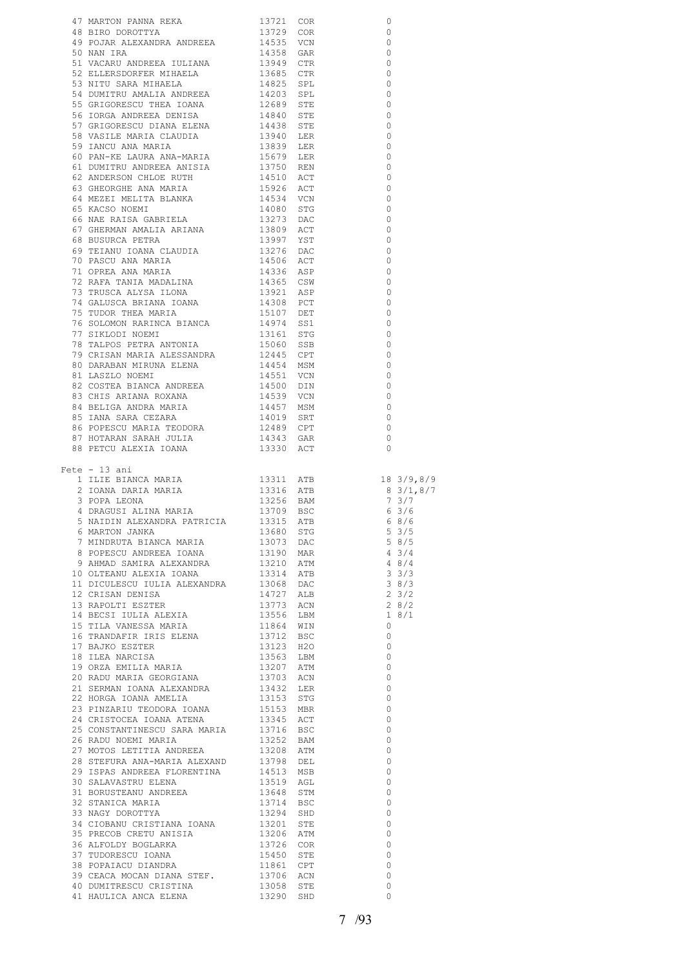|                                                                                                                                                                                                                                          |                        | 0                                                         |
|------------------------------------------------------------------------------------------------------------------------------------------------------------------------------------------------------------------------------------------|------------------------|-----------------------------------------------------------|
|                                                                                                                                                                                                                                          |                        | $\circ$                                                   |
|                                                                                                                                                                                                                                          |                        |                                                           |
|                                                                                                                                                                                                                                          |                        | $\overline{\phantom{0}}$                                  |
|                                                                                                                                                                                                                                          |                        |                                                           |
|                                                                                                                                                                                                                                          |                        |                                                           |
|                                                                                                                                                                                                                                          |                        |                                                           |
|                                                                                                                                                                                                                                          |                        |                                                           |
|                                                                                                                                                                                                                                          |                        |                                                           |
|                                                                                                                                                                                                                                          |                        |                                                           |
|                                                                                                                                                                                                                                          |                        |                                                           |
|                                                                                                                                                                                                                                          |                        |                                                           |
|                                                                                                                                                                                                                                          |                        |                                                           |
|                                                                                                                                                                                                                                          |                        |                                                           |
|                                                                                                                                                                                                                                          |                        |                                                           |
|                                                                                                                                                                                                                                          |                        |                                                           |
|                                                                                                                                                                                                                                          |                        |                                                           |
|                                                                                                                                                                                                                                          |                        |                                                           |
|                                                                                                                                                                                                                                          |                        |                                                           |
|                                                                                                                                                                                                                                          |                        |                                                           |
|                                                                                                                                                                                                                                          |                        |                                                           |
|                                                                                                                                                                                                                                          |                        |                                                           |
|                                                                                                                                                                                                                                          |                        |                                                           |
|                                                                                                                                                                                                                                          |                        |                                                           |
|                                                                                                                                                                                                                                          |                        |                                                           |
|                                                                                                                                                                                                                                          |                        |                                                           |
|                                                                                                                                                                                                                                          |                        |                                                           |
|                                                                                                                                                                                                                                          |                        |                                                           |
|                                                                                                                                                                                                                                          |                        |                                                           |
|                                                                                                                                                                                                                                          |                        |                                                           |
|                                                                                                                                                                                                                                          |                        |                                                           |
|                                                                                                                                                                                                                                          |                        |                                                           |
|                                                                                                                                                                                                                                          |                        |                                                           |
|                                                                                                                                                                                                                                          |                        |                                                           |
|                                                                                                                                                                                                                                          |                        |                                                           |
|                                                                                                                                                                                                                                          |                        |                                                           |
|                                                                                                                                                                                                                                          |                        |                                                           |
|                                                                                                                                                                                                                                          |                        |                                                           |
|                                                                                                                                                                                                                                          |                        |                                                           |
|                                                                                                                                                                                                                                          |                        |                                                           |
|                                                                                                                                                                                                                                          |                        |                                                           |
|                                                                                                                                                                                                                                          |                        |                                                           |
|                                                                                                                                                                                                                                          |                        |                                                           |
|                                                                                                                                                                                                                                          |                        |                                                           |
|                                                                                                                                                                                                                                          |                        |                                                           |
|                                                                                                                                                                                                                                          |                        |                                                           |
|                                                                                                                                                                                                                                          |                        |                                                           |
|                                                                                                                                                                                                                                          |                        |                                                           |
|                                                                                                                                                                                                                                          |                        |                                                           |
|                                                                                                                                                                                                                                          |                        |                                                           |
|                                                                                                                                                                                                                                          |                        |                                                           |
| $Fete - 13 ani$                                                                                                                                                                                                                          |                        |                                                           |
| 44 MAROU PAIRMA REAGA 19721 COR 66 181 2012 COR 66 181 2012 COR 66 1972 COR 66 1972 COR 66 1972 COR 66 1972 COR 66 1972 COR 66 1974 COR 66 1974 COR 67 1974 COR 67 1974 COR 67 1974 COR 67 1974 COR 67 1974 COR 67 1974 COR 6            |                        |                                                           |
|                                                                                                                                                                                                                                          |                        |                                                           |
|                                                                                                                                                                                                                                          |                        |                                                           |
|                                                                                                                                                                                                                                          |                        |                                                           |
|                                                                                                                                                                                                                                          |                        |                                                           |
|                                                                                                                                                                                                                                          |                        |                                                           |
| 1 ILIE BIANCA MARIA<br>1 ILIE BIANCA MARIA<br>2 IOANA DARIA MARIA<br>3 POPA LEONA<br>4 DRAGUSI ALINA MARIA<br>5 NAIDIN ALEXANDRA PATRICIA<br>13315 ATB<br>6 8/6<br>5 NAIDIN ALEXANDRA PATRICIA<br>13315 ATB<br>6 8/6                     |                        |                                                           |
|                                                                                                                                                                                                                                          |                        |                                                           |
|                                                                                                                                                                                                                                          |                        |                                                           |
|                                                                                                                                                                                                                                          |                        |                                                           |
|                                                                                                                                                                                                                                          |                        |                                                           |
| 9 AHMAD SAMIRA ALEXANDRA<br>10 OLTEANU ALEXIA IOANA                                                                                                                                                                                      |                        |                                                           |
| 6 MARTON JANKA 13680 STG 5 3/5<br>7 MINDRUTA BIANCA MARIA 13073 DAC 5 8/5<br>8 POPESCU ANDREEA IOANA 13190 MAR 4 3/4<br>9 AHMAD SAMIRA ALEXANDRA 13210 ATM 4 8/4<br>13314 ATB 3 3/3<br>110 OLTERANI 1334 ATM 4 3/4<br>1334 ATM 4 3 3/3   |                        | 38/3                                                      |
|                                                                                                                                                                                                                                          |                        |                                                           |
|                                                                                                                                                                                                                                          |                        | $2 \frac{0}{3}/2$                                         |
|                                                                                                                                                                                                                                          |                        |                                                           |
|                                                                                                                                                                                                                                          |                        | $\begin{array}{c} 2 & 8/2 \\ 1 & 8/1 \end{array}$<br>18/1 |
|                                                                                                                                                                                                                                          |                        | $\overline{0}$                                            |
|                                                                                                                                                                                                                                          |                        | $\overline{0}$                                            |
|                                                                                                                                                                                                                                          |                        | $\overline{0}$                                            |
|                                                                                                                                                                                                                                          |                        | $\overline{0}$                                            |
|                                                                                                                                                                                                                                          |                        |                                                           |
|                                                                                                                                                                                                                                          |                        | $\overline{0}$                                            |
|                                                                                                                                                                                                                                          |                        | $\overline{0}$                                            |
|                                                                                                                                                                                                                                          |                        | $\overline{0}$                                            |
|                                                                                                                                                                                                                                          |                        | $\overline{0}$                                            |
|                                                                                                                                                                                                                                          |                        | $\overline{0}$                                            |
|                                                                                                                                                                                                                                          |                        | $\overline{0}$                                            |
|                                                                                                                                                                                                                                          |                        | $\overline{0}$                                            |
|                                                                                                                                                                                                                                          |                        |                                                           |
| 25 CONSTANTINESCU SARA MARIA 13716 BSC<br>26 RADU NOEMI MARIA 13252 BAM<br>26 RADU NOEMI MARIA                                                                                                                                           |                        | $\overline{0}$                                            |
| 27 MOTOS LETITIA ANDREEA                                                                                                                                                                                                                 |                        | $\overline{0}$                                            |
| 28 STEFURA ANA-MARIA ALEXAND                                                                                                                                                                                                             | 13208 ATM<br>13798 DEL | $\overline{0}$                                            |
|                                                                                                                                                                                                                                          |                        | $\overline{0}$                                            |
|                                                                                                                                                                                                                                          |                        | $\overline{0}$                                            |
|                                                                                                                                                                                                                                          |                        |                                                           |
|                                                                                                                                                                                                                                          |                        | $\overline{\phantom{0}}$                                  |
|                                                                                                                                                                                                                                          |                        | $\overline{\phantom{0}}$                                  |
|                                                                                                                                                                                                                                          |                        | $\overline{0}$                                            |
|                                                                                                                                                                                                                                          |                        | $\overline{0}$                                            |
|                                                                                                                                                                                                                                          |                        | $\overline{0}$                                            |
|                                                                                                                                                                                                                                          |                        | $\overline{0}$                                            |
|                                                                                                                                                                                                                                          |                        |                                                           |
|                                                                                                                                                                                                                                          |                        | $\overline{0}$                                            |
|                                                                                                                                                                                                                                          |                        | $\overline{0}$                                            |
|                                                                                                                                                                                                                                          |                        | $\overline{\phantom{0}}$                                  |
| 28 STEFURA ANA-MARIA ALEXAND 13798 DEL 29 ISPAS ANDREEA FLORENTINA 14513 MSB<br>30 SALAVASTRU ELENA 13519 AGL<br>31 BORUSTEANU ANDREEA 13648 STM<br>32 STANICA MARIA 1374 BSC<br>33 NAGY DOROTTYA 13294 SHD<br>34 CIOBANU CRISTIANA IOAN |                        | $\circ$<br>$\circ$                                        |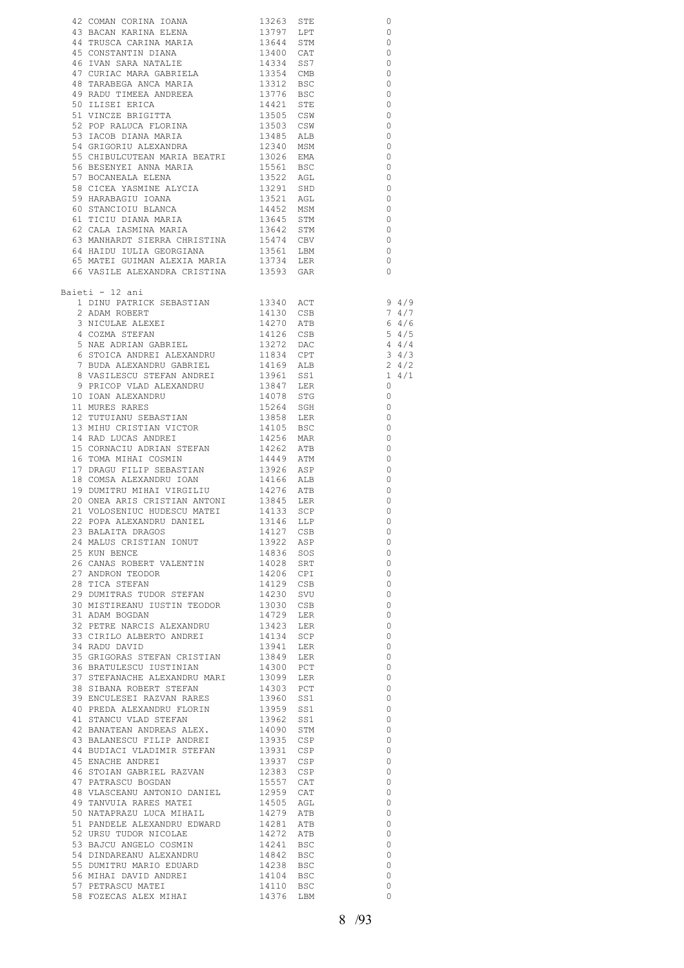|                                                                                                                                                                                                                                              |                        | 0                  |                          |
|----------------------------------------------------------------------------------------------------------------------------------------------------------------------------------------------------------------------------------------------|------------------------|--------------------|--------------------------|
|                                                                                                                                                                                                                                              |                        | $\circ$<br>$\circ$ |                          |
|                                                                                                                                                                                                                                              |                        | $\circ$            |                          |
|                                                                                                                                                                                                                                              |                        | 0                  |                          |
|                                                                                                                                                                                                                                              |                        | $\circ$            |                          |
| 47 CURIAC MARA GABRIELA<br>48 TARABEGA ANCA MARIA                                                                                                                                                                                            | 13354 CMB<br>13312 BSC | 0                  |                          |
|                                                                                                                                                                                                                                              |                        | 0                  |                          |
|                                                                                                                                                                                                                                              |                        | 0                  |                          |
|                                                                                                                                                                                                                                              |                        | 0                  |                          |
|                                                                                                                                                                                                                                              |                        | 0<br>0             |                          |
| 49 RADU TIMEEA ANDREEA<br>50 ILISEI ERICA<br>51 VINCZE BRIGITTA<br>52 POP RALUCA FLORINA<br>53 IACOB DIANA MARIA<br>73 IACOB DIANA MARIA<br>73 IACOB DIANA MARIA<br>73 2340 MSM                                                              |                        | $\circ$            |                          |
| 55 CHIBULCUTEAN MARIA BEATRI 13026 EMA                                                                                                                                                                                                       |                        | 0                  |                          |
| 56 BESENYEI ANNA MARIA<br>57 BOCANEALA ELENA                                                                                                                                                                                                 | 15561 BSC              | 0                  |                          |
| EN CONSTANT ANNE PARAMETER (1990)<br>ST BOCANEALA ELENA (1992) AGL<br>ST BOCANEALA ALYCIA (1992) SHD<br>ST BOCANEALA (1992) SHD<br>ST BOCANEALA (1992) AGL<br>62 CALA TASMINA MARIA (19642) STM<br>62 CALA TASMINA MARIA (19642) STM<br>1964 |                        | 0                  |                          |
|                                                                                                                                                                                                                                              |                        | 0                  |                          |
|                                                                                                                                                                                                                                              |                        | $\circ$<br>0       |                          |
|                                                                                                                                                                                                                                              |                        | $\circ$            |                          |
|                                                                                                                                                                                                                                              |                        | 0                  |                          |
| 63 MANHARDT SIERRA CHRISTINA 15474 CBV                                                                                                                                                                                                       |                        | 0                  |                          |
| 64 HAIDU IULIA GEORGIANA<br>64 HAIDU IULIA GEORGIANA 13561 LBM<br>65 MATEI GUIMAN ALEXIA MARIA 13734 LER                                                                                                                                     |                        | $\circ$            |                          |
|                                                                                                                                                                                                                                              |                        | 0                  |                          |
| 66 VASILE ALEXANDRA CRISTINA 13593 GAR                                                                                                                                                                                                       |                        | $\circ$            |                          |
| Baieti - 12 ani                                                                                                                                                                                                                              |                        |                    |                          |
| 1 DINU PATRICK SEBASTIAN 13340 ACT                                                                                                                                                                                                           |                        |                    | 94/9                     |
| 2 ADAM ROBERT<br>3 NICULAE ALEXEI<br>4 COZMA STEFAN<br>5 NAE ADRIAN GABRIEL                                                                                                                                                                  | 14130 CSB              |                    | 74/7                     |
|                                                                                                                                                                                                                                              | $14270$ ATB            |                    | 64/6                     |
|                                                                                                                                                                                                                                              |                        |                    | $5 \frac{4}{5}$<br>4 4/4 |
| $\begin{tabular}{lllllllll} 4 & COZMA & STEFAN & & & 14126 & CSB \\ 5 & NAE & ADRIAN & GABRIEL & & 13272 & DAC \\ 6 & STOICA & ANDREI & ALEXANDRU & & 11834 & CPT \\ 7 & BUDA & ALEXANDRU & GABRIEL & & 14169 & ALB \\ \end{tabular}$        |                        |                    | $3 \frac{4}{3}$          |
|                                                                                                                                                                                                                                              |                        |                    | $2 \frac{4}{2}$          |
|                                                                                                                                                                                                                                              |                        |                    | $1 \quad 4/1$            |
| 8 VASILESCU STEFAN ANDREI 13961 SS1<br>9 PRICOP VLAD ALEXANDRU 13847 LER                                                                                                                                                                     |                        | $\circ$            |                          |
| 10 IOAN ALEXANDRU<br>11 MURES RARES                                                                                                                                                                                                          | 14078 STG<br>15264 SGH |                    | 0                        |
| 12 TUTUIANU SEBASTIAN                                                                                                                                                                                                                        |                        | 0<br>0             |                          |
| 12 ISISIMS SERVICENT                                                                                                                                                                                                                         | 13858 LER<br>14105 BSC | 0                  |                          |
| 14 RAD LUCAS ANDREI                                                                                                                                                                                                                          | 14256 MAR              | 0                  |                          |
| 14250 MARIN 14250 MARIN 14262 ATB                                                                                                                                                                                                            |                        | 0                  |                          |
| 14449 ATM 14449 ATM 16 MEASURE TELLE SEBASTIAN 13926 ASP                                                                                                                                                                                     |                        | 0                  |                          |
|                                                                                                                                                                                                                                              |                        | 0                  |                          |
| 18 COMSA ALEXANDRU IOAN<br>19 DUMITRU MIHAI VIRGILIU                                                                                                                                                                                         | 14166 ALB<br>14276 ATB | 0<br>0             |                          |
|                                                                                                                                                                                                                                              |                        | 0                  |                          |
| 20 ONEA ARIS CRISTIAN ANTONI 13845 LER<br>21 VOLOSENIUC HUDESCU MATEI 14133 SCP<br>22 POPA ALEXANDRU DANIEL 13146 LLP<br>23 BALAITA DRAGOS 14127 CSB                                                                                         |                        | $\circ$            |                          |
|                                                                                                                                                                                                                                              |                        | $\circ$            |                          |
| 23 BALAITA DRAGOS                                                                                                                                                                                                                            | 14127 CSB              | $\sim$ 0           |                          |
| 24 MALUS CRISTIAN IONUT                                                                                                                                                                                                                      | 13922 ASP<br>14836 SOS | 0                  |                          |
| 25 KUN BENCE                                                                                                                                                                                                                                 |                        | 0<br>0             |                          |
| 26 CANAS ROBERT VALENTIN 14028 SRT<br>27 ANDRON TEODOR 14206 CPI                                                                                                                                                                             |                        | 0                  |                          |
| 27 ANDRON TEODOR<br>28 TICA STEFAN                                                                                                                                                                                                           |                        | 0                  |                          |
| 29 DUMITRAS TUDOR STEFAN                                                                                                                                                                                                                     | 14129 CSB<br>14230 SVU | 0                  |                          |
| 30 MISTIREANU IUSTIN TEODOR 13030 CSB                                                                                                                                                                                                        |                        | 0                  |                          |
| 31 ADAM BOGDAN                                                                                                                                                                                                                               | 14729 LER              | 0                  |                          |
| 32 PETRE NARCIS ALEXANDRU 13423 LER<br>33 CIRILO ALBERTO ANDREI 14134 SCP<br>33 CIRILO ALBERTO ANDREI                                                                                                                                        |                        | 0<br>0             |                          |
|                                                                                                                                                                                                                                              |                        | 0                  |                          |
|                                                                                                                                                                                                                                              |                        | 0                  |                          |
|                                                                                                                                                                                                                                              |                        | 0                  |                          |
|                                                                                                                                                                                                                                              |                        | 0                  |                          |
|                                                                                                                                                                                                                                              |                        | 0                  |                          |
|                                                                                                                                                                                                                                              |                        | 0<br>0             |                          |
|                                                                                                                                                                                                                                              |                        | 0                  |                          |
|                                                                                                                                                                                                                                              |                        | 0                  |                          |
|                                                                                                                                                                                                                                              |                        | $\circ$            |                          |
| 44 BUDIACI VLADIMIR STEFAN 13931 CSP                                                                                                                                                                                                         |                        | 0                  |                          |
| 45 ENACHE ANDREI                                                                                                                                                                                                                             | 13937 CSP              | 0                  |                          |
| 46 STOIAN GABRIEL RAZVAN 12383 CSP                                                                                                                                                                                                           |                        | 0<br>0             |                          |
| $\begin{tabular}{llll} 47 \hspace{0.1cm} PATRASCU \hspace{0.1cm} BOGDAN & 15557 \hspace{0.1cm} CAT \\ 48 \hspace{0.1cm} VLSCEANU \hspace{0.1cm} ANTONIO \hspace{0.1cm} DANIEL & 12959 \hspace{0.1cm} CAT \end{tabular}$                      |                        | 0                  |                          |
| 49 TANVUIA RARES MATEI                                                                                                                                                                                                                       |                        | 0                  |                          |
| 50 NATAPRAZU LUCA MIHAIL                                                                                                                                                                                                                     | 14505 AGL<br>14279 ATB | 0                  |                          |
| 51 PANDELE ALEXANDRU EDWARD<br>52 URSU TUDOR NICOLAE                                                                                                                                                                                         | 14281 ATB<br>14272 ATB | 0                  |                          |
|                                                                                                                                                                                                                                              |                        | 0                  |                          |
| 53 BAJCU ANGELO COSMIN<br>54 DINDAREANU ALEXANDRU                                                                                                                                                                                            | 14241 BSC<br>14842 BSC | 0                  |                          |
|                                                                                                                                                                                                                                              |                        | 0<br>0             |                          |
| 55 DUMITRU MARIO EDUARD<br>56 MIHAI DAVID ANDREI                                                                                                                                                                                             | 14238 BSC<br>14104 BSC | 0                  |                          |
| 57 PETRASCU MATEI                                                                                                                                                                                                                            | 14110 BSC              | 0                  |                          |
| 58 FOZECAS ALEX MIHAI 14376 LBM                                                                                                                                                                                                              |                        | 0                  |                          |
|                                                                                                                                                                                                                                              |                        |                    |                          |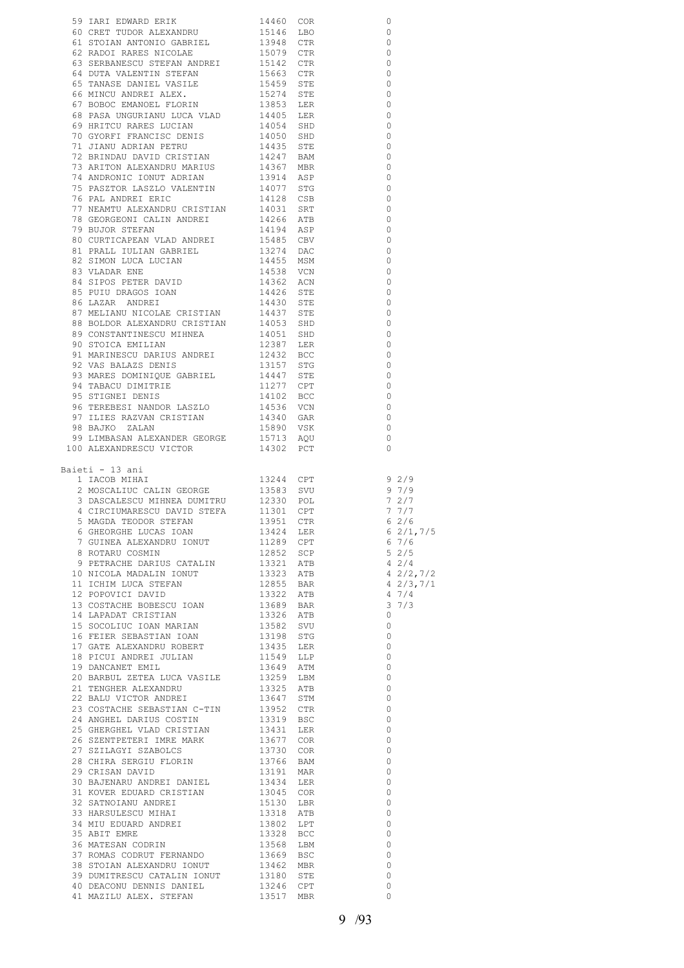|                                                                                                                                                                                                                                               |                | $\circ$                  |
|-----------------------------------------------------------------------------------------------------------------------------------------------------------------------------------------------------------------------------------------------|----------------|--------------------------|
|                                                                                                                                                                                                                                               |                |                          |
|                                                                                                                                                                                                                                               | $\overline{0}$ | $\overline{0}$           |
|                                                                                                                                                                                                                                               |                | $\overline{0}$           |
|                                                                                                                                                                                                                                               |                | $\overline{0}$           |
|                                                                                                                                                                                                                                               |                | $\overline{0}$           |
|                                                                                                                                                                                                                                               |                | $\overline{0}$           |
|                                                                                                                                                                                                                                               |                | $\overline{0}$           |
|                                                                                                                                                                                                                                               |                | $\overline{0}$           |
|                                                                                                                                                                                                                                               |                | $\overline{\phantom{0}}$ |
|                                                                                                                                                                                                                                               |                | $\overline{0}$           |
|                                                                                                                                                                                                                                               |                | $\circ$                  |
|                                                                                                                                                                                                                                               |                | $\overline{0}$           |
|                                                                                                                                                                                                                                               |                | $\overline{0}$           |
|                                                                                                                                                                                                                                               |                | $\overline{0}$           |
|                                                                                                                                                                                                                                               |                | $\circ$                  |
| 59 IARI EDWARD ERIK 19460 COR (1872)<br>61 GENET TUDOR ALEXANDRU 15146 LBO<br>61 STOTAN ANTONIO GABRIEL 13948 CTR<br>62 RADOI RARES NICOLAE 15079 CTR<br>63 SERBANESCO STEPAN ANDREI 15142 CTR<br>64 DUTA VALEMITI VASILE 15459 STE E S       |                | $\overline{0}$           |
|                                                                                                                                                                                                                                               |                | $\overline{0}$           |
|                                                                                                                                                                                                                                               |                | $\overline{0}$           |
|                                                                                                                                                                                                                                               |                | $\overline{0}$           |
|                                                                                                                                                                                                                                               |                | $\overline{0}$           |
|                                                                                                                                                                                                                                               |                | $\overline{0}$           |
|                                                                                                                                                                                                                                               |                | $\overline{0}$           |
|                                                                                                                                                                                                                                               |                | $\circ$                  |
|                                                                                                                                                                                                                                               |                | $\overline{0}$           |
|                                                                                                                                                                                                                                               |                | $\overline{0}$           |
|                                                                                                                                                                                                                                               |                | $\overline{0}$           |
|                                                                                                                                                                                                                                               |                | $\overline{\phantom{0}}$ |
|                                                                                                                                                                                                                                               |                | $\overline{\phantom{0}}$ |
|                                                                                                                                                                                                                                               |                | $\overline{0}$           |
|                                                                                                                                                                                                                                               |                | $\overline{0}$           |
|                                                                                                                                                                                                                                               |                | $\overline{\phantom{0}}$ |
|                                                                                                                                                                                                                                               |                | $\overline{\phantom{0}}$ |
|                                                                                                                                                                                                                                               |                | $\circ$                  |
|                                                                                                                                                                                                                                               |                | $\overline{0}$           |
|                                                                                                                                                                                                                                               |                | $\circ$                  |
|                                                                                                                                                                                                                                               |                | $\overline{0}$           |
|                                                                                                                                                                                                                                               |                | $\overline{0}$           |
|                                                                                                                                                                                                                                               |                | $\overline{0}$           |
|                                                                                                                                                                                                                                               |                | $\overline{0}$           |
|                                                                                                                                                                                                                                               |                | $\overline{0}$           |
| 87 MELIANU NICOLAE CRISTIAN 14437 STE<br>88 BOLDOR ALEXANDRU CRISTIAN 14053 SHD<br>89 CONSTANTINESCU MIHNEA 14053 SHD<br>90 STOICA EMILIAN 12387 LER<br>91 MARNESCU DARIUS ANDREI 14447 STE<br>93 MARES DOMINIQUE GABRIEL 14447 STE<br>94     | $\overline{0}$ |                          |
|                                                                                                                                                                                                                                               |                |                          |
| Baieti - 13 ani                                                                                                                                                                                                                               |                |                          |
|                                                                                                                                                                                                                                               |                |                          |
| 1 IACOB MIHAI<br>1 IACOB MIHAI<br>2 MOSCALIUC CALIN GEORGE<br>3 DASCALESCU MIHNEA DUMITRU<br>4 CIRCIUMARESCU DAVID STEFA<br>5 MAGDA TEODOR STEFAN<br>13951 CTR (2/6                                                                           |                |                          |
|                                                                                                                                                                                                                                               |                |                          |
|                                                                                                                                                                                                                                               |                |                          |
|                                                                                                                                                                                                                                               |                |                          |
|                                                                                                                                                                                                                                               |                |                          |
|                                                                                                                                                                                                                                               |                |                          |
|                                                                                                                                                                                                                                               |                |                          |
|                                                                                                                                                                                                                                               |                |                          |
|                                                                                                                                                                                                                                               |                |                          |
|                                                                                                                                                                                                                                               |                |                          |
|                                                                                                                                                                                                                                               |                |                          |
|                                                                                                                                                                                                                                               |                |                          |
|                                                                                                                                                                                                                                               |                |                          |
|                                                                                                                                                                                                                                               |                |                          |
|                                                                                                                                                                                                                                               |                |                          |
|                                                                                                                                                                                                                                               |                |                          |
|                                                                                                                                                                                                                                               |                |                          |
|                                                                                                                                                                                                                                               |                |                          |
|                                                                                                                                                                                                                                               |                |                          |
|                                                                                                                                                                                                                                               |                |                          |
|                                                                                                                                                                                                                                               |                |                          |
|                                                                                                                                                                                                                                               |                |                          |
|                                                                                                                                                                                                                                               |                |                          |
|                                                                                                                                                                                                                                               |                |                          |
|                                                                                                                                                                                                                                               |                |                          |
|                                                                                                                                                                                                                                               |                |                          |
|                                                                                                                                                                                                                                               |                |                          |
|                                                                                                                                                                                                                                               |                |                          |
|                                                                                                                                                                                                                                               |                |                          |
|                                                                                                                                                                                                                                               |                |                          |
|                                                                                                                                                                                                                                               |                |                          |
|                                                                                                                                                                                                                                               |                |                          |
|                                                                                                                                                                                                                                               |                |                          |
|                                                                                                                                                                                                                                               |                |                          |
|                                                                                                                                                                                                                                               |                |                          |
|                                                                                                                                                                                                                                               |                |                          |
|                                                                                                                                                                                                                                               |                |                          |
|                                                                                                                                                                                                                                               |                |                          |
|                                                                                                                                                                                                                                               |                |                          |
| 3 DIAGNABONO PIRIBA DORITRO (1913) 1913<br>1 CRACTOMARSCO DAVID STEPA<br>1 GONCOR STEPAN 11301 CPT<br>1777<br>6 GHEOGREE LICAS IOANI 19895 CTR<br>6 GHEOGREE LICAS IOAN<br>1984 ALEXAMPORO IONUT<br>1984 ALEXAMPORO IONUT<br>1985 CETRACHE DA |                |                          |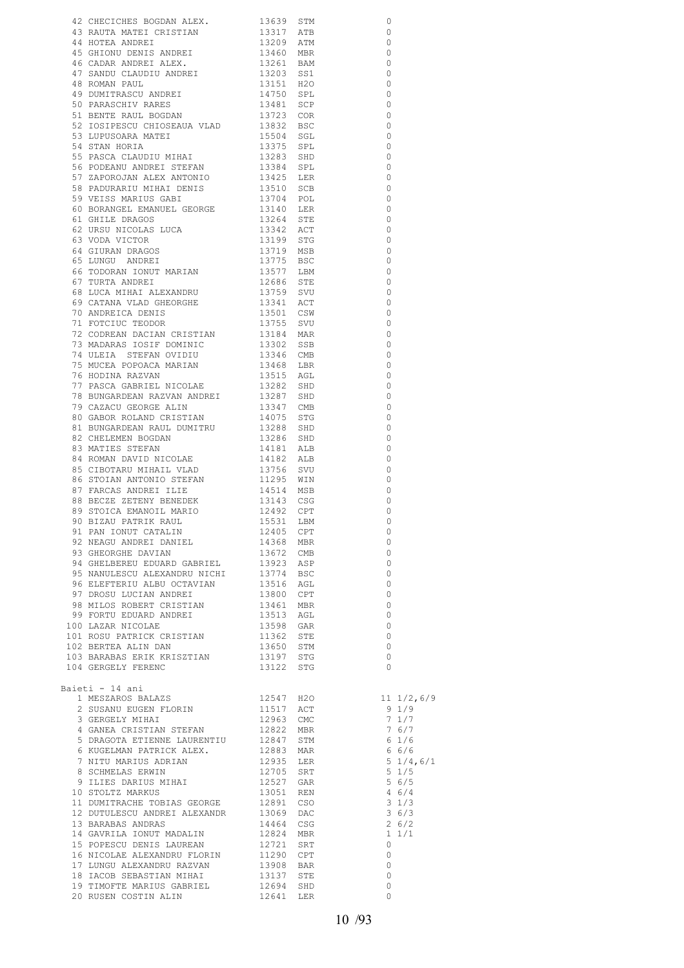|                                                                                                                                                                                                                                                              |                                                                                 | 0                                                                                         |
|--------------------------------------------------------------------------------------------------------------------------------------------------------------------------------------------------------------------------------------------------------------|---------------------------------------------------------------------------------|-------------------------------------------------------------------------------------------|
|                                                                                                                                                                                                                                                              |                                                                                 | $\circ$                                                                                   |
|                                                                                                                                                                                                                                                              |                                                                                 | $\overline{\phantom{0}}$                                                                  |
|                                                                                                                                                                                                                                                              |                                                                                 | $\circ$                                                                                   |
|                                                                                                                                                                                                                                                              |                                                                                 | $\overline{0}$                                                                            |
|                                                                                                                                                                                                                                                              |                                                                                 | $\overline{0}$                                                                            |
|                                                                                                                                                                                                                                                              |                                                                                 | $\overline{0}$                                                                            |
|                                                                                                                                                                                                                                                              |                                                                                 | $\circ$                                                                                   |
|                                                                                                                                                                                                                                                              |                                                                                 | $\circ$<br>$\overline{0}$                                                                 |
|                                                                                                                                                                                                                                                              |                                                                                 | $\qquad \qquad \circ$                                                                     |
|                                                                                                                                                                                                                                                              |                                                                                 | $\overline{\phantom{0}}$                                                                  |
|                                                                                                                                                                                                                                                              |                                                                                 | $\overline{0}$                                                                            |
|                                                                                                                                                                                                                                                              |                                                                                 | $\overline{0}$                                                                            |
|                                                                                                                                                                                                                                                              |                                                                                 | $\circ$                                                                                   |
|                                                                                                                                                                                                                                                              |                                                                                 | $\overline{0}$                                                                            |
|                                                                                                                                                                                                                                                              |                                                                                 | $\overline{0}$                                                                            |
|                                                                                                                                                                                                                                                              |                                                                                 | $\overline{0}$<br>$\overline{\phantom{0}}$                                                |
|                                                                                                                                                                                                                                                              |                                                                                 | $\overline{0}$                                                                            |
|                                                                                                                                                                                                                                                              |                                                                                 | $\overline{0}$                                                                            |
|                                                                                                                                                                                                                                                              |                                                                                 | $\overline{0}$                                                                            |
|                                                                                                                                                                                                                                                              |                                                                                 | $\overline{0}$                                                                            |
|                                                                                                                                                                                                                                                              |                                                                                 | $\overline{\phantom{0}}$                                                                  |
|                                                                                                                                                                                                                                                              |                                                                                 | $\overline{0}$                                                                            |
|                                                                                                                                                                                                                                                              |                                                                                 | $\overline{0}$<br>$\overline{0}$                                                          |
|                                                                                                                                                                                                                                                              |                                                                                 | $\overline{0}$                                                                            |
|                                                                                                                                                                                                                                                              |                                                                                 | $\circ$                                                                                   |
|                                                                                                                                                                                                                                                              |                                                                                 | $\overline{\phantom{0}}$                                                                  |
|                                                                                                                                                                                                                                                              |                                                                                 | $\overline{0}$                                                                            |
|                                                                                                                                                                                                                                                              |                                                                                 | $\overline{0}$                                                                            |
|                                                                                                                                                                                                                                                              |                                                                                 | $\circ$                                                                                   |
|                                                                                                                                                                                                                                                              |                                                                                 | $\overline{\phantom{0}}$                                                                  |
|                                                                                                                                                                                                                                                              |                                                                                 | $\overline{0}$                                                                            |
|                                                                                                                                                                                                                                                              |                                                                                 | $\overline{\phantom{0}}$<br>$\overline{\phantom{0}}$                                      |
|                                                                                                                                                                                                                                                              |                                                                                 | $\overline{0}$                                                                            |
|                                                                                                                                                                                                                                                              |                                                                                 | $\overline{\phantom{0}}$                                                                  |
|                                                                                                                                                                                                                                                              |                                                                                 | $\overline{\phantom{0}}$                                                                  |
|                                                                                                                                                                                                                                                              |                                                                                 | - 0                                                                                       |
|                                                                                                                                                                                                                                                              |                                                                                 | $\overline{0}$                                                                            |
|                                                                                                                                                                                                                                                              |                                                                                 | - 0                                                                                       |
|                                                                                                                                                                                                                                                              |                                                                                 | $\overline{\phantom{0}}$                                                                  |
|                                                                                                                                                                                                                                                              |                                                                                 | - 0<br>$\overline{\phantom{0}}$                                                           |
|                                                                                                                                                                                                                                                              |                                                                                 | $\circ$                                                                                   |
|                                                                                                                                                                                                                                                              |                                                                                 | $\Omega$                                                                                  |
|                                                                                                                                                                                                                                                              |                                                                                 | $\Omega$                                                                                  |
|                                                                                                                                                                                                                                                              |                                                                                 | 0                                                                                         |
|                                                                                                                                                                                                                                                              |                                                                                 | $\circ$                                                                                   |
|                                                                                                                                                                                                                                                              |                                                                                 | $\overline{\phantom{0}}$                                                                  |
|                                                                                                                                                                                                                                                              |                                                                                 | $\overline{0}$                                                                            |
|                                                                                                                                                                                                                                                              |                                                                                 | $\overline{0}$<br>$\overline{0}$                                                          |
|                                                                                                                                                                                                                                                              |                                                                                 | $\overline{\phantom{0}}$                                                                  |
|                                                                                                                                                                                                                                                              |                                                                                 | $\overline{0}$                                                                            |
|                                                                                                                                                                                                                                                              |                                                                                 | $\overline{\phantom{0}}$                                                                  |
|                                                                                                                                                                                                                                                              |                                                                                 | $\overline{0}$                                                                            |
|                                                                                                                                                                                                                                                              |                                                                                 | $\overline{0}$                                                                            |
|                                                                                                                                                                                                                                                              |                                                                                 | $\overline{0}$                                                                            |
|                                                                                                                                                                                                                                                              |                                                                                 | $\overline{0}$                                                                            |
|                                                                                                                                                                                                                                                              |                                                                                 | $\overline{0}$                                                                            |
| 55 PRACA CLOUD MIRAL 1922 SED 1934 SPL<br>55 PODEANU ANDREI STEREN 1938 SPL<br>57 PODEANU ANDREI STEREN 1938 SPL<br>57 RADOGAROM ALEX MYGUNTO 1943 SPL<br>58 PODEANU ANDREI GRADO<br>60 RORMOSI, RADOGARO 1991 1991 SCD<br>64 GENERAL RAD<br>Baieti - 14 ani |                                                                                 |                                                                                           |
|                                                                                                                                                                                                                                                              |                                                                                 |                                                                                           |
|                                                                                                                                                                                                                                                              |                                                                                 | $\begin{array}{c} 11 & 1/2,6/9 \\ 9 & 1/9 \end{array}$                                    |
|                                                                                                                                                                                                                                                              |                                                                                 |                                                                                           |
|                                                                                                                                                                                                                                                              |                                                                                 |                                                                                           |
|                                                                                                                                                                                                                                                              |                                                                                 | $\begin{array}{r} 71/7 \\ 76/7 \\ 61/6 \\ 66/6 \\ 51/4,6/1 \\ 51/5 \\ 1/5 \\ \end{array}$ |
|                                                                                                                                                                                                                                                              |                                                                                 |                                                                                           |
|                                                                                                                                                                                                                                                              |                                                                                 |                                                                                           |
|                                                                                                                                                                                                                                                              |                                                                                 |                                                                                           |
|                                                                                                                                                                                                                                                              | $5\frac{6}{5}$                                                                  | $4\;6/4$                                                                                  |
|                                                                                                                                                                                                                                                              |                                                                                 |                                                                                           |
|                                                                                                                                                                                                                                                              | $\begin{array}{rr}\n 3 & 1/3 \\  3 & 6/3 \\  2 & 6/2 \\  1 & 1/1\n \end{array}$ |                                                                                           |
|                                                                                                                                                                                                                                                              |                                                                                 |                                                                                           |
|                                                                                                                                                                                                                                                              |                                                                                 | $\begin{array}{cc} 1 & 1/1 \\ 0 & \end{array}$                                            |
|                                                                                                                                                                                                                                                              |                                                                                 |                                                                                           |
|                                                                                                                                                                                                                                                              |                                                                                 | $\overline{0}$<br>$\overline{0}$                                                          |
|                                                                                                                                                                                                                                                              |                                                                                 | $\overline{0}$                                                                            |
|                                                                                                                                                                                                                                                              |                                                                                 | $\circ$                                                                                   |
| 20 RUSEN COSTIN ALIN 12641 LER                                                                                                                                                                                                                               |                                                                                 | $\circ$                                                                                   |
|                                                                                                                                                                                                                                                              |                                                                                 |                                                                                           |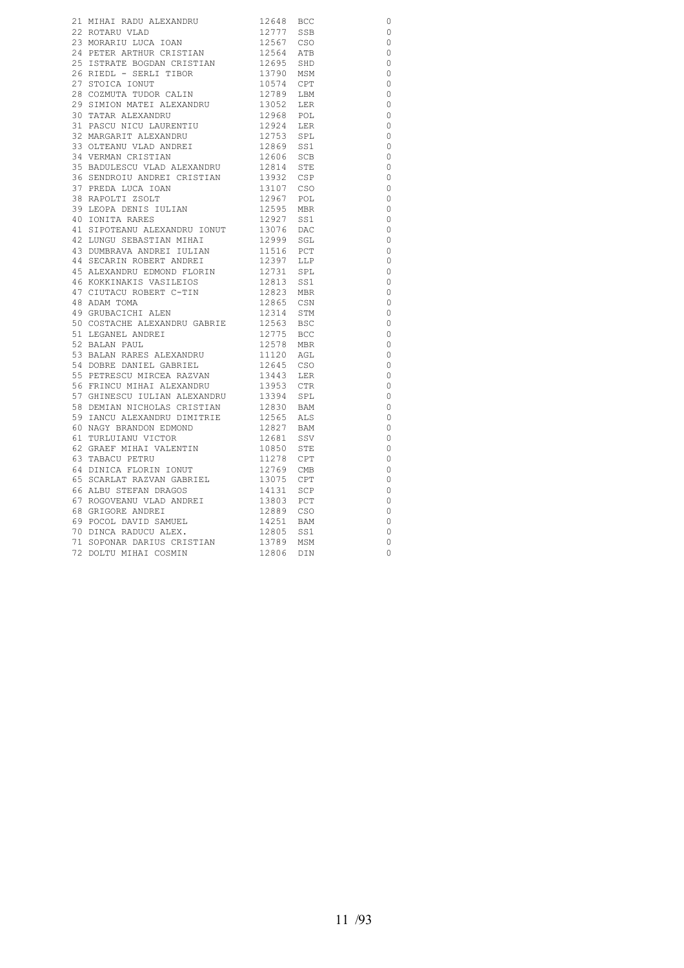|                                                                                                                         |                                                                                                       |                                                                                                      | $\circ$        |
|-------------------------------------------------------------------------------------------------------------------------|-------------------------------------------------------------------------------------------------------|------------------------------------------------------------------------------------------------------|----------------|
|                                                                                                                         |                                                                                                       |                                                                                                      | $\circ$        |
|                                                                                                                         |                                                                                                       |                                                                                                      | $\circ$        |
|                                                                                                                         |                                                                                                       | 12777 556<br>12564 ATB<br>12695 SHD<br>13790 MSM<br>10574 CPT<br>12789 LBM<br>13052 LER<br>13052 LER | $\circ$        |
| 25 ISTRATE BOGDAN CRISTIAN<br>26 RIEDL - SERLI TIBOR<br>27 STOJGA JONUT                                                 |                                                                                                       |                                                                                                      | $\circ$        |
|                                                                                                                         |                                                                                                       |                                                                                                      | $\circ$        |
| 27 STOICA IONUT                                                                                                         |                                                                                                       |                                                                                                      | $\circ$        |
|                                                                                                                         |                                                                                                       |                                                                                                      | $\circ$        |
|                                                                                                                         |                                                                                                       |                                                                                                      | $\circ$        |
| 27 STOICA IONUT<br>28 COZMUTA TUDOR CALIN<br>29 SIMION MATEI ALEXANDRU<br>30 TATAR ALEXANDRU<br>31 PASCU NICU LAURENTIU | 12968 POL<br>12924 LER<br>12753 SPL                                                                   |                                                                                                      | $\circ$        |
|                                                                                                                         |                                                                                                       |                                                                                                      | $\circ$        |
| 32 MARGARIT ALEXANDRU                                                                                                   |                                                                                                       |                                                                                                      | $\circ$        |
| 33 OLTEANU VLAD ANDREI                                                                                                  | 12869 SS1<br>12606 SCB                                                                                |                                                                                                      | $\circ$        |
| 34 VERMAN CRISTIAN                                                                                                      |                                                                                                       |                                                                                                      | $\circ$        |
| 35 BADULESCU VLAD ALEXANDRU                                                                                             |                                                                                                       |                                                                                                      | $\circ$        |
|                                                                                                                         | 12814 STE<br>13932 CSP                                                                                |                                                                                                      | $\circ$        |
|                                                                                                                         | 13107 CSO                                                                                             |                                                                                                      | $\overline{0}$ |
| 36 SENDROIU ANDREI CRISTIAN<br>37 PREDA LUCA IOAN<br>38 RAPOLTI ZSOLT                                                   |                                                                                                       |                                                                                                      | $\overline{0}$ |
|                                                                                                                         |                                                                                                       |                                                                                                      | $\circ$        |
|                                                                                                                         |                                                                                                       |                                                                                                      | $\circ$        |
|                                                                                                                         |                                                                                                       |                                                                                                      | $\circ$        |
|                                                                                                                         |                                                                                                       |                                                                                                      | $\circ$        |
|                                                                                                                         |                                                                                                       |                                                                                                      | $\circ$        |
|                                                                                                                         |                                                                                                       |                                                                                                      | $\overline{0}$ |
|                                                                                                                         |                                                                                                       |                                                                                                      | $\overline{0}$ |
|                                                                                                                         |                                                                                                       |                                                                                                      | $\circ$        |
|                                                                                                                         |                                                                                                       |                                                                                                      | $\circ$        |
| 48 ADAM TOMA                                                                                                            |                                                                                                       |                                                                                                      | $\circ$        |
| 48 ADAM TOMA<br>49 GRUBACICHI ALEN                                                                                      | 12865 CSN<br>12314 STM<br>12563 BSC<br>12775 BCC                                                      |                                                                                                      | $\circ$        |
| 50 COSTACHE ALEXANDRU GABRIE<br>51 LEGANEL ANDREI<br>52 BALAN PAUL                                                      |                                                                                                       |                                                                                                      | $\circ$        |
|                                                                                                                         |                                                                                                       |                                                                                                      | $\circ$        |
|                                                                                                                         | 12578 MBR                                                                                             |                                                                                                      | $\overline{0}$ |
| 53 BALAN RARES ALEXANDRU<br>54 DOBRE DANIEL GABRIEL                                                                     |                                                                                                       |                                                                                                      | $\circ$        |
|                                                                                                                         |                                                                                                       |                                                                                                      | $\circ$        |
|                                                                                                                         |                                                                                                       |                                                                                                      | $\circ$        |
| 55 PETRESCU MIRCEA RAZVAN<br>56 FRINCU MIHAI ALEXANDRU                                                                  |                                                                                                       |                                                                                                      | $\overline{0}$ |
|                                                                                                                         |                                                                                                       |                                                                                                      | $\overline{0}$ |
| 57 GHINESCU IULIAN ALEXANDRU<br>58 DEMIAN NICHOLAS CRISTIAN<br>59 IANCU ALEXANDRU DIMITRIE                              | 12978 MBK<br>112045 CSO<br>13443 LER<br>13953 CTR<br>13394 SPL<br>12830 BAM<br>12565 ALS<br>12565 ALS |                                                                                                      | $\circ$        |
|                                                                                                                         |                                                                                                       |                                                                                                      | $\overline{0}$ |
| 60 NAGY BRANDON EDMOND<br>61 TURLUIANU VICTOR<br>62 GRAEF MIHAI VALENTIN                                                | 12827 BAM<br>12681 SSV<br>10850 STE<br>11278 CPT<br>12769 CMB                                         |                                                                                                      | $\circ$        |
|                                                                                                                         |                                                                                                       |                                                                                                      | $\circ$        |
|                                                                                                                         |                                                                                                       |                                                                                                      | $\circ$        |
| 63 TABACU PETRU                                                                                                         |                                                                                                       |                                                                                                      | $\circ$        |
| 63 IABACO FEIRO<br>64 DINICA FLORIN IONUT<br>65 SCARLAT RAZVAN GABRIEL<br>55 SCARLAT RAZVAN GABRIEL                     |                                                                                                       |                                                                                                      | $\circ$        |
|                                                                                                                         |                                                                                                       |                                                                                                      | $\circ$        |
| 66 ALBU STEFAN DRAGOS                                                                                                   | 13075 CPT<br>14131 SCP                                                                                |                                                                                                      | $\circ$        |
| 67 ROGOVEANU VLAD ANDREI<br>68 GRICORE ANDREI                                                                           |                                                                                                       |                                                                                                      | $\circ$        |
| 68 GRIGORE ANDREI                                                                                                       | 13803 PCT<br>12889 CSO                                                                                |                                                                                                      | $\circ$        |
| 69 POCOL DAVID SAMUEL<br>70 DINCA RADUCU ALEX.<br>71 ACCENI                                                             | 14251 BAM<br>12805 SS1<br>13789 MSM<br>12806 DIN                                                      |                                                                                                      | $\circ$        |
|                                                                                                                         |                                                                                                       |                                                                                                      | $\overline{0}$ |
| 70 DINCA KADOCO ADEA: 12000 DUN<br>71 SOPONAR DARIUS CRISTIAN 13789 MSM<br>72 DOLTU MIHAI COSMIN 12806 DIN              |                                                                                                       |                                                                                                      | $\overline{0}$ |
|                                                                                                                         |                                                                                                       |                                                                                                      | $\circ$        |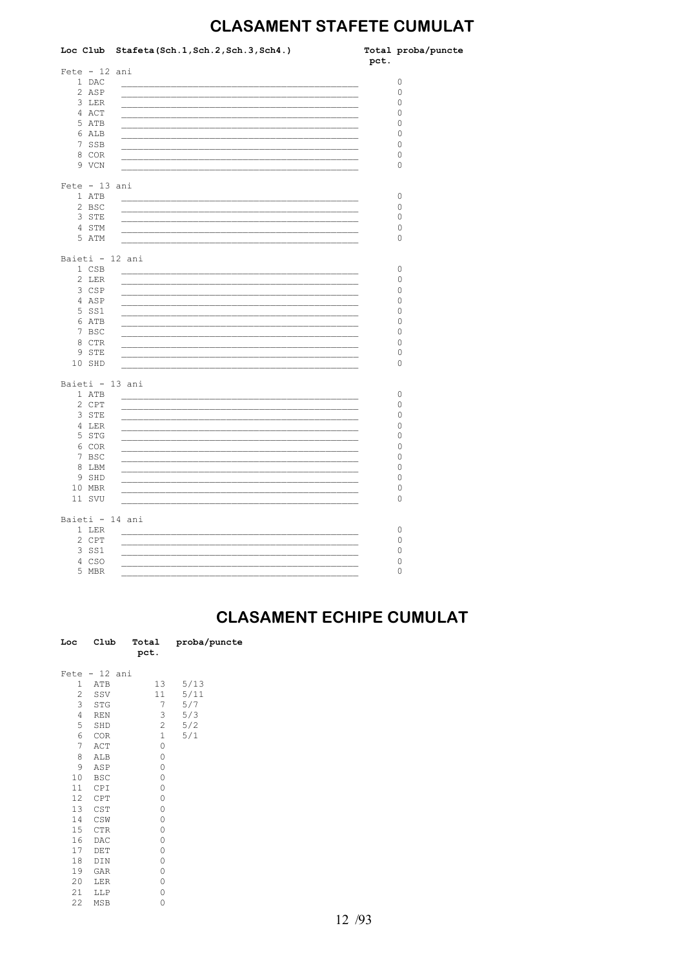## **CLASAMENT STAFETE CUMULAT**

|                 | Loc Club Stafeta (Sch. 1, Sch. 2, Sch. 3, Sch4.)                | pct. | Total proba/puncte |
|-----------------|-----------------------------------------------------------------|------|--------------------|
| $Fete - 12 ani$ |                                                                 |      |                    |
| 1 DAC           |                                                                 |      | $\circ$            |
| 2 ASP           |                                                                 |      | 0                  |
| 3 LER           |                                                                 |      | $\circ$            |
| 4 ACT           |                                                                 |      | 0                  |
| 5 ATB           |                                                                 |      | 0                  |
| 6 ALB           |                                                                 |      | 0                  |
| 7 SSB           |                                                                 |      | 0                  |
| 8 COR           |                                                                 |      | 0                  |
| 9 VCN           |                                                                 |      | 0                  |
| $Fete - 13 ani$ |                                                                 |      |                    |
| 1 ATB           |                                                                 |      | 0                  |
| 2 BSC           |                                                                 |      | $\mathbb O$        |
| 3 STE           |                                                                 |      | 0                  |
| 4 STM           |                                                                 |      | 0                  |
| 5 ATM           |                                                                 |      | $\circ$            |
| Baieti - 12 ani |                                                                 |      |                    |
| 1 CSB           |                                                                 |      | 0                  |
| 2 LER           |                                                                 |      | 0                  |
| 3 CSP           |                                                                 |      | 0                  |
| 4 ASP           |                                                                 |      | 0                  |
| 5 SS1           |                                                                 |      | 0                  |
| 6 ATB           |                                                                 |      | 0                  |
| 7 BSC           |                                                                 |      | 0                  |
| 8 CTR           |                                                                 |      | 0                  |
| 9 STE           |                                                                 |      | 0                  |
| 10 SHD          |                                                                 |      | 0                  |
| Baieti - 13 ani |                                                                 |      |                    |
| 1 ATB           |                                                                 |      | 0                  |
| 2 CPT           |                                                                 |      | $\circ$            |
| 3 STE           |                                                                 |      | 0                  |
| 4 LER           | <u> 2002 - John Stein, mars and de British Boston (b. 1982)</u> |      | 0                  |
| 5 STG           |                                                                 |      | 0                  |
| 6 COR           |                                                                 |      | 0                  |
| 7 BSC           |                                                                 |      | 0                  |
| 8 LBM           |                                                                 |      | 0                  |
| 9 SHD           |                                                                 |      | 0                  |
| 10 MBR          |                                                                 |      | 0                  |
| 11 SVU          |                                                                 |      | 0                  |
|                 |                                                                 |      |                    |
| Baieti - 14 ani |                                                                 |      |                    |
| 1 LER           |                                                                 |      | 0                  |
| 2 CPT           |                                                                 |      | 0                  |
| 3 SS1           |                                                                 |      | 0                  |
| 4 CSO           |                                                                 |      | 0                  |
| 5 MBR           |                                                                 |      | $\circ$            |

#### **CLASAMENT ECHIPE CUMULAT**

| Loc            | Club       | Total<br>pct.  | proba/puncte |
|----------------|------------|----------------|--------------|
| Fete           | $-12$ ani  |                |              |
| 1              | ATB        | 13             | 5/13         |
| $\overline{2}$ | SSV        | 11             | 5/11         |
| 3              | STG        | 7              | 5/7          |
| 4              | <b>REN</b> | 3              | 5/3          |
| 5              | SHD        | $\overline{c}$ | 5/2          |
| 6              | COR        | $\mathbf{1}$   | 5/1          |
| 7              | ACT        | 0              |              |
| 8              | ALB        | 0              |              |
| 9              | ASP        | 0              |              |
| 10             | <b>BSC</b> | 0              |              |
| 11             | CPI        | 0              |              |
| 12             | CPT        | 0              |              |
| 13             | CST        | 0              |              |
| 14             | CSW        | 0              |              |
| 15             | <b>CTR</b> | 0              |              |
| 16             | DAC        | 0              |              |
| 17             | DET        | 0              |              |
| 18             | DIN        | 0              |              |
| 19             | GAR        | 0              |              |
| 20             | LER        | 0              |              |
| 21             | LLP        | 0              |              |
| 22             | MSB        | 0              |              |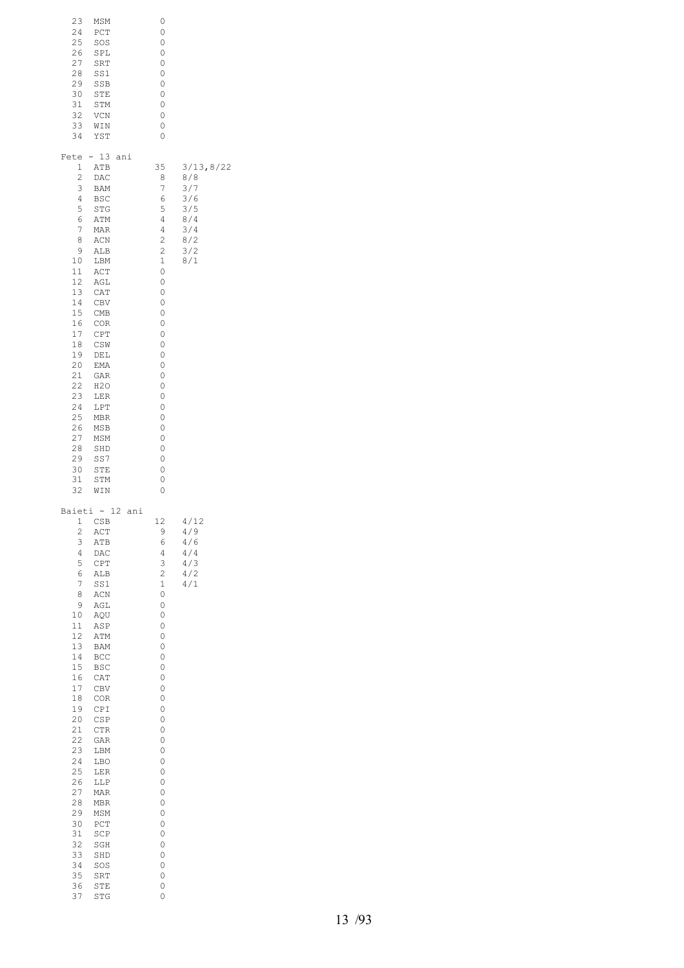| 23<br>MSM<br>24<br>PCT<br>25<br>SOS<br>26<br>SPL<br>27<br>SRT<br>28<br>SS1<br>29<br>SSB<br>30<br>STE<br>31<br>STM<br>32<br>VCN<br>33<br>WIN<br>34<br>YST                                                                                                                                                                                                                                                                                                                                                                       | 0<br>0<br>0<br>0<br>0<br>0<br>0<br>0<br>0<br>0<br>0<br>0                                                                                                                                                |                                                                           |
|--------------------------------------------------------------------------------------------------------------------------------------------------------------------------------------------------------------------------------------------------------------------------------------------------------------------------------------------------------------------------------------------------------------------------------------------------------------------------------------------------------------------------------|---------------------------------------------------------------------------------------------------------------------------------------------------------------------------------------------------------|---------------------------------------------------------------------------|
| $-13$<br>Fete<br>1<br>ATB<br>2<br>DAC<br>3<br>BAM<br>4<br><b>BSC</b><br>5<br>STG<br>6<br>ATM<br>7<br>MAR<br>8<br>ACN<br>9<br>ALB<br>10<br>LBM<br>11<br>ACT<br>12<br>AGL<br>13<br>CAT<br>14<br>CBV<br>15<br>CMB<br>16<br>COR<br>17<br>CPT<br>18<br>CSW<br>19<br>DEL<br>20<br>EMA<br>21<br>GAR<br>22<br>H2O<br>23<br>LER<br>24<br>LPT<br>25<br>MBR<br>26<br>MSB<br>27<br>MSM<br>28<br>SHD<br>29<br>SS7<br>30<br>STE<br>31<br>STM<br>32<br>WIN                                                                                    | ani<br>35<br>8<br>7<br>6<br>5<br>4<br>4<br>2<br>$\overline{c}$<br>$\mathbf 1$<br>0<br>0<br>0<br>0<br>0<br>0<br>0<br>0<br>0<br>0<br>0<br>0<br>0<br>0<br>0<br>0<br>0<br>0<br>0<br>0<br>0<br>0             | 3/13, 8/22<br>8/8<br>3/7<br>3/6<br>3/5<br>8/4<br>3/4<br>8/2<br>3/2<br>8/1 |
| Baieti - 12<br>1<br>CSB<br>$\overline{c}$<br>ACT<br>3<br>ATB<br>4<br>DAC<br>5<br>CPT<br>6<br>ALB<br>7<br>SS1<br>8<br>ACN<br>9<br>AGL<br>10<br>AQU<br>11<br>ASP<br>12<br>ATM<br>13<br>BAM<br>14<br>BCC<br>15<br><b>BSC</b><br>16<br>CAT<br>17<br>CBV<br>18<br>COR<br>19<br>CPI<br>20<br>CSP<br>21<br><b>CTR</b><br>22<br>GAR<br>23<br>LBM<br>24<br>LBO<br>25<br>LER<br>26<br>LLP<br>27<br>MAR<br>28<br>MBR<br>29<br>MSM<br>30<br>PCT<br>31<br>SCP<br>32<br>SGH<br>33<br>SHD<br>34<br>SOS<br>35<br>SRT<br>36<br>STE<br>37<br>STG | ani<br>12<br>9<br>6<br>4<br>3<br>2<br>$\mathbf 1$<br>0<br>0<br>0<br>0<br>0<br>0<br>0<br>0<br>0<br>0<br>0<br>0<br>0<br>0<br>0<br>0<br>0<br>0<br>0<br>0<br>0<br>0<br>0<br>0<br>0<br>0<br>0<br>0<br>0<br>0 | 4/12<br>4/9<br>4/6<br>4/4<br>4/3<br>4/2<br>4/1                            |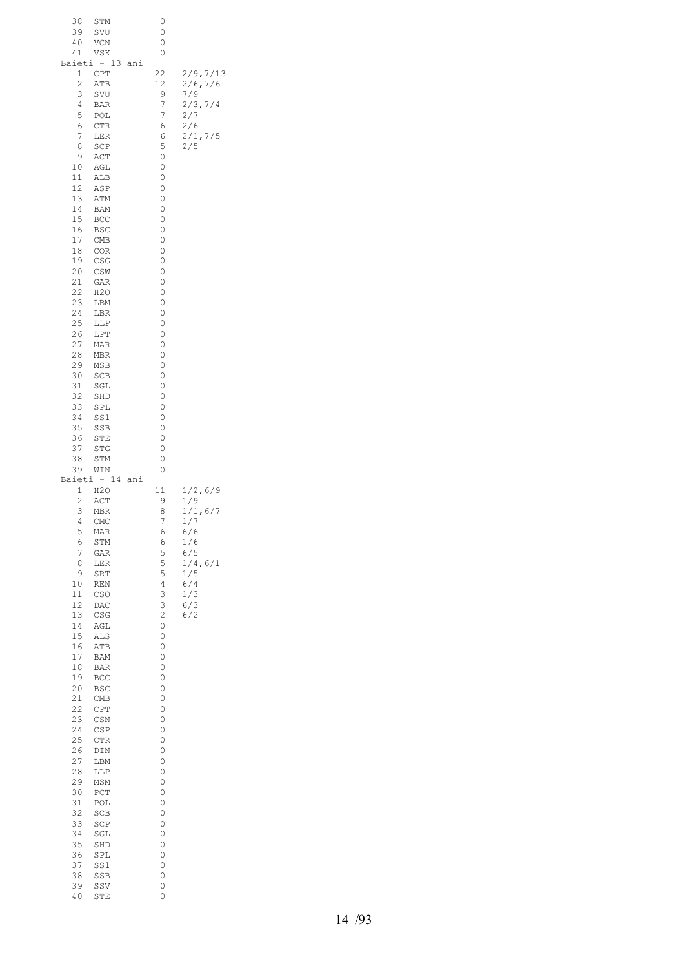| 38<br>39<br>40<br>41                                                                                                                                                                                                                      | STM<br>SVU<br>VCN<br>VSK<br>Baieti - 13                                                                                                                                                                                                                                                                    | ani | 0<br>0<br>0<br>0                                                                                                                                                                                                            |                                                                                                        |
|-------------------------------------------------------------------------------------------------------------------------------------------------------------------------------------------------------------------------------------------|------------------------------------------------------------------------------------------------------------------------------------------------------------------------------------------------------------------------------------------------------------------------------------------------------------|-----|-----------------------------------------------------------------------------------------------------------------------------------------------------------------------------------------------------------------------------|--------------------------------------------------------------------------------------------------------|
| 1<br>2<br>3<br>4<br>5<br>6<br>7<br>8<br>9<br>10<br>11<br>12<br>13<br>14<br>15<br>16<br>17<br>18<br>19<br>20<br>21<br>22<br>23<br>24<br>25<br>26<br>27<br>28<br>29<br>30<br>31<br>32<br>33<br>34<br>35<br>36<br>37<br>38<br>39             | CPT<br>ATB<br>SVU<br>BAR<br>POL<br><b>CTR</b><br>LER<br>SCP<br>ACT<br>AGL<br>ALB<br>ASP<br>ATM<br>BAM<br>BCC<br>BSC<br>CMB<br><b>COR</b><br>CSG<br>CSW<br>GAR<br>H2O<br>LBM<br>LBR<br>LLP<br>LPT<br>MAR<br>MBR<br>MSB<br>SCB<br>SGL<br>SHD<br>SPL<br>SS1<br>SSB<br>STE<br>STG<br>STM<br>WIN<br>Baieti - 14 | ani | 22<br>12<br>9<br>7<br>7<br>6<br>6<br>5<br>0<br>0<br>0<br>0<br>0<br>0<br>0<br>0<br>0<br>0<br>0<br>0<br>0<br>0<br>0<br>0<br>0<br>0<br>0<br>0<br>0<br>0<br>0<br>0<br>0<br>0<br>0<br>0<br>0<br>0<br>0                           | 2/9, 7/13<br>2/6, 7/6<br>7/9<br>2/3, 7/4<br>2/7<br>2/6<br>2/1, 7/5<br>2/5                              |
| 1<br>2<br>3<br>4<br>5<br>6<br>7<br>8<br>9<br>$10$<br>11<br>12<br>13<br>14<br>15<br>16<br>17<br>$1\,8$<br>19<br>20<br>21<br>22<br>23<br>24<br>25<br>26<br>27<br>28<br>29<br>30<br>31<br>32<br>33<br>34<br>35<br>36<br>37<br>38<br>39<br>40 | H2O<br>ACT<br>MBR<br>CMC<br>MAR<br>STM<br>GAR<br>LER<br>SRT<br>REN<br>CSO<br>DAC<br>CSG<br>AGL<br>ALS<br>ATB<br>BAM<br>BAR<br>BCC<br>BSC<br>CMB<br>CPT<br>CSN<br>CSP<br>CTR<br>DIN<br>LBM<br>LLP<br>MSM<br>${\tt PCT}$<br>POL<br>SCB<br>SCP<br>SGL<br>SHD<br>SPL<br>SS1<br>SSB<br>SSV<br>STE               |     | 11<br>9<br>8<br>7<br>6<br>6<br>5<br>5<br>5<br>4<br>3<br>3<br>$\overline{\mathbf{c}}$<br>0<br>0<br>0<br>0<br>0<br>0<br>0<br>0<br>0<br>0<br>0<br>0<br>0<br>0<br>0<br>0<br>0<br>0<br>0<br>0<br>0<br>0<br>0<br>0<br>0<br>0<br>0 | 1/2, 6/9<br>1/9<br>1/1, 6/7<br>1/7<br>6/6<br>1/6<br>6/5<br>1/4, 6/1<br>1/5<br>6/4<br>1/3<br>6/3<br>6/2 |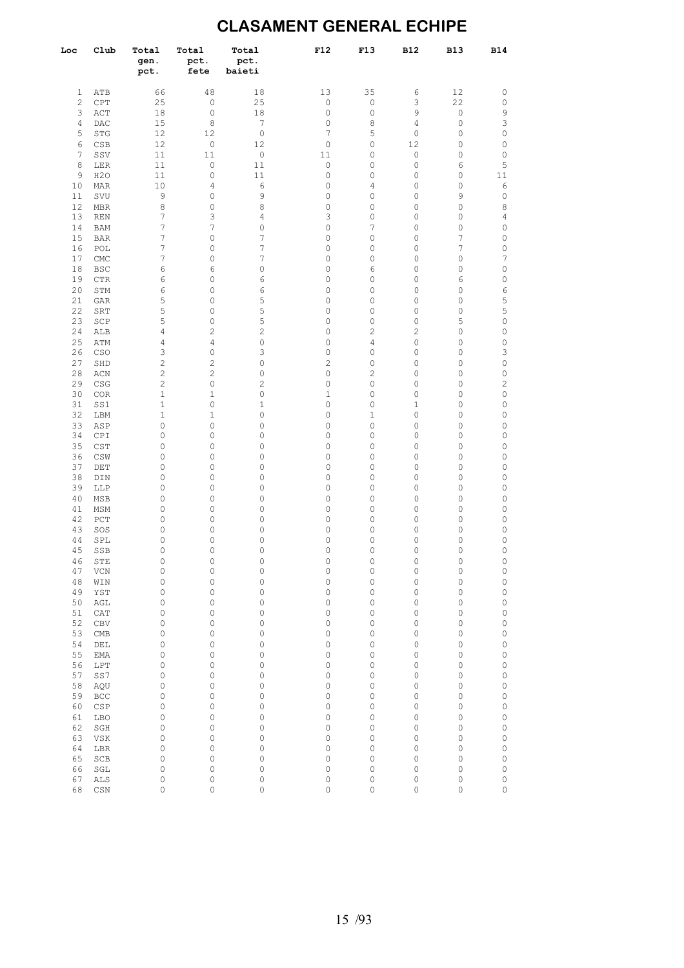## **CLASAMENT GENERAL ECHIPE**

| Loc          | Club        | Total<br>gen.<br>pct. | Total<br>pct.<br>fete          | Total<br>pct.<br>baieti | F12            | F13                            | <b>B12</b> | <b>B13</b>                 | <b>B14</b>         |
|--------------|-------------|-----------------------|--------------------------------|-------------------------|----------------|--------------------------------|------------|----------------------------|--------------------|
| 1            | ATB         | 66                    | 48                             | 18                      | 13             | 35                             | 6          | 12                         | $\mathbb O$        |
| $\mathbf{2}$ | CPT         | 25                    | $\mathbb O$                    | 25                      | $\mathbb O$    | $\mathbb O$                    | 3          | 22                         | $\mathbb O$        |
| 3            | ACT         | 18                    | $\mathbb O$                    | 18                      | 0              | $\circ$                        | 9          | $\mathbb O$                | 9                  |
| 4            | DAC         | 15                    | 8                              | 7                       | $\circ$        | 8                              | 4          | $\mathbb O$                | 3                  |
| 5            | STG         | 12                    | 12                             | $\mathbb O$             | 7              | 5                              | 0          | $\mathbb O$                | $\circ$            |
| 6            | CSB         | 12                    | $\mathbb O$                    | 12                      | 0              | $\circ$                        | 12         | $\mathbb O$                | $\circ$            |
| 7            | SSV         | 11                    | 11                             | $\mathbb O$             | 11             | 0                              | 0          | $\mathbb O$                | $\circ$            |
| 8            | LER         | 11                    | $\mathsf{O}\xspace$            | 11                      | $\mathbb O$    | 0                              | 0          | 6                          | 5                  |
| 9            | H2O         | 11                    | $\mathsf{O}\xspace$            | 11                      | 0              | 0                              | 0          | 0                          | 11                 |
| 10<br>11     | MAR<br>SVU  | 10<br>9               | 4<br>$\mathsf{O}\xspace$       | 6<br>9                  | 0<br>0         | 4<br>0                         | 0<br>0     | 0<br>9                     | 6<br>$\mathbb O$   |
| 12           | <b>MBR</b>  | 8                     | $\circ$                        | 8                       | 0              | $\circ$                        | 0          | $\mathbb O$                | 8                  |
| 13           | <b>REN</b>  | 7                     | 3                              | 4                       | 3              | 0                              | 0          | 0                          | 4                  |
| 14           | <b>BAM</b>  | 7                     | 7                              | 0                       | 0              | 7                              | 0          | 0                          | 0                  |
| 15           | <b>BAR</b>  | 7                     | $\circ$                        | 7                       | 0              | $\circ$                        | 0          | 7                          | 0                  |
| 16           | POL         | 7                     | 0                              | 7                       | 0              | 0                              | 0          | 7                          | $\circ$            |
| 17           | ${\rm CMC}$ | 7                     | $\circ$                        | 7                       | 0              | $\circ$                        | 0          | $\mathbb O$                | 7                  |
| 18           | BSC         | 6                     | 6                              | 0                       | 0              | 6                              | 0          | $\mathbb O$                | $\circ$            |
| 19           | <b>CTR</b>  | 6                     | $\circ$                        | 6                       | 0              | $\circ$                        | 0          | 6                          | 0                  |
| 20           | STM         | 6                     | $\circ$                        | 6                       | 0              | $\circ$                        | 0          | $\mathsf{O}\xspace$        | 6                  |
| 21<br>22     | <b>GAR</b>  | 5<br>5                | $\circ$<br>$\circ$             | 5                       | 0<br>0         | $\circ$<br>$\circ$             | 0<br>0     | $\mathbb O$<br>$\mathbb O$ | 5                  |
| 23           | SRT<br>SCP  | 5                     | $\circ$                        | 5<br>5                  | 0              | $\circ$                        | 0          | 5                          | 5<br>0             |
| 24           | ALB         | 4                     | $\overline{c}$                 | 2                       | 0              | 2                              | 2          | $\mathbb O$                | $\circ$            |
| 25           | ATM         | 4                     | $\overline{4}$                 | 0                       | 0              | $\overline{4}$                 | 0          | $\mathbb O$                | $\circ$            |
| 26           | CSO         | 3                     | $\mathsf{O}\xspace$            | 3                       | 0              | $\circ$                        | 0          | $\mathsf{O}\xspace$        | 3                  |
| 27           | SHD         | $\overline{c}$        | $\overline{c}$                 | 0                       | $\overline{c}$ | $\circ$                        | 0          | $\mathbb O$                | 0                  |
| 28           | ACN         | $\overline{c}$        | $\overline{c}$                 | 0                       | 0              | 2                              | 0          | $\mathbb O$                | $\circ$            |
| 29           | CSG         | $\overline{c}$        | $\mathsf{O}\xspace$            | 2                       | 0              | $\circ$                        | 0          | $\mathbb O$                | $\mathbf{2}$       |
| 30           | COR         | 1                     | 1                              | 0                       | 1              | 0                              | 0          | $\mathbb O$                | $\mathbb O$        |
| 31           | SS1         | 1                     | $\mathsf{O}\xspace$            | 1                       | 0              | $\circ$                        | 1          | $\mathbb O$                | 0                  |
| 32           | LBM         | 1                     | 1                              | 0                       | 0              | $\mathbf 1$                    | 0          | 0                          | $\circ$            |
| 33<br>34     | ASP<br>CPI  | 0<br>0                | $\mathsf{O}\xspace$<br>0       | 0<br>0                  | 0<br>0         | $\circ$<br>0                   | 0<br>0     | $\mathbb O$<br>0           | 0<br>$\circ$       |
| 35           | CST         | 0                     | 0                              | 0                       | 0              | 0                              | 0          | $\mathbb O$                | 0                  |
| 36           | CSW         | 0                     | 0                              | 0                       | 0              | 0                              | 0          | $\mathbb O$                | $\circ$            |
| 37           | DET         | 0                     | $\mathsf{O}\xspace$            | 0                       | 0              | 0                              | 0          | $\mathbb O$                | $\mathbb O$        |
| 38           | DIN         | 0                     | 0                              | 0                       | 0              | 0                              | 0          | $\mathbb O$                | $\circ$            |
| 39           | LLP         | 0                     | 0                              | 0                       | 0              | 0                              | 0          | $\mathbb O$                | 0                  |
| 40           | MSB         | 0                     | 0                              | 0                       | 0              | 0                              | 0          | 0                          | $\circ$            |
| 41           | MSM         | 0                     | $\circ$                        | 0                       | 0              | $\circ$                        | 0          | $\mathbb O$                | $\circ$            |
| 42           | PCT         | 0                     | 0                              | 0                       | 0              | 0                              | 0          | 0                          | $\circ$            |
| 43<br>44     | SOS<br>SPL  | 0<br>0                | $\circ$<br>$\circ$             | 0<br>0                  | 0<br>0         | 0<br>0                         | 0<br>0     | $\mathbb O$<br>$\mathbb O$ | $\circ$<br>$\circ$ |
| 45           | SSB         | 0                     | 0                              | 0                       | 0              | $\mathbf 0$                    | 0          | $\mathbb O$                | $\circ$            |
| 46           | STE         | $\mathbb O$           | 0                              | 0                       | 0              | $\circ$                        | 0          | $\mathbb O$                | 0                  |
| 47           | VCN         | 0                     | $\mathsf{O}\xspace$            | 0                       | 0              | $\circ$                        | 0          | $\mathbb O$                | $\circ$            |
| 48           | WIN         | 0                     | 0                              | 0                       | 0              | $\circ$                        | 0          | 0                          | $\circ$            |
| 49           | YST         | 0                     | 0                              | 0                       | 0              | 0                              | 0          | $\mathbb O$                | $\circ$            |
| 50           | AGL         | 0                     | 0                              | 0                       | 0              | 0                              | 0          | 0                          | $\circ$            |
| 51           | CAT         | 0                     | 0                              | 0                       | 0              | 0                              | 0          | $\mathbb O$                | $\circ$            |
| 52           | CBV         | 0                     | $\mathsf{O}\xspace$            | 0                       | 0              | $\circ$                        | 0          | 0                          | $\circ$            |
| 53           | CMB         | 0                     | 0                              | 0                       | 0              | 0                              | 0          | $\mathbb O$                | $\circ$            |
| 54<br>55     | DEL<br>EMA  | 0<br>0                | 0<br>0                         | 0<br>0                  | 0<br>0         | 0<br>0                         | 0<br>0     | 0<br>0                     | 0<br>$\circ$       |
| 56           | LPT         | 0                     | 0                              | 0                       | 0              | 0                              | 0          | 0                          | 0                  |
| 57           | SS7         | 0                     | 0                              | 0                       | 0              | 0                              | 0          | 0                          | $\circ$            |
| 58           | AQU         | 0                     | 0                              | 0                       | 0              | $\circ$                        | 0          | $\mathbb O$                | 0                  |
| 59           | BCC         | 0                     | 0                              | 0                       | 0              | 0                              | 0          | 0                          | 0                  |
| 60           | CSP         | 0                     | 0                              | 0                       | 0              | $\circ$                        | 0          | 0                          | 0                  |
| 61           | LBO         | 0                     | 0                              | 0                       | 0              | 0                              | 0          | 0                          | 0                  |
| 62           | SGH         | 0                     | 0                              | 0                       | 0              | 0                              | 0          | $\mathbb O$                | 0                  |
| 63           | VSK         | 0                     | 0                              | 0                       | 0              | 0                              | 0          | 0                          | 0                  |
| 64           | LBR         | 0                     | 0                              | 0                       | 0              | $\circ$                        | 0          | $\mathbb O$                | 0                  |
| 65           | SCB         | 0                     | 0                              | 0                       | 0              | 0                              | 0          | 0                          | 0                  |
| 66<br>67     | SGL<br>ALS  | 0<br>0                | $\mathsf{O}\xspace$<br>$\circ$ | 0<br>0                  | 0<br>0         | $\mathsf{O}\xspace$<br>$\circ$ | 0<br>0     | 0<br>$\mathbb O$           | 0<br>0             |
|              |             |                       |                                |                         |                |                                |            |                            |                    |

68 CSN 0 0 0 0 0 0 0 0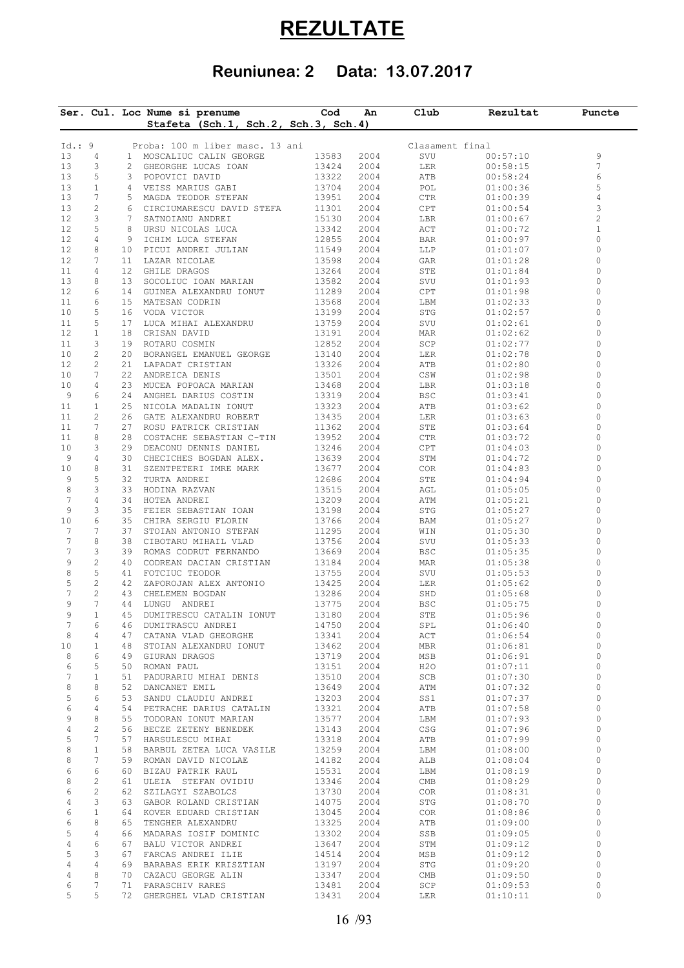## **REZULTATE**

## **Reuniunea: 2 Data: 13.07.2017**

|              |                                |                 | Ser. Cul. Loc Nume si prenume<br>Stafeta (Sch.1, Sch.2, Sch.3, Sch.4) | Cod            | An           | Club            | Rezultat             | Puncte         |
|--------------|--------------------------------|-----------------|-----------------------------------------------------------------------|----------------|--------------|-----------------|----------------------|----------------|
|              |                                |                 |                                                                       |                |              |                 |                      |                |
| Id.: 9       |                                |                 | Proba: 100 m liber masc. 13 ani                                       |                |              | Clasament final |                      |                |
| 13           | $\overline{4}$                 |                 | 1 MOSCALIUC CALIN GEORGE                                              | 13583          | 2004         | SVU             | 00:57:10             | 9              |
| 13           | 3                              | 2               | GHEORGHE LUCAS IOAN                                                   | 13424          | 2004         | LER             | 00:58:15             | $\overline{7}$ |
| 13           | 5                              | 3               | POPOVICI DAVID                                                        | 13322          | 2004         | ATB             | 00:58:24             | 6              |
| 13           | $\mathbf{1}$                   | 4               | VEISS MARIUS GABI                                                     | 13704          | 2004         | POL             | 01:00:36             | 5              |
| 13           | 7                              |                 | 5 MAGDA TEODOR STEFAN                                                 | 13951          | 2004         | CTR             | 01:00:39             | 4              |
| 13<br>12     | 2<br>3                         |                 | 6 CIRCIUMARESCU DAVID STEFA<br>7 SATNOIANU ANDREI                     | 11301          | 2004         | CPT             | 01:00:54             | 3<br>2         |
| 12           | 5                              | 8               | URSU NICOLAS LUCA                                                     | 15130<br>13342 | 2004<br>2004 | LBR<br>ACT      | 01:00:67<br>01:00:72 | $1\,$          |
| 12           | 4                              | 9               | ICHIM LUCA STEFAN                                                     | 12855          | 2004         | BAR             | 01:00:97             | 0              |
| 12           | 8                              | 10              | PICUI ANDREI JULIAN                                                   | 11549          | 2004         | LLP             | 01:01:07             | $\circ$        |
| 12           | 7                              | 11              | LAZAR NICOLAE                                                         | 13598          | 2004         | GAR             | 01:01:28             | 0              |
| 11           | 4                              | 12 <sup>7</sup> | GHILE DRAGOS                                                          | 13264          | 2004         | STE             | 01:01:84             | $\circ$        |
| 13           | 8                              | 13              | SOCOLIUC IOAN MARIAN                                                  | 13582          | 2004         | SVU             | 01:01:93             | 0              |
| 12           | 6                              | 14              | GUINEA ALEXANDRU IONUT                                                | 11289          | 2004         | CPT             | 01:01:98             | 0              |
| 11           | 6                              | 15              | MATESAN CODRIN                                                        | 13568          | 2004         | LBM             | 01:02:33             | 0              |
| 10           | 5                              | 16              | VODA VICTOR                                                           | 13199          | 2004         | STG             | 01:02:57             | 0              |
| 11           | 5                              | 17              | LUCA MIHAI ALEXANDRU                                                  | 13759          | 2004         | SVU             | 01:02:61             | 0              |
| 12           | $\mathbf{1}$                   | 18              | CRISAN DAVID                                                          | 13191          | 2004         | MAR             | 01:02:62             | 0              |
| 11           | 3                              | 19              | ROTARU COSMIN                                                         | 12852          | 2004         | SCP             | 01:02:77             | 0              |
| 10           | $\mathbf{2}$                   | 20              | BORANGEL EMANUEL GEORGE                                               | 13140          | 2004         | LER             | 01:02:78             | $\circ$        |
| 12           | $\mathbf{2}$                   | 21              | LAPADAT CRISTIAN                                                      | 13326          | 2004         | ATB             | 01:02:80             | 0              |
| 10           | 7                              | 22              | ANDREICA DENIS                                                        | 13501          | 2004         | CSW             | 01:02:98             | 0              |
| 10           | 4                              | 23              | MUCEA POPOACA MARIAN                                                  | 13468          | 2004         | LBR             | 01:03:18             | 0              |
| 9            | 6                              | 24              | ANGHEL DARIUS COSTIN                                                  | 13319          | 2004         | BSC             | 01:03:41             | 0              |
| 11           | $\mathbf{1}$                   | 25              | NICOLA MADALIN IONUT                                                  | 13323          | 2004         | ATB             | 01:03:62             | 0              |
| 11           | 2                              | 26              | GATE ALEXANDRU ROBERT                                                 | 13435          | 2004         | LER             | 01:03:63             | 0              |
| 11           | 7                              | 27              | ROSU PATRICK CRISTIAN                                                 | 11362          | 2004         | STE             | 01:03:64             | 0              |
| 11           | 8                              | 28              | COSTACHE SEBASTIAN C-TIN                                              | 13952          | 2004         | CTR             | 01:03:72             | 0              |
| 10           | 3                              | 29              | DEACONU DENNIS DANIEL                                                 | 13246          | 2004         | CPT             | 01:04:03             | 0              |
| 9            | 4                              | 30              | CHECICHES BOGDAN ALEX.                                                | 13639          | 2004         | STM             | 01:04:72             | 0              |
| 10           | 8                              | 31              | SZENTPETERI IMRE MARK                                                 | 13677          | 2004         | COR             | 01:04:83             | 0              |
| 9<br>$\,8\,$ | 5<br>3                         | 32<br>33        | TURTA ANDREI                                                          | 12686          | 2004         | STE             | 01:04:94             | 0<br>0         |
| 7            | 4                              | 34              | HODINA RAZVAN<br>HOTEA ANDREI                                         | 13515<br>13209 | 2004         | AGL<br>ATM      | 01:05:05             | 0              |
| 9            | 3                              | 35              | FEIER SEBASTIAN IOAN                                                  | 13198          | 2004<br>2004 | STG             | 01:05:21<br>01:05:27 | 0              |
| 10           | 6                              | 35              | CHIRA SERGIU FLORIN                                                   | 13766          | 2004         | BAM             | 01:05:27             | 0              |
| 7            | 7                              | 37              | STOIAN ANTONIO STEFAN                                                 | 11295          | 2004         | WIN             | 01:05:30             | 0              |
| 7            | 8                              | 38              | CIBOTARU MIHAIL VLAD                                                  | 13756          | 2004         | SVU             | 01:05:33             | 0              |
| 7            | 3                              | 39              | ROMAS CODRUT FERNANDO                                                 | 13669          | 2004         | BSC             | 01:05:35             | 0              |
| 9            | $\mathbf{2}$                   | 40              | CODREAN DACIAN CRISTIAN                                               | 13184          | 2004         | MAR             | 01:05:38             | 0              |
| 8            | 5                              | 41              | FOTCIUC TEODOR                                                        | 13755          | 2004         | SVU             | 01:05:53             | 0              |
| 5            | $\mathbf{2}$                   | 42              | ZAPOROJAN ALEX ANTONIO                                                | 13425          | 2004         | LER             | 01:05:62             | 0              |
| 7            | 2                              | 43              | CHELEMEN BOGDAN                                                       | 13286          | 2004         | SHD             | 01:05:68             | 0              |
| 9            | 7                              | 44              | LUNGU ANDREI                                                          | 13775          | 2004         | <b>BSC</b>      | 01:05:75             | $\circ$        |
| 9            | $\mathbf{1}$                   | 45              | DUMITRESCU CATALIN IONUT                                              | 13180          | 2004         | STE             | 01:05:96             | $\Omega$       |
| 7            | 6                              | 46              | DUMITRASCU ANDREI                                                     | 14750          | 2004         | SPL             | 01:06:40             | 0              |
| $\,8\,$      | 4                              | 47              | CATANA VLAD GHEORGHE                                                  | 13341          | 2004         | ACT             | 01:06:54             | 0              |
| 10           | 1                              |                 | 48 STOIAN ALEXANDRU IONUT                                             | 13462          | 2004         | MBR             | 01:06:81             | 0              |
| 8            | 6                              | 49              | GIURAN DRAGOS                                                         | 13719          | 2004         | MSB             | 01:06:91             | $\circ$        |
| 6            | 5                              |                 | 50 ROMAN PAUL                                                         | 13151          | 2004         | H2O             | 01:07:11             | 0              |
| 7            | 1                              | 51              | PADURARIU MIHAI DENIS                                                 | 13510          | 2004         | SCB             | 01:07:30             | $\circ$        |
| 8            | 8                              |                 | 52 DANCANET EMIL                                                      | 13649          | 2004         | ATM             | 01:07:32             | 0              |
| 5            | 6                              | 53              | SANDU CLAUDIU ANDREI                                                  | 13203          | 2004         | SS1             | 01:07:37             | $\circ$        |
| 6            | 4                              |                 | 54 PETRACHE DARIUS CATALIN                                            | 13321          | 2004         | ATB             | 01:07:58             | 0              |
| 9            | 8                              |                 | 55 TODORAN IONUT MARIAN                                               | 13577          | 2004         | LBM             | 01:07:93             | 0              |
| $\sqrt{4}$   | $\mathbf{2}$                   |                 | 56 BECZE ZETENY BENEDEK                                               | 13143          | 2004         | CSG             | 01:07:96             | $\circ$        |
| 5            | 7                              | 57              | HARSULESCU MIHAI                                                      | 13318          | 2004         | ATB             | 01:07:99             | 0              |
| $\,8\,$      | $\mathbf{1}$                   |                 | 58 BARBUL ZETEA LUCA VASILE                                           | 13259          | 2004         | LBM             | 01:08:00             | 0<br>0         |
| 8<br>6       | 7<br>6                         | 59<br>60        | ROMAN DAVID NICOLAE                                                   | 14182          | 2004         | ALB<br>LBM      | 01:08:04<br>01:08:19 | 0              |
|              |                                |                 | BIZAU PATRIK RAUL                                                     | 15531          | 2004         |                 |                      | 0              |
| 8<br>6       | $\overline{c}$<br>$\mathbf{2}$ | 61<br>62        | ULEIA STEFAN OVIDIU<br>SZILAGYI SZABOLCS                              | 13346<br>13730 | 2004<br>2004 | CMB<br>COR      | 01:08:29<br>01:08:31 | 0              |
| 4            | 3                              |                 | 63 GABOR ROLAND CRISTIAN                                              | 14075          | 2004         | STG             | 01:08:70             | 0              |
| 6            | $\mathbf{1}$                   |                 | 64 KOVER EDUARD CRISTIAN                                              | 13045          | 2004         | COR             | 01:08:86             | 0              |
| 6            | 8                              | 65              | TENGHER ALEXANDRU                                                     | 13325          | 2004         | ATB             | 01:09:00             | 0              |
| 5            | 4                              |                 | 66 MADARAS IOSIF DOMINIC                                              | 13302          | 2004         | SSB             | 01:09:05             | 0              |
| 4            | 6                              | 67              | BALU VICTOR ANDREI                                                    | 13647          | 2004         | STM             | 01:09:12             | 0              |
| 5            | 3                              |                 | 67 FARCAS ANDREI ILIE                                                 | 14514          | 2004         | MSB             | 01:09:12             | 0              |
| 4            | 4                              |                 | 69 BARABAS ERIK KRISZTIAN                                             | 13197          | 2004         | STG             | 01:09:20             | 0              |
| 4            | 8                              |                 | 70 CAZACU GEORGE ALIN                                                 | 13347          | 2004         | CMB             | 01:09:50             | 0              |
|              |                                | 71              | PARASCHIV RARES                                                       | 13481          | 2004         | SCP             | 01:09:53             | 0              |
| 6            | 7                              |                 |                                                                       |                |              |                 |                      |                |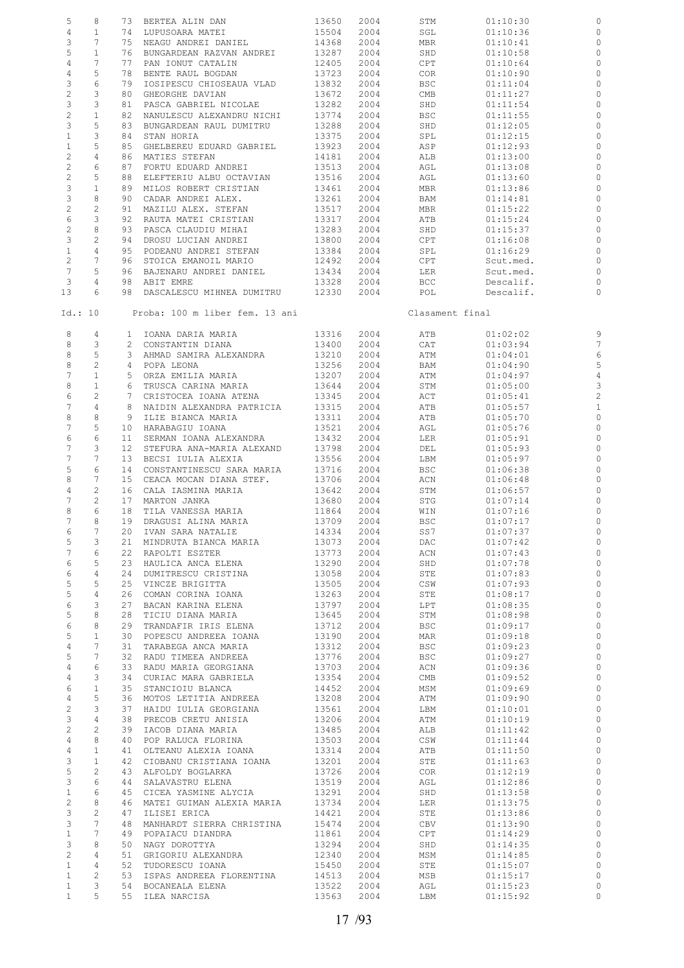| 5               | 8               |                 | 73 BERTEA ALIN DAN             | 13650      | 2004 | STM             | 01:10:30  |                         |
|-----------------|-----------------|-----------------|--------------------------------|------------|------|-----------------|-----------|-------------------------|
| 4               | $\mathbf{1}$    |                 | 74 LUPUSOARA MATEI             | 15504      | 2004 | SGL             | 01:10:36  | $\circ$                 |
| 3               | 7               |                 | 75 NEAGU ANDREI DANIEL         | 14368      | 2004 | MBR             | 01:10:41  | $\circ$                 |
|                 |                 |                 |                                |            |      |                 |           |                         |
| 5               | $\mathbf{1}$    |                 | 76 BUNGARDEAN RAZVAN ANDREI    | 13287      | 2004 | SHD             | 01:10:58  | $\circ$                 |
| $\overline{4}$  | 7               | 77              | PAN IONUT CATALIN              | 12405      | 2004 | CPT             | 01:10:64  | $\circ$                 |
| $\overline{4}$  | 5               | 78              | BENTE RAUL BOGDAN              | 13723      | 2004 | COR             | 01:10:90  | $\circ$                 |
| 3               | 6               | 79              | IOSIPESCU CHIOSEAUA VLAD       | 13832      | 2004 | BSC             | 01:11:04  | 0                       |
|                 |                 |                 |                                |            |      |                 |           |                         |
| $\mathbf{2}$    | 3               | 80              | GHEORGHE DAVIAN                | 13672      | 2004 | CMB             | 01:11:27  | 0                       |
| $\mathsf 3$     | 3               | 81              | PASCA GABRIEL NICOLAE          | 13282      | 2004 | SHD             | 01:11:54  | $\circ$                 |
| $\overline{c}$  | $\mathbf{1}$    |                 | 82 NANULESCU ALEXANDRU NICHI   | 13774      | 2004 | BSC             | 01:11:55  | 0                       |
| 3               | 5               | 83              | BUNGARDEAN RAUL DUMITRU        | 13288      | 2004 | SHD             | 01:12:05  | $\circ$                 |
|                 |                 |                 |                                |            |      |                 |           |                         |
| $\mathbf{1}$    | 3               | 84              | STAN HORIA                     | 13375      | 2004 | SPL             | 01:12:15  | 0                       |
| $\mathbf{1}$    | 5               | 85              | GHELBEREU EDUARD GABRIEL       | 13923      | 2004 | ASP             | 01:12:93  | 0                       |
| $\overline{c}$  | 4               |                 | 86 MATIES STEFAN               | 14181      | 2004 | ALB             | 01:13:00  | 0                       |
| $\overline{c}$  | 6               | 87              | FORTU EDUARD ANDREI            | 13513      | 2004 | AGL             | 01:13:08  | 0                       |
|                 |                 |                 |                                |            |      |                 |           |                         |
| $\overline{c}$  | 5               |                 | 88 ELEFTERIU ALBU OCTAVIAN     | 13516      | 2004 | AGL             | 01:13:60  | $\circ$                 |
| 3               | $\mathbf{1}$    | 89              | MILOS ROBERT CRISTIAN          | 13461      | 2004 | MBR             | 01:13:86  | 0                       |
| 3               | 8               |                 | 90 CADAR ANDREI ALEX.          | 13261      | 2004 | BAM             | 01:14:81  | $\circ$                 |
| $\overline{c}$  | 2               | 91              | MAZILU ALEX. STEFAN            | 13517      | 2004 | MBR             | 01:15:22  | 0                       |
| 6               | 3               |                 | 92 RAUTA MATEI CRISTIAN        | 13317      | 2004 | ATB             | 01:15:24  | 0                       |
|                 |                 |                 |                                |            |      |                 |           |                         |
| $\overline{c}$  | 8               | 93              | PASCA CLAUDIU MIHAI            | 13283      | 2004 | SHD             | 01:15:37  | $\circ$                 |
| $\mathsf 3$     | $\overline{c}$  |                 | 94 DROSU LUCIAN ANDREI         | 13800      | 2004 | CPT             | 01:16:08  | 0                       |
| $\mathbf{1}$    | 4               | 95              | PODEANU ANDREI STEFAN          | 13384      | 2004 | SPL             | 01:16:29  | $\circ$                 |
| $\overline{c}$  | 7               |                 | 96 STOICA EMANOIL MARIO        | 12492      | 2004 | CPT             | Scut.med. | 0                       |
|                 |                 |                 |                                |            |      |                 |           |                         |
| $7\phantom{.0}$ | 5               | 96              | BAJENARU ANDREI DANIEL         | 13434      | 2004 | LER             | Scut.med. | 0                       |
| 3               | 4               |                 | 98 ABIT EMRE                   | 13328      | 2004 | BCC             | Descalif. | 0                       |
| 13              | 6               |                 | 98 DASCALESCU MIHNEA DUMITRU   | 12330      | 2004 | POL             | Descalif. | 0                       |
|                 |                 |                 |                                |            |      |                 |           |                         |
| Id.: 10         |                 |                 | Proba: 100 m liber fem. 13 ani |            |      | Clasament final |           |                         |
|                 |                 |                 |                                |            |      |                 |           |                         |
|                 |                 |                 |                                |            |      |                 |           |                         |
| 8               | 4               |                 | 1 IOANA DARIA MARIA            | 13316      | 2004 | ATB             | 01:02:02  | 9                       |
| 8               | 3               |                 | 2 CONSTANTIN DIANA             | 13400      | 2004 | CAT             | 01:03:94  | $\overline{7}$          |
| 8               | 5               |                 | 3 AHMAD SAMIRA ALEXANDRA       | 13210      | 2004 | ATM             | 01:04:01  | 6                       |
|                 |                 |                 |                                |            |      |                 |           |                         |
| 8               | $\mathbf{2}$    |                 | 4 POPA LEONA                   | 13256      | 2004 | BAM             | 01:04:90  | 5                       |
| 7               | $\mathbf{1}$    |                 | 5 ORZA EMILIA MARIA            | 13207      | 2004 | ATM             | 01:04:97  | $\overline{4}$          |
| 8               | $\mathbf{1}$    |                 | 6 TRUSCA CARINA MARIA          | 13644      | 2004 | STM             | 01:05:00  | 3                       |
| 6               | $\mathbf{2}$    |                 | 7 CRISTOCEA IOANA ATENA        | 13345      | 2004 | ACT             | 01:05:41  | $\overline{\mathbf{c}}$ |
| 7               | $\overline{4}$  |                 | 8 NAIDIN ALEXANDRA PATRICIA    | 13315      | 2004 | ATB             | 01:05:57  | $\mathbf{1}$            |
|                 |                 |                 |                                |            |      |                 |           |                         |
| 8               | 8               | 9               | ILIE BIANCA MARIA              | 13311      | 2004 | ATB             | 01:05:70  | $\circ$                 |
| 7               | 5               |                 | 10 HARABAGIU IOANA             | 13521      | 2004 | AGL             | 01:05:76  | $\circ$                 |
| 6               | 6               | 11              | SERMAN IOANA ALEXANDRA         | 13432      | 2004 | LER             | 01:05:91  | 0                       |
| 7               | 3               | 12 <sup>7</sup> | STEFURA ANA-MARIA ALEXAND      | 13798      | 2004 | DEL             | 01:05:93  | $\circ$                 |
|                 |                 |                 |                                |            |      |                 |           |                         |
| 7               | 7               | 13              | BECSI IULIA ALEXIA             | 13556      | 2004 | LBM             | 01:05:97  | $\circ$                 |
| 5               | 6               |                 | 14 CONSTANTINESCU SARA MARIA   | 13716      | 2004 | BSC             | 01:06:38  | $\circ$                 |
| 8               | 7               |                 | 15 CEACA MOCAN DIANA STEF.     | 13706      | 2004 | ACN             | 01:06:48  | 0                       |
| 4               | $\mathbf{2}$    |                 | 16 CALA IASMINA MARIA          | 13642      | 2004 | STM             | 01:06:57  | $\circ$                 |
|                 |                 |                 |                                |            |      |                 |           |                         |
| 7               | $\overline{c}$  |                 | 17 MARTON JANKA                | 13680      | 2004 | STG             | 01:07:14  | $\mathbf 0$             |
| 8               | 6               | 18              | TILA VANESSA MARIA             | 11864      | 2004 | WIN             | 01:07:16  | $\circ$                 |
| 7               | 8               |                 | 19 DRAGUSI ALINA MARIA         | 13709      | 2004 | <b>BSC</b>      | 01:07:17  | $\circ$                 |
| 6               | 7               |                 | 20 IVAN SARA NATALIE           | 14334 2004 |      | SS7             | 01:07:37  | $\circ$                 |
| 5               | 3               |                 | 21 MINDRUTA BIANCA MARIA       | 13073      | 2004 | DAC             | 01:07:42  | 0                       |
|                 |                 |                 |                                |            |      |                 |           |                         |
| $7\phantom{.0}$ | 6               |                 | 22 RAPOLTI ESZTER              | 13773      | 2004 | ACN             | 01:07:43  | $\circ$                 |
| 6               | 5               |                 | 23 HAULICA ANCA ELENA          | 13290      | 2004 | SHD             | 01:07:78  | $\circ$                 |
| 6               | $\overline{4}$  |                 | 24 DUMITRESCU CRISTINA         | 13058      | 2004 | STE             | 01:07:83  | $\circ$                 |
| 5               | 5               |                 | 25 VINCZE BRIGITTA             | 13505      | 2004 | CSW             | 01:07:93  | $\circ$                 |
| $\overline{5}$  | 4               |                 | 26 COMAN CORINA IOANA          | 13263      | 2004 | STE             | 01:08:17  | $\circ$                 |
|                 |                 |                 |                                |            |      |                 |           |                         |
| 6               | 3               | 27              | BACAN KARINA ELENA             | 13797      | 2004 | LPT             | 01:08:35  | $\circ$                 |
| 5               | 8               | 28              | TICIU DIANA MARIA              | 13645      | 2004 | STM             | 01:08:98  | $\circ$                 |
| 6               | 8               |                 | 29 TRANDAFIR IRIS ELENA        | 13712      | 2004 | BSC             | 01:09:17  | $\circ$                 |
| 5               | $\mathbf{1}$    |                 | 30 POPESCU ANDREEA IOANA       | 13190      | 2004 | MAR             | 01:09:18  | $\circ$                 |
| $\overline{4}$  | $7\phantom{.0}$ |                 | 31 TARABEGA ANCA MARIA         | 13312      | 2004 | BSC             | 01:09:23  | $\circ$                 |
|                 |                 |                 |                                |            |      |                 |           |                         |
| 5               | 7               |                 | 32 RADU TIMEEA ANDREEA         | 13776      | 2004 | BSC             | 01:09:27  | $\circ$                 |
| 4               | 6               |                 | 33 RADU MARIA GEORGIANA        | 13703      | 2004 | ACN             | 01:09:36  | $\circ$                 |
| 4               | 3               |                 | 34 CURIAC MARA GABRIELA        | 13354      | 2004 | CMB             | 01:09:52  | $\circ$                 |
| 6               | $\mathbf{1}$    |                 | 35 STANCIOIU BLANCA            | 14452      | 2004 | MSM             | 01:09:69  | $\circ$                 |
| $\overline{4}$  | 5               |                 | 36 MOTOS LETITIA ANDREEA       | 13208      | 2004 | ATM             | 01:09:90  | $\circ$                 |
|                 |                 |                 |                                |            |      |                 |           |                         |
| $\overline{c}$  | 3               |                 | 37 HAIDU IULIA GEORGIANA       | 13561      | 2004 | LBM             | 01:10:01  | $\circ$                 |
| $\mathcal{E}$   | $\overline{4}$  | 38              | PRECOB CRETU ANISIA            | 13206      | 2004 | ATM             | 01:10:19  | $\circ$                 |
| $\mathbf{2}$    | $\overline{2}$  | 39              | IACOB DIANA MARIA              | 13485      | 2004 | ALB             | 01:11:42  | $\circ$                 |
| $\overline{4}$  | 8               | 40              | POP RALUCA FLORINA             | 13503      | 2004 | CSW             | 01:11:44  | $\circ$                 |
| $\overline{4}$  | $\mathbf{1}$    |                 | 41 OLTEANU ALEXIA IOANA        | 13314      | 2004 | ATB             | 01:11:50  | $\circ$                 |
|                 |                 |                 |                                |            |      |                 |           |                         |
| 3               | $\mathbf{1}$    |                 | 42 CIOBANU CRISTIANA IOANA     | 13201      | 2004 | STE             | 01:11:63  | $\circ$                 |
| 5               | $\overline{c}$  |                 | 43 ALFOLDY BOGLARKA            | 13726      | 2004 | COR             | 01:12:19  | $\circ$                 |
| $\mathcal{E}$   | 6               | 44              | SALAVASTRU ELENA               | 13519      | 2004 | AGL             | 01:12:86  | $\circ$                 |
| $\mathbf{1}$    | 6               |                 | 45 CICEA YASMINE ALYCIA        | 13291      | 2004 | SHD             | 01:13:58  | $\circ$                 |
| $\overline{c}$  | 8               |                 |                                |            |      |                 |           | $\circ$                 |
|                 |                 |                 | 46 MATEI GUIMAN ALEXIA MARIA   | 13734      | 2004 | LER             | 01:13:75  |                         |
| $\mathcal{E}$   | $\overline{c}$  | 47              | ILISEI ERICA                   | 14421      | 2004 | STE             | 01:13:86  | $\circ$                 |
| $\mathcal{E}$   | $7\phantom{.0}$ | 48              | MANHARDT SIERRA CHRISTINA      | 15474      | 2004 | CBV             | 01:13:90  | $\circ$                 |
| $\mathbf{1}$    | $7\phantom{.0}$ |                 | 49 POPAIACU DIANDRA            | 11861      | 2004 | CPT             | 01:14:29  | $\circ$                 |
| 3               | 8               |                 | 50 NAGY DOROTTYA               | 13294      | 2004 | SHD             | 01:14:35  | $\circ$                 |
|                 |                 |                 |                                |            |      |                 |           |                         |
| $\overline{c}$  | $\overline{4}$  |                 | 51 GRIGORIU ALEXANDRA          | 12340      | 2004 | MSM             | 01:14:85  | $\circ$                 |
| $\mathbf{1}$    | 4               | 52              | TUDORESCU IOANA                | 15450      | 2004 | STE             | 01:15:07  | $\circ$                 |
| $\mathbf{1}$    | 2               |                 | 53 ISPAS ANDREEA FLORENTINA    | 14513      | 2004 | MSB             | 01:15:17  | $\circ$                 |
| $\mathbf{1}$    | 3               |                 | 54 BOCANEALA ELENA             | 13522      | 2004 | AGL             | 01:15:23  | 0                       |
| $\mathbf{1}$    | 5               |                 | 55 ILEA NARCISA                | 13563      | 2004 | LBM             | 01:15:92  | $\circ$                 |
|                 |                 |                 |                                |            |      |                 |           |                         |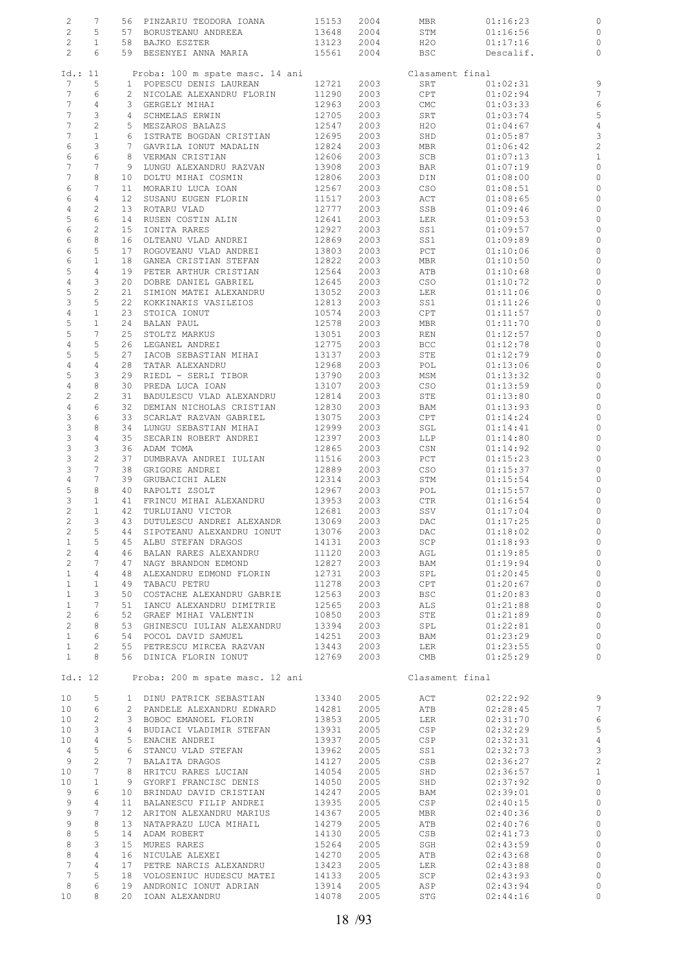| $\overline{c}$        | 7                        |    | 56 PINZARIU TEODORA IOANA                                                                         | 15153          | 2004 | MBR             | 01:16:23  | 0                       |
|-----------------------|--------------------------|----|---------------------------------------------------------------------------------------------------|----------------|------|-----------------|-----------|-------------------------|
| $\mathbf{2}$          |                          |    | 57 BORUSTEANU ANDREEA                                                                             |                |      |                 |           |                         |
|                       | 5                        |    |                                                                                                   | 13648          | 2004 | STM             | 01:16:56  | $\circ$                 |
| $\overline{c}$        | $\mathbf{1}$             |    | 58 BAJKO ESZTER                                                                                   | 13123          | 2004 | H20             | 01:17:16  | $\circ$                 |
| $\mathbf{2}^{\prime}$ | 6                        |    | 59 BESENYEI ANNA MARIA                                                                            | 15561          | 2004 | BSC             | Descalif. | $\circ$                 |
|                       |                          |    |                                                                                                   |                |      |                 |           |                         |
|                       | Id.: 11                  |    | Proba: 100 m spate masc. 14 ani                                                                   |                |      | Clasament final |           |                         |
|                       |                          |    |                                                                                                   |                |      |                 |           |                         |
| 7                     | 5                        |    | 1 POPESCU DENIS LAUREAN                                                                           | 12721          | 2003 | SRT             | 01:02:31  | 9                       |
| 7                     | 6                        |    | 2 NICOLAE ALEXANDRU FLORIN                                                                        | 11290          | 2003 | CPT             | 01:02:94  | 7                       |
| $7\phantom{.}$        | 4                        |    | 3 GERGELY MIHAI                                                                                   | 12963          | 2003 | CMC             | 01:03:33  | $\epsilon$              |
| 7                     | 3                        |    | 4 SCHMELAS ERWIN                                                                                  | 12705          | 2003 | SRT             | 01:03:74  | 5                       |
|                       |                          |    |                                                                                                   |                |      |                 |           |                         |
| 7                     | $\overline{c}$           |    | 5 MESZAROS BALAZS                                                                                 | 12547          | 2003 | H2O             | 01:04:67  | $\overline{4}$          |
| 7                     | $\mathbf{1}$             |    | 6 ISTRATE BOGDAN CRISTIAN                                                                         | 12695          | 2003 | SHD             | 01:05:87  | 3                       |
| 6                     | 3                        |    | 7 GAVRILA IONUT MADALIN                                                                           | 12824          | 2003 | MBR             | 01:06:42  | $\overline{c}$          |
| 6                     | 6                        |    | 8 VERMAN CRISTIAN                                                                                 | 12606          | 2003 | SCB             | 01:07:13  | $\mathbf{1}$            |
|                       |                          |    |                                                                                                   |                |      |                 |           |                         |
| 7                     | 7                        |    | 9 LUNGU ALEXANDRU RAZVAN                                                                          | 13908          | 2003 | BAR             | 01:07:19  | $\circ$                 |
| 7                     | 8                        |    | 10 DOLTU MIHAI COSMIN                                                                             | 12806          | 2003 | DIN             | 01:08:00  | $\circ$                 |
| 6                     | 7                        |    | 11 MORARIU LUCA IOAN                                                                              | 12567          | 2003 | CSO             | 01:08:51  | $\circ$                 |
|                       | 4                        |    |                                                                                                   |                |      |                 |           |                         |
| 6                     |                          |    | 12 SUSANU EUGEN FLORIN                                                                            | 11517          | 2003 | ACT             | 01:08:65  | $\circ$                 |
| $\overline{4}$        | $\mathbf{2}$             |    | 13 ROTARU VLAD                                                                                    | 12777          | 2003 | SSB             | 01:09:46  | $\circ$                 |
| 5                     | 6                        |    | 14 RUSEN COSTIN ALIN                                                                              | 12641          | 2003 | LER             | 01:09:53  | $\circ$                 |
| 6                     | $\overline{c}$           | 15 | IONITA RARES                                                                                      | 12927          | 2003 | SS1             | 01:09:57  | $\circ$                 |
| 6                     | 8                        |    | 16 OLTEANU VLAD ANDREI                                                                            | 12869          | 2003 | SS1             | 01:09:89  | 0                       |
|                       |                          |    |                                                                                                   |                |      |                 |           |                         |
| 6                     | 5                        |    | 17 ROGOVEANU VLAD ANDREI                                                                          | 13803          | 2003 | PCT             | 01:10:06  | $\circ$                 |
| 6                     | $\mathbf{1}$             |    | 18 GANEA CRISTIAN STEFAN                                                                          | 12822          | 2003 | MBR             | 01:10:50  | 0                       |
| 5                     | $\overline{4}$           |    | 19 PETER ARTHUR CRISTIAN                                                                          | 12564          | 2003 | ATB             | 01:10:68  | $\circ$                 |
|                       | 3                        |    | 20 DOBRE DANIEL GABRIEL                                                                           |                |      |                 | 01:10:72  |                         |
| $\overline{4}$        |                          |    |                                                                                                   | 12645          | 2003 | CSO             |           | 0                       |
| 5                     | $\overline{c}$           |    | 21 SIMION MATEI ALEXANDRU                                                                         | 13052          | 2003 | LER             | 01:11:06  | 0                       |
| 3                     | 5                        |    | 22 KOKKINAKIS VASILEIOS                                                                           | 12813          | 2003 | SS1             | 01:11:26  | 0                       |
| $\overline{4}$        | $\mathbf{1}$             | 23 | STOICA IONUT                                                                                      | 10574          | 2003 | CPT             | 01:11:57  | 0                       |
|                       |                          |    |                                                                                                   |                |      |                 |           |                         |
| 5                     | $\mathbf{1}$             |    | 24 BALAN PAUL                                                                                     | 12578          | 2003 | MBR             | 01:11:70  | $\circ$                 |
| 5                     | 7                        | 25 | STOLTZ MARKUS                                                                                     | 13051          | 2003 | REN             | 01:12:57  | 0                       |
| $\overline{4}$        | 5                        |    | 26 LEGANEL ANDREI                                                                                 | 12775          | 2003 | <b>BCC</b>      | 01:12:78  | $\circ$                 |
| 5                     | 5                        | 27 | IACOB SEBASTIAN MIHAI                                                                             | 13137          | 2003 | STE             | 01:12:79  | 0                       |
|                       |                          |    |                                                                                                   |                |      |                 |           |                         |
| $\overline{4}$        | $\overline{4}$           |    | 28 TATAR ALEXANDRU                                                                                | 12968          | 2003 | POL             | 01:13:06  | 0                       |
| 5                     | 3                        |    | 29 RIEDL - SERLI TIBOR                                                                            | 13790          | 2003 | MSM             | 01:13:32  | $\circ$                 |
| $\overline{4}$        | 8                        |    | 30 PREDA LUCA IOAN                                                                                | 13107          | 2003 | CSO             | 01:13:59  | 0                       |
| $\overline{c}$        | $\overline{c}$           |    | 31 BADULESCU VLAD ALEXANDRU                                                                       | 12814          | 2003 | STE             | 01:13:80  | $\circ$                 |
|                       |                          |    |                                                                                                   |                |      |                 |           |                         |
| $\overline{4}$        | 6                        |    | 32 DEMIAN NICHOLAS CRISTIAN                                                                       | 12830          | 2003 | BAM             | 01:13:93  | 0                       |
| 3                     | 6                        | 33 | SCARLAT RAZVAN GABRIEL                                                                            | 13075          | 2003 | CPT             | 01:14:24  | 0                       |
| 3                     | 8                        |    | 34 LUNGU SEBASTIAN MIHAI                                                                          | 12999          | 2003 | SGL             | 01:14:41  | $\circ$                 |
| 3                     | $\overline{4}$           | 35 | SECARIN ROBERT ANDREI                                                                             | 12397          | 2003 | LLP             | 01:14:80  | 0                       |
|                       |                          |    |                                                                                                   |                |      |                 |           |                         |
| 3                     | $\mathbf{3}$             |    | 36 ADAM TOMA                                                                                      | 12865          | 2003 | CSN             | 01:14:92  | $\circ$                 |
| 3                     | $\mathbf{2}$             | 37 | DUMBRAVA ANDREI IULIAN                                                                            | 11516          | 2003 | PCT             | 01:15:23  | 0                       |
| 3                     | 7                        |    | 38 GRIGORE ANDREI                                                                                 | 12889          | 2003 | CSO             | 01:15:37  | $\circ$                 |
| $\overline{4}$        | 7                        |    | 39 GRUBACICHI ALEN                                                                                | 12314          | 2003 | STM             | 01:15:54  | 0                       |
|                       |                          |    |                                                                                                   |                |      |                 |           |                         |
| 5                     | 8                        |    | 40 RAPOLTI ZSOLT                                                                                  | 12967          | 2003 | POL             | 01:15:57  | $\circ$                 |
| 3                     | $\mathbf{1}$             |    | 41 FRINCU MIHAI ALEXANDRU                                                                         | 13953          | 2003 | CTR             | 01:16:54  | $\circ$                 |
| $\overline{c}$        | $\mathbf{1}$             |    | 42 TURLUIANU VICTOR                                                                               | 12681          | 2003 | SSV             | 01:17:04  | $\circ$                 |
| $\overline{c}$        |                          |    |                                                                                                   |                | 2003 |                 |           |                         |
|                       | 3                        |    | 43 DUTULESCU ANDREI ALEXANDR                                                                      | 13069          |      | DAC             | 01:17:25  | $\circ$                 |
| $\overline{c}$        | 5                        |    | 44 SIPOTEANU ALEXANDRU IONUT 13076 2003                                                           |                |      | <b>DAC</b>      | 01:18:02  | $\circ$                 |
| $\mathbf{1}$          | 5 <sup>1</sup>           |    | 45 ALBU STEFAN DRAGOS                                                                             | 14131          | 2003 | SCP             | 01:18:93  | 0                       |
| $\overline{2}$        | $4\overline{ }$          |    | 46 BALAN RARES ALEXANDRU                                                                          | 11120          | 2003 | AGL             | 01:19:85  | $\circ$                 |
|                       | 7                        |    | 47 NAGY BRANDON EDMOND                                                                            |                |      |                 |           |                         |
| $\overline{2}$        |                          |    |                                                                                                   | 12827<br>12731 | 2003 | BAM<br>SPL      | 01:19:94  | $\circ$                 |
| $\mathbf{1}$          | $4\overline{ }$          |    | 48 ALEXANDRU EDMOND FLORIN                                                                        |                | 2003 |                 | 01:20:45  | $\circ$                 |
| $\mathbf{1}$          | 1                        |    | 49 TABACU PETRU                                                                                   | 11278          | 2003 | CPT             | 01:20:67  | $\circ$                 |
| $\mathbf{1}$          | $\mathcal{S}$            |    | 50 COSTACHE ALEXANDRU GABRIE                                                                      | 12563          | 2003 | BSC             | 01:20:83  | $\circ$                 |
|                       | $7\phantom{0}$           |    |                                                                                                   | 12565          |      |                 |           |                         |
| $\mathbf{1}$          |                          |    | 51 IANCU ALEXANDRU DIMITRIE                                                                       |                | 2003 | ALS             | 01:21:88  | $\circ$                 |
| $\overline{2}$        | 6                        |    | 52 GRAEF MIHAI VALENTIN                                                                           | 10850          | 2003 | STE             | 01:21:89  | $\circ$                 |
| $\overline{2}$        | 8                        |    | 53 GHINESCU IULIAN ALEXANDRU 13394                                                                |                | 2003 | SPL             | 01:22:81  | $\circ$                 |
| 1                     | 6                        |    | 54 POCOL DAVID SAMUEL                                                                             | 14251          | 2003 | BAM             | 01:23:29  | $\circ$                 |
| $\mathbf{1}$          | $2^{\circ}$              |    | 55 PETRESCU MIRCEA RAZVAN 13443                                                                   |                | 2003 | LER             | 01:23:55  | $\circ$                 |
|                       |                          |    |                                                                                                   |                |      |                 |           |                         |
| $\mathbf{1}$          | 8                        |    | 56 DINICA FLORIN IONUT 12769                                                                      |                | 2003 | CMB             | 01:25:29  | $\circ$                 |
|                       |                          |    |                                                                                                   |                |      |                 |           |                         |
|                       | Id.: 12                  |    | Proba: 200 m spate masc. 12 ani                                                                   |                |      | Clasament final |           |                         |
|                       |                          |    |                                                                                                   |                |      |                 |           |                         |
|                       |                          |    |                                                                                                   |                |      |                 |           |                         |
| 10                    | 5 <sup>5</sup>           |    | 1 DINU PATRICK SEBASTIAN                                                                          | 13340          | 2005 | ACT             | 02:22:92  | $\overline{9}$          |
|                       | 10 6                     |    | 2 PANDELE ALEXANDRU EDWARD                                                                        | 14281          | 2005 | ATB             | 02:28:45  | $\overline{7}$          |
| 10 <sub>1</sub>       | $\overline{\phantom{0}}$ |    |                                                                                                   | 13853          | 2005 | LER             | 02:31:70  | $\epsilon$              |
| 10 <sub>1</sub>       | $\overline{\phantom{a}}$ |    | EDWARD ALLAMDRU EDWARD<br>3 BOBOC EMANOEL FLORIN<br>4 BUDIACI WILLEY<br>4 BUDIACI VLADIMIR STEFAN | 13931          | 2005 | CSP             | 02:32:29  | 5                       |
|                       |                          |    |                                                                                                   |                |      |                 |           |                         |
| 10                    | $\overline{4}$           |    | 5 ENACHE ANDREI                                                                                   | 13937          | 2005 | CSP             | 02:32:31  | $\overline{4}$          |
| $\overline{4}$        | $5^{\circ}$              |    | 6 STANCU VLAD STEFAN                                                                              | 13962          | 2005 | SS1             | 02:32:73  | $\mathbf{3}$            |
| 9                     | $\overline{c}$           |    | 7 BALAITA DRAGOS                                                                                  | 14127          | 2005 | CSB             | 02:36:27  | $\overline{\mathbf{c}}$ |
| 10 <sub>1</sub>       | $\overline{7}$           |    | 8 HRITCU RARES LUCIAN                                                                             | 14054          | 2005 | SHD             | 02:36:57  | $\mathbf{1}$            |
|                       |                          |    |                                                                                                   |                |      |                 |           |                         |
| 10 <sub>1</sub>       | $\mathbf{1}$             |    | 9 GYORFI FRANCISC DENIS 14050<br>10 BRINDAU DAVID CRISTIAN 14247                                  |                | 2005 | SHD             | 02:37:92  | $\circ$                 |
| 9                     | $6\overline{6}$          |    |                                                                                                   |                | 2005 | BAM             | 02:39:01  | $\circ$                 |
| 9                     | $\overline{4}$           |    | 11 BALANESCU FILIP ANDREI                                                                         | 13935          | 2005 | CSP             | 02:40:15  | $\circ$                 |
| 9                     | $7\phantom{.0}$          |    | 12 ARITON ALEXANDRU MARIUS                                                                        | 13935<br>14367 | 2005 |                 |           |                         |
|                       |                          |    |                                                                                                   |                |      | MBR             | 02:40:36  | $\circ$                 |
| 9                     | 8                        |    | 13 NATAPRAZU LUCA MIHAIL                                                                          | 14279          | 2005 | ATB             | 02:40:76  | $\circ$                 |
| 8                     | 5                        |    | 14 ADAM ROBERT                                                                                    | 14130          | 2005 | CSB             | 02:41:73  | $\circ$                 |
| 8                     | 3                        |    | 15 MURES RARES                                                                                    | 15264          | 2005 | SGH             | 02:43:59  | $\circ$                 |
|                       |                          |    | 16 NICULAE ALEXEI                                                                                 | 14270          |      |                 |           |                         |
| 8                     | $\overline{4}$           |    |                                                                                                   |                | 2005 | ATB             | 02:43:68  | $\circ$                 |
| $7\phantom{.}$        | $\overline{4}$           |    |                                                                                                   |                | 2005 | LER             | 02:43:88  | $\circ$                 |
| $7\phantom{.0}$       | 5                        |    | 17 PETRE NARCIS ALEXANDRU 13423<br>18 VOLOSENIUC HUDESCU MATEI 14133                              |                | 2005 | SCP             | 02:43:93  | $\circ$                 |
| 8                     | 6                        |    | 19 ANDRONIC IONUT ADRIAN 13914                                                                    |                | 2005 | ASP             | 02:43:94  | $\circ$                 |
|                       |                          |    |                                                                                                   |                |      |                 |           |                         |
| 10                    | 8                        |    | 20 IOAN ALEXANDRU                                                                                 | 14078          | 2005 | STG             | 02:44:16  | $\circ$                 |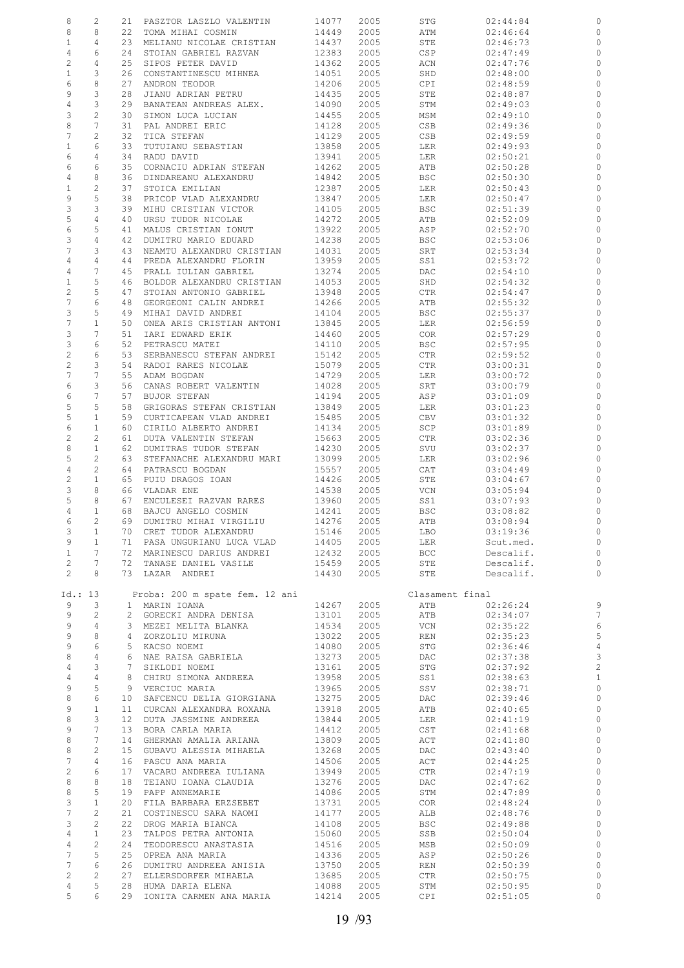| 8                     | 2                     | 21              | PASZTOR LASZLO VALENTIN                           | 14077          | 2005         | STG             | 02:44:84             | 0              |
|-----------------------|-----------------------|-----------------|---------------------------------------------------|----------------|--------------|-----------------|----------------------|----------------|
| 8                     | 8                     | 22              | TOMA MIHAI COSMIN                                 | 14449          | 2005         | ATM             | 02:46:64             | 0              |
| $\mathbf{1}$          | 4                     | 23              | MELIANU NICOLAE CRISTIAN                          | 14437          | 2005         | STE             | 02:46:73             | 0              |
|                       | 6                     | 24              |                                                   |                |              |                 |                      | 0              |
| 4                     |                       |                 | STOIAN GABRIEL RAZVAN                             | 12383          | 2005         | CSP             | 02:47:49             |                |
| 2                     | 4                     | 25              | SIPOS PETER DAVID                                 | 14362          | 2005         | ACN             | 02:47:76             | 0              |
| $\mathbf{1}$          | 3                     | 26              | CONSTANTINESCU MIHNEA                             | 14051          | 2005         | SHD             | 02:48:00             | $\circ$        |
| 6                     | 8                     | 27              | ANDRON TEODOR                                     | 14206          | 2005         | CPI.            | 02:48:59             | 0              |
| 9                     | 3                     | 28              | JIANU ADRIAN PETRU                                | 14435          | 2005         | STE             | 02:48:87             | 0              |
| 4                     | 3                     | 29              | BANATEAN ANDREAS ALEX.                            | 14090          | 2005         | STM             | 02:49:03             | 0              |
| 3                     | $\overline{c}$        | 30              | SIMON LUCA LUCIAN                                 | 14455          | 2005         | MSM             | 02:49:10             | 0              |
|                       |                       |                 |                                                   |                |              |                 |                      |                |
| 8                     | $\overline{7}$        | 31              | PAL ANDREI ERIC                                   | 14128          | 2005         | CSB             | 02:49:36             | 0              |
| 7                     | $\overline{c}$        | 32              | TICA STEFAN                                       | 14129          | 2005         | CSB             | 02:49:59             | 0              |
| $\mathbf{1}$          | 6                     | 33              | TUTUIANU SEBASTIAN                                | 13858          | 2005         | LER             | 02:49:93             | 0              |
| 6                     | 4                     | 34              | RADU DAVID                                        | 13941          | 2005         | LER             | 02:50:21             | 0              |
| 6                     | 6                     | 35              | CORNACIU ADRIAN STEFAN                            | 14262          | 2005         | ATB             | 02:50:28             | 0              |
| 4                     | 8                     | 36              | DINDAREANU ALEXANDRU                              | 14842          | 2005         | BSC             | 02:50:30             | $\circ$        |
|                       |                       |                 |                                                   |                |              |                 |                      |                |
| $1\,$                 | 2                     | 37              | STOICA EMILIAN                                    | 12387          | 2005         | LER             | 02:50:43             | 0              |
| 9                     | 5                     | 38              | PRICOP VLAD ALEXANDRU                             | 13847          | 2005         | LER             | 02:50:47             | $\circ$        |
| 3                     | 3                     | 39              | MIHU CRISTIAN VICTOR                              | 14105          | 2005         | <b>BSC</b>      | 02:51:39             | 0              |
| 5                     | $\overline{4}$        | 40              | URSU TUDOR NICOLAE                                | 14272          | 2005         | ATB             | 02:52:09             | 0              |
| 6                     | 5                     | 41              | MALUS CRISTIAN IONUT                              | 13922          | 2005         | ASP             | 02:52:70             | 0              |
| 3                     | $\overline{4}$        | 42              | DUMITRU MARIO EDUARD                              | 14238          | 2005         | <b>BSC</b>      | 02:53:06             | $\circ$        |
| $\overline{7}$        |                       | 43              | NEAMTU ALEXANDRU CRISTIAN                         | 14031          | 2005         |                 |                      |                |
|                       | 3                     |                 |                                                   |                |              | SRT             | 02:53:34             | 0              |
| 4                     | 4                     | 44              | PREDA ALEXANDRU FLORIN                            | 13959          | 2005         | SS1             | 02:53:72             | 0              |
| 4                     | 7                     | 45              | PRALL IULIAN GABRIEL                              | 13274          | 2005         | DAC             | 02:54:10             | 0              |
| $\mathbf{1}$          | 5                     | 46              | BOLDOR ALEXANDRU CRISTIAN                         | 14053          | 2005         | SHD             | 02:54:32             | 0              |
| $\mathbf{2}$          | 5                     | 47              | STOIAN ANTONIO GABRIEL                            | 13948          | 2005         | CTR             | 02:54:47             | 0              |
| $\boldsymbol{7}$      | 6                     | 48              | GEORGEONI CALIN ANDREI                            | 14266          | 2005         | ATB             | 02:55:32             | 0              |
| 3                     | 5                     | 49              | MIHAI DAVID ANDREI                                | 14104          | 2005         | <b>BSC</b>      | 02:55:37             | 0              |
|                       |                       |                 |                                                   |                |              |                 |                      |                |
| $\boldsymbol{7}$      | $\mathbf{1}$          | 50              | ONEA ARIS CRISTIAN ANTONI                         | 13845          | 2005         | LER             | 02:56:59             | 0              |
| 3                     | 7                     | 51              | IARI EDWARD ERIK                                  | 14460          | 2005         | <b>COR</b>      | 02:57:29             | 0              |
| 3                     | 6                     | 52              | PETRASCU MATEI                                    | 14110          | 2005         | BSC             | 02:57:95             | 0              |
| $\overline{c}$        | 6                     | 53              | SERBANESCU STEFAN ANDREI                          | 15142          | 2005         | CTR             | 02:59:52             | 0              |
| $\overline{c}$        | 3                     | 54              | RADOI RARES NICOLAE                               | 15079          | 2005         | CTR             | 03:00:31             | 0              |
| 7                     | 7                     | 55              | ADAM BOGDAN                                       | 14729          | 2005         | LER             | 03:00:72             | 0              |
|                       |                       |                 |                                                   |                |              |                 |                      |                |
| 6                     | 3                     | 56              | CANAS ROBERT VALENTIN                             | 14028          | 2005         | SRT             | 03:00:79             | 0              |
| 6                     | 7                     | 57              | <b>BUJOR STEFAN</b>                               | 14194          | 2005         | ASP             | 03:01:09             | 0              |
| 5                     | 5                     | 58              | GRIGORAS STEFAN CRISTIAN                          | 13849          | 2005         | LER             | 03:01:23             | 0              |
| 5                     | $1\,$                 | 59              | CURTICAPEAN VLAD ANDREI                           | 15485          | 2005         | CBV             | 03:01:32             | 0              |
| 6                     | 1                     | 60              | CIRILO ALBERTO ANDREI                             | 14134          | 2005         | SCP             | 03:01:89             | 0              |
| $\overline{c}$        | 2                     | 61              | DUTA VALENTIN STEFAN                              | 15663          | 2005         | CTR             | 03:02:36             | 0              |
|                       | $\mathbf{1}$          |                 |                                                   |                |              |                 |                      |                |
| 8                     |                       | 62              | DUMITRAS TUDOR STEFAN                             | 14230          | 2005         | SVU             | 03:02:37             | 0              |
| 5                     | 2                     | 63              | STEFANACHE ALEXANDRU MARI                         | 13099          | 2005         | LER             | 03:02:96             | $\circ$        |
| $\overline{4}$        | 2                     | 64              | PATRASCU BOGDAN                                   | 15557          | 2005         | CAT             | 03:04:49             | 0              |
| 2                     | $\mathbf{1}$          | 65              | PUIU DRAGOS IOAN                                  | 14426          | 2005         | STE             | 03:04:67             | $\circ$        |
| 3                     | 8                     | 66              | VLADAR ENE                                        | 14538          | 2005         | VCN             | 03:05:94             | 0              |
|                       |                       |                 | ENCULESEI RAZVAN RARES                            | 13960          | 2005         | SS1             | 03:07:93             | $\circ$        |
|                       |                       |                 |                                                   |                |              |                 |                      |                |
| 5                     | 8                     | 67              |                                                   |                |              |                 |                      |                |
| 4                     | $\mathbf{1}$          | 68              | BAJCU ANGELO COSMIN                               | 14241          | 2005         | <b>BSC</b>      | 03:08:82             | $\circ$        |
| 6                     | $\overline{2}$        | 69              | DUMITRU MIHAI VIRGILIU                            | 14276          | 2005         | ATB             | 03:08:94             | $\circ$        |
| 3                     | 1                     |                 | 70 CRET TUDOR ALEXANDRU                           | 15146          | 2005         | LBO             | 03:19:36             | - 0            |
| 9                     | $\mathbf{1}$          |                 | 71 PASA UNGURIANU LUCA VLAD                       | 14405          | 2005         | LER             | Scut.med.            | $\circ$        |
| $\mathbf{1}$          | 7                     |                 |                                                   |                | 2005         |                 |                      | $\circ$        |
|                       |                       |                 | 72 MARINESCU DARIUS ANDREI                        | 12432          |              | BCC             | Descalif.            |                |
| $\mathbf{2}$          | 7                     |                 | 72 TANASE DANIEL VASILE                           | 15459          | 2005         | STE             | Descalif.            | $\circ$        |
| $\mathbf{2}^{\prime}$ | 8                     |                 | 73 LAZAR ANDREI                                   | 14430          | 2005         | STE             | Descalif.            | $\circ$        |
|                       |                       |                 |                                                   |                |              |                 |                      |                |
| Id.: 13               |                       |                 | Proba: 200 m spate fem. 12 ani                    |                |              | Clasament final |                      |                |
| 9                     | 3                     |                 | 1 MARIN IOANA                                     | 14267          | 2005         | ATB             | 02:26:24             | 9              |
| 9                     | 2                     |                 | 2 GORECKI ANDRA DENISA                            | 13101          | 2005         | ATB             | 02:34:07             | $\overline{7}$ |
| 9                     | 4                     |                 | 3 MEZEI MELITA BLANKA                             | 14534          | 2005         | VCN             | 02:35:22             | $\epsilon$     |
|                       |                       | 4               |                                                   |                |              |                 |                      |                |
| 9                     | 8                     |                 | ZORZOLIU MIRUNA                                   | 13022          | 2005         | REN             | 02:35:23             | 5              |
| 9                     | 6                     |                 | 5 KACSO NOEMI                                     | 14080          | 2005         | STG             | 02:36:46             | $\overline{4}$ |
| 8                     | $\overline{4}$        |                 | 6 NAE RAISA GABRIELA                              | 13273          | 2005         | DAC             | 02:37:38             | $\mathbf{3}$   |
| $\overline{4}$        | 3                     |                 | 7 SIKLODI NOEMI                                   | 13161          | 2005         | STG             | 02:37:92             | $\overline{c}$ |
| $\overline{4}$        | 4                     |                 | 8 CHIRU SIMONA ANDREEA                            | 13958          | 2005         | SS1             | 02:38:63             | $\mathbf{1}$   |
| 9                     | 5                     |                 | 9 VERCIUC MARIA                                   | 13965          | 2005         | SSV             | 02:38:71             | $\circ$        |
| 8                     | 6                     |                 | 10 SAFCENCU DELIA GIORGIANA                       | 13275          | 2005         | DAC             | 02:39:46             | $\circ$        |
| 9                     | $\mathbf{1}$          | 11              | CURCAN ALEXANDRA ROXANA                           | 13918          | 2005         | ATB             | 02:40:65             | $\circ$        |
|                       |                       |                 |                                                   |                |              |                 |                      |                |
| 8                     | 3                     | 12 <sup>°</sup> | DUTA JASSMINE ANDREEA                             | 13844          | 2005         | LER             | 02:41:19             | $\circ$        |
| 9                     | 7                     | 13              | BORA CARLA MARIA                                  | 14412          | 2005         | CST             | 02:41:68             | $\circ$        |
| 8                     | 7                     | 14              | GHERMAN AMALIA ARIANA                             | 13809          | 2005         | ACT             | 02:41:80             | $\mathbb O$    |
| 8                     | 2                     | 15              | GUBAVU ALESSIA MIHAELA                            | 13268          | 2005         | DAC             | 02:43:40             | $\circ$        |
| 7                     | 4                     | 16              | PASCU ANA MARIA                                   | 14506          | 2005         | ACT             | 02:44:25             | $\circ$        |
| $\overline{c}$        | 6                     | 17              | VACARU ANDREEA IULIANA                            | 13949          | 2005         | CTR             | 02:47:19             | $\circ$        |
|                       |                       |                 |                                                   |                |              |                 |                      |                |
| 8                     | 8                     | 18              | TEIANU IOANA CLAUDIA                              | 13276          | 2005         | DAC             | 02:47:62             | $\circ$        |
| 8                     | 5                     | 19              | PAPP ANNEMARIE                                    | 14086          | 2005         | STM             | 02:47:89             | $\circ$        |
| 3                     | $\mathbf{1}$          | 20              | FILA BARBARA ERZSEBET                             | 13731          | 2005         | COR             | 02:48:24             | $\circ$        |
| 7                     | $\mathbf{2}^{\prime}$ | 21              | COSTINESCU SARA NAOMI                             | 14177          | 2005         | ALB             | 02:48:76             | $\circ$        |
| 3                     | $\mathbf{2}^{\prime}$ | 22              | DROG MARIA BIANCA                                 | 14108          | 2005         | BSC             | 02:49:88             | $\circ$        |
| $\overline{4}$        | $\mathbf{1}$          | 23              | TALPOS PETRA ANTONIA                              | 15060          | 2005         | SSB             | 02:50:04             | $\circ$        |
| $\overline{4}$        | $\overline{c}$        | 24              | TEODORESCU ANASTASIA                              | 14516          | 2005         | MSB             | 02:50:09             | $\circ$        |
|                       |                       |                 |                                                   |                |              |                 |                      |                |
| 7                     | 5                     | 25              | OPREA ANA MARIA                                   | 14336          | 2005         | ASP             | 02:50:26             | $\circ$        |
| 7                     | 6                     | 26              | DUMITRU ANDREEA ANISIA                            | 13750          | 2005         | REN             | 02:50:39             | $\circ$        |
| $\overline{c}$        | 2                     | 27              | ELLERSDORFER MIHAELA                              | 13685          | 2005         | CTR             | 02:50:75             | $\circ$        |
| 4<br>5                | 5<br>6                |                 | 28 HUMA DARIA ELENA<br>29 IONITA CARMEN ANA MARIA | 14088<br>14214 | 2005<br>2005 | STM<br>CPI      | 02:50:95<br>02:51:05 | 0<br>$\circ$   |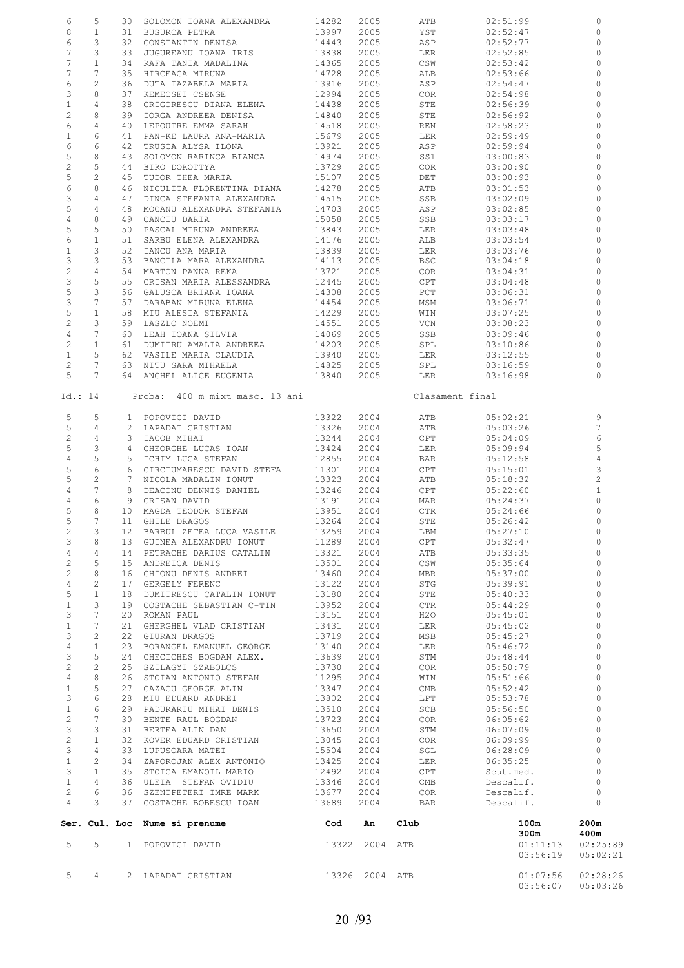| 5                               | $4\phantom{0}$      |    | 2 LAPADAT CRISTIAN                                   | 13326 2004 ATB |                |                                    | 01:07:56<br>03:56:07         | 02:28:26<br>05:03:26         |
|---------------------------------|---------------------|----|------------------------------------------------------|----------------|----------------|------------------------------------|------------------------------|------------------------------|
| 5                               | 5                   |    | 1 POPOVICI DAVID                                     |                | 13322 2004 ATB |                                    | 300m<br>01:11:13<br>03:56:19 | 400m<br>02:25:89<br>05:02:21 |
|                                 |                     |    | Ser. Cul. Loc Nume si prenume                        | Cod            | An             | Club                               | 100m                         | 200m                         |
| $\overline{4}$                  | 3                   |    | 37 COSTACHE BOBESCU IOAN                             | 13689          | 2004           | BAR                                | Descalif.                    | $\Omega$                     |
| $\mathbf{1}$<br>$\overline{c}$  | $\overline{4}$<br>6 |    | 36 ULEIA STEFAN OVIDIU<br>36 SZENTPETERI IMRE MARK   | 13346<br>13677 | 2004<br>2004   | $\mathop{\rm CMB}\nolimits$<br>COR | Descalif.<br>Descalif.       | $\mathbf{0}$<br>$\circ$      |
| 3                               | $\mathbf{1}$        |    | 35 STOICA EMANOIL MARIO                              | 12492          | 2004           | CPT                                | Scut.med.                    | $\circ$                      |
| $\mathbf{1}$                    | 2                   |    | 34 ZAPOROJAN ALEX ANTONIO                            | 13425          | 2004           | LER                                | 06:35:25                     | $\circ$                      |
| 3                               | $\overline{4}$      |    | 33 LUPUSOARA MATEI                                   | 15504          | 2004           | SGL                                | 06:28:09                     | $\mathbf 0$                  |
| $\mathcal{E}$<br>$\overline{c}$ | 3<br>$\mathbf{1}$   |    | 31 BERTEA ALIN DAN<br>32 KOVER EDUARD CRISTIAN       | 13650<br>13045 | 2004<br>2004   | STM<br>COR                         | 06:07:09<br>06:09:99         | $\Omega$                     |
| $\overline{c}$                  | 7                   |    | 30 BENTE RAUL BOGDAN                                 | 13723          | 2004           | COR                                | 06:05:62                     | $\Omega$<br>$\mathbf 0$      |
| $1\,$                           | 6                   |    | 29 PADURARIU MIHAI DENIS                             | 13510          | 2004           | SCB                                | 05:56:50                     | $\circ$                      |
| 3                               | 6                   |    | 28 MIU EDUARD ANDREI                                 | 13802          | 2004           | LPT                                | 05:53:78                     | $\Omega$                     |
| $\mathbf{1}$                    | 5                   |    | 27 CAZACU GEORGE ALIN                                | 11295<br>13347 | 2004<br>2004   | WIN<br>CMB                         | 05:51:66<br>05:52:42         | $\circ$                      |
| $\overline{c}$<br>4             | $\mathbf{2}$<br>8   |    | 25 SZILAGYI SZABOLCS<br>26 STOIAN ANTONIO STEFAN     | 13730          | 2004           | COR                                | 05:50:79                     | $\circ$<br>$\circ$           |
| 3                               | 5                   |    | 24 CHECICHES BOGDAN ALEX.                            | 13639          | 2004           | STM                                | 05:48:44                     | $\mathbf{0}$                 |
| $\overline{4}$                  | $\mathbf{1}$        |    | 23 BORANGEL EMANUEL GEORGE                           | 13140          | 2004           | LER                                | 05:46:72                     | $\circ$                      |
| 3                               | 2                   |    | 22 GIURAN DRAGOS                                     | 13719          | 2004           | MSB                                | 05:45:27                     | $\circ$                      |
| 3<br>$1\,$                      | 7<br>7              |    | 20 ROMAN PAUL<br>21 GHERGHEL VLAD CRISTIAN           | 13151<br>13431 | 2004<br>2004   | H2O<br>LER                         | 05:45:01<br>05:45:02         | $\circ$<br>$\circ$           |
| $\mathbf{1}$                    | 3                   |    | 19 COSTACHE SEBASTIAN C-TIN                          | 13952          | 2004           | CTR                                | 05:44:29                     | $\circ$                      |
| 5                               | $\mathbf{1}$        |    | 18 DUMITRESCU CATALIN IONUT                          | 13180          | 2004           | STE                                | 05:40:33                     | $\circ$                      |
| $\overline{4}$                  | 2                   |    | 17 GERGELY FERENC                                    | 13122          | 2004           | STG                                | 05:39:91                     | $\circ$                      |
| $\mathbf{2}$<br>$\sqrt{2}$      | 5<br>8              |    | 15 ANDREICA DENIS<br>16 GHIONU DENIS ANDREI          | 13501<br>13460 | 2004<br>2004   | CSW<br>MBR                         | 05:35:64<br>05:37:00         | $\circ$<br>$\circ$           |
| $\overline{4}$                  | $\overline{4}$      |    | 14 PETRACHE DARIUS CATALIN                           | 13321          | 2004           | ATB                                | 05:33:35                     | $\circ$                      |
| 3                               | 8                   |    | 13 GUINEA ALEXANDRU IONUT                            | 11289          | 2004           | CPT                                | 05:32:47                     | 0                            |
|                                 | $2 \qquad 3$        |    | 12 BARBUL ZETEA LUCA VASILE                          | 13259          | 2004           | LBM                                | 05:27:10                     | $\circ$                      |
| 5<br>5                          | 8<br>$7^{\circ}$    |    | 10 MAGDA TEODOR STEFAN<br>11 GHILE DRAGOS            | 13951<br>13264 | 2004<br>2004   | CTR<br>STE                         | 05:24:66<br>05:26:42         | 0<br>$\circ$                 |
| $\overline{4}$                  | 6                   |    | 9 CRISAN DAVID                                       | 13191          | 2004           | MAR                                | 05:24:37                     | $\mathbf 0$                  |
| 4                               | $7\phantom{.0}$     |    | 8 DEACONU DENNIS DANIEL                              | 13246          | 2004           | CPT                                | 05:22:60                     | $\mathbf{1}$                 |
| 5                               | $\overline{c}$      |    | 7 NICOLA MADALIN IONUT                               | 13323          | 2004           | ATB                                | 05:18:32                     | $\overline{c}$               |
| 5                               | $\sqrt{6}$          |    | 6 CIRCIUMARESCU DAVID STEFA                          | 11301          | 2004<br>2004   | BAR<br>CPT                         | 05:12:58<br>05:15:01         | 3                            |
| 5<br>$\overline{4}$             | 3<br>5              |    | 4 GHEORGHE LUCAS IOAN<br>5 ICHIM LUCA STEFAN         | 13424<br>12855 | 2004           | LER                                | 05:09:94                     | 5<br>$\overline{4}$          |
| $\mathbf{2}$                    | 4                   |    | 3 IACOB MIHAI                                        | 13244          | 2004           | CPT                                | 05:04:09                     | 6                            |
| 5                               | 4                   |    | 2 LAPADAT CRISTIAN                                   | 13326          | 2004           | ATB                                | 05:03:26                     | $\overline{7}$               |
| 5                               | 5                   |    | 1 POPOVICI DAVID                                     | 13322          | 2004           | ATB                                | 05:02:21                     | 9                            |
|                                 | Id.: 14             |    | Proba: 400 m mixt masc. 13 ani                       |                |                | Clasament final                    |                              |                              |
| 5                               | $7\phantom{.0}$     |    | 64 ANGHEL ALICE EUGENIA                              | 13840          | 2005           | LER                                | 03:16:98                     | $\Omega$                     |
| $\mathbf{2}$                    | $7\phantom{.0}$     |    | 63 NITU SARA MIHAELA                                 | 14825          | 2005           | SPL                                | 03:16:59                     | 0                            |
| $\mathbf{1}$                    | 5                   |    | 62 VASILE MARIA CLAUDIA                              | 13940          | 2005           | LER                                | 03:12:55                     | $\Omega$                     |
| $\overline{c}$                  | $\mathbf{1}$        |    | 61 DUMITRU AMALIA ANDREEA                            | 14203          | 2005           | SPL                                | 03:10:86                     | $\Omega$                     |
| $\overline{4}$                  | $7\phantom{.0}$     |    | 60 LEAH IOANA SILVIA                                 | 14069          | 2005           | SSB                                | 03:09:46                     | $\Omega$                     |
| 5<br>$\sqrt{2}$                 | $\mathbf{1}$<br>3   |    | 58 MIU ALESIA STEFANIA<br>59 LASZLO NOEMI            | 14229<br>14551 | 2005<br>2005   | WIN<br>VCN                         | 03:07:25<br>03:08:23         | $\Omega$<br>$\circ$          |
| 3                               | $\overline{7}$      |    | 57 DARABAN MIRUNA ELENA                              | 14454          | 2005           | MSM                                | 03:06:71                     | $\circ$                      |
| 5                               | 3                   |    | 56 GALUSCA BRIANA IOANA                              | 14308          | 2005           | PCT                                | 03:06:31                     | $\Omega$                     |
| 3                               | 5                   |    | 55 CRISAN MARIA ALESSANDRA                           | 12445          | 2005           | CPT                                | 03:04:48                     | 0                            |
| 3<br>$\overline{2}$             | 3<br>$\overline{4}$ |    | 53 BANCILA MARA ALEXANDRA<br>54 MARTON PANNA REKA    | 14113<br>13721 | 2005<br>2005   | BSC<br>COR                         | 03:04:18<br>03:04:31         | 0<br>$\Omega$                |
| $\mathbf{1}$                    | 3                   |    | 52 IANCU ANA MARIA                                   | 13839          | 2005           | LER                                | 03:03:76                     | $\Omega$                     |
| 6                               | $\mathbf{1}$        |    | 51 SARBU ELENA ALEXANDRA                             | 14176          | 2005           | ALB                                | 03:03:54                     | $\circ$                      |
| 5                               | 5                   |    | 50 PASCAL MIRUNA ANDREEA                             | 13843          | 2005           | LER                                | 03:03:48                     | $\mathbf 0$                  |
| 5<br>$\overline{4}$             | 4<br>8              |    | 48 MOCANU ALEXANDRA STEFANIA<br>49 CANCIU DARIA      | 14703<br>15058 | 2005<br>2005   | ASP<br>SSB                         | 03:02:85<br>03:03:17         | $\mathbf 0$<br>$\Omega$      |
| 3                               | $\overline{4}$      |    | 47 DINCA STEFANIA ALEXANDRA                          | 14515          | 2005           | SSB                                | 03:02:09                     | $\circ$                      |
| 6                               | 8                   |    | 46 NICULITA FLORENTINA DIANA                         | 14278          | 2005           | ATB                                | 03:01:53                     | $\Omega$                     |
| 5                               | $\mathbf{2}$        |    | 45 TUDOR THEA MARIA                                  | 15107          | 2005           | DET                                | 03:00:93                     | $\Omega$                     |
| 5<br>$\overline{2}$             | 8<br>5              |    | 43 SOLOMON RARINCA BIANCA<br>44 BIRO DOROTTYA        | 14974<br>13729 | 2005<br>2005   | SS1<br>COR                         | 03:00:83<br>03:00:90         | 0<br>$\Omega$                |
| 6                               | 6                   | 42 | TRUSCA ALYSA ILONA                                   | 13921          | 2005           | ASP                                | 02:59:94                     | $\circ$                      |
| $\mathbf{1}$                    | 6                   |    | 41 PAN-KE LAURA ANA-MARIA                            | 15679          | 2005           | LER                                | 02:59:49                     | 0                            |
| 6                               | $\overline{4}$      |    | 40 LEPOUTRE EMMA SARAH                               | 14518          | 2005           | REN                                | 02:58:23                     | $\circ$                      |
| $\mathbf{1}$<br>$\overline{c}$  | $\overline{4}$<br>8 |    | 38 GRIGORESCU DIANA ELENA<br>39 IORGA ANDREEA DENISA | 14438<br>14840 | 2005<br>2005   | STE<br>STE                         | 02:56:39<br>02:56:92         | 0<br>0                       |
| 3                               | 8                   |    | 37 KEMECSEI CSENGE                                   | 12994          | 2005           | COR                                | 02:54:98                     | $\Omega$                     |
| 6                               | $\mathbf{2}$        |    | 36 DUTA IAZABELA MARIA                               | 13916          | 2005           | ASP                                | 02:54:47                     | $\mathbf 0$                  |
| $7\phantom{.0}$                 | 7                   |    | 35 HIRCEAGA MIRUNA                                   | 14728          | 2005           | ALB                                | 02:53:66                     | $\Omega$                     |
| 7<br>7                          | 3<br>$\mathbf{1}$   |    | 33 JUGUREANU IOANA IRIS<br>34 RAFA TANIA MADALINA    | 13838<br>14365 | 2005<br>2005   | LER<br>CSW                         | 02:52:85<br>02:53:42         | $\Omega$<br>$\circ$          |
| 6                               | 3                   |    | 32 CONSTANTIN DENISA                                 | 14443          | 2005           | ASP                                | 02:52:77                     | $\circ$                      |
| 8                               | $\mathbf{1}$        |    | 31 BUSURCA PETRA                                     | 13997          | 2005           | YST                                | 02:52:47                     | 0                            |
| 6                               | 5                   |    | 30 SOLOMON IOANA ALEXANDRA                           | 14282          | 2005           | ATB                                | 02:51:99                     | 0                            |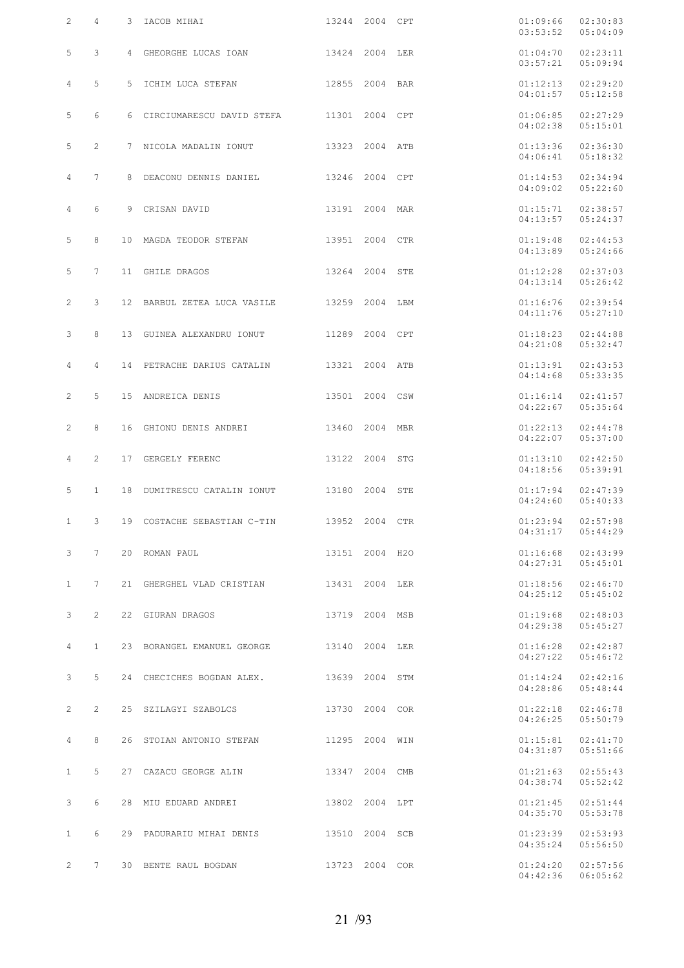| $\overline{2}$                 | 4              | 3 IACOB MIHAI                                               | 13244 2004 CPT |          | 01:09:66<br>03:53:52                           | 02:30:83<br>05:04:09 |
|--------------------------------|----------------|-------------------------------------------------------------|----------------|----------|------------------------------------------------|----------------------|
| 5                              | 3              | 4 GHEORGHE LUCAS IOAN 13424 2004 LER                        |                |          | 01:04:70<br>03:57:21                           | 02:23:11<br>05:09:94 |
| 4                              | 5              | 5 ICHIM LUCA STEFAN 12855 2004 BAR                          |                | 01:12:13 | 04:01:57                                       | 02:29:20<br>05:12:58 |
| 5                              | 6              | 6 CIRCIUMARESCU DAVID STEFA 11301 2004 CPT                  |                | 01:06:85 | 04:02:38                                       | 02:27:29<br>05:15:01 |
| 5                              | $\overline{2}$ | 7 NICOLA MADALIN IONUT 13323 2004 ATB                       |                |          | 01:13:36<br>04:06:41                           | 02:36:30<br>05:18:32 |
| $\overline{4}$                 | $7^{\circ}$    | 8 DEACONU DENNIS DANIEL 13246 2004 CPT                      |                |          | 01:14:53<br>04:09:02                           | 02:34:94<br>05:22:60 |
| $\overline{4}$                 | 6              | 9 CRISAN DAVID 13191 2004 MAR                               |                |          | 01:15:71<br>04:13:57                           | 02:38:57<br>05:24:37 |
| 5                              | 8              | 10 MAGDA TEODOR STEFAN 13951 2004 CTR                       |                |          | 01:19:48<br>04:13:89                           | 02:44:53<br>05:24:66 |
| 5                              | 7              | 11 GHILE DRAGOS 13264 2004 STE                              |                |          | 01:12:28<br>04:13:14                           | 02:37:03<br>05:26:42 |
| $\overline{2}$                 | 3              | 12 BARBUL ZETEA LUCA VASILE 13259 2004 LBM                  |                |          | 01:16:76<br>04:11:76                           | 02:39:54<br>05:27:10 |
| 3                              | 8              | 13 GUINEA ALEXANDRU IONUT 11289 2004 CPT                    |                |          | 01:18:23<br>04:21:08                           | 02:44:88<br>05:32:47 |
| $\overline{4}$                 | 4              | 14 PETRACHE DARIUS CATALIN 13321 2004 ATB                   |                |          | 01:13:91<br>04:14:68                           | 02:43:53<br>05:33:35 |
| $\mathbf{2}^{\prime}$          | 5              | 15 ANDREICA DENIS 13501 2004 CSW                            |                |          | 01:16:14<br>04:22:67                           | 02:41:57<br>05:35:64 |
| $\overline{2}$                 | 8              | 16 GHIONU DENIS ANDREI 13460 2004 MBR                       |                |          | 01:22:13<br>04:22:07                           | 02:44:78<br>05:37:00 |
| $\overline{4}$                 | $\overline{2}$ | 17 GERGELY FERENC 13122 2004 STG                            |                |          | 01:13:10<br>04:18:56                           | 02:42:50<br>05:39:91 |
| 5                              | $\mathbf{1}$   | 18 DUMITRESCU CATALIN IONUT 13180 2004 STE                  |                |          | 01:17:94<br>04:24:60                           | 02:47:39<br>05:40:33 |
| $\mathbf{1}$                   | 3              | 19 COSTACHE SEBASTIAN C-TIN 13952 2004 CTR                  |                | 01:23:94 | 04:31:17                                       | 02:57:98<br>05:44:29 |
| 3 <sup>7</sup>                 | $7\phantom{0}$ | 20 ROMAN PAUL 2004 13151 2004 H2O                           |                |          | 01:16:68<br>$04:27:31$ $05:45:01$              | 02:43:99             |
| $\mathbf{1}$                   | 7              | 21 GHERGHEL VLAD CRISTIAN 13431 2004 LER                    |                |          | $01:18:56$ $02:46:70$<br>04:25:12              | 05:45:02             |
| 3                              | $2^{\circ}$    | 22 GIURAN DRAGOS 13719 2004 MSB                             |                |          | 01:19:68<br>04:29:38 05:45:27                  | 02:48:03             |
| $4\overline{ }$                | $\mathbf{1}$   | 23 BORANGEL EMANUEL GEORGE 13140 2004 LER 01:16:28 02:42:87 |                |          | 04:27:22                                       | 05:46:72             |
| 3                              | 5              | 24 CHECICHES BOGDAN ALEX. 13639 2004 STM 01:14:24           |                |          | 04:28:86                                       | 02:42:16<br>05:48:44 |
| $\mathbf{2}$                   | $\mathbf{2}$   | 25 SZILAGYI SZABOLCS 13730 2004 COR                         |                |          | 01:22:18<br>04:26:25                           | 02:46:78<br>05:50:79 |
| $\overline{4}$                 | 8              | 26 STOIAN ANTONIO STEFAN 11295 2004 WIN 01:15:81            |                |          | 04:31:87                                       | 02:41:70<br>05:51:66 |
| $\mathbf{1}$                   | 5              | 27 CAZACU GEORGE ALIN 13347 2004 CMB                        |                |          | $01:21:63$ $02:55:43$<br>04:38:74              | 05:52:42             |
| 3                              | 6              | 28 MIU EDUARD ANDREI 13802 2004 LPT 01:21:45                |                |          | 04:35:70                                       | 02:51:44<br>05:53:78 |
| $\mathbf{1}$                   | 6              | 29 PADURARIU MIHAI DENIS 13510 2004 SCB                     |                |          | 01:23:39<br>04:35:24                           | 02:53:93<br>05:56:50 |
| $2 \left( \frac{1}{2} \right)$ | 7              | 30 BENTE RAUL BOGDAN 13723 2004 COR                         |                |          | $01:24:20$ $02:57:56$<br>$04:42:36$ $06:05:62$ |                      |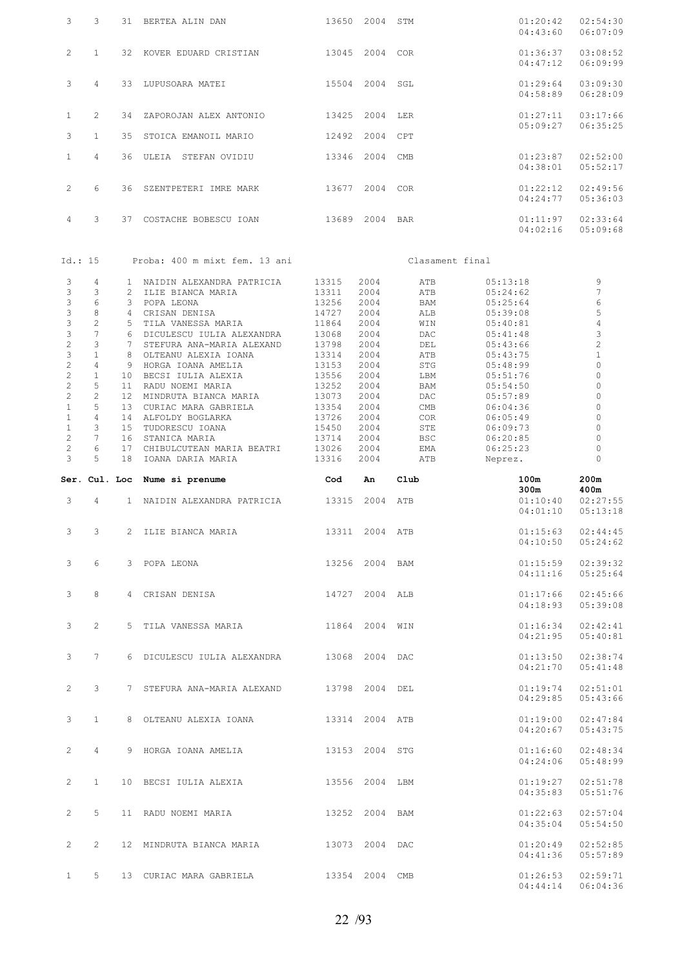| 3                                     | 3                    | 31 BERTEA ALIN DAN                                    |                | 13650 2004 STM |                             | 01:20:42<br>04:43:60 | 02:54:30<br>06:07:09 |
|---------------------------------------|----------------------|-------------------------------------------------------|----------------|----------------|-----------------------------|----------------------|----------------------|
| $\mathbf{2}^{\prime}$                 | $\mathbf{1}$         | 32 KOVER EDUARD CRISTIAN 13045 2004 COR               |                |                |                             | 01:36:37<br>04:47:12 | 03:08:52<br>06:09:99 |
| 3                                     | $\overline{4}$       | 33 LUPUSOARA MATEI                                    |                | 15504 2004     | SGL                         | 01:29:64<br>04:58:89 | 03:09:30<br>06:28:09 |
| $\mathbf{1}$                          | $\overline{2}$       | 34 ZAPOROJAN ALEX ANTONIO                             | 13425 2004 LER |                |                             | 01:27:11             | 03:17:66             |
| 3                                     | $\mathbf{1}$         | 35 STOICA EMANOIL MARIO                               | 12492          | 2004 CPT       |                             | 05:09:27             | 06:35:25             |
| $\mathbf{1}$                          | $\overline{4}$       | 36 ULEIA STEFAN OVIDIU                                |                | 13346 2004 CMB |                             | 01:23:87<br>04:38:01 | 02:52:00<br>05:52:17 |
| $\mathbf{2}^{\prime}$                 | 6                    | 36 SZENTPETERI IMRE MARK                              |                | 13677 2004 COR |                             | 01:22:12<br>04:24:77 | 02:49:56<br>05:36:03 |
| $\overline{4}$                        | 3                    | 37 COSTACHE BOBESCU IOAN 13689 2004 BAR               |                |                |                             | 01:11:97<br>04:02:16 | 02:33:64<br>05:09:68 |
| Id.: 15                               |                      | Proba: 400 m mixt fem. 13 ani                         |                |                | Clasament final             |                      |                      |
| 3                                     | $\overline{4}$       | 1 NAIDIN ALEXANDRA PATRICIA                           | 13315          | 2004           | ATB                         | 05:13:18             | 9                    |
| 3<br>3                                | 3<br>6               | 2 ILIE BIANCA MARIA<br>3 POPA LEONA                   | 13311<br>13256 | 2004<br>2004   | ATB<br><b>BAM</b>           | 05:24:62<br>05:25:64 | $\overline{7}$<br>6  |
| 3                                     | 8                    | 4 CRISAN DENISA                                       | 14727          | 2004           | ALB                         | 05:39:08             | 5                    |
| 3                                     | $\overline{c}$       | 5 TILA VANESSA MARIA                                  | 11864          | 2004           | WIN                         | 05:40:81             | $\overline{4}$       |
| 3                                     | $\overline{7}$       | 6 DICULESCU IULIA ALEXANDRA                           | 13068          | 2004           | <b>DAC</b>                  | 05:41:48             | 3                    |
| $\overline{c}$<br>3                   | 3<br>$\mathbf{1}$    | 7 STEFURA ANA-MARIA ALEXAND<br>8 OLTEANU ALEXIA IOANA | 13798          | 2004<br>2004   | DEL                         | 05:43:66             | 2<br>$\mathbf{1}$    |
| $\overline{c}$                        | $\overline{4}$       | 9 HORGA IOANA AMELIA                                  | 13314<br>13153 | 2004           | ATB<br>STG                  | 05:43:75<br>05:48:99 | $\overline{0}$       |
| $\overline{c}$                        | $\mathbf{1}$         | 10 BECSI IULIA ALEXIA                                 | 13556          | 2004           | LBM                         | 05:51:76             | 0                    |
| $\mathbf{2}^{\prime}$                 | 5                    | 11 RADU NOEMI MARIA                                   | 13252          | 2004           | BAM                         | 05:54:50             | $\Omega$             |
| $\overline{c}$                        | $\overline{c}$       | 12 MINDRUTA BIANCA MARIA                              | 13073          | 2004           | DAC                         | 05:57:89             | 0                    |
| $\mathbf{1}$                          | 5                    | 13 CURIAC MARA GABRIELA                               | 13354          | 2004           | $\mathop{\rm CMB}\nolimits$ | 06:04:36             | $\Omega$             |
| $\mathbf{1}$                          | $\overline{4}$       | 14 ALFOLDY BOGLARKA                                   | 13726          | 2004           | COR                         | 06:05:49             | 0                    |
| $\mathbf{1}$<br>$\mathbf{2}^{\prime}$ | 3<br>$7\phantom{.0}$ | 15 TUDORESCU IOANA<br>16 STANICA MARIA                | 15450<br>13714 | 2004<br>2004   | STE<br><b>BSC</b>           | 06:09:73<br>06:20:85 | $\overline{0}$<br>0  |
| $\mathbf{2}^{\prime}$                 | 6                    | 17 CHIBULCUTEAN MARIA BEATRI                          | 13026          | 2004           | EMA                         | 06:25:23             | $\circ$              |
| 3                                     |                      | 18 IOANA DARIA MARIA                                  |                |                |                             | Neprez.              | $\Omega$             |
|                                       | 5                    |                                                       | 13316          | 2004           | ATB                         |                      |                      |
|                                       |                      | Ser. Cul. Loc Nume si prenume                         | Cod            | An             | $_{\text{Club}}$            | 100m<br>300m         | 200m<br>400m         |
| 3                                     | $\overline{4}$       | 1 NAIDIN ALEXANDRA PATRICIA 13315 2004 ATB            |                |                |                             | 01:10:40<br>04:01:10 | 02:27:55<br>05:13:18 |
| 3                                     | $\mathbf{3}$         | 2 ILIE BIANCA MARIA                                   |                | 13311 2004 ATB |                             | 01:15:63<br>04:10:50 | 02:44:45<br>05:24:62 |
| 3                                     | 6                    | 3 POPA LEONA 13256 2004 BAM                           |                |                |                             | 01:15:59<br>04:11:16 | 02:39:32<br>05:25:64 |
| 3                                     | 8                    | 4 CRISAN DENISA 14727 2004 ALB                        |                |                |                             | 01:17:66<br>04:18:93 | 02:45:66<br>05:39:08 |
| 3                                     | $\overline{2}$       | 5 TILA VANESSA MARIA 6 11864 2004 WIN                 |                |                |                             | 01:16:34<br>04:21:95 | 02:42:41<br>05:40:81 |
| 3                                     | $7^{\circ}$          | 6 DICULESCU IULIA ALEXANDRA 13068 2004 DAC            |                |                |                             | 01:13:50<br>04:21:70 | 02:38:74<br>05:41:48 |
| $\overline{2}$                        | $\mathbf{3}$         | 7 STEFURA ANA-MARIA ALEXAND 13798 2004 DEL            |                |                |                             | 01:19:74<br>04:29:85 | 02:51:01<br>05:43:66 |
| 3                                     | 1                    |                                                       |                |                |                             | 01:19:00<br>04:20:67 | 02:47:84<br>05:43:75 |
| $\mathbf{2}^{\prime}$                 | $4\phantom{0}$       | 9 HORGA IOANA AMELIA 13153 2004 STG                   |                |                |                             | 01:16:60<br>04:24:06 | 02:48:34<br>05:48:99 |
| $\mathbf{2}$                          | $\mathbf{1}$         | 10 BECSI IULIA ALEXIA 13556 2004 LBM                  |                |                |                             | 01:19:27<br>04:35:83 | 02:51:78<br>05:51:76 |
| $\mathbf{2}$                          | 5                    | 11 RADU NOEMI MARIA 13252 2004 BAM                    |                |                |                             | 01:22:63<br>04:35:04 | 02:57:04<br>05:54:50 |
| $\overline{2}$                        | $2^{\circ}$          | 12 MINDRUTA BIANCA MARIA 13073 2004 DAC               |                |                |                             | 01:20:49<br>04:41:36 | 02:52:85<br>05:57:89 |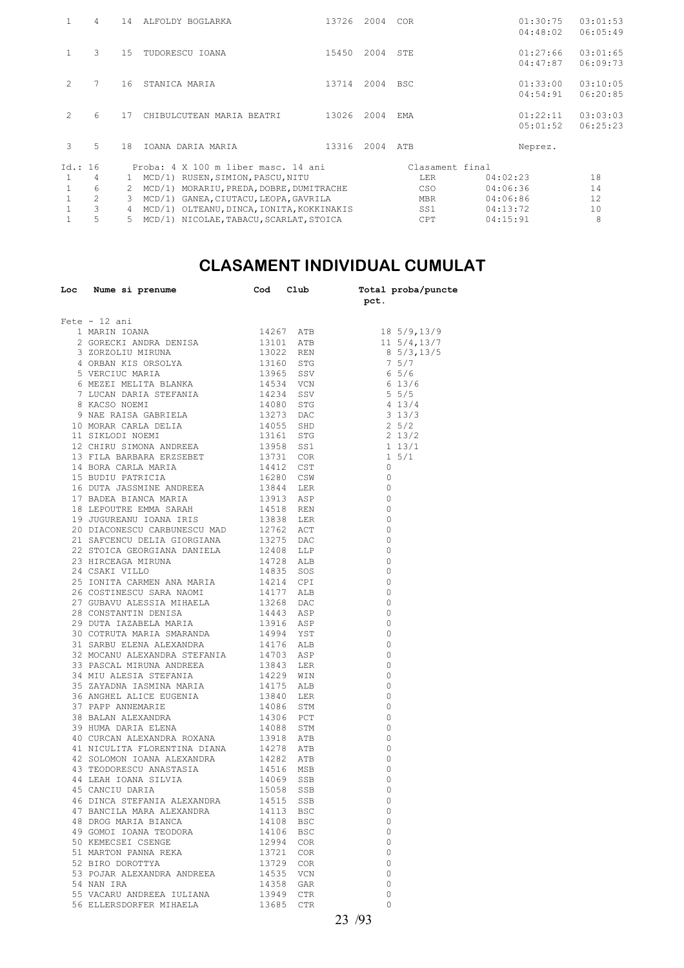| $\mathbf{1}$ | 4              | 14 | ALFOLDY BOGLARKA                             | 13726 | 2004 | COR             | 01:30:75<br>04:48:02 | 03:01:53<br>06:05:49  |
|--------------|----------------|----|----------------------------------------------|-------|------|-----------------|----------------------|-----------------------|
| $\mathbf{1}$ | 3              | 15 | TUDORESCU IOANA                              | 15450 | 2004 | STE             | 01:27:66<br>04:47:87 | 0.3:01:65<br>06:09:73 |
| 2            | 7              | 16 | STANICA MARIA                                | 13714 | 2004 | <b>BSC</b>      | 01:33:00<br>04:54:91 | 03:10:05<br>06:20:85  |
| 2            | 6              | 17 | CHIBULCUTEAN MARIA BEATRI                    | 13026 | 2004 | <b>FMA</b>      | 01:22:11<br>05:01:52 | 03:03:03<br>06:25:23  |
| 3            | 5              | 18 | IOANA DARIA MARIA                            | 13316 | 2004 | ATB             | Neprez.              |                       |
| Id.: 16      |                |    | Proba: 4 X 100 m liber masc. 14 ani          |       |      | Clasament final |                      |                       |
| 1            | 4              | 1. | MCD/1) RUSEN, SIMION, PASCU, NITU            |       |      | <b>LER</b>      | 04:02:23             | 18                    |
| $\mathbf{1}$ | 6              | 2  | MCD/1)<br>MORARIU, PREDA, DOBRE, DUMITRACHE  |       |      | CSO             | 04:06:36             | 14                    |
| $\mathbf{1}$ | $\mathfrak{D}$ | 3  | GANEA, CIUTACU, LEOPA, GAVRILA<br>MCD/1)     |       |      | <b>MBR</b>      | 04:06:86             | 12                    |
|              | 3              | 4  | MCD/1)<br>OLTEANU, DINCA, IONITA, KOKKINAKIS |       |      | SS1             | 04:13:72             | 10                    |
| 1            | 5              | 5. | MCD/1) NICOLAE, TABACU, SCARLAT, STOICA      |       |      | <b>CPT</b>      | 04:15:91             | 8                     |
|              |                |    |                                              |       |      |                 |                      |                       |

#### **CLASAMENT INDIVIDUAL CUMULAT**

| Loc Nume si prenume $\qquad \qquad$ Cod Club $\qquad$ Total proba/puncte                                                                                                                                                                         |           |           | pct.                                       |
|--------------------------------------------------------------------------------------------------------------------------------------------------------------------------------------------------------------------------------------------------|-----------|-----------|--------------------------------------------|
| Fete - $12$ ani                                                                                                                                                                                                                                  |           |           |                                            |
|                                                                                                                                                                                                                                                  |           |           |                                            |
|                                                                                                                                                                                                                                                  |           |           |                                            |
|                                                                                                                                                                                                                                                  |           |           |                                            |
|                                                                                                                                                                                                                                                  |           |           |                                            |
|                                                                                                                                                                                                                                                  |           |           |                                            |
|                                                                                                                                                                                                                                                  |           |           |                                            |
|                                                                                                                                                                                                                                                  |           |           |                                            |
|                                                                                                                                                                                                                                                  |           |           |                                            |
|                                                                                                                                                                                                                                                  |           |           |                                            |
|                                                                                                                                                                                                                                                  |           |           |                                            |
|                                                                                                                                                                                                                                                  |           |           |                                            |
|                                                                                                                                                                                                                                                  |           |           |                                            |
| 13 FILA BARBARA ERZSEBET 13731 COR<br>14 BORA CARLA MARIA 14412 CST<br>15 BUDIU PATRICIA 16280 CSW<br>16 DUTA JASSMINE ANDREEA 13844 LER<br>17 BADEA BIANCA MARIA 13844 LER                                                                      |           |           |                                            |
|                                                                                                                                                                                                                                                  |           |           |                                            |
|                                                                                                                                                                                                                                                  |           |           | $\begin{array}{c} 0 \\ 0 \end{array}$      |
|                                                                                                                                                                                                                                                  |           |           |                                            |
| 17 BADEA BIANCA MARIA 13913 ASP<br>18 LEPOUTRE EMMA SARAH 14518 REN<br>19 JUGUREANU IOANA IRIS 13838 LER<br>20 DIACONESCU CARBUNESCU MAD 12762 ACT                                                                                               |           |           | $\begin{array}{c} 0 \\ 0 \end{array}$      |
|                                                                                                                                                                                                                                                  |           |           |                                            |
|                                                                                                                                                                                                                                                  |           |           | $\overline{0}$                             |
|                                                                                                                                                                                                                                                  |           |           | $\overline{0}$                             |
|                                                                                                                                                                                                                                                  |           |           | $\begin{array}{c} 0 \\ 0 \end{array}$      |
|                                                                                                                                                                                                                                                  |           |           |                                            |
| 21 SAFCENCU DELIA GIORGIANA 19975 DAC<br>22 STOICA GEORGIANA DANIELA 12408 LLP<br>23 HIRCEAGA MIRUNA 14728 ALB<br>24 CSAKI VILLO 14835 SOS                                                                                                       |           |           | $\begin{array}{c} 0 \\ 0 \end{array}$      |
|                                                                                                                                                                                                                                                  |           |           |                                            |
|                                                                                                                                                                                                                                                  |           |           |                                            |
|                                                                                                                                                                                                                                                  |           |           |                                            |
|                                                                                                                                                                                                                                                  |           |           |                                            |
|                                                                                                                                                                                                                                                  |           |           |                                            |
|                                                                                                                                                                                                                                                  |           |           |                                            |
|                                                                                                                                                                                                                                                  |           |           |                                            |
|                                                                                                                                                                                                                                                  |           |           |                                            |
|                                                                                                                                                                                                                                                  |           |           |                                            |
|                                                                                                                                                                                                                                                  |           |           |                                            |
|                                                                                                                                                                                                                                                  |           |           |                                            |
|                                                                                                                                                                                                                                                  |           |           |                                            |
|                                                                                                                                                                                                                                                  |           |           |                                            |
|                                                                                                                                                                                                                                                  |           |           |                                            |
|                                                                                                                                                                                                                                                  |           |           |                                            |
| 35 ZAYADNA IASMINA MARIA 14175 ALB 0<br>35 ZAYADNA IASMINA MARIA 14175 ALB 0<br>37 PAPP ANNEMARIE 13840 LER 0<br>37 PAPP ANNEMARIE 14086 STM 0<br>39 HUMA DARIA ELENA 14306 PCT 0<br>39 HUMA DARIA ELENA 14088 STM 0<br>40 CURCAN ALEXANDRA ROXA |           |           |                                            |
|                                                                                                                                                                                                                                                  |           |           |                                            |
| 41 NICULITA FLORENTINA DIANA 14278 ATB                                                                                                                                                                                                           |           |           | $\overline{0}$                             |
| 42 SOLOMON IOANA ALEXANDRA                                                                                                                                                                                                                       |           | 14282 ATB | $\overline{\phantom{0}}$<br>$\overline{0}$ |
| 43 TEODORESCU ANASTASIA 14516 MSB<br>44 LEAH IOANA SILVIA 14069 SSB<br>45 CANCIU DARIA 15058 SSB<br>45 CANCIU DARIA 15058 SSB                                                                                                                    |           |           | $\overline{0}$                             |
|                                                                                                                                                                                                                                                  |           |           | $\Omega$                                   |
| 46 DINCA STEFANIA ALEXANDRA 14515 SSB                                                                                                                                                                                                            |           |           | $\overline{0}$                             |
| 47 BANCILA MARA ALEXANDRA                                                                                                                                                                                                                        |           | 14113 BSC | 0                                          |
| 48 DROG MARIA BIANCA                                                                                                                                                                                                                             |           | 14108 BSC | 0                                          |
| 49 GOMOI IOANA TEODORA                                                                                                                                                                                                                           | 14106 BSC |           | 0                                          |
| 50 KEMECSEI CSENGE                                                                                                                                                                                                                               |           | 12994 COR | 0                                          |
| 51 MARTON PANNA REKA                                                                                                                                                                                                                             |           | 13721 COR | $\circ$                                    |
| 52 BIRO DOROTTYA                                                                                                                                                                                                                                 |           | 13729 COR | $\circ$                                    |
| 53 POJAR ALEXANDRA ANDREEA                                                                                                                                                                                                                       | 14535 VCN |           | 0                                          |
| 54 NAN IRA                                                                                                                                                                                                                                       |           | 14358 GAR | $\circ$                                    |
| 55 VACARU ANDREEA IULIANA                                                                                                                                                                                                                        | 13949 CTR |           | 0                                          |
| 56 ELLERSDORFER MIHAELA                                                                                                                                                                                                                          |           | 13685 CTR | $\mathbf 0$                                |
|                                                                                                                                                                                                                                                  |           |           |                                            |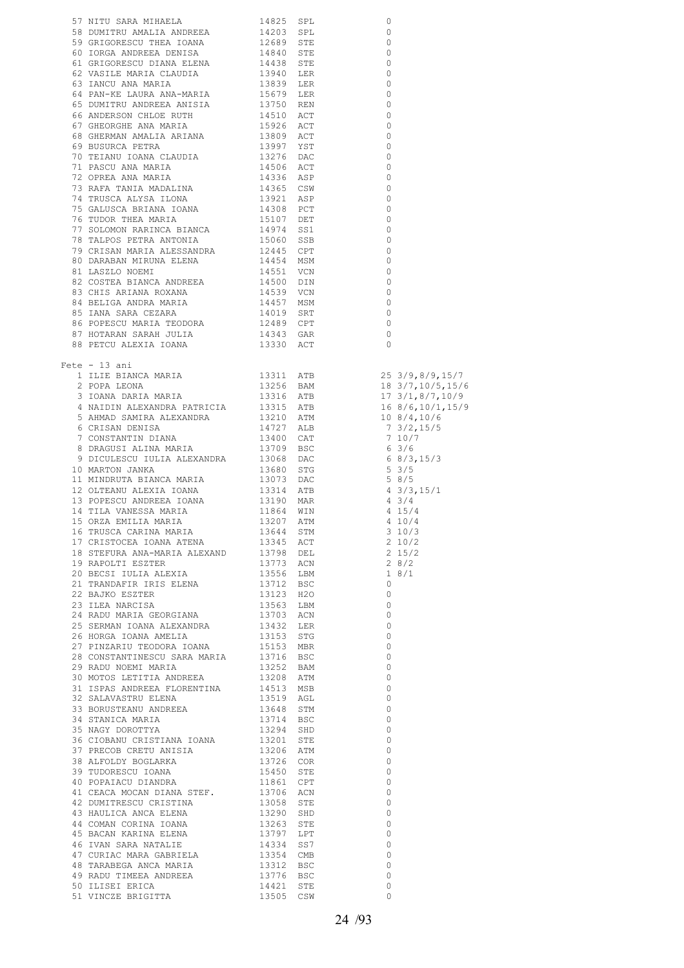| 57 NITU SARA MIHAELA $14025$ SPL 0<br>59 DIMITRIX ANDREEA 14203 SPL 0<br>69 DIMITRIX ANDREEA 14203 SPL 0<br>61 DRGG ANDREEA DENIA 1426 SPT 0<br>61 DRGG ANDREEA DENIA ELENA 1484 STE 0<br>62 VASILE MARIA CLAUDIA 19340 LER<br>64 PAN-KE |  |                                  |  |
|------------------------------------------------------------------------------------------------------------------------------------------------------------------------------------------------------------------------------------------|--|----------------------------------|--|
| $Fete - 13 ani$                                                                                                                                                                                                                          |  |                                  |  |
|                                                                                                                                                                                                                                          |  |                                  |  |
|                                                                                                                                                                                                                                          |  |                                  |  |
|                                                                                                                                                                                                                                          |  |                                  |  |
|                                                                                                                                                                                                                                          |  |                                  |  |
|                                                                                                                                                                                                                                          |  |                                  |  |
|                                                                                                                                                                                                                                          |  |                                  |  |
|                                                                                                                                                                                                                                          |  |                                  |  |
|                                                                                                                                                                                                                                          |  |                                  |  |
|                                                                                                                                                                                                                                          |  |                                  |  |
|                                                                                                                                                                                                                                          |  |                                  |  |
|                                                                                                                                                                                                                                          |  |                                  |  |
|                                                                                                                                                                                                                                          |  |                                  |  |
|                                                                                                                                                                                                                                          |  |                                  |  |
|                                                                                                                                                                                                                                          |  |                                  |  |
|                                                                                                                                                                                                                                          |  |                                  |  |
|                                                                                                                                                                                                                                          |  |                                  |  |
|                                                                                                                                                                                                                                          |  |                                  |  |
|                                                                                                                                                                                                                                          |  |                                  |  |
|                                                                                                                                                                                                                                          |  |                                  |  |
|                                                                                                                                                                                                                                          |  |                                  |  |
|                                                                                                                                                                                                                                          |  |                                  |  |
|                                                                                                                                                                                                                                          |  |                                  |  |
|                                                                                                                                                                                                                                          |  |                                  |  |
|                                                                                                                                                                                                                                          |  |                                  |  |
|                                                                                                                                                                                                                                          |  |                                  |  |
|                                                                                                                                                                                                                                          |  |                                  |  |
|                                                                                                                                                                                                                                          |  |                                  |  |
|                                                                                                                                                                                                                                          |  | $\overline{0}$                   |  |
|                                                                                                                                                                                                                                          |  |                                  |  |
|                                                                                                                                                                                                                                          |  | $\overline{0}$                   |  |
|                                                                                                                                                                                                                                          |  | $\overline{0}$<br>$\overline{0}$ |  |
|                                                                                                                                                                                                                                          |  | $\overline{0}$                   |  |
|                                                                                                                                                                                                                                          |  | $\overline{0}$                   |  |
|                                                                                                                                                                                                                                          |  |                                  |  |
|                                                                                                                                                                                                                                          |  | $\overline{0}$<br>$\overline{0}$ |  |
|                                                                                                                                                                                                                                          |  | $\overline{0}$                   |  |
|                                                                                                                                                                                                                                          |  | $\overline{0}$                   |  |
|                                                                                                                                                                                                                                          |  | $\overline{0}$                   |  |
|                                                                                                                                                                                                                                          |  |                                  |  |
|                                                                                                                                                                                                                                          |  | $\overline{0}$                   |  |
|                                                                                                                                                                                                                                          |  | $\overline{0}$                   |  |
|                                                                                                                                                                                                                                          |  | $\overline{0}$                   |  |
|                                                                                                                                                                                                                                          |  | $\overline{0}$                   |  |
|                                                                                                                                                                                                                                          |  | $\overline{0}$                   |  |
|                                                                                                                                                                                                                                          |  | $\overline{0}$                   |  |
|                                                                                                                                                                                                                                          |  | $\overline{0}$                   |  |
|                                                                                                                                                                                                                                          |  | $\overline{0}$                   |  |
|                                                                                                                                                                                                                                          |  | $\overline{0}$                   |  |
|                                                                                                                                                                                                                                          |  | $\overline{0}$                   |  |
|                                                                                                                                                                                                                                          |  | $\overline{0}$                   |  |
|                                                                                                                                                                                                                                          |  | $\Omega$                         |  |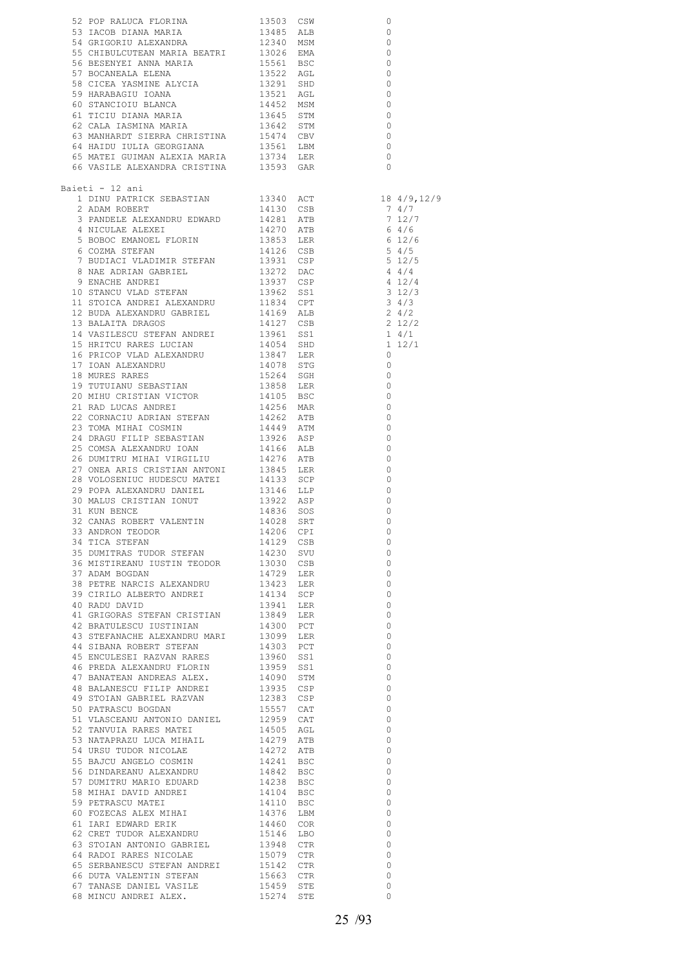| Baieti - 12 ani                                                                                                                                                                                                                            |  |                                            |  |
|--------------------------------------------------------------------------------------------------------------------------------------------------------------------------------------------------------------------------------------------|--|--------------------------------------------|--|
|                                                                                                                                                                                                                                            |  |                                            |  |
|                                                                                                                                                                                                                                            |  |                                            |  |
|                                                                                                                                                                                                                                            |  |                                            |  |
|                                                                                                                                                                                                                                            |  |                                            |  |
|                                                                                                                                                                                                                                            |  |                                            |  |
|                                                                                                                                                                                                                                            |  |                                            |  |
|                                                                                                                                                                                                                                            |  |                                            |  |
|                                                                                                                                                                                                                                            |  |                                            |  |
|                                                                                                                                                                                                                                            |  |                                            |  |
|                                                                                                                                                                                                                                            |  |                                            |  |
|                                                                                                                                                                                                                                            |  |                                            |  |
|                                                                                                                                                                                                                                            |  |                                            |  |
|                                                                                                                                                                                                                                            |  |                                            |  |
|                                                                                                                                                                                                                                            |  |                                            |  |
|                                                                                                                                                                                                                                            |  |                                            |  |
|                                                                                                                                                                                                                                            |  |                                            |  |
|                                                                                                                                                                                                                                            |  |                                            |  |
|                                                                                                                                                                                                                                            |  |                                            |  |
|                                                                                                                                                                                                                                            |  |                                            |  |
|                                                                                                                                                                                                                                            |  |                                            |  |
|                                                                                                                                                                                                                                            |  |                                            |  |
|                                                                                                                                                                                                                                            |  |                                            |  |
| 27 ONEA ARIS CRISTIAN ANTONI 13845 LER<br>28 VOLOSENIUC HUDESCU MATEI 14133 SCP 0<br>29 POPA ALEXANDRU DANIEL 13146 LLP 0<br>30 MAIUS CRISTIAN IONUT 13922 ASP 0<br>31 KUN BENCE 14836 SOS 0<br>32 CANAS ROBERT VALENTIN 14028 SRT 0<br>32 |  |                                            |  |
|                                                                                                                                                                                                                                            |  |                                            |  |
|                                                                                                                                                                                                                                            |  |                                            |  |
| 32 ANDRON TEODOR 14226 SPI 0<br>34 ANDRON TEODOR 14226 CPI 0<br>34 TICA STEFAN 14129 CSB 0<br>35 DUMITRAS TUDOR STEFAN 14230 SVU 0<br>36 MISTIREANU IUSTIN TEODOR 13030 CSB 0<br>37 ADAM BOGDAN 14729 LER 0<br>39 CERILO ALBERTO ANDREI 14 |  |                                            |  |
|                                                                                                                                                                                                                                            |  |                                            |  |
|                                                                                                                                                                                                                                            |  |                                            |  |
|                                                                                                                                                                                                                                            |  |                                            |  |
|                                                                                                                                                                                                                                            |  |                                            |  |
|                                                                                                                                                                                                                                            |  |                                            |  |
|                                                                                                                                                                                                                                            |  | $\overline{0}$<br>$\overline{0}$           |  |
|                                                                                                                                                                                                                                            |  | $\overline{0}$                             |  |
|                                                                                                                                                                                                                                            |  | $\overline{\phantom{0}}$                   |  |
|                                                                                                                                                                                                                                            |  | $\overline{0}$<br>$\overline{0}$           |  |
|                                                                                                                                                                                                                                            |  | $\overline{0}$                             |  |
|                                                                                                                                                                                                                                            |  | $\overline{\phantom{0}}$                   |  |
|                                                                                                                                                                                                                                            |  | $\overline{\phantom{0}}$<br>$\overline{0}$ |  |
|                                                                                                                                                                                                                                            |  | $\overline{0}$                             |  |
|                                                                                                                                                                                                                                            |  | $\overline{0}$                             |  |
|                                                                                                                                                                                                                                            |  | $\overline{0}$                             |  |
|                                                                                                                                                                                                                                            |  | $\overline{0}$<br>$\overline{0}$           |  |
|                                                                                                                                                                                                                                            |  | $\overline{0}$                             |  |
|                                                                                                                                                                                                                                            |  | $\overline{\phantom{0}}$                   |  |
|                                                                                                                                                                                                                                            |  | $\overline{0}$                             |  |
|                                                                                                                                                                                                                                            |  | $\overline{0}$<br>$\overline{0}$           |  |
|                                                                                                                                                                                                                                            |  | $\overline{\phantom{0}}$                   |  |
|                                                                                                                                                                                                                                            |  | $\overline{\phantom{0}}$                   |  |
|                                                                                                                                                                                                                                            |  | $\overline{0}$<br>$\overline{0}$           |  |
|                                                                                                                                                                                                                                            |  | $\overline{0}$                             |  |
|                                                                                                                                                                                                                                            |  | $\overline{0}$                             |  |
|                                                                                                                                                                                                                                            |  | $\overline{\phantom{0}}$                   |  |
|                                                                                                                                                                                                                                            |  | $\Omega$                                   |  |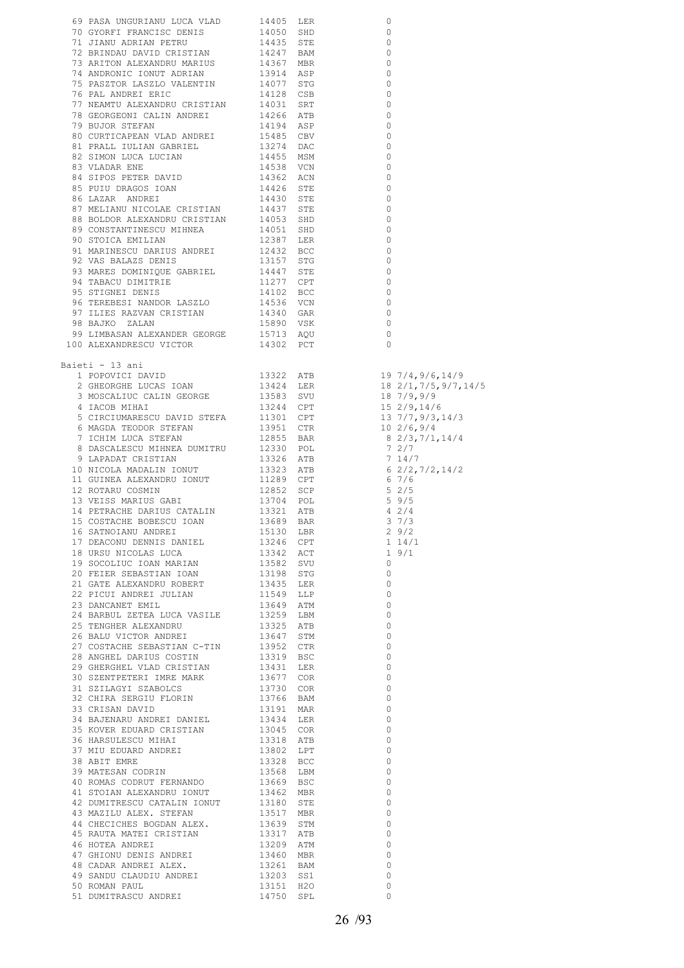| 69 PASA UNGURIANU LUCA VLAD 14405 LER 0 0 GYORET FRANCISC DRIBI 0 1495 SHD 0 71 JIANU DATININ 14435 STE 0 7 BKINDAD DAVID CRISTININ 14435 STE 0 7 BKINDAD DAVID CRISTININ 1497 ABONOUCLOUSE CHANNEL TO THE ANDRE THE CONGENIT<br>Baieti - 13 ani |  |                          |
|--------------------------------------------------------------------------------------------------------------------------------------------------------------------------------------------------------------------------------------------------|--|--------------------------|
|                                                                                                                                                                                                                                                  |  |                          |
|                                                                                                                                                                                                                                                  |  |                          |
|                                                                                                                                                                                                                                                  |  |                          |
|                                                                                                                                                                                                                                                  |  |                          |
|                                                                                                                                                                                                                                                  |  |                          |
|                                                                                                                                                                                                                                                  |  |                          |
|                                                                                                                                                                                                                                                  |  |                          |
|                                                                                                                                                                                                                                                  |  |                          |
|                                                                                                                                                                                                                                                  |  |                          |
|                                                                                                                                                                                                                                                  |  |                          |
|                                                                                                                                                                                                                                                  |  |                          |
|                                                                                                                                                                                                                                                  |  |                          |
|                                                                                                                                                                                                                                                  |  |                          |
|                                                                                                                                                                                                                                                  |  |                          |
|                                                                                                                                                                                                                                                  |  |                          |
|                                                                                                                                                                                                                                                  |  |                          |
|                                                                                                                                                                                                                                                  |  |                          |
|                                                                                                                                                                                                                                                  |  |                          |
|                                                                                                                                                                                                                                                  |  |                          |
|                                                                                                                                                                                                                                                  |  |                          |
|                                                                                                                                                                                                                                                  |  |                          |
|                                                                                                                                                                                                                                                  |  |                          |
|                                                                                                                                                                                                                                                  |  |                          |
|                                                                                                                                                                                                                                                  |  |                          |
|                                                                                                                                                                                                                                                  |  |                          |
|                                                                                                                                                                                                                                                  |  |                          |
|                                                                                                                                                                                                                                                  |  |                          |
|                                                                                                                                                                                                                                                  |  |                          |
|                                                                                                                                                                                                                                                  |  |                          |
|                                                                                                                                                                                                                                                  |  |                          |
|                                                                                                                                                                                                                                                  |  |                          |
|                                                                                                                                                                                                                                                  |  |                          |
|                                                                                                                                                                                                                                                  |  |                          |
|                                                                                                                                                                                                                                                  |  |                          |
|                                                                                                                                                                                                                                                  |  |                          |
|                                                                                                                                                                                                                                                  |  |                          |
|                                                                                                                                                                                                                                                  |  |                          |
|                                                                                                                                                                                                                                                  |  |                          |
|                                                                                                                                                                                                                                                  |  |                          |
|                                                                                                                                                                                                                                                  |  |                          |
|                                                                                                                                                                                                                                                  |  |                          |
|                                                                                                                                                                                                                                                  |  | $\overline{0}$           |
|                                                                                                                                                                                                                                                  |  | $\overline{0}$           |
|                                                                                                                                                                                                                                                  |  | $\overline{0}$           |
|                                                                                                                                                                                                                                                  |  | $\overline{\phantom{0}}$ |
|                                                                                                                                                                                                                                                  |  | $\overline{0}$           |
|                                                                                                                                                                                                                                                  |  | $\overline{0}$           |
|                                                                                                                                                                                                                                                  |  | $\overline{0}$           |
|                                                                                                                                                                                                                                                  |  | $\overline{0}$           |
|                                                                                                                                                                                                                                                  |  | $\circ$                  |
| 41 STOIAN ALEXANDRU IONUT 19462 MBR<br>42 DUMITRESCU CATALIN IONUT 19180 STE<br>43 MAZILU ALEX. STEFAN 1959 STM<br>44 CHECTCHES BOGDAN ALEX. 19639 STM<br>45 RAUTA MATEI CRISTIAN 19317 ATB<br>46 HOTEA ANDREI CRISTIAN 19209 ATM<br>47 GH       |  | $\overline{0}$           |
|                                                                                                                                                                                                                                                  |  |                          |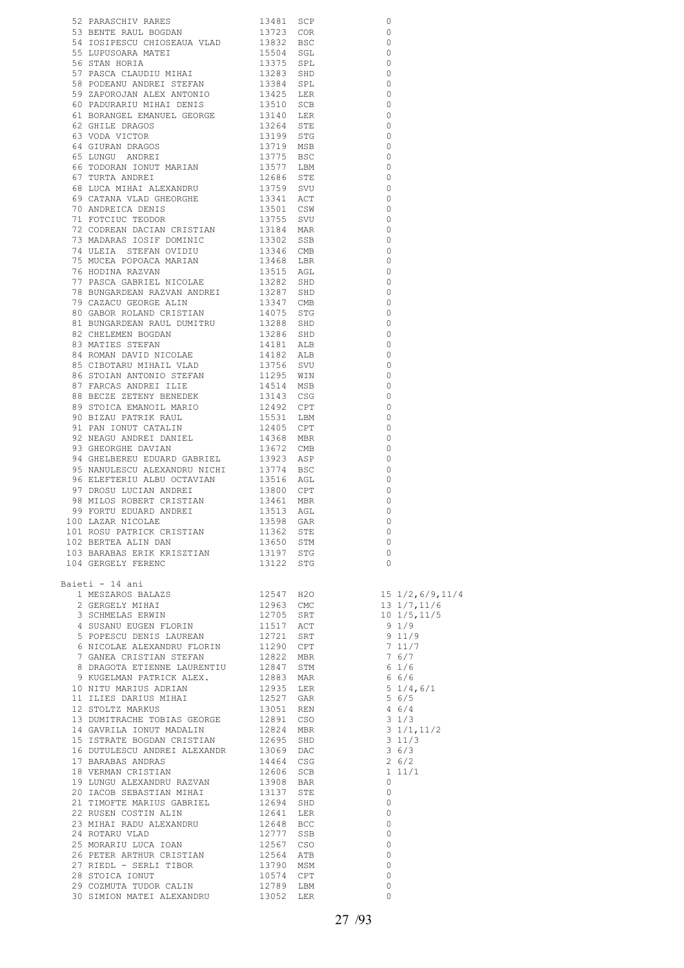| 52 PARASCHIV RADES 13481 SCP 13481 SCP 5 BENNE RADIO DODAN 13481 SCP 5 BUNISARA MATE<br>54 TOSTPERSUL CHOSEAN AVAD 13723 COR<br>54 TOSTPERSUL CHOSEAN AVAD 13524 SEC 155 DEN BORT PASCA CHADITION THAT 153375 SET 1978 SCP STAN H                                                                                                                                                                                                                                                                                                                                                                                                                                                                                                                                                                   |  | $\circ$                                              |  |
|-----------------------------------------------------------------------------------------------------------------------------------------------------------------------------------------------------------------------------------------------------------------------------------------------------------------------------------------------------------------------------------------------------------------------------------------------------------------------------------------------------------------------------------------------------------------------------------------------------------------------------------------------------------------------------------------------------------------------------------------------------------------------------------------------------|--|------------------------------------------------------|--|
|                                                                                                                                                                                                                                                                                                                                                                                                                                                                                                                                                                                                                                                                                                                                                                                                     |  | 0                                                    |  |
|                                                                                                                                                                                                                                                                                                                                                                                                                                                                                                                                                                                                                                                                                                                                                                                                     |  | $\overline{0}$                                       |  |
|                                                                                                                                                                                                                                                                                                                                                                                                                                                                                                                                                                                                                                                                                                                                                                                                     |  | $\qquad \qquad \circ$                                |  |
|                                                                                                                                                                                                                                                                                                                                                                                                                                                                                                                                                                                                                                                                                                                                                                                                     |  | $\circ$                                              |  |
|                                                                                                                                                                                                                                                                                                                                                                                                                                                                                                                                                                                                                                                                                                                                                                                                     |  | $\overline{0}$                                       |  |
|                                                                                                                                                                                                                                                                                                                                                                                                                                                                                                                                                                                                                                                                                                                                                                                                     |  | $\bigcirc$                                           |  |
|                                                                                                                                                                                                                                                                                                                                                                                                                                                                                                                                                                                                                                                                                                                                                                                                     |  | $\overline{0}$                                       |  |
|                                                                                                                                                                                                                                                                                                                                                                                                                                                                                                                                                                                                                                                                                                                                                                                                     |  | $\circ$                                              |  |
|                                                                                                                                                                                                                                                                                                                                                                                                                                                                                                                                                                                                                                                                                                                                                                                                     |  | $\overline{\phantom{0}}$                             |  |
|                                                                                                                                                                                                                                                                                                                                                                                                                                                                                                                                                                                                                                                                                                                                                                                                     |  | $\bigcirc$                                           |  |
|                                                                                                                                                                                                                                                                                                                                                                                                                                                                                                                                                                                                                                                                                                                                                                                                     |  | $\overline{\phantom{0}}$                             |  |
|                                                                                                                                                                                                                                                                                                                                                                                                                                                                                                                                                                                                                                                                                                                                                                                                     |  | $\overline{\phantom{0}}$                             |  |
|                                                                                                                                                                                                                                                                                                                                                                                                                                                                                                                                                                                                                                                                                                                                                                                                     |  | $\overline{\phantom{0}}$                             |  |
|                                                                                                                                                                                                                                                                                                                                                                                                                                                                                                                                                                                                                                                                                                                                                                                                     |  | $\bigcirc$                                           |  |
|                                                                                                                                                                                                                                                                                                                                                                                                                                                                                                                                                                                                                                                                                                                                                                                                     |  | $\overline{\phantom{0}}$                             |  |
|                                                                                                                                                                                                                                                                                                                                                                                                                                                                                                                                                                                                                                                                                                                                                                                                     |  | $\circ$                                              |  |
|                                                                                                                                                                                                                                                                                                                                                                                                                                                                                                                                                                                                                                                                                                                                                                                                     |  | $\overline{0}$                                       |  |
|                                                                                                                                                                                                                                                                                                                                                                                                                                                                                                                                                                                                                                                                                                                                                                                                     |  | $\overline{0}$                                       |  |
|                                                                                                                                                                                                                                                                                                                                                                                                                                                                                                                                                                                                                                                                                                                                                                                                     |  | $\overline{\phantom{0}}$<br>$\overline{\phantom{0}}$ |  |
|                                                                                                                                                                                                                                                                                                                                                                                                                                                                                                                                                                                                                                                                                                                                                                                                     |  | $\circ$                                              |  |
|                                                                                                                                                                                                                                                                                                                                                                                                                                                                                                                                                                                                                                                                                                                                                                                                     |  | $\overline{0}$                                       |  |
|                                                                                                                                                                                                                                                                                                                                                                                                                                                                                                                                                                                                                                                                                                                                                                                                     |  | $\circ$                                              |  |
|                                                                                                                                                                                                                                                                                                                                                                                                                                                                                                                                                                                                                                                                                                                                                                                                     |  | $\overline{0}$                                       |  |
|                                                                                                                                                                                                                                                                                                                                                                                                                                                                                                                                                                                                                                                                                                                                                                                                     |  | $\circ$                                              |  |
|                                                                                                                                                                                                                                                                                                                                                                                                                                                                                                                                                                                                                                                                                                                                                                                                     |  | $\overline{0}$                                       |  |
|                                                                                                                                                                                                                                                                                                                                                                                                                                                                                                                                                                                                                                                                                                                                                                                                     |  | $\bigcirc$                                           |  |
|                                                                                                                                                                                                                                                                                                                                                                                                                                                                                                                                                                                                                                                                                                                                                                                                     |  | 0                                                    |  |
|                                                                                                                                                                                                                                                                                                                                                                                                                                                                                                                                                                                                                                                                                                                                                                                                     |  | 0                                                    |  |
|                                                                                                                                                                                                                                                                                                                                                                                                                                                                                                                                                                                                                                                                                                                                                                                                     |  | 0                                                    |  |
|                                                                                                                                                                                                                                                                                                                                                                                                                                                                                                                                                                                                                                                                                                                                                                                                     |  | 0                                                    |  |
|                                                                                                                                                                                                                                                                                                                                                                                                                                                                                                                                                                                                                                                                                                                                                                                                     |  | 0                                                    |  |
|                                                                                                                                                                                                                                                                                                                                                                                                                                                                                                                                                                                                                                                                                                                                                                                                     |  | 0                                                    |  |
|                                                                                                                                                                                                                                                                                                                                                                                                                                                                                                                                                                                                                                                                                                                                                                                                     |  | $\Omega$                                             |  |
|                                                                                                                                                                                                                                                                                                                                                                                                                                                                                                                                                                                                                                                                                                                                                                                                     |  | $\Omega$                                             |  |
|                                                                                                                                                                                                                                                                                                                                                                                                                                                                                                                                                                                                                                                                                                                                                                                                     |  | $\Omega$                                             |  |
|                                                                                                                                                                                                                                                                                                                                                                                                                                                                                                                                                                                                                                                                                                                                                                                                     |  | 0                                                    |  |
|                                                                                                                                                                                                                                                                                                                                                                                                                                                                                                                                                                                                                                                                                                                                                                                                     |  | $\Omega$                                             |  |
|                                                                                                                                                                                                                                                                                                                                                                                                                                                                                                                                                                                                                                                                                                                                                                                                     |  | $\Omega$                                             |  |
|                                                                                                                                                                                                                                                                                                                                                                                                                                                                                                                                                                                                                                                                                                                                                                                                     |  | $\Omega$                                             |  |
|                                                                                                                                                                                                                                                                                                                                                                                                                                                                                                                                                                                                                                                                                                                                                                                                     |  | 0                                                    |  |
|                                                                                                                                                                                                                                                                                                                                                                                                                                                                                                                                                                                                                                                                                                                                                                                                     |  | 0                                                    |  |
|                                                                                                                                                                                                                                                                                                                                                                                                                                                                                                                                                                                                                                                                                                                                                                                                     |  | 0                                                    |  |
|                                                                                                                                                                                                                                                                                                                                                                                                                                                                                                                                                                                                                                                                                                                                                                                                     |  | 0                                                    |  |
|                                                                                                                                                                                                                                                                                                                                                                                                                                                                                                                                                                                                                                                                                                                                                                                                     |  | 0                                                    |  |
|                                                                                                                                                                                                                                                                                                                                                                                                                                                                                                                                                                                                                                                                                                                                                                                                     |  | 0                                                    |  |
|                                                                                                                                                                                                                                                                                                                                                                                                                                                                                                                                                                                                                                                                                                                                                                                                     |  | $\circ$                                              |  |
|                                                                                                                                                                                                                                                                                                                                                                                                                                                                                                                                                                                                                                                                                                                                                                                                     |  |                                                      |  |
|                                                                                                                                                                                                                                                                                                                                                                                                                                                                                                                                                                                                                                                                                                                                                                                                     |  | $\overline{0}$                                       |  |
|                                                                                                                                                                                                                                                                                                                                                                                                                                                                                                                                                                                                                                                                                                                                                                                                     |  |                                                      |  |
| 104 GERGELY FERENC 13122 STG                                                                                                                                                                                                                                                                                                                                                                                                                                                                                                                                                                                                                                                                                                                                                                        |  | $\overline{0}$                                       |  |
|                                                                                                                                                                                                                                                                                                                                                                                                                                                                                                                                                                                                                                                                                                                                                                                                     |  |                                                      |  |
| Baieti - 14 ani                                                                                                                                                                                                                                                                                                                                                                                                                                                                                                                                                                                                                                                                                                                                                                                     |  |                                                      |  |
| 1991 - 14 ani 1992<br>1 MESZAROS BALAZS 12547 H2O 15 1/2,6/9,11/4<br>2 GERGELY MIHAI 12963 CMC 13 1/7,11/6<br>3 SCHMELAS ERWIN 12705 SRT 10 1/5,11/5<br>4 SUSANU EUGEN FLORIN 11517 ACT 9 1/9<br>5 POPESCU DENIS LAUREAN 12721 SRT 9 11/                                                                                                                                                                                                                                                                                                                                                                                                                                                                                                                                                            |  |                                                      |  |
|                                                                                                                                                                                                                                                                                                                                                                                                                                                                                                                                                                                                                                                                                                                                                                                                     |  |                                                      |  |
|                                                                                                                                                                                                                                                                                                                                                                                                                                                                                                                                                                                                                                                                                                                                                                                                     |  |                                                      |  |
|                                                                                                                                                                                                                                                                                                                                                                                                                                                                                                                                                                                                                                                                                                                                                                                                     |  |                                                      |  |
|                                                                                                                                                                                                                                                                                                                                                                                                                                                                                                                                                                                                                                                                                                                                                                                                     |  |                                                      |  |
|                                                                                                                                                                                                                                                                                                                                                                                                                                                                                                                                                                                                                                                                                                                                                                                                     |  |                                                      |  |
|                                                                                                                                                                                                                                                                                                                                                                                                                                                                                                                                                                                                                                                                                                                                                                                                     |  |                                                      |  |
|                                                                                                                                                                                                                                                                                                                                                                                                                                                                                                                                                                                                                                                                                                                                                                                                     |  |                                                      |  |
|                                                                                                                                                                                                                                                                                                                                                                                                                                                                                                                                                                                                                                                                                                                                                                                                     |  |                                                      |  |
|                                                                                                                                                                                                                                                                                                                                                                                                                                                                                                                                                                                                                                                                                                                                                                                                     |  |                                                      |  |
|                                                                                                                                                                                                                                                                                                                                                                                                                                                                                                                                                                                                                                                                                                                                                                                                     |  |                                                      |  |
|                                                                                                                                                                                                                                                                                                                                                                                                                                                                                                                                                                                                                                                                                                                                                                                                     |  |                                                      |  |
|                                                                                                                                                                                                                                                                                                                                                                                                                                                                                                                                                                                                                                                                                                                                                                                                     |  |                                                      |  |
|                                                                                                                                                                                                                                                                                                                                                                                                                                                                                                                                                                                                                                                                                                                                                                                                     |  |                                                      |  |
| $\begin{tabular}{l c c c c c c} \hline \text{\textit{i}} & \text{\textit{j}} & \text{\textit{i}} & \text{\textit{i}} & \text{\textit{i}} & \text{\textit{i}} & \text{\textit{i}} & \text{\textit{i}} & \text{\textit{i}} & \text{\textit{i}} & \text{\textit{i}} & \text{\textit{i}} & \text{\textit{i}} & \text{\textit{i}} & \text{\textit{i}} & \text{\textit{i}} & \text{\textit{i}} & \text{\textit{i}} & \text{\textit{i}} & \text{\textit{i}} & \text{\textit{i}} & \text{\textit{i}} & \text{\textit{i}} & \text{\textit{i}} & \text{\textit$<br>15 ISTRATE BOGDAN CRISTIAN<br>16 DUTULESCU ANDREI ALEXANDR<br>17 BARABAS ANDRAS 13069 DAC 36/3<br>17 BARABAS ANDRAS 14464 CSG 26/2<br>18 VERMAN CRISTIAN 12606 SCB 1 11/1<br>19 LUNGU ALEXANDRU RAZVAN 13308 BAR<br>20 IACOB SEBASTIAN MIH |  |                                                      |  |
|                                                                                                                                                                                                                                                                                                                                                                                                                                                                                                                                                                                                                                                                                                                                                                                                     |  |                                                      |  |
|                                                                                                                                                                                                                                                                                                                                                                                                                                                                                                                                                                                                                                                                                                                                                                                                     |  |                                                      |  |
|                                                                                                                                                                                                                                                                                                                                                                                                                                                                                                                                                                                                                                                                                                                                                                                                     |  |                                                      |  |
|                                                                                                                                                                                                                                                                                                                                                                                                                                                                                                                                                                                                                                                                                                                                                                                                     |  |                                                      |  |
|                                                                                                                                                                                                                                                                                                                                                                                                                                                                                                                                                                                                                                                                                                                                                                                                     |  |                                                      |  |
|                                                                                                                                                                                                                                                                                                                                                                                                                                                                                                                                                                                                                                                                                                                                                                                                     |  |                                                      |  |
|                                                                                                                                                                                                                                                                                                                                                                                                                                                                                                                                                                                                                                                                                                                                                                                                     |  |                                                      |  |
|                                                                                                                                                                                                                                                                                                                                                                                                                                                                                                                                                                                                                                                                                                                                                                                                     |  |                                                      |  |
|                                                                                                                                                                                                                                                                                                                                                                                                                                                                                                                                                                                                                                                                                                                                                                                                     |  |                                                      |  |
|                                                                                                                                                                                                                                                                                                                                                                                                                                                                                                                                                                                                                                                                                                                                                                                                     |  |                                                      |  |
|                                                                                                                                                                                                                                                                                                                                                                                                                                                                                                                                                                                                                                                                                                                                                                                                     |  |                                                      |  |
|                                                                                                                                                                                                                                                                                                                                                                                                                                                                                                                                                                                                                                                                                                                                                                                                     |  |                                                      |  |
|                                                                                                                                                                                                                                                                                                                                                                                                                                                                                                                                                                                                                                                                                                                                                                                                     |  |                                                      |  |
| 30 SIMION MATEI ALEXANDRU 13052 LER                                                                                                                                                                                                                                                                                                                                                                                                                                                                                                                                                                                                                                                                                                                                                                 |  | $\circ$                                              |  |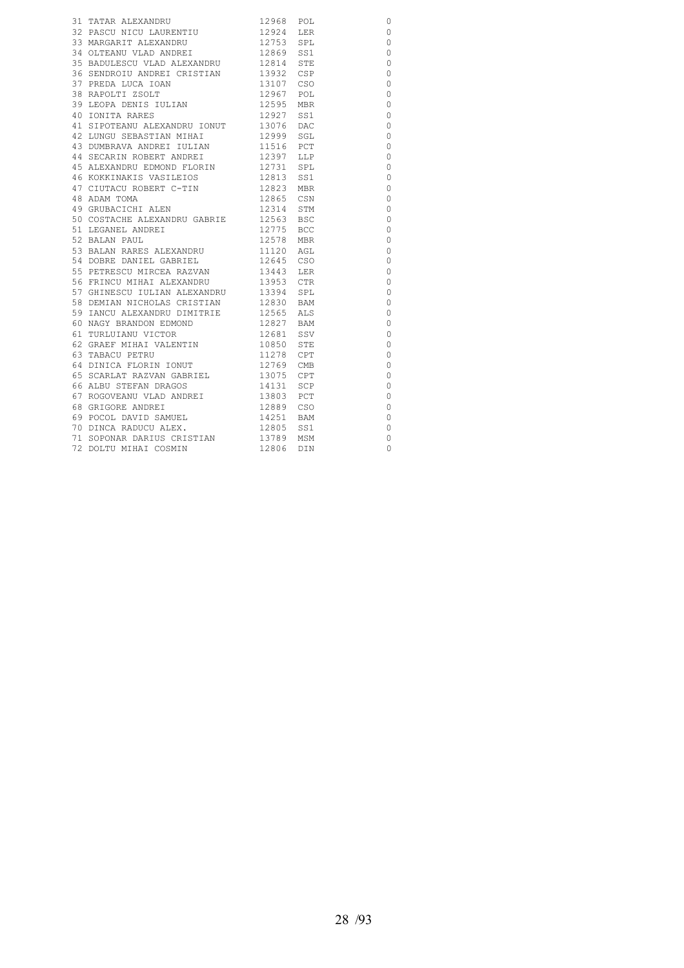| 31 TATAR ALEXANDRU                                                                                                                                                                         | 12968 POL              | $\circ$        |
|--------------------------------------------------------------------------------------------------------------------------------------------------------------------------------------------|------------------------|----------------|
| 32 PASCU NICU LAURENTIU 12924 LER                                                                                                                                                          |                        | $\circ$        |
|                                                                                                                                                                                            |                        | $\circ$        |
|                                                                                                                                                                                            |                        | $\circ$        |
| 35 BADULESCU VLAD ALEXANDRU 12814 STE                                                                                                                                                      |                        | $\circ$        |
| 36 SENDROIU ANDREI CRISTIAN 13932 CSP                                                                                                                                                      |                        | $\circ$        |
|                                                                                                                                                                                            |                        | $\circ$        |
|                                                                                                                                                                                            |                        | $\circ$        |
|                                                                                                                                                                                            |                        | $\overline{0}$ |
| 40 IONITA RARES                                                                                                                                                                            | 12927 SS1              | $\circ$        |
| 41 SIPOTEANU ALEXANDRU IONUT 13076 DAC                                                                                                                                                     |                        | $\circ$        |
|                                                                                                                                                                                            |                        | 0              |
| 42 LUNGU SEBASTIAN MIHAI<br>43 DUMBRAVA ANDREI IULIAN                                                                                                                                      | 12999 SGL<br>11516 PCT | $\circ$        |
| 44 SECARIN ROBERT ANDREI                                                                                                                                                                   | 12397 LLP              | $\circ$        |
| 45 ALEXANDRU EDMOND FLORIN 12731 SPL                                                                                                                                                       |                        | $\circ$        |
| 46 KOKKINAKIS VASILEIOS 12813 SS1<br>47 CIUTACU ROBERT C-TIN 12823 MBR                                                                                                                     |                        | $\circ$        |
| 47 CIUTACU ROBERT C-TIN                                                                                                                                                                    |                        | $\overline{0}$ |
| 48 ADAM TOMA                                                                                                                                                                               | 12865 CSN              | $\circ$        |
| 49 GRUBACICHI ALEN                                                                                                                                                                         | 12314 STM              | $\circ$        |
| 50 COSTACHE ALEXANDRU GABRIE 12563 BSC                                                                                                                                                     |                        | $\overline{0}$ |
| 51 LEGANEL ANDREI<br>52 BALAN PAUL                                                                                                                                                         | 12775 BCC              | $\circ$        |
| 52 BALAN PAUL                                                                                                                                                                              | 12578 MBR              | $\circ$        |
| 53 BALAN RARES ALEXANDRU 11120 AGL                                                                                                                                                         |                        | $\circ$        |
| 54 DOBRE DANIEL GABRIEL 12645 CSO                                                                                                                                                          |                        | $\circ$        |
|                                                                                                                                                                                            |                        | $\circ$        |
| 55 PETRESCU MIRCEA RAZVAN<br>56 FRINCU MIHAI ALEXANDRU                                                                                                                                     | 13443 LER<br>13953 CTR | $\circ$        |
| 57 GHINESCU IULIAN ALEXANDRU 13394 SPL                                                                                                                                                     |                        | $\circ$        |
| 58 DEMIAN NICHOLAS CRISTIAN 12830 BAM                                                                                                                                                      |                        | $\circ$        |
|                                                                                                                                                                                            |                        | $\circ$        |
|                                                                                                                                                                                            |                        | $\circ$        |
| $\begin{tabular}{lllllllll} 59 & IANCU & ALEXANDRU & DIMITRIE & & 12565 & ALS \\ 60 & NAGY & BRANDON & EDMOND & & 12827 & BAM \\ 61 & TURLUIANU & VICTOR & & 12681 & SSV \\ \end{tabular}$ |                        | $\circ$        |
| 62 GRAEF MIHAI VALENTIN 10850 STE                                                                                                                                                          |                        | $\circ$        |
| 62 JONES HARRY MARINE 1278 CPT<br>63 TABACU PETRU 12769 CMB<br>65 SCARLAT RAZVAN GABRIEL 13075 CPT                                                                                         |                        | $\circ$        |
|                                                                                                                                                                                            |                        | $\circ$        |
|                                                                                                                                                                                            |                        | $\circ$        |
| 66 ALBU STEFAN DRAGOS                                                                                                                                                                      | 14131 SCP              | 0              |
| 67 ROGOVEANU VLAD ANDREI 13803 PCT                                                                                                                                                         |                        | $\circ$        |
| 68 GRIGORE ANDREI                                                                                                                                                                          |                        | $\circ$        |
| 69 POCOL DAVID SAMUEL<br>70 DINCA BARYOT                                                                                                                                                   | 12889 CSO<br>14251 BAM | $\circ$        |
| 70 DINCA RADUCU ALEX.                                                                                                                                                                      | 12805 SS1              | $\circ$        |
| 71 SOPONAR DARIUS CRISTIAN 13789 MSM                                                                                                                                                       |                        | $\circ$        |
| 72 DOLTU MIHAI COSMIN                                                                                                                                                                      | 12806 DIN              | $\Omega$       |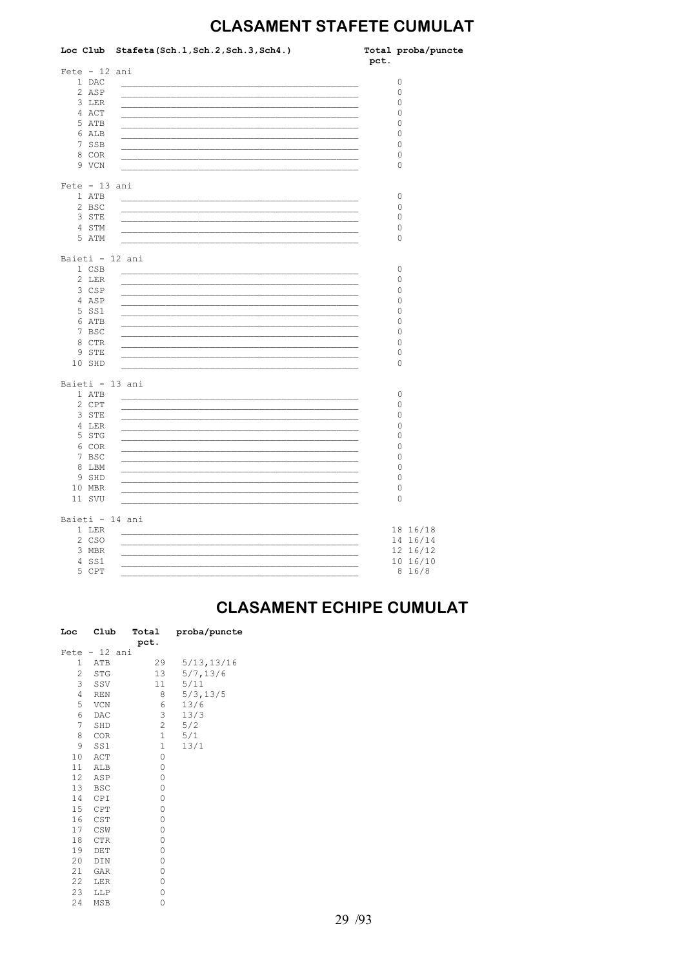## **CLASAMENT STAFETE CUMULAT**

|                 | Loc Club Stafeta (Sch. 1, Sch. 2, Sch. 3, Sch4.)          | pct. | Total proba/puncte |
|-----------------|-----------------------------------------------------------|------|--------------------|
| $Fete - 12 ani$ |                                                           |      |                    |
| 1 DAC           |                                                           |      | 0                  |
| 2 ASP           |                                                           |      | 0                  |
| 3 LER           |                                                           |      | 0                  |
| 4 ACT           |                                                           |      | 0                  |
| 5 ATB           |                                                           |      | 0                  |
| 6 ALB           |                                                           |      | 0                  |
| 7 SSB           |                                                           |      | $\circ$            |
| 8 COR           |                                                           |      | 0                  |
| 9 VCN           |                                                           |      | 0                  |
|                 |                                                           |      |                    |
| $Fete - 13 ani$ |                                                           |      |                    |
| 1 ATB           |                                                           |      | 0                  |
| 2 BSC           |                                                           |      | $\circ$            |
| 3 STE           | <u> 1980 - Jan Stein, Amerikaansk kalendaris (* 1908)</u> |      | 0                  |
| 4 STM           |                                                           |      | 0                  |
| 5 ATM           |                                                           |      | 0                  |
|                 |                                                           |      |                    |
| Baieti - 12 ani |                                                           |      |                    |
| 1 CSB           |                                                           |      | 0                  |
| 2 LER           |                                                           |      | 0                  |
| 3 CSP           |                                                           |      | 0                  |
| 4 ASP           |                                                           |      | 0                  |
| 5 SS1           |                                                           |      | 0                  |
| 6 ATB           |                                                           |      | 0                  |
| 7 BSC           |                                                           |      | 0                  |
| 8 CTR           |                                                           |      | 0                  |
| 9 STE           |                                                           |      | 0                  |
| 10 SHD          |                                                           |      | 0                  |
| Baieti - 13 ani |                                                           |      |                    |
| 1 ATB           |                                                           |      | 0                  |
| 2 CPT           |                                                           |      | 0                  |
| 3 STE           |                                                           |      | 0                  |
| 4 LER           |                                                           |      | 0                  |
| 5 STG           |                                                           |      | 0                  |
| 6 COR           |                                                           |      | 0                  |
| 7 BSC           |                                                           |      | 0                  |
| 8 LBM           |                                                           |      | 0                  |
|                 |                                                           |      |                    |
| 9 SHD           |                                                           |      | 0                  |
| 10 MBR          |                                                           |      | $\circ$            |
| 11 SVU          |                                                           |      | $\circ$            |
| Baieti - 14 ani |                                                           |      |                    |
| 1 LER           |                                                           |      | 18 16/18           |
| 2 CSO           | <u> 1980 - John Stone, Amerikaansk politiker (* 1908)</u> |      | 14 16/14           |
| 3 MBR           |                                                           |      | 12 16/12           |
| 4 SS1           |                                                           |      | 10 16/10           |
| 5 CPT           |                                                           |      | 8 16/8             |
|                 |                                                           |      |                    |

#### **CLASAMENT ECHIPE CUMULAT**

| Loc            | Club          | Total<br>pct.  | proba/puncte |
|----------------|---------------|----------------|--------------|
|                | Fete - 12 ani |                |              |
| $\mathbf{1}$   | ATB           | 29             | 5/13, 13/16  |
| $\overline{2}$ | STG           | 13             | 5/7, 13/6    |
| 3              | SSV           | 11             | 5/11         |
| $\overline{4}$ | <b>REN</b>    | 8              | 5/3, 13/5    |
| 5              | VCN           | 6              | 13/6         |
| 6              | DAC           | 3              | 13/3         |
| $7^{\circ}$    | SHD           | $\overline{c}$ | 5/2          |
| 8              | COR           | $\mathbf 1$    | 5/1          |
| 9              | SS1           | 1              | 13/1         |
| 10             | ACT           | 0              |              |
| 11             | ALB           | 0              |              |
| 12             | ASP           | $\mathbf 0$    |              |
| 13             | BSC           | 0              |              |
| 14             | CPI           | 0              |              |
| 15             | CPT           | 0              |              |
| 16             | CST           | 0              |              |
| 17             | CSW           | 0              |              |
| 18             | CTR           | 0              |              |
| 19             | DET           | 0              |              |
| 20             | DIN           | 0              |              |
| 21             | GAR           | 0              |              |
| 22             | LER           | 0              |              |
| 23             | LLP           | 0              |              |
| 24             | <b>MSB</b>    | 0              |              |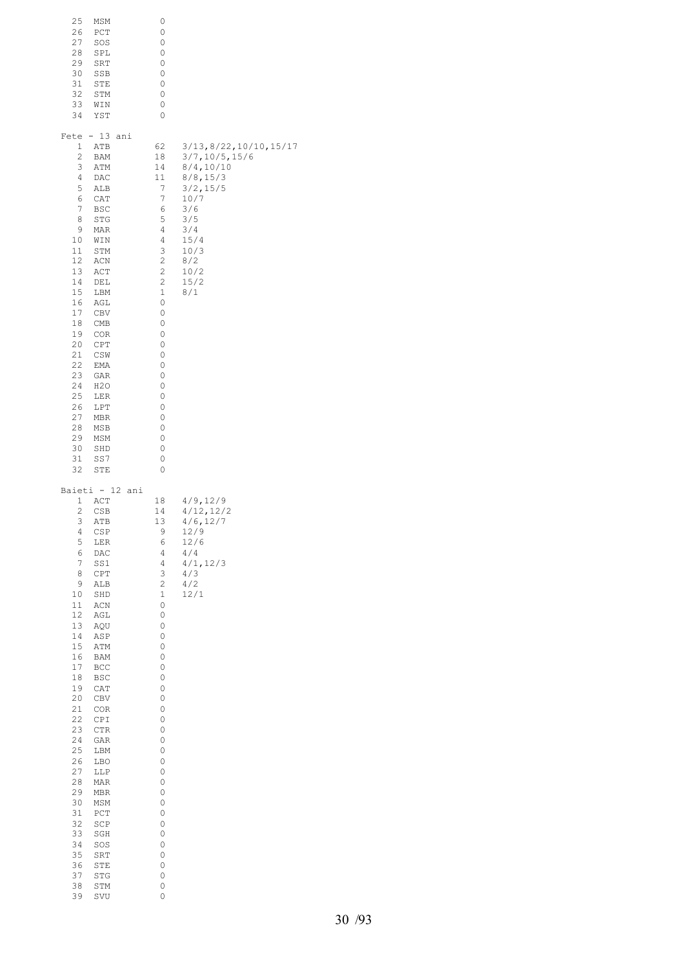| 25<br>26<br>27<br>28<br>29<br>30<br>31<br>32<br>33<br>34                                                                                                                                                                      | MSM<br>PCT<br>SOS<br>SPL<br>SRT<br>SSB<br>STE<br>STM<br>WIN<br>YST                                                                                                                                                                                                                                                       | 0<br>0<br>0<br>0<br>0<br>0<br>0<br>0<br>0<br>0                                                                                                                                                               |                                                                                                                                                                |
|-------------------------------------------------------------------------------------------------------------------------------------------------------------------------------------------------------------------------------|--------------------------------------------------------------------------------------------------------------------------------------------------------------------------------------------------------------------------------------------------------------------------------------------------------------------------|--------------------------------------------------------------------------------------------------------------------------------------------------------------------------------------------------------------|----------------------------------------------------------------------------------------------------------------------------------------------------------------|
| Fete<br>1<br>2<br>3<br>4<br>5<br>6<br>7<br>8<br>9<br>10<br>11<br>12<br>13<br>14<br>15<br>16<br>17<br>18<br>19<br>20<br>21<br>22<br>23<br>24<br>25<br>26<br>27<br>28<br>29<br>30<br>31<br>32                                   | $-13$<br>ani<br>ATB<br><b>BAM</b><br>ATM<br>DAC<br>ALB<br>CAT<br>BSC<br>STG<br>MAR<br>WIN<br>STM<br>ACN<br>ACT<br>DEL<br>LBM<br>AGL<br>CBV<br>CMB<br>COR<br>CPT<br>CSW<br>EMA<br>GAR<br>H <sub>2</sub> O<br>LER<br>LPT<br>MBR<br>MSB<br>MSM<br>SHD<br>SS7<br>STE                                                         | 62<br>18<br>14<br>11<br>7<br>7<br>6<br>5<br>4<br>4<br>3<br>2<br>$\sqrt{2}$<br>$\sqrt{2}$<br>$\mathbf 1$<br>0<br>0<br>0<br>0<br>0<br>0<br>0<br>0<br>0<br>0<br>0<br>0<br>0<br>0<br>0<br>0<br>0                 | 3/13, 8/22, 10/10, 15/17<br>3/7, 10/5, 15/6<br>8/4, 10/10<br>8/8, 15/3<br>3/2, 15/5<br>10/7<br>3/6<br>3/5<br>3/4<br>15/4<br>10/3<br>8/2<br>10/2<br>15/2<br>8/1 |
| 1<br>2<br>3<br>4<br>5<br>6<br>7<br>8<br>9<br>10<br>11<br>12<br>13<br>14<br>15<br>16<br>17<br>18<br>19<br>20<br>21<br>22<br>23<br>24<br>25<br>26<br>27<br>28<br>29<br>30<br>31<br>32<br>33<br>34<br>35<br>36<br>37<br>38<br>39 | Baieti - 12 ani<br>ACT<br>CSB<br>ATB<br>CSP<br>LER<br>DAC<br>SS1<br>CPT<br>ALB<br>SHD<br>$\mbox{\rm ACN}$<br>AGL<br>AQU<br>ASP<br>ATM<br>BAM<br>BCC<br>BSC<br>CAT<br>CBV<br>COR<br>$\mathtt{CPI}$<br>CTR<br>GAR<br>LBM<br>LBO<br>LLP<br>MAR<br>MBR<br>MSM<br>PCT<br>SCP<br>SGH<br>SOS<br>SRT<br>STE<br>STG<br>STM<br>SVU | 18<br>14<br>13<br>9<br>6<br>4<br>4<br>3<br>2<br>$\mathbf 1$<br>0<br>0<br>0<br>0<br>0<br>0<br>0<br>0<br>0<br>0<br>0<br>0<br>0<br>0<br>0<br>0<br>0<br>0<br>0<br>0<br>0<br>0<br>0<br>0<br>0<br>0<br>0<br>0<br>0 | 4/9, 12/9<br>4/12, 12/2<br>4/6, 12/7<br>12/9<br>12/6<br>4/4<br>4/1, 12/3<br>4/3<br>4/2<br>12/1                                                                 |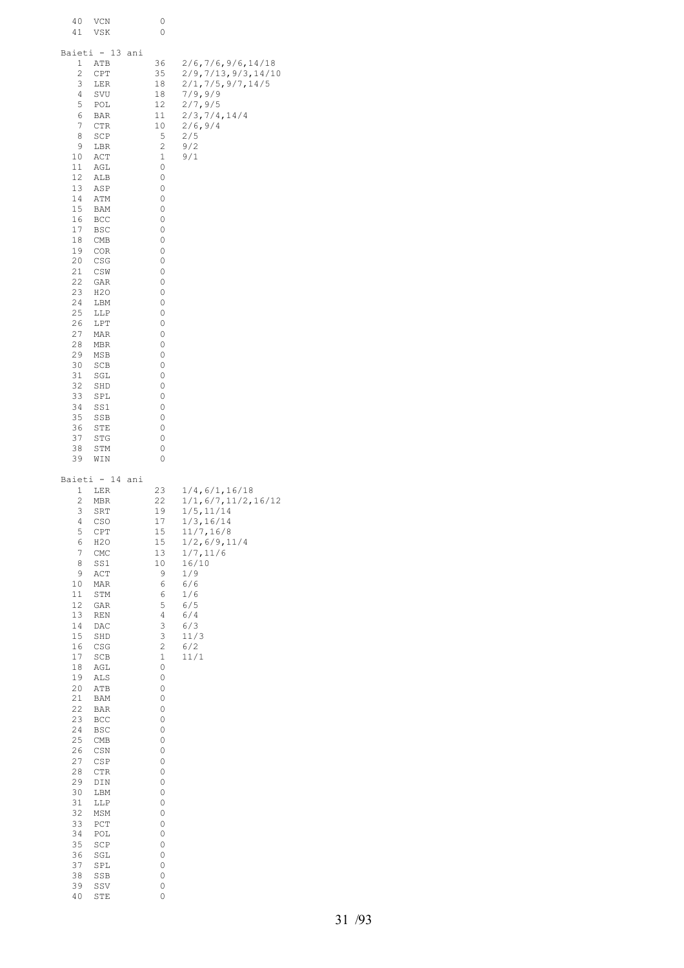| 40<br>VCN<br>41<br>VSK                                                                                                                                                                                                                                                                                                                                                                                                                                                                                                                                                 | 0<br>0                                                                                                                                                                                                                                     |                                                                                                                                                                                             |
|------------------------------------------------------------------------------------------------------------------------------------------------------------------------------------------------------------------------------------------------------------------------------------------------------------------------------------------------------------------------------------------------------------------------------------------------------------------------------------------------------------------------------------------------------------------------|--------------------------------------------------------------------------------------------------------------------------------------------------------------------------------------------------------------------------------------------|---------------------------------------------------------------------------------------------------------------------------------------------------------------------------------------------|
| Baieti - 13<br>ani<br>1<br>ATB<br>2<br>CPT<br>3<br>LER<br>4<br>SVU<br>5<br>POL<br>6<br>BAR<br>7<br>CTR<br>8<br>SCP<br>9<br>LBR<br>10<br>ACT<br>11<br>AGL<br>12<br>ALB<br>13<br>ASP<br>14<br>ATM<br>15<br>BAM<br>16<br>BCC<br>17<br>BSC<br>18<br>CMB<br>19<br>COR<br>20<br>CSG<br>21<br>CSW<br>22<br>GAR<br>23<br>H2O<br>24<br>LBM<br>25<br>LLP<br>26<br>LPT<br>27<br>MAR<br>28<br>MBR<br>29<br>MSB<br>30<br>SCB<br>31<br>SGL<br>32<br>SHD<br>33<br>SPL<br>34<br>SS1<br>35<br>SSB<br>36<br>STE<br>37<br>STG<br>38<br>STM<br>39<br>WIN                                   | 36<br>35<br>18<br>18<br>12<br>11<br>10<br>5<br>2<br>1<br>0<br>0<br>0<br>0<br>0<br>0<br>0<br>0<br>0<br>0<br>0<br>0<br>0<br>0<br>0<br>0<br>0<br>0<br>0<br>0<br>0<br>0<br>0<br>0<br>0<br>0<br>0<br>0<br>0                                     | 2/6, 7/6, 9/6, 14/18<br>2/9, 7/13, 9/3, 14/10<br>2/1, 7/5, 9/7, 14/5<br>7/9,9/9<br>2/7,9/5<br>2/3, 7/4, 14/4<br>2/6, 9/4<br>2/5<br>9/2<br>9/1                                               |
| Baieti - 14<br>ani<br>1<br>LER<br>2<br>MBR<br>3<br>SRT<br>4<br>CSO<br>5<br>CPT<br>6<br>H2O<br>7<br>CMC<br>8<br>SS1<br>9<br>ACT<br>10<br>MAR<br>11<br>STM<br>12<br>GAR<br>13<br>REN<br>14<br>DAC<br>15<br>SHD<br>16<br>CSG<br>17<br>SCB<br>18<br>AGL<br>19<br>ALS<br>20<br>${\tt ATB}$<br>21<br>BAM<br>22<br>BAR<br>23<br>BCC<br>24<br>BSC<br>25<br>CMB<br>26<br>CSN<br>27<br>CSP<br>28<br>CTR<br>29<br>DIN<br>30<br>LBM<br>$31\,$<br>LLP<br>32<br>MSM<br>33<br>$_{\rm PCT}$<br>34<br>POL<br>35<br>SCP<br>36<br>SGL<br>37<br>SPL<br>38<br>SSB<br>39<br>SSV<br>40<br>STE | 23<br>22<br>19<br>17<br>15<br>15<br>13<br>$10$<br>9<br>6<br>$\epsilon$<br>5<br>4<br>3<br>3<br>$\sqrt{2}$<br>$\mathbf 1$<br>0<br>0<br>0<br>0<br>0<br>0<br>0<br>0<br>0<br>0<br>0<br>0<br>0<br>0<br>0<br>0<br>0<br>0<br>0<br>0<br>0<br>0<br>0 | 1/4, 6/1, 16/18<br>1/1, 6/7, 11/2, 16/12<br>1/5, 11/14<br>1/3, 16/14<br>11/7, 16/8<br>1/2, 6/9, 11/4<br>1/7, 11/6<br>16/10<br>1/9<br>6/6<br>1/6<br>6/5<br>6/4<br>6/3<br>11/3<br>6/2<br>11/1 |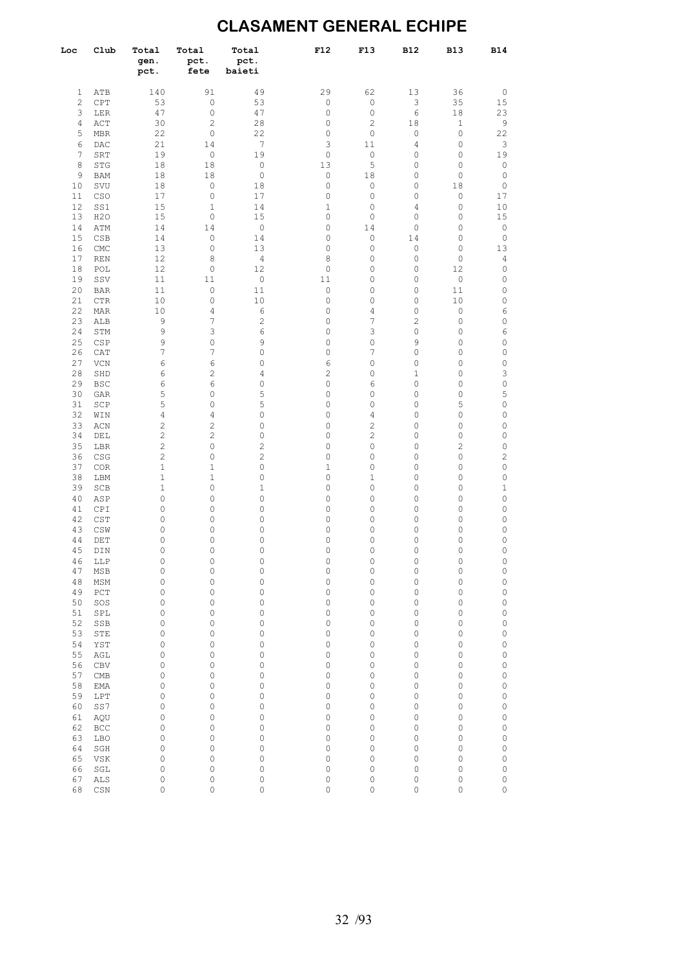## **CLASAMENT GENERAL ECHIPE**

| Loc          | Club       | Total<br>gen.<br>pct. | Total<br>pct.<br>fete            | Total<br>pct.<br>baieti    | F12                        | F13                 | <b>B12</b>   | <b>B13</b>                    | <b>B14</b>                |
|--------------|------------|-----------------------|----------------------------------|----------------------------|----------------------------|---------------------|--------------|-------------------------------|---------------------------|
| 1            | ATB        | 140                   | 91                               | 49                         | 29                         | 62                  | 13           | 36                            | $\mathbb O$               |
| $\mathbf{2}$ | CPT        | 53                    | $\mathbb O$                      | 53                         | $\mathbb O$                | $\mathbb O$         | 3            | 35                            | 15                        |
| 3            | LER        | 47                    | $\mathbb O$                      | 47                         | $\circ$                    | $\circ$             | 6            | 18                            | 23                        |
| 4            | ACT        | 30                    | $\mathbf{2}$                     | 28                         | $\mathbb O$                | $\overline{c}$      | 18           | $\mathbf 1$                   | 9                         |
| 5            | MBR        | 22                    | $\mathbb O$                      | 22                         | $\circ$                    | $\circ$             | 0            | $\mathbb O$                   | 22                        |
| 6            | DAC        | 21                    | 14                               | 7                          | 3                          | 11                  | 4            | $\mathbb O$                   | $\ensuremath{\mathsf{3}}$ |
| 7            | SRT        | 19                    | $\mathbb O$                      | 19                         | $\mathbb O$                | $\circ$             | 0            | $\mathbb O$                   | 19                        |
| 8            | STG        | 18                    | 18                               | $\mathbb O$                | 13                         | 5                   | 0            | $\mathbb O$                   | $\mathbb O$               |
| 9            | <b>BAM</b> | 18                    | 18                               | $\mathbb O$                | $\mathbb O$                | 18                  | 0            | $\mathbb O$                   | $\mathbb O$               |
| 10           | SVU        | 18                    | 0                                | 18                         | $\mathbb O$                | 0                   | 0            | 18                            | 0                         |
| 11<br>12     | CSO        | 17                    | 0<br>$\mathbf{1}$                | 17<br>14                   | $\mathbb O$<br>$\mathbf 1$ | 0                   | 0            | $\mathbb O$                   | 17                        |
| 13           | SS1<br>H2O | 15<br>15              | 0                                | 15                         | 0                          | 0<br>0              | 4<br>0       | $\mathbb O$<br>0              | 10<br>15                  |
| 14           | ATM        | 14                    | 14                               | $\mathbb O$                | $\circ$                    | 14                  | 0            | $\mathbb O$                   | $\mathbb O$               |
| 15           | CSB        | 14                    | $\mathbb O$                      | 14                         | $\circ$                    | 0                   | 14           | $\mathbb O$                   | $\mathbb O$               |
| 16           | CMC        | 13                    | 0                                | 13                         | $\circ$                    | 0                   | 0            | $\mathbb O$                   | 13                        |
| 17           | <b>REN</b> | 12                    | 8                                | $\overline{4}$             | 8                          | $\circ$             | 0            | $\mathbb O$                   | 4                         |
| 18           | POL        | 12                    | 0                                | 12                         | 0                          | 0                   | 0            | 12                            | 0                         |
| 19           | SSV        | 11                    | 11                               | $\mathbb O$                | 11                         | 0                   | 0            | $\circ$                       | 0                         |
| 20           | <b>BAR</b> | 11                    | $\circ$                          | 11                         | $\mathbb O$                | 0                   | 0            | 11                            | 0                         |
| 21           | <b>CTR</b> | 10                    | $\mathbb O$                      | 10                         | $\mathbb O$                | 0                   | $\mathbb O$  | 10                            | 0                         |
| 22           | MAR        | 10                    | $\overline{4}$<br>$\overline{7}$ | 6                          | $\circ$                    | 4                   | 0            | $\mathbb O$                   | 6                         |
| 23<br>24     | ALB<br>STM | 9<br>9                | 3                                | $\mathbf{2}$<br>$\epsilon$ | $\circ$<br>$\circ$         | 7<br>3              | 2<br>0       | $\mathbb O$<br>$\mathbb O$    | 0<br>6                    |
| 25           | CSP        | 9                     | $\mathbb O$                      | 9                          | $\circ$                    | $\mathbb O$         | 9            | $\mathbb O$                   | 0                         |
| 26           | CAT        | 7                     | 7                                | $\mathsf{O}\xspace$        | $\circ$                    | 7                   | 0            | $\mathbb O$                   | 0                         |
| 27           | VCN        | 6                     | 6                                | $\mathsf{O}\xspace$        | 6                          | $\mathsf{O}\xspace$ | $\circ$      | $\mathbb O$                   | 0                         |
| 28           | SHD        | 6                     | $\mathbf{2}$                     | 4                          | $\overline{c}$             | $\mathsf{O}\xspace$ | $\mathbf{1}$ | $\mathbb O$                   | 3                         |
| 29           | <b>BSC</b> | 6                     | $\epsilon$                       | 0                          | $\mathbb O$                | 6                   | 0            | $\mathbb O$                   | 0                         |
| 30           | GAR        | 5                     | 0                                | 5                          | $\circ$                    | 0                   | 0            | $\mathbb O$                   | 5                         |
| 31           | SCP        | 5                     | $\mathbb O$                      | 5                          | 0                          | 0                   | 0            | 5                             | 0                         |
| 32           | WIN        | 4                     | $\overline{4}$                   | 0                          | 0                          | 4                   | 0            | $\mathbb O$                   | 0                         |
| 33           | ACN        | $\mathbf{2}$          | $\overline{c}$                   | 0                          | 0                          | $\overline{c}$      | 0            | $\mathbb O$                   | 0                         |
| 34<br>35     | DEL        | 2<br>2                | $\mathbf{2}$<br>$\circ$          | 0<br>2                     | 0<br>0                     | 2<br>0              | 0<br>0       | $\mathbb O$<br>$\overline{c}$ | 0<br>0                    |
| 36           | LBR<br>CSG | $\overline{c}$        | $\circ$                          | 2                          | $\circ$                    | 0                   | 0            | $\mathbb O$                   | 2                         |
| 37           | COR        | $\mathbf 1$           | $\mathbf{1}$                     | 0                          | $\mathbf 1$                | $\circ$             | 0            | $\mathbb O$                   | 0                         |
| 38           | LBM        | 1                     | $\mathbf{1}$                     | 0                          | $\mathbb O$                | $\mathbf{1}$        | 0            | $\mathbb O$                   | 0                         |
| 39           | SCB        | 1                     | 0                                | $\mathbf 1$                | $\mathbb O$                | $\circ$             | 0            | $\mathbb O$                   | $1\,$                     |
| 40           | ASP        | $\mathbb O$           | 0                                | 0                          | $\mathbb O$                | 0                   | 0            | $\mathbb O$                   | 0                         |
| 41           | CPI        | 0                     | $\mathbb O$                      | 0                          | $\circ$                    | $\circ$             | 0            | $\mathbb O$                   | 0                         |
| 42           | CST        | 0                     | 0                                | 0                          | 0                          | 0                   | 0            | $\mathbb O$                   | 0                         |
| 43           | CSW        | 0                     | $\mathbb O$                      | 0                          | $\mathbb O$                | $\circ$             | 0            | $\mathbb O$                   | 0                         |
| 44<br>45     | DET        | 0<br>0                | $\mathsf{O}\xspace$<br>0         | 0<br>0                     | $\mathbb O$<br>$\circ$     | 0<br>0              | 0<br>0       | $\mathbb O$<br>$\mathbb O$    | 0<br>0                    |
| 46           | DIN<br>LLP | $\mathbb O$           | 0                                | 0                          | $\mathbb O$                | 0                   | 0            | $\mathbb O$                   | 0                         |
| 47           | MSB        | 0                     | $\mathbb O$                      | 0                          | $\mathbb O$                | 0                   | 0            | $\mathbb O$                   | 0                         |
| 48           | MSM        | 0                     | 0                                | 0                          | $\mathbb O$                | 0                   | 0            | $\mathbb O$                   | $\circ$                   |
| 49           | PCT        | 0                     | 0                                | 0                          | $\mathbb O$                | 0                   | 0            | $\mathbb O$                   | 0                         |
| 50           | SOS        | 0                     | 0                                | 0                          | $\mathbb O$                | 0                   | 0            | $\mathbb O$                   | 0                         |
| 51           | SPL        | 0                     | 0                                | 0                          | $\mathbb O$                | 0                   | 0            | $\mathbb O$                   | 0                         |
| 52           | SSB        | 0                     | 0                                | 0                          | $\mathsf{O}\xspace$        | 0                   | 0            | $\mathbb O$                   | 0                         |
| 53           | STE        | 0                     | 0                                | 0                          | $\mathbb O$                | 0                   | 0            | $\mathbb O$                   | 0                         |
| 54           | YST        | 0                     | 0                                | 0                          | $\mathbb O$                | 0                   | 0            | $\mathbb O$                   | 0                         |
| 55           | AGL        | 0                     | 0                                | 0                          | 0<br>$\mathbb O$           | 0                   | 0            | 0<br>$\mathbb O$              | 0<br>0                    |
| 56<br>57     | CBV<br>CMB | 0<br>0                | 0<br>0                           | 0<br>0                     | 0                          | 0<br>0              | 0<br>0       | 0                             | 0                         |
| 58           | EMA        | 0                     | 0                                | 0                          | $\mathbb O$                | 0                   | 0            | $\mathbb O$                   | 0                         |
| 59           | LPT        | 0                     | 0                                | 0                          | 0                          | 0                   | 0            | 0                             | 0                         |
| 60           | SS7        | 0                     | 0                                | 0                          | $\mathbb O$                | 0                   | 0            | $\mathbb O$                   | 0                         |
| 61           | AQU        | 0                     | 0                                | 0                          | $\mathbb O$                | 0                   | 0            | 0                             | 0                         |
| 62           | BCC        | 0                     | 0                                | 0                          | 0                          | 0                   | 0            | $\mathbb O$                   | 0                         |
| 63           | LBO        | 0                     | 0                                | 0                          | $\mathbb O$                | 0                   | 0            | 0                             | 0                         |
| 64           | SGH        | 0                     | 0                                | 0                          | $\mathbb O$                | 0                   | 0            | $\mathbb O$                   | 0                         |
| 65           | VSK        | 0                     | 0                                | 0                          | $\mathbb O$                | 0                   | 0            | $\mathbb O$                   | 0                         |
| 66           | SGL        | 0                     | 0                                | 0                          | $\mathbb O$                | 0                   | 0            | $\mathbb O$                   | 0                         |
| 67           | ALS        | 0                     | $\mathsf{O}\xspace$              | $\mathsf{O}\xspace$        | $\circ$                    | 0                   | $\circ$      | $\mathbb O$                   | 0                         |

68 CSN 0 0 0 0 0 0 0 0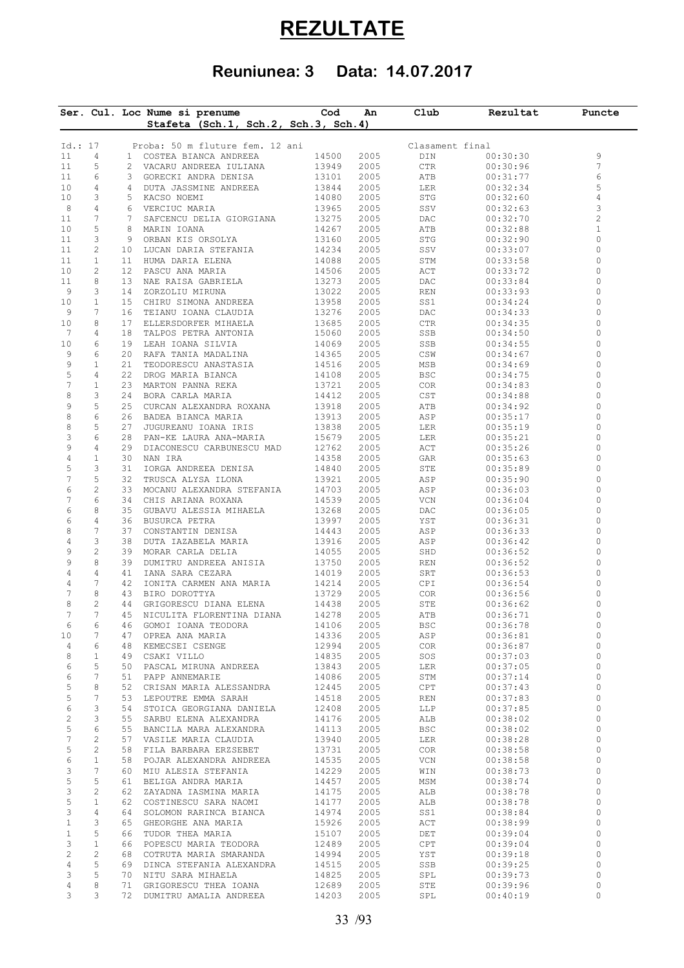## **REZULTATE**

## **Reuniunea: 3 Data: 14.07.2017**

|                     |                   |          | Ser. Cul. Loc Nume si prenume<br>Stafeta (Sch.1, Sch.2, Sch.3, Sch.4) | Cod            | An           | Club                        | Rezultat             | Puncte         |
|---------------------|-------------------|----------|-----------------------------------------------------------------------|----------------|--------------|-----------------------------|----------------------|----------------|
|                     |                   |          |                                                                       |                |              |                             |                      |                |
| Id.: 17             |                   |          | Proba: 50 m fluture fem. 12 ani                                       |                |              | Clasament final             |                      |                |
| 11                  | 4                 |          | 1 COSTEA BIANCA ANDREEA                                               | 14500          | 2005         | DIN                         | 00:30:30             | 9              |
| 11                  | 5                 |          | 2 VACARU ANDREEA IULIANA                                              | 13949          | 2005         | CTR                         | 00:30:96             | 7              |
| 11                  | 6                 |          | 3 GORECKI ANDRA DENISA                                                | 13101          | 2005         | ATB                         | 00:31:77             | 6              |
| 10                  | 4                 |          | 4 DUTA JASSMINE ANDREEA                                               | 13844          | 2005         | LER                         | 00:32:34             | 5              |
| 10                  | 3                 |          | 5 KACSO NOEMI                                                         | 14080          | 2005         | STG                         | 00:32:60             | 4              |
| 8                   | 4                 |          | 6 VERCIUC MARIA                                                       | 13965          | 2005         | SSV                         | 00:32:63             | 3              |
| 11                  | 7                 | 7        | SAFCENCU DELIA GIORGIANA                                              | 13275          | 2005         | DAC                         | 00:32:70             | $\overline{c}$ |
| 10                  | 5                 | 8        | MARIN IOANA                                                           | 14267          | 2005         | ATB                         | 00:32:88             | $1\,$          |
| 11                  | 3                 | 9        | ORBAN KIS ORSOLYA                                                     | 13160          | 2005         | STG                         | 00:32:90             | 0              |
| 11                  | 2                 |          | 10 LUCAN DARIA STEFANIA                                               | 14234          | 2005         | SSV                         | 00:33:07             | 0              |
| 11                  | $\mathbf{1}$      |          | 11 HUMA DARIA ELENA                                                   | 14088          | 2005         | STM                         | 00:33:58             | 0              |
| 10                  | 2                 |          | 12 PASCU ANA MARIA                                                    | 14506          | 2005         | ACT                         | 00:33:72             | 0              |
| 11                  | 8                 |          | 13 NAE RAISA GABRIELA                                                 | 13273          | 2005         | DAC                         | 00:33:84             | 0              |
| 9                   | 3                 | 14       | ZORZOLIU MIRUNA                                                       | 13022          | 2005         | REN                         | 00:33:93             | 0              |
| 10                  | $\mathbf{1}$      |          | 15 CHIRU SIMONA ANDREEA                                               | 13958          | 2005         | SS1                         | 00:34:24             | $\circ$        |
| 9                   | 7                 |          | 16 TEIANU IOANA CLAUDIA                                               | 13276          | 2005         | DAC                         | 00:34:33             | $\circ$        |
| 10                  | 8                 |          | 17 ELLERSDORFER MIHAELA                                               | 13685          | 2005         | CTR                         | 00:34:35             | 0              |
| 7                   | 4                 |          | 18 TALPOS PETRA ANTONIA                                               | 15060          | 2005         | SSB                         | 00:34:50             | $\circ$        |
| 10                  | 6                 |          | 19 LEAH IOANA SILVIA                                                  | 14069          | 2005         | SSB                         | 00:34:55             | 0              |
| 9                   | 6                 | 20       | RAFA TANIA MADALINA                                                   | 14365          | 2005         | CSW                         | 00:34:67             | $\circ$        |
| 9                   | $\mathbf{1}$      | 21       | TEODORESCU ANASTASIA                                                  | 14516          | 2005         | MSB                         | 00:34:69             | 0              |
| 5                   | 4                 | 22       | DROG MARIA BIANCA                                                     | 14108          | 2005         | BSC                         | 00:34:75             | 0              |
| $\overline{7}$      | $\mathbf{1}$      |          | 23 MARTON PANNA REKA                                                  | 13721          | 2005         | COR                         | 00:34:83             | 0              |
| 8                   | 3                 |          | 24 BORA CARLA MARIA                                                   | 14412          | 2005         | $\mathop{\tt CST}\nolimits$ | 00:34:88             | 0              |
| 9                   | 5                 |          | 25 CURCAN ALEXANDRA ROXANA                                            | 13918          | 2005         | ATB                         | 00:34:92             | 0              |
| 8                   | 6                 |          | 26 BADEA BIANCA MARIA                                                 | 13913          | 2005         | ASP                         | 00:35:17             | 0              |
| $\,8\,$             | 5                 | 27       | JUGUREANU IOANA IRIS                                                  | 13838          | 2005         | LER                         | 00:35:19             | 0              |
| 3                   | 6                 |          | 28 PAN-KE LAURA ANA-MARIA                                             | 15679          | 2005         | LER                         | 00:35:21             | 0              |
| 9                   | 4                 |          | 29 DIACONESCU CARBUNESCU MAD                                          | 12762          | 2005         | ACT                         | 00:35:26             | 0              |
| 4                   | $\mathbf{1}$      | 30       | NAN IRA                                                               | 14358          | 2005         | GAR                         | 00:35:63             | 0              |
| 5                   | 3                 | 31       | IORGA ANDREEA DENISA                                                  | 14840          | 2005         | ${\tt STE}$                 | 00:35:89             | 0              |
| 7                   | 5                 | 32       | TRUSCA ALYSA ILONA                                                    | 13921          | 2005         | ASP                         | 00:35:90             | $\circ$        |
| 6                   | $\overline{c}$    |          | 33 MOCANU ALEXANDRA STEFANIA                                          | 14703          | 2005         | ASP                         | 00:36:03             | 0              |
| 7                   | 6                 |          | 34 CHIS ARIANA ROXANA                                                 | 14539          | 2005         | VCN                         | 00:36:04             | 0              |
| 6                   | 8                 |          | 35 GUBAVU ALESSIA MIHAELA                                             | 13268          | 2005         | DAC                         | 00:36:05             | 0              |
| 6                   | 4                 | 36       | BUSURCA PETRA                                                         | 13997          | 2005         | YST                         | 00:36:31             | 0              |
| 8                   | 7                 | 37       | CONSTANTIN DENISA                                                     | 14443          | 2005         | ASP                         | 00:36:33             | 0              |
| 4                   | 3                 | 38       | DUTA IAZABELA MARIA                                                   | 13916          | 2005         | ASP                         | 00:36:42             | 0              |
| 9                   | $\sqrt{2}$        | 39       | MORAR CARLA DELIA                                                     | 14055          | 2005         | SHD                         | 00:36:52             | $\circ$        |
| 9                   | 8                 | 39       | DUMITRU ANDREEA ANISIA                                                | 13750          | 2005         | REN                         | 00:36:52             | 0              |
| 4                   | 4                 | 41       | IANA SARA CEZARA                                                      | 14019          | 2005         | SRT                         | 00:36:53             | 0              |
| 4                   | 7                 |          | 42 IONITA CARMEN ANA MARIA                                            | 14214          | 2005         | CPI                         | 00:36:54             | 0              |
| 7                   | 8                 |          | 43 BIRO DOROTTYA                                                      | 13729          | 2005         | COR                         | 00:36:56             | 0              |
| 8<br>7              | 2<br>7            | 44       | GRIGORESCU DIANA ELENA                                                | 14438          | 2005         | STE                         | 00:36:62             | 0              |
|                     |                   | 45       | NICULITA FLORENTINA DIANA                                             | 14278          | 2005         | ATB                         | 00:36:71             | 0              |
| 6                   | 6                 | 46       | GOMOI IOANA TEODORA                                                   | 14106          | 2005         | BSC                         | 00:36:78             | 0<br>0         |
| 10                  | 7                 | 47<br>48 | OPREA ANA MARIA                                                       | 14336          | 2005         | ASP                         | 00:36:81             | 0              |
| 4                   | 6                 |          | KEMECSEI CSENGE                                                       | 12994          | 2005         | COR                         | 00:36:87             |                |
| 8                   | $\mathbf{1}$<br>5 | 49       | CSAKI VILLO                                                           | 14835          | 2005         | SOS                         | 00:37:03             | 0<br>0         |
| 6                   |                   |          | 50 PASCAL MIRUNA ANDREEA                                              | 13843          | 2005         | LER                         | 00:37:05             |                |
| 6                   | 7<br>8            | 51       | PAPP ANNEMARIE                                                        | 14086          | 2005         | STM                         | 00:37:14             | 0<br>0         |
| 5                   | 7                 | 52       | CRISAN MARIA ALESSANDRA                                               | 12445          | 2005         | CPT                         | 00:37:43             | 0              |
| 5                   |                   |          | 53 LEPOUTRE EMMA SARAH                                                | 14518<br>12408 | 2005         | <b>REN</b>                  | 00:37:83<br>00:37:85 | $\circ$        |
| 6                   | 3<br>3            |          | 54 STOICA GEORGIANA DANIELA                                           |                | 2005         | LLP                         | 00:38:02             | 0              |
| $\overline{c}$<br>5 | 6                 |          | 55 SARBU ELENA ALEXANDRA                                              | 14176          | 2005         | ALB                         |                      | 0              |
|                     |                   |          | 55 BANCILA MARA ALEXANDRA                                             | 14113          | 2005         | <b>BSC</b>                  | 00:38:02             | 0              |
| 7                   | 2                 | 57       | VASILE MARIA CLAUDIA                                                  | 13940          | 2005         | LER                         | 00:38:28             | 0              |
| 5<br>6              | 2<br>$\mathbf{1}$ | 58       | 58 FILA BARBARA ERZSEBET                                              | 13731          | 2005<br>2005 | COR.<br>VCN                 | 00:38:58             | $\circ$        |
| 3                   | 7                 |          | POJAR ALEXANDRA ANDREEA                                               | 14535<br>14229 |              |                             | 00:38:58             | 0              |
| 5                   | 5                 | 61       | 60 MIU ALESIA STEFANIA<br>BELIGA ANDRA MARIA                          |                | 2005<br>2005 | WIN                         | 00:38:73<br>00:38:74 | $\circ$        |
|                     |                   |          |                                                                       | 14457          |              | MSM                         |                      | 0              |
| 3<br>5              | 2<br>$\mathbf{1}$ | 62       | ZAYADNA IASMINA MARIA                                                 | 14175          | 2005         | ALB                         | 00:38:78             | $\circ$        |
| 3                   |                   | 62       | COSTINESCU SARA NAOMI                                                 | 14177          | 2005         | ALB                         | 00:38:78             | 0              |
|                     | 4                 |          | 64 SOLOMON RARINCA BIANCA                                             | 14974          | 2005         | SS1                         | 00:38:84             | 0              |
| $\mathbf{1}$        | 3                 | 65       | GHEORGHE ANA MARIA                                                    | 15926          | 2005         | ACT                         | 00:38:99             |                |
| $\mathbf{1}$        | 5                 |          | 66 TUDOR THEA MARIA                                                   | 15107          | 2005         | DET                         | 00:39:04             | 0              |
| 3                   | $\mathbf{1}$      | 66       | POPESCU MARIA TEODORA                                                 | 12489          | 2005         | CPT                         | 00:39:04             | 0              |
| $\sqrt{2}$          | 2                 |          | 68 COTRUTA MARIA SMARANDA                                             | 14994          | 2005         | YST                         | 00:39:18             | 0              |
| $\overline{4}$      | 5                 | 69       | DINCA STEFANIA ALEXANDRA                                              | 14515          | 2005         | SSB                         | 00:39:25             | 0              |
| 3                   | 5                 | 71       | 70 NITU SARA MIHAELA<br>GRIGORESCU THEA IOANA                         | 14825<br>12689 | 2005         | SPL                         | 00:39:73             | 0<br>0         |
| 4                   | 8                 |          |                                                                       |                | 2005         | STE                         | 00:39:96             |                |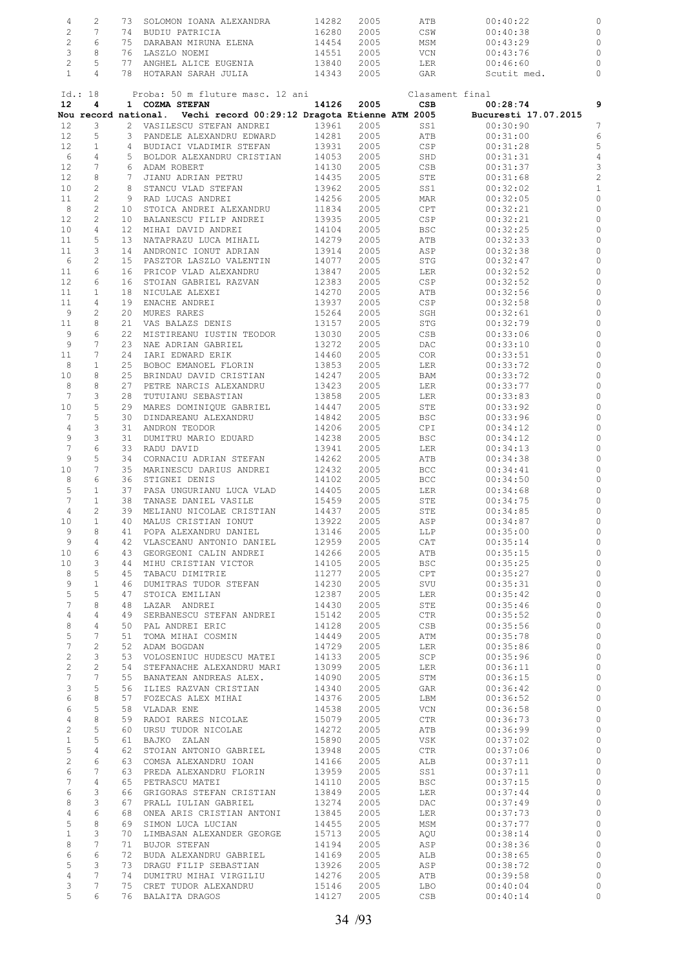|  | 73 | SOLOMON IOANA ALEXANDRA | 14282 | 2005 | ATB  | 00:40:22    |  |
|--|----|-------------------------|-------|------|------|-------------|--|
|  | 74 | BUDIU PATRICIA          | 16280 | 2005 | CSW  | 00:40:38    |  |
|  | 75 | DARABAN MIRUNA ELENA    | 14454 | 2005 | MSM  | 00:43:29    |  |
|  | 76 | LASZLO NOEMI            | 14551 | 2005 | VCN. | 00:43:76    |  |
|  |    | ANGHEL ALICE EUGENIA    | 13840 | 2005 | LER  | 00:46:60    |  |
|  | 78 | HOTARAN SARAH JULIA     | 14343 | 2005 | GAR  | Scutit med. |  |
|  |    |                         |       |      |      |             |  |

|                   | Id.: 18                           |    | Proba: 50 m fluture masc. 12 ani                                    |       |            | Clasament final |                      |                |
|-------------------|-----------------------------------|----|---------------------------------------------------------------------|-------|------------|-----------------|----------------------|----------------|
| 12                | 4                                 |    | 1 COZMA STEFAN                                                      |       | 14126 2005 | CSB             | 00:28:74             | 9              |
|                   |                                   |    | Nou record national. Vechi record 00:29:12 Dragota Etienne ATM 2005 |       |            |                 | Bucuresti 17.07.2015 |                |
| $12 \,$           | 3                                 |    | 2 VASILESCU STEFAN ANDREI                                           | 13961 | 2005       | SS1             | 00:30:90             | $\overline{7}$ |
| $12 \overline{ }$ | 5                                 |    | 3 PANDELE ALEXANDRU EDWARD                                          | 14281 | 2005       | ATB             | 00:31:00             | 6              |
| $12 \overline{ }$ | $\mathbf{1}$                      |    | 4 BUDIACI VLADIMIR STEFAN                                           | 13931 | 2005       | CSP             | 00:31:28             | 5              |
| 6                 | $\overline{4}$<br>$7\phantom{.0}$ |    | 5 BOLDOR ALEXANDRU CRISTIAN                                         | 14053 | 2005       | SHD             | 00:31:31             | $\overline{4}$ |
| 12                | 8                                 |    | 6 ADAM ROBERT                                                       | 14130 | 2005       | CSB             | 00:31:37             | 3              |
| $12 \,$           |                                   |    | 7 JIANU ADRIAN PETRU                                                | 14435 | 2005       | STE             | 00:31:68             | $\overline{c}$ |
| 10                | $\overline{c}$                    | 8  | STANCU VLAD STEFAN                                                  | 13962 | 2005       | SS1             | 00:32:02             | $\mathbf{1}$   |
| 11                | $\overline{c}$                    |    | 9 RAD LUCAS ANDREI                                                  | 14256 | 2005       | MAR             | 00:32:05             | $\mathbb O$    |
| 8                 | $\overline{c}$                    | 10 | STOICA ANDREI ALEXANDRU                                             | 11834 | 2005       | CPT             | 00:32:21             | 0              |
| 12                | 2                                 | 10 | BALANESCU FILIP ANDREI                                              | 13935 | 2005       | CSP             | 00:32:21             | $\circ$        |
| 10                | 4                                 | 12 | MIHAI DAVID ANDREI                                                  | 14104 | 2005       | BSC             | 00:32:25             | 0              |
| 11                | 5                                 | 13 | NATAPRAZU LUCA MIHAIL                                               | 14279 | 2005       | ATB             | 00:32:33             | $\circ$        |
| 11                | 3                                 | 14 | ANDRONIC IONUT ADRIAN                                               | 13914 | 2005       | ASP             | 00:32:38             | 0              |
| 6                 | $\overline{c}$                    | 15 | PASZTOR LASZLO VALENTIN                                             | 14077 | 2005       | STG             | 00:32:47             | 0              |
| 11                | 6                                 | 16 | PRICOP VLAD ALEXANDRU                                               | 13847 | 2005       | LER             | 00:32:52             | 0              |
| $12 \,$           | 6                                 | 16 | STOIAN GABRIEL RAZVAN                                               | 12383 | 2005       | CSP             | 00:32:52             | $\circ$        |
| 11                | $\mathbf{1}$                      | 18 | NICULAE ALEXEI                                                      | 14270 | 2005       | ATB             | 00:32:56             | 0              |
| 11<br>9           | $\overline{4}$                    | 19 | ENACHE ANDREI                                                       | 13937 | 2005       | <b>CSP</b>      | 00:32:58             | $\circ$        |
|                   | $\overline{c}$                    | 20 | MURES RARES                                                         | 15264 | 2005       | SGH             | 00:32:61             | 0              |
| 11                | $\,8\,$                           | 21 | VAS BALAZS DENIS                                                    | 13157 | 2005       | STG             | 00:32:79             | $\circ$        |
| 9                 | 6                                 | 22 | MISTIREANU IUSTIN TEODOR                                            | 13030 | 2005       | CSB             | 00:33:06             | $\circ$        |
| 9                 | 7                                 | 23 | NAE ADRIAN GABRIEL                                                  | 13272 | 2005       | DAC             | 00:33:10             | $\circ$        |
| 11                | $7\phantom{.0}$                   | 24 | IARI EDWARD ERIK                                                    | 14460 | 2005       | COR             | 00:33:51             | $\circ$        |
| 8                 | $\mathbf{1}$                      | 25 | BOBOC EMANOEL FLORIN                                                | 13853 | 2005       | LER             | 00:33:72             | $\circ$        |
| 10 <sub>o</sub>   | 8                                 | 25 | BRINDAU DAVID CRISTIAN                                              | 14247 | 2005       | BAM             | 00:33:72             | 0              |
| 8                 | 8                                 | 27 | PETRE NARCIS ALEXANDRU                                              | 13423 | 2005       | LER             | 00:33:77             | $\circ$        |
| 7                 | 3                                 | 28 | TUTUIANU SEBASTIAN                                                  | 13858 | 2005       | LER             | 00:33:83             | 0              |
| 10 <sub>o</sub>   | 5                                 | 29 | MARES DOMINIQUE GABRIEL                                             | 14447 | 2005       | STE             | 00:33:92             | $\circ$        |
| 7                 | 5                                 | 30 | DINDAREANU ALEXANDRU                                                | 14842 | 2005       | BSC             | 00:33:96             | 0              |
| $\overline{4}$    | 3                                 | 31 | ANDRON TEODOR                                                       | 14206 | 2005       | CPI             | 00:34:12             | $\circ$        |
| 9                 | 3                                 | 31 | DUMITRU MARIO EDUARD                                                | 14238 | 2005       | BSC             | 00:34:12             | 0              |
| $\overline{7}$    | 6                                 | 33 | RADU DAVID                                                          | 13941 | 2005       | LER             | 00:34:13             | $\circ$        |
| 9                 | 5                                 | 34 | CORNACIU ADRIAN STEFAN                                              | 14262 | 2005       | ATB             | 00:34:38             | 0              |
| 10                | 7                                 | 35 | MARINESCU DARIUS ANDREI                                             | 12432 | 2005       | <b>BCC</b>      | 00:34:41             | $\circ$        |
| 8                 | 6                                 | 36 | STIGNEI DENIS                                                       | 14102 | 2005       | BCC             | 00:34:50             | 0              |
| 5                 | $\mathbf{1}$                      | 37 | PASA UNGURIANU LUCA VLAD                                            | 14405 | 2005       | LER             | 00:34:68             | $\circ$        |
| 7                 | $\mathbf{1}$                      | 38 | TANASE DANIEL VASILE                                                | 15459 | 2005       | STE             | 00:34:75             | $\mathbf 0$    |
| $\overline{4}$    | 2                                 | 39 | MELIANU NICOLAE CRISTIAN                                            | 14437 | 2005       | STE             | 00:34:85             | 0              |
| 10                | $\mathbf{1}$                      | 40 | MALUS CRISTIAN IONUT                                                | 13922 | 2005       | ASP             | 00:34:87             | 0              |
| 9                 | 8                                 | 41 | POPA ALEXANDRU DANIEL                                               | 13146 | 2005       | LLP             | 00:35:00             | 0              |
| 9                 | $\overline{4}$                    | 42 | VLASCEANU ANTONIO DANIEL                                            | 12959 | 2005       | CAT             | 00:35:14             | $\circ$        |
| 10                | 6                                 | 43 | GEORGEONI CALIN ANDREI                                              | 14266 | 2005       | ATB             | 00:35:15             | $\circ$        |
| 10                | 3                                 | 44 | MIHU CRISTIAN VICTOR                                                | 14105 | 2005       | BSC             | 00:35:25             | $\circ$        |
| 8                 | 5                                 | 45 | TABACU DIMITRIE                                                     | 11277 | 2005       | CPT             | 00:35:27             | $\circ$        |
| 9                 | $\mathbf{1}$                      |    | 46 DUMITRAS TUDOR STEFAN                                            | 14230 | 2005       | SVU             | 00:35:31             | $\circ$        |
| 5                 | 5                                 | 47 | STOICA EMILIAN                                                      | 12387 | 2005       | LER             | 00:35:42             | $\circ$        |
| 7                 | 8                                 |    | 48 LAZAR ANDREI                                                     | 14430 | 2005       | STE             | 00:35:46             | $\overline{0}$ |
| 4                 | 4                                 |    | 49 SERBANESCU STEFAN ANDREI                                         | 15142 | 2005       | CTR             | 00:35:52             | 0              |
| 8                 | $\overline{4}$                    |    | 50 PAL ANDREI ERIC                                                  | 14128 | 2005       | CSB             | 00:35:56             | $\circ$        |
| 5                 | $7\phantom{.0}$                   |    | 51 TOMA MIHAI COSMIN                                                | 14449 | 2005       | ATM             | 00:35:78             | 0              |
| $\overline{7}$    | 2                                 |    | 52 ADAM BOGDAN                                                      | 14729 | 2005       | LER             | 00:35:86             | $\circ$        |
| $\overline{c}$    | 3                                 |    | 53 VOLOSENIUC HUDESCU MATEI                                         | 14133 | 2005       | SCP             | 00:35:96             | 0              |
| $\overline{c}$    | $\overline{c}$                    |    | 54 STEFANACHE ALEXANDRU MARI                                        | 13099 | 2005       | LER             | 00:36:11             | $\circ$        |
| 7                 | $7\phantom{.0}$                   |    | 55 BANATEAN ANDREAS ALEX.                                           | 14090 | 2005       | STM             | 00:36:15             | $\circ$        |
| 3                 | 5                                 |    | 56 ILIES RAZVAN CRISTIAN                                            | 14340 | 2005       | GAR             | 00:36:42             | $\circ$        |
| 6                 | 8                                 |    | 57 FOZECAS ALEX MIHAI                                               | 14376 | 2005       | LBM             | 00:36:52             | $\circ$        |
| 6                 | 5                                 |    | 58 VLADAR ENE                                                       | 14538 | 2005       | VCN             | 00:36:58             | $\circ$        |
| 4                 | 8                                 |    | 59 RADOI RARES NICOLAE                                              | 15079 | 2005       | CTR             | 00:36:73             | $\circ$        |
| $\overline{c}$    | 5                                 |    | 60 URSU TUDOR NICOLAE                                               | 14272 | 2005       | ATB             | 00:36:99             | $\circ$        |
| $\mathbf{1}$      | 5                                 |    | 61 BAJKO ZALAN                                                      | 15890 | 2005       | VSK             | 00:37:02             | $\circ$        |
| 5                 | 4                                 |    | 62 STOIAN ANTONIO GABRIEL                                           | 13948 | 2005       | CTR             | 00:37:06             | $\circ$        |
| 2                 | 6                                 |    | 63 COMSA ALEXANDRU IOAN                                             | 14166 | 2005       | ALB             | 00:37:11             | $\circ$        |
| 6                 | 7                                 |    | 63 PREDA ALEXANDRU FLORIN                                           | 13959 | 2005       | SS1             | 00:37:11             | $\circ$        |
| 7                 | 4                                 |    | 65 PETRASCU MATEI                                                   | 14110 | 2005       | BSC             | 00:37:15             | $\circ$        |
| 6                 | 3                                 |    | 66 GRIGORAS STEFAN CRISTIAN                                         | 13849 | 2005       | LER             | 00:37:44             | $\circ$        |
| 8                 | 3                                 | 67 | PRALL IULIAN GABRIEL                                                | 13274 | 2005       | DAC             | 00:37:49             | $\circ$        |
| 4                 | 6                                 |    | 68 ONEA ARIS CRISTIAN ANTONI                                        | 13845 | 2005       | LER             | 00:37:73             | $\circ$        |
| 5                 | 8                                 |    | 69 SIMON LUCA LUCIAN                                                | 14455 | 2005       | MSM             | 00:37:77             | $\circ$        |
|                   | 3                                 |    | 70 LIMBASAN ALEXANDER GEORGE                                        | 15713 | 2005       | AQU             | 00:38:14             | $\circ$        |
| $\mathbf{1}$      |                                   | 71 | BUJOR STEFAN                                                        | 14194 | 2005       | ASP             | 00:38:36             | $\circ$        |
| 8                 | 7                                 |    |                                                                     |       |            |                 |                      |                |
| 6                 | 6                                 |    | 72 BUDA ALEXANDRU GABRIEL                                           | 14169 | 2005       | ALB             | 00:38:65             | $\circ$        |
| 5                 | 3                                 |    | 73 DRAGU FILIP SEBASTIAN                                            | 13926 | 2005       | ASP             | 00:38:72             | $\circ$        |
| $\overline{4}$    | $7\phantom{.0}$                   |    | 74 DUMITRU MIHAI VIRGILIU                                           | 14276 | 2005       | ATB             | 00:39:58             | $\circ$        |
| 3                 | 7                                 |    | 75 CRET TUDOR ALEXANDRU                                             | 15146 | 2005       | LBO             | 00:40:04             | 0              |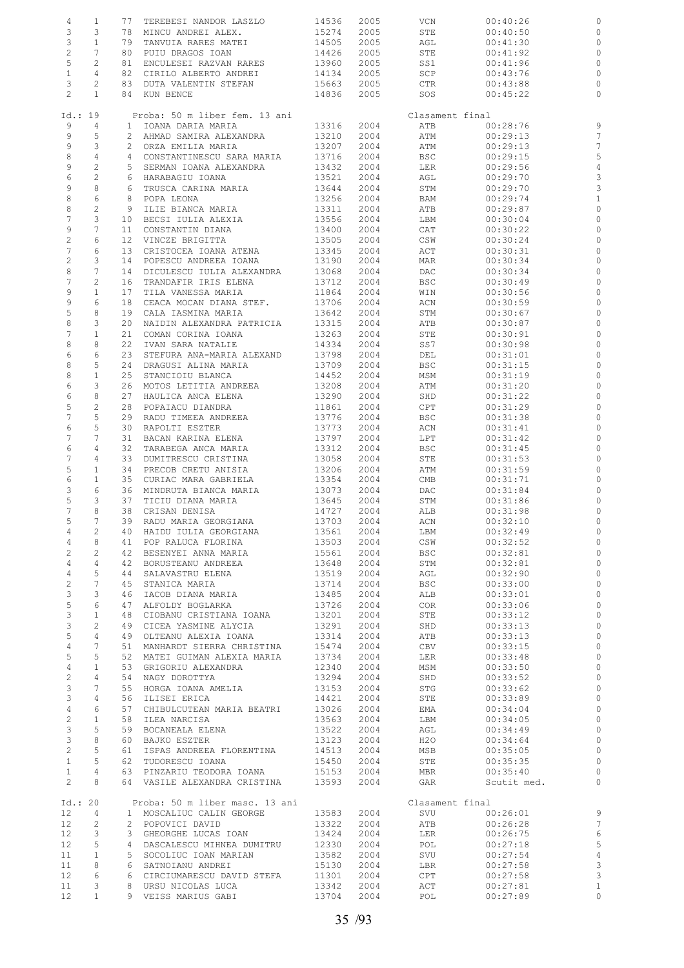| 4                 | $\mathbf{1}$    | 77              | TEREBESI NANDOR LASZLO         | 14536 | 2005 | VCN             | 00:40:26    | 0              |
|-------------------|-----------------|-----------------|--------------------------------|-------|------|-----------------|-------------|----------------|
| 3                 | 3               | 78              | MINCU ANDREI ALEX.             | 15274 | 2005 | STE             | 00:40:50    | 0              |
| 3                 | $\mathbf{1}$    | 79              | TANVUIA RARES MATEI            | 14505 | 2005 | AGL             | 00:41:30    | 0              |
|                   | 7               | 80              |                                |       |      |                 |             |                |
| $\overline{c}$    |                 |                 | PUIU DRAGOS IOAN               | 14426 | 2005 | STE             | 00:41:92    | $\circ$        |
| 5                 | 2               | 81              | ENCULESEI RAZVAN RARES         | 13960 | 2005 | SS1             | 00:41:96    | $\circ$        |
| $1\,$             | 4               | 82              | CIRILO ALBERTO ANDREI          | 14134 | 2005 | SCP             | 00:43:76    | $\circ$        |
| 3                 | $\mathbf{2}$    | 83              | DUTA VALENTIN STEFAN           | 15663 | 2005 | CTR             | 00:43:88    | $\circ$        |
| $\mathbf{2}$      | $\mathbf{1}$    |                 | 84 KUN BENCE                   | 14836 | 2005 | SOS             | 00:45:22    | $\circ$        |
|                   |                 |                 |                                |       |      |                 |             |                |
| Id.: 19           |                 |                 | Proba: 50 m liber fem. 13 ani  |       |      | Clasament final |             |                |
| 9                 | 4               | $\mathbf{1}$    | IOANA DARIA MARIA              | 13316 | 2004 | ATB             | 00:28:76    | 9              |
| 9                 | 5               | 2               | AHMAD SAMIRA ALEXANDRA         | 13210 | 2004 | ATM             | 00:29:13    | $\overline{7}$ |
|                   |                 |                 |                                |       |      |                 |             |                |
| 9                 | 3               | $\mathbf{2}^-$  | ORZA EMILIA MARIA              | 13207 | 2004 | ATM             | 00:29:13    | 7              |
| 8                 | $\overline{4}$  |                 | 4 CONSTANTINESCU SARA MARIA    | 13716 | 2004 | BSC             | 00:29:15    | 5              |
| 9                 | $\overline{c}$  | 5               | SERMAN IOANA ALEXANDRA         | 13432 | 2004 | LER             | 00:29:56    | $\overline{4}$ |
| 6                 | $\overline{c}$  | 6               | HARABAGIU IOANA                | 13521 | 2004 | AGL             | 00:29:70    | 3              |
| 9                 | $\,8\,$         | 6               | TRUSCA CARINA MARIA            | 13644 | 2004 | STM             | 00:29:70    | 3              |
| 8                 | 6               | 8               | POPA LEONA                     | 13256 | 2004 | BAM             | 00:29:74    | $\mathbf{1}$   |
| 8                 | $\sqrt{2}$      | 9               | ILIE BIANCA MARIA              | 13311 | 2004 | ATB             | 00:29:87    | $\circ$        |
| $\boldsymbol{7}$  | 3               | 10              | BECSI IULIA ALEXIA             | 13556 | 2004 |                 | 00:30:04    | $\circ$        |
|                   |                 |                 |                                |       |      | LBM             |             |                |
| 9                 | 7               | 11              | CONSTANTIN DIANA               | 13400 | 2004 | CAT             | 00:30:22    | 0              |
| $\sqrt{2}$        | 6               | 12 <sup>°</sup> | VINCZE BRIGITTA                | 13505 | 2004 | CSW             | 00:30:24    | $\circ$        |
| 7                 | 6               | 13              | CRISTOCEA IOANA ATENA          | 13345 | 2004 | ACT             | 00:30:31    | 0              |
| $\overline{c}$    | 3               | 14              | POPESCU ANDREEA IOANA          | 13190 | 2004 | MAR             | 00:30:34    | $\circ$        |
| 8                 | 7               | 14              | DICULESCU IULIA ALEXANDRA      | 13068 | 2004 | DAC             | 00:30:34    | 0              |
| $\boldsymbol{7}$  | $\overline{c}$  | 16              | TRANDAFIR IRIS ELENA           | 13712 | 2004 | <b>BSC</b>      | 00:30:49    | $\circ$        |
| 9                 | $1\,$           | 17              | TILA VANESSA MARIA             | 11864 | 2004 | WIN             | 00:30:56    | $\circ$        |
|                   |                 |                 |                                |       |      |                 |             |                |
| 9                 | 6               | 18              | CEACA MOCAN DIANA STEF.        | 13706 | 2004 | ACN             | 00:30:59    | $\circ$        |
| 5                 | 8               | 19              | CALA IASMINA MARIA             | 13642 | 2004 | STM             | 00:30:67    | 0              |
| 8                 | 3               | 20              | NAIDIN ALEXANDRA PATRICIA      | 13315 | 2004 | ATB             | 00:30:87    | $\circ$        |
| $\overline{7}$    | $\mathbf{1}$    | 21              | COMAN CORINA IOANA             | 13263 | 2004 | STE             | 00:30:91    | 0              |
| 8                 | 8               | 22              | IVAN SARA NATALIE              | 14334 | 2004 | SS7             | 00:30:98    | $\circ$        |
| 6                 | 6               | 23              | STEFURA ANA-MARIA ALEXAND      | 13798 | 2004 | DEL             | 00:31:01    | $\circ$        |
| 8                 | 5               | 24              | DRAGUSI ALINA MARIA            | 13709 | 2004 | <b>BSC</b>      | 00:31:15    | 0              |
|                   |                 |                 |                                |       |      |                 |             |                |
| 8                 | $\mathbf{1}$    | 25              | STANCIOIU BLANCA               | 14452 | 2004 | MSM             | 00:31:19    | 0              |
| 6                 | 3               | 26              | MOTOS LETITIA ANDREEA          | 13208 | 2004 | ATM             | 00:31:20    | 0              |
| 6                 | 8               | 27              | HAULICA ANCA ELENA             | 13290 | 2004 | SHD             | 00:31:22    | $\circ$        |
| 5                 | 2               | 28              | POPAIACU DIANDRA               | 11861 | 2004 | CPT             | 00:31:29    | 0              |
| 7                 | 5               | 29              | RADU TIMEEA ANDREEA            | 13776 | 2004 | <b>BSC</b>      | 00:31:38    | $\circ$        |
| 6                 | 5               | 30              | RAPOLTI ESZTER                 | 13773 | 2004 | ACN             | 00:31:41    | 0              |
| 7                 | 7               | 31              | BACAN KARINA ELENA             | 13797 | 2004 | LPT             | 00:31:42    | 0              |
| 6                 | 4               | 32              | TARABEGA ANCA MARIA            | 13312 | 2004 | <b>BSC</b>      | 00:31:45    | $\circ$        |
| 7                 | 4               | 33              |                                |       |      |                 |             |                |
|                   |                 |                 | DUMITRESCU CRISTINA            | 13058 | 2004 | STE             | 00:31:53    | 0              |
| 5                 | $\mathbf{1}$    | 34              | PRECOB CRETU ANISIA            | 13206 | 2004 | ATM             | 00:31:59    | $\circ$        |
| 6                 | $1\,$           | 35              | CURIAC MARA GABRIELA           | 13354 | 2004 | CMB             | 00:31:71    | 0              |
| 3                 | 6               | 36              | MINDRUTA BIANCA MARIA          | 13073 | 2004 | DAC             | 00:31:84    | 0              |
| 5                 | 3               | 37              | TICIU DIANA MARIA              | 13645 | 2004 | STM             | 00:31:86    | $\circ$        |
| 7                 | 8               | 38              | CRISAN DENISA                  | 14727 | 2004 | ALB             | 00:31:98    | 0              |
| 5                 | 7               |                 | 39 RADU MARIA GEORGIANA        | 13703 | 2004 | ACN             | 00:32:10    | $\circ$        |
| 4                 | 2               |                 | 40 HAIDU IULIA GEORGIANA       | 13561 | 2004 | LBM             | 00:32:49    |                |
| 4                 | 8               |                 | 41 POP RALUCA FLORINA          | 13503 | 2004 | CSW             | 00:32:52    | $\circ$        |
|                   |                 |                 |                                |       |      |                 |             |                |
| $\mathbf{2}$      | $\overline{2}$  |                 | 42 BESENYEI ANNA MARIA         | 15561 | 2004 | <b>BSC</b>      | 00:32:81    | $\circ$        |
| $\overline{4}$    | $\overline{4}$  |                 | 42 BORUSTEANU ANDREEA          | 13648 | 2004 | STM             | 00:32:81    | $\circ$        |
| $\overline{4}$    | 5               | 44              | SALAVASTRU ELENA               | 13519 | 2004 | AGL             | 00:32:90    | $\circ$        |
| $\sqrt{2}$        | $7\phantom{.0}$ |                 | 45 STANICA MARIA               | 13714 | 2004 | BSC             | 00:33:00    | $\circ$        |
| $\mathcal{E}$     | 3               | 46              | IACOB DIANA MARIA              | 13485 | 2004 | ALB             | 00:33:01    | $\circ$        |
| $\mathsf S$       | 6               | 47              | ALFOLDY BOGLARKA               | 13726 | 2004 | COR             | 00:33:06    | $\circ$        |
| $\mathcal{E}$     | $\mathbf{1}$    | 48              | CIOBANU CRISTIANA IOANA        | 13201 | 2004 | STE             | 00:33:12    | $\circ$        |
| $\mathfrak{Z}$    | $\overline{c}$  |                 |                                |       |      |                 |             | $\circ$        |
|                   |                 |                 | 49 CICEA YASMINE ALYCIA        | 13291 | 2004 | SHD             | 00:33:13    |                |
| 5                 | $\overline{4}$  |                 | 49 OLTEANU ALEXIA IOANA        | 13314 | 2004 | ATB             | 00:33:13    | $\circ$        |
| $\overline{4}$    | $7\phantom{.0}$ |                 | 51 MANHARDT SIERRA CHRISTINA   | 15474 | 2004 | CBV             | 00:33:15    | $\circ$        |
| $\mathsf S$       | 5               |                 | 52 MATEI GUIMAN ALEXIA MARIA   | 13734 | 2004 | LER             | 00:33:48    | $\circ$        |
| 4                 | $\mathbf{1}$    |                 | 53 GRIGORIU ALEXANDRA          | 12340 | 2004 | MSM             | 00:33:50    | $\circ$        |
| $\sqrt{2}$        | $\overline{4}$  | 54              | NAGY DOROTTYA                  | 13294 | 2004 | SHD             | 00:33:52    | $\circ$        |
| $\mathfrak{Z}$    | $7\phantom{.0}$ |                 | 55 HORGA IOANA AMELIA          | 13153 | 2004 | STG             | 00:33:62    | $\circ$        |
| 3                 | $\overline{4}$  | 56              | ILISEI ERICA                   | 14421 | 2004 | STE             | 00:33:89    | $\circ$        |
| $\overline{4}$    | 6               |                 | 57 CHIBULCUTEAN MARIA BEATRI   | 13026 | 2004 | EMA             | 00:34:04    | $\circ$        |
| $\sqrt{2}$        | $\mathbf{1}$    |                 | 58 ILEA NARCISA                | 13563 | 2004 | LBM             | 00:34:05    | $\circ$        |
|                   |                 |                 |                                |       |      |                 |             |                |
| $\mathfrak{Z}$    | 5               |                 | 59 BOCANEALA ELENA             | 13522 | 2004 | AGL             | 00:34:49    | $\circ$        |
| $\mathfrak{Z}$    | 8               |                 | 60 BAJKO ESZTER                | 13123 | 2004 | H20             | 00:34:64    | $\circ$        |
| $\overline{c}$    | 5               |                 | 61 ISPAS ANDREEA FLORENTINA    | 14513 | 2004 | MSB             | 00:35:05    | $\circ$        |
| $\mathbf{1}$      | 5               |                 | 62 TUDORESCU IOANA             | 15450 | 2004 | STE             | 00:35:35    | $\circ$        |
| $\mathbf{1}$      | $\overline{4}$  |                 | 63 PINZARIU TEODORA IOANA      | 15153 | 2004 | MBR             | 00:35:40    | $\circ$        |
| $\overline{2}$    | 8               |                 | 64 VASILE ALEXANDRA CRISTINA   | 13593 | 2004 | GAR             | Scutit med. | $\circ$        |
|                   |                 |                 |                                |       |      |                 |             |                |
| Id.: 20           |                 |                 | Proba: 50 m liber masc. 13 ani |       |      | Clasament final |             |                |
| $12 \overline{ }$ | $\overline{4}$  |                 | 1 MOSCALIUC CALIN GEORGE       | 13583 | 2004 | SVU             | 00:26:01    | $\overline{9}$ |
|                   |                 |                 |                                |       |      |                 |             |                |
| 12                | $\overline{c}$  |                 | 2 POPOVICI DAVID               | 13322 | 2004 | ATB             | 00:26:28    | $\overline{7}$ |
| $12 \overline{ }$ | 3               |                 | 3 GHEORGHE LUCAS IOAN          | 13424 | 2004 | LER             | 00:26:75    | $\epsilon$     |
| 12                | 5               |                 | 4 DASCALESCU MIHNEA DUMITRU    | 12330 | 2004 | POL             | 00:27:18    | 5              |
| 11                | $\mathbf{1}$    |                 | 5 SOCOLIUC IOAN MARIAN         | 13582 | 2004 | SVU             | 00:27:54    | $\overline{4}$ |
| 11                | 8               |                 | 6 SATNOIANU ANDREI             | 15130 | 2004 | LBR             | 00:27:58    | $\mathbf{3}$   |
| $12 \overline{ }$ | 6               |                 | 6 CIRCIUMARESCU DAVID STEFA    | 11301 | 2004 | CPT             | 00:27:58    | $\mathbf{3}$   |
| 11                | 3               |                 | 8 URSU NICOLAS LUCA            | 13342 | 2004 | ACT             | 00:27:81    | $\mathbf{1}$   |
|                   |                 |                 |                                |       |      |                 |             |                |
| 12 <sup>°</sup>   | $\mathbf{1}$    |                 | 9 VEISS MARIUS GABI            | 13704 | 2004 | POL             | 00:27:89    | $\circ$        |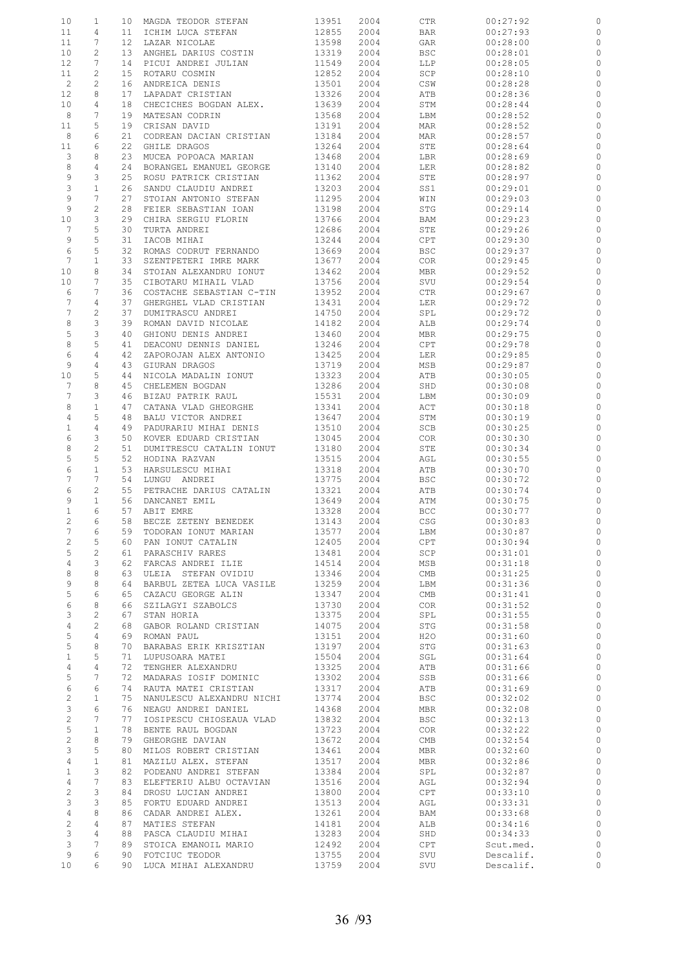| 10               | 1              | 10              | MAGDA TEODOR STEFAN       | 13951 | 2004 | CTR        | 00:27:92  | 0            |
|------------------|----------------|-----------------|---------------------------|-------|------|------------|-----------|--------------|
| 11               | 4              | 11              | ICHIM LUCA STEFAN         | 12855 | 2004 | BAR        | 00:27:93  | 0            |
| 11               | 7              | $12 \,$         | LAZAR NICOLAE             | 13598 | 2004 | GAR        | 00:28:00  | $\circ$      |
|                  | 2              |                 |                           |       |      |            |           |              |
| 10               |                | 13 <sup>°</sup> | ANGHEL DARIUS COSTIN      | 13319 | 2004 | BSC        | 00:28:01  | 0            |
| 12               | 7              | 14              | PICUI ANDREI JULIAN       | 11549 | 2004 | LLP        | 00:28:05  | 0            |
| 11               | 2              | 15              | ROTARU COSMIN             | 12852 | 2004 | SCP        | 00:28:10  | 0            |
| $\overline{c}$   | 2              | 16              | ANDREICA DENIS            | 13501 | 2004 | CSW        | 00:28:28  | 0            |
| 12               | 8              | 17              | LAPADAT CRISTIAN          | 13326 | 2004 | ATB        | 00:28:36  | 0            |
| 10               | 4              | 18              | CHECICHES BOGDAN ALEX.    | 13639 | 2004 | STM        | 00:28:44  | 0            |
| 8                | 7              | 19              | MATESAN CODRIN            | 13568 | 2004 | LBM        | 00:28:52  | 0            |
| 11               | 5              | 19              | CRISAN DAVID              | 13191 | 2004 | MAR        | 00:28:52  | 0            |
|                  |                |                 |                           |       |      |            |           |              |
| 8                | 6              | 21              | CODREAN DACIAN CRISTIAN   | 13184 | 2004 | MAR        | 00:28:57  | 0            |
| 11               | 6              | 22              | GHILE DRAGOS              | 13264 | 2004 | STE        | 00:28:64  | $\circ$      |
| 3                | 8              | 23              | MUCEA POPOACA MARIAN      | 13468 | 2004 | LBR        | 00:28:69  | 0            |
| 8                | 4              | 24              | BORANGEL EMANUEL GEORGE   | 13140 | 2004 | LER        | 00:28:82  | $\circ$      |
| 9                | 3              | 25              | ROSU PATRICK CRISTIAN     | 11362 | 2004 | STE        | 00:28:97  | 0            |
| 3                | $\mathbf{1}$   | 26              | SANDU CLAUDIU ANDREI      | 13203 | 2004 | SS1        | 00:29:01  | 0            |
| 9                | 7              | 27              | STOIAN ANTONIO STEFAN     | 11295 | 2004 | WIN        | 00:29:03  | 0            |
| 9                | 2              | 28              | FEIER SEBASTIAN IOAN      | 13198 | 2004 | STG        | 00:29:14  | 0            |
| 10               | 3              | 29              | CHIRA SERGIU FLORIN       | 13766 | 2004 | BAM        | 00:29:23  | 0            |
| $7\phantom{.0}$  | 5              | 30              | TURTA ANDREI              | 12686 | 2004 | STE        | 00:29:26  | 0            |
| 9                | 5              | 31              | IACOB MIHAI               | 13244 | 2004 | CPT        | 00:29:30  | $\circ$      |
|                  |                |                 | ROMAS CODRUT FERNANDO     |       | 2004 |            |           |              |
| 6                | 5              | 32              |                           | 13669 |      | <b>BSC</b> | 00:29:37  | 0            |
| 7                | $1\,$          | 33              | SZENTPETERI IMRE MARK     | 13677 | 2004 | COR        | 00:29:45  | $\circ$      |
| 10               | 8              | 34              | STOIAN ALEXANDRU IONUT    | 13462 | 2004 | <b>MBR</b> | 00:29:52  | 0            |
| 10               | 7              | 35              | CIBOTARU MIHAIL VLAD      | 13756 | 2004 | SVU        | 00:29:54  | $\circ$      |
| 6                | 7              | 36              | COSTACHE SEBASTIAN C-TIN  | 13952 | 2004 | CTR        | 00:29:67  | 0            |
| $\boldsymbol{7}$ | 4              | 37              | GHERGHEL VLAD CRISTIAN    | 13431 | 2004 | LER        | 00:29:72  | $\circ$      |
| $\boldsymbol{7}$ | 2              | 37              | DUMITRASCU ANDREI         | 14750 | 2004 | SPL        | 00:29:72  | 0            |
| 8                | 3              | 39              | ROMAN DAVID NICOLAE       | 14182 | 2004 | ALB        | 00:29:74  | $\mathbf{0}$ |
| 5                | 3              | 40              | GHIONU DENIS ANDREI       | 13460 | 2004 | MBR        | 00:29:75  | 0            |
| 8                | 5              | 41              | DEACONU DENNIS DANIEL     | 13246 | 2004 | CPT        | 00:29:78  | $\mathbf{0}$ |
| 6                | 4              | 42              |                           | 13425 | 2004 |            | 00:29:85  | 0            |
|                  |                |                 | ZAPOROJAN ALEX ANTONIO    |       |      | LER        |           |              |
| 9                | 4              | 43              | GIURAN DRAGOS             | 13719 | 2004 | MSB        | 00:29:87  | $\circ$      |
| 10               | 5              | 44              | NICOLA MADALIN IONUT      | 13323 | 2004 | ATB        | 00:30:05  | 0            |
| $7\phantom{.0}$  | 8              | 45              | CHELEMEN BOGDAN           | 13286 | 2004 | SHD        | 00:30:08  | 0            |
| 7                | 3              | 46              | BIZAU PATRIK RAUL         | 15531 | 2004 | LBM        | 00:30:09  | 0            |
| 8                | $1\,$          | 47              | CATANA VLAD GHEORGHE      | 13341 | 2004 | ACT        | 00:30:18  | 0            |
| 4                | 5              | 48              | BALU VICTOR ANDREI        | 13647 | 2004 | STM        | 00:30:19  | $\circ$      |
| $\mathbf{1}$     | $\overline{4}$ | 49              | PADURARIU MIHAI DENIS     | 13510 | 2004 | SCB        | 00:30:25  | 0            |
| 6                | 3              | 50              | KOVER EDUARD CRISTIAN     | 13045 | 2004 | COR        | 00:30:30  | 0            |
| 8                | $\overline{c}$ | 51              | DUMITRESCU CATALIN IONUT  | 13180 | 2004 | STE        | 00:30:34  | $\circ$      |
| 5                | 5              | 52              | HODINA RAZVAN             | 13515 | 2004 | AGL        | 00:30:55  | 0            |
| 6                | $\mathbf{1}$   | 53              | HARSULESCU MIHAI          | 13318 | 2004 | ATB        | 00:30:70  | $\circ$      |
| 7                | 7              | 54              | LUNGU ANDREI              | 13775 |      |            | 00:30:72  |              |
|                  |                |                 |                           |       | 2004 | <b>BSC</b> |           | 0            |
| 6                | 2              | 55              | PETRACHE DARIUS CATALIN   | 13321 | 2004 | ATB        | 00:30:74  | $\circ$      |
| 9                | $1\,$          | 56              | DANCANET EMIL             | 13649 | 2004 | ATM        | 00:30:75  | 0            |
| $\mathbf{1}$     | 6              | 57              | ABIT EMRE                 | 13328 | 2004 | <b>BCC</b> | 00:30:77  | 0            |
| 2                | 6              | 58              | BECZE ZETENY BENEDEK      | 13143 | 2004 | CSG        | 00:30:83  | $\circ$      |
| 7                | 6              |                 | 59 TODORAN IONUT MARIAN   | 13577 | 2004 | LBM        | 00:30:87  |              |
| 2                | 5              | 60              | PAN IONUT CATALIN         | 12405 | 2004 | CPT        | 00:30:94  | $\circ$      |
| 5                | $\overline{c}$ | 61              | PARASCHIV RARES           | 13481 | 2004 | SCP        | 00:31:01  | $\circ$      |
| $\overline{4}$   | 3              | 62              | FARCAS ANDREI ILIE        | 14514 | 2004 | MSB        | 00:31:18  | $\circ$      |
| 8                | 8              | 63              | ULEIA STEFAN OVIDIU       | 13346 | 2004 | CMB        | 00:31:25  | $\circ$      |
| 9                | 8              | 64              | BARBUL ZETEA LUCA VASILE  | 13259 | 2004 | LBM        | 00:31:36  | $\circ$      |
| 5                | 6              | 65              | CAZACU GEORGE ALIN        | 13347 | 2004 | CMB        | 00:31:41  | $\circ$      |
|                  | 8              |                 |                           |       |      |            |           |              |
| 6                |                | 66              | SZILAGYI SZABOLCS         | 13730 | 2004 | COR        | 00:31:52  | $\circ$      |
| 3                | $\mathbf{2}$   | 67              | STAN HORIA                | 13375 | 2004 | SPL        | 00:31:55  | $\circ$      |
| $\overline{4}$   | $\mathbf{2}$   | 68              | GABOR ROLAND CRISTIAN     | 14075 | 2004 | STG        | 00:31:58  | $\circ$      |
| 5                | 4              | 69              | ROMAN PAUL                | 13151 | 2004 | H2O        | 00:31:60  | $\circ$      |
| 5                | 8              | 70              | BARABAS ERIK KRISZTIAN    | 13197 | 2004 | STG        | 00:31:63  | $\circ$      |
| $\mathbf{1}$     | 5              | 71              | LUPUSOARA MATEI           | 15504 | 2004 | SGL        | 00:31:64  | $\circ$      |
| $\overline{4}$   | $\overline{4}$ | 72              | TENGHER ALEXANDRU         | 13325 | 2004 | ATB        | 00:31:66  | $\circ$      |
| 5                | 7              | 72              | MADARAS IOSIF DOMINIC     | 13302 | 2004 | SSB        | 00:31:66  | $\circ$      |
| 6                | 6              | 74              | RAUTA MATEI CRISTIAN      | 13317 | 2004 | ATB        | 00:31:69  | $\circ$      |
| $\overline{c}$   | $\mathbf{1}$   | 75              | NANULESCU ALEXANDRU NICHI | 13774 | 2004 | <b>BSC</b> | 00:32:02  | $\circ$      |
| 3                | 6              | 76              | NEAGU ANDREI DANIEL       | 14368 | 2004 | MBR        | 00:32:08  | $\circ$      |
| $\overline{c}$   | 7              | 77              | IOSIPESCU CHIOSEAUA VLAD  | 13832 | 2004 | <b>BSC</b> | 00:32:13  | $\circ$      |
| $\mathsf S$      | $\mathbf{1}$   | 78              | BENTE RAUL BOGDAN         | 13723 | 2004 | <b>COR</b> | 00:32:22  | $\circ$      |
| $\overline{c}$   | 8              | 79              |                           |       |      |            |           | $\circ$      |
|                  |                |                 | GHEORGHE DAVIAN           | 13672 | 2004 | CMB        | 00:32:54  |              |
| 3                | 5              | 80              | MILOS ROBERT CRISTIAN     | 13461 | 2004 | MBR        | 00:32:60  | $\circ$      |
| 4                | $\mathbf{1}$   | 81              | MAZILU ALEX. STEFAN       | 13517 | 2004 | MBR        | 00:32:86  | $\circ$      |
| $\mathbf{1}$     | 3              | 82              | PODEANU ANDREI STEFAN     | 13384 | 2004 | SPL        | 00:32:87  | $\circ$      |
| $\overline{4}$   | 7              | 83              | ELEFTERIU ALBU OCTAVIAN   | 13516 | 2004 | AGL        | 00:32:94  | $\circ$      |
| $\overline{c}$   | 3              | 84              | DROSU LUCIAN ANDREI       | 13800 | 2004 | CPT        | 00:33:10  | $\circ$      |
| 3                | 3              | 85              | FORTU EDUARD ANDREI       | 13513 | 2004 | AGL        | 00:33:31  | $\circ$      |
| $\overline{4}$   | 8              | 86              | CADAR ANDREI ALEX.        | 13261 | 2004 | BAM        | 00:33:68  | $\circ$      |
| $\overline{c}$   | 4              | 87              | MATIES STEFAN             | 14181 | 2004 | ALB        | 00:34:16  | $\circ$      |
| $\mathbf{3}$     | 4              | 88              | PASCA CLAUDIU MIHAI       | 13283 | 2004 | SHD        | 00:34:33  | $\circ$      |
| 3                | 7              | 89              | STOICA EMANOIL MARIO      | 12492 | 2004 | CPT        | Scut.med. | $\circ$      |
| 9                | 6              | 90              | FOTCIUC TEODOR            | 13755 | 2004 | SVU        | Descalif. | $\circ$      |
| 10               | 6              |                 | 90 LUCA MIHAI ALEXANDRU   | 13759 | 2004 | SVU        | Descalif. | $\circ$      |
|                  |                |                 |                           |       |      |            |           |              |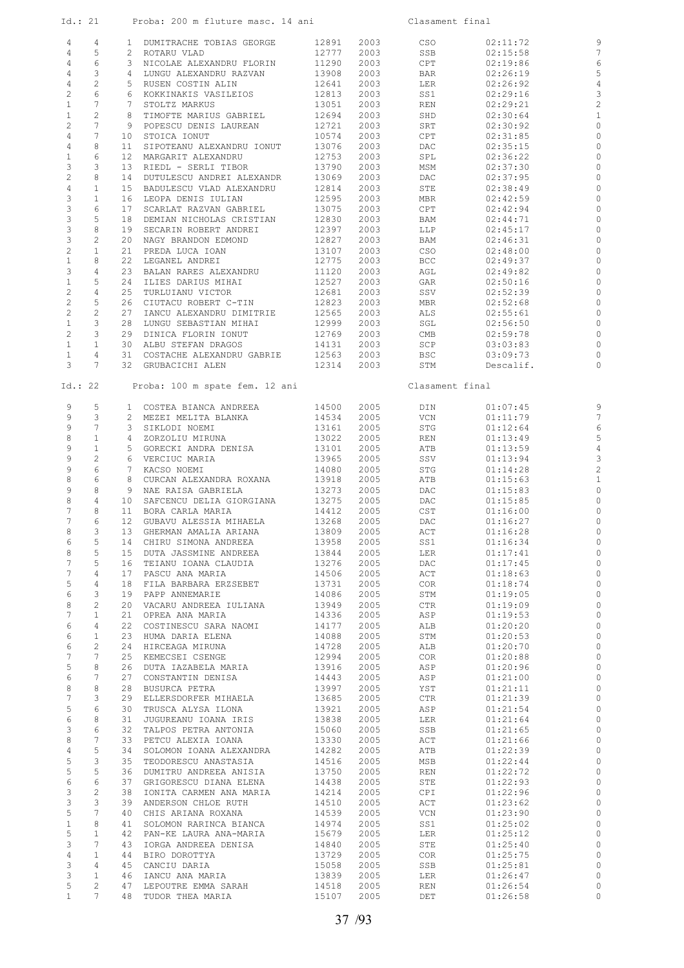| Id.: 21                        |                                |    | Proba: 200 m fluture masc. 14 ani                   |                |              | Clasament final |                      |                         |
|--------------------------------|--------------------------------|----|-----------------------------------------------------|----------------|--------------|-----------------|----------------------|-------------------------|
| 4                              | 4                              |    | 1 DUMITRACHE TOBIAS GEORGE                          | 12891          | 2003         | CSO             | 02:11:72             | 9                       |
| 4                              | 5                              |    | 2 ROTARU VLAD                                       | 12777          | 2003         | SSB             | 02:15:58             | $\overline{7}$          |
| $\overline{4}$                 | 6                              |    | 3 NICOLAE ALEXANDRU FLORIN                          | 11290          | 2003         | CPT             | 02:19:86             | 6                       |
| $\overline{4}$                 | 3                              |    | 4 LUNGU ALEXANDRU RAZVAN                            | 13908          | 2003         | BAR             | 02:26:19             | 5                       |
| $\overline{4}$                 | $\overline{c}$                 |    | 5 RUSEN COSTIN ALIN                                 | 12641          | 2003         | LER             | 02:26:92             | $\overline{4}$          |
| $\overline{c}$                 | 6                              |    | 6 KOKKINAKIS VASILEIOS                              | 12813          | 2003         | SS1             | 02:29:16             | 3                       |
| $\mathbf{1}$                   | $7\phantom{.0}$                |    | 7 STOLTZ MARKUS                                     | 13051          | 2003         | REN             | 02:29:21             | $\overline{\mathbf{c}}$ |
| $\mathbf{1}$                   | 2                              |    | 8 TIMOFTE MARIUS GABRIEL                            | 12694          | 2003         | SHD             | 02:30:64             | $\mathbf{1}$            |
| $\mathbf{2}^{\prime}$          | $7\phantom{.0}$                |    | 9 POPESCU DENIS LAUREAN                             | 12721          | 2003         | SRT             | 02:30:92             | $\circ$                 |
| $\overline{4}$                 | $7\phantom{.0}$<br>8           |    | 10 STOICA IONUT<br>11 SIPOTEANU ALEXANDRU IONUT     | 10574          | 2003         | CPT             | 02:31:85             | 0                       |
| $\overline{4}$<br>$\mathbf{1}$ | 6                              |    | 12 MARGARIT ALEXANDRU                               | 13076<br>12753 | 2003<br>2003 | DAC<br>SPL      | 02:35:15<br>02:36:22 | $\circ$<br>$\circ$      |
| 3                              | 3                              |    | 13 RIEDL - SERLI TIBOR                              | 13790          | 2003         | MSM             | 02:37:30             | $\circ$                 |
| $\overline{c}$                 | 8                              | 14 | DUTULESCU ANDREI ALEXANDR                           | 13069          | 2003         | DAC             | 02:37:95             | $\circ$                 |
| 4                              | $\mathbf{1}$                   |    | 15 BADULESCU VLAD ALEXANDRU                         | 12814          | 2003         | STE             | 02:38:49             | $\circ$                 |
| $\mathbf{3}$                   | $\mathbf{1}$                   |    | 16 LEOPA DENIS IULIAN                               | 12595          | 2003         | MBR             | 02:42:59             | $\circ$                 |
| $\mathfrak{Z}$                 | 6                              |    | 17 SCARLAT RAZVAN GABRIEL                           | 13075          | 2003         | CPT             | 02:42:94             | $\circ$                 |
| $\mathfrak{Z}$                 | 5                              |    | 18 DEMIAN NICHOLAS CRISTIAN                         | 12830          | 2003         | BAM             | 02:44:71             | 0                       |
| $\mathfrak{Z}$                 | 8                              |    | 19 SECARIN ROBERT ANDREI                            | 12397          | 2003         | LLP             | 02:45:17             | $\circ$                 |
| $\mathcal{E}$                  | 2                              |    | 20 NAGY BRANDON EDMOND                              | 12827          | 2003         | BAM             | 02:46:31             | $\circ$                 |
| $\overline{c}$                 | $\mathbf{1}$                   |    | 21 PREDA LUCA IOAN                                  | 13107          | 2003         | CSO             | 02:48:00             | $\circ$                 |
| $1\,$                          | 8                              |    | 22 LEGANEL ANDREI                                   | 12775          | 2003         | BCC             | 02:49:37             | 0                       |
| $\mathcal{E}$<br>$\mathbf{1}$  | $\overline{4}$<br>5            |    | 23 BALAN RARES ALEXANDRU                            | 11120          | 2003         | AGL             | 02:49:82             | $\circ$                 |
| $\overline{c}$                 | $\overline{4}$                 |    | 24 ILIES DARIUS MIHAI<br>25 TURLUIANU VICTOR        | 12527<br>12681 | 2003<br>2003 | GAR<br>SSV      | 02:50:16<br>02:52:39 | $\circ$<br>$\circ$      |
| $\sqrt{2}$                     | 5                              |    | 26 CIUTACU ROBERT C-TIN                             | 12823          | 2003         | MBR             | 02:52:68             | $\circ$                 |
| $\overline{c}$                 | $\sqrt{2}$                     |    | 27 IANCU ALEXANDRU DIMITRIE                         | 12565          | 2003         | ALS             | 02:55:61             | $\circ$                 |
| $\mathbf{1}$                   | $\mathcal{S}$                  |    | 28 LUNGU SEBASTIAN MIHAI                            | 12999          | 2003         | SGL             | 02:56:50             | $\circ$                 |
| $\overline{2}$                 | 3                              |    | 29 DINICA FLORIN IONUT                              | 12769          | 2003         | CMB             | 02:59:78             | $\circ$                 |
| $\mathbf{1}$                   | $\mathbf{1}$                   |    | 30 ALBU STEFAN DRAGOS                               | 14131          | 2003         | SCP             | 03:03:83             | $\circ$                 |
| $\mathbf{1}$                   | $\overline{4}$                 |    | 31 COSTACHE ALEXANDRU GABRIE                        | 12563          | 2003         | BSC             | 03:09:73             | $\circ$                 |
| 3                              | $7^{\circ}$                    |    | 32 GRUBACICHI ALEN                                  | 12314          | 2003         | STM             | Descalif.            | $\circ$                 |
| Id.: 22                        |                                |    | Proba: 100 m spate fem. 12 ani                      |                |              | Clasament final |                      |                         |
|                                |                                |    |                                                     |                |              |                 |                      |                         |
| 9<br>9                         | 5<br>$\mathbf{3}$              |    | 1 COSTEA BIANCA ANDREEA                             | 14500          | 2005         | DIN DIN         | 01:07:45             | 9<br>$\overline{7}$     |
| 9                              | $7\phantom{.0}$                |    | 2 MEZEI MELITA BLANKA<br>3 SIKLODI NOEMI            | 14534<br>13161 | 2005<br>2005 | VCN<br>STG      | 01:11:79<br>01:12:64 | $\epsilon$              |
| 8                              | $\mathbf{1}$                   |    | 4 ZORZOLIU MIRUNA                                   | 13022          | 2005         | REN             | 01:13:49             | 5                       |
| 9                              | $\mathbf{1}$                   |    | 5 GORECKI ANDRA DENISA                              | 13101          | 2005         | ATB             | 01:13:59             | $\overline{4}$          |
| 9                              | $\sqrt{2}$                     |    | 6 VERCIUC MARIA                                     | 13965          | 2005         | SSV             | 01:13:94             | 3                       |
| 9                              | $\epsilon$                     |    | 7 KACSO NOEMI                                       | 14080          | 2005         | STG             | 01:14:28             | $\overline{\mathbf{c}}$ |
| 8                              | $\sqrt{6}$                     |    | 8 CURCAN ALEXANDRA ROXANA                           | 13918          | 2005         | ATB             | 01:15:63             | $\mathbf{1}$            |
| 9                              | 8                              |    | 9 NAE RAISA GABRIELA                                | 13273          | 2005         | DAC             | 01:15:83             | $\circ$                 |
| 8                              | $\overline{4}$                 |    | 10 SAFCENCU DELIA GIORGIANA                         | 13275          | 2005         | DAC             | 01:15:85             | $\circ$                 |
| 7                              | 8                              |    | 11 BORA CARLA MARIA                                 | 14412          | 2005         | CST             | 01:16:00             | $\circ$                 |
| 7                              | 6                              |    | 12 GUBAVU ALESSIA MIHAELA                           | 13268          | 2005         | DAC             | 01:16:27             | $\circ$                 |
| 8                              |                                |    | 3 13 GHERMAN AMALIA ARIANA                          |                | 13809 2005   | <b>ACT</b>      | 01:16:28             | $\circ$                 |
| 6                              | 5                              |    | 14 CHIRU SIMONA ANDREEA                             | 13958<br>13844 | 2005         | SS1             | 01:16:34             | 0                       |
| 8<br>7                         | 5<br>5                         |    | 15 DUTA JASSMINE ANDREEA<br>16 TEIANU IOANA CLAUDIA |                | 2005<br>2005 | LER<br>DAC      | 01:17:41<br>01:17:45 | $\circ$<br>$\circ$      |
| 7                              | 4                              |    | 17 PASCU ANA MARIA                                  | 13276<br>14506 | 2005         | ACT             | 01:18:63             | $\circ$                 |
| 5                              | $\overline{4}$                 |    | 18 FILA BARBARA ERZSEBET                            | 13731          | 2005         | COR             | 01:18:74             | $\circ$                 |
| 6                              | 3                              |    | 19 PAPP ANNEMARIE                                   | 14086          | 2005         | STM             | 01:19:05             | $\circ$                 |
| 8                              | $\overline{2}$                 |    | 20 VACARU ANDREEA IULIANA                           | 13949          | 2005         | CTR             | 01:19:09             | $\circ$                 |
| 7                              | $\mathbf{1}$                   |    | 21 OPREA ANA MARIA                                  | 14336          | 2005         | ASP             | 01:19:53             | $\circ$                 |
| 6                              | $\overline{4}$                 |    | 22 COSTINESCU SARA NAOMI                            | 14177          | 2005         | ALB             | 01:20:20             | $\circ$                 |
| 6                              | $\mathbf{1}$                   |    | 23 HUMA DARIA ELENA                                 | 14088          | 2005         | STM             | 01:20:53             | $\circ$                 |
| 6                              | $\mathbf{2}$                   |    | 24 HIRCEAGA MIRUNA                                  | 14728          | 2005         | ALB             | 01:20:70             | $\circ$                 |
| $7\phantom{.0}$                | $7\overline{ }$                |    | 25 KEMECSEI CSENGE                                  | 12994          | 2005         | COR             | 01:20:88             | $\circ$                 |
| 5                              | 8                              |    | 26 DUTA IAZABELA MARIA                              | 13916          | 2005         | ASP             | 01:20:96             | $\circ$                 |
| 6                              | $7\phantom{.0}$                |    | 27 CONSTANTIN DENISA                                | 14443          | 2005         | ASP             | 01:21:00             | $\circ$                 |
| 8                              | 8                              | 28 | BUSURCA PETRA                                       | 13997          | 2005         | YST             | 01:21:11             | $\circ$                 |
| $7\phantom{.}$<br>5            | 3<br>6                         | 30 | 29 ELLERSDORFER MIHAELA<br>TRUSCA ALYSA ILONA       | 13685<br>13921 | 2005<br>2005 | CTR<br>ASP      | 01:21:39<br>01:21:54 | $\circ$<br>$\circ$      |
| 6                              | 8                              |    | 31 JUGUREANU IOANA IRIS                             | 13838          | 2005         | LER             | 01:21:64             | $\circ$                 |
| 3                              | 6                              | 32 | TALPOS PETRA ANTONIA                                | 15060          | 2005         | SSB             | 01:21:65             | $\circ$                 |
| 8                              | $7\phantom{.0}$                |    | 33 PETCU ALEXIA IOANA                               | 13330          | 2005         | ACT             | 01:21:66             | $\circ$                 |
| $\overline{4}$                 | 5                              |    | 34 SOLOMON IOANA ALEXANDRA                          | 14282          | 2005         | ATB             | 01:22:39             | $\circ$                 |
| 5                              | 3                              |    | 35 TEODORESCU ANASTASIA                             | 14516          | 2005         | MSB             | 01:22:44             | $\circ$                 |
| 5                              | 5                              |    | 36 DUMITRU ANDREEA ANISIA                           | 13750          | 2005         | REN             | 01:22:72             | $\circ$                 |
| 6                              | 6                              |    | 37 GRIGORESCU DIANA ELENA                           | 14438          | 2005         | STE             | 01:22:93             | $\circ$                 |
| 3                              | $\overline{c}$                 |    | 38 IONITA CARMEN ANA MARIA                          | 14214          | 2005         | CPI             | 01:22:96             | $\circ$                 |
| $\mathfrak{Z}$                 | 3                              |    | 39 ANDERSON CHLOE RUTH                              | 14510          | 2005         | ACT             | 01:23:62             | $\circ$                 |
| 5                              | $7\overline{ }$                |    | 40 CHIS ARIANA ROXANA                               | 14539          | 2005         | VCN             | 01:23:90             | $\circ$                 |
| $1\,$                          | 8                              |    | 41 SOLOMON RARINCA BIANCA                           | 14974          | 2005         | SS1             | 01:25:02             | $\circ$                 |
| 5                              | $\mathbf{1}$                   |    | 42 PAN-KE LAURA ANA-MARIA                           | 15679          | 2005         | LER             | 01:25:12             | $\circ$                 |
| $\mathcal{E}$                  | $7\overline{ }$                |    | 43 IORGA ANDREEA DENISA                             | 14840          | 2005         | STE             | 01:25:40             | $\circ$                 |
| 4                              | $\mathbf{1}$                   | 44 | BIRO DOROTTYA                                       | 13729          | 2005         | COR             | 01:25:75             | $\circ$                 |
| 3                              | $\overline{4}$                 |    | 45 CANCIU DARIA                                     | 15058          | 2005         | SSB             | 01:25:81             | $\circ$                 |
| 3                              | $\mathbf{1}$<br>$\overline{2}$ |    | 46 IANCU ANA MARIA                                  | 13839          | 2005         | LER             | 01:26:47             | $\circ$                 |
| 5<br>$\mathbf{1}$              | $7^{\circ}$                    |    | 47 LEPOUTRE EMMA SARAH<br>48 TUDOR THEA MARIA       | 14518<br>15107 | 2005<br>2005 | REN<br>DET      | 01:26:54             | $\circ$<br>$\circ$      |
|                                |                                |    |                                                     |                |              |                 | 01:26:58             |                         |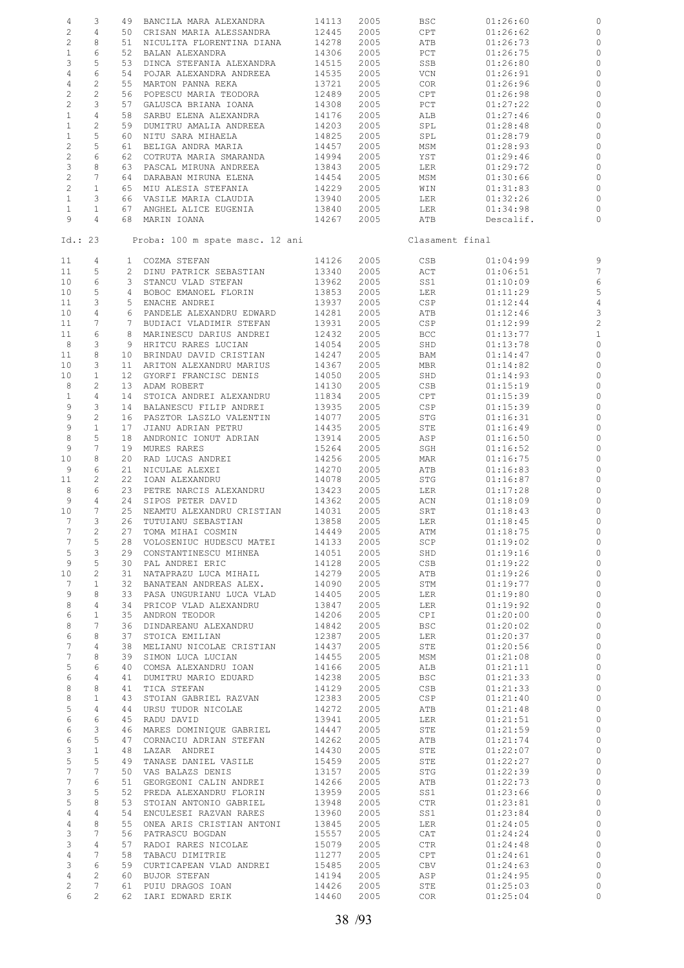| 4                         | 3               |                 | 49 BANCILA MARA ALEXANDRA       | 14113      | 2005 | BSC             | 01:26:60  | $\circ$         |
|---------------------------|-----------------|-----------------|---------------------------------|------------|------|-----------------|-----------|-----------------|
|                           |                 |                 |                                 |            |      |                 |           |                 |
| $\sqrt{2}$                | 4               |                 | 50 CRISAN MARIA ALESSANDRA      | 12445      | 2005 | CPT             | 01:26:62  | $\circ$         |
| $\sqrt{2}$                | 8               |                 | 51 NICULITA FLORENTINA DIANA    | 14278      | 2005 | ATB             | 01:26:73  | $\circ$         |
| $\,1$                     | 6               | 52              | BALAN ALEXANDRA                 | 14306      | 2005 | PCT             | 01:26:75  | $\circ$         |
| 3                         | 5               | 53              | DINCA STEFANIA ALEXANDRA        | 14515      | 2005 | SSB             | 01:26:80  | $\circ$         |
| $\overline{4}$            | 6               | 54              | POJAR ALEXANDRA ANDREEA         | 14535      | 2005 | VCN             | 01:26:91  | $\circ$         |
|                           |                 |                 |                                 |            |      |                 |           |                 |
| $\overline{4}$            | $\overline{c}$  | 55              | MARTON PANNA REKA               | 13721      | 2005 | COR             | 01:26:96  | $\circ$         |
| $\overline{c}$            | $\mathbf{2}$    | 56              | POPESCU MARIA TEODORA           | 12489      | 2005 | CPT             | 01:26:98  | $\circ$         |
| $\mathbf{2}$              | 3               | 57              | GALUSCA BRIANA IOANA            | 14308      | 2005 | PCT             | 01:27:22  | $\circ$         |
| $\mathbf{1}$              | $\overline{4}$  | 58              | SARBU ELENA ALEXANDRA           | 14176      | 2005 | ALB             | 01:27:46  | $\circ$         |
|                           | $\overline{c}$  |                 |                                 |            |      |                 |           | $\circ$         |
| $\mathbf{1}$              |                 | 59              | DUMITRU AMALIA ANDREEA          | 14203      | 2005 | SPL             | 01:28:48  |                 |
| $\mathbf{1}$              | 5               | 60              | NITU SARA MIHAELA               | 14825      | 2005 | SPL             | 01:28:79  | $\circ$         |
| $\mathbf{2}$              | 5               | 61              | BELIGA ANDRA MARIA              | 14457      | 2005 | MSM             | 01:28:93  | $\circ$         |
| $\sqrt{2}$                | 6               | 62              | COTRUTA MARIA SMARANDA          | 14994      | 2005 | YST             | 01:29:46  | $\circ$         |
| $\ensuremath{\mathsf{3}}$ | 8               | 63              | PASCAL MIRUNA ANDREEA           | 13843      | 2005 | LER             | 01:29:72  | $\circ$         |
| $\mathbf{2}$              | 7               | 64              | DARABAN MIRUNA ELENA            | 14454      | 2005 | MSM             | 01:30:66  | $\circ$         |
|                           |                 |                 |                                 |            |      |                 |           |                 |
| $\overline{c}$            | $\mathbf{1}$    | 65              | MIU ALESIA STEFANIA             | 14229      | 2005 | WIN             | 01:31:83  | $\circ$         |
| $\mathbf{1}$              | 3               |                 | 66 VASILE MARIA CLAUDIA         | 13940      | 2005 | LER             | 01:32:26  | $\circ$         |
| $\mathbf{1}$              | $\mathbf{1}$    | 67              | ANGHEL ALICE EUGENIA            | 13840      | 2005 | LER             | 01:34:98  | $\circ$         |
| 9                         | $\overline{4}$  |                 | 68 MARIN IOANA                  | 14267      | 2005 | ATB             | Descalif. | $\circ$         |
|                           |                 |                 |                                 |            |      |                 |           |                 |
| Id.: 23                   |                 |                 | Proba: 100 m spate masc. 12 ani |            |      | Clasament final |           |                 |
|                           |                 |                 |                                 |            |      |                 |           |                 |
| 11                        | 4               |                 | 1 COZMA STEFAN                  | 14126      | 2005 | CSB             | 01:04:99  | 9               |
| 11                        | 5               |                 | 2 DINU PATRICK SEBASTIAN        | 13340      | 2005 | ACT             | 01:06:51  | $7\phantom{.0}$ |
| 10                        | 6               |                 | 3 STANCU VLAD STEFAN            | 13962      | 2005 | SS1             | 01:10:09  | $\epsilon$      |
| 10                        | 5               |                 | 4 BOBOC EMANOEL FLORIN          | 13853      | 2005 | LER             | 01:11:29  | $\overline{5}$  |
| 11                        | 3               |                 | 5 ENACHE ANDREI                 | 13937      | 2005 | CSP             | 01:12:44  | $\overline{4}$  |
|                           |                 |                 |                                 |            |      |                 |           |                 |
| 10                        | 4               | 6               | PANDELE ALEXANDRU EDWARD        | 14281      | 2005 | ATB             | 01:12:46  | $\mathbf{3}$    |
| 11                        | 7               | $7^{\circ}$     | BUDIACI VLADIMIR STEFAN         | 13931      | 2005 | CSP             | 01:12:99  | $\overline{c}$  |
| 11                        | 6               | 8               | MARINESCU DARIUS ANDREI         | 12432      | 2005 | BCC             | 01:13:77  | $\mathbf{1}$    |
| 8                         | 3               |                 | 9 HRITCU RARES LUCIAN           | 14054      | 2005 | SHD             | 01:13:78  | $\circ$         |
| 11                        | 8               | 10              | BRINDAU DAVID CRISTIAN          | 14247      | 2005 | BAM             | 01:14:47  | $\circ$         |
|                           |                 |                 |                                 |            |      |                 |           |                 |
| 10                        | 3               |                 | 11 ARITON ALEXANDRU MARIUS      | 14367      | 2005 | MBR             | 01:14:82  | $\circ$         |
| 10                        | $\mathbf{1}$    | 12 <sup>7</sup> | GYORFI FRANCISC DENIS           | 14050      | 2005 | SHD             | 01:14:93  | $\circ$         |
| 8                         | 2               | 13              | ADAM ROBERT                     | 14130      | 2005 | CSB             | 01:15:19  | $\circ$         |
| $\mathbf{1}$              | 4               | 14              | STOICA ANDREI ALEXANDRU         | 11834      | 2005 | CPT             | 01:15:39  | $\circ$         |
| 9                         | 3               | 14              | BALANESCU FILIP ANDREI          | 13935      | 2005 | CSP             | 01:15:39  | $\circ$         |
|                           |                 |                 |                                 |            |      |                 |           |                 |
| 9                         | 2               | 16              | PASZTOR LASZLO VALENTIN         | 14077      | 2005 | STG             | 01:16:31  | $\circ$         |
| $\mathsf 9$               | $\mathbf{1}$    | 17              | JIANU ADRIAN PETRU              | 14435      | 2005 | STE             | 01:16:49  | $\circ$         |
| $\,8\,$                   | 5               | 18              | ANDRONIC IONUT ADRIAN           | 13914      | 2005 | ASP             | 01:16:50  | $\circ$         |
| 9                         | 7               | 19              | MURES RARES                     | 15264      | 2005 | SGH             | 01:16:52  | $\circ$         |
| 10                        | 8               | 20              | RAD LUCAS ANDREI                | 14256      | 2005 | MAR             | 01:16:75  | $\circ$         |
|                           |                 |                 |                                 |            |      |                 |           |                 |
| 9                         | 6               | 21              | NICULAE ALEXEI                  | 14270      | 2005 | ATB             | 01:16:83  | $\circ$         |
| 11                        | 2               | 22              | IOAN ALEXANDRU                  | 14078      | 2005 | STG             | 01:16:87  | $\circ$         |
| 8                         | 6               | 23              | PETRE NARCIS ALEXANDRU          | 13423      | 2005 | LER             | 01:17:28  | $\circ$         |
| 9                         | $\overline{4}$  | 24              | SIPOS PETER DAVID               | 14362      | 2005 | ACN             | 01:18:09  | $\circ$         |
| 10                        | 7               | 25              | NEAMTU ALEXANDRU CRISTIAN       | 14031      | 2005 | SRT             | 01:18:43  | $\circ$         |
|                           |                 |                 |                                 |            |      |                 |           |                 |
| 7                         | 3               | 26              | TUTUIANU SEBASTIAN              | 13858      | 2005 | LER             | 01:18:45  | $\circ$         |
| $7\phantom{.0}$           | $\overline{c}$  |                 | 27 TOMA MIHAI COSMIN            | 14449 2005 |      | ATM             | 01:18:75  | $\overline{0}$  |
| $7\phantom{.0}$           | 5               |                 | 28 VOLOSENIUC HUDESCU MATEI     | 14133      | 2005 | SCP             | 01:19:02  | $\circ$         |
| 5                         | 3               |                 | 29 CONSTANTINESCU MIHNEA        | 14051      | 2005 | SHD             | 01:19:16  | $\overline{0}$  |
| 9                         | 5               |                 | 30 PAL ANDREI ERIC              | 14128      | 2005 | CSB             | 01:19:22  | $\circ$         |
|                           |                 |                 |                                 |            |      |                 |           |                 |
| 10                        | $\overline{c}$  |                 | 31 NATAPRAZU LUCA MIHAIL        | 14279      | 2005 | ATB             | 01:19:26  | $\circ$         |
| 7                         | $\mathbf{1}$    |                 | 32 BANATEAN ANDREAS ALEX.       | 14090      | 2005 | STM             | 01:19:77  | $\circ$         |
| 9                         | 8               |                 | 33 PASA UNGURIANU LUCA VLAD     | 14405      | 2005 | LER             | 01:19:80  | $\circ$         |
| 8                         | $\overline{4}$  |                 | 34 PRICOP VLAD ALEXANDRU        | 13847      | 2005 | LER             | 01:19:92  | $\circ$         |
| 6                         | $\mathbf{1}$    |                 | 35 ANDRON TEODOR                | 14206      | 2005 | CPI             | 01:20:00  | $\circ$         |
|                           |                 |                 |                                 |            |      |                 |           |                 |
| 8                         | 7               |                 | 36 DINDAREANU ALEXANDRU         | 14842      | 2005 | BSC             | 01:20:02  | $\circ$         |
| 6                         | 8               | 37              | STOICA EMILIAN                  | 12387      | 2005 | LER             | 01:20:37  | $\circ$         |
| $7\phantom{.0}$           | 4               |                 | 38 MELIANU NICOLAE CRISTIAN     | 14437      | 2005 | STE             | 01:20:56  | $\circ$         |
| $7\overline{ }$           | 8               | 39              | SIMON LUCA LUCIAN               | 14455      | 2005 | MSM             | 01:21:08  | $\circ$         |
| 5                         | 6               | 40              | COMSA ALEXANDRU IOAN            | 14166      | 2005 | ALB             | 01:21:11  | $\circ$         |
|                           |                 |                 |                                 |            |      |                 |           |                 |
| 6                         | 4               | 41              | DUMITRU MARIO EDUARD            | 14238      | 2005 | <b>BSC</b>      | 01:21:33  | $\circ$         |
| 8                         | 8               | 41              | TICA STEFAN                     | 14129      | 2005 | CSB             | 01:21:33  | $\circ$         |
| 8                         | $\mathbf{1}$    | 43              | STOIAN GABRIEL RAZVAN           | 12300      | 2005 | CSP             | 01:21:40  | $\circ$         |
| 5                         | 4               | 44              | URSU TUDOR NICOLAE              |            | 2005 | ATB             | 01:21:48  | $\circ$         |
|                           |                 |                 |                                 |            |      |                 |           |                 |
| 6                         | 6               | 45              | RADU DAVID                      | 13941      | 2005 | LER             | 01:21:51  | $\circ$         |
| 6                         | 3               | 46              | MARES DOMINIQUE GABRIEL         | 14447      | 2005 | STE             | 01:21:59  | $\circ$         |
| 6                         | 5               | 47              | CORNACIU ADRIAN STEFAN          | 14262      | 2005 | ATB             | 01:21:74  | $\circ$         |
| 3                         | $\mathbf{1}$    |                 | 48 LAZAR ANDREI                 | 14430      | 2005 | STE             | 01:22:07  | $\circ$         |
| 5                         | 5               | 49              | TANASE DANIEL VASILE            | 15459      | 2005 | STE             | 01:22:27  | $\circ$         |
|                           |                 |                 |                                 |            |      |                 |           |                 |
| 7                         | $7\phantom{.0}$ |                 | 50 VAS BALAZS DENIS             | 13157      | 2005 | STG             | 01:22:39  | $\circ$         |
| 7                         | 6               | 51              | GEORGEONI CALIN ANDREI          | 14266      | 2005 | ATB             | 01:22:73  | $\circ$         |
| 3                         | 5               |                 | 52 PREDA ALEXANDRU FLORIN       | 13959      | 2005 | SS1             | 01:23:66  | $\circ$         |
| 5                         | 8               | 53              | STOIAN ANTONIO GABRIEL          | 13948      | 2005 | CTR             | 01:23:81  | $\circ$         |
|                           | $\overline{4}$  |                 |                                 |            |      |                 |           |                 |
| $\overline{4}$            |                 |                 | 54 ENCULESEI RAZVAN RARES       | 13960      | 2005 | SS1             | 01:23:84  | $\circ$         |
| $\overline{4}$            | 8               | 55              | ONEA ARIS CRISTIAN ANTONI       | 13845      | 2005 | LER             | 01:24:05  | $\circ$         |
| 3                         | 7               |                 | 56 PATRASCU BOGDAN              | 15557      | 2005 | CAT             | 01:24:24  | $\circ$         |
| 3                         | 4               | 57              | RADOI RARES NICOLAE             | 15079      | 2005 | CTR             | 01:24:48  | $\circ$         |
| $\overline{4}$            | $7\phantom{.0}$ |                 | 58 TABACU DIMITRIE              | 11277      | 2005 | CPT             | 01:24:61  | $\circ$         |
|                           |                 |                 |                                 |            |      |                 |           |                 |
| 3                         | 6               | 59              | CURTICAPEAN VLAD ANDREI         | 15485      | 2005 | CBV             | 01:24:63  | $\circ$         |
| $\overline{4}$            | $\mathbf{2}$    |                 | 60 BUJOR STEFAN                 | 14194      | 2005 | ASP             | 01:24:95  | $\circ$         |
| $\overline{c}$            | 7               | 61              | PUIU DRAGOS IOAN                | 14426      | 2005 | STE             | 01:25:03  | $\circ$         |
| 6                         | $\overline{2}$  |                 | 62 IARI EDWARD ERIK             | 14460      | 2005 | COR             | 01:25:04  | $\circ$         |
|                           |                 |                 |                                 |            |      |                 |           |                 |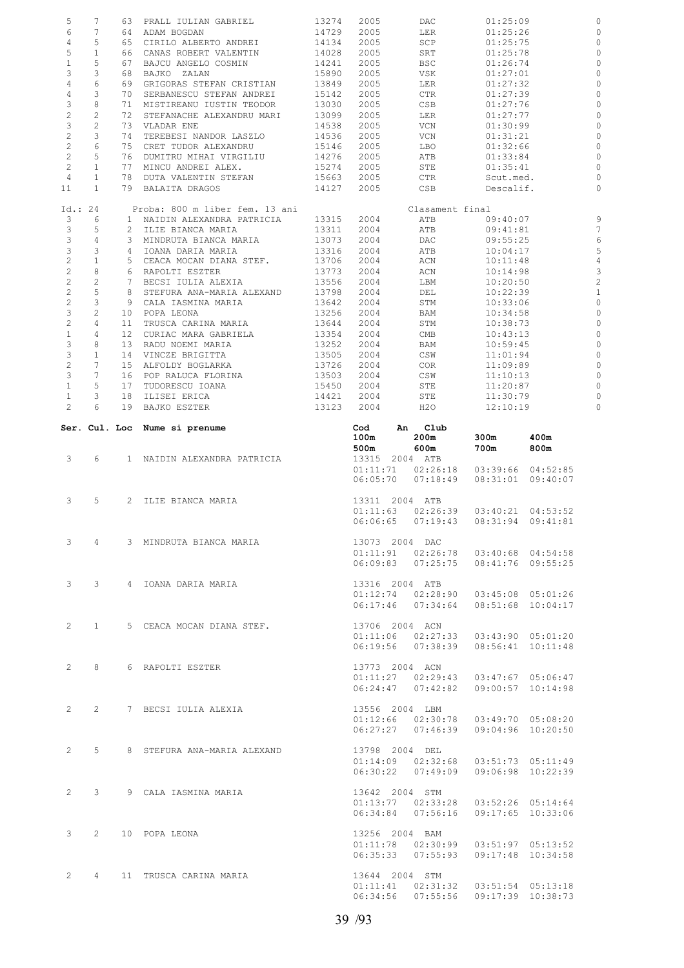| 5<br>6                 | 7                              |                 | 63 PRALL IULIAN GABRIEL                      | 13274 | 2005     | DAC                                         | 01:25:09  |                   |
|------------------------|--------------------------------|-----------------|----------------------------------------------|-------|----------|---------------------------------------------|-----------|-------------------|
|                        | 7                              |                 | 64 ADAM BOGDAN                               | 14729 | 2005     | LER                                         | 01:25:26  |                   |
| 4                      | 5                              |                 | 65 CIRILO ALBERTO ANDREI                     | 14134 | 2005     | SCP                                         | 01:25:75  |                   |
| 5                      | $\mathbf{1}$                   |                 | 66 CANAS ROBERT VALENTIN                     | 14028 | 2005     | SRT                                         | 01:25:78  |                   |
| $1\,$                  | 5                              |                 | 67 BAJCU ANGELO COSMIN                       | 14241 | 2005     | BSC                                         | 01:26:74  |                   |
|                        |                                |                 |                                              |       |          |                                             |           |                   |
| 3                      | 3                              | 68              | BAJKO ZALAN                                  | 15890 | 2005     | VSK                                         | 01:27:01  |                   |
| $\overline{4}$         | 6                              |                 | 69 GRIGORAS STEFAN CRISTIAN                  | 13849 | 2005     | LER                                         | 01:27:32  |                   |
| 4                      | 3                              |                 | 70 SERBANESCU STEFAN ANDREI                  | 15142 | 2005     | CTR                                         | 01:27:39  |                   |
| 3                      | 8                              |                 | 71 MISTIREANU IUSTIN TEODOR                  | 13030 | 2005     | CSB                                         | 01:27:76  |                   |
| $\mathbf{2}$           | $\mathbf{2}$                   |                 | 72 STEFANACHE ALEXANDRU MARI                 | 13099 | 2005     | LER                                         | 01:27:77  |                   |
| 3                      | $\overline{c}$                 |                 | 73 VLADAR ENE                                | 14538 | 2005     | VCN                                         | 01:30:99  |                   |
| $\overline{c}$         | 3                              | 74              | TEREBESI NANDOR LASZLO                       | 14536 | 2005     | VCN                                         | 01:31:21  |                   |
| $\overline{c}$         | $\sqrt{6}$                     |                 | 75 CRET TUDOR ALEXANDRU                      | 15146 | 2005     | LBO                                         | 01:32:66  |                   |
| $\overline{c}$         | 5                              |                 | 76 DUMITRU MIHAI VIRGILIU                    | 14276 | 2005     | ATB                                         | 01:33:84  |                   |
| $\overline{c}$         | $\mathbf{1}$                   |                 |                                              |       |          |                                             |           |                   |
|                        |                                |                 | 77 MINCU ANDREI ALEX.                        | 15274 | 2005     | STE                                         | 01:35:41  |                   |
| 4                      | $\mathbf{1}$                   |                 | 78 DUTA VALENTIN STEFAN                      | 15663 | 2005     | CTR                                         | Scut.med. |                   |
| 11                     | $\mathbf{1}$                   |                 | 79 BALAITA DRAGOS                            | 14127 | 2005     | CSB                                         | Descalif. |                   |
| Id.: 24                |                                |                 | Proba: 800 m liber fem. 13 ani               |       |          | Clasament final                             |           |                   |
| 3                      | 6                              |                 | 1 NAIDIN ALEXANDRA PATRICIA                  | 13315 | 2004     | ATB                                         | 09:40:07  |                   |
| $\mathcal{E}$          | 5                              |                 | 2 ILIE BIANCA MARIA                          | 13311 | 2004     | ATB                                         | 09:41:81  |                   |
| 3                      | 4                              |                 | 3 MINDRUTA BIANCA MARIA                      | 13073 | 2004     | DAC                                         | 09:55:25  |                   |
| $\mathsf 3$            | 3                              |                 | 4 IOANA DARIA MARIA                          | 13316 | 2004     | ATB                                         | 10:04:17  |                   |
| $\overline{c}$         | $\mathbf{1}$                   |                 | 5 CEACA MOCAN DIANA STEF.                    | 13706 | 2004     | ACN                                         | 10:11:48  |                   |
|                        | 8                              |                 | 6 RAPOLTI ESZTER                             |       |          |                                             |           |                   |
| $\overline{c}$         |                                |                 |                                              | 13773 | 2004     | ACN                                         | 10:14:98  |                   |
| $\overline{c}$         | $\overline{c}$                 |                 | 7 BECSI IULIA ALEXIA                         | 13556 | 2004     | LBM                                         | 10:20:50  |                   |
| $\overline{c}$         | 5                              |                 | 8 STEFURA ANA-MARIA ALEXAND                  | 13798 | 2004     | DEL                                         | 10:22:39  |                   |
| $\overline{c}$         | 3                              |                 | 9 CALA IASMINA MARIA                         | 13642 | 2004     | STM                                         | 10:33:06  |                   |
| $\mathcal{E}$          | 2                              |                 | 10 POPA LEONA                                | 13256 | 2004     | BAM                                         | 10:34:58  |                   |
| $\overline{c}$         | 4                              | 11              | TRUSCA CARINA MARIA                          | 13644 | 2004     | STM                                         | 10:38:73  |                   |
| $\mathbf{1}$           | 4                              | 12 <sup>7</sup> | CURIAC MARA GABRIELA                         | 13354 | 2004     | CMB                                         | 10:43:13  |                   |
| 3                      | 8                              |                 | 13 RADU NOEMI MARIA                          | 13252 | 2004     | BAM                                         | 10:59:45  |                   |
| $\mathsf 3$            | $\mathbf{1}$                   |                 |                                              |       |          |                                             |           |                   |
|                        |                                |                 | 14 VINCZE BRIGITTA                           | 13505 | 2004     | CSW                                         | 11:01:94  |                   |
| $\mathbf{2}$           | 7                              |                 | 15 ALFOLDY BOGLARKA                          | 13726 | 2004     | COR                                         | 11:09:89  |                   |
| 3                      | 7                              |                 | 16 POP RALUCA FLORINA                        | 13503 | 2004     | CSW                                         | 11:10:13  |                   |
| $\mathbf{1}$           | 5                              | 17              | TUDORESCU IOANA                              | 15450 | 2004     | STE                                         | 11:20:87  |                   |
| $\mathbf{1}$           | 3                              | 18              | ILISEI ERICA                                 | 14421 | 2004     | STE                                         | 11:30:79  |                   |
| $\overline{c}$         | 6                              |                 | 19 BAJKO ESZTER                              | 13123 | 2004     | H2O                                         | 12:10:19  |                   |
|                        |                                |                 | Ser. Cul. Loc Nume si prenume                |       | Cod      | Club<br>An                                  |           |                   |
|                        |                                |                 |                                              |       | 100m     | 200m                                        | 300m      | 400m              |
|                        |                                |                 |                                              |       | 500m     | 600m                                        | 700m      | 800m              |
| 3                      | 6                              |                 | 1 NAIDIN ALEXANDRA PATRICIA                  |       |          | 13315 2004 ATB                              |           |                   |
|                        |                                |                 |                                              |       | 01:11:71 | 02:26:18                                    |           | 03:39:66 04:52:85 |
|                        |                                |                 |                                              |       | 06:05:70 | 07:18:49                                    | 08:31:01  | 09:40:07          |
|                        |                                |                 |                                              |       |          |                                             |           |                   |
| 3                      | 5                              |                 | 2 ILIE BIANCA MARIA                          |       |          | 13311 2004 ATB                              |           |                   |
|                        |                                |                 |                                              |       |          | $01:11:63$ $02:26:39$                       | 03:40:21  | 04:53:52          |
|                        |                                |                 |                                              |       | 06:06:65 | 07:19:43                                    | 08:31:94  | 09:41:81          |
|                        |                                |                 |                                              |       |          |                                             |           |                   |
|                        | $3 \t 4$                       |                 | 3 MINDRUTA BIANCA MARIA                      |       |          | 13073 2004 DAC                              |           |                   |
|                        |                                |                 |                                              |       |          | $01:11:91$ $02:26:78$ $03:40:68$ $04:54:58$ |           |                   |
|                        |                                |                 |                                              |       |          | 06:09:83  07:25:75  08:41:76  09:55:25      |           |                   |
|                        |                                |                 |                                              |       |          |                                             |           |                   |
|                        |                                |                 | 3 3 4 IOANA DARIA MARIA                      |       |          |                                             |           |                   |
|                        |                                |                 |                                              |       |          |                                             |           |                   |
|                        |                                |                 |                                              |       |          | 13316 2004 ATB                              |           |                   |
|                        |                                |                 |                                              |       |          | $01:12:74$ $02:28:90$ $03:45:08$ $05:01:26$ |           |                   |
|                        |                                |                 |                                              |       |          | 06:17:46  07:34:64  08:51:68  10:04:17      |           |                   |
|                        |                                |                 |                                              |       |          |                                             |           |                   |
| $2 \quad \blacksquare$ |                                |                 | 1 5 CEACA MOCAN DIANA STEF.                  |       |          | 13706 2004 ACN                              |           |                   |
|                        |                                |                 |                                              |       |          | $01:11:06$ $02:27:33$ $03:43:90$ $05:01:20$ |           |                   |
|                        |                                |                 |                                              |       |          | $06:19:56$ $07:38:39$ $08:56:41$ $10:11:48$ |           |                   |
|                        |                                |                 |                                              |       |          |                                             |           |                   |
|                        |                                |                 |                                              |       |          |                                             |           |                   |
| $2 \quad \blacksquare$ |                                |                 | 8 6 RAPOLTI ESZTER                           |       |          | 13773 2004 ACN                              |           |                   |
|                        |                                |                 |                                              |       |          | $01:11:27$ $02:29:43$ $03:47:67$ $05:06:47$ |           |                   |
|                        |                                |                 |                                              |       |          | 06:24:47  07:42:82  09:00:57  10:14:98      |           |                   |
|                        |                                |                 |                                              |       |          |                                             |           |                   |
| $2^{\circ}$            | $2 \left( \frac{1}{2} \right)$ |                 | 7 BECSI IULIA ALEXIA                         |       |          | 13556 2004 LBM                              |           |                   |
|                        |                                |                 |                                              |       |          | $01:12:66$ $02:30:78$ $03:49:70$ $05:08:20$ |           |                   |
|                        |                                |                 |                                              |       |          | 06:27:27  07:46:39  09:04:96  10:20:50      |           |                   |
|                        |                                |                 |                                              |       |          |                                             |           |                   |
| $2^{\circ}$            |                                |                 | 5 8 STEFURA ANA-MARIA ALEXAND 13798 2004 DEL |       |          |                                             |           |                   |
|                        |                                |                 |                                              |       |          | $01:14:09$ $02:32:68$ $03:51:73$ $05:11:49$ |           |                   |
|                        |                                |                 |                                              |       |          | 06:30:22  07:49:09  09:06:98  10:22:39      |           |                   |
|                        |                                |                 |                                              |       |          |                                             |           |                   |
| $2^{\circ}$            |                                |                 |                                              |       |          | 13642 2004 STM                              |           |                   |
|                        |                                |                 | 3 9 CALA IASMINA MARIA                       |       |          |                                             |           |                   |
|                        |                                |                 |                                              |       |          | $01:13:77$ $02:33:28$ $03:52:26$ $05:14:64$ |           |                   |
|                        |                                |                 |                                              |       |          | 06:34:84 07:56:16 09:17:65 10:33:06         |           |                   |
|                        |                                |                 |                                              |       |          |                                             |           |                   |
| $3^{\circ}$            | $2^{\circ}$                    |                 | 10 POPA LEONA                                |       |          | 13256 2004 BAM                              |           |                   |
|                        |                                |                 |                                              |       |          | $01:11:78$ $02:30:99$ $03:51:97$ $05:13:52$ |           |                   |
|                        |                                |                 |                                              |       |          | $06:35:33$ $07:55:93$ $09:17:48$ $10:34:58$ |           |                   |
|                        |                                |                 |                                              |       |          |                                             |           |                   |
|                        |                                |                 | 2 4 11 TRUSCA CARINA MARIA                   |       |          | 13644 2004 STM                              |           |                   |
|                        |                                |                 |                                              |       |          | $01:11:41$ $02:31:32$ $03:51:54$ $05:13:18$ |           |                   |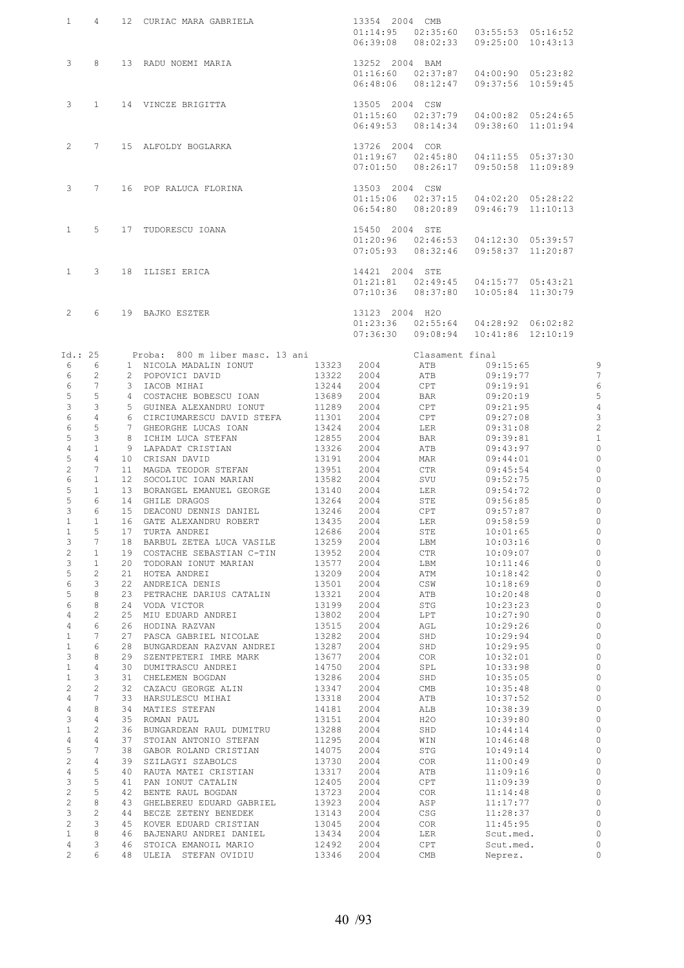| $\mathbf{1}$                     | $\overline{4}$      |          | 12 CURIAC MARA GABRIELA                                          |                | 13354 2004 CMB<br>$01:14:95$ $02:35:60$ $03:55:53$ $05:16:52$<br>$06:39:08$ $08:02:33$ $09:25:00$ $10:43:13$ |                 |                                                                             |                           |
|----------------------------------|---------------------|----------|------------------------------------------------------------------|----------------|--------------------------------------------------------------------------------------------------------------|-----------------|-----------------------------------------------------------------------------|---------------------------|
| $3 \t 8$                         |                     |          | 13 RADU NOEMI MARIA 13252 2004 BAM                               |                | $06:48:06$ $08:12:47$                                                                                        |                 | $01:16:60$ $02:37:87$ $04:00:90$ $05:23:82$<br>09:37:56 10:59:45            |                           |
| $3^{\circ}$                      | $\overline{1}$      |          | 14 VINCZE BRIGITTA 13505 2004 CSW                                |                | $06:49:53$ $08:14:34$                                                                                        |                 | $01:15:60$ $02:37:79$ $04:00:82$ $05:24:65$<br>09:38:60 11:01:94            |                           |
| $2^{\circ}$                      | $7\phantom{0}$      |          | 15 ALFOLDY BOGLARKA                                              |                | 13726 2004 COR<br>$01:19:67$ $02:45:80$<br>$07:01:50$ $08:26:17$                                             |                 | 04:11:55 05:37:30<br>09:50:58 11:09:89                                      |                           |
| $3 -$                            | 7                   |          | 16 POP RALUCA FLORINA 13503 2004 CSW                             |                | $06:54:80$ $08:20:89$                                                                                        |                 | $01:15:06$ $02:37:15$ $04:02:20$ $05:28:22$<br>$09:46:79$ $11:10:13$        |                           |
| 1                                | 5                   |          | 15450 2004 STE<br>17 TUDORESCU IOANA                             |                | $07:05:93$ $08:32:46$                                                                                        |                 | $01:20:96$ $02:46:53$ $04:12:30$ $05:39:57$<br>09:58:37 11:20:87            |                           |
| $1 \quad$                        | 3                   |          | 18 ILISEI ERICA                                                  |                | 14421 2004 STE<br>$07:10:36$ $08:37:80$                                                                      |                 | 01:21:81  02:49:45  04:15:77  05:43:21<br>10:05:84 11:30:79                 |                           |
| $2^{\circ}$                      | 6                   |          | 19 BAJKO ESZTER                                                  |                | 13123 2004 H2O<br>07:36:30                                                                                   |                 | $01:23:36$ $02:55:64$ $04:28:92$ $06:02:82$<br>09:08:94  10:41:86  12:10:19 |                           |
| Id.: 25                          |                     |          | Proba: 800 m liber masc. 13 ani                                  |                |                                                                                                              | Clasament final |                                                                             |                           |
| 6                                | 6                   |          | 1 NICOLA MADALIN IONUT                                           | 13323          | 2004                                                                                                         | ATB             | 09:15:65                                                                    | 9                         |
| 6                                | 2                   |          | 2 POPOVICI DAVID                                                 | 13322          | 2004                                                                                                         | ATB             | 09:19:77                                                                    | 7                         |
| 6                                | 7                   |          | 3 IACOB MIHAI                                                    | 13244          | 2004                                                                                                         | CPT             | 09:19:91                                                                    | 6                         |
| 5                                | 5                   |          | 4 COSTACHE BOBESCU IOAN                                          | 13689          | 2004                                                                                                         | BAR             | 09:20:19                                                                    | 5                         |
| 3                                | 3                   |          | 5 GUINEA ALEXANDRU IONUT                                         | 11289          | 2004                                                                                                         | CPT             | 09:21:95                                                                    | $\overline{4}$            |
| 6                                | $\overline{4}$      |          | 6 CIRCIUMARESCU DAVID STEFA 11301                                |                | 2004                                                                                                         | CPT             | 09:27:08                                                                    | $\ensuremath{\mathsf{3}}$ |
| 6                                | 5                   |          | 7 GHEORGHE LUCAS IOAN                                            | 13424          | 2004                                                                                                         | LER             | 09:31:08                                                                    | $\sqrt{2}$                |
| 5                                | 3                   |          | 8 ICHIM LUCA STEFAN                                              | 12855          | 2004                                                                                                         | BAR             | 09:39:81                                                                    | $\mathbf{1}$              |
| $\overline{4}$                   | $\mathbf{1}$        |          | 9 LAPADAT CRISTIAN                                               | 13326          | 2004                                                                                                         | ATB             | 09:43:97                                                                    | $\circ$                   |
| 5                                | $\overline{4}$      |          | 10 CRISAN DAVID                                                  | 13191          | 2004                                                                                                         | MAR             | 09:44:01                                                                    | $\circ$                   |
| $\overline{c}$                   | $7\phantom{.0}$     |          | 11 MAGDA TEODOR STEFAN                                           | 13951          | 2004                                                                                                         | CTR             | 09:45:54                                                                    | $\circ$                   |
| 6                                | $\mathbf{1}$        |          | 12 SOCOLIUC IOAN MARIAN                                          | 13582          | 2004                                                                                                         | SVU             | 09:52:75                                                                    | $\circ$                   |
| 5<br>5                           | $\mathbf{1}$        |          | 13 BORANGEL EMANUEL GEORGE<br>13140                              |                | 2004                                                                                                         | LER             | 09:54:72                                                                    | $\circ$<br>$\circ$        |
| 3                                | 6<br>6              |          | 14 GHILE DRAGOS                                                  | 13264          | 2004<br>2004                                                                                                 | STE<br>CPT      | 09:56:85<br>09:57:87                                                        | $\circ$                   |
| $\mathbf{1}$                     | $\mathbf{1}$        |          | 15 DEACONU DENNIS DANIEL 13246<br>16 GATE ALEXANDRU ROBERT 13435 |                | 2004                                                                                                         | LER             | 09:58:59                                                                    | $\circ$                   |
| 1                                | 5                   | 17       | TURTA ANDREI                                                     | 12686          | 2004                                                                                                         | STE             | 10:01:65                                                                    | $\circ$                   |
| 3                                | 7                   | 18       | BARBUL ZETEA LUCA VASILE                                         | 13259          | 2004                                                                                                         | LBM             | 10:03:16                                                                    | $\mathbb O$               |
| $\overline{c}$                   | $\mathbf{1}$        | 19       | COSTACHE SEBASTIAN C-TIN                                         | 13952          | 2004                                                                                                         | CTR             | 10:09:07                                                                    | $\mathbb O$               |
| 3                                | $\mathbf{1}$        | 20       | TODORAN IONUT MARIAN                                             | 13577          | 2004                                                                                                         | LBM             | 10:11:46                                                                    | $\circ$                   |
| 5                                | $\overline{c}$      | 21       | HOTEA ANDREI                                                     | 13209          | 2004                                                                                                         | ATM             | 10:18:42                                                                    | $\circ$                   |
| 6                                | 3                   | 22       | ANDREICA DENIS                                                   | 13501          | 2004                                                                                                         | CSW             | 10:18:69                                                                    | $\circ$                   |
| 5                                | 8                   | 23       | PETRACHE DARIUS CATALIN                                          | 13321          | 2004                                                                                                         | ATB             | 10:20:48                                                                    | $\circ$                   |
| 6                                | 8                   | 24       | VODA VICTOR                                                      | 13199          | 2004                                                                                                         | STG             | 10:23:23                                                                    | $\circ$                   |
| $\overline{4}$<br>$\overline{4}$ | $\overline{c}$<br>6 | 25<br>26 | MIU EDUARD ANDREI<br>HODINA RAZVAN                               | 13802<br>13515 | 2004<br>2004                                                                                                 | LPT<br>AGL      | 10:27:90<br>10:29:26                                                        | $\circ$<br>$\circ$        |
| $\mathbf{1}$                     | 7                   | 27       | PASCA GABRIEL NICOLAE                                            | 13282          | 2004                                                                                                         | SHD             | 10:29:94                                                                    | $\circ$                   |
| $\mathbf{1}$                     | 6                   | 28       | BUNGARDEAN RAZVAN ANDREI                                         | 13287          | 2004                                                                                                         | SHD             | 10:29:95                                                                    | $\circ$                   |
| 3                                | 8                   | 29       | SZENTPETERI IMRE MARK                                            | 13677          | 2004                                                                                                         | COR             | 10:32:01                                                                    | $\circ$                   |
| $\mathbf{1}$                     | 4                   | 30       | DUMITRASCU ANDREI                                                | 14750          | 2004                                                                                                         | SPL             | 10:33:98                                                                    | $\circ$                   |
| $\mathbf{1}$                     | 3                   | 31       | CHELEMEN BOGDAN                                                  | 13286          | 2004                                                                                                         | SHD             | 10:35:05                                                                    | $\circ$                   |
| $\mathbf{2}$                     | $\overline{c}$      | 32       | CAZACU GEORGE ALIN                                               | 13347          | 2004                                                                                                         | CMB             | 10:35:48                                                                    | $\mathbb O$               |
| 4                                | 7                   | 33       | HARSULESCU MIHAI                                                 | 13318          | 2004                                                                                                         | ATB             | 10:37:52                                                                    | $\circ$                   |
| 4                                | 8                   | 34       | MATIES STEFAN                                                    | 14181          | 2004                                                                                                         | ALB             | 10:38:39                                                                    | $\circ$                   |
| 3                                | 4                   | 35       | ROMAN PAUL                                                       | 13151          | 2004                                                                                                         | H2O             | 10:39:80                                                                    | $\circ$                   |
| $1\,$<br>$\overline{4}$          | $\overline{c}$<br>4 | 36<br>37 | BUNGARDEAN RAUL DUMITRU<br>STOIAN ANTONIO STEFAN                 | 13288<br>11295 | 2004<br>2004                                                                                                 | SHD<br>WIN      | 10:44:14<br>10:46:48                                                        | $\circ$<br>$\circ$        |
| 5                                | $\overline{7}$      | 38       | GABOR ROLAND CRISTIAN                                            | 14075          | 2004                                                                                                         | STG             | 10:49:14                                                                    | $\circ$                   |
| $\mathbf{2}$                     | 4                   | 39       | SZILAGYI SZABOLCS                                                | 13730          | 2004                                                                                                         | COR.            | 11:00:49                                                                    | $\circ$                   |
| $\sqrt{4}$                       | 5                   | 40       | RAUTA MATEI CRISTIAN                                             | 13317          | 2004                                                                                                         | ATB             | 11:09:16                                                                    | $\circ$                   |
| 3                                | 5                   | 41       | PAN IONUT CATALIN                                                | 12405          | 2004                                                                                                         | CPT             | 11:09:39                                                                    | $\circ$                   |
| $\overline{c}$                   | 5                   | 42       | BENTE RAUL BOGDAN                                                | 13723          | 2004                                                                                                         | COR             | 11:14:48                                                                    | 0                         |
| $\overline{c}$                   | 8                   | 43       | GHELBEREU EDUARD GABRIEL                                         | 13923          | 2004                                                                                                         | ASP             | 11:17:77                                                                    | $\circ$                   |
| 3                                | $\mathbf{2}$        | 44       | BECZE ZETENY BENEDEK                                             | 13143          | 2004                                                                                                         | CSG             | 11:28:37                                                                    | $\mathbb O$               |
| $\overline{c}$                   | 3                   | 45       | KOVER EDUARD CRISTIAN                                            | 13045          | 2004                                                                                                         | COR             | 11:45:95                                                                    | $\circ$                   |
| $\mathbf{1}$                     | 8<br>3              | 46       | BAJENARU ANDREI DANIEL                                           | 13434          | 2004                                                                                                         | LER             | Scut.med.                                                                   | $\circ$<br>0              |
| 4<br>$\overline{2}$              | 6                   | 46       | STOICA EMANOIL MARIO<br>48 ULEIA STEFAN OVIDIU                   | 12492<br>13346 | 2004<br>2004                                                                                                 | CPT<br>CMB      | Scut.med.                                                                   | $\circ$                   |
|                                  |                     |          |                                                                  |                |                                                                                                              |                 | Neprez.                                                                     |                           |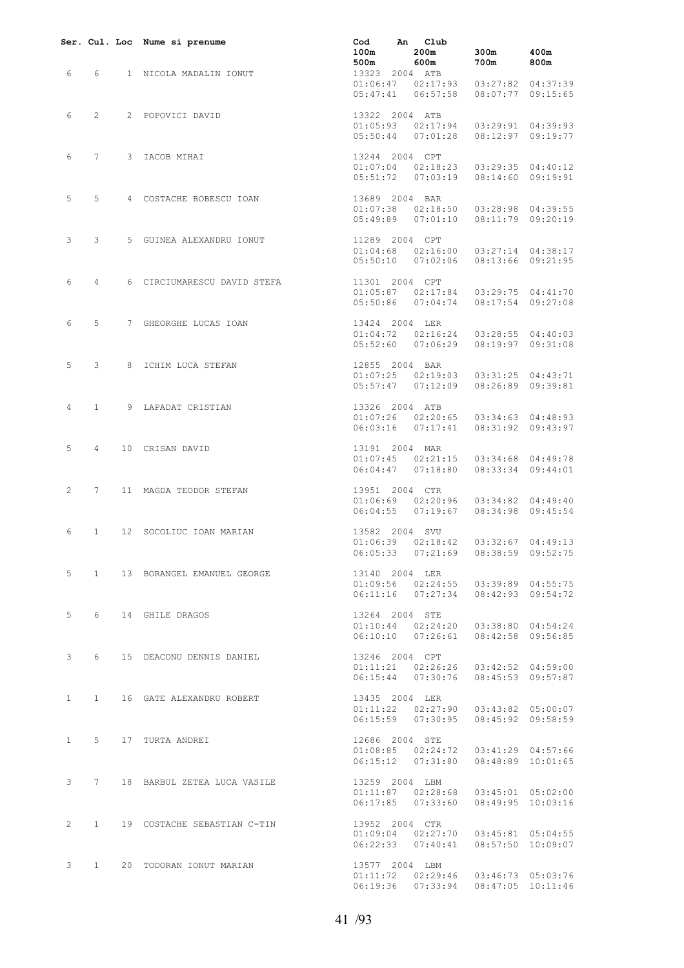|   |                   | Ser. Cul. Loc Nume si prenume                                                    | Cod An Club<br>$100m$ $200m$ $300m$<br>$500m$ $600m$ $700m$                                                                  | $\begin{array}{ccc} 300\text{m} & \phantom{00}400\text{m} \\ 700\text{m} & \phantom{00}800\text{m} \end{array}$ |                   |
|---|-------------------|----------------------------------------------------------------------------------|------------------------------------------------------------------------------------------------------------------------------|-----------------------------------------------------------------------------------------------------------------|-------------------|
|   |                   | 6 6 1 NICOLA MADALIN IONUT 500m 600m 600m<br>13323 2004 ATB<br>01:06:47 02:17:93 | 01:06:47  02:17:93  03:27:82  04:37:39<br>05:47:41  06:57:58  08:07:77  09:15:65                                             |                                                                                                                 |                   |
|   |                   | 6 2 2 POPOVICI DAVID 13322 2004 ATB<br>01:05:93 02:17:94                         | $01:05:93$ $02:17:94$ $03:29:91$ $04:39:93$<br>05:50:44  07:01:28  08:12:97  09:19:77                                        |                                                                                                                 |                   |
|   |                   | 6 7 3 IACOB MIHAI                                                                | 13244 2004 CPT<br>01:07:04 02:18:23<br>$01:07:04$ $02:18:23$ $03:29:35$ $04:40:12$<br>05:51:72  07:03:19  08:14:60  09:19:91 |                                                                                                                 |                   |
|   | $5 \quad 5 \quad$ | 4 COSTACHE BOBESCU IOAN 13689 2004 BAR                                           | 01:07:38  02:18:50  03:28:98  04:39:55<br>05:49:89 07:01:10                                                                  |                                                                                                                 | 08:11:79 09:20:19 |
|   | $3 \quad 3$       | 5 GUINEA ALEXANDRU IONUT 11289 2004 CPT                                          | $01:04:68$ $02:16:00$ $03:27:14$ $04:38:17$<br>05:50:10 07:02:06                                                             |                                                                                                                 | 08:13:66 09:21:95 |
|   | $6\quad 4$        | 6 CIRCIUMARESCU DAVID STEFA 11301 2004 CPT                                       | 01:05:87  02:17:84  03:29:75  04:41:70<br>05:50:86  07:04:74  08:17:54  09:27:08                                             |                                                                                                                 |                   |
| 6 |                   | 5 7 GHEORGHE LUCAS IOAN 13424 2004 LER<br>$0.11.04 \cdot 72$ 02.16.22            | $01:04:72$ $02:16:24$ $03:28:55$ $04:40:03$<br>05:52:60  07:06:29  08:19:97  09:31:08                                        |                                                                                                                 |                   |
|   |                   | 5 3 8 ICHIM LUCA STEFAN 12855 2004 BAR $01:07:25$ 02:19:03                       | $01:07:25$ $02:19:03$ $03:31:25$ $04:43:71$<br>05:57:47  07:12:09  08:26:89  09:39:81                                        |                                                                                                                 |                   |
|   |                   | 4 1 9 LAPADAT CRISTIAN 13326 2004 ATB                                            | $01:07:26$ $02:20:65$ $03:34:63$ $04:48:93$<br>06:03:16  07:17:41  08:31:92  09:43:97                                        |                                                                                                                 |                   |
| 5 |                   | 4 10 CRISAN DAVID                                                                | $13191$ 2004 MAR<br>$01:07:45$ $02:21:15$ $03:34:68$ $04:49:78$<br>06:04:47  07:18:80  08:33:34  09:44:01                    |                                                                                                                 |                   |
|   |                   | 2 7 11 MAGDA TEODOR STEFAN 13951 2004 CTR                                        | $01:06:69$ $02:20:96$ $03:34:82$ $04:49:40$<br>06:04:55 07:19:67 08:34:98 09:45:54                                           |                                                                                                                 |                   |
| 6 | $\mathbf{1}$      | 12 SOCOLIUC IOAN MARIAN                                                          | 13582 2004 SVU<br>$01:06:39$ $02:18:42$ $03:32:67$ $04:49:13$<br>06:05:33  07:21:69  08:38:59  09:52:75                      |                                                                                                                 |                   |
|   |                   | 5 1 13 BORANGEL EMANUEL GEORGE                                                   | 13140 2004 LER<br>01:09:56 02:24:55 03:39:89 04:55:75<br>06:11:16  07:27:34  08:42:93  09:54:72                              |                                                                                                                 |                   |
|   |                   | 5 6 14 GHILE DRAGOS                                                              | 13264 2004 STE<br>01:10:44  02:24:20  03:38:80  04:54:24<br>06:10:10  07:26:61  08:42:58  09:56:85                           |                                                                                                                 |                   |
|   |                   | 3 6 15 DEACONU DENNIS DANIEL 13246 2004 CPT                                      | $01:11:21$ $02:26:26$ $03:42:52$ $04:59:00$<br>06:15:44 07:30:76 08:45:53 09:57:87                                           |                                                                                                                 |                   |
|   |                   | 1 1 16 GATE ALEXANDRU ROBERT 13435 2004 LER                                      | $01:11:22$ $02:27:90$ $03:43:82$ $05:00:07$<br>06:15:59  07:30:95  08:45:92  09:58:59                                        |                                                                                                                 |                   |
|   |                   | 1 5 17 TURTA ANDREI                                                              | 12686 2004 STE<br>01:08:85  02:24:72  03:41:29  04:57:66<br>06:15:12  07:31:80  08:48:89  10:01:65                           |                                                                                                                 |                   |
|   |                   | 3 7 18 BARBUL ZETEA LUCA VASILE                                                  | 13259 2004 LBM<br>$01:11:87$ $02:28:68$ $03:45:01$ $05:02:00$<br>06:17:85  07:33:60  08:49:95  10:03:16                      |                                                                                                                 |                   |
|   |                   | 2 1 19 COSTACHE SEBASTIAN C-TIN                                                  | 13952 2004 CTR<br>01:09:04  02:27:70  03:45:81  05:04:55<br>06:22:33  07:40:41  08:57:50  10:09:07                           |                                                                                                                 |                   |
|   |                   | 3 1 20 TODORAN IONUT MARIAN                                                      | 13577 2004 LBM<br>$01:11:72$ $02:29:46$ $03:46:73$ $05:03:76$<br>06:19:36  07:33:94  08:47:05  10:11:46                      |                                                                                                                 |                   |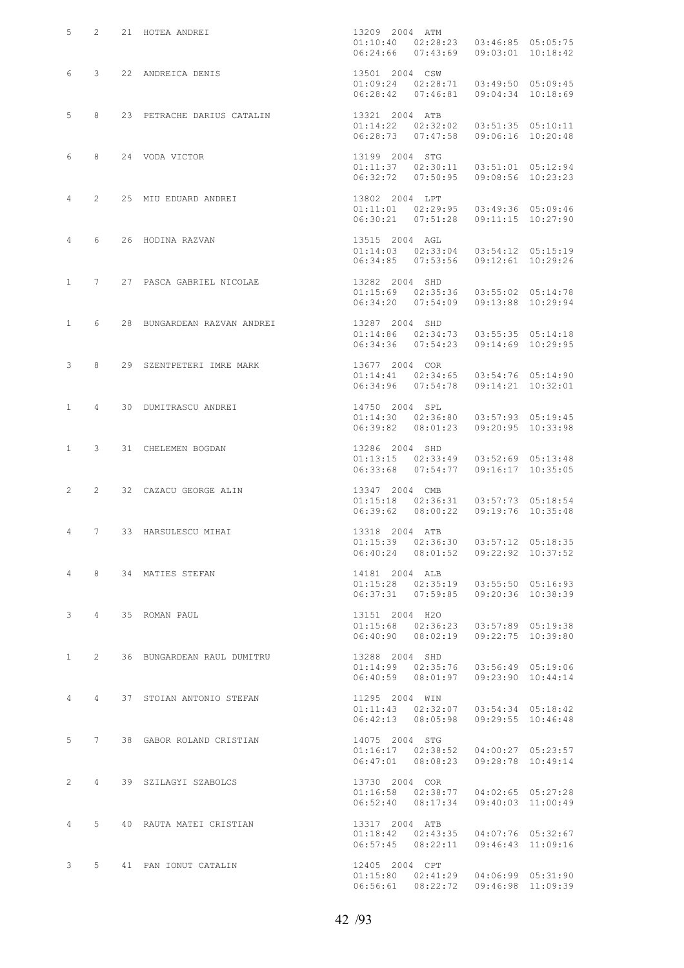|                  |              | 5 2 21 HOTEA ANDREI                                     | 13209 2004 ATM<br>$01:10:40$ $02:28:23$ $03:46:85$ $05:05:75$<br>$06:24:66$ $07:43:69$ $09:03:01$ $10:18:42$                      |  |
|------------------|--------------|---------------------------------------------------------|-----------------------------------------------------------------------------------------------------------------------------------|--|
|                  |              | 6 3 22 ANDREICA DENIS                                   | 13501 2004 CSW<br>01:09:24 02:28:71<br>$01:09:24$ $02:28:71$ $03:49:50$ $05:09:45$<br>$06:28:42$ $07:46:81$ $09:04:34$ $10:18:69$ |  |
|                  | 5 8          | 23 PETRACHE DARIUS CATALIN 13321 2004 ATB               | $01:14:22$ $02:32:02$ $03:51:35$ $05:10:11$<br>$06:28:73$ $07:47:58$ $09:06:16$ $10:20:48$                                        |  |
|                  |              | 6 8 24 VODA VICTOR                                      | $13199$ 2004 STG<br>01:11:37 02:30:1<br>$01:11:37$ $02:30:11$ $03:51:01$ $05:12:94$<br>06:32:72  07:50:95  09:08:56  10:23:23     |  |
|                  |              | 4 2 25 MIU EDUARD ANDREI 13802 2004 LPT 13802 2004 LPT  | 01:11:01  02:29:95  03:49:36  05:09:46<br>06:30:21  07:51:28  09:11:15  10:27:90                                                  |  |
|                  |              | 4 6 26 HODINA RAZVAN                                    | $13515$ 2004 AGL<br>01:14:03 02:33:0<br>$01:14:03$ $02:33:04$ $03:54:12$ $05:15:19$<br>06:34:85  07:53:56  09:12:61  10:29:26     |  |
|                  |              | 1 7 27 PASCA GABRIEL NICOLAE 13282 2004 SHD             | $01:15:69$ $02:35:36$ $03:55:02$ $05:14:78$<br>06:34:20  07:54:09  09:13:88  10:29:94                                             |  |
|                  |              | 1 6 28 BUNGARDEAN RAZVAN ANDREI 13287 2004 SHD          | $01:14:86$ $02:34:73$ $03:55:35$ $05:14:18$<br>06:34:36  07:54:23  09:14:69  10:29:95                                             |  |
|                  | $3 \t 8$     | 29 SZENTPETERI IMRE MARK 13677 2004 COR                 | $01:14:41$ $02:34:65$ $03:54:76$ $05:14:90$<br>06:34:96  07:54:78  09:14:21  10:32:01                                             |  |
|                  | 1 4          | 30 DUMITRASCU ANDREI                                    | 14750 2004 SPL<br>$01:14:30$ $02:36:80$ $03:57:93$ $05:19:45$<br>06:39:82  08:01:23  09:20:95  10:33:98                           |  |
|                  |              | 1 3 31 CHELEMEN BOGDAN                                  | 13286 2004 SHD<br>$01:13:15$ $02:33:49$ $03:52:69$ $05:13:48$<br>06:33:68  07:54:77  09:16:17  10:35:05                           |  |
|                  | $2 \qquad 2$ | 32 CAZACU GEORGE ALIN                                   | 13347 2004 CMB<br>$01:15:18$ $02:36:31$ $03:57:73$ $05:18:54$<br>06:39:62 08:00:22 09:19:76 10:35:48                              |  |
|                  |              | 4 7 33 HARSULESCU MIHAI                                 | 13318 2004 ATB<br>01:15:39  02:36:30  03:57:12  05:18:35<br>$06:40:24$ $08:01:52$ $09:22:92$ $10:37:52$                           |  |
|                  |              | 4 8 34 MATIES STEFAN                                    | 14181 2004 ALB<br>$01:15:28$ $02:35:19$ $03:55:50$ $05:16:93$<br>06:37:31  07:59:85  09:20:36  10:38:39                           |  |
|                  |              | 3 4 35 ROMAN PAUL                                       | 13151 2004 H2O<br>$01:15:68$ $02:36:23$ $03:57:89$ $05:19:38$<br>06:40:90 08:02:19 09:22:75 10:39:80                              |  |
| $1 \quad \cdots$ |              | 2 36 BUNGARDEAN RAUL DUMITRU 13288 2004 SHD             | $01:14:99$ $02:35:76$ $03:56:49$ $05:19:06$<br>06:40:59 08:01:97 09:23:90 10:44:14                                                |  |
|                  |              | 4   4   37   STOIAN ANTONIO STEFAN   11295   2004   WIN | $01:11:43$ $02:32:07$ $03:54:34$ $05:18:42$<br>06:42:13 08:05:98 09:29:55 10:46:48                                                |  |
|                  |              | 5 7 38 GABOR ROLAND CRISTIAN                            | 14075 2004 STG<br>$01:16:17$ $02:38:52$ $04:00:27$ $05:23:57$<br>06:47:01 08:08:23 09:28:78 10:49:14                              |  |
| $2^{\circ}$      |              | 4 39 SZILAGYI SZABOLCS                                  | 13730 2004 COR<br>$01:16:58$ $02:38:77$ $04:02:65$ $05:27:28$<br>06:52:40  08:17:34  09:40:03  11:00:49                           |  |
|                  |              | 4 5 40 RAUTA MATEI CRISTIAN                             | 13317 2004 ATB<br>$01:18:42$ $02:43:35$ $04:07:76$ $05:32:67$<br>06:57:45  08:22:11  09:46:43  11:09:16                           |  |
|                  |              | 3 5 41 PAN IONUT CATALIN                                | 12405 2004 CPT<br>$01:15:80$ $02:41:29$ $04:06:99$ $05:31:90$<br>06:56:61  08:22:72  09:46:98  11:09:39                           |  |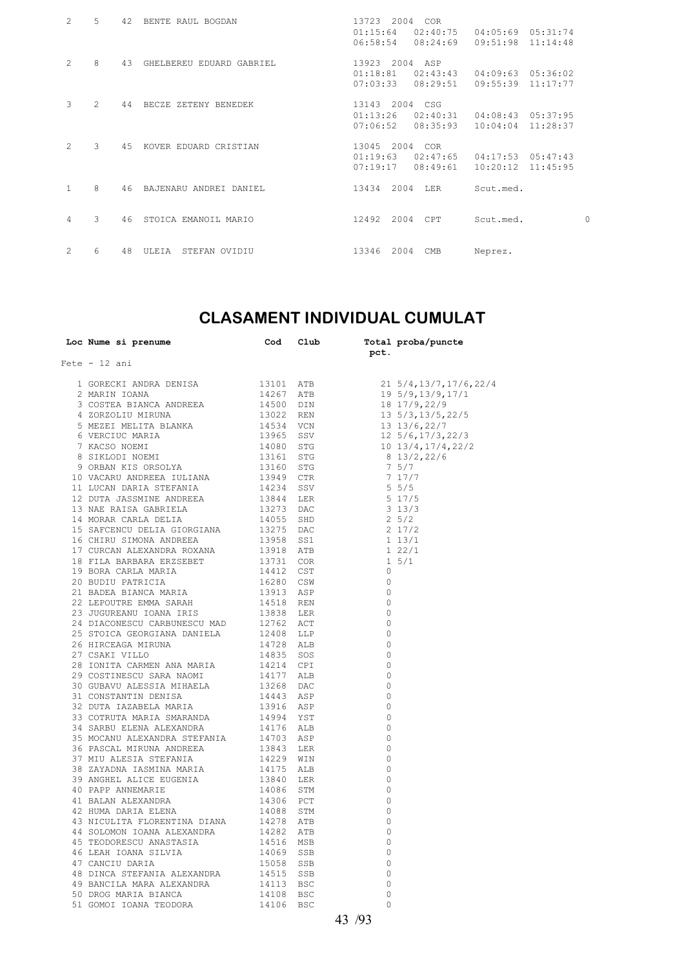| $\mathcal{L}$  | 5       | 42  | BENTE RAUL BOGDAN        | 13723 2004<br>01:15:64<br>06:58:54     |      | <b>COR</b><br>02:40:75<br>08:24:69 | 04:05:69<br>09:51:98 | 05:31:74<br>11:14:48 |   |
|----------------|---------|-----|--------------------------|----------------------------------------|------|------------------------------------|----------------------|----------------------|---|
| $\overline{2}$ | 8       | 43  | GHELBEREU EDUARD GABRIEL | 13923 2004 ASP<br>01:18:81<br>07:03:33 |      | 02:43:43<br>08:29:51               | 04:09:63<br>09:55:39 | 05:36:02<br>11:17:77 |   |
| 3              | $2^{1}$ | 44  | BECZE ZETENY BENEDEK     | 13143 2004 CSG<br>01:13:26<br>07:06:52 |      | 02:40:31<br>08:35:93               | 04:08:43<br>10:04:04 | 05:37:95<br>11:28:37 |   |
| $\mathcal{L}$  | 3       | 4.5 | KOVER EDUARD CRISTIAN    | 13045 2004 COR<br>01:19:63<br>07:19:17 |      | 02:47:65<br>08:49:61               | 04:17:53<br>10:20:12 | 05:47:43<br>11:45:95 |   |
| $\mathbf{1}$   | 8       | 46  | BAJENARU ANDREI DANIEL   | 13434                                  | 2004 | LER                                | Scut.med.            |                      |   |
| $\overline{4}$ | 3       | 46  | STOICA EMANOIL MARIO     | 12492                                  | 2004 | CPT                                | Scut.med.            |                      | 0 |
| 2              | 6       | 48  | ULEIA<br>STEFAN OVIDIU   | 13346                                  | 2004 | CMB                                | Neprez.              |                      |   |

## **CLASAMENT INDIVIDUAL CUMULAT**

| Loc Nume si prenume                                                                                                                                                                                                                        | Cod | Club | pct.         | Total proba/puncte                                                                                                                                  |
|--------------------------------------------------------------------------------------------------------------------------------------------------------------------------------------------------------------------------------------------|-----|------|--------------|-----------------------------------------------------------------------------------------------------------------------------------------------------|
| $Fete - 12 ani$                                                                                                                                                                                                                            |     |      |              |                                                                                                                                                     |
| ete – 12 ani 1908<br>18 CORECKI ANDRA DENISA 119101 ATB 2 MARIN IOANA 11926 ATER 14267 ATER 3 COSTEA BIANCA ANDREEA 14500 DIN 420 DIN 420 MECLITA BLANKA 11932 REN 6 VERCIUC MARIA 11934 SSV 7 KACSO NOEMI 119161 STG 8 SIKLODI N          |     |      |              | $21\;\;5/4,13/7,17/6,22/4$                                                                                                                          |
|                                                                                                                                                                                                                                            |     |      |              | 21 5/4,13/1,17/6,2.<br>19 5/9,13/9,17/1<br>18 17/9,22/9<br>13 5/3,13/5,22/5<br>13 13/6,22/7<br>12 5/6,17/3,22/3<br>10 13/4,17/4,22/2<br>8 13/2,22/6 |
|                                                                                                                                                                                                                                            |     |      |              |                                                                                                                                                     |
|                                                                                                                                                                                                                                            |     |      |              |                                                                                                                                                     |
|                                                                                                                                                                                                                                            |     |      |              |                                                                                                                                                     |
|                                                                                                                                                                                                                                            |     |      |              |                                                                                                                                                     |
|                                                                                                                                                                                                                                            |     |      |              |                                                                                                                                                     |
|                                                                                                                                                                                                                                            |     |      |              | 8 13/2,22/6                                                                                                                                         |
|                                                                                                                                                                                                                                            |     |      |              | 7 5/7                                                                                                                                               |
|                                                                                                                                                                                                                                            |     |      |              | 7 17/7                                                                                                                                              |
|                                                                                                                                                                                                                                            |     |      |              | 7 17/<br>5 5/5                                                                                                                                      |
|                                                                                                                                                                                                                                            |     |      |              | 5 17/5                                                                                                                                              |
|                                                                                                                                                                                                                                            |     |      |              | $3\frac{13}{3}$                                                                                                                                     |
|                                                                                                                                                                                                                                            |     |      |              | $2\frac{5}{2}$                                                                                                                                      |
|                                                                                                                                                                                                                                            |     |      |              | 2 17/2                                                                                                                                              |
|                                                                                                                                                                                                                                            |     |      |              | $1 13/1$<br>1 22/1                                                                                                                                  |
|                                                                                                                                                                                                                                            |     |      |              |                                                                                                                                                     |
|                                                                                                                                                                                                                                            |     |      |              | $1 \t5/1$                                                                                                                                           |
|                                                                                                                                                                                                                                            |     |      | 0            |                                                                                                                                                     |
|                                                                                                                                                                                                                                            |     |      | $\Omega$     |                                                                                                                                                     |
|                                                                                                                                                                                                                                            |     |      | $\Omega$     |                                                                                                                                                     |
|                                                                                                                                                                                                                                            |     |      | $\Omega$     |                                                                                                                                                     |
|                                                                                                                                                                                                                                            |     |      | 0            |                                                                                                                                                     |
|                                                                                                                                                                                                                                            |     |      | $\Omega$     |                                                                                                                                                     |
|                                                                                                                                                                                                                                            |     |      | $\Omega$     |                                                                                                                                                     |
|                                                                                                                                                                                                                                            |     |      | $\Omega$     |                                                                                                                                                     |
| $\begin{tabular}{lllllllllll} 26 & HIRCEAGA MIRUNA & 14728 & ALB \\ 27 & CSAKI & VILLO & 14835 & SOS \\ 28 & IONITA & CARMEN ANA MARIA & 14214 & CPI \\ 29 & COSTINESCU SARA NAOMI & 14177 & ALB \\ \end{tabular}$                         |     |      | $\circ$      |                                                                                                                                                     |
|                                                                                                                                                                                                                                            |     |      | $\Omega$     |                                                                                                                                                     |
|                                                                                                                                                                                                                                            |     |      | $\mathbf{0}$ |                                                                                                                                                     |
|                                                                                                                                                                                                                                            |     |      | $\Omega$     |                                                                                                                                                     |
|                                                                                                                                                                                                                                            |     |      | $\Omega$     |                                                                                                                                                     |
|                                                                                                                                                                                                                                            |     |      | $\Omega$     |                                                                                                                                                     |
|                                                                                                                                                                                                                                            |     |      | $\Omega$     |                                                                                                                                                     |
|                                                                                                                                                                                                                                            |     |      | $\Omega$     |                                                                                                                                                     |
|                                                                                                                                                                                                                                            |     |      | $\circ$      |                                                                                                                                                     |
|                                                                                                                                                                                                                                            |     |      | $\circ$      |                                                                                                                                                     |
|                                                                                                                                                                                                                                            |     |      | 0            |                                                                                                                                                     |
|                                                                                                                                                                                                                                            |     |      | $\Omega$     |                                                                                                                                                     |
|                                                                                                                                                                                                                                            |     |      | $\circ$      |                                                                                                                                                     |
|                                                                                                                                                                                                                                            |     |      | $\Omega$     |                                                                                                                                                     |
|                                                                                                                                                                                                                                            |     |      | $\circ$      |                                                                                                                                                     |
|                                                                                                                                                                                                                                            |     |      | $\Omega$     |                                                                                                                                                     |
|                                                                                                                                                                                                                                            |     |      | 0            |                                                                                                                                                     |
|                                                                                                                                                                                                                                            |     |      | $\Omega$     |                                                                                                                                                     |
|                                                                                                                                                                                                                                            |     |      | $\circ$      |                                                                                                                                                     |
|                                                                                                                                                                                                                                            |     |      | $\circ$      |                                                                                                                                                     |
|                                                                                                                                                                                                                                            |     |      | 0            |                                                                                                                                                     |
| 90 PAPP ANNEMARTE 14086 STM<br>40 PAPP ANNEMARTE 14306 PCT<br>42 HUMA DARIA ELENA 14306 PCT<br>43 NICULITA FLORENTINA DIANA 14278 ATB<br>44 SOLOMON IOANA ALEXANDRA 14282 ATB<br>45 TEODORESCU ANASTASIA 14516 MSB<br>47 CANCIU DARIA SILV |     |      | $\Omega$     |                                                                                                                                                     |
|                                                                                                                                                                                                                                            |     |      | $\circ$      |                                                                                                                                                     |
|                                                                                                                                                                                                                                            |     |      | $\circ$      |                                                                                                                                                     |
|                                                                                                                                                                                                                                            |     |      | $\Omega$     |                                                                                                                                                     |
|                                                                                                                                                                                                                                            |     |      |              |                                                                                                                                                     |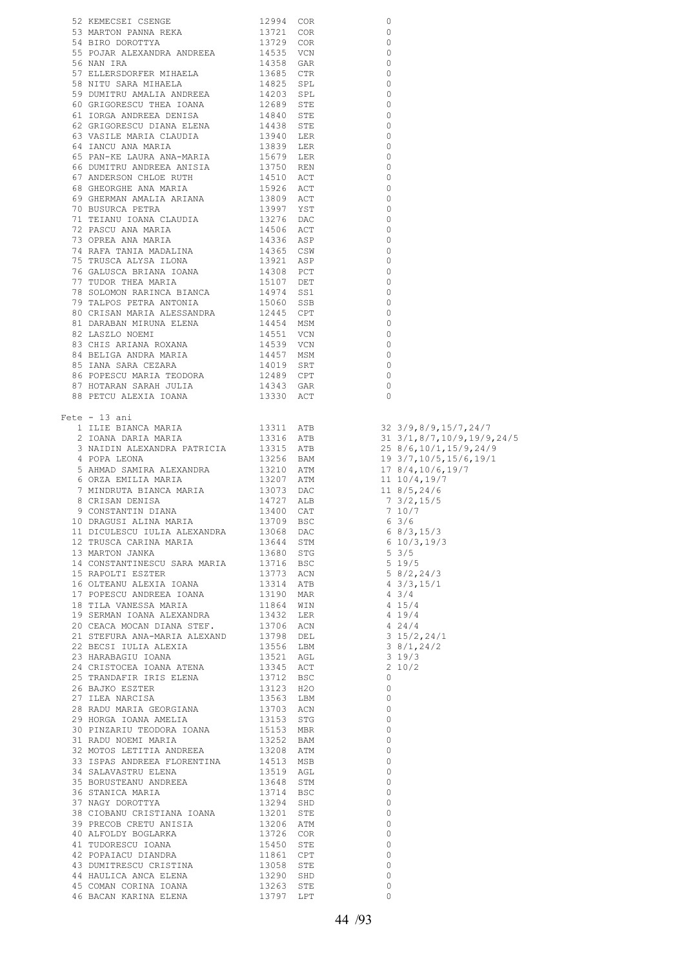| 52 KEMECSEI CSENGE<br>1994 COR<br>54 BIRTON PANNA RENA 19721 COR<br>54 BIRTON PANNA RENA 19721 COR<br>55 BOJAR ALEXANDRA ANDREEA 19721 COR<br>56 RAN IRA<br>56 NAN IRA 1985 GRES METALELA 1985 GRES CTER<br>57 BLILEESDORPEN MEALIA ANDREEA<br>$\circ$<br>$\circ$<br>$\overline{\phantom{0}}$<br>$\circ$<br>$\overline{\phantom{0}}$<br>$\overline{0}$<br>0<br>$\circ$<br>$\circ$<br>$\overline{\phantom{0}}$<br>$\overline{\phantom{0}}$<br>0<br>$\overline{0}$<br>$\overline{\phantom{0}}$<br>$\overline{0}$<br>$\overline{0}$<br>$\overline{0}$<br>$\overline{\phantom{0}}$<br>$\overline{0}$<br>$\overline{\phantom{0}}$<br>$\overline{\phantom{0}}$<br>$\overline{\phantom{0}}$<br>$\overline{0}$<br>$\overline{\phantom{0}}$<br>$\overline{\phantom{0}}$<br>$\overline{\phantom{0}}$<br>$\overline{\phantom{0}}$<br>$\overline{\phantom{0}}$<br>$\overline{\phantom{0}}$<br>$\overline{0}$<br>$\overline{\phantom{0}}$<br>$\overline{0}$<br>$\overline{\phantom{0}}$<br>$\overline{0}$<br>$\overline{0}$<br>$\overline{\phantom{0}}$<br>$\circ$<br>Fete $-13$ ani<br>ete – 13 ani<br>1 ILIE BIANCA MARIA 13311 ATB 32 3/9,8/9,15/7,24/7<br>2 IOANA DARIA MARIA 13316 ATB 31 3/1,8/7,10/9,19/9,24/5<br>3 NAIDIN ALEXANDRA PATRICIA 13315 ATB 25 8/6,10/1,15/9,24/9<br>4 POPA LEONA DARIA ALEXANDRA 13256 BAM<br>11 DICULESCU IULIA ALEXANDRA<br>DAC 6 8/3, 15/3<br>13068<br>12 TRUSCA CARINA MARIA<br>13 MARTON JANKA<br>13644 STM 6 10/3,19/3<br>13680 STG 5 3/5<br>18 TILA VANESSA MARIA 11864 WIN<br>19 SERMAN IOANA ALEXANDRA 13432 LER<br>$4 15/4$<br>$4 19/4$<br>$\begin{array}{ccc} 4 & 24/4 \\ 3 & 15/2, 24/1 \\ 3 & 8/1, 24/2 \\ 3 & 19/3 \end{array}$<br>20 CEACA MOCAN DIANA STEF. 13706 ACN<br>21 STEFURA ANA-MARIA ALEXAND 13798 DEL<br>$2\frac{10}{2}$<br>$\circ$<br>$\overline{0}$<br>$\overline{0}$<br>$\overline{0}$<br>$\overline{0}$<br>$\overline{0}$<br>$\overline{0}$<br>32 MOTOS LETITIA ANDREEA 13208 ATM<br>33 ISPAS ANDREEA 13208 ATM<br>33 ISPAS ANDREEA FLORENTINA 14513 MSB<br>34 SALAVASTRU ELENA 13519 AGL<br>35 BORUSTEANU ANDREEA 13648 STM<br>36 STANICA MARIA 13714 BSC<br>37 NAGY DOROTTYA 13294 SHD<br>57 NAG<br>$\overline{0}$<br>$\overline{0}$<br>$\overline{0}$<br>$\overline{0}$<br>$\overline{0}$<br>$\overline{0}$<br>37 NAGI DOKOTTIA 13294 SHD<br>38 CIOBANU CRISTIANA IOANA 13201 STE<br>39 PRECOB CRETU ANISIA 13206 ATM<br>41 TUDORESCU IOANA 13726 COR<br>42 POPAIACU DIANDRA 15450 STE<br>42 POPAIACU DIANDRA 11861 CPT<br>43 DUMITRESCU CRISTINA 13058 S<br>$\overline{0}$<br>$\overline{0}$<br>$\circ$<br>$\overline{0}$<br>$\overline{0}$<br>$\overline{0}$<br>$\circ$<br>45 COMAN CORINA IOANA<br>$\circ$<br>13263 STE<br>46 BACAN KARINA ELENA 13797 LPT<br>$\Omega$ |  |  |  |
|-----------------------------------------------------------------------------------------------------------------------------------------------------------------------------------------------------------------------------------------------------------------------------------------------------------------------------------------------------------------------------------------------------------------------------------------------------------------------------------------------------------------------------------------------------------------------------------------------------------------------------------------------------------------------------------------------------------------------------------------------------------------------------------------------------------------------------------------------------------------------------------------------------------------------------------------------------------------------------------------------------------------------------------------------------------------------------------------------------------------------------------------------------------------------------------------------------------------------------------------------------------------------------------------------------------------------------------------------------------------------------------------------------------------------------------------------------------------------------------------------------------------------------------------------------------------------------------------------------------------------------------------------------------------------------------------------------------------------------------------------------------------------------------------------------------------------------------------------------------------------------------------------------------------------------------------------------------------------------------------------------------------------------------------------------------------------------------------------------------------------------------------------------------------------------------------------------------------------------------------------------------------------------------------------------------------------------------------------------------------------------------------------------------------------------------------------------------------------------------------------------------------------------------------------------------------------------------------------------------------------------------------------------------------------------------------------------------------------------------|--|--|--|
|                                                                                                                                                                                                                                                                                                                                                                                                                                                                                                                                                                                                                                                                                                                                                                                                                                                                                                                                                                                                                                                                                                                                                                                                                                                                                                                                                                                                                                                                                                                                                                                                                                                                                                                                                                                                                                                                                                                                                                                                                                                                                                                                                                                                                                                                                                                                                                                                                                                                                                                                                                                                                                                                                                                                   |  |  |  |
|                                                                                                                                                                                                                                                                                                                                                                                                                                                                                                                                                                                                                                                                                                                                                                                                                                                                                                                                                                                                                                                                                                                                                                                                                                                                                                                                                                                                                                                                                                                                                                                                                                                                                                                                                                                                                                                                                                                                                                                                                                                                                                                                                                                                                                                                                                                                                                                                                                                                                                                                                                                                                                                                                                                                   |  |  |  |
|                                                                                                                                                                                                                                                                                                                                                                                                                                                                                                                                                                                                                                                                                                                                                                                                                                                                                                                                                                                                                                                                                                                                                                                                                                                                                                                                                                                                                                                                                                                                                                                                                                                                                                                                                                                                                                                                                                                                                                                                                                                                                                                                                                                                                                                                                                                                                                                                                                                                                                                                                                                                                                                                                                                                   |  |  |  |
|                                                                                                                                                                                                                                                                                                                                                                                                                                                                                                                                                                                                                                                                                                                                                                                                                                                                                                                                                                                                                                                                                                                                                                                                                                                                                                                                                                                                                                                                                                                                                                                                                                                                                                                                                                                                                                                                                                                                                                                                                                                                                                                                                                                                                                                                                                                                                                                                                                                                                                                                                                                                                                                                                                                                   |  |  |  |
|                                                                                                                                                                                                                                                                                                                                                                                                                                                                                                                                                                                                                                                                                                                                                                                                                                                                                                                                                                                                                                                                                                                                                                                                                                                                                                                                                                                                                                                                                                                                                                                                                                                                                                                                                                                                                                                                                                                                                                                                                                                                                                                                                                                                                                                                                                                                                                                                                                                                                                                                                                                                                                                                                                                                   |  |  |  |
|                                                                                                                                                                                                                                                                                                                                                                                                                                                                                                                                                                                                                                                                                                                                                                                                                                                                                                                                                                                                                                                                                                                                                                                                                                                                                                                                                                                                                                                                                                                                                                                                                                                                                                                                                                                                                                                                                                                                                                                                                                                                                                                                                                                                                                                                                                                                                                                                                                                                                                                                                                                                                                                                                                                                   |  |  |  |
|                                                                                                                                                                                                                                                                                                                                                                                                                                                                                                                                                                                                                                                                                                                                                                                                                                                                                                                                                                                                                                                                                                                                                                                                                                                                                                                                                                                                                                                                                                                                                                                                                                                                                                                                                                                                                                                                                                                                                                                                                                                                                                                                                                                                                                                                                                                                                                                                                                                                                                                                                                                                                                                                                                                                   |  |  |  |
|                                                                                                                                                                                                                                                                                                                                                                                                                                                                                                                                                                                                                                                                                                                                                                                                                                                                                                                                                                                                                                                                                                                                                                                                                                                                                                                                                                                                                                                                                                                                                                                                                                                                                                                                                                                                                                                                                                                                                                                                                                                                                                                                                                                                                                                                                                                                                                                                                                                                                                                                                                                                                                                                                                                                   |  |  |  |
|                                                                                                                                                                                                                                                                                                                                                                                                                                                                                                                                                                                                                                                                                                                                                                                                                                                                                                                                                                                                                                                                                                                                                                                                                                                                                                                                                                                                                                                                                                                                                                                                                                                                                                                                                                                                                                                                                                                                                                                                                                                                                                                                                                                                                                                                                                                                                                                                                                                                                                                                                                                                                                                                                                                                   |  |  |  |
|                                                                                                                                                                                                                                                                                                                                                                                                                                                                                                                                                                                                                                                                                                                                                                                                                                                                                                                                                                                                                                                                                                                                                                                                                                                                                                                                                                                                                                                                                                                                                                                                                                                                                                                                                                                                                                                                                                                                                                                                                                                                                                                                                                                                                                                                                                                                                                                                                                                                                                                                                                                                                                                                                                                                   |  |  |  |
|                                                                                                                                                                                                                                                                                                                                                                                                                                                                                                                                                                                                                                                                                                                                                                                                                                                                                                                                                                                                                                                                                                                                                                                                                                                                                                                                                                                                                                                                                                                                                                                                                                                                                                                                                                                                                                                                                                                                                                                                                                                                                                                                                                                                                                                                                                                                                                                                                                                                                                                                                                                                                                                                                                                                   |  |  |  |
|                                                                                                                                                                                                                                                                                                                                                                                                                                                                                                                                                                                                                                                                                                                                                                                                                                                                                                                                                                                                                                                                                                                                                                                                                                                                                                                                                                                                                                                                                                                                                                                                                                                                                                                                                                                                                                                                                                                                                                                                                                                                                                                                                                                                                                                                                                                                                                                                                                                                                                                                                                                                                                                                                                                                   |  |  |  |
|                                                                                                                                                                                                                                                                                                                                                                                                                                                                                                                                                                                                                                                                                                                                                                                                                                                                                                                                                                                                                                                                                                                                                                                                                                                                                                                                                                                                                                                                                                                                                                                                                                                                                                                                                                                                                                                                                                                                                                                                                                                                                                                                                                                                                                                                                                                                                                                                                                                                                                                                                                                                                                                                                                                                   |  |  |  |
|                                                                                                                                                                                                                                                                                                                                                                                                                                                                                                                                                                                                                                                                                                                                                                                                                                                                                                                                                                                                                                                                                                                                                                                                                                                                                                                                                                                                                                                                                                                                                                                                                                                                                                                                                                                                                                                                                                                                                                                                                                                                                                                                                                                                                                                                                                                                                                                                                                                                                                                                                                                                                                                                                                                                   |  |  |  |
|                                                                                                                                                                                                                                                                                                                                                                                                                                                                                                                                                                                                                                                                                                                                                                                                                                                                                                                                                                                                                                                                                                                                                                                                                                                                                                                                                                                                                                                                                                                                                                                                                                                                                                                                                                                                                                                                                                                                                                                                                                                                                                                                                                                                                                                                                                                                                                                                                                                                                                                                                                                                                                                                                                                                   |  |  |  |
|                                                                                                                                                                                                                                                                                                                                                                                                                                                                                                                                                                                                                                                                                                                                                                                                                                                                                                                                                                                                                                                                                                                                                                                                                                                                                                                                                                                                                                                                                                                                                                                                                                                                                                                                                                                                                                                                                                                                                                                                                                                                                                                                                                                                                                                                                                                                                                                                                                                                                                                                                                                                                                                                                                                                   |  |  |  |
|                                                                                                                                                                                                                                                                                                                                                                                                                                                                                                                                                                                                                                                                                                                                                                                                                                                                                                                                                                                                                                                                                                                                                                                                                                                                                                                                                                                                                                                                                                                                                                                                                                                                                                                                                                                                                                                                                                                                                                                                                                                                                                                                                                                                                                                                                                                                                                                                                                                                                                                                                                                                                                                                                                                                   |  |  |  |
|                                                                                                                                                                                                                                                                                                                                                                                                                                                                                                                                                                                                                                                                                                                                                                                                                                                                                                                                                                                                                                                                                                                                                                                                                                                                                                                                                                                                                                                                                                                                                                                                                                                                                                                                                                                                                                                                                                                                                                                                                                                                                                                                                                                                                                                                                                                                                                                                                                                                                                                                                                                                                                                                                                                                   |  |  |  |
|                                                                                                                                                                                                                                                                                                                                                                                                                                                                                                                                                                                                                                                                                                                                                                                                                                                                                                                                                                                                                                                                                                                                                                                                                                                                                                                                                                                                                                                                                                                                                                                                                                                                                                                                                                                                                                                                                                                                                                                                                                                                                                                                                                                                                                                                                                                                                                                                                                                                                                                                                                                                                                                                                                                                   |  |  |  |
|                                                                                                                                                                                                                                                                                                                                                                                                                                                                                                                                                                                                                                                                                                                                                                                                                                                                                                                                                                                                                                                                                                                                                                                                                                                                                                                                                                                                                                                                                                                                                                                                                                                                                                                                                                                                                                                                                                                                                                                                                                                                                                                                                                                                                                                                                                                                                                                                                                                                                                                                                                                                                                                                                                                                   |  |  |  |
|                                                                                                                                                                                                                                                                                                                                                                                                                                                                                                                                                                                                                                                                                                                                                                                                                                                                                                                                                                                                                                                                                                                                                                                                                                                                                                                                                                                                                                                                                                                                                                                                                                                                                                                                                                                                                                                                                                                                                                                                                                                                                                                                                                                                                                                                                                                                                                                                                                                                                                                                                                                                                                                                                                                                   |  |  |  |
|                                                                                                                                                                                                                                                                                                                                                                                                                                                                                                                                                                                                                                                                                                                                                                                                                                                                                                                                                                                                                                                                                                                                                                                                                                                                                                                                                                                                                                                                                                                                                                                                                                                                                                                                                                                                                                                                                                                                                                                                                                                                                                                                                                                                                                                                                                                                                                                                                                                                                                                                                                                                                                                                                                                                   |  |  |  |
|                                                                                                                                                                                                                                                                                                                                                                                                                                                                                                                                                                                                                                                                                                                                                                                                                                                                                                                                                                                                                                                                                                                                                                                                                                                                                                                                                                                                                                                                                                                                                                                                                                                                                                                                                                                                                                                                                                                                                                                                                                                                                                                                                                                                                                                                                                                                                                                                                                                                                                                                                                                                                                                                                                                                   |  |  |  |
|                                                                                                                                                                                                                                                                                                                                                                                                                                                                                                                                                                                                                                                                                                                                                                                                                                                                                                                                                                                                                                                                                                                                                                                                                                                                                                                                                                                                                                                                                                                                                                                                                                                                                                                                                                                                                                                                                                                                                                                                                                                                                                                                                                                                                                                                                                                                                                                                                                                                                                                                                                                                                                                                                                                                   |  |  |  |
|                                                                                                                                                                                                                                                                                                                                                                                                                                                                                                                                                                                                                                                                                                                                                                                                                                                                                                                                                                                                                                                                                                                                                                                                                                                                                                                                                                                                                                                                                                                                                                                                                                                                                                                                                                                                                                                                                                                                                                                                                                                                                                                                                                                                                                                                                                                                                                                                                                                                                                                                                                                                                                                                                                                                   |  |  |  |
|                                                                                                                                                                                                                                                                                                                                                                                                                                                                                                                                                                                                                                                                                                                                                                                                                                                                                                                                                                                                                                                                                                                                                                                                                                                                                                                                                                                                                                                                                                                                                                                                                                                                                                                                                                                                                                                                                                                                                                                                                                                                                                                                                                                                                                                                                                                                                                                                                                                                                                                                                                                                                                                                                                                                   |  |  |  |
|                                                                                                                                                                                                                                                                                                                                                                                                                                                                                                                                                                                                                                                                                                                                                                                                                                                                                                                                                                                                                                                                                                                                                                                                                                                                                                                                                                                                                                                                                                                                                                                                                                                                                                                                                                                                                                                                                                                                                                                                                                                                                                                                                                                                                                                                                                                                                                                                                                                                                                                                                                                                                                                                                                                                   |  |  |  |
|                                                                                                                                                                                                                                                                                                                                                                                                                                                                                                                                                                                                                                                                                                                                                                                                                                                                                                                                                                                                                                                                                                                                                                                                                                                                                                                                                                                                                                                                                                                                                                                                                                                                                                                                                                                                                                                                                                                                                                                                                                                                                                                                                                                                                                                                                                                                                                                                                                                                                                                                                                                                                                                                                                                                   |  |  |  |
|                                                                                                                                                                                                                                                                                                                                                                                                                                                                                                                                                                                                                                                                                                                                                                                                                                                                                                                                                                                                                                                                                                                                                                                                                                                                                                                                                                                                                                                                                                                                                                                                                                                                                                                                                                                                                                                                                                                                                                                                                                                                                                                                                                                                                                                                                                                                                                                                                                                                                                                                                                                                                                                                                                                                   |  |  |  |
|                                                                                                                                                                                                                                                                                                                                                                                                                                                                                                                                                                                                                                                                                                                                                                                                                                                                                                                                                                                                                                                                                                                                                                                                                                                                                                                                                                                                                                                                                                                                                                                                                                                                                                                                                                                                                                                                                                                                                                                                                                                                                                                                                                                                                                                                                                                                                                                                                                                                                                                                                                                                                                                                                                                                   |  |  |  |
|                                                                                                                                                                                                                                                                                                                                                                                                                                                                                                                                                                                                                                                                                                                                                                                                                                                                                                                                                                                                                                                                                                                                                                                                                                                                                                                                                                                                                                                                                                                                                                                                                                                                                                                                                                                                                                                                                                                                                                                                                                                                                                                                                                                                                                                                                                                                                                                                                                                                                                                                                                                                                                                                                                                                   |  |  |  |
|                                                                                                                                                                                                                                                                                                                                                                                                                                                                                                                                                                                                                                                                                                                                                                                                                                                                                                                                                                                                                                                                                                                                                                                                                                                                                                                                                                                                                                                                                                                                                                                                                                                                                                                                                                                                                                                                                                                                                                                                                                                                                                                                                                                                                                                                                                                                                                                                                                                                                                                                                                                                                                                                                                                                   |  |  |  |
|                                                                                                                                                                                                                                                                                                                                                                                                                                                                                                                                                                                                                                                                                                                                                                                                                                                                                                                                                                                                                                                                                                                                                                                                                                                                                                                                                                                                                                                                                                                                                                                                                                                                                                                                                                                                                                                                                                                                                                                                                                                                                                                                                                                                                                                                                                                                                                                                                                                                                                                                                                                                                                                                                                                                   |  |  |  |
|                                                                                                                                                                                                                                                                                                                                                                                                                                                                                                                                                                                                                                                                                                                                                                                                                                                                                                                                                                                                                                                                                                                                                                                                                                                                                                                                                                                                                                                                                                                                                                                                                                                                                                                                                                                                                                                                                                                                                                                                                                                                                                                                                                                                                                                                                                                                                                                                                                                                                                                                                                                                                                                                                                                                   |  |  |  |
|                                                                                                                                                                                                                                                                                                                                                                                                                                                                                                                                                                                                                                                                                                                                                                                                                                                                                                                                                                                                                                                                                                                                                                                                                                                                                                                                                                                                                                                                                                                                                                                                                                                                                                                                                                                                                                                                                                                                                                                                                                                                                                                                                                                                                                                                                                                                                                                                                                                                                                                                                                                                                                                                                                                                   |  |  |  |
|                                                                                                                                                                                                                                                                                                                                                                                                                                                                                                                                                                                                                                                                                                                                                                                                                                                                                                                                                                                                                                                                                                                                                                                                                                                                                                                                                                                                                                                                                                                                                                                                                                                                                                                                                                                                                                                                                                                                                                                                                                                                                                                                                                                                                                                                                                                                                                                                                                                                                                                                                                                                                                                                                                                                   |  |  |  |
|                                                                                                                                                                                                                                                                                                                                                                                                                                                                                                                                                                                                                                                                                                                                                                                                                                                                                                                                                                                                                                                                                                                                                                                                                                                                                                                                                                                                                                                                                                                                                                                                                                                                                                                                                                                                                                                                                                                                                                                                                                                                                                                                                                                                                                                                                                                                                                                                                                                                                                                                                                                                                                                                                                                                   |  |  |  |
|                                                                                                                                                                                                                                                                                                                                                                                                                                                                                                                                                                                                                                                                                                                                                                                                                                                                                                                                                                                                                                                                                                                                                                                                                                                                                                                                                                                                                                                                                                                                                                                                                                                                                                                                                                                                                                                                                                                                                                                                                                                                                                                                                                                                                                                                                                                                                                                                                                                                                                                                                                                                                                                                                                                                   |  |  |  |
|                                                                                                                                                                                                                                                                                                                                                                                                                                                                                                                                                                                                                                                                                                                                                                                                                                                                                                                                                                                                                                                                                                                                                                                                                                                                                                                                                                                                                                                                                                                                                                                                                                                                                                                                                                                                                                                                                                                                                                                                                                                                                                                                                                                                                                                                                                                                                                                                                                                                                                                                                                                                                                                                                                                                   |  |  |  |
|                                                                                                                                                                                                                                                                                                                                                                                                                                                                                                                                                                                                                                                                                                                                                                                                                                                                                                                                                                                                                                                                                                                                                                                                                                                                                                                                                                                                                                                                                                                                                                                                                                                                                                                                                                                                                                                                                                                                                                                                                                                                                                                                                                                                                                                                                                                                                                                                                                                                                                                                                                                                                                                                                                                                   |  |  |  |
|                                                                                                                                                                                                                                                                                                                                                                                                                                                                                                                                                                                                                                                                                                                                                                                                                                                                                                                                                                                                                                                                                                                                                                                                                                                                                                                                                                                                                                                                                                                                                                                                                                                                                                                                                                                                                                                                                                                                                                                                                                                                                                                                                                                                                                                                                                                                                                                                                                                                                                                                                                                                                                                                                                                                   |  |  |  |
|                                                                                                                                                                                                                                                                                                                                                                                                                                                                                                                                                                                                                                                                                                                                                                                                                                                                                                                                                                                                                                                                                                                                                                                                                                                                                                                                                                                                                                                                                                                                                                                                                                                                                                                                                                                                                                                                                                                                                                                                                                                                                                                                                                                                                                                                                                                                                                                                                                                                                                                                                                                                                                                                                                                                   |  |  |  |
|                                                                                                                                                                                                                                                                                                                                                                                                                                                                                                                                                                                                                                                                                                                                                                                                                                                                                                                                                                                                                                                                                                                                                                                                                                                                                                                                                                                                                                                                                                                                                                                                                                                                                                                                                                                                                                                                                                                                                                                                                                                                                                                                                                                                                                                                                                                                                                                                                                                                                                                                                                                                                                                                                                                                   |  |  |  |
|                                                                                                                                                                                                                                                                                                                                                                                                                                                                                                                                                                                                                                                                                                                                                                                                                                                                                                                                                                                                                                                                                                                                                                                                                                                                                                                                                                                                                                                                                                                                                                                                                                                                                                                                                                                                                                                                                                                                                                                                                                                                                                                                                                                                                                                                                                                                                                                                                                                                                                                                                                                                                                                                                                                                   |  |  |  |
|                                                                                                                                                                                                                                                                                                                                                                                                                                                                                                                                                                                                                                                                                                                                                                                                                                                                                                                                                                                                                                                                                                                                                                                                                                                                                                                                                                                                                                                                                                                                                                                                                                                                                                                                                                                                                                                                                                                                                                                                                                                                                                                                                                                                                                                                                                                                                                                                                                                                                                                                                                                                                                                                                                                                   |  |  |  |
|                                                                                                                                                                                                                                                                                                                                                                                                                                                                                                                                                                                                                                                                                                                                                                                                                                                                                                                                                                                                                                                                                                                                                                                                                                                                                                                                                                                                                                                                                                                                                                                                                                                                                                                                                                                                                                                                                                                                                                                                                                                                                                                                                                                                                                                                                                                                                                                                                                                                                                                                                                                                                                                                                                                                   |  |  |  |
|                                                                                                                                                                                                                                                                                                                                                                                                                                                                                                                                                                                                                                                                                                                                                                                                                                                                                                                                                                                                                                                                                                                                                                                                                                                                                                                                                                                                                                                                                                                                                                                                                                                                                                                                                                                                                                                                                                                                                                                                                                                                                                                                                                                                                                                                                                                                                                                                                                                                                                                                                                                                                                                                                                                                   |  |  |  |
|                                                                                                                                                                                                                                                                                                                                                                                                                                                                                                                                                                                                                                                                                                                                                                                                                                                                                                                                                                                                                                                                                                                                                                                                                                                                                                                                                                                                                                                                                                                                                                                                                                                                                                                                                                                                                                                                                                                                                                                                                                                                                                                                                                                                                                                                                                                                                                                                                                                                                                                                                                                                                                                                                                                                   |  |  |  |
|                                                                                                                                                                                                                                                                                                                                                                                                                                                                                                                                                                                                                                                                                                                                                                                                                                                                                                                                                                                                                                                                                                                                                                                                                                                                                                                                                                                                                                                                                                                                                                                                                                                                                                                                                                                                                                                                                                                                                                                                                                                                                                                                                                                                                                                                                                                                                                                                                                                                                                                                                                                                                                                                                                                                   |  |  |  |
|                                                                                                                                                                                                                                                                                                                                                                                                                                                                                                                                                                                                                                                                                                                                                                                                                                                                                                                                                                                                                                                                                                                                                                                                                                                                                                                                                                                                                                                                                                                                                                                                                                                                                                                                                                                                                                                                                                                                                                                                                                                                                                                                                                                                                                                                                                                                                                                                                                                                                                                                                                                                                                                                                                                                   |  |  |  |
|                                                                                                                                                                                                                                                                                                                                                                                                                                                                                                                                                                                                                                                                                                                                                                                                                                                                                                                                                                                                                                                                                                                                                                                                                                                                                                                                                                                                                                                                                                                                                                                                                                                                                                                                                                                                                                                                                                                                                                                                                                                                                                                                                                                                                                                                                                                                                                                                                                                                                                                                                                                                                                                                                                                                   |  |  |  |
|                                                                                                                                                                                                                                                                                                                                                                                                                                                                                                                                                                                                                                                                                                                                                                                                                                                                                                                                                                                                                                                                                                                                                                                                                                                                                                                                                                                                                                                                                                                                                                                                                                                                                                                                                                                                                                                                                                                                                                                                                                                                                                                                                                                                                                                                                                                                                                                                                                                                                                                                                                                                                                                                                                                                   |  |  |  |
|                                                                                                                                                                                                                                                                                                                                                                                                                                                                                                                                                                                                                                                                                                                                                                                                                                                                                                                                                                                                                                                                                                                                                                                                                                                                                                                                                                                                                                                                                                                                                                                                                                                                                                                                                                                                                                                                                                                                                                                                                                                                                                                                                                                                                                                                                                                                                                                                                                                                                                                                                                                                                                                                                                                                   |  |  |  |
|                                                                                                                                                                                                                                                                                                                                                                                                                                                                                                                                                                                                                                                                                                                                                                                                                                                                                                                                                                                                                                                                                                                                                                                                                                                                                                                                                                                                                                                                                                                                                                                                                                                                                                                                                                                                                                                                                                                                                                                                                                                                                                                                                                                                                                                                                                                                                                                                                                                                                                                                                                                                                                                                                                                                   |  |  |  |
|                                                                                                                                                                                                                                                                                                                                                                                                                                                                                                                                                                                                                                                                                                                                                                                                                                                                                                                                                                                                                                                                                                                                                                                                                                                                                                                                                                                                                                                                                                                                                                                                                                                                                                                                                                                                                                                                                                                                                                                                                                                                                                                                                                                                                                                                                                                                                                                                                                                                                                                                                                                                                                                                                                                                   |  |  |  |
|                                                                                                                                                                                                                                                                                                                                                                                                                                                                                                                                                                                                                                                                                                                                                                                                                                                                                                                                                                                                                                                                                                                                                                                                                                                                                                                                                                                                                                                                                                                                                                                                                                                                                                                                                                                                                                                                                                                                                                                                                                                                                                                                                                                                                                                                                                                                                                                                                                                                                                                                                                                                                                                                                                                                   |  |  |  |
|                                                                                                                                                                                                                                                                                                                                                                                                                                                                                                                                                                                                                                                                                                                                                                                                                                                                                                                                                                                                                                                                                                                                                                                                                                                                                                                                                                                                                                                                                                                                                                                                                                                                                                                                                                                                                                                                                                                                                                                                                                                                                                                                                                                                                                                                                                                                                                                                                                                                                                                                                                                                                                                                                                                                   |  |  |  |
|                                                                                                                                                                                                                                                                                                                                                                                                                                                                                                                                                                                                                                                                                                                                                                                                                                                                                                                                                                                                                                                                                                                                                                                                                                                                                                                                                                                                                                                                                                                                                                                                                                                                                                                                                                                                                                                                                                                                                                                                                                                                                                                                                                                                                                                                                                                                                                                                                                                                                                                                                                                                                                                                                                                                   |  |  |  |
|                                                                                                                                                                                                                                                                                                                                                                                                                                                                                                                                                                                                                                                                                                                                                                                                                                                                                                                                                                                                                                                                                                                                                                                                                                                                                                                                                                                                                                                                                                                                                                                                                                                                                                                                                                                                                                                                                                                                                                                                                                                                                                                                                                                                                                                                                                                                                                                                                                                                                                                                                                                                                                                                                                                                   |  |  |  |
|                                                                                                                                                                                                                                                                                                                                                                                                                                                                                                                                                                                                                                                                                                                                                                                                                                                                                                                                                                                                                                                                                                                                                                                                                                                                                                                                                                                                                                                                                                                                                                                                                                                                                                                                                                                                                                                                                                                                                                                                                                                                                                                                                                                                                                                                                                                                                                                                                                                                                                                                                                                                                                                                                                                                   |  |  |  |
|                                                                                                                                                                                                                                                                                                                                                                                                                                                                                                                                                                                                                                                                                                                                                                                                                                                                                                                                                                                                                                                                                                                                                                                                                                                                                                                                                                                                                                                                                                                                                                                                                                                                                                                                                                                                                                                                                                                                                                                                                                                                                                                                                                                                                                                                                                                                                                                                                                                                                                                                                                                                                                                                                                                                   |  |  |  |
|                                                                                                                                                                                                                                                                                                                                                                                                                                                                                                                                                                                                                                                                                                                                                                                                                                                                                                                                                                                                                                                                                                                                                                                                                                                                                                                                                                                                                                                                                                                                                                                                                                                                                                                                                                                                                                                                                                                                                                                                                                                                                                                                                                                                                                                                                                                                                                                                                                                                                                                                                                                                                                                                                                                                   |  |  |  |
|                                                                                                                                                                                                                                                                                                                                                                                                                                                                                                                                                                                                                                                                                                                                                                                                                                                                                                                                                                                                                                                                                                                                                                                                                                                                                                                                                                                                                                                                                                                                                                                                                                                                                                                                                                                                                                                                                                                                                                                                                                                                                                                                                                                                                                                                                                                                                                                                                                                                                                                                                                                                                                                                                                                                   |  |  |  |
|                                                                                                                                                                                                                                                                                                                                                                                                                                                                                                                                                                                                                                                                                                                                                                                                                                                                                                                                                                                                                                                                                                                                                                                                                                                                                                                                                                                                                                                                                                                                                                                                                                                                                                                                                                                                                                                                                                                                                                                                                                                                                                                                                                                                                                                                                                                                                                                                                                                                                                                                                                                                                                                                                                                                   |  |  |  |
|                                                                                                                                                                                                                                                                                                                                                                                                                                                                                                                                                                                                                                                                                                                                                                                                                                                                                                                                                                                                                                                                                                                                                                                                                                                                                                                                                                                                                                                                                                                                                                                                                                                                                                                                                                                                                                                                                                                                                                                                                                                                                                                                                                                                                                                                                                                                                                                                                                                                                                                                                                                                                                                                                                                                   |  |  |  |
|                                                                                                                                                                                                                                                                                                                                                                                                                                                                                                                                                                                                                                                                                                                                                                                                                                                                                                                                                                                                                                                                                                                                                                                                                                                                                                                                                                                                                                                                                                                                                                                                                                                                                                                                                                                                                                                                                                                                                                                                                                                                                                                                                                                                                                                                                                                                                                                                                                                                                                                                                                                                                                                                                                                                   |  |  |  |
|                                                                                                                                                                                                                                                                                                                                                                                                                                                                                                                                                                                                                                                                                                                                                                                                                                                                                                                                                                                                                                                                                                                                                                                                                                                                                                                                                                                                                                                                                                                                                                                                                                                                                                                                                                                                                                                                                                                                                                                                                                                                                                                                                                                                                                                                                                                                                                                                                                                                                                                                                                                                                                                                                                                                   |  |  |  |
|                                                                                                                                                                                                                                                                                                                                                                                                                                                                                                                                                                                                                                                                                                                                                                                                                                                                                                                                                                                                                                                                                                                                                                                                                                                                                                                                                                                                                                                                                                                                                                                                                                                                                                                                                                                                                                                                                                                                                                                                                                                                                                                                                                                                                                                                                                                                                                                                                                                                                                                                                                                                                                                                                                                                   |  |  |  |
|                                                                                                                                                                                                                                                                                                                                                                                                                                                                                                                                                                                                                                                                                                                                                                                                                                                                                                                                                                                                                                                                                                                                                                                                                                                                                                                                                                                                                                                                                                                                                                                                                                                                                                                                                                                                                                                                                                                                                                                                                                                                                                                                                                                                                                                                                                                                                                                                                                                                                                                                                                                                                                                                                                                                   |  |  |  |
|                                                                                                                                                                                                                                                                                                                                                                                                                                                                                                                                                                                                                                                                                                                                                                                                                                                                                                                                                                                                                                                                                                                                                                                                                                                                                                                                                                                                                                                                                                                                                                                                                                                                                                                                                                                                                                                                                                                                                                                                                                                                                                                                                                                                                                                                                                                                                                                                                                                                                                                                                                                                                                                                                                                                   |  |  |  |
|                                                                                                                                                                                                                                                                                                                                                                                                                                                                                                                                                                                                                                                                                                                                                                                                                                                                                                                                                                                                                                                                                                                                                                                                                                                                                                                                                                                                                                                                                                                                                                                                                                                                                                                                                                                                                                                                                                                                                                                                                                                                                                                                                                                                                                                                                                                                                                                                                                                                                                                                                                                                                                                                                                                                   |  |  |  |
|                                                                                                                                                                                                                                                                                                                                                                                                                                                                                                                                                                                                                                                                                                                                                                                                                                                                                                                                                                                                                                                                                                                                                                                                                                                                                                                                                                                                                                                                                                                                                                                                                                                                                                                                                                                                                                                                                                                                                                                                                                                                                                                                                                                                                                                                                                                                                                                                                                                                                                                                                                                                                                                                                                                                   |  |  |  |
|                                                                                                                                                                                                                                                                                                                                                                                                                                                                                                                                                                                                                                                                                                                                                                                                                                                                                                                                                                                                                                                                                                                                                                                                                                                                                                                                                                                                                                                                                                                                                                                                                                                                                                                                                                                                                                                                                                                                                                                                                                                                                                                                                                                                                                                                                                                                                                                                                                                                                                                                                                                                                                                                                                                                   |  |  |  |
|                                                                                                                                                                                                                                                                                                                                                                                                                                                                                                                                                                                                                                                                                                                                                                                                                                                                                                                                                                                                                                                                                                                                                                                                                                                                                                                                                                                                                                                                                                                                                                                                                                                                                                                                                                                                                                                                                                                                                                                                                                                                                                                                                                                                                                                                                                                                                                                                                                                                                                                                                                                                                                                                                                                                   |  |  |  |
|                                                                                                                                                                                                                                                                                                                                                                                                                                                                                                                                                                                                                                                                                                                                                                                                                                                                                                                                                                                                                                                                                                                                                                                                                                                                                                                                                                                                                                                                                                                                                                                                                                                                                                                                                                                                                                                                                                                                                                                                                                                                                                                                                                                                                                                                                                                                                                                                                                                                                                                                                                                                                                                                                                                                   |  |  |  |
|                                                                                                                                                                                                                                                                                                                                                                                                                                                                                                                                                                                                                                                                                                                                                                                                                                                                                                                                                                                                                                                                                                                                                                                                                                                                                                                                                                                                                                                                                                                                                                                                                                                                                                                                                                                                                                                                                                                                                                                                                                                                                                                                                                                                                                                                                                                                                                                                                                                                                                                                                                                                                                                                                                                                   |  |  |  |
|                                                                                                                                                                                                                                                                                                                                                                                                                                                                                                                                                                                                                                                                                                                                                                                                                                                                                                                                                                                                                                                                                                                                                                                                                                                                                                                                                                                                                                                                                                                                                                                                                                                                                                                                                                                                                                                                                                                                                                                                                                                                                                                                                                                                                                                                                                                                                                                                                                                                                                                                                                                                                                                                                                                                   |  |  |  |
|                                                                                                                                                                                                                                                                                                                                                                                                                                                                                                                                                                                                                                                                                                                                                                                                                                                                                                                                                                                                                                                                                                                                                                                                                                                                                                                                                                                                                                                                                                                                                                                                                                                                                                                                                                                                                                                                                                                                                                                                                                                                                                                                                                                                                                                                                                                                                                                                                                                                                                                                                                                                                                                                                                                                   |  |  |  |
|                                                                                                                                                                                                                                                                                                                                                                                                                                                                                                                                                                                                                                                                                                                                                                                                                                                                                                                                                                                                                                                                                                                                                                                                                                                                                                                                                                                                                                                                                                                                                                                                                                                                                                                                                                                                                                                                                                                                                                                                                                                                                                                                                                                                                                                                                                                                                                                                                                                                                                                                                                                                                                                                                                                                   |  |  |  |
|                                                                                                                                                                                                                                                                                                                                                                                                                                                                                                                                                                                                                                                                                                                                                                                                                                                                                                                                                                                                                                                                                                                                                                                                                                                                                                                                                                                                                                                                                                                                                                                                                                                                                                                                                                                                                                                                                                                                                                                                                                                                                                                                                                                                                                                                                                                                                                                                                                                                                                                                                                                                                                                                                                                                   |  |  |  |
|                                                                                                                                                                                                                                                                                                                                                                                                                                                                                                                                                                                                                                                                                                                                                                                                                                                                                                                                                                                                                                                                                                                                                                                                                                                                                                                                                                                                                                                                                                                                                                                                                                                                                                                                                                                                                                                                                                                                                                                                                                                                                                                                                                                                                                                                                                                                                                                                                                                                                                                                                                                                                                                                                                                                   |  |  |  |
|                                                                                                                                                                                                                                                                                                                                                                                                                                                                                                                                                                                                                                                                                                                                                                                                                                                                                                                                                                                                                                                                                                                                                                                                                                                                                                                                                                                                                                                                                                                                                                                                                                                                                                                                                                                                                                                                                                                                                                                                                                                                                                                                                                                                                                                                                                                                                                                                                                                                                                                                                                                                                                                                                                                                   |  |  |  |
|                                                                                                                                                                                                                                                                                                                                                                                                                                                                                                                                                                                                                                                                                                                                                                                                                                                                                                                                                                                                                                                                                                                                                                                                                                                                                                                                                                                                                                                                                                                                                                                                                                                                                                                                                                                                                                                                                                                                                                                                                                                                                                                                                                                                                                                                                                                                                                                                                                                                                                                                                                                                                                                                                                                                   |  |  |  |
|                                                                                                                                                                                                                                                                                                                                                                                                                                                                                                                                                                                                                                                                                                                                                                                                                                                                                                                                                                                                                                                                                                                                                                                                                                                                                                                                                                                                                                                                                                                                                                                                                                                                                                                                                                                                                                                                                                                                                                                                                                                                                                                                                                                                                                                                                                                                                                                                                                                                                                                                                                                                                                                                                                                                   |  |  |  |
|                                                                                                                                                                                                                                                                                                                                                                                                                                                                                                                                                                                                                                                                                                                                                                                                                                                                                                                                                                                                                                                                                                                                                                                                                                                                                                                                                                                                                                                                                                                                                                                                                                                                                                                                                                                                                                                                                                                                                                                                                                                                                                                                                                                                                                                                                                                                                                                                                                                                                                                                                                                                                                                                                                                                   |  |  |  |
|                                                                                                                                                                                                                                                                                                                                                                                                                                                                                                                                                                                                                                                                                                                                                                                                                                                                                                                                                                                                                                                                                                                                                                                                                                                                                                                                                                                                                                                                                                                                                                                                                                                                                                                                                                                                                                                                                                                                                                                                                                                                                                                                                                                                                                                                                                                                                                                                                                                                                                                                                                                                                                                                                                                                   |  |  |  |
|                                                                                                                                                                                                                                                                                                                                                                                                                                                                                                                                                                                                                                                                                                                                                                                                                                                                                                                                                                                                                                                                                                                                                                                                                                                                                                                                                                                                                                                                                                                                                                                                                                                                                                                                                                                                                                                                                                                                                                                                                                                                                                                                                                                                                                                                                                                                                                                                                                                                                                                                                                                                                                                                                                                                   |  |  |  |
|                                                                                                                                                                                                                                                                                                                                                                                                                                                                                                                                                                                                                                                                                                                                                                                                                                                                                                                                                                                                                                                                                                                                                                                                                                                                                                                                                                                                                                                                                                                                                                                                                                                                                                                                                                                                                                                                                                                                                                                                                                                                                                                                                                                                                                                                                                                                                                                                                                                                                                                                                                                                                                                                                                                                   |  |  |  |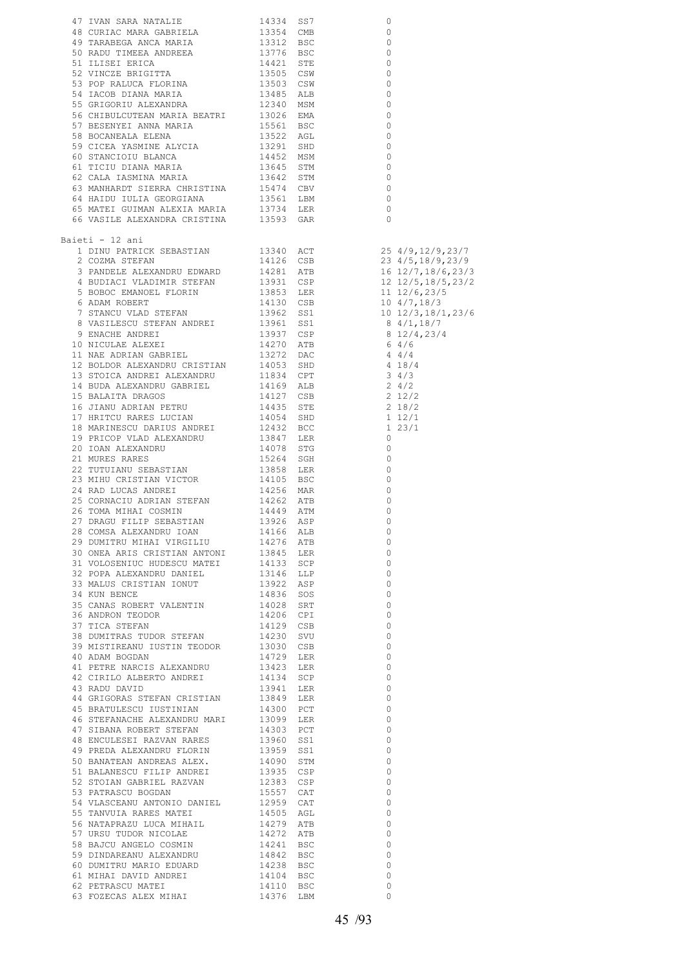| Baieti - 12 ani                                                                                                                                                                                                                              |  |                                                      |  |
|----------------------------------------------------------------------------------------------------------------------------------------------------------------------------------------------------------------------------------------------|--|------------------------------------------------------|--|
|                                                                                                                                                                                                                                              |  |                                                      |  |
|                                                                                                                                                                                                                                              |  |                                                      |  |
|                                                                                                                                                                                                                                              |  |                                                      |  |
|                                                                                                                                                                                                                                              |  |                                                      |  |
|                                                                                                                                                                                                                                              |  |                                                      |  |
|                                                                                                                                                                                                                                              |  |                                                      |  |
|                                                                                                                                                                                                                                              |  |                                                      |  |
|                                                                                                                                                                                                                                              |  |                                                      |  |
|                                                                                                                                                                                                                                              |  |                                                      |  |
|                                                                                                                                                                                                                                              |  |                                                      |  |
|                                                                                                                                                                                                                                              |  |                                                      |  |
|                                                                                                                                                                                                                                              |  |                                                      |  |
|                                                                                                                                                                                                                                              |  |                                                      |  |
|                                                                                                                                                                                                                                              |  |                                                      |  |
|                                                                                                                                                                                                                                              |  |                                                      |  |
|                                                                                                                                                                                                                                              |  |                                                      |  |
|                                                                                                                                                                                                                                              |  |                                                      |  |
|                                                                                                                                                                                                                                              |  |                                                      |  |
|                                                                                                                                                                                                                                              |  |                                                      |  |
|                                                                                                                                                                                                                                              |  |                                                      |  |
|                                                                                                                                                                                                                                              |  |                                                      |  |
|                                                                                                                                                                                                                                              |  |                                                      |  |
|                                                                                                                                                                                                                                              |  |                                                      |  |
|                                                                                                                                                                                                                                              |  |                                                      |  |
|                                                                                                                                                                                                                                              |  |                                                      |  |
|                                                                                                                                                                                                                                              |  |                                                      |  |
| 28 COMSA ALEXANDRU IOAN 14166 ALB                                                                                                                                                                                                            |  | $\sim$ 0                                             |  |
|                                                                                                                                                                                                                                              |  | $\overline{0}$                                       |  |
| 28 COMSA ALEXANDRU IOAN 14166 ALB<br>29 DUMITRU MIHAI VIRGILIU 14276 ATB<br>30 ONEA ARIS CRISTIAN ANTONI 13845 LER<br>31 VOLOSENIUC HUDESCU MATEI 14133 SCP<br>32 POPA ALEXANDRU DANIEL 13146 LLP<br>33 MALUS CRISTIAN IONUT 13922 ASP<br>   |  | $\overline{0}$                                       |  |
|                                                                                                                                                                                                                                              |  | $\overline{0}$                                       |  |
|                                                                                                                                                                                                                                              |  | $\overline{0}$                                       |  |
|                                                                                                                                                                                                                                              |  | $\overline{0}$                                       |  |
|                                                                                                                                                                                                                                              |  | $\overline{\phantom{0}}$                             |  |
|                                                                                                                                                                                                                                              |  | $\overline{0}$                                       |  |
|                                                                                                                                                                                                                                              |  | $\overline{0}$                                       |  |
|                                                                                                                                                                                                                                              |  | $\overline{0}$                                       |  |
|                                                                                                                                                                                                                                              |  | $\overline{0}$                                       |  |
|                                                                                                                                                                                                                                              |  | $\overline{0}$                                       |  |
|                                                                                                                                                                                                                                              |  | $\overline{0}$                                       |  |
|                                                                                                                                                                                                                                              |  | $\overline{0}$                                       |  |
|                                                                                                                                                                                                                                              |  | $\overline{0}$                                       |  |
|                                                                                                                                                                                                                                              |  | $\circ$                                              |  |
|                                                                                                                                                                                                                                              |  | $\overline{\phantom{0}}$                             |  |
|                                                                                                                                                                                                                                              |  | $\overline{\phantom{0}}$                             |  |
|                                                                                                                                                                                                                                              |  | $\overline{0}$                                       |  |
|                                                                                                                                                                                                                                              |  | $\overline{\phantom{0}}$                             |  |
|                                                                                                                                                                                                                                              |  | $\overline{0}$                                       |  |
|                                                                                                                                                                                                                                              |  | $\overline{\phantom{0}}$                             |  |
|                                                                                                                                                                                                                                              |  | $\overline{0}$                                       |  |
|                                                                                                                                                                                                                                              |  | $\overline{\phantom{0}}$                             |  |
|                                                                                                                                                                                                                                              |  | $\overline{\phantom{0}}$<br>$\overline{\phantom{0}}$ |  |
|                                                                                                                                                                                                                                              |  | $\overline{\phantom{0}}$                             |  |
|                                                                                                                                                                                                                                              |  | $\overline{\phantom{0}}$                             |  |
|                                                                                                                                                                                                                                              |  | $\overline{0}$                                       |  |
|                                                                                                                                                                                                                                              |  | $\overline{0}$                                       |  |
|                                                                                                                                                                                                                                              |  | $\overline{\phantom{0}}$                             |  |
|                                                                                                                                                                                                                                              |  | $\overline{\phantom{0}}$                             |  |
|                                                                                                                                                                                                                                              |  | $\overline{0}$                                       |  |
|                                                                                                                                                                                                                                              |  | $\circ$                                              |  |
| 39 MISTIREANU IUSTIN TEODOR 11230 SUB<br>40 ADAM BOGDAN 1129 LER<br>42 CIRILO ALBERTO ANDREI 13423 LER<br>42 CIRILO ALBERTO ANDREI 14124 SCP<br>43 RADU DAVID 13941 LER<br>43 RADU DAVID 13941 LER<br>43 RADU DAVID 13941 LER<br>43 RADU DAV |  | $\overline{\phantom{0}}$                             |  |
|                                                                                                                                                                                                                                              |  | $\overline{\phantom{0}}$                             |  |
|                                                                                                                                                                                                                                              |  |                                                      |  |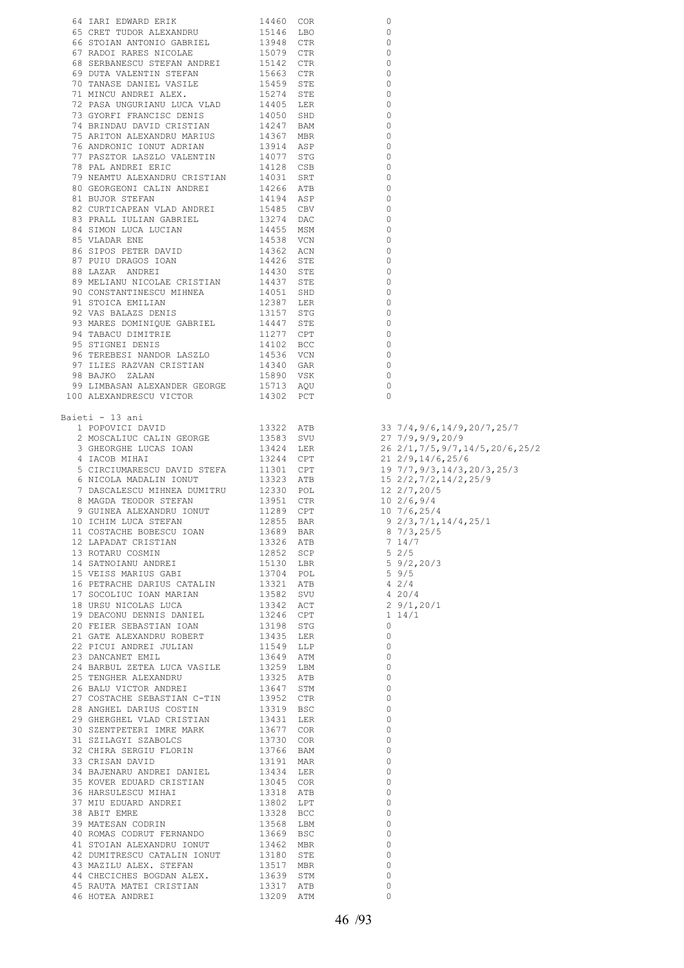| 64 IARI EDWARD ERIK 14460 COR                                                                                                                                                                                                              |                                                                                                                   | 0              |                               |
|--------------------------------------------------------------------------------------------------------------------------------------------------------------------------------------------------------------------------------------------|-------------------------------------------------------------------------------------------------------------------|----------------|-------------------------------|
| 65 CRET TUDOR ALEXANDRU                                                                                                                                                                                                                    |                                                                                                                   |                |                               |
|                                                                                                                                                                                                                                            |                                                                                                                   | $\circ$        |                               |
| 66 STOIAN ANTONIO GABRIEL                                                                                                                                                                                                                  |                                                                                                                   | $\mathbf 0$    |                               |
| 67 RADOI RARES NICOLAE                                                                                                                                                                                                                     |                                                                                                                   | $\circ$        |                               |
| 68 SERBANESCU STEFAN ANDREI                                                                                                                                                                                                                | 15146 LBO<br>13948 CTR<br>15079 CTR<br>15142 CTR                                                                  | $\circ$        |                               |
| 69 DUTA VALENTIN STEFAN                                                                                                                                                                                                                    |                                                                                                                   | $\circ$        |                               |
|                                                                                                                                                                                                                                            |                                                                                                                   |                |                               |
| 70 TANASE DANIEL VASILE                                                                                                                                                                                                                    |                                                                                                                   | $\circ$        |                               |
| 71 MINCU ANDREI ALEX.                                                                                                                                                                                                                      |                                                                                                                   | $\circ$        |                               |
| 72 PASA UNGURIANU LUCA VLAD                                                                                                                                                                                                                | 15663 CTR<br>15459 STE<br>15274 STE<br>14405 LER                                                                  | $\circ$        |                               |
|                                                                                                                                                                                                                                            |                                                                                                                   | $\mathbf 0$    |                               |
|                                                                                                                                                                                                                                            |                                                                                                                   | $\circ$        |                               |
|                                                                                                                                                                                                                                            |                                                                                                                   | $\circ$        |                               |
|                                                                                                                                                                                                                                            |                                                                                                                   |                |                               |
|                                                                                                                                                                                                                                            |                                                                                                                   | $\circ$        |                               |
|                                                                                                                                                                                                                                            |                                                                                                                   | $\circ$        |                               |
| 14405 ERSA UNGURIANU LUCA VIAD 14405 ERD<br>73 GYORFI FRANCISC DENIS<br>74 BRINDAU DAVID CRISTIAN 14247 BAM<br>75 ARITON ALEXANDRU MARIUS 14367 MBR<br>76 ANDRONIC IONUT ADRIAN 13914 ASP<br>77 PASZTOR LASZLO VALENTIN 14077 STG<br>78 PA |                                                                                                                   | $\circ$        |                               |
| THE SALE SALE SALE PART AND THE SALE OF THE SALE OF THE SALE OF THE SALE OF THE SALE OF THE SALE OF THE SALE OF THE SALE OF THE SALE OF THE SALE OF THE SALE OF THE SALE OF THE SALE OF THE SALE OF THE SALE OF THE SALE OF TH             |                                                                                                                   | 0              |                               |
|                                                                                                                                                                                                                                            |                                                                                                                   | $\circ$        |                               |
|                                                                                                                                                                                                                                            |                                                                                                                   | $\circ$        |                               |
| 82 CURTICAPEAN VLAD ANDREI                                                                                                                                                                                                                 |                                                                                                                   | $\circ$        |                               |
|                                                                                                                                                                                                                                            |                                                                                                                   |                |                               |
| 83 PRALL IULIAN GABRIEL                                                                                                                                                                                                                    |                                                                                                                   | 0              |                               |
| 84 SIMON LUCA LUCIAN                                                                                                                                                                                                                       |                                                                                                                   | $\mathbf 0$    |                               |
| 85 VLADAR ENE                                                                                                                                                                                                                              |                                                                                                                   | 0              |                               |
|                                                                                                                                                                                                                                            |                                                                                                                   | $\circ$        |                               |
| 86 SIPOS PETER DAVID<br>87 PUIU DRAGOS IOAN<br>88 LAZAR ANDREI                                                                                                                                                                             |                                                                                                                   | 0              |                               |
|                                                                                                                                                                                                                                            |                                                                                                                   | $\mathbf 0$    |                               |
| 89 MELIANU NICOLAE CRISTIAN                                                                                                                                                                                                                | 14194 ASF<br>15485 CBV<br>13274 DAC<br>14455 MSM<br>14358 VCN<br>1436 STE<br>14430 STE<br>1437 STE<br>14051 SHD   | $\circ$        |                               |
|                                                                                                                                                                                                                                            | 14437 STE<br>14051 SHD<br>12387 LER<br>13157 STG<br>14447 STE<br>14102 BCC<br>14536 VCN<br>14340 GAR<br>15900 VCK |                |                               |
| 90 CONSTANTINESCU MIHNEA                                                                                                                                                                                                                   |                                                                                                                   | $\circ$        |                               |
| 91 STOICA EMILIAN                                                                                                                                                                                                                          |                                                                                                                   | $\circ$        |                               |
|                                                                                                                                                                                                                                            |                                                                                                                   | $\mathbf 0$    |                               |
| 92 VAS BALAZS DENIS<br>93 MARES DOMINIQUE GABRIEL<br>94 TABACU DIMITRIE<br>95 STIGNEI DENIS                                                                                                                                                |                                                                                                                   | $\circ$        |                               |
|                                                                                                                                                                                                                                            |                                                                                                                   | $\circ$        |                               |
|                                                                                                                                                                                                                                            |                                                                                                                   |                |                               |
|                                                                                                                                                                                                                                            |                                                                                                                   | $\circ$        |                               |
|                                                                                                                                                                                                                                            |                                                                                                                   | $\circ$        |                               |
| 96 TEREBESI NANDOR LASZLO<br>97 ILIES RAZVAN CRISTIAN                                                                                                                                                                                      |                                                                                                                   | $\overline{0}$ |                               |
| $\begin{tabular}{lllllllll} 98\quad BAJKO & ZALAN & 15890 & VSK \\ 99\quad LIMBASAN & ALEXANDER & GEORGE & 15713 & AQU \\ 100\quad ALEXANDRESCU & VICTOR & 14302 & PCT \end{tabular}$                                                      |                                                                                                                   | $\circ$        |                               |
|                                                                                                                                                                                                                                            |                                                                                                                   | $\mathbf 0$    |                               |
|                                                                                                                                                                                                                                            |                                                                                                                   | $\Omega$       |                               |
|                                                                                                                                                                                                                                            |                                                                                                                   |                |                               |
|                                                                                                                                                                                                                                            |                                                                                                                   |                |                               |
| Baieti - 13 ani                                                                                                                                                                                                                            |                                                                                                                   |                |                               |
| 1 POPOVICI DAVID                                                                                                                                                                                                                           | 13322 ATB                                                                                                         |                | 33 7/4,9/6,14/9,20/7,25/7     |
| 2 MOSCALIUC CALIN GEORGE                                                                                                                                                                                                                   |                                                                                                                   |                | 27 7/9,9/9,20/9               |
| 3 GHEORGHE LUCAS IOAN                                                                                                                                                                                                                      | 13583 SVU<br>13424 LER                                                                                            |                | 26 2/1,7/5,9/7,14/5,20/6,25/2 |
| 4 IACOB MIHAI                                                                                                                                                                                                                              |                                                                                                                   |                | $21 \t2/9, 14/6, 25/6$        |
|                                                                                                                                                                                                                                            | 13244 CPT<br>13244 CPT<br>13323 ATB<br>12330 POL<br>13951 CTR<br>11289 CPT<br>12855 BAR                           |                |                               |
| 5 CIRCIUMARESCU DAVID STEFA                                                                                                                                                                                                                |                                                                                                                   |                | 19 7/7,9/3,14/3,20/3,25/3     |
| 6 NICOLA MADALIN IONUT                                                                                                                                                                                                                     |                                                                                                                   |                | 15 2/2, 7/2, 14/2, 25/9       |
| 7 DASCALESCU MIHNEA DUMITRU                                                                                                                                                                                                                |                                                                                                                   |                | $12 \frac{2}{7}$ , 20/5       |
| 8 MAGDA TEODOR STEFAN                                                                                                                                                                                                                      |                                                                                                                   |                | $10 \frac{2}{6}$ , 9/4        |
| 9 GUINEA ALEXANDRU IONUT                                                                                                                                                                                                                   |                                                                                                                   |                | $10\ \frac{7}{6}$ , 25/4      |
|                                                                                                                                                                                                                                            |                                                                                                                   |                |                               |
| 10 ICHIM LUCA STEFAN                                                                                                                                                                                                                       |                                                                                                                   |                | $9\ 2/3, 7/1, 14/4, 25/1$     |
|                                                                                                                                                                                                                                            |                                                                                                                   |                | $8\;\;7/3,25/5$               |
|                                                                                                                                                                                                                                            |                                                                                                                   |                |                               |
|                                                                                                                                                                                                                                            |                                                                                                                   |                |                               |
|                                                                                                                                                                                                                                            |                                                                                                                   |                |                               |
|                                                                                                                                                                                                                                            |                                                                                                                   |                |                               |
|                                                                                                                                                                                                                                            |                                                                                                                   |                |                               |
|                                                                                                                                                                                                                                            |                                                                                                                   |                |                               |
|                                                                                                                                                                                                                                            |                                                                                                                   |                |                               |
|                                                                                                                                                                                                                                            |                                                                                                                   |                |                               |
|                                                                                                                                                                                                                                            |                                                                                                                   |                |                               |
|                                                                                                                                                                                                                                            |                                                                                                                   |                |                               |
|                                                                                                                                                                                                                                            |                                                                                                                   |                |                               |
|                                                                                                                                                                                                                                            |                                                                                                                   |                |                               |
|                                                                                                                                                                                                                                            |                                                                                                                   |                |                               |
|                                                                                                                                                                                                                                            |                                                                                                                   |                |                               |
|                                                                                                                                                                                                                                            |                                                                                                                   |                |                               |
|                                                                                                                                                                                                                                            |                                                                                                                   |                |                               |
|                                                                                                                                                                                                                                            |                                                                                                                   |                |                               |
|                                                                                                                                                                                                                                            |                                                                                                                   |                |                               |
|                                                                                                                                                                                                                                            |                                                                                                                   |                |                               |
|                                                                                                                                                                                                                                            |                                                                                                                   |                |                               |
|                                                                                                                                                                                                                                            |                                                                                                                   |                |                               |
|                                                                                                                                                                                                                                            |                                                                                                                   |                |                               |
|                                                                                                                                                                                                                                            |                                                                                                                   |                |                               |
|                                                                                                                                                                                                                                            |                                                                                                                   |                |                               |
|                                                                                                                                                                                                                                            |                                                                                                                   |                |                               |
|                                                                                                                                                                                                                                            |                                                                                                                   |                |                               |
|                                                                                                                                                                                                                                            |                                                                                                                   |                |                               |
| 9 GUINEA AIEXNAINE TONUT 11389 CPT 11471<br>10 DEHIN ANCA STEENN 12007 11289 CPT 10 7/6,25/4<br>11 COSTACRS BOGBOUT DON 126859 BAR 8 7/3,25/5<br>12 LARADAT CRISTIAN 12008 BAR 8 774,275/5<br>12 LARADAT CRISTIAN 12008 SCRE 5 2/5 7/      |                                                                                                                   |                |                               |
|                                                                                                                                                                                                                                            |                                                                                                                   |                |                               |
|                                                                                                                                                                                                                                            |                                                                                                                   |                |                               |
|                                                                                                                                                                                                                                            |                                                                                                                   |                |                               |
|                                                                                                                                                                                                                                            |                                                                                                                   |                |                               |
|                                                                                                                                                                                                                                            |                                                                                                                   |                |                               |
|                                                                                                                                                                                                                                            |                                                                                                                   |                |                               |
|                                                                                                                                                                                                                                            |                                                                                                                   |                |                               |
|                                                                                                                                                                                                                                            |                                                                                                                   |                |                               |
|                                                                                                                                                                                                                                            |                                                                                                                   |                |                               |
|                                                                                                                                                                                                                                            |                                                                                                                   |                |                               |
|                                                                                                                                                                                                                                            |                                                                                                                   |                |                               |
|                                                                                                                                                                                                                                            |                                                                                                                   |                |                               |
|                                                                                                                                                                                                                                            |                                                                                                                   |                |                               |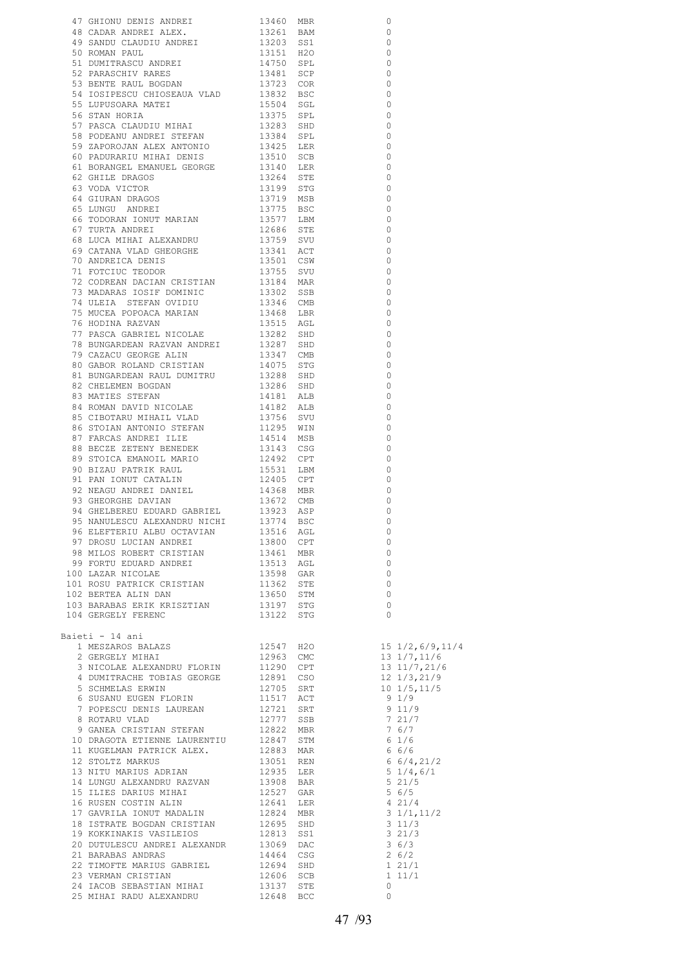| 47 GHIONU DENIS ANDREI 11460 MBR<br>49 GADAR AIDBEI 11460 MBR<br>49 GADAR AIDBEI ALEX. 115241 BAM<br>49 GANDR DAUDITU ANDREI 11511 H2O 1361<br>51 GAMBAN BAUL ANDREI 11511 H2O<br>51 DOMINITRAGCU ANDREI 11511 H2O<br>51 DOMINITRAGCU AND      |           |     | $\circ$                                                                              |                                                     |
|------------------------------------------------------------------------------------------------------------------------------------------------------------------------------------------------------------------------------------------------|-----------|-----|--------------------------------------------------------------------------------------|-----------------------------------------------------|
|                                                                                                                                                                                                                                                |           |     | $\Omega$                                                                             |                                                     |
|                                                                                                                                                                                                                                                |           |     | $\overline{\phantom{0}}$                                                             |                                                     |
|                                                                                                                                                                                                                                                |           |     | $\bigcirc$                                                                           |                                                     |
|                                                                                                                                                                                                                                                |           |     | $\overline{\phantom{0}}$                                                             |                                                     |
|                                                                                                                                                                                                                                                |           |     | $\circ$<br>$\overline{\phantom{0}}$                                                  |                                                     |
|                                                                                                                                                                                                                                                |           |     | $\Omega$                                                                             |                                                     |
|                                                                                                                                                                                                                                                |           |     | $\overline{\phantom{0}}$                                                             |                                                     |
|                                                                                                                                                                                                                                                |           |     | 0                                                                                    |                                                     |
|                                                                                                                                                                                                                                                |           |     | $\overline{0}$                                                                       |                                                     |
|                                                                                                                                                                                                                                                |           |     | 0                                                                                    |                                                     |
|                                                                                                                                                                                                                                                |           |     | $\qquad \qquad \circ$                                                                |                                                     |
|                                                                                                                                                                                                                                                |           |     | 0<br>$\overline{0}$                                                                  |                                                     |
|                                                                                                                                                                                                                                                |           |     | 0                                                                                    |                                                     |
|                                                                                                                                                                                                                                                |           |     | $\overline{0}$                                                                       |                                                     |
|                                                                                                                                                                                                                                                |           |     | $\circ$                                                                              |                                                     |
|                                                                                                                                                                                                                                                |           |     | $\overline{\phantom{0}}$                                                             |                                                     |
|                                                                                                                                                                                                                                                |           |     | $\overline{0}$                                                                       |                                                     |
|                                                                                                                                                                                                                                                |           |     | $\overline{0}$                                                                       |                                                     |
|                                                                                                                                                                                                                                                |           |     | $\circ$<br>$\overline{0}$                                                            |                                                     |
|                                                                                                                                                                                                                                                |           |     | $\overline{0}$                                                                       |                                                     |
|                                                                                                                                                                                                                                                |           |     | $\overline{0}$                                                                       |                                                     |
|                                                                                                                                                                                                                                                |           |     | $\overline{\phantom{0}}$                                                             |                                                     |
|                                                                                                                                                                                                                                                |           |     | $\circ$                                                                              |                                                     |
|                                                                                                                                                                                                                                                |           |     | $\bigcirc$                                                                           |                                                     |
|                                                                                                                                                                                                                                                |           |     | $\overline{\phantom{0}}$                                                             |                                                     |
|                                                                                                                                                                                                                                                |           |     | $\bigcirc$<br>$\overline{0}$                                                         |                                                     |
|                                                                                                                                                                                                                                                |           |     | $\overline{\phantom{0}}$                                                             |                                                     |
|                                                                                                                                                                                                                                                |           |     | $\circ$                                                                              |                                                     |
|                                                                                                                                                                                                                                                |           |     | $\overline{\phantom{0}}$                                                             |                                                     |
|                                                                                                                                                                                                                                                |           |     | $\overline{0}$                                                                       |                                                     |
|                                                                                                                                                                                                                                                |           |     | $\overline{\phantom{0}}$                                                             |                                                     |
|                                                                                                                                                                                                                                                |           |     | 0                                                                                    |                                                     |
|                                                                                                                                                                                                                                                |           |     | 0                                                                                    |                                                     |
|                                                                                                                                                                                                                                                |           |     | 0<br>$\circ$                                                                         |                                                     |
|                                                                                                                                                                                                                                                |           |     | 0                                                                                    |                                                     |
|                                                                                                                                                                                                                                                |           |     | $\circ$                                                                              |                                                     |
|                                                                                                                                                                                                                                                |           |     | 0                                                                                    |                                                     |
|                                                                                                                                                                                                                                                |           |     | 0                                                                                    |                                                     |
|                                                                                                                                                                                                                                                |           |     | 0                                                                                    |                                                     |
|                                                                                                                                                                                                                                                |           |     | 0                                                                                    |                                                     |
|                                                                                                                                                                                                                                                |           |     | $\Omega$<br>$\Omega$                                                                 |                                                     |
| 95 NANULESCU ALEXANDRU NICHI 13774                                                                                                                                                                                                             |           | BSC | 0                                                                                    |                                                     |
|                                                                                                                                                                                                                                                |           |     | $\circ$                                                                              |                                                     |
| 96 ELEFTERIU ALBU OCTAVIAN 13516 AGL<br>97 DROSU LUCIAN ANDREI 13800 CPT<br>98 MILOS ROBERT CRISTIAN 13461 MBR<br>99 FORTU EDUARD ANDREI 13513 AGL<br>100 LAZAR NICOLAE 13598 GAR<br>101 ROSU PATRICK CRISTIAN 11362 STE<br>102 BERTEA ALI     |           |     | $\circ$                                                                              |                                                     |
|                                                                                                                                                                                                                                                |           |     | $\overline{\phantom{0}}$                                                             |                                                     |
|                                                                                                                                                                                                                                                |           |     | $\circ$                                                                              |                                                     |
|                                                                                                                                                                                                                                                |           |     | 0<br>$\circ$                                                                         |                                                     |
|                                                                                                                                                                                                                                                |           |     | $\overline{0}$                                                                       |                                                     |
|                                                                                                                                                                                                                                                |           |     | $\overline{0}$                                                                       |                                                     |
| 104 GERGELY FERENC                                                                                                                                                                                                                             | 13122 STG |     | $\overline{0}$                                                                       |                                                     |
|                                                                                                                                                                                                                                                |           |     |                                                                                      |                                                     |
| Baieti - 14 ani                                                                                                                                                                                                                                |           |     |                                                                                      |                                                     |
|                                                                                                                                                                                                                                                |           |     |                                                                                      |                                                     |
|                                                                                                                                                                                                                                                |           |     |                                                                                      |                                                     |
|                                                                                                                                                                                                                                                |           |     |                                                                                      |                                                     |
|                                                                                                                                                                                                                                                |           |     |                                                                                      | 12 1/3,21/9<br>10 1/5,11/5                          |
| 4 DUMITRACHE TOBIAS GEORGE<br>12891 CSO<br>5 SCHMELAS ERWIN<br>6 SUSANU EUGEN FLORIN 12705 SRT<br>6 SUSANU EUGEN FLORIN 11517 ACT<br>7 POPESCU DENIS LAUREAN 12721 SRT<br>8 ROTARU VLAD 12777 SSB<br>9 GANEA CRISTIAN STEFAN 12822 MBR<br>9 GA |           |     |                                                                                      |                                                     |
|                                                                                                                                                                                                                                                |           |     | $9 1/9$<br>9 11/9                                                                    |                                                     |
|                                                                                                                                                                                                                                                |           |     |                                                                                      | $\begin{array}{cc} 7 & 21/7 \\ 7 & 6/7 \end{array}$ |
|                                                                                                                                                                                                                                                |           |     |                                                                                      |                                                     |
|                                                                                                                                                                                                                                                |           |     | $6 \frac{1}{6}$                                                                      |                                                     |
|                                                                                                                                                                                                                                                |           |     |                                                                                      | 66/6                                                |
| 8 ROTARU VLAD<br>9 GANEA CRISTIAN STEFAN<br>12822 MBR<br>10 DRAGOTA ETIENNE LAURENTIU 12847 STM<br>11 KUGELMAN PATRICK ALEX. 12883 MAR<br>12 STOLTZ MARKUS 13051 REN<br>13 NITU MARIUS ADRIAN 12935 LER<br>12935 LER                           |           |     |                                                                                      | $6\frac{6}{4}$ , 21/2<br>$5\frac{1}{4}$ , 6/1       |
|                                                                                                                                                                                                                                                |           |     |                                                                                      | 521/5                                               |
|                                                                                                                                                                                                                                                |           |     |                                                                                      | 5 6/5                                               |
| 15 ILIES DAKIOS MIRRI (1941 LER 17 GAVRILA IONUT MADALIN 12824 MBR 18 ISTRATE BOGDAN CRISTIAN 12695 SHD 19 KOKKINAKIS VASILEIOS 12813 SS1                                                                                                      |           |     | 421/4                                                                                |                                                     |
|                                                                                                                                                                                                                                                |           |     |                                                                                      | 3 1/1,11/2                                          |
|                                                                                                                                                                                                                                                |           |     | $\begin{array}{c} \n \overline{\phantom{0}} \\  3 \hspace{0.1cm} 11/3\n \end{array}$ |                                                     |
|                                                                                                                                                                                                                                                |           |     | $3\,6/3$                                                                             | 3 21/3                                              |
| 18 ISTRATE DOGDAR ONLOCALLE<br>19 KOKKINAKIS VASILEIOS 12813 SS1<br>20 DUTULESCU ANDREI ALEXANDR 13069 DAC<br>21 BARABAS ANDRAS                                                                                                                | 14464 CSG |     |                                                                                      | 26/2                                                |
| 22 TIMOFTE MARIUS GABRIEL 12694 SHD                                                                                                                                                                                                            |           |     | 1 21/1                                                                               |                                                     |
| 23 VERMAN CRISTIAN                                                                                                                                                                                                                             | 12606 SCB |     |                                                                                      | $1\;11/1$                                           |
|                                                                                                                                                                                                                                                |           |     | $\circ$                                                                              |                                                     |
|                                                                                                                                                                                                                                                |           |     | 0                                                                                    |                                                     |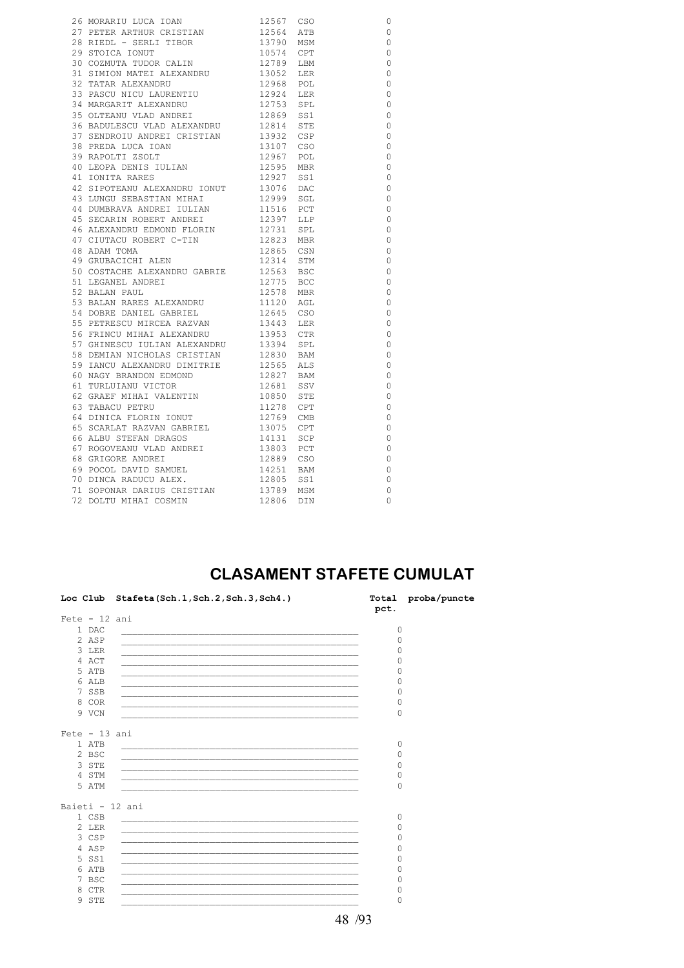| 26 MORARIU LUCA IOAN 12567 CSO<br>27 PETER ARTHUR CRISTIAN 12564 ATB<br>28 RIEDL - SERLI TIBOR 13790 MSM                                                                                                    |                                                               | $\circ$        |
|-------------------------------------------------------------------------------------------------------------------------------------------------------------------------------------------------------------|---------------------------------------------------------------|----------------|
|                                                                                                                                                                                                             |                                                               | $\circ$        |
|                                                                                                                                                                                                             |                                                               | $\circ$        |
| 29 STOICA IONUT                                                                                                                                                                                             | 10574 CPT<br>12789 LBM                                        | $\circ$        |
| 30 COZMUTA TUDOR CALIN<br>31 SIMION WARD-                                                                                                                                                                   |                                                               | $\circ$        |
|                                                                                                                                                                                                             |                                                               | $\circ$        |
| $\begin{tabular}{lllllllllll} 31 & \texttt{SIMION} & \texttt{MATEI} & \texttt{ALEXANDRU} & & & & 13052 & \texttt{LER} \\ 32 & \texttt{TATAR} & \texttt{ALEXANDRU} & & & 12968 & \texttt{POL} \end{tabular}$ |                                                               | $\circ$        |
|                                                                                                                                                                                                             |                                                               | $\circ$        |
|                                                                                                                                                                                                             |                                                               | $\circ$        |
| $\begin{tabular}{lllllllllllll} 33 & PASCU NICU LAURENTIU & 12924 & LER \\ 34 MARGARIT ALEXANDRU & 12753 & SPL \\ 35 OLTEANU VLAD ANDREI & 12869 & SS1 \\ \end{tabular}$                                    |                                                               | $\circ$        |
|                                                                                                                                                                                                             |                                                               | $\overline{0}$ |
| 36 BADULESCU VLAD ALEXANDRU<br>37 SENDROIU ANDREI CRISTIAN                                                                                                                                                  | 12814 STE<br>13932 CSP                                        | $\circ$        |
|                                                                                                                                                                                                             |                                                               | $\circ$        |
|                                                                                                                                                                                                             |                                                               | $\overline{0}$ |
|                                                                                                                                                                                                             |                                                               | $\circ$        |
| 938 PREDA LUCA IOAN 13107 CSO<br>39 RAPOLTI ZSOLT 12967 POL<br>40 LEOPA DENIS IULIAN 12595 MBR<br>41 IONITA RARES 12927 SS1                                                                                 |                                                               | $\circ$        |
| 42 SIPOTEANU ALEXANDRU IONUT 13076 DAC                                                                                                                                                                      |                                                               | $\circ$        |
|                                                                                                                                                                                                             | 12999 SGL<br>11516 PCT<br>12397 LLP<br>12823 MBR<br>12823 MBR | $\circ$        |
| 43 LUNGU SEBASTIAN MIHAI<br>44 DUMBRAVA ANDREI IULIAN                                                                                                                                                       |                                                               | $\overline{0}$ |
| 45 SECARIN ROBERT ANDREI                                                                                                                                                                                    |                                                               | $\circ$        |
|                                                                                                                                                                                                             |                                                               | $\circ$        |
| 46 ALEXANDRU EDMOND FLORIN<br>47 CIUTACU ROBERT C-TIN                                                                                                                                                       |                                                               | $\circ$        |
|                                                                                                                                                                                                             |                                                               | $\circ$        |
| 48 ADAM TOMA<br>49 GRUBACICHI ALEN                                                                                                                                                                          | 12865 CSN<br>12314 STM                                        | $\overline{0}$ |
| 50 COSTACHE ALEXANDRU GABRIE 12563 BSC                                                                                                                                                                      |                                                               | $\overline{0}$ |
|                                                                                                                                                                                                             | 12775 BCC                                                     | $\circ$        |
| 51 LEGANEL ANDREI<br>52 BALAN PAUL                                                                                                                                                                          | 12578 MBR                                                     | $\circ$        |
|                                                                                                                                                                                                             |                                                               | $\circ$        |
| 53 BALAN RARES ALEXANDRU 11120 AGL 54 DOBRE DANIEL GABRIEL 12645 CSO                                                                                                                                        |                                                               | $\overline{0}$ |
|                                                                                                                                                                                                             |                                                               | $\circ$        |
|                                                                                                                                                                                                             |                                                               | $\overline{0}$ |
|                                                                                                                                                                                                             |                                                               | $\circ$        |
| 57 GHINESCU IULIAN ALEXANDRU - 13394 - SPL<br>58 DEMIAN NICHOLAS CRISTIAN - 12830 BAM<br>59 IANCU ALEXANDRU DIMITRIE - 12565 ALS                                                                            |                                                               | $\circ$        |
|                                                                                                                                                                                                             |                                                               | $\circ$        |
|                                                                                                                                                                                                             | 12827 BAM<br>12681 SSV<br>10850 STE<br>11278 CPT<br>12769 CMB | $\overline{0}$ |
| 60 NAGY BRANDON EDMOND<br>61 TURLUIANU VICTOR                                                                                                                                                               |                                                               | $\circ$        |
| 62 GRAEF MIHAI VALENTIN                                                                                                                                                                                     |                                                               | $\circ$        |
| 63 TABACU PETRU                                                                                                                                                                                             |                                                               | $\circ$        |
| 63 TABACU PETRU<br>64 DINICA FLORIN IONUT                                                                                                                                                                   |                                                               | $\circ$        |
|                                                                                                                                                                                                             |                                                               | $\circ$        |
|                                                                                                                                                                                                             |                                                               | $\circ$        |
|                                                                                                                                                                                                             |                                                               | $\circ$        |
|                                                                                                                                                                                                             |                                                               | $\circ$        |
|                                                                                                                                                                                                             |                                                               | $\circ$        |
|                                                                                                                                                                                                             |                                                               | $\circ$        |
|                                                                                                                                                                                                             |                                                               | $\circ$        |
|                                                                                                                                                                                                             |                                                               | $\circ$        |
|                                                                                                                                                                                                             |                                                               |                |

## **CLASAMENT STAFETE CUMULAT**

|                 | Loc Club Stafeta(Sch.1,Sch.2,Sch.3,Sch4.) | pct.     | Total proba/puncte |
|-----------------|-------------------------------------------|----------|--------------------|
| $Fete - 12 ani$ |                                           |          |                    |
| 1 DAC           |                                           | 0        |                    |
| 2 ASP           |                                           | 0        |                    |
| 3 LER           |                                           | 0        |                    |
| 4 ACT           |                                           | O        |                    |
| 5 ATB           |                                           | 0        |                    |
| 6 ALB           |                                           | O        |                    |
| 7 SSB           |                                           | 0        |                    |
| 8 COR           |                                           | 0        |                    |
| 9 VCN           |                                           | 0        |                    |
| $Fete - 13 ani$ |                                           |          |                    |
| 1 ATB           |                                           | 0        |                    |
| 2 BSC           |                                           | $\Omega$ |                    |
| 3 STE           |                                           | 0        |                    |
| 4 STM           |                                           | 0        |                    |
| 5 ATM           |                                           | 0        |                    |
| Baieti - 12 ani |                                           |          |                    |
| 1 CSB           |                                           | 0        |                    |
| 2 LER           |                                           | $\cap$   |                    |
| 3 CSP           |                                           | 0        |                    |
| 4 ASP           |                                           | 0        |                    |
| 5 SS1           |                                           | 0        |                    |
| 6 ATB           |                                           | 0        |                    |
| 7 BSC           |                                           | 0        |                    |
| 8 CTR           |                                           | 0        |                    |
| 9 STE           |                                           | 0        |                    |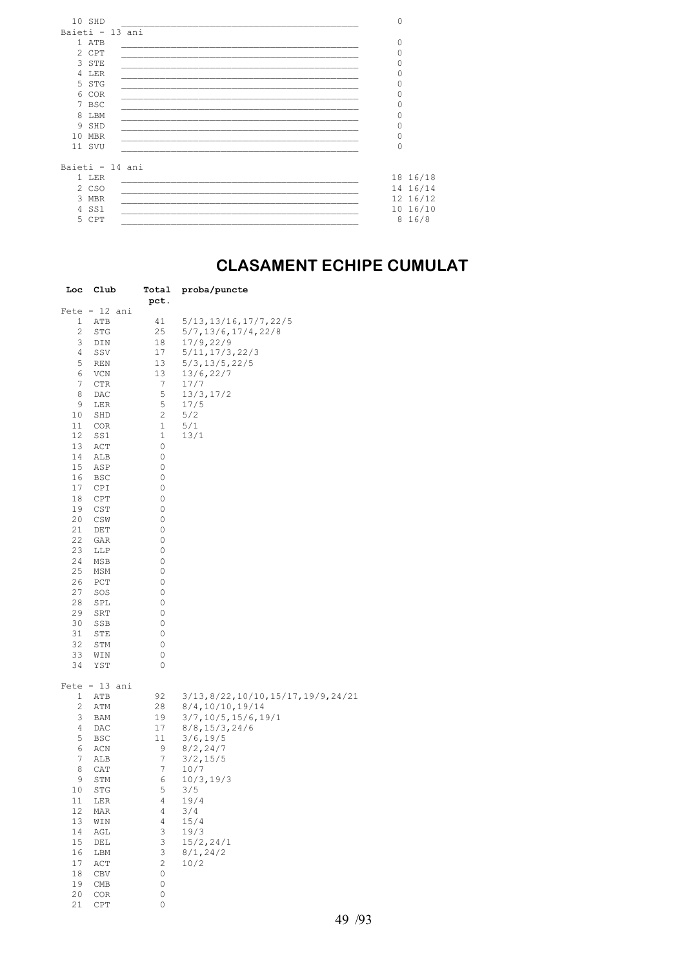| 10 SHD          | 0        |          |
|-----------------|----------|----------|
| Baieti - 13 ani |          |          |
| 1 ATB           | 0        |          |
| 2 CPT           | $\Omega$ |          |
| 3 STE           | 0        |          |
| 4 LER           | 0        |          |
| 5 STG           | 0        |          |
| 6 COR           | 0        |          |
| 7 BSC           | 0        |          |
| 8 LBM           | 0        |          |
| 9 SHD           | 0        |          |
| 10 MBR          | 0        |          |
| 11 SVU          | $\Omega$ |          |
|                 |          |          |
| Baieti - 14 ani |          |          |
| 1 LER           |          | 18 16/18 |
| 2 CSO           |          | 14 16/14 |
|                 |          |          |
| 3 MBR           |          | 12 16/12 |
| 4 SS1           |          | 10 16/10 |
| 5 CPT           | 8        | 16/8     |

## **CLASAMENT ECHIPE CUMULAT**

| Loc | Club            | Total<br>pct.    | proba/puncte                          |
|-----|-----------------|------------------|---------------------------------------|
|     | $Fete - 12 ani$ |                  |                                       |
| 1   | ATB             | 41               | 5/13,13/16,17/7,22/5                  |
| 2   | STG             | 25               | 5/7,13/6,17/4,22/8                    |
| 3   | DIN             | 18               | 17/9,22/9                             |
| 4   | SSV             | 17               | 5/11, 17/3, 22/3                      |
| 5   | REN             | 13               | $5/3$ , 13/5, 22/5                    |
| 6   | VCN             | 13               | 13/6,22/7                             |
| 7   | CTR             | 7                | 17/7                                  |
| 8   | DAC             | 5                | 13/3,17/2                             |
| 9   | LER             | 5                | 17/5                                  |
| 10  | SHD             | 2                | 5/2                                   |
| 11  | COR             | 1                | 5/1                                   |
| 12  | SS1             | 1                | 13/1                                  |
| 13  | ACT             | 0                |                                       |
| 14  | ALB             | 0                |                                       |
| 15  | ASP             | 0                |                                       |
| 16  | BSC             | 0                |                                       |
| 17  | CPI             | 0                |                                       |
| 18  | CPT             | 0                |                                       |
| 19  | CST             | 0                |                                       |
| 20  | CSW             | 0                |                                       |
| 21  | DET             | 0                |                                       |
| 22  | GAR             | 0                |                                       |
| 23  | LLP             | 0                |                                       |
| 24  | MSB             | 0                |                                       |
| 25  | MSM             | 0                |                                       |
| 26  | PCT             | 0                |                                       |
| 27  | SOS             | 0                |                                       |
| 28  | SPL             | 0                |                                       |
| 29  | SRT             | 0                |                                       |
| 30  | SSB             | 0                |                                       |
| 31  | STE             | 0                |                                       |
| 32  | STM             | 0                |                                       |
| 33  | WIN             | 0                |                                       |
| 34  | YST             | 0                |                                       |
|     | $Fete - 13 ani$ |                  |                                       |
| 1   | ATB             | 92               | 3/13, 8/22, 10/10, 15/17, 19/9, 24/21 |
| 2   | ATM             | 28               | 8/4,10/10,19/14                       |
| 3   | BAM             | 19               | 3/7,10/5,15/6,19/1                    |
| 4   | DAC             | 17               | 8/8, 15/3, 24/6                       |
| 5   | BSC             | 11               | 3/6, 19/5                             |
| 6   | ACN             | 9                | 8/2, 24/7                             |
| 7   | ALB             | $\boldsymbol{7}$ | 3/2, 15/5                             |
| 8   | CAT             | 7                | 10/7                                  |
| 9   | STM             | 6                | 10/3, 19/3                            |
| 10  | STG             | 5                | 3/5                                   |
| 11  | LER             | 4                | 19/4                                  |
| 12  | MAR             | 4                | 3/4                                   |
| 13  | WIN             | 4                | 15/4                                  |
| 14  | AGL             | 3                | 19/3                                  |
| 15  | DEL             | 3                | 15/2, 24/1                            |
| 16  | LBM             | 3                | 8/1, 24/2                             |
| 17  | ACT             | 2                | 10/2                                  |
| 18  | CBV             | 0                |                                       |
| 19  | CMB             | 0                |                                       |
| 20  | COR             | 0                |                                       |
| 21  | CPT             | 0                |                                       |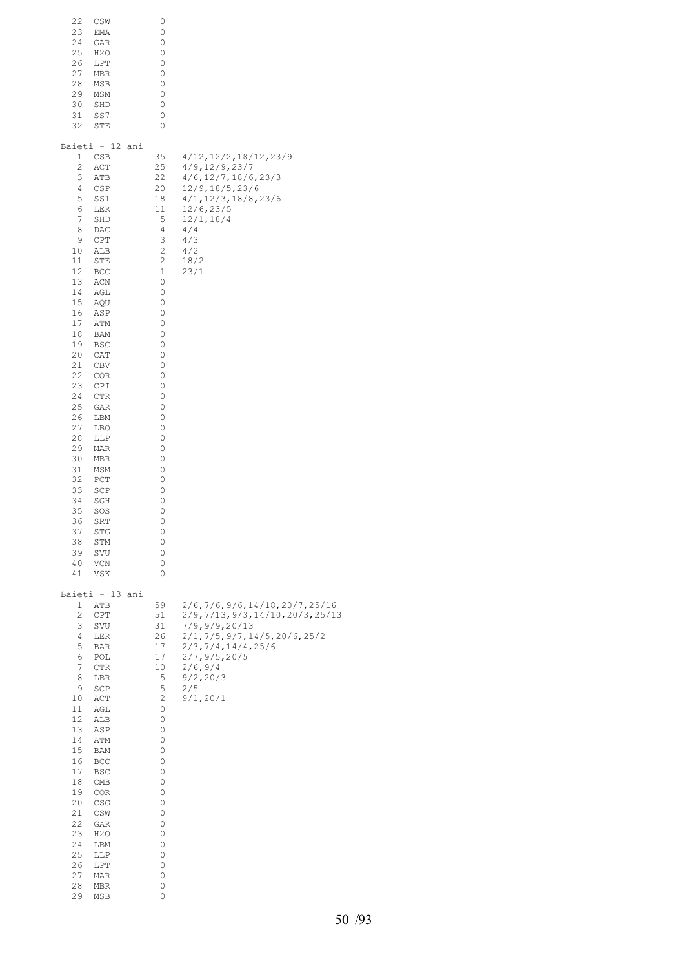| 22<br>CSW<br>23<br>EMA<br>24<br>GAR<br>25<br>H2O<br>26<br>LPT<br>27<br>MBR<br>28<br>MSB<br>29<br>MSM<br>30<br>SHD<br>31<br>SS7<br>32<br>STE                                                                                                                                                                                                                                                                                                                                                                                                                 | 0<br>0<br>0<br>0<br>0<br>0<br>0<br>0<br>0<br>0<br>0                                                                                                                                                                          |                                                                                                                                                                                                               |
|-------------------------------------------------------------------------------------------------------------------------------------------------------------------------------------------------------------------------------------------------------------------------------------------------------------------------------------------------------------------------------------------------------------------------------------------------------------------------------------------------------------------------------------------------------------|------------------------------------------------------------------------------------------------------------------------------------------------------------------------------------------------------------------------------|---------------------------------------------------------------------------------------------------------------------------------------------------------------------------------------------------------------|
| Baieti - 12 ani<br>CSB<br>1<br>2<br>ACT<br>3<br>ATB<br>4<br>CSP<br>5<br>SS1<br>6<br>LER<br>7<br>SHD<br>8<br>DAC<br>9<br>CPT<br>ALB<br>10<br>11<br>STE<br>12<br>BCC<br>13<br>ACN<br>14<br>AGL<br>15<br>AQU<br>16<br>ASP<br>17<br>ATM<br>18<br>BAM<br>19<br>BSC<br>20<br>CAT<br>21<br>CBV<br>22<br>COR<br>23<br>CPI<br>24<br>CTR<br>25<br>GAR<br>26<br>LBM<br>27<br>LBO<br>28<br>LLP<br>29<br>MAR<br>30<br>MBR<br>31<br>MSM<br>32<br>PCT<br>33<br>SCP<br>34<br>SGH<br>35<br>SOS<br>36<br>SRT<br>37<br>STG<br>38<br>STM<br>39<br>SVU<br>40<br>VCN<br>41<br>VSK | 35<br>25<br>22<br>20<br>18<br>11<br>5<br>4<br>3<br>2<br>$\sqrt{2}$<br>$1\,$<br>0<br>0<br>0<br>0<br>0<br>0<br>0<br>0<br>0<br>0<br>0<br>0<br>0<br>0<br>0<br>0<br>0<br>0<br>0<br>0<br>0<br>0<br>0<br>0<br>0<br>0<br>0<br>0<br>0 | 4/12, 12/2, 18/12, 23/9<br>4/9, 12/9, 23/7<br>$4/6$ , $12/7$ , $18/6$ , $23/3$<br>12/9,18/5,23/6<br>4/1, 12/3, 18/8, 23/6<br>12/6, 23/5<br>12/1, 18/4<br>4/4<br>4/3<br>4/2<br>18/2<br>23/1                    |
| Baieti - 13 ani<br>1<br>ATB<br>2<br>CPT<br>3<br>SVU<br>4<br>LER<br>5<br>BAR<br>6<br>POL<br>7<br>CTR<br>8<br>LBR<br>9<br>SCP<br>10<br>ACT<br>11<br>AGL<br>12<br>ALB<br>13<br>ASP<br>14<br>ATM<br>15<br>BAM<br>16<br>BCC<br>17<br>BSC<br>18<br>CMB<br>19<br>COR<br>20<br>CSG<br>21<br>CSW<br>22<br>GAR<br>23<br>H <sub>2</sub> O<br>24<br>LBM<br>25<br>LLP<br>26<br>LPT<br>27<br>MAR<br>28<br>MBR<br>29<br>MSB                                                                                                                                                | 59<br>51<br>31<br>26<br>17<br>17<br>10<br>5<br>5<br>$\sqrt{2}$<br>0<br>0<br>0<br>0<br>0<br>0<br>0<br>0<br>0<br>0<br>0<br>0<br>0<br>0<br>0<br>0<br>0<br>0<br>0                                                                | 2/6, 7/6, 9/6, 14/18, 20/7, 25/16<br>2/9,7/13,9/3,14/10,20/3,25/13<br>7/9,9/9,20/13<br>2/1, 7/5, 9/7, 14/5, 20/6, 25/2<br>2/3, 7/4, 14/4, 25/6<br>2/7, 9/5, 20/5<br>2/6, 9/4<br>9/2, 20/3<br>2/5<br>9/1, 20/1 |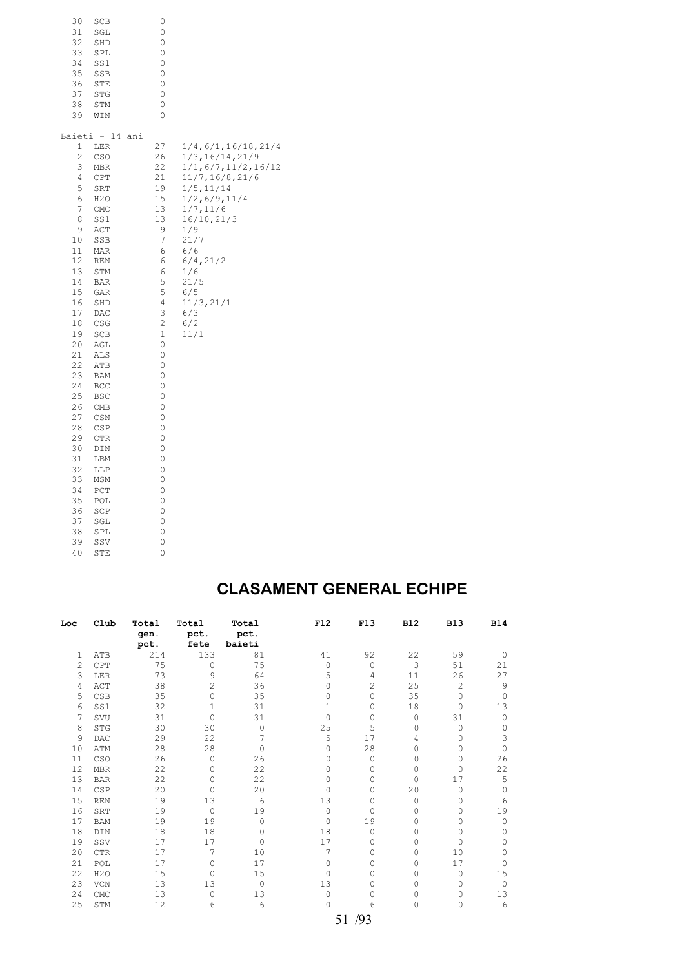| 30                                                                                                                                                                                                                                                        | SCB                                                                                                                                                                                                                                                                                                                      | 0                                                                                                                                                                                                                                                       |                                                                                                                                                                                                                                          |
|-----------------------------------------------------------------------------------------------------------------------------------------------------------------------------------------------------------------------------------------------------------|--------------------------------------------------------------------------------------------------------------------------------------------------------------------------------------------------------------------------------------------------------------------------------------------------------------------------|---------------------------------------------------------------------------------------------------------------------------------------------------------------------------------------------------------------------------------------------------------|------------------------------------------------------------------------------------------------------------------------------------------------------------------------------------------------------------------------------------------|
| 31                                                                                                                                                                                                                                                        | SGL                                                                                                                                                                                                                                                                                                                      | 0                                                                                                                                                                                                                                                       |                                                                                                                                                                                                                                          |
| 32                                                                                                                                                                                                                                                        | SHD                                                                                                                                                                                                                                                                                                                      | 0                                                                                                                                                                                                                                                       |                                                                                                                                                                                                                                          |
| 33                                                                                                                                                                                                                                                        | SPL                                                                                                                                                                                                                                                                                                                      | 0                                                                                                                                                                                                                                                       |                                                                                                                                                                                                                                          |
| 34                                                                                                                                                                                                                                                        | SS1                                                                                                                                                                                                                                                                                                                      | 0                                                                                                                                                                                                                                                       |                                                                                                                                                                                                                                          |
| 35                                                                                                                                                                                                                                                        | SSB                                                                                                                                                                                                                                                                                                                      | 0                                                                                                                                                                                                                                                       |                                                                                                                                                                                                                                          |
| 36                                                                                                                                                                                                                                                        | STE                                                                                                                                                                                                                                                                                                                      | 0                                                                                                                                                                                                                                                       |                                                                                                                                                                                                                                          |
| 37                                                                                                                                                                                                                                                        | STG                                                                                                                                                                                                                                                                                                                      | 0                                                                                                                                                                                                                                                       |                                                                                                                                                                                                                                          |
| 38                                                                                                                                                                                                                                                        | STM                                                                                                                                                                                                                                                                                                                      | 0                                                                                                                                                                                                                                                       |                                                                                                                                                                                                                                          |
| 39                                                                                                                                                                                                                                                        | WIN                                                                                                                                                                                                                                                                                                                      | 0                                                                                                                                                                                                                                                       |                                                                                                                                                                                                                                          |
| 1<br>$\overline{\mathbf{c}}$<br>3<br>4<br>5<br>6<br>7<br>8<br>9<br>10<br>11<br>12<br>13<br>14<br>15<br>16<br>17<br>18<br>19<br>20<br>21<br>22<br>23<br>24<br>25<br>26<br>27<br>28<br>29<br>30<br>31<br>32<br>33<br>34<br>35<br>36<br>37<br>38<br>39<br>40 | Baieti - 14<br><b>LER</b><br>CSO<br>MBR<br>CPT<br>SRT<br>H2O<br>CMC<br>SS1<br>ACT<br>SSB<br>MAR<br>REN<br>STM<br><b>BAR</b><br>GAR<br>SHD<br>DAC<br>CSG<br>SCB<br>AGL<br>ALS<br>ATB<br>BAM<br>BCC<br><b>BSC</b><br>CMB<br>CSN<br>CSP<br>CTR<br>DIN<br>LBM<br>LLP<br>MSM<br>PCT<br>POL<br>SCP<br>SGL<br>SPL<br>SSV<br>STE | ani<br>27<br>26<br>22<br>21<br>19<br>15<br>13<br>13<br>9<br>7<br>6<br>6<br>6<br>5<br>5<br>$\overline{4}$<br>3<br>$\overline{c}$<br>$\mathbf 1$<br>0<br>0<br>0<br>0<br>0<br>0<br>0<br>0<br>0<br>0<br>0<br>0<br>0<br>0<br>0<br>0<br>0<br>0<br>0<br>0<br>0 | 1/4,6/1,16/18,21/4<br>1/3,16/14,21/9<br>1/1, 6/7, 11/2, 16/12<br>11/7,16/8,21/6<br>1/5, 11/14<br>1/2, 6/9, 11/4<br>1/7, 11/6<br>16/10, 21/3<br>1/9<br>21/7<br>6/6<br>6/4, 21/2<br>1/6<br>21/5<br>6/5<br>11/3, 21/1<br>6/3<br>6/2<br>11/1 |

#### **CLASAMENT GENERAL ECHIPE**

| Loc | C1ub             | Total        | Total          | Total          | F12      | F13                | <b>B12</b> | <b>B13</b>     | <b>B14</b>  |
|-----|------------------|--------------|----------------|----------------|----------|--------------------|------------|----------------|-------------|
|     |                  | qen.<br>pct. | pct.<br>fete   | pct.<br>baieti |          |                    |            |                |             |
| 1   | ATB              | 214          | 133            | 81             | 41       | 92                 | 22         | 59             | $\circ$     |
| 2   | CPT              | 75           | $\Omega$       | 75             | $\Omega$ | $\Omega$           | 3          | 51             | 21          |
| 3   | LER              | 73           | 9              | 64             | 5        | 4                  | 11         | 26             | 27          |
| 4   | ACT              | 38           | $\overline{c}$ | 36             | 0        | $\overline{c}$     | 25         | $\overline{c}$ | 9           |
| 5   | CSB              | 35           | $\Omega$       | 35             | $\Omega$ | $\Omega$           | 35         | $\Omega$       | $\mathbf 0$ |
| 6   | SS1              | 32           | $\mathbf{1}$   | 31             | 1        | $\Omega$           | 18         | 0              | 13          |
| 7   | SVU              | 31           | $\Omega$       | 31             | $\Omega$ | $\Omega$           | 0          | 31             | $\circ$     |
| 8   | <b>STG</b>       | 30           | 30             | $\Omega$       | 25       | 5                  | 0          | $\Omega$       | $\Omega$    |
| 9   | DAC              | 29           | 22             | 7              | 5        | 17                 | 4          | 0              | 3           |
| 10  | ATM              | 28           | 28             | $\Omega$       | 0        | 28                 | 0          | 0              | $\Omega$    |
| 11  | CSO              | 26           | $\circ$        | 26             | 0        | 0                  | 0          | 0              | 26          |
| 12  | <b>MBR</b>       | 22           | $\Omega$       | 22             | 0        | $\Omega$           | 0          | 0              | 22          |
| 13  | <b>BAR</b>       | 22           | $\Omega$       | 22             | $\Omega$ | $\Omega$           | 0          | 17             | 5           |
| 14  | CSP              | 20           | $\circ$        | 20             | $\Omega$ | 0                  | 20         | 0              | 0           |
| 15  | <b>REN</b>       | 19           | 13             | 6              | 13       | 0                  | 0          | 0              | 6           |
| 16  | SRT              | 19           | $\mathbf{0}$   | 19             | 0        | 0                  | 0          | 0              | 19          |
| 17  | <b>BAM</b>       | 19           | 19             | $\Omega$       | $\Omega$ | 19                 | 0          | 0              | $\circ$     |
| 18  | DIN              | 18           | 18             | $\Omega$       | 18       | $\Omega$           | 0          | 0              | $\Omega$    |
| 19  | SSV              | 17           | 17             | $\Omega$       | 17       | $\Omega$           | 0          | 0              | 0           |
| 20  | <b>CTR</b>       | 17           | 7              | 10             | 7        | $\Omega$           | 0          | 10             | $\Omega$    |
| 21  | POL              | 17           | $\Omega$       | 17             | $\Omega$ | $\Omega$           | 0          | 17             | $\Omega$    |
| 22  | H <sub>2</sub> O | 15           | $\circ$        | 15             | $\Omega$ | $\Omega$           | 0          | 0              | 15          |
| 23  | VCN              | 13           | 13             | 0              | 13       | 0                  | 0          | 0              | $\circ$     |
| 24  | CMC              | 13           | $\Omega$       | 13             | 0        | $\Omega$           | 0          | 0              | 13          |
| 25  | STM              | 12           | 6              | 6              | $\circ$  | 6                  | 0          | 0              | 6           |
|     |                  |              |                |                |          | $\sqrt{2}$<br>$-1$ |            |                |             |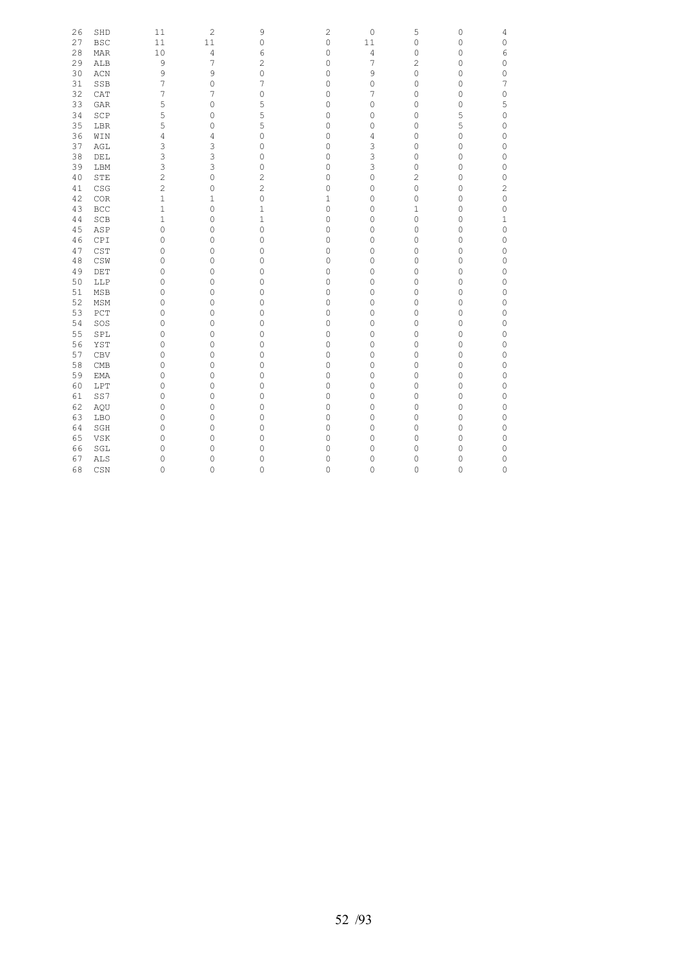| 26       | SHD            | 11             | $\overline{c}$      | 9              | $\mathbf{2}$ | $\mathsf{O}\xspace$ | 5              | 0       | 4              |
|----------|----------------|----------------|---------------------|----------------|--------------|---------------------|----------------|---------|----------------|
| 27       | <b>BSC</b>     | 11             | 11                  | 0              | 0            | 11                  | 0              | 0       | 0              |
| 28       | MAR            | 10             | 4                   | 6              | 0            | 4                   | 0              | $\circ$ | 6              |
| 29       | ALB            | 9              | 7                   | 2              | 0            | 7                   | $\overline{c}$ | 0       | 0              |
| 30       | ACN            | 9              | 9                   | 0              | 0            | 9                   | 0              | 0       | $\circ$        |
| 31       | SSB            | 7              | $\mathsf{O}\xspace$ | 7              | 0            | 0                   | 0              | $\circ$ | 7              |
| 32       | CAT            | 7              | 7                   | 0              | 0            | 7                   | 0              | 0       | 0              |
| 33       | <b>GAR</b>     | 5              | $\mathsf{O}\xspace$ | 5              | 0            | $\mathsf{O}\xspace$ | 0              | $\circ$ | 5              |
| 34       | $\texttt{SCP}$ | 5              | 0                   | 5              | 0            | $\mathsf{O}\xspace$ | 0              | 5       | 0              |
| 35       | LBR            | 5              | $\mathsf{O}\xspace$ | 5              | 0            | $\mathsf{O}\xspace$ | 0              | 5       | 0              |
| 36       | WIN            | 4              | 4                   | 0              | 0            | 4                   | 0              | 0       | 0              |
| 37       | AGL            | 3              | 3                   | 0              | 0            | 3                   | 0              | $\circ$ | 0              |
| 38       | $\rm{DEL}$     | 3              | 3                   | 0              | $\mathbf 0$  | 3                   | 0              | 0       | 0              |
| 39       | LBM            | 3              | 3                   | 0              | 0            | 3                   | 0              | 0       | 0              |
| 40       | STE            | 2              | $\mathsf{O}\xspace$ | 2              | 0            | $\mathsf{O}\xspace$ | $\overline{c}$ | 0       | 0              |
| 41       | CSG            | $\overline{c}$ | $\mathsf{O}\xspace$ | $\overline{c}$ | 0            | $\mathsf{O}\xspace$ | 0              | 0       | $\overline{c}$ |
| 42       | COR            | 1              | 1                   | 0              | 1            | 0                   | 0              | 0       | 0              |
| 43       | BCC            | $\mathbf 1$    | $\mathsf{O}\xspace$ | $1\,$          | $\mathsf O$  | $\mathsf{O}\xspace$ | $\mathbf{1}$   | 0       | 0              |
| 44       | SCB            | $\mathbf 1$    | $\mathsf{O}\xspace$ | $\mathbf 1$    | 0            | $\mathsf{O}\xspace$ | 0              | 0       | $1\,$          |
| 45       | ASP            | 0              | $\mathsf{O}\xspace$ | 0              | $\mathbf 0$  | $\mathsf{O}\xspace$ | 0              | $\circ$ | 0              |
| 46       | CPI            | 0              | 0                   | 0              | 0            | $\mathsf{O}\xspace$ | 0              | 0       | 0              |
| 47       | CST            | 0              | 0                   | 0              | 0            | $\mathsf{O}\xspace$ | 0              | 0       | 0              |
| 48       | $\mathbb{CSW}$ | 0              | $\mathsf{O}\xspace$ | 0              | 0            | 0                   | 0              | $\circ$ | 0              |
| 49       | DET            |                |                     |                |              |                     |                |         |                |
|          |                | 0              | 0                   | 0              | 0            | $\mathsf{O}\xspace$ | 0              | 0       | 0              |
| 50<br>51 | LLP            | 0              | $\mathsf{O}\xspace$ | 0              | 0            | $\mathsf{O}\xspace$ | 0              | 0       | 0              |
|          | MSB            | 0              | $\mathsf{O}\xspace$ | 0              | 0            | 0                   | 0              | $\circ$ | 0              |
| 52       | MSM            | 0              | $\mathsf{O}\xspace$ | 0              | 0            | 0                   | 0              | 0       | 0              |
| 53       | PCT            | 0              | $\mathsf{O}\xspace$ | 0              | 0            | $\mathsf{O}\xspace$ | 0              | 0       | 0              |
| 54       | SOS            | 0              | 0                   | 0              | 0            | $\mathsf{O}\xspace$ | 0              | 0       | 0              |
| 55       | SPL            | 0              | $\mathsf{O}\xspace$ | 0              | 0            | $\mathsf{O}\xspace$ | 0              | $\circ$ | $\circ$        |
| 56       | YST            | 0              | $\mathsf{O}\xspace$ | 0              | $\mathbf 0$  | 0                   | 0              | 0       | 0              |
| 57       | CBV            | 0              | 0                   | 0              | 0            | 0                   | 0              | 0       | 0              |
| 58       | CMB            | 0              | $\mathsf{O}\xspace$ | 0              | 0            | 0                   | 0              | 0       | $\mathsf O$    |
| 59       | <b>EMA</b>     | 0              | 0                   | 0              | 0            | $\mathsf{O}\xspace$ | 0              | 0       | 0              |
| 60       | LPT            | 0              | $\mathsf{O}\xspace$ | 0              | 0            | 0                   | 0              | 0       | 0              |
| 61       | SS7            | 0              | 0                   | 0              | 0            | 0                   | 0              | 0       | 0              |
| 62       | AQU            | 0              | 0                   | 0              | 0            | 0                   | 0              | $\circ$ | 0              |
| 63       | LBO            | 0              | $\mathsf{O}\xspace$ | 0              | $\mathbf 0$  | $\mathsf{O}\xspace$ | 0              | 0       | 0              |
| 64       | SGH            | 0              | 0                   | 0              | 0            | 0                   | 0              | 0       | 0              |
| 65       | VSK            | 0              | $\circ$             | 0              | 0            | 0                   | 0              | $\circ$ | 0              |
| 66       | SGL            | 0              | $\mathsf{O}\xspace$ | 0              | 0            | 0                   | 0              | 0       | 0              |
| 67       | ALS            | 0              | 0                   | 0              | 0            | 0                   | 0              | 0       | 0              |
| 68       | CSN            | 0              | 0                   | 0              | 0            | 0                   | 0              | 0       | $\circ$        |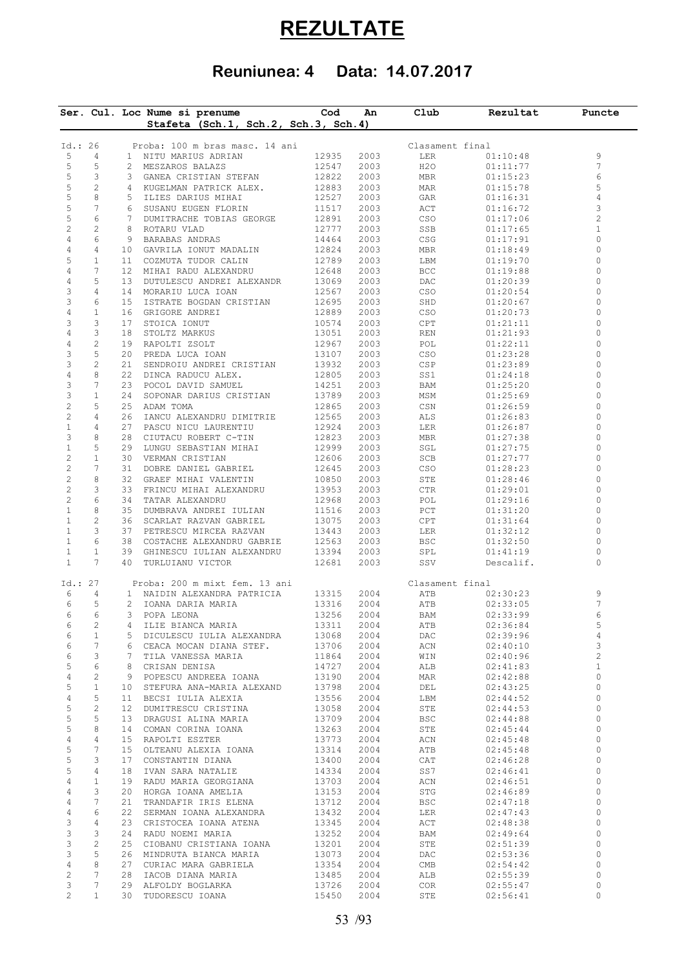# **REZULTATE**

# **Reuniunea: 4 Data: 14.07.2017**

|                           |                       |    | Ser. Cul. Loc Nume si prenume<br>Stafeta (Sch.1, Sch.2, Sch.3, Sch.4) | Cod            | An           | Club            | Rezultat             | Puncte              |
|---------------------------|-----------------------|----|-----------------------------------------------------------------------|----------------|--------------|-----------------|----------------------|---------------------|
|                           |                       |    |                                                                       |                |              |                 |                      |                     |
| Id.: 26                   |                       |    | Proba: 100 m bras masc. 14 ani                                        |                |              | Clasament final |                      |                     |
| 5                         | $\overline{4}$        |    | 1 NITU MARIUS ADRIAN                                                  | 12935          | 2003         | LER             | 01:10:48             | 9                   |
| 5                         | 5                     |    | 2 MESZAROS BALAZS                                                     | 12547          | 2003         | H2O             | 01:11:77             | 7                   |
| 5                         | 3                     |    | 3 GANEA CRISTIAN STEFAN                                               | 12822          | 2003         | MBR             | 01:15:23             | 6                   |
| 5                         | $\overline{c}$        |    | 4 KUGELMAN PATRICK ALEX.                                              | 12883          | 2003         | MAR             | 01:15:78             | 5                   |
| 5<br>5                    | 8                     |    | 5 ILIES DARIUS MIHAI                                                  | 12527          | 2003         | GAR             | 01:16:31             | 4                   |
| 5                         | 7<br>6                |    | 6 SUSANU EUGEN FLORIN<br>7 DUMITRACHE TOBIAS GEORGE                   | 11517<br>12891 | 2003         | ACT             | 01:16:72             | 3<br>$\overline{c}$ |
| $\overline{c}$            | $\mathbf{2}$          | 8  | ROTARU VLAD                                                           | 12777          | 2003<br>2003 | CSO<br>SSB      | 01:17:06<br>01:17:65 | $1\,$               |
| 4                         | 6                     |    | 9 BARABAS ANDRAS                                                      | 14464          | 2003         | CSG             | 01:17:91             | 0                   |
| 4                         | 4                     |    | 10 GAVRILA IONUT MADALIN                                              | 12824          | 2003         | MBR             | 01:18:49             | $\circ$             |
| 5                         | $\mathbf{1}$          |    | 11 COZMUTA TUDOR CALIN                                                | 12789          | 2003         | LBM             | 01:19:70             | 0                   |
| 4                         | 7                     |    | 12 MIHAI RADU ALEXANDRU                                               | 12648          | 2003         | BCC             | 01:19:88             | 0                   |
| $\overline{4}$            | 5                     |    | 13 DUTULESCU ANDREI ALEXANDR                                          | 13069          | 2003         | DAC             | 01:20:39             | 0                   |
| 3                         | 4                     |    | 14 MORARIU LUCA IOAN                                                  | 12567          | 2003         | CSO             | 01:20:54             | 0                   |
| 3                         | 6                     |    | 15 ISTRATE BOGDAN CRISTIAN                                            | 12695          | 2003         | SHD             | 01:20:67             | 0                   |
| 4                         | $\mathbf{1}$          |    | 16 GRIGORE ANDREI                                                     | 12889          | 2003         | CSO             | 01:20:73             | 0                   |
| 3                         | 3                     | 17 | STOICA IONUT                                                          | 10574          | 2003         | CPT             | 01:21:11             | 0                   |
| 4                         | 3                     | 18 | STOLTZ MARKUS                                                         | 13051          | 2003         | REN             | 01:21:93             | 0                   |
| 4                         | $\mathbf{2}$          |    | 19 RAPOLTI ZSOLT                                                      | 12967          | 2003         | POL             | 01:22:11             | 0                   |
| 3                         | 5                     |    | 20 PREDA LUCA IOAN                                                    | 13107          | 2003         | CSO             | 01:23:28             | $\circ$             |
| $\ensuremath{\mathsf{3}}$ | $\mathbf{2}$          |    | 21 SENDROIU ANDREI CRISTIAN                                           | 13932          | 2003         | CSP             | 01:23:89             | 0                   |
| 4                         | 8                     |    | 22 DINCA RADUCU ALEX.                                                 | 12805          | 2003         | SS1             | 01:24:18             | 0                   |
| 3                         | 7                     |    | 23 POCOL DAVID SAMUEL                                                 | 14251          | 2003         | BAM             | 01:25:20             | 0                   |
| 3                         | $\mathbf{1}$          |    | 24 SOPONAR DARIUS CRISTIAN                                            | 13789          | 2003         | MSM             | 01:25:69             | $\Omega$            |
| $\sqrt{2}$                | 5                     |    | 25 ADAM TOMA                                                          | 12865          | 2003         | CSN             | 01:26:59             | 0                   |
| $\mathbf{2}$              | 4                     | 26 | IANCU ALEXANDRU DIMITRIE                                              | 12565          | 2003         | ALS             | 01:26:83             | $\Omega$            |
| $\,1$                     | 4                     |    | 27 PASCU NICU LAURENTIU                                               | 12924          | 2003         | LER             | 01:26:87             | 0                   |
| 3                         | 8                     |    | 28 CIUTACU ROBERT C-TIN                                               | 12823          | 2003         | <b>MBR</b>      | 01:27:38             | 0<br>0              |
| $\,1$<br>$\sqrt{2}$       | 5<br>$\mathbf{1}$     |    | 29 LUNGU SEBASTIAN MIHAI                                              | 12999          | 2003         | SGL             | 01:27:75             | 0                   |
| $\sqrt{2}$                | 7                     |    | 30 VERMAN CRISTIAN<br>31 DOBRE DANIEL GABRIEL                         | 12606<br>12645 | 2003<br>2003 | SCB<br>CSO      | 01:27:77<br>01:28:23 | 0                   |
| $\sqrt{2}$                | 8                     |    | 32 GRAEF MIHAI VALENTIN                                               | 10850          | 2003         | STE             | 01:28:46             | 0                   |
| $\sqrt{2}$                | 3                     |    | 33 FRINCU MIHAI ALEXANDRU                                             | 13953          | 2003         | CTR             | 01:29:01             | 0                   |
| $\sqrt{2}$                | 6                     |    | 34 TATAR ALEXANDRU                                                    | 12968          | 2003         | POL             | 01:29:16             | 0                   |
| $\mathbf{1}$              | 8                     |    | 35 DUMBRAVA ANDREI IULIAN                                             | 11516          | 2003         | PCT             | 01:31:20             | 0                   |
| $\mathbf{1}$              | $\mathbf{2}^{\prime}$ |    | 36 SCARLAT RAZVAN GABRIEL                                             | 13075          | 2003         | CPT             | 01:31:64             | 0                   |
| $\mathbf{1}$              | 3                     |    | 37 PETRESCU MIRCEA RAZVAN                                             | 13443          | 2003         | LER             | 01:32:12             | 0                   |
| $\mathbf{1}$              | 6                     |    | 38 COSTACHE ALEXANDRU GABRIE                                          | 12563          | 2003         | BSC             | 01:32:50             | 0                   |
| $\mathbf{1}$              | $\mathbf{1}$          |    | 39 GHINESCU IULIAN ALEXANDRU                                          | 13394          | 2003         | SPL             | 01:41:19             | 0                   |
| $\mathbf{1}$              | $7\phantom{.0}$       |    | 40 TURLUIANU VICTOR                                                   | 12681          | 2003         | SSV             | Descalif.            | 0                   |
| Id.: 27                   |                       |    | Proba: 200 m mixt fem. 13 ani                                         |                |              | Clasament final |                      |                     |
| 6                         | 4                     |    | 1 NAIDIN ALEXANDRA PATRICIA                                           | 13315          | 2004         | ATB             | 02:30:23             | 9                   |
| 6                         | 5                     |    | 2 IOANA DARIA MARIA                                                   | 13316          | 2004         | ATB             | 02:33:05             | 7                   |
| 6                         | 6                     |    | 3 POPA LEONA                                                          | 13256          | 2004         | <b>BAM</b>      | 02:33:99             | 6                   |
| 6                         | 2                     | 4  | ILIE BIANCA MARIA                                                     | 13311          | 2004         | ATB             | 02:36:84             | 5                   |
| 6                         | $\mathbf{1}$          |    | 5 DICULESCU IULIA ALEXANDRA                                           | 13068          | 2004         | DAC             | 02:39:96             | $\overline{4}$      |
| 6                         | 7                     |    | 6 CEACA MOCAN DIANA STEF.                                             | 13706          | 2004         | ACN             | 02:40:10             | 3                   |
| 6                         | 3                     | 7  | TILA VANESSA MARIA                                                    | 11864          | 2004         | WIN             | 02:40:96             | $\mathbf{2}$        |
| 5                         | 6                     |    | 8 CRISAN DENISA                                                       | 14727          | 2004         | ALB             | 02:41:83             | $\mathbf{1}$        |
| $\overline{4}$            | 2                     |    | 9 POPESCU ANDREEA IOANA                                               | 13190          | 2004         | MAR             | 02:42:88             | $\circ$             |
| 5                         | $\mathbf{1}$          |    | 10 STEFURA ANA-MARIA ALEXAND                                          | 13798          | 2004         | DEL             | 02:43:25             | 0                   |
| 4                         | 5                     |    | 11 BECSI IULIA ALEXIA                                                 | 13556          | 2004         | LBM             | 02:44:52             | $\mathbb O$         |
| 5                         | $\mathbf{2}$          |    | 12 DUMITRESCU CRISTINA                                                | 13058          | 2004         | STE             | 02:44:53             | 0                   |
| 5                         | 5                     |    | 13 DRAGUSI ALINA MARIA                                                | 13709          | 2004         | BSC             | 02:44:88             | 0                   |
| 5                         | 8                     |    | 14 COMAN CORINA IOANA                                                 | 13263          | 2004         | STE             | 02:45:44             | $\circ$             |
| $\overline{4}$            | 4                     |    | 15 RAPOLTI ESZTER                                                     | 13773          | 2004         | ACN             | 02:45:48             | 0                   |
| 5<br>5                    | 7                     |    | 15 OLTEANU ALEXIA IOANA                                               | 13314          | 2004         | ATB             | 02:45:48             | 0<br>$\circ$        |
| 5                         | 3<br>4                | 17 | CONSTANTIN DIANA<br>18 IVAN SARA NATALIE                              | 13400<br>14334 | 2004<br>2004 | CAT<br>SS7      | 02:46:28             | 0                   |
| 4                         | $\mathbf{1}$          |    |                                                                       |                |              |                 | 02:46:41             | $\circ$             |
| 4                         | 3                     |    | 19 RADU MARIA GEORGIANA<br>20 HORGA IOANA AMELIA                      | 13703<br>13153 | 2004<br>2004 | ACN<br>STG      | 02:46:51<br>02:46:89 | 0                   |
| 4                         | 7                     | 21 | TRANDAFIR IRIS ELENA                                                  | 13712          | 2004         | BSC             | 02:47:18             | 0                   |
| 4                         | 6                     |    | 22 SERMAN IOANA ALEXANDRA                                             | 13432          | 2004         | LER             | 02:47:43             | 0                   |
| 3                         | 4                     |    | 23 CRISTOCEA IOANA ATENA                                              | 13345          | 2004         | ACT             | 02:48:38             | 0                   |
| 3                         | 3                     |    | 24 RADU NOEMI MARIA                                                   | 13252          | 2004         | BAM             | 02:49:64             | $\circ$             |
| 3                         | $\mathbf{2}$          |    | 25 CIOBANU CRISTIANA IOANA                                            | 13201          | 2004         | STE             | 02:51:39             | 0                   |
|                           | 5                     |    | 26 MINDRUTA BIANCA MARIA                                              | 13073          | 2004         | DAC             | 02:53:36             | 0                   |
|                           |                       |    | 27 CURIAC MARA GABRIELA                                               | 13354          | 2004         | CMB             | 02:54:42             | 0                   |
| 3                         |                       |    |                                                                       |                |              |                 |                      |                     |
| $\overline{4}$            | 8<br>7                |    |                                                                       |                |              |                 |                      | 0                   |
| $\overline{c}$<br>3       | 7                     |    | 28 IACOB DIANA MARIA<br>29 ALFOLDY BOGLARKA                           | 13485<br>13726 | 2004<br>2004 | ALB<br>COR      | 02:55:39<br>02:55:47 | 0                   |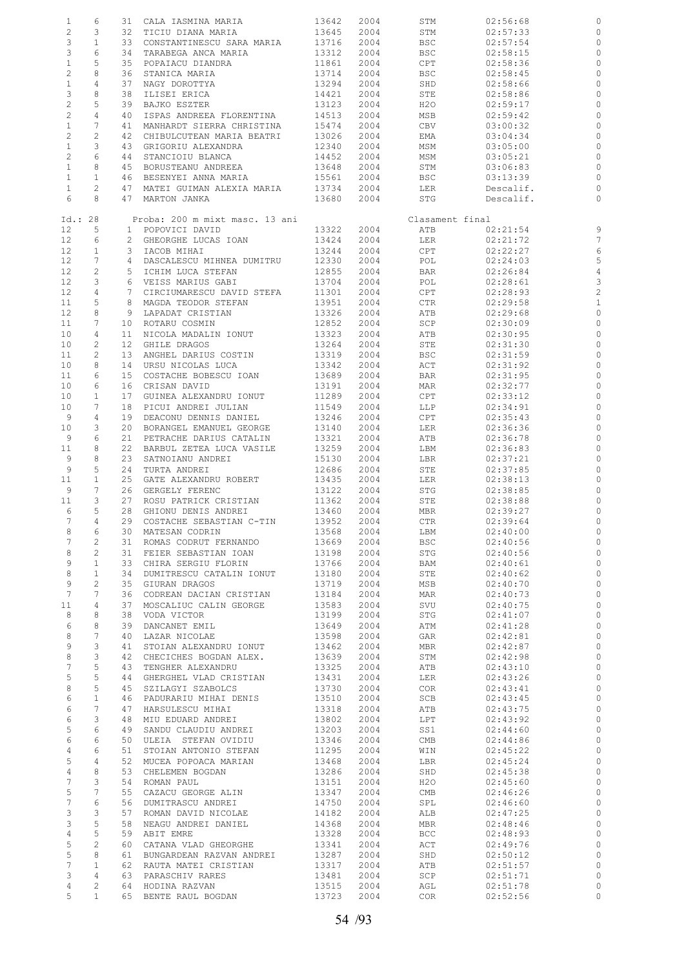| $\mathbf{1}$    | 6                     |                 | 31 CALA IASMINA MARIA          | 13642 | 2004 | STM             | 02:56:68  |                |
|-----------------|-----------------------|-----------------|--------------------------------|-------|------|-----------------|-----------|----------------|
| $\overline{c}$  | 3                     | 32              | TICIU DIANA MARIA              | 13645 | 2004 | STM             | 02:57:33  | 0              |
| 3               | $\mathbf{1}$          | 33              | CONSTANTINESCU SARA MARIA      | 13716 | 2004 | BSC             | 02:57:54  | 0              |
|                 |                       |                 |                                |       |      |                 |           |                |
| 3               | 6                     | 34              | TARABEGA ANCA MARIA            | 13312 | 2004 | <b>BSC</b>      | 02:58:15  | 0              |
| $\mathbf{1}$    | 5                     | 35              | POPAIACU DIANDRA               | 11861 | 2004 | CPT             | 02:58:36  | 0              |
| $\overline{c}$  | 8                     | 36              | STANICA MARIA                  | 13714 | 2004 | <b>BSC</b>      | 02:58:45  | 0              |
| $\mathbf{1}$    | 4                     | 37              | NAGY DOROTTYA                  | 13294 | 2004 | SHD             | 02:58:66  | $\circ$        |
|                 |                       |                 |                                |       |      |                 |           |                |
| 3               | 8                     | 38              | ILISEI ERICA                   | 14421 | 2004 | STE             | 02:58:86  | 0              |
| $\overline{c}$  | 5                     | 39              | BAJKO ESZTER                   | 13123 | 2004 | H2O             | 02:59:17  | $\circ$        |
| $\overline{c}$  | $\overline{4}$        | 40              | ISPAS ANDREEA FLORENTINA       | 14513 | 2004 | MSB             | 02:59:42  | 0              |
| $\mathbf{1}$    | 7                     | 41              | MANHARDT SIERRA CHRISTINA      | 15474 | 2004 | CBV             | 03:00:32  | 0              |
| $\overline{c}$  | 2                     | 42              | CHIBULCUTEAN MARIA BEATRI      | 13026 | 2004 | EMA             | 03:04:34  | $\circ$        |
|                 |                       |                 |                                |       |      |                 |           |                |
| $\mathbf{1}$    | 3                     | 43              | GRIGORIU ALEXANDRA             | 12340 | 2004 | MSM             | 03:05:00  | 0              |
| $\overline{c}$  | 6                     | 44              | STANCIOIU BLANCA               | 14452 | 2004 | MSM             | 03:05:21  | $\circ$        |
| $\mathbf{1}$    | 8                     | 45              | BORUSTEANU ANDREEA             | 13648 | 2004 | STM             | 03:06:83  | 0              |
| $\mathbf{1}$    | $\mathbf{1}$          | 46              | BESENYEI ANNA MARIA            | 15561 | 2004 | BSC             | 03:13:39  | 0              |
| $\mathbf{1}$    | $\mathbf{2}$          | 47              |                                | 13734 | 2004 | LER             |           |                |
|                 |                       |                 | MATEI GUIMAN ALEXIA MARIA      |       |      |                 | Descalif. | 0              |
| 6               | 8                     |                 | 47 MARTON JANKA                | 13680 | 2004 | STG             | Descalif. | $\circ$        |
|                 |                       |                 |                                |       |      |                 |           |                |
| Id.: 28         |                       |                 | Proba: 200 m mixt masc. 13 ani |       |      | Clasament final |           |                |
| 12              | 5                     |                 | 1 POPOVICI DAVID               | 13322 | 2004 | ATB             | 02:21:54  | 9              |
| 12              | 6                     |                 | 2 GHEORGHE LUCAS IOAN          | 13424 | 2004 | LER             | 02:21:72  | 7              |
| 12              | $\mathbf{1}$          | 3               | IACOB MIHAI                    | 13244 | 2004 | CPT             | 02:22:27  | 6              |
|                 |                       |                 |                                |       |      |                 |           |                |
| 12              | 7                     |                 | 4 DASCALESCU MIHNEA DUMITRU    | 12330 | 2004 | POL             | 02:24:03  | 5              |
| 12              | 2                     | 5               | ICHIM LUCA STEFAN              | 12855 | 2004 | BAR             | 02:26:84  | $\overline{4}$ |
| 12              | 3                     |                 | 6 VEISS MARIUS GABI            | 13704 | 2004 | POL             | 02:28:61  | 3              |
| 12              | 4                     | 7               | CIRCIUMARESCU DAVID STEFA      | 11301 | 2004 | CPT             | 02:28:93  | $\overline{c}$ |
|                 |                       |                 |                                |       |      |                 |           |                |
| 11              | 5                     |                 | 8 MAGDA TEODOR STEFAN          | 13951 | 2004 | CTR             | 02:29:58  | $\mathbf{1}$   |
| 12              | 8                     | 9               | LAPADAT CRISTIAN               | 13326 | 2004 | ATB             | 02:29:68  | $\circ$        |
| 11              | 7                     |                 | 10 ROTARU COSMIN               | 12852 | 2004 | SCP             | 02:30:09  | $\circ$        |
| 10              | 4                     | 11              | NICOLA MADALIN IONUT           | 13323 | 2004 | ATB             | 02:30:95  | 0              |
| 10              | 2                     | 12 <sup>2</sup> | GHILE DRAGOS                   | 13264 | 2004 | STE             | 02:31:30  | $\circ$        |
|                 |                       |                 |                                |       |      |                 |           |                |
| 11              | 2                     | 13 <sup>°</sup> | ANGHEL DARIUS COSTIN           | 13319 | 2004 | BSC             | 02:31:59  | 0              |
| 10              | 8                     | 14              | URSU NICOLAS LUCA              | 13342 | 2004 | ACT             | 02:31:92  | $\circ$        |
| 11              | 6                     | 15 <sub>1</sub> | COSTACHE BOBESCU IOAN          | 13689 | 2004 | BAR             | 02:31:95  | 0              |
| 10              | 6                     | 16              | CRISAN DAVID                   | 13191 | 2004 | MAR             | 02:32:77  | $\circ$        |
| 10              |                       |                 |                                |       |      |                 |           |                |
|                 | $\mathbf{1}$          | 17              | GUINEA ALEXANDRU IONUT         | 11289 | 2004 | CPT             | 02:33:12  | 0              |
| 10              | 7                     | 18              | PICUI ANDREI JULIAN            | 11549 | 2004 | LLP             | 02:34:91  | $\circ$        |
| 9               | 4                     | 19              | DEACONU DENNIS DANIEL          | 13246 | 2004 | CPT             | 02:35:43  | $\circ$        |
| 10              | 3                     | 20              | BORANGEL EMANUEL GEORGE        | 13140 | 2004 | LER             | 02:36:36  | $\circ$        |
| 9               | 6                     | 21              | PETRACHE DARIUS CATALIN        | 13321 | 2004 | ATB             | 02:36:78  | 0              |
|                 |                       |                 |                                |       |      |                 |           |                |
| 11              | 8                     | 22              | BARBUL ZETEA LUCA VASILE       | 13259 | 2004 | LBM             | 02:36:83  | $\circ$        |
| 9               | 8                     | 23              | SATNOIANU ANDREI               | 15130 | 2004 | LBR             | 02:37:21  | $\circ$        |
| 9               | 5                     | 24              | TURTA ANDREI                   | 12686 | 2004 | STE             | 02:37:85  | $\circ$        |
| 11              | $\mathbf{1}$          | 25              | GATE ALEXANDRU ROBERT          | 13435 | 2004 | LER             | 02:38:13  | $\circ$        |
| 9               | 7                     | 26              | GERGELY FERENC                 | 13122 | 2004 | STG             | 02:38:85  | $\mathbf 0$    |
|                 |                       |                 |                                |       |      |                 |           |                |
| 11              | 3                     | 27              | ROSU PATRICK CRISTIAN          | 11362 | 2004 | STE             | 02:38:88  | $\circ$        |
| 6               | 5                     | 28              | GHIONU DENIS ANDREI            | 13460 | 2004 | MBR             | 02:39:27  | $\circ$        |
| 7               | $\overline{4}$        |                 | 29 COSTACHE SEBASTIAN C-TIN    | 13952 | 2004 | CTR             | 02:39:64  | $\circ$        |
| 8               | 6                     |                 | 30 MATESAN CODRIN              | 13568 | 2004 | LBM             | 02:40:00  | $\circ$        |
| 7               | 2                     |                 | 31 ROMAS CODRUT FERNANDO       | 13669 | 2004 | BSC             | 02:40:56  | $\circ$        |
|                 |                       |                 |                                |       |      |                 |           |                |
| 8               | $\overline{2}$        |                 | 31 FEIER SEBASTIAN IOAN        | 13198 | 2004 | STG             | 02:40:56  | $\circ$        |
| 9               | $\mathbf{1}$          |                 | 33 CHIRA SERGIU FLORIN         | 13766 | 2004 | BAM             | 02:40:61  | $\circ$        |
| 8               | $\mathbf{1}$          |                 | 34 DUMITRESCU CATALIN IONUT    | 13180 | 2004 | STE             | 02:40:62  | $\circ$        |
| 9               | $\mathbf{2}^{\prime}$ |                 | 35 GIURAN DRAGOS               | 13719 | 2004 | MSB             | 02:40:70  | $\circ$        |
| $7\phantom{.0}$ | 7                     |                 | 36 CODREAN DACIAN CRISTIAN     | 13184 | 2004 | MAR             | 02:40:73  | $\circ$        |
|                 |                       |                 |                                |       |      |                 |           |                |
| 11              | $\overline{4}$        | 37              | MOSCALIUC CALIN GEORGE         | 13583 | 2004 | SVU             | 02:40:75  | $\circ$        |
| 8               | 8                     |                 | 38 VODA VICTOR                 | 13199 | 2004 | STG             | 02:41:07  | $\circ$        |
| 6               | 8                     | 39              | DANCANET EMIL                  | 13649 | 2004 | ATM             | 02:41:28  | $\circ$        |
| 8               | $7\phantom{.0}$       | 40              | LAZAR NICOLAE                  | 13598 | 2004 | GAR             | 02:42:81  | $\circ$        |
| 9               | 3                     |                 | 41 STOIAN ALEXANDRU IONUT      | 13462 | 2004 | MBR             | 02:42:87  | $\circ$        |
| $\,8\,$         |                       |                 |                                |       |      |                 |           |                |
|                 | 3                     |                 | 42 CHECICHES BOGDAN ALEX.      | 13639 | 2004 | STM             | 02:42:98  | $\circ$        |
| 7               | 5                     |                 | 43 TENGHER ALEXANDRU           | 13325 | 2004 | ATB             | 02:43:10  | $\circ$        |
| 5               | 5                     |                 | 44 GHERGHEL VLAD CRISTIAN      | 13431 | 2004 | LER             | 02:43:26  | $\circ$        |
| 8               | 5                     |                 | 45 SZILAGYI SZABOLCS           | 13730 | 2004 | COR             | 02:43:41  | $\circ$        |
| 6               | $\mathbf{1}$          |                 | 46 PADURARIU MIHAI DENIS       | 13510 | 2004 | SCB             | 02:43:45  | $\circ$        |
| 6               | $7\phantom{.0}$       |                 | 47 HARSULESCU MIHAI            | 13318 | 2004 |                 |           | $\circ$        |
|                 |                       |                 |                                |       |      | ATB             | 02:43:75  |                |
| 6               | 3                     |                 | 48 MIU EDUARD ANDREI           | 13802 | 2004 | LPT             | 02:43:92  | $\circ$        |
| 5               | 6                     |                 | 49 SANDU CLAUDIU ANDREI        | 13203 | 2004 | SS1             | 02:44:60  | $\circ$        |
| 6               | 6                     |                 | 50 ULEIA STEFAN OVIDIU         | 13346 | 2004 | CMB             | 02:44:86  | $\circ$        |
| $\overline{4}$  | 6                     |                 | 51 STOIAN ANTONIO STEFAN       | 11295 | 2004 | WIN             | 02:45:22  | $\circ$        |
|                 |                       |                 |                                |       |      |                 |           | $\circ$        |
| 5               | 4                     |                 | 52 MUCEA POPOACA MARIAN        | 13468 | 2004 | LBR             | 02:45:24  |                |
| $\overline{4}$  | 8                     |                 | 53 CHELEMEN BOGDAN             | 13286 | 2004 | SHD             | 02:45:38  | $\circ$        |
| 7               | 3                     |                 | 54 ROMAN PAUL                  | 13151 | 2004 | H2O             | 02:45:60  | $\circ$        |
| 5               | $7\phantom{.0}$       |                 | 55 CAZACU GEORGE ALIN          | 13347 | 2004 | CMB             | 02:46:26  | $\circ$        |
| $7\phantom{.}$  | 6                     |                 | 56 DUMITRASCU ANDREI           | 14750 | 2004 | SPL             | 02:46:60  | $\circ$        |
|                 | 3                     |                 |                                |       |      |                 |           | $\circ$        |
| 3               |                       |                 | 57 ROMAN DAVID NICOLAE         | 14182 | 2004 | ALB             | 02:47:25  |                |
| 3               | 5                     | 58              | NEAGU ANDREI DANIEL            | 14368 | 2004 | MBR             | 02:48:46  | $\circ$        |
| $\overline{4}$  | 5                     |                 | 59 ABIT EMRE                   | 13328 | 2004 | <b>BCC</b>      | 02:48:93  | $\circ$        |
| 5               | $\overline{c}$        |                 | 60 CATANA VLAD GHEORGHE        | 13341 | 2004 | ACT             | 02:49:76  | $\circ$        |
| $\overline{5}$  | 8                     |                 | 61 BUNGARDEAN RAZVAN ANDREI    | 13287 | 2004 | SHD             | 02:50:12  | $\circ$        |
| 7               | $\mathbf{1}$          |                 |                                | 13317 |      |                 |           | $\circ$        |
|                 |                       |                 | 62 RAUTA MATEI CRISTIAN        |       | 2004 | ATB             | 02:51:57  |                |
| 3               | 4                     |                 | 63 PARASCHIV RARES             | 13481 | 2004 | SCP             | 02:51:71  | $\circ$        |
| 4               | $\overline{c}$        |                 | 64 HODINA RAZVAN               | 13515 | 2004 | AGL             | 02:51:78  | $\circ$        |
| 5               | $\mathbf{1}$          |                 | 65 BENTE RAUL BOGDAN           | 13723 | 2004 | COR             | 02:52:56  | $\circ$        |
|                 |                       |                 |                                |       |      |                 |           |                |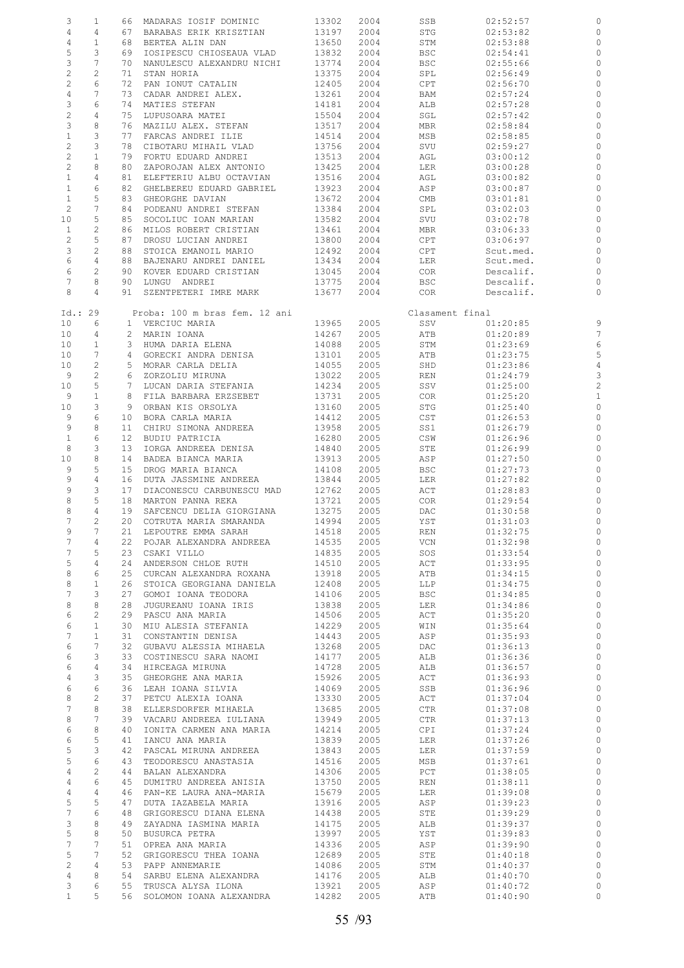| 3                | $\mathbf{1}$          |                 | 66 MADARAS IOSIF DOMINIC      | 13302 | 2004 | SSB             | 02:52:57  | 0              |
|------------------|-----------------------|-----------------|-------------------------------|-------|------|-----------------|-----------|----------------|
| 4                | 4                     | 67              | BARABAS ERIK KRISZTIAN        | 13197 | 2004 | STG             | 02:53:82  | 0              |
| $\overline{4}$   | $\mathbf{1}$          | 68              | BERTEA ALIN DAN               | 13650 | 2004 | STM             | 02:53:88  | 0              |
| 5                | 3                     | 69              | IOSIPESCU CHIOSEAUA VLAD      | 13832 | 2004 | BSC             | 02:54:41  | 0              |
| $\mathsf 3$      | 7                     | 70              | NANULESCU ALEXANDRU NICHI     | 13774 | 2004 | <b>BSC</b>      | 02:55:66  | 0              |
|                  |                       |                 |                               |       |      |                 |           |                |
| $\overline{c}$   | $\mathbf{2}$          | 71              | STAN HORIA                    | 13375 | 2004 | SPL             | 02:56:49  | $\circ$        |
| $\overline{c}$   | 6                     | 72              | PAN IONUT CATALIN             | 12405 | 2004 | CPT             | 02:56:70  | $\circ$        |
| $\overline{4}$   | 7                     | 73              | CADAR ANDREI ALEX.            | 13261 | 2004 | BAM             | 02:57:24  | 0              |
| 3                | 6                     | 74              | MATIES STEFAN                 | 14181 | 2004 | ALB             | 02:57:28  | $\circ$        |
| $\overline{c}$   | $\overline{4}$        | 75              | LUPUSOARA MATEI               | 15504 | 2004 | SGL             | 02:57:42  | 0              |
| 3                | 8                     | 76              | MAZILU ALEX. STEFAN           | 13517 | 2004 | MBR             | 02:58:84  | 0              |
| $\mathbf{1}$     | 3                     | 77              | FARCAS ANDREI ILIE            | 14514 | 2004 | MSB             | 02:58:85  | $\circ$        |
| $\overline{c}$   | 3                     | 78              | CIBOTARU MIHAIL VLAD          | 13756 | 2004 | SVU             | 02:59:27  | 0              |
| $\mathbf 2$      | $1\,$                 | 79              | FORTU EDUARD ANDREI           | 13513 | 2004 | AGL             | 03:00:12  | $\circ$        |
| $\overline{c}$   | 8                     | 80              | ZAPOROJAN ALEX ANTONIO        | 13425 | 2004 | LER             | 03:00:28  | 0              |
| $\mathbf{1}$     | 4                     |                 | ELEFTERIU ALBU OCTAVIAN       |       |      |                 |           |                |
|                  |                       | 81              |                               | 13516 | 2004 | AGL             | 03:00:82  | $\circ$        |
| $\mathbf{1}$     | 6                     | 82              | GHELBEREU EDUARD GABRIEL      | 13923 | 2004 | ASP             | 03:00:87  | 0              |
| $\mathbf{1}$     | 5                     | 83              | GHEORGHE DAVIAN               | 13672 | 2004 | CMB             | 03:01:81  | $\circ$        |
| $\mathbf{2}$     | 7                     | 84              | PODEANU ANDREI STEFAN         | 13384 | 2004 | SPL             | 03:02:03  | $\circ$        |
| 10               | 5                     | 85              | SOCOLIUC IOAN MARIAN          | 13582 | 2004 | SVU             | 03:02:78  | $\circ$        |
| $\mathbf{1}$     | 2                     | 86              | MILOS ROBERT CRISTIAN         | 13461 | 2004 | MBR             | 03:06:33  | $\circ$        |
| $\overline{c}$   | 5                     | 87              | DROSU LUCIAN ANDREI           | 13800 | 2004 | CPT             | 03:06:97  | $\circ$        |
| 3                | $\mathbf{2}$          | 88              | STOICA EMANOIL MARIO          | 12492 | 2004 | CPT             | Scut.med. | $\circ$        |
| 6                | $\overline{4}$        | 88              | BAJENARU ANDREI DANIEL        | 13434 | 2004 | LER             | Scut.med. | $\circ$        |
| 6                | 2                     | 90              | KOVER EDUARD CRISTIAN         | 13045 | 2004 | COR             | Descalif. | 0              |
| 7                | 8                     | 90              | LUNGU ANDREI                  | 13775 | 2004 | <b>BSC</b>      | Descalif. | 0              |
| 8                |                       |                 |                               |       |      |                 |           |                |
|                  | 4                     | 91              | SZENTPETERI IMRE MARK         | 13677 | 2004 | COR             | Descalif. | $\circ$        |
|                  |                       |                 |                               |       |      |                 |           |                |
| Id.: 29          |                       |                 | Proba: 100 m bras fem. 12 ani |       |      | Clasament final |           |                |
| 10               | 6                     |                 | 1 VERCIUC MARIA               | 13965 | 2005 | SSV             | 01:20:85  | 9              |
| 10               | 4                     |                 | 2 MARIN IOANA                 | 14267 | 2005 | ATB             | 01:20:89  | $\overline{7}$ |
| 10 <sub>o</sub>  | $\mathbf{1}$          |                 | 3 HUMA DARIA ELENA            | 14088 | 2005 | STM             | 01:23:69  | 6              |
| 10               | 7                     | 4               | GORECKI ANDRA DENISA          | 13101 | 2005 | ATB             | 01:23:75  | 5              |
| 10               | $\overline{c}$        |                 | 5 MORAR CARLA DELIA           | 14055 | 2005 | SHD             | 01:23:86  | $\overline{4}$ |
| 9                | $\sqrt{2}$            | 6               | ZORZOLIU MIRUNA               | 13022 | 2005 | REN             | 01:24:79  | 3              |
| 10               | 5                     | $7\phantom{.0}$ | LUCAN DARIA STEFANIA          | 14234 | 2005 | SSV             | 01:25:00  | $\overline{c}$ |
| 9                | $1\,$                 | 8               | FILA BARBARA ERZSEBET         | 13731 | 2005 | <b>COR</b>      | 01:25:20  | $\mathbf{1}$   |
|                  | 3                     |                 |                               |       |      |                 |           | $\circ$        |
| 10               |                       | 9               | ORBAN KIS ORSOLYA             | 13160 | 2005 | STG             | 01:25:40  |                |
| 9                | 6                     | 10              | BORA CARLA MARIA              | 14412 | 2005 | CST             | 01:26:53  | $\circ$        |
| 9                | 8                     | 11              | CHIRU SIMONA ANDREEA          | 13958 | 2005 | SS1             | 01:26:79  | 0              |
| $\mathbf{1}$     | 6                     | 12 <sup>°</sup> | BUDIU PATRICIA                | 16280 | 2005 | CSW             | 01:26:96  | 0              |
| 8                | 3                     | 13              | IORGA ANDREEA DENISA          | 14840 | 2005 | STE             | 01:26:99  | $\circ$        |
| 10               | $\,8\,$               | 14              | BADEA BIANCA MARIA            | 13913 | 2005 | ASP             | 01:27:50  | 0              |
| 9                | 5                     | 15              | DROG MARIA BIANCA             | 14108 | 2005 | <b>BSC</b>      | 01:27:73  | $\circ$        |
| 9                | $\overline{4}$        | 16              | DUTA JASSMINE ANDREEA         | 13844 | 2005 | LER             | 01:27:82  | 0              |
| 9                | 3                     | 17              | DIACONESCU CARBUNESCU MAD     | 12762 | 2005 | ACT             | 01:28:83  | $\circ$        |
| 8                | 5                     | 18              | MARTON PANNA REKA             | 13721 | 2005 | COR             | 01:29:54  | 0              |
| 8                | 4                     | 19              | SAFCENCU DELIA GIORGIANA      | 13275 | 2005 | DAC             | 01:30:58  | 0              |
| 7                | 2                     |                 | 20 COTRUTA MARIA SMARANDA     | 14994 | 2005 | YST             | 01:31:03  | $\circ$        |
| 9                | 7                     |                 | 21 LEPOUTRE EMMA SARAH        | 14518 | 2005 | REN             | 01:32:75  |                |
| 7                | 4                     |                 | 22 POJAR ALEXANDRA ANDREEA    | 14535 | 2005 | VCN             | 01:32:98  | $\circ$        |
| 7                | 5                     | 23              | CSAKI VILLO                   | 14835 | 2005 | SOS             | 01:33:54  | $\circ$        |
| 5                | 4                     | 24              | ANDERSON CHLOE RUTH           | 14510 | 2005 | ACT             | 01:33:95  | $\circ$        |
|                  |                       |                 |                               |       |      |                 |           |                |
| 8                | 6                     | 25              | CURCAN ALEXANDRA ROXANA       | 13918 | 2005 | ATB             | 01:34:15  | $\circ$        |
| 8                | $\mathbf{1}$          | 26              | STOICA GEORGIANA DANIELA      | 12408 | 2005 | LLP             | 01:34:75  | $\circ$        |
| 7                | 3                     | 27              | GOMOI IOANA TEODORA           | 14106 | 2005 | <b>BSC</b>      | 01:34:85  | $\circ$        |
| 8                | 8                     | 28              | JUGUREANU IOANA IRIS          | 13838 | 2005 | LER             | 01:34:86  | $\circ$        |
| 6                | $\mathbf{2}$          | 29              | PASCU ANA MARIA               | 14506 | 2005 | ACT             | 01:35:20  | $\circ$        |
| 6                | $\mathbf{1}$          | 30              | MIU ALESIA STEFANIA           | 14229 | 2005 | WIN             | 01:35:64  | $\circ$        |
| 7                | $\mathbf{1}$          | 31              | CONSTANTIN DENISA             | 14443 | 2005 | ASP             | 01:35:93  | $\circ$        |
| 6                | 7                     | 32              | GUBAVU ALESSIA MIHAELA        | 13268 | 2005 | DAC             | 01:36:13  | $\circ$        |
| 6                | 3                     | 33              | COSTINESCU SARA NAOMI         | 14177 | 2005 | ALB             | 01:36:36  | $\circ$        |
| 6                | 4                     |                 | 34 HIRCEAGA MIRUNA            | 14728 | 2005 | ALB             | 01:36:57  | $\circ$        |
| 4                | 3                     | 35              | GHEORGHE ANA MARIA            | 15926 | 2005 | ACT             | 01:36:93  | $\circ$        |
| 6                | 6                     | 36              |                               |       |      |                 |           | $\circ$        |
|                  |                       |                 | LEAH IOANA SILVIA             | 14069 | 2005 | SSB             | 01:36:96  |                |
| 8                | $\mathbf{2}^{\prime}$ | 37              | PETCU ALEXIA IOANA            | 13330 | 2005 | ACT             | 01:37:04  | $\circ$        |
| 7                | 8                     | 38              | ELLERSDORFER MIHAELA          | 13685 | 2005 | CTR             | 01:37:08  | $\circ$        |
| 8                | 7                     | 39              | VACARU ANDREEA IULIANA        | 13949 | 2005 | CTR             | 01:37:13  | $\circ$        |
| 6                | 8                     | 40              | IONITA CARMEN ANA MARIA       | 14214 | 2005 | CPI             | 01:37:24  | $\circ$        |
| 6                | 5                     | 41              | IANCU ANA MARIA               | 13839 | 2005 | LER             | 01:37:26  | $\circ$        |
| 5                | 3                     | 42              | PASCAL MIRUNA ANDREEA         | 13843 | 2005 | LER             | 01:37:59  | $\circ$        |
| 5                | 6                     | 43              | TEODORESCU ANASTASIA          | 14516 | 2005 | MSB             | 01:37:61  | $\circ$        |
| $\overline{4}$   | $\mathbf{2}$          | 44              | BALAN ALEXANDRA               | 14306 | 2005 | PCT             | 01:38:05  | $\circ$        |
| $\overline{4}$   | 6                     | 45              | DUMITRU ANDREEA ANISIA        | 13750 | 2005 | REN             | 01:38:11  | $\circ$        |
| $\overline{4}$   | 4                     | 46              | PAN-KE LAURA ANA-MARIA        | 15679 | 2005 | LER             | 01:39:08  | $\circ$        |
| 5                | 5                     | 47              | DUTA IAZABELA MARIA           | 13916 | 2005 | ASP             | 01:39:23  | $\circ$        |
| $\boldsymbol{7}$ | 6                     | 48              | GRIGORESCU DIANA ELENA        | 14438 | 2005 | STE             | 01:39:29  | $\circ$        |
|                  |                       |                 |                               |       |      |                 |           |                |
| 3                | 8                     | 49              | ZAYADNA IASMINA MARIA         | 14175 | 2005 | ALB             | 01:39:37  | $\circ$        |
| 5                | 8                     | 50              | BUSURCA PETRA                 | 13997 | 2005 | YST             | 01:39:83  | $\circ$        |
| $7\phantom{.0}$  | 7                     | 51              | OPREA ANA MARIA               | 14336 | 2005 | ASP             | 01:39:90  | $\circ$        |
| 5                | 7                     | 52              | GRIGORESCU THEA IOANA         | 12689 | 2005 | STE             | 01:40:18  | $\circ$        |
| $\overline{c}$   | 4                     | 53              | PAPP ANNEMARIE                | 14086 | 2005 | STM             | 01:40:37  | $\circ$        |
| $\overline{4}$   | 8                     | 54              | SARBU ELENA ALEXANDRA         | 14176 | 2005 | ALB             | 01:40:70  | $\circ$        |
| 3                | 6                     | 55              | TRUSCA ALYSA ILONA            | 13921 | 2005 | ASP             | 01:40:72  | 0              |
| $\mathbf{1}$     | 5                     |                 | 56 SOLOMON IOANA ALEXANDRA    | 14282 | 2005 | ATB             | 01:40:90  | $\circ$        |
|                  |                       |                 |                               |       |      |                 |           |                |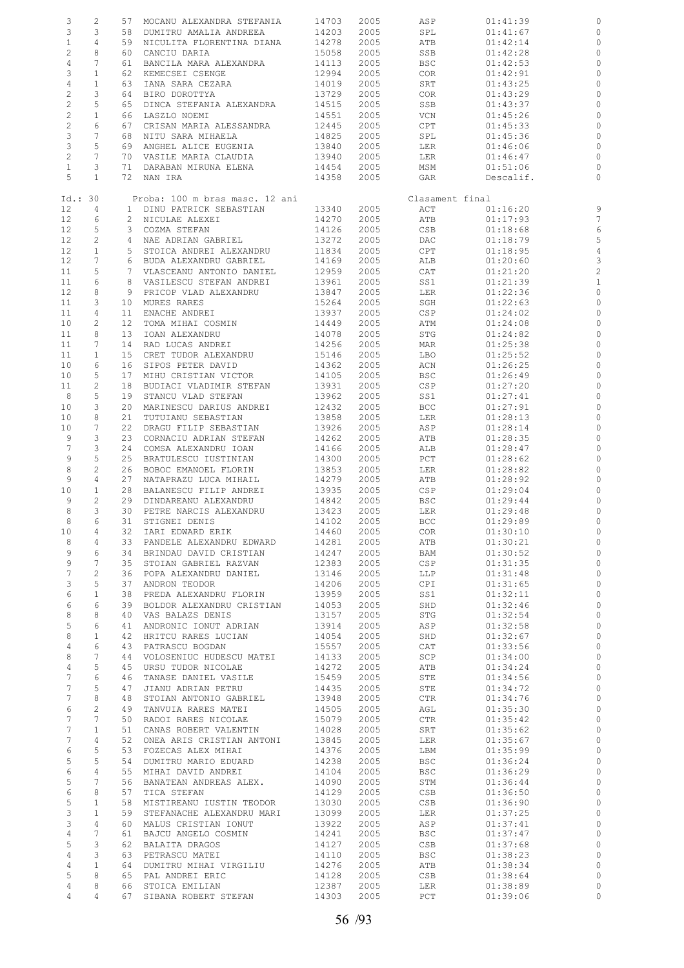| 3                 | 2                     | 57                | MOCANU ALEXANDRA STEFANIA      | 14703 | 2005 | ASP             | 01:41:39  | 0              |
|-------------------|-----------------------|-------------------|--------------------------------|-------|------|-----------------|-----------|----------------|
| 3                 | 3                     | 58                | DUMITRU AMALIA ANDREEA         | 14203 | 2005 | SPL             | 01:41:67  | $\circ$        |
| $\mathbf{1}$      | 4                     | 59                | NICULITA FLORENTINA DIANA      | 14278 | 2005 | ATB             | 01:42:14  | 0              |
|                   |                       |                   |                                |       |      |                 |           |                |
| $\overline{c}$    | 8                     | 60                | CANCIU DARIA                   | 15058 | 2005 | SSB             | 01:42:28  | $\circ$        |
| 4                 | 7                     | 61                | BANCILA MARA ALEXANDRA         | 14113 | 2005 | <b>BSC</b>      | 01:42:53  | 0              |
| 3                 | $\mathbf{1}$          | 62                | KEMECSEI CSENGE                | 12994 | 2005 | COR             | 01:42:91  | 0              |
| $\overline{4}$    | $\mathbf{1}$          | 63                | IANA SARA CEZARA               | 14019 | 2005 | SRT             | 01:43:25  | $\circ$        |
|                   |                       |                   |                                |       |      |                 |           |                |
| $\mathbf{2}$      | 3                     | 64                | BIRO DOROTTYA                  | 13729 | 2005 | COR             | 01:43:29  | 0              |
| $\sqrt{2}$        | 5                     | 65                | DINCA STEFANIA ALEXANDRA       | 14515 | 2005 | SSB             | 01:43:37  | $\circ$        |
| $\overline{c}$    | $\mathbf{1}$          | 66                | LASZLO NOEMI                   | 14551 | 2005 | VCN             | 01:45:26  | 0              |
| $\overline{c}$    | 6                     | 67                | CRISAN MARIA ALESSANDRA        | 12445 | 2005 | CPT             | 01:45:33  | 0              |
| 3                 | 7                     | 68                | NITU SARA MIHAELA              | 14825 |      |                 |           | 0              |
|                   |                       |                   |                                |       | 2005 | SPL             | 01:45:36  |                |
| 3                 | 5                     | 69                | ANGHEL ALICE EUGENIA           | 13840 | 2005 | LER             | 01:46:06  | 0              |
| $\overline{c}$    | $\overline{7}$        | 70                | VASILE MARIA CLAUDIA           | 13940 | 2005 | LER             | 01:46:47  | $\circ$        |
| $\mathbf{1}$      | 3                     | 71                | DARABAN MIRUNA ELENA           | 14454 | 2005 | MSM             | 01:51:06  | 0              |
| 5                 | $\mathbf{1}$          |                   | 72 NAN IRA                     | 14358 | 2005 | GAR             | Descalif. | $\mathbf 0$    |
|                   |                       |                   |                                |       |      |                 |           |                |
|                   |                       |                   |                                |       |      |                 |           |                |
| Id.: 30           |                       |                   | Proba: 100 m bras masc. 12 ani |       |      | Clasament final |           |                |
| 12                | 4                     |                   | 1 DINU PATRICK SEBASTIAN       | 13340 | 2005 | ACT             | 01:16:20  | 9              |
| $12 \overline{ }$ | 6                     |                   | 2 NICULAE ALEXEI               | 14270 | 2005 | ATB             | 01:17:93  | $\overline{7}$ |
| $12 \overline{ }$ | 5                     |                   | 3 COZMA STEFAN                 | 14126 | 2005 | CSB             | 01:18:68  | 6              |
|                   | $\overline{c}$        |                   |                                |       |      |                 |           |                |
| 12                |                       |                   | 4 NAE ADRIAN GABRIEL           | 13272 | 2005 | DAC             | 01:18:79  | 5              |
| 12                | $\mathbf{1}$          | 5                 | STOICA ANDREI ALEXANDRU        | 11834 | 2005 | CPT             | 01:18:95  | $\overline{4}$ |
| 12                | 7                     |                   | 6 BUDA ALEXANDRU GABRIEL       | 14169 | 2005 | ALB             | 01:20:60  | 3              |
| 11                | 5                     | $7\phantom{.0}$   | VLASCEANU ANTONIO DANIEL       | 12959 | 2005 | CAT             | 01:21:20  | $\overline{c}$ |
| 11                | 6                     |                   | 8 VASILESCU STEFAN ANDREI      | 13961 | 2005 | SS1             | 01:21:39  | $\mathbf{1}$   |
| 12                | 8                     | 9                 | PRICOP VLAD ALEXANDRU          | 13847 | 2005 | LER             | 01:22:36  | $\circ$        |
|                   |                       |                   |                                |       |      |                 |           |                |
| 11                | 3                     | 10                | MURES RARES                    | 15264 | 2005 | SGH             | 01:22:63  | $\circ$        |
| 11                | 4                     | 11                | ENACHE ANDREI                  | 13937 | 2005 | CSP             | 01:24:02  | $\circ$        |
| 10                | $\mathbf{2}$          | $12 \overline{ }$ | TOMA MIHAI COSMIN              | 14449 | 2005 | ATM             | 01:24:08  | $\circ$        |
| 11                | 8                     | 13                | IOAN ALEXANDRU                 | 14078 | 2005 | STG             | 01:24:82  | 0              |
|                   |                       |                   |                                |       |      |                 |           |                |
| 11                | 7                     | 14                | RAD LUCAS ANDREI               | 14256 | 2005 | MAR             | 01:25:38  | $\circ$        |
| 11                | $\mathbf{1}$          | 15                | CRET TUDOR ALEXANDRU           | 15146 | 2005 | LBO             | 01:25:52  | 0              |
| 10                | 6                     | 16                | SIPOS PETER DAVID              | 14362 | 2005 | ACN             | 01:26:25  | $\circ$        |
| 10                | 5                     | 17                | MIHU CRISTIAN VICTOR           | 14105 | 2005 | <b>BSC</b>      | 01:26:49  | $\circ$        |
|                   |                       |                   |                                |       |      |                 |           |                |
| 11                | $\overline{c}$        | 18                | BUDIACI VLADIMIR STEFAN        | 13931 | 2005 | <b>CSP</b>      | 01:27:20  | $\circ$        |
| 8                 | 5                     | 19                | STANCU VLAD STEFAN             | 13962 | 2005 | SS1             | 01:27:41  | $\circ$        |
| 10                | 3                     | 20                | MARINESCU DARIUS ANDREI        | 12432 | 2005 | <b>BCC</b>      | 01:27:91  | $\circ$        |
| 10                | 8                     | 21                | TUTUIANU SEBASTIAN             | 13858 | 2005 | LER             | 01:28:13  | $\circ$        |
| 10                | 7                     | 22                | DRAGU FILIP SEBASTIAN          | 13926 | 2005 | ASP             | 01:28:14  | $\circ$        |
|                   |                       |                   |                                |       |      |                 |           |                |
| 9                 | 3                     | 23                | CORNACIU ADRIAN STEFAN         | 14262 | 2005 | ATB             | 01:28:35  | $\circ$        |
| $7\phantom{.0}$   | 3                     | 24                | COMSA ALEXANDRU IOAN           | 14166 | 2005 | ALB             | 01:28:47  | $\circ$        |
| 9                 | 5                     | 25                | BRATULESCU IUSTINIAN           | 14300 | 2005 | PCT             | 01:28:62  | 0              |
| 8                 | $\overline{c}$        | 26                | BOBOC EMANOEL FLORIN           | 13853 | 2005 | LER             | 01:28:82  | $\circ$        |
|                   |                       |                   |                                |       |      |                 |           |                |
| 9                 | 4                     | 27                | NATAPRAZU LUCA MIHAIL          | 14279 | 2005 | ATB             | 01:28:92  | 0              |
| 10                | $\mathbf{1}$          | 28                | BALANESCU FILIP ANDREI         | 13935 | 2005 | <b>CSP</b>      | 01:29:04  | $\circ$        |
| 9                 | 2                     | 29                | DINDAREANU ALEXANDRU           | 14842 | 2005 | BSC             | 01:29:44  | $\circ$        |
| 8                 | 3                     | 30                | PETRE NARCIS ALEXANDRU         | 13423 | 2005 | LER             | 01:29:48  | $\circ$        |
| 8                 | 6                     | 31                | STIGNEI DENIS                  | 14102 | 2005 | <b>BCC</b>      | 01:29:89  | $\circ$        |
|                   |                       |                   |                                |       |      |                 |           |                |
| 10                | 4                     |                   | 32 IARI EDWARD ERIK            | 14460 | 2005 | COR             | 01:30:10  | $\circ$        |
| 8                 | 4                     |                   | 33 PANDELE ALEXANDRU EDWARD    | 14281 | 2005 | ATB             | 01:30:21  | $\circ$        |
| 9                 | 6                     |                   | 34 BRINDAU DAVID CRISTIAN      | 14247 | 2005 | BAM             | 01:30:52  | 0              |
| 9                 | $7\phantom{.0}$       |                   | 35 STOIAN GABRIEL RAZVAN       | 12383 | 2005 | CSP             | 01:31:35  | $\circ$        |
| $7\phantom{.0}$   | $\mathbf{2}^{\prime}$ | 36                | POPA ALEXANDRU DANIEL          | 13146 | 2005 | LLP             | 01:31:48  | $\circ$        |
|                   |                       |                   |                                |       |      |                 |           |                |
| 3                 | 5                     | 37                | ANDRON TEODOR                  | 14206 | 2005 | CPI             | 01:31:65  | $\circ$        |
| 6                 | $\mathbf{1}$          | 38                | PREDA ALEXANDRU FLORIN         | 13959 | 2005 | SS1             | 01:32:11  | $\circ$        |
| 6                 | 6                     | 39                | BOLDOR ALEXANDRU CRISTIAN      | 14053 | 2005 | SHD             | 01:32:46  | $\circ$        |
| 8                 | 8                     | 40                | VAS BALAZS DENIS               | 13157 | 2005 | STG             | 01:32:54  | $\circ$        |
| 5                 | 6                     | 41                | ANDRONIC IONUT ADRIAN          | 13914 | 2005 | ASP             | 01:32:58  | $\circ$        |
|                   | $\mathbf{1}$          |                   |                                |       |      |                 |           |                |
| 8                 |                       | 42                | HRITCU RARES LUCIAN            | 14054 | 2005 | SHD             | 01:32:67  | $\circ$        |
| 4                 | 6                     | 43                | PATRASCU BOGDAN                | 15557 | 2005 | CAT             | 01:33:56  | $\circ$        |
| 8                 | 7                     | 44                | VOLOSENIUC HUDESCU MATEI       | 14133 | 2005 | SCP             | 01:34:00  | $\circ$        |
| $\overline{4}$    | 5                     | 45                | URSU TUDOR NICOLAE             | 14272 | 2005 | ATB             | 01:34:24  | $\circ$        |
| 7                 | 6                     | 46                | TANASE DANIEL VASILE           | 15459 | 2005 | STE             | 01:34:56  | $\circ$        |
|                   |                       |                   |                                |       |      |                 |           |                |
| 7                 | 5                     | 47                | JIANU ADRIAN PETRU             | 14435 | 2005 | STE             | 01:34:72  | $\circ$        |
| 7                 | 8                     | 48                | STOIAN ANTONIO GABRIEL         | 13948 | 2005 | CTR             | 01:34:76  | $\circ$        |
| 6                 | $\mathbf{2}$          | 49                | TANVUIA RARES MATEI            | 14505 | 2005 | AGL             | 01:35:30  | $\circ$        |
| 7                 | 7                     | 50                | RADOI RARES NICOLAE            | 15079 | 2005 | CTR             | 01:35:42  | $\circ$        |
| 7                 | $\mathbf{1}$          | 51                | CANAS ROBERT VALENTIN          | 14028 | 2005 | SRT             | 01:35:62  | $\circ$        |
|                   |                       |                   |                                |       |      |                 |           |                |
| 7                 | 4                     | 52                | ONEA ARIS CRISTIAN ANTONI      | 13845 | 2005 | LER             | 01:35:67  | $\circ$        |
| 6                 | 5                     |                   | 53 FOZECAS ALEX MIHAI          | 14376 | 2005 | LBM             | 01:35:99  | $\circ$        |
| 5                 | 5                     | 54                | DUMITRU MARIO EDUARD           | 14238 | 2005 | <b>BSC</b>      | 01:36:24  | $\circ$        |
| 6                 | 4                     |                   | 55 MIHAI DAVID ANDREI          | 14104 | 2005 | <b>BSC</b>      | 01:36:29  | $\circ$        |
| 5                 | $7\phantom{.0}$       | 56                | BANATEAN ANDREAS ALEX.         | 14090 | 2005 | STM             | 01:36:44  | $\circ$        |
|                   |                       |                   |                                |       |      |                 |           |                |
| 6                 | 8                     | 57                | TICA STEFAN                    | 14129 | 2005 | CSB             | 01:36:50  | $\circ$        |
| 5                 | $\mathbf{1}$          |                   | 58 MISTIREANU IUSTIN TEODOR    | 13030 | 2005 | CSB             | 01:36:90  | $\circ$        |
| $\mathsf 3$       | $\mathbf{1}$          | 59                | STEFANACHE ALEXANDRU MARI      | 13099 | 2005 | LER             | 01:37:25  | $\circ$        |
| 3                 | 4                     |                   | 60 MALUS CRISTIAN IONUT        | 13922 | 2005 | ASP             | 01:37:41  | $\circ$        |
| $\overline{4}$    | 7                     | 61                | BAJCU ANGELO COSMIN            | 14241 | 2005 | BSC             | 01:37:47  | $\circ$        |
|                   |                       |                   |                                |       |      |                 |           |                |
| 5                 | 3                     |                   | 62 BALAITA DRAGOS              | 14127 | 2005 | CSB             | 01:37:68  | $\circ$        |
| $\overline{4}$    | 3                     |                   | 63 PETRASCU MATEI              | 14110 | 2005 | <b>BSC</b>      | 01:38:23  | $\circ$        |
| 4                 | $\mathbf{1}$          | 64                | DUMITRU MIHAI VIRGILIU         | 14276 | 2005 | ATB             | 01:38:34  | $\circ$        |
| 5                 | 8                     | 65                | PAL ANDREI ERIC                | 14128 | 2005 | CSB             | 01:38:64  | $\circ$        |
| 4                 | 8                     |                   | 66 STOICA EMILIAN              | 12387 | 2005 | LER             | 01:38:89  | $\circ$        |
|                   | $\overline{4}$        |                   |                                |       |      |                 |           |                |
| 4                 |                       |                   | 67 SIBANA ROBERT STEFAN        | 14303 | 2005 | PCT             | 01:39:06  | $\circ$        |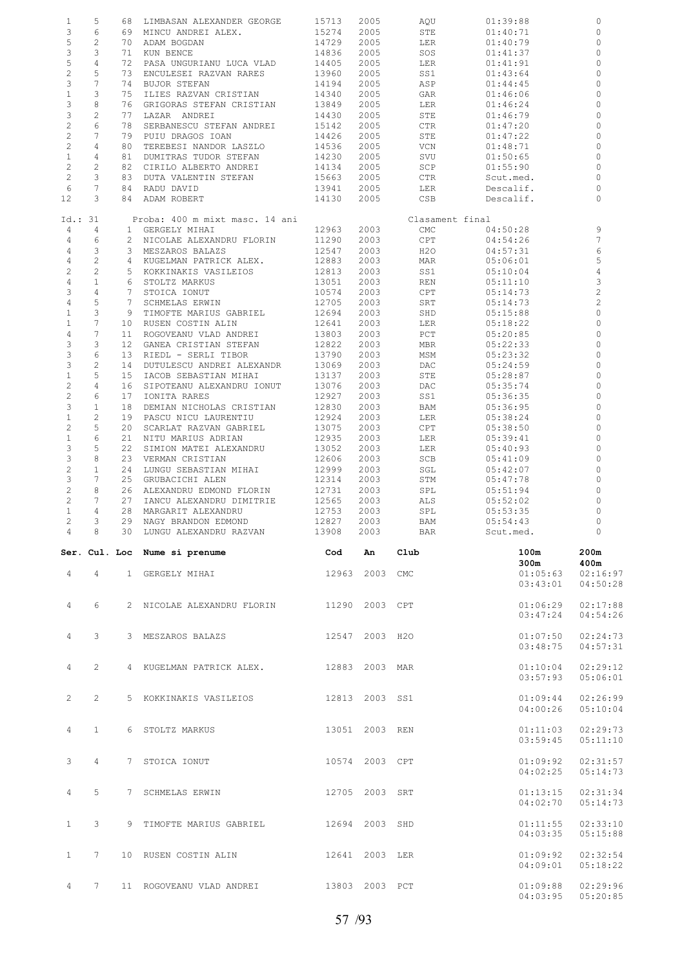| $1\,$          | 5              |                | 68 LIMBASAN ALEXANDER GEORGE              | 15713      | 2005 | AQU             | 01:39:88  | $\circ$               |
|----------------|----------------|----------------|-------------------------------------------|------------|------|-----------------|-----------|-----------------------|
| 3              | 6              |                | 69 MINCU ANDREI ALEX.                     | 15274      | 2005 | STE             | 01:40:71  | $\mathbf 0$           |
| 5              | $\overline{c}$ |                |                                           |            |      |                 |           | $\circ$               |
|                |                |                | 70 ADAM BOGDAN                            | 14729      | 2005 | LER             | 01:40:79  |                       |
| 3              | 3              |                | 71 KUN BENCE                              | 14836      | 2005 | SOS             | 01:41:37  | $\Omega$              |
| 5              | $\overline{4}$ |                | 72 PASA UNGURIANU LUCA VLAD               | 14405      | 2005 | LER             | 01:41:91  | 0                     |
| $\overline{c}$ | 5              |                | 73 ENCULESEI RAZVAN RARES                 | 13960      | 2005 | SS1             | 01:43:64  | $\Omega$              |
| 3              | $\overline{7}$ |                | 74 BUJOR STEFAN                           | 14194      | 2005 | ASP             | 01:44:45  | 0                     |
|                |                |                |                                           |            |      |                 |           |                       |
| $\mathbf{1}$   | 3              |                | 75 ILIES RAZVAN CRISTIAN                  | 14340      | 2005 | GAR             | 01:46:06  | $\Omega$              |
| 3              | 8              |                | 76 GRIGORAS STEFAN CRISTIAN               | 13849      | 2005 | LER             | 01:46:24  | 0                     |
| 3              | $\mathbf{2}$   |                | 77 LAZAR ANDREI                           | 14430      | 2005 | STE             | 01:46:79  | $\Omega$              |
| $\sqrt{2}$     | 6              |                | 78 SERBANESCU STEFAN ANDREI               | 15142      | 2005 | CTR             | 01:47:20  | $\circ$               |
| $\overline{c}$ | 7              |                | 79 PUIU DRAGOS IOAN                       | 14426      | 2005 | STE             | 01:47:22  | $\Omega$              |
|                |                |                |                                           |            |      |                 |           |                       |
| $\overline{c}$ | $\overline{4}$ |                | 80 TEREBESI NANDOR LASZLO                 | 14536      | 2005 | VCN             | 01:48:71  | 0                     |
| $\mathbf{1}$   | $\overline{4}$ |                | 81 DUMITRAS TUDOR STEFAN                  | 14230      | 2005 | SVU             | 01:50:65  | $\mathbf{0}$          |
| $\mathbf{2}$   | 2              |                | 82 CIRILO ALBERTO ANDREI                  | 14134      | 2005 | SCP             | 01:55:90  | $\circ$               |
| $\mathbf{2}$   | 3              |                | 83 DUTA VALENTIN STEFAN                   | 15663      | 2005 | CTR             | Scut.med. | $\mathbf{0}$          |
| 6              | 7              |                | 84 RADU DAVID                             | 13941      | 2005 | LER             | Descalif. | 0                     |
| 12             | 3              |                | 84 ADAM ROBERT                            | 14130      | 2005 | CSB             | Descalif. | $\Omega$              |
|                |                |                |                                           |            |      |                 |           |                       |
|                |                |                |                                           |            |      |                 |           |                       |
| Id.: 31        |                |                | Proba: 400 m mixt masc. 14 ani            |            |      | Clasament final |           |                       |
| 4              | $\overline{4}$ |                | 1 GERGELY MIHAI                           | 12963      | 2003 | CMC             | 04:50:28  | 9                     |
| 4              | 6              |                | 2 NICOLAE ALEXANDRU FLORIN                | 11290      | 2003 | CPT             | 04:54:26  | 7                     |
| $\overline{4}$ | 3              |                | 3 MESZAROS BALAZS                         | 12547      | 2003 | H2O             | 04:57:31  | 6                     |
| $\overline{4}$ | $\overline{c}$ |                | 4 KUGELMAN PATRICK ALEX.                  | 12883      | 2003 | MAR             | 05:06:01  | 5                     |
|                |                |                |                                           |            |      |                 |           |                       |
| $\overline{2}$ | 2              |                | 5 KOKKINAKIS VASILEIOS                    | 12813      | 2003 | SS1             | 05:10:04  | $\overline{4}$        |
| $\overline{4}$ | $\mathbf{1}$   |                | 6 STOLTZ MARKUS                           | 13051      | 2003 | REN             | 05:11:10  | 3                     |
| 3              | $\overline{4}$ | $7^{\circ}$    | STOICA IONUT                              | 10574      | 2003 | CPT             | 05:14:73  | $\overline{c}$        |
| $\overline{4}$ | 5              | 7 <sup>7</sup> | SCHMELAS ERWIN                            | 12705      | 2003 | SRT             | 05:14:73  | $\overline{c}$        |
| $\mathbf{1}$   | 3              | 9              | TIMOFTE MARIUS GABRIEL                    | 12694      | 2003 | SHD             | 05:15:88  | $\mathbf{0}$          |
|                | $\overline{7}$ |                |                                           |            |      |                 |           |                       |
| $\mathbf{1}$   |                |                | 10 RUSEN COSTIN ALIN                      | 12641      | 2003 | LER             | 05:18:22  | $\circ$               |
| $\overline{4}$ | 7              |                | 11 ROGOVEANU VLAD ANDREI                  | 13803      | 2003 | PCT             | 05:20:85  | $\circ$               |
| 3              | 3              |                | 12 GANEA CRISTIAN STEFAN                  | 12822      | 2003 | MBR             | 05:22:33  | 0                     |
| 3              | 6              |                | 13 RIEDL - SERLI TIBOR                    | 13790      | 2003 | MSM             | 05:23:32  | $\mathbf 0$           |
| 3              | $\mathbf{2}$   |                | 14 DUTULESCU ANDREI ALEXANDR              | 13069      | 2003 | DAC             | 05:24:59  | 0                     |
|                |                |                |                                           |            |      |                 |           |                       |
| $\mathbf{1}$   | 5              |                | 15 IACOB SEBASTIAN MIHAI                  | 13137      | 2003 | STE             | 05:28:87  | $\circ$               |
| $\mathbf{2}$   | $\overline{4}$ |                | 16 SIPOTEANU ALEXANDRU IONUT              | 13076      | 2003 | DAC             | 05:35:74  | 0                     |
| $\mathbf{2}$   | 6              |                | 17 IONITA RARES                           | 12927      | 2003 | SS1             | 05:36:35  | $\circ$               |
| 3              | $\mathbf{1}$   |                | 18 DEMIAN NICHOLAS CRISTIAN               | 12830      | 2003 | BAM             | 05:36:95  | 0                     |
| $\mathbf{1}$   | 2              |                | 19 PASCU NICU LAURENTIU                   | 12924      | 2003 | LER             | 05:38:24  | 0                     |
| $\sqrt{2}$     | 5              |                | 20 SCARLAT RAZVAN GABRIEL                 | 13075      | 2003 | CPT             | 05:38:50  | 0                     |
|                |                |                |                                           |            |      |                 |           |                       |
| $\mathbf{1}$   | 6              |                | 21 NITU MARIUS ADRIAN                     | 12935      | 2003 | LER             | 05:39:41  | 0                     |
| 3              | 5              |                | 22 SIMION MATEI ALEXANDRU                 | 13052      | 2003 | LER             | 05:40:93  | $\circ$               |
|                |                |                |                                           |            | 2003 |                 |           | $\Omega$              |
|                |                |                |                                           |            |      |                 |           |                       |
| 3              | 8              |                | 23 VERMAN CRISTIAN                        | 12606      |      | SCB             | 05:41:09  |                       |
| $\sqrt{2}$     | $\mathbf{1}$   |                | 24 LUNGU SEBASTIAN MIHAI                  | 12999      | 2003 | SGL             | 05:42:07  | 0                     |
| 3              | 7              |                | 25 GRUBACICHI ALEN                        | 12314      | 2003 | STM             | 05:47:78  | $\circ$               |
| $\sqrt{2}$     | 8              |                | 26 ALEXANDRU EDMOND FLORIN                | 12731      | 2003 | SPL             | 05:51:94  | 0                     |
| $\mathbf{2}$   | 7              |                | 27 IANCU ALEXANDRU DIMITRIE               | 12565      | 2003 | ALS             | 05:52:02  | $\Omega$              |
|                | $\overline{4}$ |                |                                           |            |      |                 |           | $\circ$               |
| $\mathbf{1}$   |                |                | 28 MARGARIT ALEXANDRU                     | 12753      | 2003 | SPL             | 05:53:35  |                       |
| $\overline{c}$ | 3              |                | 29 NAGY BRANDON EDMOND                    | 12827      | 2003 | BAM             | 05:54:43  | $\Omega$              |
| $\overline{4}$ | 8 <sup>1</sup> |                | 30 LUNGU ALEXANDRU RAZVAN                 | 13908 2003 |      | <b>BAR</b>      | Scut.med. | $\overline{0}$        |
|                |                |                |                                           |            |      |                 |           |                       |
|                |                |                |                                           |            | An   | $_{\rm Club}$   | 100m      | 200m                  |
|                |                |                | Ser. Cul. Loc Nume si prenume and cod     |            |      |                 | 300m      | 400m                  |
|                |                |                |                                           |            |      |                 |           |                       |
| $\overline{4}$ |                |                | 4 1 GERGELY MIHAI 12963 2003 CMC          |            |      |                 | 01:05:63  | 02:16:97              |
|                |                |                |                                           |            |      |                 | 03:43:01  | 04:50:28              |
|                |                |                |                                           |            |      |                 |           |                       |
| $\overline{4}$ | 6              |                | 2 NICOLAE ALEXANDRU FLORIN 11290 2003 CPT |            |      |                 | 01:06:29  | 02:17:88              |
|                |                |                |                                           |            |      |                 | 03:47:24  | 04:54:26              |
|                |                |                |                                           |            |      |                 |           |                       |
|                |                |                |                                           |            |      |                 |           |                       |
| $\overline{4}$ | 3              |                | 3 MESZAROS BALAZS 12547 2003 H2O          |            |      |                 | 01:07:50  | 02:24:73              |
|                |                |                |                                           |            |      |                 | 03:48:75  | 04:57:31              |
|                |                |                |                                           |            |      |                 |           |                       |
| $\overline{4}$ | $\mathbf{2}$   |                | 4 KUGELMAN PATRICK ALEX. 12883 2003 MAR   |            |      |                 | 01:10:04  | 02:29:12              |
|                |                |                |                                           |            |      |                 |           |                       |
|                |                |                |                                           |            |      |                 | 03:57:93  | 05:06:01              |
|                |                |                |                                           |            |      |                 |           |                       |
| $\overline{2}$ | $\mathbf{2}$   |                | 5 KOKKINAKIS VASILEIOS 12813 2003 SS1     |            |      |                 | 01:09:44  | 02:26:99              |
|                |                |                |                                           |            |      |                 | 04:00:26  | 05:10:04              |
|                |                |                |                                           |            |      |                 |           |                       |
|                | $\mathbf{1}$   |                |                                           |            |      |                 |           |                       |
| $\overline{4}$ |                |                | 6 STOLTZ MARKUS 13051 2003 REN            |            |      |                 | 01:11:03  | 02:29:73              |
|                |                |                |                                           |            |      |                 | 03:59:45  | 05:11:10              |
|                |                |                |                                           |            |      |                 |           |                       |
| 3              | $\overline{4}$ |                | 7 STOICA IONUT 10574 2003 CPT             |            |      |                 | 01:09:92  | 02:31:57              |
|                |                |                |                                           |            |      |                 | 04:02:25  | 05:14:73              |
|                |                |                |                                           |            |      |                 |           |                       |
|                |                |                |                                           |            |      |                 |           |                       |
| $\overline{4}$ | 5              |                | 7 SCHMELAS ERWIN 12705 2003 SRT           |            |      |                 | 01:13:15  | 02:31:34              |
|                |                |                |                                           |            |      |                 | 04:02:70  | 05:14:73              |
|                |                |                |                                           |            |      |                 |           |                       |
| $\mathbf{1}$   | $\mathbf{3}$   |                | 9 TIMOFTE MARIUS GABRIEL 12694 2003 SHD   |            |      |                 | 01:11:55  | 02:33:10              |
|                |                |                |                                           |            |      |                 |           |                       |
|                |                |                |                                           |            |      |                 | 04:03:35  | 05:15:88              |
|                |                |                |                                           |            |      |                 |           |                       |
| $\mathbf{1}$   | $7^{\circ}$    |                | 10 RUSEN COSTIN ALIN 12641 2003 LER       |            |      |                 | 01:09:92  | 02:32:54              |
|                |                |                |                                           |            |      |                 | 04:09:01  | 05:18:22              |
|                |                |                |                                           |            |      |                 |           |                       |
| $\overline{4}$ | 7              |                | 11 ROGOVEANU VLAD ANDREI 13803 2003 PCT   |            |      |                 | 01:09:88  | 02:29:96              |
|                |                |                |                                           |            |      |                 |           | $04:03:95$ $05:20:85$ |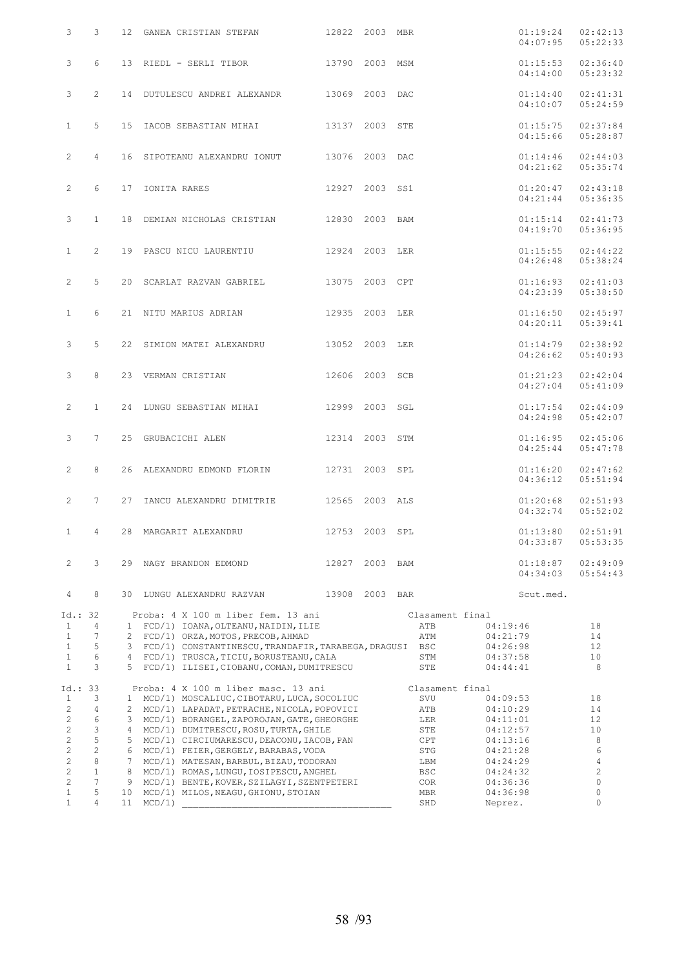| 3                            |         | 3              | 12 GANEA CRISTIAN STEFAN 12822 2003 MBR                                                          |                |                        | 01:19:24<br>04:07:95 | 02:42:13<br>05:22:33 |
|------------------------------|---------|----------------|--------------------------------------------------------------------------------------------------|----------------|------------------------|----------------------|----------------------|
| 3                            |         | 6              | 13 RIEDL - SERLI TIBOR 13790 2003 MSM                                                            |                |                        | 01:15:53<br>04:14:00 | 02:36:40<br>05:23:32 |
| 3                            |         | $\overline{2}$ | 14 DUTULESCU ANDREI ALEXANDR 13069 2003 DAC                                                      |                |                        | 01:14:40<br>04:10:07 | 02:41:31<br>05:24:59 |
| $\mathbf{1}$                 |         | 5              | 15 IACOB SEBASTIAN MIHAI 13137 2003 STE                                                          |                |                        | 01:15:75<br>04:15:66 | 02:37:84<br>05:28:87 |
| $\mathbf{2}^{\prime}$        |         | 4              | 16 SIPOTEANU ALEXANDRU IONUT 13076 2003 DAC                                                      |                |                        | 01:14:46<br>04:21:62 | 02:44:03<br>05:35:74 |
| $\mathbf{2}^{\prime}$        |         | 6              | 17 IONITA RARES 12927 2003 SS1                                                                   |                |                        | 01:20:47<br>04:21:44 | 02:43:18<br>05:36:35 |
| 3                            |         | $\mathbf{1}$   | 18 DEMIAN NICHOLAS CRISTIAN 12830 2003 BAM                                                       |                |                        | 01:15:14<br>04:19:70 | 02:41:73<br>05:36:95 |
| $\mathbf{1}$                 |         | $\overline{2}$ | 19 PASCU NICU LAURENTIU 12924 2003 LER                                                           |                |                        | 01:15:55<br>04:26:48 | 02:44:22<br>05:38:24 |
| $\mathbf{2}^{\prime}$        |         | 5              | 20 SCARLAT RAZVAN GABRIEL 13075 2003 CPT                                                         |                |                        | 01:16:93<br>04:23:39 | 02:41:03<br>05:38:50 |
| $\mathbf{1}$                 |         | 6              | 21 NITU MARIUS ADRIAN 12935 2003 LER                                                             |                |                        | 01:16:50<br>04:20:11 | 02:45:97<br>05:39:41 |
| 3                            |         | 5              | 22 SIMION MATEI ALEXANDRU 13052 2003 LER                                                         |                |                        | 01:14:79<br>04:26:62 | 02:38:92<br>05:40:93 |
| 3                            |         | 8              | 23 VERMAN CRISTIAN 12606 2003 SCB                                                                |                |                        | 01:21:23<br>04:27:04 | 02:42:04<br>05:41:09 |
| $\overline{2}$               |         | $\mathbf{1}$   | 24 LUNGU SEBASTIAN MIHAI 12999 2003 SGL                                                          |                |                        | 01:17:54<br>04:24:98 | 02:44:09<br>05:42:07 |
| 3                            |         | $7^{\circ}$    | 25 GRUBACICHI ALEN 12314 2003 STM                                                                |                |                        | 01:16:95<br>04:25:44 | 02:45:06<br>05:47:78 |
| $\overline{2}$               |         | 8              | 26 ALEXANDRU EDMOND FLORIN 12731 2003 SPL                                                        |                |                        | 01:16:20<br>04:36:12 | 02:47:62<br>05:51:94 |
| $\overline{2}$               |         | 7              | 27 IANCU ALEXANDRU DIMITRIE 12565 2003 ALS                                                       |                |                        | 01:20:68<br>04:32:74 | 02:51:93<br>05:52:02 |
| $\mathbf{1}$                 |         | 4              | 28 MARGARIT ALEXANDRU 12753 2003 SPL 01:13:80                                                    |                |                        | 04:33:87             | 02:51:91<br>05:53:35 |
| $\mathbf{2}^{\prime}$        |         | 3              | 29 NAGY BRANDON EDMOND                                                                           | 12827 2003 BAM |                        | 01:18:87<br>04:34:03 | 02:49:09<br>05:54:43 |
| 4                            |         | 8              | 30 LUNGU ALEXANDRU RAZVAN                                                                        | 13908 2003 BAR |                        | Scut.med.            |                      |
|                              | Id.: 32 |                | Proba: 4 X 100 m liber fem. 13 ani                                                               |                | Clasament final        |                      |                      |
| $\mathbf{1}$                 |         | 4              | 1 FCD/1) IOANA, OLTEANU, NAIDIN, ILIE                                                            |                | ATB                    | 04:19:46             | 18                   |
| $\mathbf{1}$<br>$\mathbf{1}$ |         | 7<br>5         | 2 FCD/1) ORZA, MOTOS, PRECOB, AHMAD<br>3 FCD/1) CONSTANTINESCU, TRANDAFIR, TARABEGA, DRAGUSI BSC |                | ATM                    | 04:21:79<br>04:26:98 | 14<br>12             |
| $\mathbf{1}$                 |         | 6              | 4 FCD/1) TRUSCA, TICIU, BORUSTEANU, CALA                                                         |                | STM                    | 04:37:58             | 10                   |
| $\mathbf{1}$                 |         | 3              | 5 FCD/1) ILISEI, CIOBANU, COMAN, DUMITRESCU                                                      |                | STE                    | 04:44:41             | 8                    |
| $\mathbf{1}$                 | Id.: 33 | 3              | Proba: 4 X 100 m liber masc. 13 ani<br>1 MCD/1) MOSCALIUC, CIBOTARU, LUCA, SOCOLIUC              |                | Clasament final<br>SVU | 04:09:53             | 18                   |
| $\mathbf{2}$                 |         | $\overline{4}$ | 2 MCD/1) LAPADAT, PETRACHE, NICOLA, POPOVICI                                                     |                | ATB                    | 04:10:29             | 14                   |
| $\overline{c}$               |         | 6              | 3 MCD/1) BORANGEL, ZAPOROJAN, GATE, GHEORGHE                                                     |                | LER                    | 04:11:01             | 12                   |
| $\overline{c}$               |         | 3              | 4 MCD/1) DUMITRESCU, ROSU, TURTA, GHILE                                                          |                | STE                    | 04:12:57             | 10                   |
| $\overline{c}$               |         | 5              | 5 MCD/1) CIRCIUMARESCU, DEACONU, IACOB, PAN                                                      |                | CPT                    | 04:13:16             | 8                    |
| $\overline{c}$               |         | $\mathbf{2}$   | 6 MCD/1) FEIER, GERGELY, BARABAS, VODA                                                           |                | STG                    | 04:21:28             | 6                    |
| $\mathbf{2}$                 |         | $\,8\,$        | 7 MCD/1) MATESAN, BARBUL, BIZAU, TODORAN                                                         |                | LBM                    | 04:24:29             | 4                    |
| $\overline{c}$               |         | $\mathbf{1}$   | 8 MCD/1) ROMAS, LUNGU, IOSIPESCU, ANGHEL                                                         |                | BSC                    | 04:24:32             | $\overline{c}$       |
| $\overline{c}$               |         | $\overline{7}$ | 9 MCD/1) BENTE, KOVER, SZILAGYI, SZENTPETERI                                                     |                | COR                    | 04:36:36             | $\mathbb O$          |
| $\mathbf{1}$                 |         | 5              | 10 MCD/1) MILOS, NEAGU, GHIONU, STOIAN                                                           |                | MBR                    | 04:36:98             | 0                    |
| $\mathbf{1}$                 |         | $\overline{4}$ | 11 MCD/1)                                                                                        |                | SHD                    | Neprez.              | 0                    |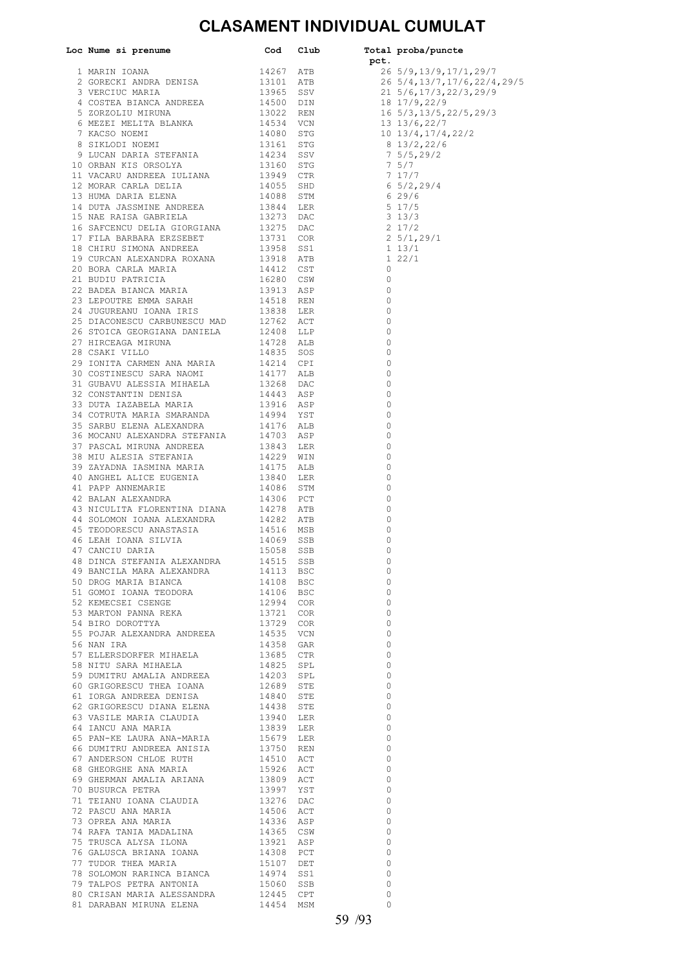#### **CLASAMENT INDIVIDUAL CUMULAT**

|                                                                                                                                                                                                                       |                        |                | 26 5/9,13/9,17/1,29/7          |
|-----------------------------------------------------------------------------------------------------------------------------------------------------------------------------------------------------------------------|------------------------|----------------|--------------------------------|
|                                                                                                                                                                                                                       |                        |                | 26 5/4, 13/7, 17/6, 22/4, 29/5 |
|                                                                                                                                                                                                                       |                        |                |                                |
|                                                                                                                                                                                                                       |                        |                |                                |
|                                                                                                                                                                                                                       |                        |                |                                |
|                                                                                                                                                                                                                       |                        |                |                                |
|                                                                                                                                                                                                                       |                        |                |                                |
|                                                                                                                                                                                                                       |                        |                |                                |
|                                                                                                                                                                                                                       |                        |                |                                |
|                                                                                                                                                                                                                       |                        |                |                                |
|                                                                                                                                                                                                                       |                        |                |                                |
|                                                                                                                                                                                                                       |                        |                |                                |
|                                                                                                                                                                                                                       |                        |                |                                |
|                                                                                                                                                                                                                       |                        |                |                                |
|                                                                                                                                                                                                                       |                        |                |                                |
|                                                                                                                                                                                                                       |                        |                |                                |
|                                                                                                                                                                                                                       |                        |                |                                |
|                                                                                                                                                                                                                       |                        |                |                                |
|                                                                                                                                                                                                                       |                        |                |                                |
|                                                                                                                                                                                                                       |                        |                |                                |
|                                                                                                                                                                                                                       |                        |                |                                |
|                                                                                                                                                                                                                       |                        |                |                                |
|                                                                                                                                                                                                                       |                        |                |                                |
|                                                                                                                                                                                                                       |                        |                |                                |
|                                                                                                                                                                                                                       |                        |                |                                |
|                                                                                                                                                                                                                       |                        |                |                                |
|                                                                                                                                                                                                                       |                        |                |                                |
|                                                                                                                                                                                                                       |                        |                |                                |
|                                                                                                                                                                                                                       |                        |                |                                |
|                                                                                                                                                                                                                       |                        |                |                                |
|                                                                                                                                                                                                                       |                        |                |                                |
|                                                                                                                                                                                                                       |                        |                |                                |
|                                                                                                                                                                                                                       |                        |                |                                |
|                                                                                                                                                                                                                       |                        | 0              |                                |
|                                                                                                                                                                                                                       |                        | 0              |                                |
|                                                                                                                                                                                                                       |                        | 0              |                                |
|                                                                                                                                                                                                                       |                        | 0              |                                |
|                                                                                                                                                                                                                       |                        | 0              |                                |
|                                                                                                                                                                                                                       |                        | 0              |                                |
|                                                                                                                                                                                                                       |                        | 0              |                                |
|                                                                                                                                                                                                                       |                        | 0              |                                |
|                                                                                                                                                                                                                       |                        | 0              |                                |
|                                                                                                                                                                                                                       |                        | $\circ$        |                                |
|                                                                                                                                                                                                                       |                        | 0<br>$\circ$   |                                |
| 48 DINCA STEFANIA ALEXANDRA 14515 SSB                                                                                                                                                                                 |                        | 0              |                                |
|                                                                                                                                                                                                                       | 14113 BSC              | $\circ$        |                                |
| 49 BANCILA MARA ALEXANDRA<br>50 DROG MARIA BIANCA                                                                                                                                                                     | 14108 BSC              | $\Omega$       |                                |
| 14106 BSC<br>14106 BSC<br>52 KEMECSEI CSENGE<br>53 MARTON PANNA REKA<br>54 BIRO DOROTTYA<br>55 POJAR ALEXANDRA ANDREES                                                                                                |                        | $\overline{0}$ |                                |
|                                                                                                                                                                                                                       |                        | $\bigcirc$     |                                |
|                                                                                                                                                                                                                       |                        | $\circ$        |                                |
|                                                                                                                                                                                                                       |                        | $\bigcirc$     |                                |
| ${\small \begin{tabular}{lllllllll} 55 \hspace{.1cm} \textbf{POJAR ALEXANDRA ANDREEA} & \hspace{.1cm} 14535 & \textbf{VCN} \\ 56 \hspace{.1cm} \texttt{NAN IRA} & \hspace{.1cm} 14358 & \textbf{GAR} \end{tabular} }$ |                        | 0              |                                |
|                                                                                                                                                                                                                       | 14358 GAR              | $\bigcirc$     |                                |
| 57 ELLERSDORFER MIHAELA 13685 CTR<br>58 NITU SARA MIHAELA 14825 SPL                                                                                                                                                   |                        | 0              |                                |
|                                                                                                                                                                                                                       |                        | $\bigcirc$     |                                |
| 59 DUMITRU AMALIA ANDREEA 14203 SPL 60 GRIGORESCU THEA IOANA 12689 STE                                                                                                                                                |                        | 0              |                                |
|                                                                                                                                                                                                                       |                        | $\circ$        |                                |
| 61 IORGA ANDREEA DENISA 14840 STE 62 GRIGORESCU DIANA ELENA 14438 STE                                                                                                                                                 |                        | $\overline{0}$ |                                |
|                                                                                                                                                                                                                       |                        | $\circ$        |                                |
|                                                                                                                                                                                                                       |                        | $\overline{0}$ |                                |
|                                                                                                                                                                                                                       |                        | $\circ$<br>0   |                                |
| 5<br>5 PAN-KE LAURA ANA-MARIA 15679 LER<br>66 DUMITRU ANDREEA ANISIA 13750 REN                                                                                                                                        |                        | $\overline{0}$ |                                |
|                                                                                                                                                                                                                       |                        | $\overline{0}$ |                                |
| 67 ANDERSON CHLOE RUTH 14510 ACT<br>68 GHEORGHE ANA MARIA 15926 ACT                                                                                                                                                   |                        | $\overline{0}$ |                                |
| 69 GHERMAN AMALIA ARIANA $13809$ ACT                                                                                                                                                                                  |                        | 0              |                                |
| 70 BUSURCA PETRA                                                                                                                                                                                                      | 13997 YST              | 0              |                                |
|                                                                                                                                                                                                                       |                        | 0              |                                |
| $\begin{tabular}{lllllllllll} \texttt{71 TEIANU IOANA CLAUDIA} & & & & 13276 DAC \\ \texttt{72 PASCU ANA MARIA} & & & 14506 ACT \\ \end{tabular}$                                                                     |                        | $\circ$        |                                |
| 73 OPREA ANA MARIA<br>74 RAFA TANIA MADALINA                                                                                                                                                                          | 14336 ASP<br>14365 CSW | $\circ$        |                                |
|                                                                                                                                                                                                                       |                        | $\overline{0}$ |                                |
| 75 TRUSCA ALYSA ILONA<br>76 GALUSCA BRIANA IOANA<br>77 TUDOR THEA MARIA<br>78 SOLOMON RARINCA BIANCA                                                                                                                  | 13921 ASP<br>14308 PCT | $\circ$        |                                |
|                                                                                                                                                                                                                       |                        | $\overline{0}$ |                                |
|                                                                                                                                                                                                                       | 15107 DET<br>14974 SS1 | 0              |                                |
|                                                                                                                                                                                                                       |                        | 0              |                                |
| 79 TALPOS PETRA ANTONIA                                                                                                                                                                                               | 15060 SSB              | 0              |                                |
| 80 CRISAN MARIA ALESSANDRA<br>81 DARABAN MIRUNA ELENA                                                                                                                                                                 | 12445 CPT              | 0              |                                |
|                                                                                                                                                                                                                       | 14454 MSM              | $\Omega$       |                                |

18 17/9,22/9  $16 \frac{5}{3},\frac{13}{5},\frac{22}{5},\frac{29}{3}$ 8 13/2,22/6  $7 \frac{5}{5}$ , 29/2<br>7 5/7  $\begin{array}{c} 7 & 37 \\ 7 & 17/7 \\ 6 & 5/2,29/4 \\ 6 & 29/6 \end{array}$  $2\frac{5}{1}$ , 29/1<br>1 13/1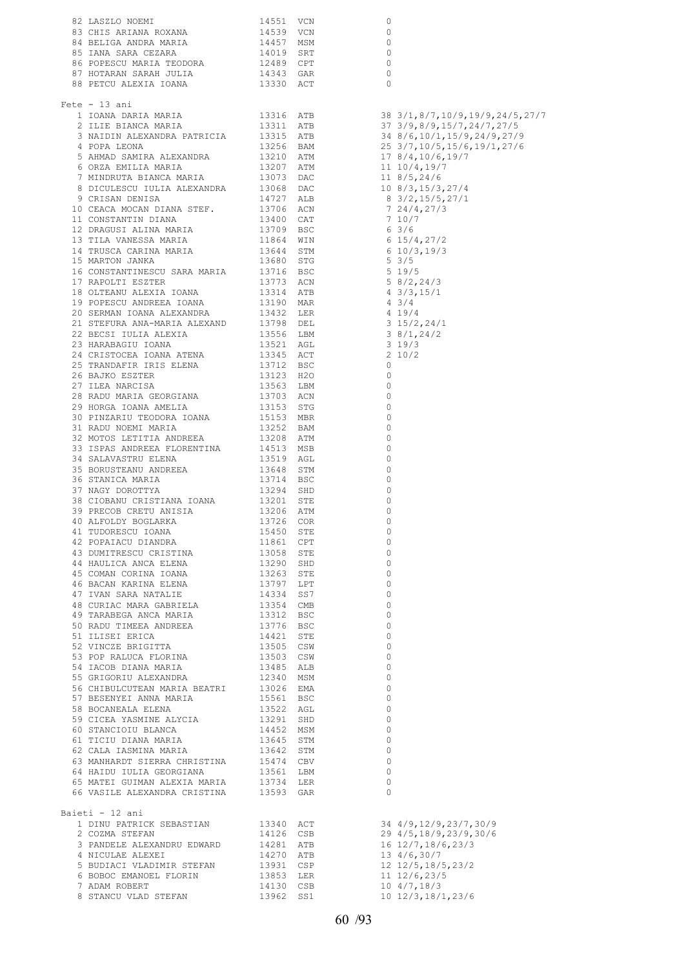|                                                                                                                                                                                                             |                          |     | $\circ$                                                                                                                                                                                                                       |
|-------------------------------------------------------------------------------------------------------------------------------------------------------------------------------------------------------------|--------------------------|-----|-------------------------------------------------------------------------------------------------------------------------------------------------------------------------------------------------------------------------------|
|                                                                                                                                                                                                             |                          |     | $\circ$                                                                                                                                                                                                                       |
|                                                                                                                                                                                                             |                          |     | $\circ$                                                                                                                                                                                                                       |
|                                                                                                                                                                                                             |                          |     | $\mathbf 0$                                                                                                                                                                                                                   |
|                                                                                                                                                                                                             |                          |     | $\circ$                                                                                                                                                                                                                       |
|                                                                                                                                                                                                             |                          |     | $\circ$                                                                                                                                                                                                                       |
| % 82 LASZLO NOEMI<br>14551 VCN<br>14539 VCN<br>14539 VCN<br>14457 MSM<br>14457 MSM<br>14019 SRT<br>16 DOPESCU MARIA TEODORA<br>12489 CPT<br>16 DOPESCU MARIA TEODORA<br>12489 CPT<br>13330 ACT<br>13330 ACT |                          |     | $\Omega$                                                                                                                                                                                                                      |
|                                                                                                                                                                                                             |                          |     |                                                                                                                                                                                                                               |
| $Fete - 13 ani$                                                                                                                                                                                             |                          |     | 68 PERCO ALEXIX PONNA (1933) ACT (1948 AT 1934) ACT (1948 NATA 1934) ACT (1948 NATA 1948 NATA 1948 AT 1948 AT 1948 AT 1948 AT 1948 AT 1948 AT 1948 AT 1948 AT 1948 AT 1948 AT 1948 AT 1948 AT 1948 AT 1948 AT 1948 AT 1948 AT |
|                                                                                                                                                                                                             |                          |     |                                                                                                                                                                                                                               |
|                                                                                                                                                                                                             |                          |     |                                                                                                                                                                                                                               |
|                                                                                                                                                                                                             |                          |     |                                                                                                                                                                                                                               |
|                                                                                                                                                                                                             |                          |     |                                                                                                                                                                                                                               |
|                                                                                                                                                                                                             |                          |     |                                                                                                                                                                                                                               |
|                                                                                                                                                                                                             |                          |     |                                                                                                                                                                                                                               |
|                                                                                                                                                                                                             |                          |     |                                                                                                                                                                                                                               |
|                                                                                                                                                                                                             |                          |     |                                                                                                                                                                                                                               |
|                                                                                                                                                                                                             |                          |     |                                                                                                                                                                                                                               |
|                                                                                                                                                                                                             |                          |     |                                                                                                                                                                                                                               |
|                                                                                                                                                                                                             |                          |     |                                                                                                                                                                                                                               |
|                                                                                                                                                                                                             |                          |     |                                                                                                                                                                                                                               |
|                                                                                                                                                                                                             |                          |     |                                                                                                                                                                                                                               |
|                                                                                                                                                                                                             |                          |     |                                                                                                                                                                                                                               |
|                                                                                                                                                                                                             |                          |     |                                                                                                                                                                                                                               |
|                                                                                                                                                                                                             |                          |     |                                                                                                                                                                                                                               |
|                                                                                                                                                                                                             |                          |     |                                                                                                                                                                                                                               |
|                                                                                                                                                                                                             |                          |     |                                                                                                                                                                                                                               |
|                                                                                                                                                                                                             |                          |     |                                                                                                                                                                                                                               |
|                                                                                                                                                                                                             |                          |     |                                                                                                                                                                                                                               |
|                                                                                                                                                                                                             |                          |     |                                                                                                                                                                                                                               |
|                                                                                                                                                                                                             |                          |     |                                                                                                                                                                                                                               |
|                                                                                                                                                                                                             |                          |     |                                                                                                                                                                                                                               |
|                                                                                                                                                                                                             |                          |     |                                                                                                                                                                                                                               |
|                                                                                                                                                                                                             |                          |     |                                                                                                                                                                                                                               |
|                                                                                                                                                                                                             |                          |     |                                                                                                                                                                                                                               |
|                                                                                                                                                                                                             |                          |     |                                                                                                                                                                                                                               |
|                                                                                                                                                                                                             |                          |     |                                                                                                                                                                                                                               |
|                                                                                                                                                                                                             |                          |     |                                                                                                                                                                                                                               |
|                                                                                                                                                                                                             |                          |     |                                                                                                                                                                                                                               |
|                                                                                                                                                                                                             |                          |     |                                                                                                                                                                                                                               |
|                                                                                                                                                                                                             |                          |     |                                                                                                                                                                                                                               |
|                                                                                                                                                                                                             |                          |     |                                                                                                                                                                                                                               |
|                                                                                                                                                                                                             |                          |     |                                                                                                                                                                                                                               |
|                                                                                                                                                                                                             |                          |     |                                                                                                                                                                                                                               |
|                                                                                                                                                                                                             |                          |     |                                                                                                                                                                                                                               |
|                                                                                                                                                                                                             |                          |     |                                                                                                                                                                                                                               |
|                                                                                                                                                                                                             |                          |     |                                                                                                                                                                                                                               |
|                                                                                                                                                                                                             |                          |     |                                                                                                                                                                                                                               |
|                                                                                                                                                                                                             |                          |     |                                                                                                                                                                                                                               |
| 41 TUDORESCU IOANA                                                                                                                                                                                          | 15450                    |     | 0                                                                                                                                                                                                                             |
| 42 POPAIACU DIANDRA                                                                                                                                                                                         | 11861 CPT                | STE | $\circ$                                                                                                                                                                                                                       |
| 43 DUMITRESCU CRISTINA                                                                                                                                                                                      | 13058 STE                |     | $\Omega$                                                                                                                                                                                                                      |
| 44 HAULICA ANCA ELENA                                                                                                                                                                                       | 13290 SHD                |     | $\circ$                                                                                                                                                                                                                       |
| 45 COMAN CORINA IOANA                                                                                                                                                                                       | 13263                    |     | $\Omega$                                                                                                                                                                                                                      |
|                                                                                                                                                                                                             | 13797 LPT                | STE | $\circ$                                                                                                                                                                                                                       |
| 46 BACAN KARINA ELENA<br>47 IVAN SARA NATALIE                                                                                                                                                               | 14334 SS7                |     | $\Omega$                                                                                                                                                                                                                      |
|                                                                                                                                                                                                             |                          |     | 0                                                                                                                                                                                                                             |
| 48 CURIAC MARA GABRIELA<br>49 TARABEGA ANCA MARIA                                                                                                                                                           | 13354 CMB<br>13312 BSC   |     | $\circ$                                                                                                                                                                                                                       |
| 50 RADU TIMEEA ANDREEA                                                                                                                                                                                      | 13776 BSC                |     | 0                                                                                                                                                                                                                             |
| 51 ILISEI ERICA                                                                                                                                                                                             | 14421                    | STE | 0                                                                                                                                                                                                                             |
| 52 VINCZE BRIGITTA                                                                                                                                                                                          | 13505 CSW                |     | $\mathbf{0}$                                                                                                                                                                                                                  |
| 53 POP RALUCA FLORINA                                                                                                                                                                                       | 13503 CSW                |     | 0                                                                                                                                                                                                                             |
| 54 IACOB DIANA MARIA                                                                                                                                                                                        | 13485 ALB                |     | 0                                                                                                                                                                                                                             |
| 55 GRIGORIU ALEXANDRA                                                                                                                                                                                       |                          |     | $\circ$                                                                                                                                                                                                                       |
|                                                                                                                                                                                                             | 12340 MSM                |     |                                                                                                                                                                                                                               |
| 56 CHIBULCUTEAN MARIA BEATRI<br>57 BESENYEI ANNA MARIA                                                                                                                                                      | 13026 EMA                |     | $\mathbf{0}$                                                                                                                                                                                                                  |
|                                                                                                                                                                                                             | 15561 BSC                |     | $\circ$                                                                                                                                                                                                                       |
| 58 BOCANEALA ELENA<br>59 CICEA YASMINE ALYCIA                                                                                                                                                               | 13522 AGL                |     | 0                                                                                                                                                                                                                             |
|                                                                                                                                                                                                             | 13291 SHD                |     | 0                                                                                                                                                                                                                             |
| 60 STANCIOIU BLANCA<br>61 TICIU DIANA MARIA                                                                                                                                                                 | 14452 MSM<br>13645 STM   |     | $\circ$<br>$\circ$                                                                                                                                                                                                            |
| 62 CALA IASMINA MARIA                                                                                                                                                                                       |                          |     |                                                                                                                                                                                                                               |
| 63 MANHARDT SIERRA CHRISTINA                                                                                                                                                                                | 13642<br>15474 CBV       | STM | $\circ$                                                                                                                                                                                                                       |
|                                                                                                                                                                                                             |                          |     | $\mathbf 0$                                                                                                                                                                                                                   |
| 64 HAIDU IULIA GEORGIANA                                                                                                                                                                                    | 13561 LBM<br>$13734$ LER |     | $\circ$                                                                                                                                                                                                                       |
| 65 MATEI GUIMAN ALEXIA MARIA                                                                                                                                                                                |                          |     | $\circ$                                                                                                                                                                                                                       |
| 66 VASILE ALEXANDRA CRISTINA                                                                                                                                                                                | 13593 GAR                |     | $\Omega$                                                                                                                                                                                                                      |
|                                                                                                                                                                                                             |                          |     |                                                                                                                                                                                                                               |
| Baieti - 12 ani                                                                                                                                                                                             |                          |     | 34 4/9, 12/9, 23/7, 30/9                                                                                                                                                                                                      |
| 1 DINU PATRICK SEBASTIAN<br>2 COZMA STEFAN                                                                                                                                                                  | 13340 ACT                |     | 29 4/5, 18/9, 23/9, 30/6                                                                                                                                                                                                      |
|                                                                                                                                                                                                             | 14126 CSB<br>14281 ATB   |     |                                                                                                                                                                                                                               |
| 3 PANDELE ALEXANDRU EDWARD<br>4 NICULAE ALEXEI                                                                                                                                                              |                          |     | 16 12/7,18/6,23/3                                                                                                                                                                                                             |
|                                                                                                                                                                                                             | 14270 ATB<br>13931 CSP   |     | 13 4/6,30/7                                                                                                                                                                                                                   |
| 5 BUDIACI VLADIMIR STEFAN<br>6 BOBOC EMANOEL FLORIN                                                                                                                                                         |                          |     | 12 12/5,18/5,23/2                                                                                                                                                                                                             |
|                                                                                                                                                                                                             | 13853 LER                |     | $11\ \frac{12}{6}$ , 23/5                                                                                                                                                                                                     |
| 7 ADAM ROBERT<br>8 STANCU VLAD STEFAN                                                                                                                                                                       | 14130 CSB<br>13962 SS1   |     | $10 \t4/7, 18/3$<br>$10 \t12/3, 18/1, 23/6$                                                                                                                                                                                   |
|                                                                                                                                                                                                             |                          |     |                                                                                                                                                                                                                               |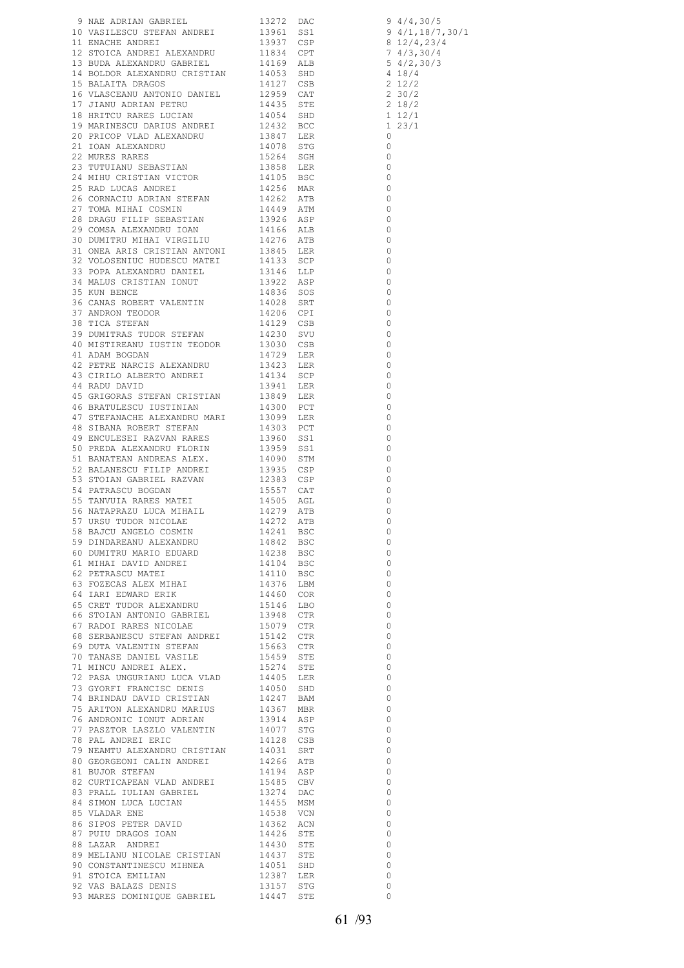|                                                                                                                                                                                                                              |  | $\overline{0}$           |
|------------------------------------------------------------------------------------------------------------------------------------------------------------------------------------------------------------------------------|--|--------------------------|
|                                                                                                                                                                                                                              |  |                          |
|                                                                                                                                                                                                                              |  | $\overline{0}$           |
|                                                                                                                                                                                                                              |  | $\overline{\phantom{0}}$ |
| 89 MELIANU NICOLAE CRISTIAN 14437 STE<br>89 MELIANU NICOLAE CRISTIAN 14437 STE<br>90 CONSTANTINESCU MIHNEA 14051 SHD<br>91 STOICA EMILIAN 12387 LER<br>92 VAS BALAZS DENIS 13157 STG<br>93 MARES DOMINIQUE GABRIEL 14447 STE |  | $\overline{0}$           |
|                                                                                                                                                                                                                              |  | $\circ$                  |
|                                                                                                                                                                                                                              |  |                          |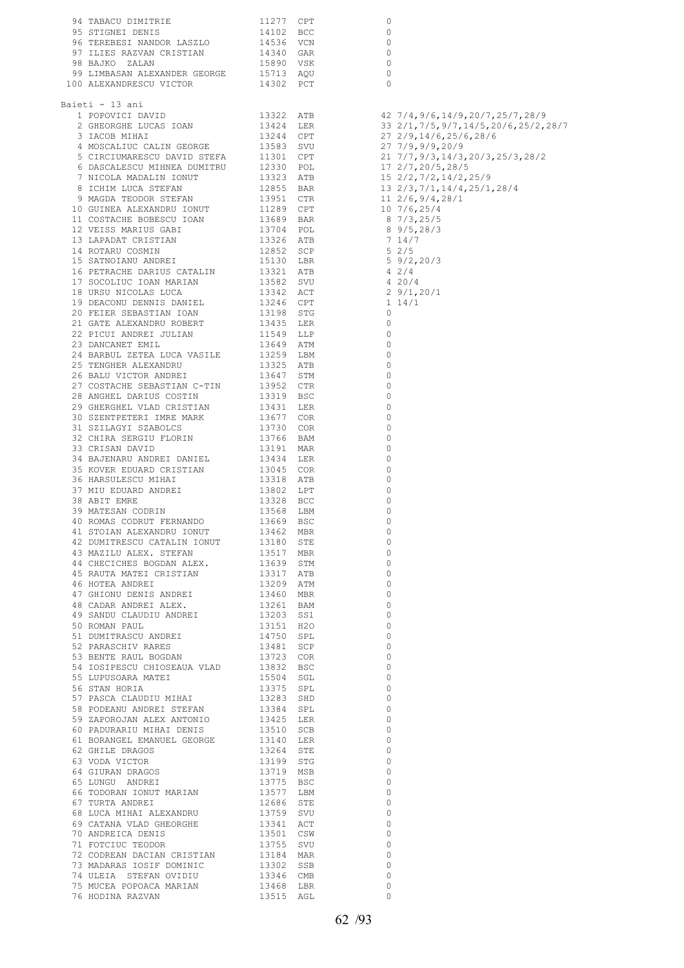|                                                                                                                                                                                                                                            |                        |     | 0              |  |
|--------------------------------------------------------------------------------------------------------------------------------------------------------------------------------------------------------------------------------------------|------------------------|-----|----------------|--|
|                                                                                                                                                                                                                                            |                        |     | 0              |  |
|                                                                                                                                                                                                                                            |                        |     | 0              |  |
|                                                                                                                                                                                                                                            |                        |     | 0              |  |
|                                                                                                                                                                                                                                            |                        |     | 0              |  |
|                                                                                                                                                                                                                                            |                        |     | 0              |  |
| 94 TABACU DIMITRIE 11277 CPT<br>95 STIGNEI DENIS 14102 BCC<br>96 TEREBESI NANDOR LASZLO 14536 VCN<br>97 ILIES RAZVAN CRISTIAN 14340 GAR<br>98 BAJKO ZALAN 15890 VSK<br>99 LIMBASAN ALEXANDER GEORGE 15713 AQU<br>100 ALEXANDRESCU VICTOR 1 |                        |     | $\Omega$       |  |
|                                                                                                                                                                                                                                            |                        |     |                |  |
| Baieti - 13 ani                                                                                                                                                                                                                            |                        |     |                |  |
|                                                                                                                                                                                                                                            |                        |     |                |  |
|                                                                                                                                                                                                                                            |                        |     |                |  |
|                                                                                                                                                                                                                                            |                        |     |                |  |
|                                                                                                                                                                                                                                            |                        |     |                |  |
|                                                                                                                                                                                                                                            |                        |     |                |  |
|                                                                                                                                                                                                                                            |                        |     |                |  |
|                                                                                                                                                                                                                                            |                        |     |                |  |
|                                                                                                                                                                                                                                            |                        |     |                |  |
|                                                                                                                                                                                                                                            |                        |     |                |  |
|                                                                                                                                                                                                                                            |                        |     |                |  |
|                                                                                                                                                                                                                                            |                        |     |                |  |
|                                                                                                                                                                                                                                            |                        |     |                |  |
|                                                                                                                                                                                                                                            |                        |     |                |  |
|                                                                                                                                                                                                                                            |                        |     |                |  |
|                                                                                                                                                                                                                                            |                        |     |                |  |
|                                                                                                                                                                                                                                            |                        |     |                |  |
|                                                                                                                                                                                                                                            |                        |     |                |  |
|                                                                                                                                                                                                                                            |                        |     |                |  |
|                                                                                                                                                                                                                                            |                        |     |                |  |
|                                                                                                                                                                                                                                            |                        |     |                |  |
|                                                                                                                                                                                                                                            |                        |     |                |  |
| 21 GATE ALEXANDRU ROBERT 13435 LER<br>22 PICUI ANDREI JULIAN 11549 LLP<br>23 DANCANET EMIL 13649 ATM<br>24 BARBUL ZETEA LUCA VASILE 13259 LBM<br>25 TENGHER ALEXANDRU 13325 ATB<br>26 BALU VICTOR ANDREI 13647 STM<br>26 BALU VICTOR ANDRE |                        |     | $\overline{0}$ |  |
|                                                                                                                                                                                                                                            |                        |     | $\circ$        |  |
|                                                                                                                                                                                                                                            |                        |     | 0              |  |
|                                                                                                                                                                                                                                            |                        |     |                |  |
|                                                                                                                                                                                                                                            |                        |     | $\circ$        |  |
|                                                                                                                                                                                                                                            |                        |     | 0              |  |
|                                                                                                                                                                                                                                            |                        |     | $\circ$        |  |
|                                                                                                                                                                                                                                            |                        |     | 0              |  |
|                                                                                                                                                                                                                                            |                        |     | $\circ$        |  |
|                                                                                                                                                                                                                                            |                        |     | 0              |  |
| 29 GHERGHEL VLAD CRISTIAN 13431 LER<br>30 SZENTPETERI IMRE MARK 13677 COR<br>31 SZILAGYI SZABOLCS 13730 COR<br>32 CHIRA SERGIU FLORIN 13766 BAM<br>33 CRISAN DAVID 13191 MAR<br>34 BAJENARU ANDREI DANIEL 13434 LER<br>34 ALENARU ANDREI D |                        |     | 0              |  |
|                                                                                                                                                                                                                                            |                        |     | 0              |  |
|                                                                                                                                                                                                                                            |                        |     | 0              |  |
|                                                                                                                                                                                                                                            |                        |     | 0              |  |
|                                                                                                                                                                                                                                            |                        |     | 0              |  |
|                                                                                                                                                                                                                                            |                        |     | 0              |  |
| 35 KOVER EDUARD CRISTIAN 13045 COR<br>36 HARSULESCU MIHAI 13318 ATB                                                                                                                                                                        |                        |     | 0              |  |
| 37 MIU EDUARD ANDREI 13318 ATB<br>37 MIU EDUARD ANDREI 13802 LPT<br>38 ABIT EMRE 13328 BCC<br>39 MATESAN CODRIN 13568 LBM<br>40 ROMAS CODRUT FERNANDO 13669 BSC                                                                            |                        |     | 0              |  |
|                                                                                                                                                                                                                                            |                        |     | 0              |  |
|                                                                                                                                                                                                                                            |                        |     | 0              |  |
|                                                                                                                                                                                                                                            |                        |     | 0              |  |
|                                                                                                                                                                                                                                            |                        |     |                |  |
| 41 STOIAN ALEXANDRU IONUT 13462<br>A SAN CHECTCHES BOGDAN ALEX.<br>43 MAZILU ALEX. STEFAN 13517 MBR<br>44 CHECTCHES BOGDAN ALEX. 13639 STM<br>45 RAUTA MATEI CRISTIAN 13317 ATB<br>46 HOTEA ANDREI 1388                                    |                        | MBR | 0              |  |
|                                                                                                                                                                                                                                            |                        |     | 0              |  |
|                                                                                                                                                                                                                                            |                        |     | $\Omega$       |  |
|                                                                                                                                                                                                                                            |                        |     | $\Omega$       |  |
|                                                                                                                                                                                                                                            |                        |     | $\Omega$       |  |
| 46 HOTEA ANDREI<br>47 GHIONU DENIS ANDREI<br>2006 - Annex ALEX. (13261 BAM)                                                                                                                                                                |                        |     | $\Omega$       |  |
|                                                                                                                                                                                                                                            |                        |     | $\Omega$       |  |
|                                                                                                                                                                                                                                            |                        |     | $\Omega$       |  |
| 49 SANDU CLAUDIU ANDREI 13203 SS1                                                                                                                                                                                                          |                        |     | $\Omega$       |  |
| 50 ROMAN PAUL 750 SPL 750 SPL 750 SPL 750 SPL 750 SPL 750 SPL 750 SPL 750 SPL 750 SPL 750 SPL 750 SPL 750 SPL 750 SPL 750 SPL 750 SPL 750 SPL 750 SPL 750 SPL 750 SPL 750 SPL 750 SPL 750 SPL 750 SPL 750 SPL 750 SPL 750 SPL              |                        |     | $\Omega$       |  |
|                                                                                                                                                                                                                                            |                        |     | $\Omega$       |  |
|                                                                                                                                                                                                                                            |                        |     | $\Omega$       |  |
|                                                                                                                                                                                                                                            |                        |     | $\Omega$       |  |
| 54 IOSIPESCU CHIOSEAUA VLAD 13832 BSC                                                                                                                                                                                                      |                        |     | $\Omega$       |  |
|                                                                                                                                                                                                                                            |                        |     | $\Omega$       |  |
| 55 LUPUSOARA MATEI<br>56 STAN HORIA                                                                                                                                                                                                        |                        |     | 0              |  |
|                                                                                                                                                                                                                                            |                        |     | $\Omega$       |  |
|                                                                                                                                                                                                                                            |                        |     |                |  |
| $\begin{tabular}{lllllllll} 58 & \texttt{PODEANU} & \texttt{ANDEE1} & \texttt{STEFAN} & & & & 13384 & \texttt{SPL} \\ 59 & \texttt{ZAPOROJAN} & \texttt{ALEX} & \texttt{ANTONIO} & & & 13425 & \texttt{LER} \end{tabular}$                 |                        |     | 0              |  |
|                                                                                                                                                                                                                                            |                        |     | $\Omega$       |  |
|                                                                                                                                                                                                                                            |                        |     | 0              |  |
|                                                                                                                                                                                                                                            |                        |     | $\Omega$       |  |
|                                                                                                                                                                                                                                            | 13264 STE<br>13199 STG |     | $\circ$        |  |
| 62 GHILE DRAGOS<br>63 VODA VICTOR                                                                                                                                                                                                          |                        |     | $\Omega$       |  |
|                                                                                                                                                                                                                                            |                        |     | 0              |  |
|                                                                                                                                                                                                                                            |                        |     | $\Omega$       |  |
|                                                                                                                                                                                                                                            |                        |     | $\circ$        |  |
| 64 GIURAN DRAGOS<br>65 LUNGU ANDREI 13775 BSC<br>66 TODORAN IONUT MARIAN 13577 LBM<br>67 TURTA ANDREI 12686 STE                                                                                                                            |                        |     | $\Omega$       |  |
|                                                                                                                                                                                                                                            |                        |     | $\mathbf{0}$   |  |
| $\begin{tabular}{lllllllllll} 68 \; \text{LUCA} & \text{MHAI} & \text{ALEXANDRU} & & & 13759 & \text{SVD} \\ 69 \; \text{CATANA} & \text{VLAD} & \text{GHEORGHE} & & & 13341 & \text{ACT} \end{tabular}$                                   |                        |     | $\Omega$       |  |
|                                                                                                                                                                                                                                            |                        |     | $\circ$        |  |
| 70 ANDREICA DENIS 13501 CSW 71 FOTCIUC TEODOR 13755 SVU                                                                                                                                                                                    |                        |     | $\Omega$       |  |
|                                                                                                                                                                                                                                            |                        |     | $\circ$        |  |
| 72 CODREAN DACIAN CRISTIAN 13184 MAR<br>73 MADARAS IOSIF DOMINIC 13302 SSB                                                                                                                                                                 |                        |     | $\Omega$       |  |
|                                                                                                                                                                                                                                            |                        |     |                |  |
| 74 ULEIA STEFAN OVIDIU                                                                                                                                                                                                                     | 13346 CMB<br>13468 LBR |     | 0              |  |
| 75 MUCEA POPOACA MARIAN                                                                                                                                                                                                                    |                        |     | $\Omega$       |  |
| 76 HODINA RAZVAN                                                                                                                                                                                                                           | 13515 AGL              |     | $\Omega$       |  |
|                                                                                                                                                                                                                                            |                        |     |                |  |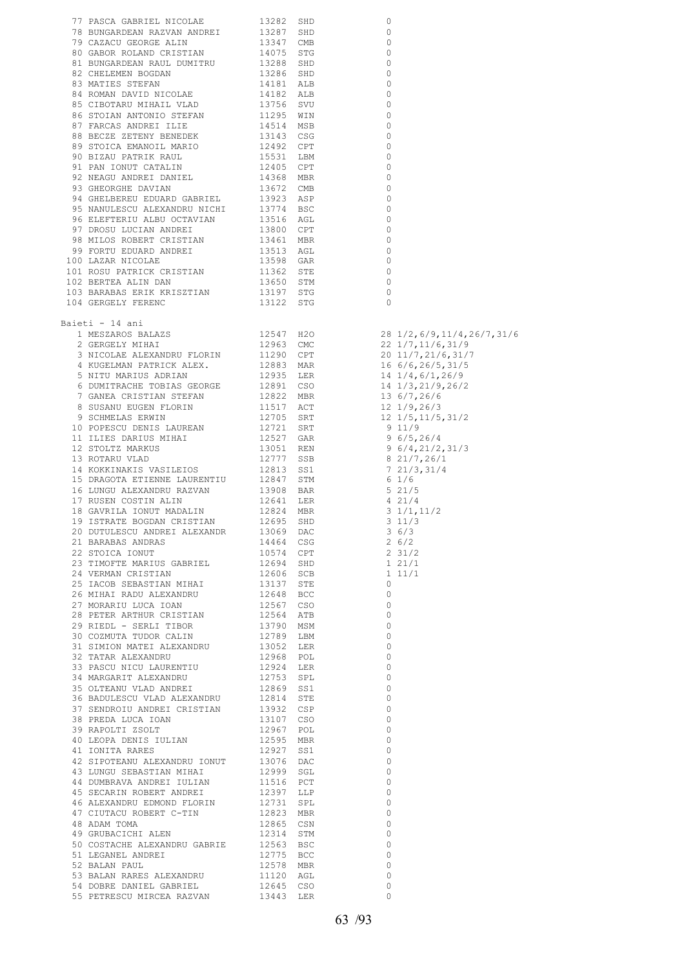|                                                                                                                                                                                                                                               |  | 0                          |
|-----------------------------------------------------------------------------------------------------------------------------------------------------------------------------------------------------------------------------------------------|--|----------------------------|
|                                                                                                                                                                                                                                               |  | $\circ$                    |
|                                                                                                                                                                                                                                               |  | $\overline{0}$             |
|                                                                                                                                                                                                                                               |  | $\overline{\phantom{0}}$   |
|                                                                                                                                                                                                                                               |  | $\overline{\phantom{0}}$   |
|                                                                                                                                                                                                                                               |  | $\overline{\phantom{0}}$   |
|                                                                                                                                                                                                                                               |  |                            |
|                                                                                                                                                                                                                                               |  | $\overline{0}$             |
|                                                                                                                                                                                                                                               |  | $\overline{\phantom{0}}$   |
|                                                                                                                                                                                                                                               |  | $\overline{\phantom{0}}$   |
|                                                                                                                                                                                                                                               |  | $\overline{\phantom{0}}$   |
|                                                                                                                                                                                                                                               |  | $\overline{0}$             |
|                                                                                                                                                                                                                                               |  | $\overline{\phantom{0}}$   |
|                                                                                                                                                                                                                                               |  | $\overline{\phantom{0}}$   |
|                                                                                                                                                                                                                                               |  | $\overline{\phantom{0}}$   |
|                                                                                                                                                                                                                                               |  |                            |
|                                                                                                                                                                                                                                               |  | $\overline{\phantom{0}}$   |
|                                                                                                                                                                                                                                               |  | $\overline{\phantom{0}}$   |
|                                                                                                                                                                                                                                               |  | $\overline{\phantom{0}}$   |
| 77 PASCA GABRIEL NICOLAE 13282 SHD<br>78 BUNGARDEAN RAZVAN ANDREI 13287 SHD<br>80 GABOR ROLAND CRISTIAN 14075 STG<br>80 GABOR ROLAND CRISTIAN 14075 STG<br>81 BUNGARDEAN RAUL DUMITRU 13386 SHD<br>83 MATIES STEPAN DOMITRU 13286 SHD<br>     |  | $\overline{0}$             |
|                                                                                                                                                                                                                                               |  | $\circ$                    |
|                                                                                                                                                                                                                                               |  | $\overline{\phantom{0}}$   |
|                                                                                                                                                                                                                                               |  | $\circ$                    |
|                                                                                                                                                                                                                                               |  | $\overline{0}$             |
|                                                                                                                                                                                                                                               |  | $\overline{0}$             |
|                                                                                                                                                                                                                                               |  |                            |
|                                                                                                                                                                                                                                               |  | $\circ$                    |
|                                                                                                                                                                                                                                               |  | $\overline{\phantom{0}}$   |
|                                                                                                                                                                                                                                               |  | $\overline{\phantom{0}}$   |
|                                                                                                                                                                                                                                               |  | $\circ$                    |
| 104 GERGELY FERENC                                                                                                                                                                                                                            |  | $\Omega$                   |
|                                                                                                                                                                                                                                               |  |                            |
| Baieti - 14 ani                                                                                                                                                                                                                               |  |                            |
|                                                                                                                                                                                                                                               |  |                            |
|                                                                                                                                                                                                                                               |  |                            |
|                                                                                                                                                                                                                                               |  |                            |
|                                                                                                                                                                                                                                               |  |                            |
|                                                                                                                                                                                                                                               |  |                            |
|                                                                                                                                                                                                                                               |  |                            |
|                                                                                                                                                                                                                                               |  |                            |
|                                                                                                                                                                                                                                               |  |                            |
|                                                                                                                                                                                                                                               |  |                            |
|                                                                                                                                                                                                                                               |  |                            |
|                                                                                                                                                                                                                                               |  |                            |
|                                                                                                                                                                                                                                               |  |                            |
|                                                                                                                                                                                                                                               |  |                            |
|                                                                                                                                                                                                                                               |  |                            |
|                                                                                                                                                                                                                                               |  |                            |
|                                                                                                                                                                                                                                               |  |                            |
|                                                                                                                                                                                                                                               |  |                            |
|                                                                                                                                                                                                                                               |  |                            |
|                                                                                                                                                                                                                                               |  |                            |
|                                                                                                                                                                                                                                               |  |                            |
|                                                                                                                                                                                                                                               |  |                            |
|                                                                                                                                                                                                                                               |  |                            |
|                                                                                                                                                                                                                                               |  |                            |
|                                                                                                                                                                                                                                               |  |                            |
|                                                                                                                                                                                                                                               |  |                            |
|                                                                                                                                                                                                                                               |  |                            |
|                                                                                                                                                                                                                                               |  |                            |
|                                                                                                                                                                                                                                               |  |                            |
|                                                                                                                                                                                                                                               |  |                            |
|                                                                                                                                                                                                                                               |  |                            |
|                                                                                                                                                                                                                                               |  |                            |
|                                                                                                                                                                                                                                               |  |                            |
|                                                                                                                                                                                                                                               |  |                            |
|                                                                                                                                                                                                                                               |  |                            |
|                                                                                                                                                                                                                                               |  |                            |
|                                                                                                                                                                                                                                               |  |                            |
|                                                                                                                                                                                                                                               |  |                            |
|                                                                                                                                                                                                                                               |  |                            |
|                                                                                                                                                                                                                                               |  |                            |
|                                                                                                                                                                                                                                               |  |                            |
|                                                                                                                                                                                                                                               |  |                            |
|                                                                                                                                                                                                                                               |  |                            |
|                                                                                                                                                                                                                                               |  |                            |
|                                                                                                                                                                                                                                               |  |                            |
|                                                                                                                                                                                                                                               |  |                            |
|                                                                                                                                                                                                                                               |  |                            |
|                                                                                                                                                                                                                                               |  |                            |
|                                                                                                                                                                                                                                               |  |                            |
|                                                                                                                                                                                                                                               |  | $\overline{0}$             |
|                                                                                                                                                                                                                                               |  | $\overline{0}$             |
| 42 SIPOTEANU ALEXANDRU IONUT 13076 DAC<br>43 LUNGU SEBASTIAN MIHAI 12999 SGL                                                                                                                                                                  |  | $\bigcirc$                 |
|                                                                                                                                                                                                                                               |  |                            |
| $\begin{tabular}{lllllll} 44 & DUMBRAVA & ANDREI & IULIAN & & 11516 & PCT \\ 45 & SECARIN & ROBERT & ANDREI & & 12397 & LLP \\ \end{tabular}$                                                                                                 |  | $\overline{0}$             |
|                                                                                                                                                                                                                                               |  | $\overline{0}$             |
|                                                                                                                                                                                                                                               |  | $\overline{0}$             |
|                                                                                                                                                                                                                                               |  | $\overline{0}$             |
|                                                                                                                                                                                                                                               |  | $\overline{0}$             |
|                                                                                                                                                                                                                                               |  | $\overline{0}$             |
| 43 SECARIN ROBERT ANDREI<br>46 ALEXANDRU EDMOND FLORIN 12731 SPL<br>47 CIUTACU ROBERT C-TIN 12823 MBR<br>48 ADAM TOMA 12865 CSN<br>49 GRUBACICHI ALEX<br>50 COSTACHE ALEXANDRU GABRIE 12563 BSC<br>50 COSTACHE ALEXANDRU GABRIE 12563 BSC<br> |  | $\overline{0}$             |
|                                                                                                                                                                                                                                               |  | $\overline{0}$             |
|                                                                                                                                                                                                                                               |  |                            |
|                                                                                                                                                                                                                                               |  | $\overline{\phantom{0}}$   |
| COURT ALLEMAND CONTROL NO CONTROL NO CONTROL CONTROL CONTROL NO CONTROL NO CONTROL NO CONTROL NO CONTROL NO CONTROL NO CONTROL NO CONTROL NO CONTROL NO CONTROL NO CONTROL NO CONTROL NO CONTROL NO CONTROL NO CONTROL NO CONT                |  | $\overline{0}$<br>$\Omega$ |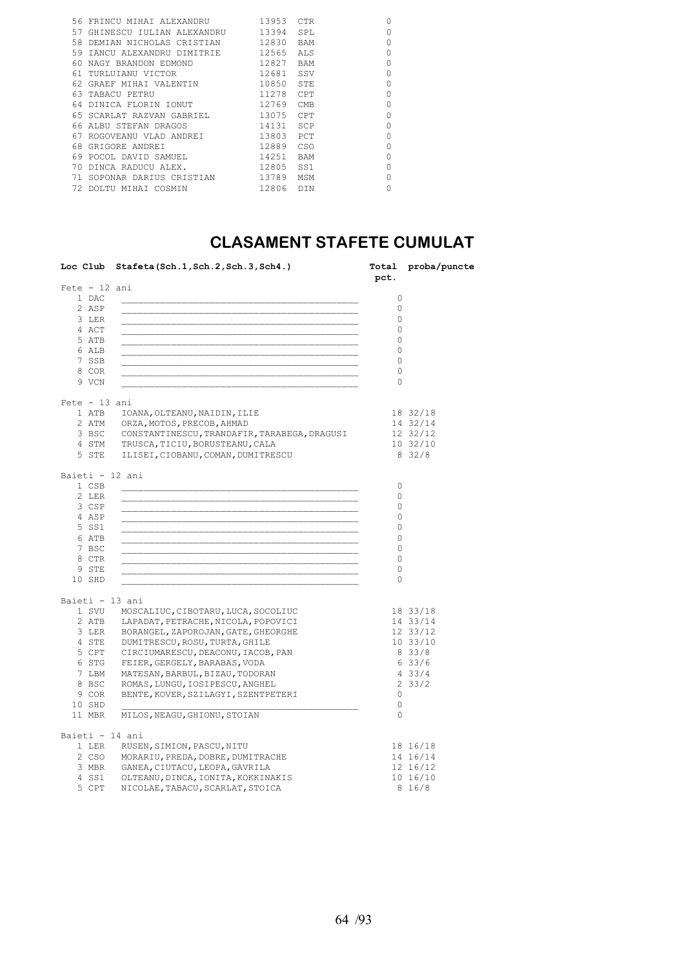|     | 56 FRINCU MIHAI ALEXANDRU   | 13953 | CTR.       | $\Omega$    |
|-----|-----------------------------|-------|------------|-------------|
| 57  | GHINESCU IULIAN ALEXANDRU   | 13394 | SPL        | $\Omega$    |
|     | 58 DEMIAN NICHOLAS CRISTIAN | 12830 | <b>BAM</b> | $\Omega$    |
| 59  | IANCU ALEXANDRU DIMITRIE    | 12565 | ALS        | 0           |
| 60. | NAGY BRANDON EDMOND         | 12827 | BAM        | $\Omega$    |
|     | 61 TURLUIANU VICTOR         | 12681 | SSV        | $\Omega$    |
| 62. | GRAEF MIHAI VALENTIN        | 10850 | STE        | $\Omega$    |
|     | 63 TABACU PETRU             | 11278 | CPT        | $\circ$     |
|     | 64 DINICA FLORIN IONUT      | 12769 | <b>CMB</b> | $\circ$     |
|     | 65 SCARLAT RAZVAN GABRIEL   | 13075 | CPT        | 0           |
|     | 66 ALBU STEFAN DRAGOS       | 14131 | <b>SCP</b> | $\Omega$    |
| 67  | ROGOVEANU VLAD ANDREI       | 13803 | PCT        | $\Omega$    |
|     | 68 GRIGORE ANDREI           | 12889 | <b>CSO</b> | $\mathbf 0$ |
|     | 69 POCOL DAVID SAMUEL       | 14251 | <b>BAM</b> | $\Omega$    |
|     | 70 DINCA RADUCU ALEX.       | 12805 | SS1        | $\Omega$    |
|     | 71 SOPONAR DARIUS CRISTIAN  | 13789 | MSM        | $\circ$     |
|     | DOLTU MIHAI COSMIN          | 12806 | <b>DTN</b> | 0           |
|     |                             |       |            |             |

### **CLASAMENT STAFETE CUMULAT**

|                 | Loc Club Stafeta (Sch. 1, Sch. 2, Sch. 3, Sch4.)   | pct.     | Total proba/puncte |
|-----------------|----------------------------------------------------|----------|--------------------|
| $Fete - 12 ani$ |                                                    |          |                    |
| 1 DAC           |                                                    | 0        |                    |
| 2 ASP           |                                                    | $\Omega$ |                    |
| 3 LER           |                                                    | $\Omega$ |                    |
| 4 ACT           |                                                    | $\Omega$ |                    |
| 5 ATB           |                                                    | $\circ$  |                    |
| 6 ALB           |                                                    | 0        |                    |
| 7 SSB           |                                                    | $\circ$  |                    |
| 8 COR           |                                                    | $\circ$  |                    |
| 9 VCN           |                                                    | 0        |                    |
| $Fete - 13 ani$ |                                                    |          |                    |
| 1 ATB           | IOANA, OLTEANU, NAIDIN, ILIE                       |          | 18 32/18           |
|                 | 2 ATM ORZA, MOTOS, PRECOB, AHMAD                   |          | 14 32/14           |
|                 | 3 BSC CONSTANTINESCU, TRANDAFIR, TARABEGA, DRAGUSI |          | 12 32/12           |
|                 | 4 STM TRUSCA, TICIU, BORUSTEANU, CALA              |          | 1032/10            |
|                 | 5 STE ILISEI, CIOBANU, COMAN, DUMITRESCU           |          | 8 32/8             |
| Baieti - 12 ani |                                                    |          |                    |
| 1 CSB           |                                                    | 0        |                    |
| 2 LER           |                                                    | $\circ$  |                    |
| 3 CSP           |                                                    | 0        |                    |
| 4 ASP           |                                                    | 0        |                    |
| 5 SS1           |                                                    | 0        |                    |
| 6 ATB           |                                                    | 0        |                    |
| 7 BSC           |                                                    | 0        |                    |
| 8 CTR           |                                                    | 0        |                    |
| 9 STE           |                                                    | 0        |                    |
| 10 SHD          |                                                    | 0        |                    |
| Baieti - 13 ani |                                                    |          |                    |
|                 | 1 SVU MOSCALIUC, CIBOTARU, LUCA, SOCOLIUC          |          | 18 33/18           |
|                 | 2 ATB LAPADAT, PETRACHE, NICOLA, POPOVICI          |          | 14 33/14           |
|                 | 3 LER BORANGEL, ZAPOROJAN, GATE, GHEORGHE          |          | 12 33/12           |
|                 | 4 STE DUMITRESCU, ROSU, TURTA, GHILE               |          | 10.33/10           |
|                 | 5 CPT CIRCIUMARESCU, DEACONU, IACOB, PAN           |          | 8 33/8             |
|                 | 6 STG FEIER, GERGELY, BARABAS, VODA                |          | 633/6              |
|                 | 7 LBM MATESAN, BARBUL, BIZAU, TODORAN              |          | 433/4              |
| 8 BSC           | ROMAS, LUNGU, IOSIPESCU, ANGHEL                    |          | 233/2              |
| 9 COR           | BENTE, KOVER, SZILAGYI, SZENTPETERI                | $\circ$  |                    |
| 10 SHD          |                                                    | 0        |                    |
| 11 MBR          | MILOS, NEAGU, GHIONU, STOIAN                       | $\Omega$ |                    |
|                 |                                                    |          |                    |
| Baieti - 14 ani |                                                    |          |                    |
|                 | 1 LER RUSEN, SIMION, PASCU, NITU                   |          | 18 16/18           |
|                 | 2 CSO MORARIU, PREDA, DOBRE, DUMITRACHE            |          | 14 16/14           |
|                 | 3 MBR GANEA, CIUTACU, LEOPA, GAVRILA               |          | 12 16/12           |
|                 | 4 SS1 OLTEANU, DINCA, IONITA, KOKKINAKIS           |          | 10 16/10           |
| 5 CPT           | NICOLAE, TABACU, SCARLAT, STOICA                   |          | 8 16/8             |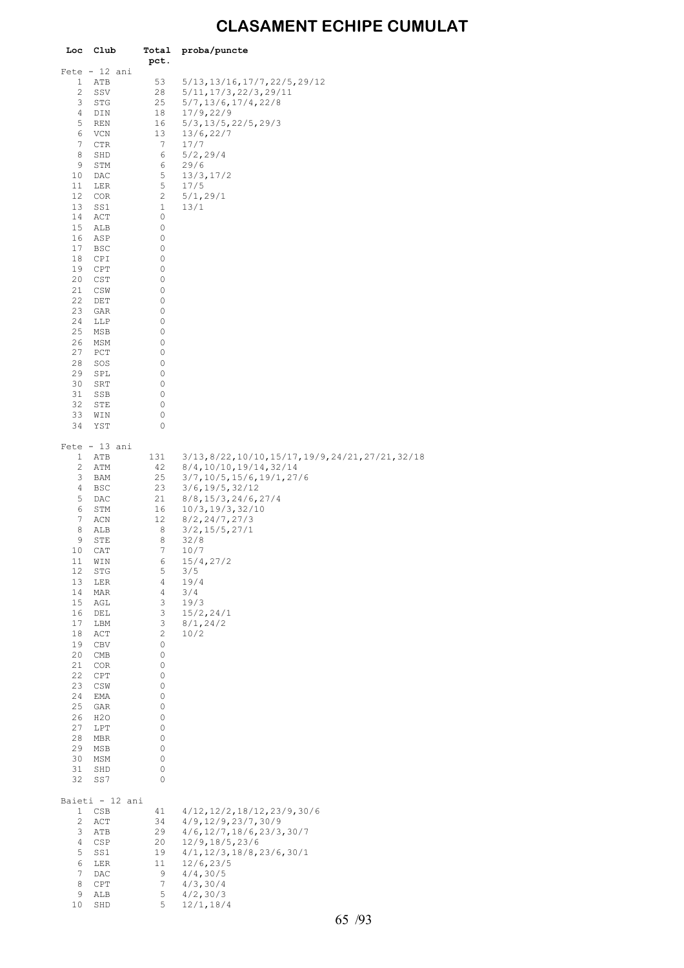## **CLASAMENT ECHIPE CUMULAT**

| Club             | Total                                                                                                                                                                                                                                                                                                                                           | proba/puncte                                                                                                                                                                                                                                                                    |
|------------------|-------------------------------------------------------------------------------------------------------------------------------------------------------------------------------------------------------------------------------------------------------------------------------------------------------------------------------------------------|---------------------------------------------------------------------------------------------------------------------------------------------------------------------------------------------------------------------------------------------------------------------------------|
|                  |                                                                                                                                                                                                                                                                                                                                                 |                                                                                                                                                                                                                                                                                 |
|                  |                                                                                                                                                                                                                                                                                                                                                 | 5/13, 13/16, 17/7, 22/5, 29/12                                                                                                                                                                                                                                                  |
|                  | 28                                                                                                                                                                                                                                                                                                                                              | 5/11, 17/3, 22/3, 29/11                                                                                                                                                                                                                                                         |
| <b>STG</b>       | 25                                                                                                                                                                                                                                                                                                                                              | 5/7, 13/6, 17/4, 22/8                                                                                                                                                                                                                                                           |
| DIN              | 18                                                                                                                                                                                                                                                                                                                                              | 17/9, 22/9                                                                                                                                                                                                                                                                      |
| REN              | 16                                                                                                                                                                                                                                                                                                                                              | $5/3$ , $13/5$ , $22/5$ , $29/3$                                                                                                                                                                                                                                                |
| <b>VCN</b>       | 13                                                                                                                                                                                                                                                                                                                                              | 13/6, 22/7                                                                                                                                                                                                                                                                      |
| <b>CTR</b>       | 7                                                                                                                                                                                                                                                                                                                                               | 17/7                                                                                                                                                                                                                                                                            |
| SHD              | 6                                                                                                                                                                                                                                                                                                                                               | 5/2, 29/4                                                                                                                                                                                                                                                                       |
|                  |                                                                                                                                                                                                                                                                                                                                                 | 29/6                                                                                                                                                                                                                                                                            |
|                  |                                                                                                                                                                                                                                                                                                                                                 | 13/3, 17/2                                                                                                                                                                                                                                                                      |
|                  |                                                                                                                                                                                                                                                                                                                                                 | 17/5                                                                                                                                                                                                                                                                            |
|                  |                                                                                                                                                                                                                                                                                                                                                 | 5/1, 29/1                                                                                                                                                                                                                                                                       |
|                  |                                                                                                                                                                                                                                                                                                                                                 | 13/1                                                                                                                                                                                                                                                                            |
|                  |                                                                                                                                                                                                                                                                                                                                                 |                                                                                                                                                                                                                                                                                 |
|                  |                                                                                                                                                                                                                                                                                                                                                 |                                                                                                                                                                                                                                                                                 |
|                  |                                                                                                                                                                                                                                                                                                                                                 |                                                                                                                                                                                                                                                                                 |
|                  | 0                                                                                                                                                                                                                                                                                                                                               |                                                                                                                                                                                                                                                                                 |
| CPT              | 0                                                                                                                                                                                                                                                                                                                                               |                                                                                                                                                                                                                                                                                 |
| CST              | 0                                                                                                                                                                                                                                                                                                                                               |                                                                                                                                                                                                                                                                                 |
| CSW              | 0                                                                                                                                                                                                                                                                                                                                               |                                                                                                                                                                                                                                                                                 |
| DET              | 0                                                                                                                                                                                                                                                                                                                                               |                                                                                                                                                                                                                                                                                 |
| GAR              | 0                                                                                                                                                                                                                                                                                                                                               |                                                                                                                                                                                                                                                                                 |
| LLP              |                                                                                                                                                                                                                                                                                                                                                 |                                                                                                                                                                                                                                                                                 |
| MSB              | 0                                                                                                                                                                                                                                                                                                                                               |                                                                                                                                                                                                                                                                                 |
| MSM              | 0                                                                                                                                                                                                                                                                                                                                               |                                                                                                                                                                                                                                                                                 |
|                  |                                                                                                                                                                                                                                                                                                                                                 |                                                                                                                                                                                                                                                                                 |
|                  |                                                                                                                                                                                                                                                                                                                                                 |                                                                                                                                                                                                                                                                                 |
|                  |                                                                                                                                                                                                                                                                                                                                                 |                                                                                                                                                                                                                                                                                 |
|                  |                                                                                                                                                                                                                                                                                                                                                 |                                                                                                                                                                                                                                                                                 |
|                  |                                                                                                                                                                                                                                                                                                                                                 |                                                                                                                                                                                                                                                                                 |
|                  |                                                                                                                                                                                                                                                                                                                                                 |                                                                                                                                                                                                                                                                                 |
|                  | 0                                                                                                                                                                                                                                                                                                                                               |                                                                                                                                                                                                                                                                                 |
|                  |                                                                                                                                                                                                                                                                                                                                                 |                                                                                                                                                                                                                                                                                 |
|                  |                                                                                                                                                                                                                                                                                                                                                 |                                                                                                                                                                                                                                                                                 |
|                  |                                                                                                                                                                                                                                                                                                                                                 | 3/13, 8/22, 10/10, 15/17, 19/9, 24/21, 27/21, 32/18                                                                                                                                                                                                                             |
|                  |                                                                                                                                                                                                                                                                                                                                                 | 8/4, 10/10, 19/14, 32/14<br>3/7, 10/5, 15/6, 19/1, 27/6                                                                                                                                                                                                                         |
|                  |                                                                                                                                                                                                                                                                                                                                                 | 3/6, 19/5, 32/12                                                                                                                                                                                                                                                                |
|                  |                                                                                                                                                                                                                                                                                                                                                 | $8/8$ , 15/3, 24/6, 27/4                                                                                                                                                                                                                                                        |
|                  |                                                                                                                                                                                                                                                                                                                                                 | 10/3, 19/3, 32/10                                                                                                                                                                                                                                                               |
| ACN              | 12                                                                                                                                                                                                                                                                                                                                              | 8/2, 24/7, 27/3                                                                                                                                                                                                                                                                 |
| ALB              | 8                                                                                                                                                                                                                                                                                                                                               | $3/2$ , $15/5$ , $27/1$                                                                                                                                                                                                                                                         |
| STE              | 8                                                                                                                                                                                                                                                                                                                                               | 32/8                                                                                                                                                                                                                                                                            |
| CAT              | 7                                                                                                                                                                                                                                                                                                                                               | 10/7                                                                                                                                                                                                                                                                            |
| WIN              | 6                                                                                                                                                                                                                                                                                                                                               | 15/4, 27/2                                                                                                                                                                                                                                                                      |
|                  |                                                                                                                                                                                                                                                                                                                                                 | 3/5                                                                                                                                                                                                                                                                             |
|                  |                                                                                                                                                                                                                                                                                                                                                 | 19/4                                                                                                                                                                                                                                                                            |
|                  |                                                                                                                                                                                                                                                                                                                                                 | 3/4<br>19/3                                                                                                                                                                                                                                                                     |
|                  |                                                                                                                                                                                                                                                                                                                                                 | 15/2, 24/1                                                                                                                                                                                                                                                                      |
|                  |                                                                                                                                                                                                                                                                                                                                                 | 8/1, 24/2                                                                                                                                                                                                                                                                       |
|                  |                                                                                                                                                                                                                                                                                                                                                 | 10/2                                                                                                                                                                                                                                                                            |
| CBV              | 0                                                                                                                                                                                                                                                                                                                                               |                                                                                                                                                                                                                                                                                 |
| CMB              | 0                                                                                                                                                                                                                                                                                                                                               |                                                                                                                                                                                                                                                                                 |
| COR              | 0                                                                                                                                                                                                                                                                                                                                               |                                                                                                                                                                                                                                                                                 |
| CPT              | 0                                                                                                                                                                                                                                                                                                                                               |                                                                                                                                                                                                                                                                                 |
| CSW              | 0                                                                                                                                                                                                                                                                                                                                               |                                                                                                                                                                                                                                                                                 |
| EMA              | 0                                                                                                                                                                                                                                                                                                                                               |                                                                                                                                                                                                                                                                                 |
| GAR              | 0                                                                                                                                                                                                                                                                                                                                               |                                                                                                                                                                                                                                                                                 |
| H <sub>2</sub> O | 0                                                                                                                                                                                                                                                                                                                                               |                                                                                                                                                                                                                                                                                 |
|                  |                                                                                                                                                                                                                                                                                                                                                 |                                                                                                                                                                                                                                                                                 |
|                  |                                                                                                                                                                                                                                                                                                                                                 |                                                                                                                                                                                                                                                                                 |
|                  |                                                                                                                                                                                                                                                                                                                                                 |                                                                                                                                                                                                                                                                                 |
|                  |                                                                                                                                                                                                                                                                                                                                                 |                                                                                                                                                                                                                                                                                 |
| SS7              | 0                                                                                                                                                                                                                                                                                                                                               |                                                                                                                                                                                                                                                                                 |
|                  |                                                                                                                                                                                                                                                                                                                                                 |                                                                                                                                                                                                                                                                                 |
|                  |                                                                                                                                                                                                                                                                                                                                                 |                                                                                                                                                                                                                                                                                 |
|                  |                                                                                                                                                                                                                                                                                                                                                 | 4/12, 12/2, 18/12, 23/9, 30/6                                                                                                                                                                                                                                                   |
|                  |                                                                                                                                                                                                                                                                                                                                                 | 4/9, 12/9, 23/7, 30/9<br>$4/6$ , $12/7$ , $18/6$ , $23/3$ , $30/7$                                                                                                                                                                                                              |
|                  |                                                                                                                                                                                                                                                                                                                                                 | $12/9$ , $18/5$ , $23/6$                                                                                                                                                                                                                                                        |
|                  |                                                                                                                                                                                                                                                                                                                                                 | 4/1, 12/3, 18/8, 23/6, 30/1                                                                                                                                                                                                                                                     |
|                  |                                                                                                                                                                                                                                                                                                                                                 | 12/6, 23/5                                                                                                                                                                                                                                                                      |
|                  |                                                                                                                                                                                                                                                                                                                                                 |                                                                                                                                                                                                                                                                                 |
| LER              | 9                                                                                                                                                                                                                                                                                                                                               |                                                                                                                                                                                                                                                                                 |
| DAC<br>CPT       | 7                                                                                                                                                                                                                                                                                                                                               | 4/4, 30/5<br>4/3, 30/4                                                                                                                                                                                                                                                          |
| ALB              | 5                                                                                                                                                                                                                                                                                                                                               | 4/2, 30/3                                                                                                                                                                                                                                                                       |
|                  | $Fete - 12 ani$<br>ATB<br>SSV<br>STM<br>DAC<br>LER<br>COR<br>SS1<br>ACT<br>ALB<br>ASP<br>BSC<br>CPI<br>PCT<br>SOS<br>SPL<br>SRT<br>SSB<br>STE<br>WIN<br>YST<br>$Fete - 13 ani$<br>ATB<br>ATM<br>BAM<br>BSC<br>DAC<br>STM<br>STG<br>LER<br>MAR<br>AGL<br>DEL<br>LBM<br>ACT<br>LPT<br>MBR<br>MSB<br>MSM<br>SHD<br>CSB<br>ACT<br>ATB<br>CSP<br>SS1 | pct.<br>53<br>6<br>5<br>5<br>$\mathbf{2}$<br>1<br>0<br>0<br>0<br>0<br>0<br>0<br>0<br>0<br>0<br>0<br>0<br>0<br>131<br>42<br>25<br>23<br>21<br>16<br>5<br>4<br>4<br>3<br>3<br>3<br>$\overline{c}$<br>0<br>0<br>0<br>0<br>0<br>Baieti - 12 ani<br>41<br>34<br>29<br>20<br>19<br>11 |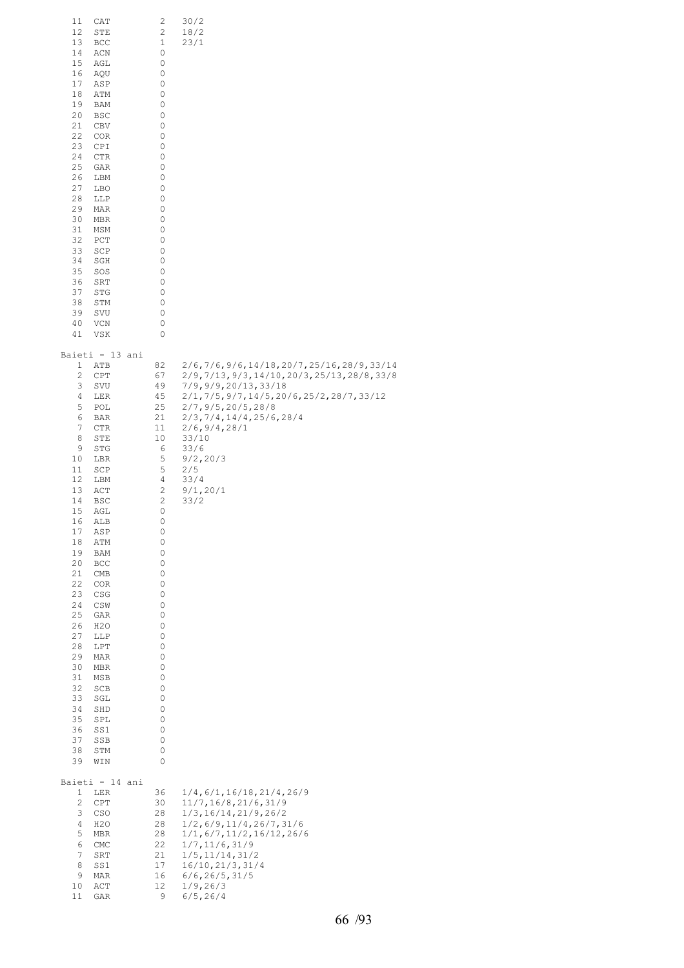| 11<br>12<br>13<br>14<br>15<br>16<br>17<br>18<br>19<br>20<br>21<br>22<br>23<br>24<br>25<br>26<br>27<br>28<br>29<br>30<br>31<br>32<br>33<br>34<br>35<br>36<br>37<br>38<br>39<br>40<br>41                                        | CAT<br>STE<br>BCC<br>ACN<br>AGL<br>AQU<br>ASP<br>ATM<br>BAM<br>BSC<br>CBV<br>COR<br>CPI<br>CTR<br>GAR<br>LBM<br>LBO<br>LLP<br>MAR<br>MBR<br>MSM<br>PCT<br>SCP<br>SGH<br>SOS<br>SRT<br>STG<br>STM<br>SVU<br>VCN<br>VSK                                                                                                    | 2<br>2<br>1<br>0<br>0<br>0<br>0<br>0<br>0<br>0<br>0<br>0<br>0<br>0<br>0<br>0<br>0<br>0<br>0<br>0<br>0<br>0<br>0<br>0<br>0<br>0<br>0<br>0<br>0<br>0<br>0                                                          | 30/2<br>18/2<br>23/1                                                                                                                                                                                                                                                                                              |
|-------------------------------------------------------------------------------------------------------------------------------------------------------------------------------------------------------------------------------|--------------------------------------------------------------------------------------------------------------------------------------------------------------------------------------------------------------------------------------------------------------------------------------------------------------------------|------------------------------------------------------------------------------------------------------------------------------------------------------------------------------------------------------------------|-------------------------------------------------------------------------------------------------------------------------------------------------------------------------------------------------------------------------------------------------------------------------------------------------------------------|
| 1<br>2<br>3<br>4<br>5<br>6<br>7<br>8<br>9<br>10<br>11<br>12<br>13<br>14<br>15<br>16<br>17<br>18<br>19<br>20<br>21<br>22<br>23<br>24<br>25<br>26<br>27<br>28<br>29<br>30<br>31<br>32<br>33<br>34<br>35<br>36<br>37<br>38<br>39 | Baieti - 13 ani<br>ATB<br>CPT<br>SVU<br>LER<br>POL<br>BAR<br>CTR<br>STE<br>STG<br>LBR<br>SCP<br>LBM<br>ACT<br>BSC<br>AGL<br>ALB<br>ASP<br>ATM<br>BAM<br>BCC<br>$\mathop{\rm CMB}\nolimits$<br>COR<br>CSG<br>CSW<br>GAR<br>H2O<br>LLP<br>LPT<br>MAR<br>MBR<br>MSB<br>SCB<br>SGL<br>SHD<br>SPL<br>SS1<br>SSB<br>STM<br>WIN | 82<br>67<br>49<br>45<br>25<br>21<br>11<br>10<br>6<br>5<br>5<br>4<br>2<br>$\sqrt{2}$<br>0<br>0<br>0<br>0<br>0<br>0<br>0<br>0<br>0<br>0<br>0<br>0<br>0<br>0<br>0<br>0<br>0<br>0<br>0<br>0<br>0<br>0<br>0<br>0<br>0 | $2/6, 7/6, 9/6, 14/18, 20/7, 25/16, 28/9, 33/14$<br>2/9,7/13,9/3,14/10,20/3,25/13,28/8,33/8<br>7/9, 9/9, 20/13, 33/18<br>$2/1, 7/5, 9/7, 14/5, 20/6, 25/2, 28/7, 33/12$<br>2/7, 9/5, 20/5, 28/8<br>2/3, 7/4, 14/4, 25/6, 28/4<br>2/6, 9/4, 28/1<br>33/10<br>33/6<br>9/2, 20/3<br>2/5<br>33/4<br>9/1, 20/1<br>33/2 |
| 1<br>$\mathbf{2}$<br>3<br>4<br>5<br>$\epsilon$<br>7<br>8<br>9<br>10<br>11                                                                                                                                                     | Baieti - 14 ani<br>LER<br>CPT<br>CSO<br>H2O<br>MBR<br>CMC<br>SRT<br>SS1<br>MAR<br>ACT<br>GAR                                                                                                                                                                                                                             | 36<br>30<br>28<br>28<br>28<br>22<br>21<br>17<br>16<br>12<br>9                                                                                                                                                    | 1/4, 6/1, 16/18, 21/4, 26/9<br>11/7, 16/8, 21/6, 31/9<br>1/3, 16/14, 21/9, 26/2<br>$1/2$ , 6/9, 11/4, 26/7, 31/6<br>1/1, 6/7, 11/2, 16/12, 26/6<br>1/7, 11/6, 31/9<br>$1/5$ , $11/14$ , $31/2$<br>16/10, 21/3, 31/4<br>6/6, 26/5, 31/5<br>1/9, 26/3<br>6/5, 26/4                                                  |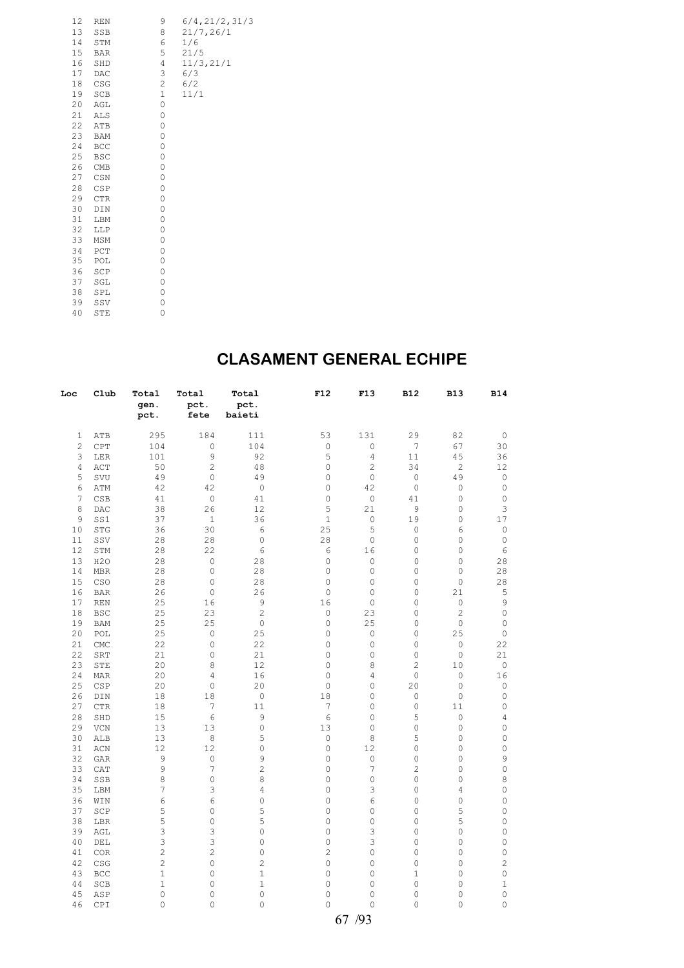| 12 | REN        | 9           | 6/4, 21/2, 31/3 |
|----|------------|-------------|-----------------|
| 13 | SSB        | 8           | 21/7, 26/1      |
| 14 | STM        | 6           | 1/6             |
| 15 | <b>BAR</b> | 5           | 21/5            |
| 16 | SHD        | 4           | 11/3, 21/1      |
| 17 | DAC        | 3           | 6/3             |
| 18 | CSG        | 2           | 6/2             |
| 19 | SCB        | $\mathbf 1$ | 11/1            |
| 20 | AGL        | 0           |                 |
| 21 | ALS        | 0           |                 |
| 22 | ATB        | 0           |                 |
| 23 | <b>BAM</b> | 0           |                 |
| 24 | BCC        | 0           |                 |
| 25 | <b>BSC</b> | 0           |                 |
| 26 | CMB        | 0           |                 |
| 27 | CSN        | 0           |                 |
| 28 | CSP        | 0           |                 |
| 29 | CTR        | 0           |                 |
| 30 | DIN        | 0           |                 |
| 31 | LBM        | 0           |                 |
| 32 | LLP        | 0           |                 |
| 33 | MSM        | 0           |                 |
| 34 | PCT        | 0           |                 |
| 35 | POL        | 0           |                 |
| 36 | SCP        | 0           |                 |
| 37 | SGL        | 0           |                 |
| 38 | SPL        | 0           |                 |
| 39 | SSV        | 0           |                 |
| 40 | STE        | 0           |                 |

#### **CLASAMENT GENERAL ECHIPE**

| Loc            | Club                      | Total<br>gen.<br>pct. | Total<br>pct.<br>fete      | Total<br>pct.<br>baieti | F12                 | F13                    | <b>B12</b>     | <b>B13</b>          | <b>B14</b>     |
|----------------|---------------------------|-----------------------|----------------------------|-------------------------|---------------------|------------------------|----------------|---------------------|----------------|
| 1              | ATB                       | 295                   | 184                        | 111                     | 53                  | 131                    | 29             | 82                  | 0              |
| $\overline{c}$ | CPT                       | 104                   | $\mathbb O$                | 104                     | 0                   | 0                      | 7              | 67                  | 30             |
| 3              | LER                       | 101                   | 9                          | 92                      | 5                   | $\overline{4}$         | 11             | 45                  | 36             |
| $\overline{4}$ | $\mathtt{ACT}$            | 50                    | $\mathbf{2}$               | 48                      | 0                   | $\mathbf{2}$           | 34             | $\overline{c}$      | 12             |
| 5              | SVU                       | 49                    | $\circ$                    | 49                      | 0                   | $\mathbb O$            | $\mathbb O$    | 49                  | 0              |
| 6              | ATM                       | 42                    | 42                         | $\circ$                 | 0                   | 42                     | $\circ$        | $\mathbb O$         | $\circ$        |
| 7              | CSB                       | 41                    | $\circ$                    | 41                      | 0                   | $\mathbb O$            | 41             | 0                   | $\circ$        |
| 8              | DAC                       | 38                    | 26                         | 12                      | 5                   | 21                     | 9              | $\circ$             | 3              |
| 9              | SS1                       | 37                    | $\mathbf{1}$               | 36                      | $\mathbf 1$         | $\mathbb O$            | 19             | 0                   | 17             |
| 10             | STG                       | 36                    | 30                         | 6                       | 25                  | 5                      | $\circ$        | 6                   | 0              |
| 11             | SSV                       | 28                    | 28                         | $\mathbb O$             | 28                  | $\mathbb O$            | 0              | 0                   | $\circ$        |
| 12             | STM                       | 28                    | 22                         | 6                       | 6                   | 16                     | 0              | $\mathbf 0$         | 6              |
| 13             | H2O                       | 28                    | $\mathbb O$                | 28                      | 0                   | $\circ$                | $\mathbb O$    | $\mathbf 0$         | 28             |
| 14             | <b>MBR</b>                | 28                    | $\mathbb O$                | 28                      | 0                   | $\circ$                | 0              | $\circ$             | 28             |
| 15             | CSO                       | 28                    | $\mathbb O$                | 28                      | 0                   | $\mathbf 0$            | 0              | $\mathbf 0$         | 28             |
| 16             | <b>BAR</b>                | 26                    | $\mathbb O$                | 26                      | $\mathsf{O}\xspace$ | $\circ$                | $\mathbb O$    | 21                  | 5              |
| 17             | <b>REN</b>                | 25                    | 16                         | 9                       | 16                  | $\mathbb O$            | 0              | $\mathbb O$         | 9              |
| 18             | <b>BSC</b>                | 25                    | 23                         | $\overline{c}$          | 0                   | 23                     | 0              | $\mathbf{2}$        | $\mathbb O$    |
| 19             | <b>BAM</b>                | 25                    | 25                         | $\mathbb O$             | 0                   | 25                     | $\mathbb O$    | $\circ$             | $\mathbb O$    |
| 20<br>21       | POL                       | 25<br>22              | $\mathbb O$<br>$\mathbb O$ | 25<br>22                | 0<br>0              | $\mathbb O$<br>$\circ$ | 0<br>0         | 25<br>$\mathbb O$   | $\circ$        |
| 22             | $\mathop{\rm CMC}$<br>SRT | 21                    | $\mathbb O$                | 21                      | 0                   | 0                      | $\mathbb O$    | $\circ$             | 22<br>21       |
| 23             | STE                       | 20                    | 8                          | 12                      | 0                   | 8                      | 2              | 10                  | $\circ$        |
| 24             | MAR                       | 20                    | $\overline{4}$             | 16                      | 0                   | $\overline{4}$         | $\mathbb O$    | $\mathbb O$         | 16             |
| 25             | CSP                       | 20                    | $\mathbb O$                | 20                      | 0                   | $\mathbf 0$            | 20             | $\mathbf 0$         | $\circ$        |
| 26             | DIN                       | 18                    | 18                         | $\mathbb O$             | 18                  | $\circ$                | $\mathbb O$    | $\circ$             | $\circ$        |
| 27             | $_{\rm CTR}$              | 18                    | $\boldsymbol{7}$           | 11                      | 7                   | $\mathbf 0$            | $\circ$        | 11                  | 0              |
| 28             | SHD                       | 15                    | 6                          | 9                       | 6                   | $\mathbf 0$            | 5              | $\circ$             | 4              |
| 29             | ${\tt VCN}$               | 13                    | 13                         | $\mathbb O$             | 13                  | $\circ$                | $\mathbb O$    | $\mathbf 0$         | 0              |
| 30             | ALB                       | 13                    | 8                          | 5                       | 0                   | 8                      | 5              | $\mathbf 0$         | 0              |
| 31             | ACN                       | 12                    | 12                         | 0                       | 0                   | 12                     | 0              | 0                   | 0              |
| 32             | <b>GAR</b>                | 9                     | $\mathbb O$                | $\mathsf 9$             | 0                   | $\mathbb O$            | 0              | 0                   | 9              |
| 33             | CAT                       | 9                     | $\overline{7}$             | $\overline{c}$          | 0                   | 7                      | $\overline{c}$ | $\circ$             | 0              |
| 34             | SSB                       | 8                     | $\mathbb O$                | 8                       | 0                   | $\circ$                | $\mathbb O$    | $\circ$             | 8              |
| 35             | LBM                       | 7                     | 3                          | 4                       | 0                   | 3                      | 0              | 4                   | 0              |
| 36             | WIN                       | 6                     | 6                          | $\mathsf{O}\xspace$     | 0                   | 6                      | $\mathbb O$    | $\mathsf{O}\xspace$ | 0              |
| 37             | SCP                       | 5                     | $\mathbb O$                | 5                       | $\circ$             | $\mathsf{O}\xspace$    | $\mathbb O$    | 5                   | 0              |
| 38             | LBR                       | 5                     | $\mathbf{0}$               | 5                       | 0                   | $\mathbf 0$            | 0              | 5                   | 0              |
| 39             | AGL                       | 3                     | 3                          | $\circ$                 | 0                   | 3                      | $\mathbb O$    | $\mathsf{O}\xspace$ | $\mathbb O$    |
| 40             | DEL                       | 3                     | 3                          | 0                       | 0                   | 3                      | 0              | 0                   | 0              |
| 41             | <b>COR</b>                | $\sqrt{2}$            | $\mathbf{2}$               | $\mathsf{O}\xspace$     | 2                   | 0                      | 0              | 0                   | 0              |
| 42             | CSG                       | $\sqrt{2}$            | $\mathbb O$                | $\overline{c}$          | 0                   | $\circ$                | 0              | $\circ$             | $\overline{c}$ |
| 43             | BCC                       | $\mathbf 1$           | 0                          | $\mathbf 1$             | 0                   | 0                      | 1              | 0                   | 0              |
| 44             | SCB                       | $1\,$                 | $\circ$                    | $1\,$                   | 0                   | $\circ$                | $\circ$        | 0                   | $1\,$          |
| 45             | ASP                       | $\circ$               | $\mathbf{0}$               | $\mathbf 0$             | 0                   | $\mathbf 0$            | $\circ$        | 0                   | 0              |
| 46             | CPI                       | $\mathbf 0$           | $\mathbf{0}$               | $\mathbf 0$             | 0                   | $\mathbf 0$            | 0              | $\mathbf 0$         | 0              |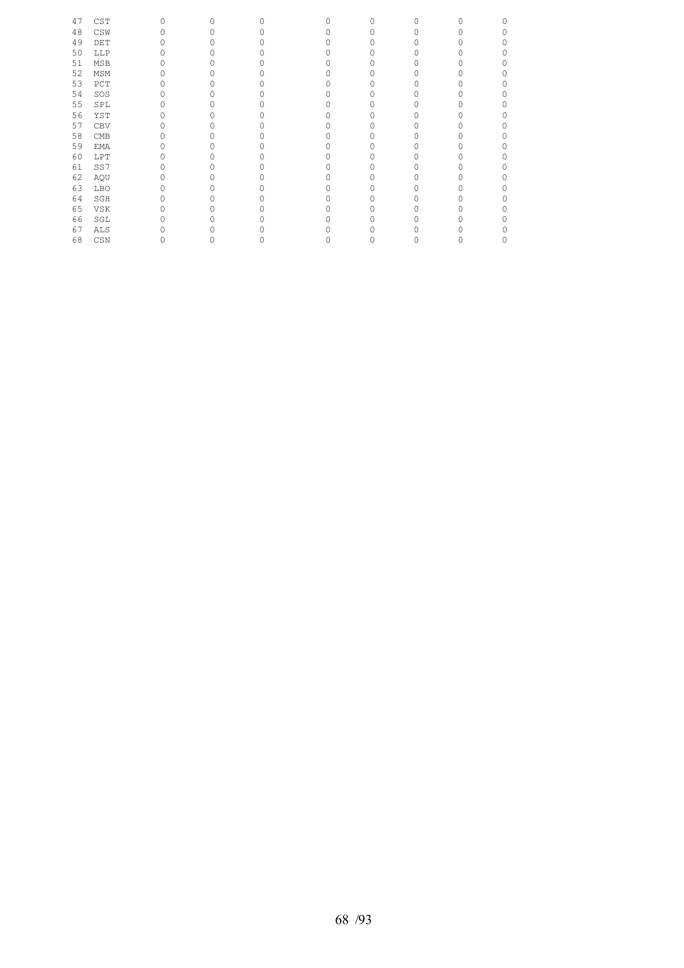| 47 | CST | 0 | $\circ$ | O | U | $\mathbf{0}$ | 0 | U | Λ |
|----|-----|---|---------|---|---|--------------|---|---|---|
| 48 | CSW |   |         |   |   | O            |   |   |   |
| 49 | DET |   |         |   |   | O            |   |   |   |
| 50 | LLP |   |         |   |   |              |   |   |   |
| 51 | MSB |   |         |   |   | O            |   |   |   |
| 52 | MSM |   |         |   |   | O            |   |   |   |
| 53 | PCT |   |         |   |   |              |   |   |   |
| 54 | SOS |   |         |   |   | O            |   |   |   |
| 55 | SPL |   |         |   |   | 0            |   |   |   |
| 56 | YST |   |         |   |   |              |   |   |   |
| 57 | CBV |   |         |   |   | O            |   |   |   |
| 58 | CMB |   |         |   |   | O            |   |   |   |
| 59 | EMA |   |         |   |   |              |   |   |   |
| 60 | LPT |   |         |   |   | Ω            |   |   |   |
| 61 | SS7 |   |         |   |   |              |   |   |   |
| 62 | AQU |   |         |   |   |              |   |   |   |
| 63 | LBO |   |         |   |   | O            |   |   |   |
| 64 | SGH |   |         |   |   | O            |   |   |   |
| 65 | VSK |   |         |   |   |              |   |   |   |
| 66 | SGL |   |         |   |   |              |   |   |   |
| 67 | ALS |   |         |   |   |              |   |   |   |
| 68 | CSN |   | 0       |   |   | 0            |   | 0 |   |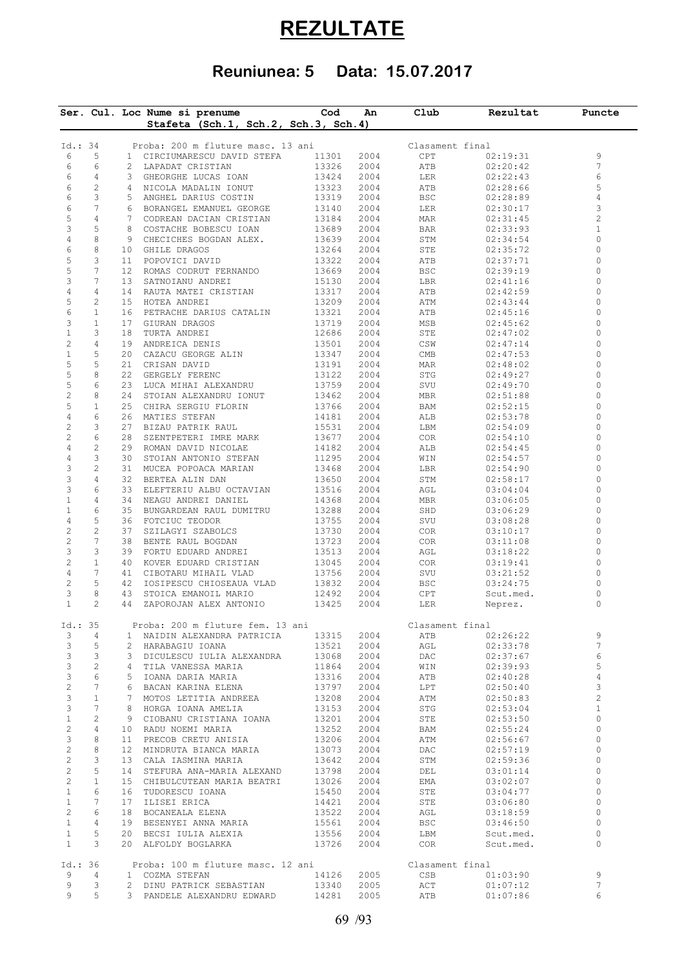# **REZULTATE**

# **Reuniunea: 5 Data: 15.07.2017**

|                           |                 | Ser. Cul. Loc Nume si prenume<br>Stafeta (Sch.1, Sch.2, Sch.3, Sch.4) | Cod            | An   | Club            | Rezultat  | Puncte         |
|---------------------------|-----------------|-----------------------------------------------------------------------|----------------|------|-----------------|-----------|----------------|
|                           |                 |                                                                       |                |      |                 |           |                |
| Id.: 34                   |                 | Proba: 200 m fluture masc. 13 ani                                     |                |      | Clasament final |           |                |
| 6                         | 5               | 1 CIRCIUMARESCU DAVID STEFA                                           | 11301          | 2004 | CPT             | 02:19:31  | 9              |
| 6                         | 6               | 2 LAPADAT CRISTIAN                                                    | 13326          | 2004 | ATB             | 02:20:42  | 7              |
| 6                         | $\overline{4}$  | 3 GHEORGHE LUCAS IOAN                                                 | 13424          | 2004 | LER             | 02:22:43  | 6              |
| 6                         | $\overline{c}$  | 4 NICOLA MADALIN IONUT                                                | 13323          | 2004 | ATB             | 02:28:66  | 5              |
| 6                         | 3               | 5 ANGHEL DARIUS COSTIN                                                | 13319          | 2004 | BSC             | 02:28:89  | 4              |
| 6                         | $7\phantom{.0}$ | 6 BORANGEL EMANUEL GEORGE                                             | 13140          | 2004 | LER             | 02:30:17  | 3              |
| 5                         | $\overline{4}$  | 7 CODREAN DACIAN CRISTIAN                                             | 13184          | 2004 | MAR             | 02:31:45  | $\overline{c}$ |
| 3                         | 5               | 8 COSTACHE BOBESCU IOAN                                               | 13689          | 2004 | BAR             | 02:33:93  | $\mathbf 1$    |
| 4                         | 8               | 9 CHECICHES BOGDAN ALEX.                                              | 13639          | 2004 | STM             | 02:34:54  | 0              |
| 6                         | 8               | 10 GHILE DRAGOS                                                       | 13264          | 2004 | STE             | 02:35:72  | 0              |
| 5                         | 3               | 11 POPOVICI DAVID                                                     | 13322          | 2004 | ATB             | 02:37:71  | 0              |
| 5                         | 7               | 12 ROMAS CODRUT FERNANDO                                              | 13669          | 2004 | BSC             | 02:39:19  | 0              |
| 3                         | 7               | 13 SATNOIANU ANDREI                                                   | 15130          | 2004 | LBR             | 02:41:16  | 0              |
| 4                         | 4               | 14 RAUTA MATEI CRISTIAN                                               | 13317          | 2004 | ATB             | 02:42:59  | 0              |
| 5                         | $\overline{c}$  | 15 HOTEA ANDREI                                                       | 13209          | 2004 | ATM             | 02:43:44  | 0              |
| 6                         | $\mathbf{1}$    | 16 PETRACHE DARIUS CATALIN                                            | 13321          | 2004 |                 |           | 0              |
|                           |                 |                                                                       |                |      | ATB             | 02:45:16  | 0              |
| 3                         | $\mathbf{1}$    | 17 GIURAN DRAGOS                                                      | 13719          | 2004 | MSB             | 02:45:62  |                |
| $1\,$                     | 3               | 18 TURTA ANDREI                                                       | 12686          | 2004 | STE             | 02:47:02  | 0              |
| $\mathbf{2}$              | $\overline{4}$  | 19 ANDREICA DENIS                                                     | 13501          | 2004 | CSW             | 02:47:14  | 0              |
| $\,1$                     | 5               | 20 CAZACU GEORGE ALIN                                                 | 13347          | 2004 | CMB             | 02:47:53  | $\circ$        |
| 5                         | 5               | 21 CRISAN DAVID                                                       | 13191          | 2004 | MAR             | 02:48:02  | 0              |
| 5                         | 8               | 22 GERGELY FERENC                                                     | 13122          | 2004 | STG             | 02:49:27  | 0              |
| 5                         | 6               | 23 LUCA MIHAI ALEXANDRU                                               | 13759          | 2004 | SVU             | 02:49:70  | 0              |
| $\overline{c}$            | 8               | 24 STOIAN ALEXANDRU IONUT                                             | 13462          | 2004 | MBR             | 02:51:88  | 0              |
| $\mathsf S$               | $\mathbf{1}$    | 25 CHIRA SERGIU FLORIN                                                | 13766          | 2004 | BAM             | 02:52:15  | 0              |
| $\overline{4}$            | 6               | 26 MATIES STEFAN                                                      | 14181          | 2004 | ALB             | 02:53:78  | 0              |
| $\sqrt{2}$                | 3               | 27 BIZAU PATRIK RAUL                                                  | 15531          | 2004 | LBM             | 02:54:09  | 0              |
| $\overline{c}$            | 6               | 28 SZENTPETERI IMRE MARK                                              | 13677          | 2004 | COR             | 02:54:10  | $\circ$        |
| $\sqrt{4}$                | $\mathbf{2}$    | 29 ROMAN DAVID NICOLAE                                                | 14182          | 2004 | ALB             | 02:54:45  | 0              |
| $\overline{4}$            | 3               | 30 STOIAN ANTONIO STEFAN                                              | 11295          | 2004 | WIN             | 02:54:57  | 0              |
| 3                         | $\mathbf{2}$    |                                                                       |                |      |                 |           | 0              |
|                           |                 | 31 MUCEA POPOACA MARIAN                                               | 13468          | 2004 | LBR             | 02:54:90  |                |
| 3                         | $\overline{4}$  | 32 BERTEA ALIN DAN                                                    | 13650          | 2004 | STM             | 02:58:17  | $\circ$        |
| 3                         | 6               | 33 ELEFTERIU ALBU OCTAVIAN                                            | 13516          | 2004 | AGL             | 03:04:04  | 0              |
| $\mathbf{1}$              | 4               | 34 NEAGU ANDREI DANIEL                                                | 14368          | 2004 | MBR             | 03:06:05  | 0              |
| $\mathbf 1$               | 6               | 35 BUNGARDEAN RAUL DUMITRU                                            | 13288          | 2004 | SHD             | 03:06:29  | 0              |
| $\overline{4}$            | 5               | 36 FOTCIUC TEODOR                                                     | 13755          | 2004 | SVU             | 03:08:28  | 0              |
| $\sqrt{2}$                | $\overline{c}$  | 37 SZILAGYI SZABOLCS                                                  | 13730          | 2004 | COR             | 03:10:17  | 0              |
| $\sqrt{2}$                | 7               | 38 BENTE RAUL BOGDAN                                                  | 13723          | 2004 | COR             | 03:11:08  | 0              |
| $\ensuremath{\mathsf{3}}$ | 3               | 39 FORTU EDUARD ANDREI                                                | 13513          | 2004 | AGL             | 03:18:22  | 0              |
| $\sqrt{2}$                | $\mathbf{1}$    | 40 KOVER EDUARD CRISTIAN                                              | 13045          | 2004 | COR             | 03:19:41  | 0              |
| 4                         | 7               | 41 CIBOTARU MIHAIL VLAD                                               | 13756          | 2004 | SVU             | 03:21:52  | 0              |
| $\sqrt{2}$                | 5               | 42 IOSIPESCU CHIOSEAUA VLAD                                           | 13832          | 2004 | BSC             | 03:24:75  | 0              |
| 3                         | 8               | 43 STOICA EMANOIL MARIO                                               | 12492          | 2004 | CPT             | Scut.med. | 0              |
| $\mathbf{1}$              | 2               | 44 ZAPOROJAN ALEX ANTONIO                                             | 13425          | 2004 | LER             | Neprez.   | $\circ$        |
|                           |                 |                                                                       |                |      |                 |           |                |
| Id.: 35                   |                 | Proba: 200 m fluture fem. 13 ani                                      |                |      | Clasament final |           |                |
| 3                         | 4               | 1 NAIDIN ALEXANDRA PATRICIA                                           | 13315          | 2004 | ATB             | 02:26:22  | 9              |
| 3                         | 5               | 2 HARABAGIU IOANA                                                     | 13521          | 2004 | AGL             | 02:33:78  | 7              |
| 3                         | 3               | 3 DICULESCU IULIA ALEXANDRA                                           | 13068          | 2004 | DAC             | 02:37:67  | 6              |
| 3                         | 2               | 4 TILA VANESSA MARIA                                                  | 11864          | 2004 | WIN             | 02:39:93  | 5              |
|                           |                 |                                                                       | 13316          |      |                 |           | $\sqrt{4}$     |
| 3                         | 6               | 5 IOANA DARIA MARIA                                                   |                | 2004 | ATB             | 02:40:28  |                |
| $\sqrt{2}$                | 7               | 6 BACAN KARINA ELENA                                                  | 13797          | 2004 | LPT             | 02:50:40  | 3              |
| 3                         | $\mathbf{1}$    | 7 MOTOS LETITIA ANDREEA                                               | 13208          | 2004 | ATM             | 02:50:83  | $\sqrt{2}$     |
| 3                         | 7               | 8 HORGA IOANA AMELIA                                                  | 13153          | 2004 | STG             | 02:53:04  | $\mathbf{1}$   |
| $\mathbf{1}$              | 2               | 9 CIOBANU CRISTIANA IOANA                                             | 13201          | 2004 | STE             | 02:53:50  | $\circ$        |
| $\mathbf{2}$              | 4               | 10 RADU NOEMI MARIA                                                   | 13252          | 2004 | BAM             | 02:55:24  | 0              |
| 3                         | 8               | 11 PRECOB CRETU ANISIA                                                | 13206          | 2004 | ATM             | 02:56:67  | $\mathbb O$    |
| $\sqrt{2}$                | 8               | 12 MINDRUTA BIANCA MARIA                                              | 13073          | 2004 | DAC             | 02:57:19  | 0              |
| $\sqrt{2}$                | 3               | 13 CALA IASMINA MARIA                                                 | 13642          | 2004 | STM             | 02:59:36  | 0              |
| $\mathbf{2}$              | 5               | 14 STEFURA ANA-MARIA ALEXAND                                          | 13798          | 2004 | DEL             | 03:01:14  | 0              |
| $\mathbf{2}$              | $\mathbf{1}$    | 15 CHIBULCUTEAN MARIA BEATRI                                          | 13026          | 2004 | EMA             | 03:02:07  | $\mathbf{0}$   |
| $\mathbf{1}$              | 6               | 16 TUDORESCU IOANA                                                    | 15450          | 2004 | STE             | 03:04:77  | 0              |
| $\mathbf{1}$              | 7               | 17 ILISEI ERICA                                                       | 14421          | 2004 | STE             | 03:06:80  | 0              |
| $\mathbf{2}$              | 6               |                                                                       |                | 2004 |                 |           | 0              |
|                           |                 | 18 BOCANEALA ELENA                                                    | 13522          |      | AGL             | 03:18:59  |                |
| $\mathbf{1}$              | 4               | 19 BESENYEI ANNA MARIA                                                | 15561          | 2004 | BSC             | 03:46:50  | 0              |
| $\mathbf{1}$              | 5               | 20 BECSI IULIA ALEXIA                                                 | 13556          | 2004 | LBM             | Scut.med. | 0              |
| $\mathbf{1}$              | 3               | 20 ALFOLDY BOGLARKA                                                   | 13726          | 2004 | COR             | Scut.med. | 0              |
|                           |                 |                                                                       |                |      |                 |           |                |
| Id.: 36                   |                 | Proba: 100 m fluture masc. 12 ani                                     |                |      | Clasament final |           |                |
|                           | $\overline{4}$  | 1 COZMA STEFAN                                                        | 14126          | 2005 | CSB             | 01:03:90  | 9              |
| 9                         |                 | 2 DINU PATRICK SEBASTIAN                                              |                | 2005 | ACT             | 01:07:12  | 7              |
| 9<br>9                    | 3<br>5          | 3 PANDELE ALEXANDRU EDWARD                                            | 13340<br>14281 | 2005 | ATB             | 01:07:86  | 6              |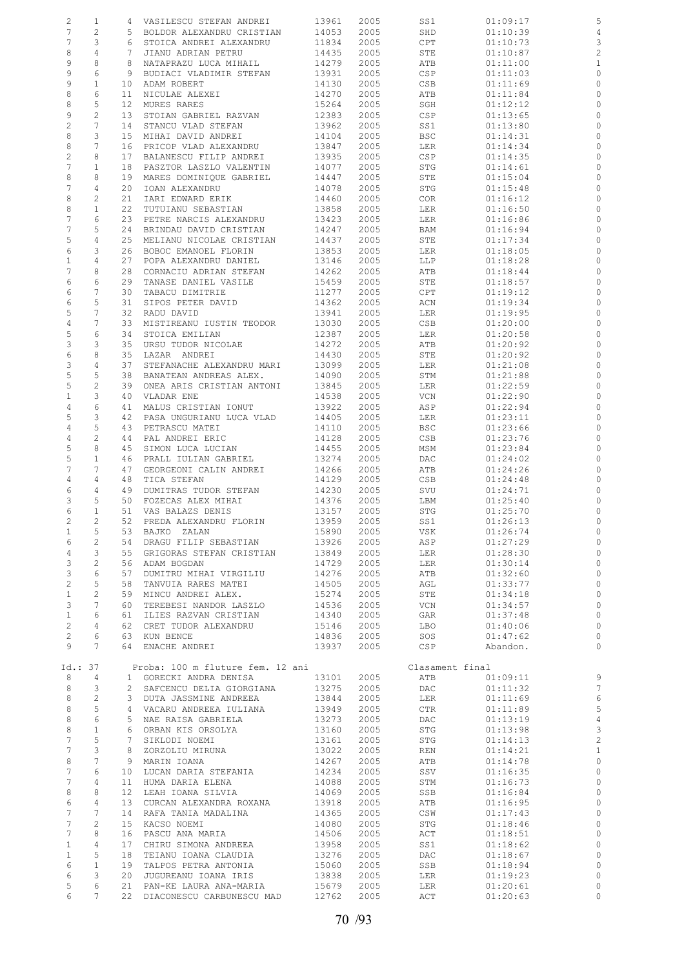| 2              | 1                |                 | 4 VASILESCU STEFAN ANDREI                           | 13961          | 2005         | SS1             | 01:09:17             | 5                       |
|----------------|------------------|-----------------|-----------------------------------------------------|----------------|--------------|-----------------|----------------------|-------------------------|
| 7              | 2                | 5               | BOLDOR ALEXANDRU CRISTIAN                           | 14053          | 2005         | SHD             | 01:10:39             | $\overline{4}$          |
|                |                  |                 | STOICA ANDREI ALEXANDRU                             |                |              |                 |                      |                         |
| 7              | 3                | 6               |                                                     | 11834          | 2005         | CPT             | 01:10:73             | 3                       |
| 8              | $\overline{4}$   | 7               | JIANU ADRIAN PETRU                                  | 14435          | 2005         | STE             | 01:10:87             | $\overline{c}$          |
| 9              | 8                | 8               | NATAPRAZU LUCA MIHAIL                               | 14279          | 2005         | ATB             | 01:11:00             | $\mathbf 1$             |
| 9              | 6                | 9               | BUDIACI VLADIMIR STEFAN                             | 13931          | 2005         | CSP             | 01:11:03             | $\circ$                 |
| 9              | $\mathbf{1}$     | 10              | ADAM ROBERT                                         | 14130          | 2005         | CSB             | 01:11:69             | $\circ$                 |
| 8              | 6                | 11              | NICULAE ALEXEI                                      | 14270          | 2005         | ATB             | 01:11:84             | 0                       |
| 8              | 5                | 12 <sup>°</sup> | MURES RARES                                         | 15264          | 2005         | SGH             | 01:12:12             | 0                       |
| 9              | $\overline{c}$   | 13              | STOIAN GABRIEL RAZVAN                               | 12383          | 2005         | CSP             | 01:13:65             | $\circ$                 |
|                |                  |                 |                                                     |                |              |                 |                      |                         |
| $\overline{c}$ | 7                | 14              | STANCU VLAD STEFAN                                  | 13962          | 2005         | SS1             | 01:13:80             | 0                       |
| 8              | 3                | 15              | MIHAI DAVID ANDREI                                  | 14104          | 2005         | <b>BSC</b>      | 01:14:31             | $\circ$                 |
| 8              | 7                | 16              | PRICOP VLAD ALEXANDRU                               | 13847          | 2005         | LER             | 01:14:34             | 0                       |
| $\overline{c}$ | 8                | 17              | BALANESCU FILIP ANDREI                              | 13935          | 2005         | CSP             | 01:14:35             | 0                       |
| $\overline{7}$ | $\mathbf{1}$     | 18              | PASZTOR LASZLO VALENTIN                             | 14077          | 2005         | STG             | 01:14:61             | 0                       |
| 8              | 8                | 19              | MARES DOMINIQUE GABRIEL                             | 14447          | 2005         | STE             | 01:15:04             | 0                       |
|                |                  |                 |                                                     |                |              |                 |                      |                         |
| 7              | 4                | 20              | IOAN ALEXANDRU                                      | 14078          | 2005         | STG             | 01:15:48             | $\circ$                 |
| 8              | 2                | 21              | IARI EDWARD ERIK                                    | 14460          | 2005         | COR             | 01:16:12             | 0                       |
| 8              | $\mathbf{1}$     | 22              | TUTUIANU SEBASTIAN                                  | 13858          | 2005         | LER             | 01:16:50             | $\circ$                 |
| 7              | 6                | 23              | PETRE NARCIS ALEXANDRU                              | 13423          | 2005         | LER             | 01:16:86             | 0                       |
| 7              | 5                | 24              | BRINDAU DAVID CRISTIAN                              | 14247          | 2005         | BAM             | 01:16:94             | 0                       |
| 5              | 4                | 25              | MELIANU NICOLAE CRISTIAN                            | 14437          | 2005         | STE             | 01:17:34             | $\circ$                 |
| 6              | 3                | 26              | BOBOC EMANOEL FLORIN                                | 13853          | 2005         | LER             | 01:18:05             | 0                       |
| $\mathbf{1}$   | 4                | 27              | POPA ALEXANDRU DANIEL                               | 13146          | 2005         | LLP             | 01:18:28             | $\circ$                 |
|                |                  |                 |                                                     |                |              |                 |                      |                         |
| 7              | 8                | 28              | CORNACIU ADRIAN STEFAN                              | 14262          | 2005         | ATB             | 01:18:44             | $\circ$                 |
| 6              | 6                | 29              | TANASE DANIEL VASILE                                | 15459          | 2005         | STE             | 01:18:57             | 0                       |
| 6              | 7                | 30              | TABACU DIMITRIE                                     | 11277          | 2005         | CPT             | 01:19:12             | 0                       |
| 6              | 5                | 31              | SIPOS PETER DAVID                                   | 14362          | 2005         | ACN             | 01:19:34             | 0                       |
| 5              | 7                | 32              | RADU DAVID                                          | 13941          | 2005         | LER             | 01:19:95             | $\circ$                 |
| $\overline{4}$ | 7                | 33              | MISTIREANU IUSTIN TEODOR                            | 13030          | 2005         | CSB             | 01:20:00             | 0                       |
|                |                  |                 |                                                     |                |              |                 |                      |                         |
| 5              | 6                | 34              | STOICA EMILIAN                                      | 12387          | 2005         | LER             | 01:20:58             | 0                       |
| 3              | 3                | 35              | URSU TUDOR NICOLAE                                  | 14272          | 2005         | ATB             | 01:20:92             | 0                       |
| $\epsilon$     | 8                | 35              | LAZAR ANDREI                                        | 14430          | 2005         | STE             | 01:20:92             | $\circ$                 |
| 3              | $\overline{4}$   | 37              | STEFANACHE ALEXANDRU MARI                           | 13099          | 2005         | LER             | 01:21:08             | 0                       |
| $\mathsf S$    | 5                | 38              | BANATEAN ANDREAS ALEX.                              | 14090          | 2005         | STM             | 01:21:88             | $\circ$                 |
| 5              | $\overline{c}$   | 39              | ONEA ARIS CRISTIAN ANTONI                           | 13845          | 2005         | LER             | 01:22:59             | 0                       |
| $\mathbf 1$    | 3                | 40              | VLADAR ENE                                          | 14538          | 2005         | VCN             | 01:22:90             | 0                       |
|                |                  |                 |                                                     |                |              |                 |                      |                         |
| 4              | 6                | 41              | MALUS CRISTIAN IONUT                                | 13922          | 2005         | ASP             | 01:22:94             | 0                       |
| 5              | 3                | 42              | PASA UNGURIANU LUCA VLAD                            | 14405          | 2005         | LER             | 01:23:11             | $\circ$                 |
| 4              | 5                | 43              | PETRASCU MATEI                                      | 14110          | 2005         | <b>BSC</b>      | 01:23:66             | 0                       |
| 4              | $\overline{c}$   | 44              | PAL ANDREI ERIC                                     | 14128          | 2005         | CSB             | 01:23:76             | $\circ$                 |
| 5              | 8                | 45              | SIMON LUCA LUCIAN                                   | 14455          | 2005         | MSM             | 01:23:84             | 0                       |
| 5              | $\mathbf{1}$     | 46              | PRALL IULIAN GABRIEL                                | 13274          | 2005         | DAC             | 01:24:02             | $\circ$                 |
| 7              | 7                | 47              | GEORGEONI CALIN ANDREI                              | 14266          | 2005         | ATB             | 01:24:26             | 0                       |
|                |                  |                 |                                                     | 14129          |              |                 |                      |                         |
| 4              | 4                | 48              | TICA STEFAN                                         |                | 2005         | CSB             | 01:24:48             | 0                       |
| 6              | 4                | 49              | DUMITRAS TUDOR STEFAN                               | 14230          | 2005         | SVU             | 01:24:71             | 0                       |
| 3              | 5                | 50              | FOZECAS ALEX MIHAI                                  | 14376          | 2005         | LBM             | 01:25:40             | 0                       |
| 6              | $\mathbf{1}$     | 51              | VAS BALAZS DENIS                                    | 13157          | 2005         | STG             | 01:25:70             | $\circ$                 |
| 2              | $\overline{2}$   | 52              | PREDA ALEXANDRU FLORIN                              | 13959          | 2005         | SS1             | 01:26:13             | $\circ$                 |
| 1              | 5                | 53              | BAJKO ZALAN                                         | 15890          | 2005         | VSK             | 01:26:74             | 0                       |
| 6              | 2                | 54              | DRAGU FILIP SEBASTIAN                               | 13926          | 2005         | ASP             | 01:27:29             | $\circ$                 |
|                | 3                | 55              |                                                     |                |              |                 | 01:28:30             | $\circ$                 |
| $\overline{4}$ |                  |                 | GRIGORAS STEFAN CRISTIAN                            | 13849          | 2005         | LER             |                      |                         |
| 3              | 2                | 56              | ADAM BOGDAN                                         | 14729          | 2005         | LER             | 01:30:14             | $\circ$                 |
| 3              | 6                | 57              | DUMITRU MIHAI VIRGILIU                              | 14276          | 2005         | ATB             | 01:32:60             | $\circ$                 |
| $\overline{c}$ | 5                | 58              | TANVUIA RARES MATEI                                 | 14505          | 2005         | AGL             | 01:33:77             | $\circ$                 |
| $\mathbf{1}$   | $\mathbf{2}$     | 59              | MINCU ANDREI ALEX.                                  | 15274          | 2005         | STE             | 01:34:18             | $\circ$                 |
| 3              | 7                | 60              | TEREBESI NANDOR LASZLO                              | 14536          | 2005         | VCN             | 01:34:57             | $\circ$                 |
| $\mathbf{1}$   | 6                | 61              | ILIES RAZVAN CRISTIAN                               | 14340          | 2005         | GAR             | 01:37:48             | $\circ$                 |
| $\overline{c}$ | 4                | 62              | CRET TUDOR ALEXANDRU                                | 15146          | 2005         | LBO             | 01:40:06             | $\circ$                 |
|                |                  |                 |                                                     |                |              |                 |                      |                         |
| $\overline{c}$ | 6                | 63              | KUN BENCE                                           | 14836          | 2005         | SOS             | 01:47:62             | $\circ$                 |
| 9              | 7                | 64              | ENACHE ANDREI                                       | 13937          | 2005         | CSP             | Abandon.             | $\circ$                 |
|                |                  |                 |                                                     |                |              |                 |                      |                         |
| Id.: 37        |                  |                 | Proba: 100 m fluture fem. 12 ani                    |                |              | Clasament final |                      |                         |
| 8              | 4                |                 | 1 GORECKI ANDRA DENISA                              | 13101          | 2005         | ATB             | 01:09:11             | 9                       |
| 8              | 3                | $\mathbf{2}^-$  | SAFCENCU DELIA GIORGIANA                            | 13275          | 2005         | DAC             | 01:11:32             | $\overline{7}$          |
|                | 2                | 3               | DUTA JASSMINE ANDREEA                               | 13844          | 2005         | LER             | 01:11:69             | 6                       |
|                |                  |                 |                                                     |                |              |                 | 01:11:89             | 5                       |
| 8              |                  |                 |                                                     |                |              |                 |                      |                         |
| 8              | 5                | 4               | VACARU ANDREEA IULIANA                              | 13949          | 2005         | CTR             |                      |                         |
| 8              | $\epsilon$       | 5               | NAE RAISA GABRIELA                                  | 13273          | 2005         | DAC             | 01:13:19             | $\overline{4}$          |
| 8              | $\mathbf{1}$     | 6               | ORBAN KIS ORSOLYA                                   | 13160          | 2005         | STG             | 01:13:98             | 3                       |
| 7              | 5                | 7               | SIKLODI NOEMI                                       | 13161          | 2005         | STG             | 01:14:13             | $\overline{\mathbf{c}}$ |
| 7              | 3                | 8               | ZORZOLIU MIRUNA                                     | 13022          | 2005         | REN             | 01:14:21             | $\mathbf{1}$            |
| 8              | 7                | 9               | MARIN IOANA                                         | 14267          | 2005         | ATB             | 01:14:78             | $\circ$                 |
| 7              | 6                | 10              |                                                     |                |              |                 |                      | $\circ$                 |
|                |                  |                 | LUCAN DARIA STEFANIA                                | 14234          | 2005         | SSV             | 01:16:35             |                         |
| 7              | 4                | 11              | HUMA DARIA ELENA                                    | 14088          | 2005         | STM             | 01:16:73             | $\circ$                 |
| 8              | 8                | 12 <sup>°</sup> | LEAH IOANA SILVIA                                   | 14069          | 2005         | SSB             | 01:16:84             | $\circ$                 |
| 6              | 4                | 13              | CURCAN ALEXANDRA ROXANA                             | 13918          | 2005         | ATB             | 01:16:95             | $\circ$                 |
| 7              | 7                | 14              | RAFA TANIA MADALINA                                 | 14365          | 2005         | CSW             | 01:17:43             | $\circ$                 |
| 7              | 2                | 15              | KACSO NOEMI                                         | 14080          | 2005         | STG             | 01:18:46             | $\circ$                 |
| 7              | 8                | 16              | PASCU ANA MARIA                                     | 14506          | 2005         | ACT             | 01:18:51             | $\circ$                 |
|                | 4                | 17              |                                                     |                |              |                 |                      | $\circ$                 |
| $\mathbf{1}$   |                  |                 | CHIRU SIMONA ANDREEA                                | 13958          | 2005         | SS1             | 01:18:62             |                         |
| $\mathbf{1}$   | 5                | 18              | TEIANU IOANA CLAUDIA                                | 13276          | 2005         | DAC             | 01:18:67             | $\circ$                 |
| 6              | $\mathbf 1$      | 19              | TALPOS PETRA ANTONIA                                | 15060          | 2005         | SSB             | 01:18:94             | $\circ$                 |
| 6              | 3                | 20              | JUGUREANU IOANA IRIS                                | 13838          | 2005         | LER             | 01:19:23             | $\circ$                 |
| 5<br>6         | 6<br>$7^{\circ}$ | 21<br>22        | PAN-KE LAURA ANA-MARIA<br>DIACONESCU CARBUNESCU MAD | 15679<br>12762 | 2005<br>2005 | LER<br>ACT      | 01:20:61<br>01:20:63 | $\circ$<br>$\circ$      |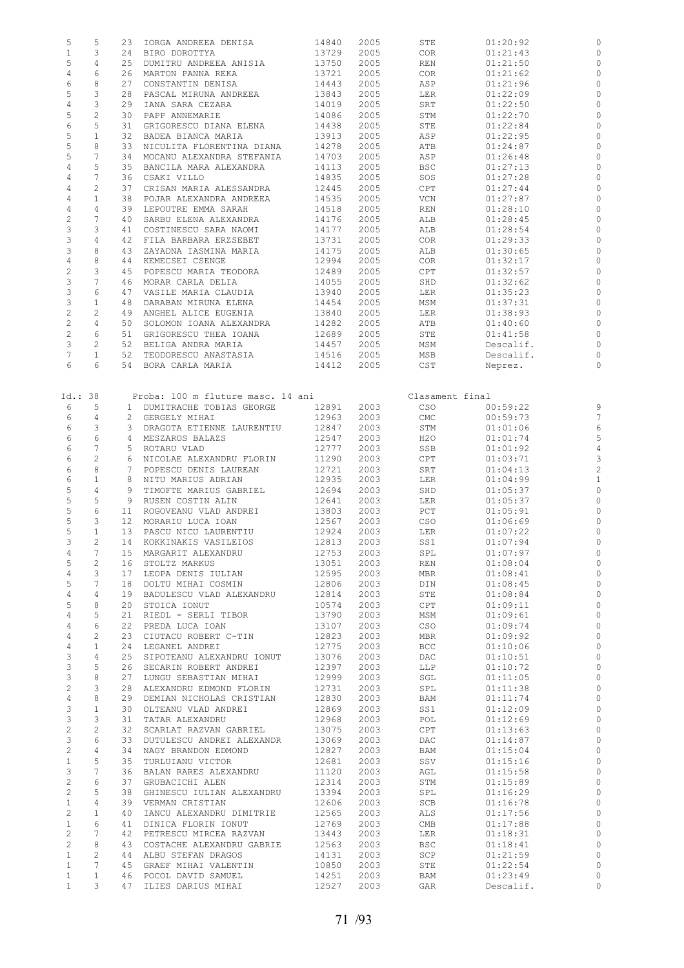| 5              | 5               | 23 | IORGA ANDREEA DENISA              | 14840 | 2005 | STE             | 01:20:92  | 0                       |
|----------------|-----------------|----|-----------------------------------|-------|------|-----------------|-----------|-------------------------|
| $\mathbf{1}$   | 3               | 24 | BIRO DOROTTYA                     | 13729 | 2005 | COR             | 01:21:43  | $\circ$                 |
|                |                 |    |                                   |       |      |                 |           |                         |
| 5              | 4               | 25 | DUMITRU ANDREEA ANISIA            | 13750 | 2005 | REN             | 01:21:50  | 0                       |
| $\overline{4}$ | 6               | 26 | MARTON PANNA REKA                 | 13721 | 2005 | COR             | 01:21:62  | 0                       |
| 6              | 8               | 27 | CONSTANTIN DENISA                 | 14443 | 2005 | ASP             | 01:21:96  | $\circ$                 |
|                |                 |    |                                   |       |      |                 |           |                         |
| 5              | 3               | 28 | PASCAL MIRUNA ANDREEA             | 13843 | 2005 | LER             | 01:22:09  | $\circ$                 |
| $\overline{4}$ | 3               | 29 | IANA SARA CEZARA                  | 14019 | 2005 | SRT             | 01:22:50  | $\circ$                 |
| 5              | $\mathbf{2}$    | 30 | PAPP ANNEMARIE                    | 14086 | 2005 | STM             | 01:22:70  | 0                       |
|                |                 |    |                                   |       |      |                 |           |                         |
| 6              | 5               | 31 | GRIGORESCU DIANA ELENA            | 14438 | 2005 | STE             | 01:22:84  | 0                       |
| 5              | $\mathbf{1}$    | 32 | BADEA BIANCA MARIA                | 13913 | 2005 | ASP             | 01:22:95  | $\circ$                 |
| 5              | 8               | 33 | NICULITA FLORENTINA DIANA         | 14278 | 2005 | ATB             | 01:24:87  | 0                       |
|                |                 |    |                                   |       |      |                 |           |                         |
| 5              | 7               | 34 | MOCANU ALEXANDRA STEFANIA         | 14703 | 2005 | ASP             | 01:26:48  | $\circ$                 |
| 4              | 5               | 35 | BANCILA MARA ALEXANDRA            | 14113 | 2005 | <b>BSC</b>      | 01:27:13  | 0                       |
| 4              | 7               | 36 | CSAKI VILLO                       | 14835 | 2005 | SOS             | 01:27:28  | $\circ$                 |
|                |                 |    |                                   |       |      |                 |           |                         |
| 4              | $\overline{c}$  | 37 | CRISAN MARIA ALESSANDRA           | 12445 | 2005 | CPT             | 01:27:44  | $\circ$                 |
| $\sqrt{4}$     | $\mathbf{1}$    | 38 | POJAR ALEXANDRA ANDREEA           | 14535 | 2005 | VCN             | 01:27:87  | 0                       |
| $\overline{4}$ | $\overline{4}$  | 39 | LEPOUTRE EMMA SARAH               | 14518 | 2005 | REN             | 01:28:10  | $\mathbf{0}$            |
|                |                 |    |                                   |       |      |                 |           |                         |
| $\overline{c}$ | 7               | 40 | SARBU ELENA ALEXANDRA             | 14176 | 2005 | ALB             | 01:28:45  | 0                       |
| 3              | 3               | 41 | COSTINESCU SARA NAOMI             | 14177 | 2005 | ALB             | 01:28:54  | $\circ$                 |
| 3              | 4               | 42 | FILA BARBARA ERZSEBET             | 13731 | 2005 | COR             | 01:29:33  | 0                       |
|                |                 |    |                                   |       |      |                 |           |                         |
| 3              | 8               | 43 | ZAYADNA IASMINA MARIA             | 14175 | 2005 | ALB             | 01:30:65  | $\circ$                 |
| $\overline{4}$ | 8               | 44 | KEMECSEI CSENGE                   | 12994 | 2005 | COR.            | 01:32:17  | 0                       |
| $\overline{c}$ | 3               | 45 | POPESCU MARIA TEODORA             | 12489 | 2005 | CPT             | 01:32:57  | $\circ$                 |
|                |                 |    |                                   |       |      |                 |           |                         |
| 3              | 7               | 46 | MORAR CARLA DELIA                 | 14055 | 2005 | SHD             | 01:32:62  | $\circ$                 |
| 3              | 6               | 47 | VASILE MARIA CLAUDIA              | 13940 | 2005 | LER             | 01:35:23  | $\circ$                 |
| 3              | $\mathbf{1}$    | 48 | DARABAN MIRUNA ELENA              | 14454 | 2005 | MSM             | 01:37:31  | $\circ$                 |
|                |                 |    |                                   |       |      |                 |           |                         |
| $\mathbf 2$    | 2               | 49 | ANGHEL ALICE EUGENIA              | 13840 | 2005 | LER             | 01:38:93  | $\circ$                 |
| $\overline{c}$ | 4               | 50 | SOLOMON IOANA ALEXANDRA           | 14282 | 2005 | ATB             | 01:40:60  | $\circ$                 |
| $\mathbf 2$    | 6               | 51 | GRIGORESCU THEA IOANA             | 12689 | 2005 | STE             | 01:41:58  | $\circ$                 |
|                |                 |    |                                   |       |      |                 |           |                         |
| 3              | $\mathbf{2}$    | 52 | BELIGA ANDRA MARIA                | 14457 | 2005 | MSM             | Descalif. | $\circ$                 |
| 7              | $\mathbf{1}$    | 52 | TEODORESCU ANASTASIA              | 14516 | 2005 | MSB             | Descalif. | $\circ$                 |
| 6              | 6               |    | 54 BORA CARLA MARIA               | 14412 | 2005 | CST             | Neprez.   | $\circ$                 |
|                |                 |    |                                   |       |      |                 |           |                         |
|                |                 |    |                                   |       |      |                 |           |                         |
|                |                 |    |                                   |       |      |                 |           |                         |
| Id.:38         |                 |    | Proba: 100 m fluture masc. 14 ani |       |      | Clasament final |           |                         |
| 6              | 5               |    | 1 DUMITRACHE TOBIAS GEORGE        | 12891 | 2003 | CSO             | 00:59:22  | 9                       |
|                |                 |    |                                   |       |      |                 |           |                         |
| 6              | 4               |    | 2 GERGELY MIHAI                   | 12963 | 2003 | CMC             | 00:59:73  | $\overline{7}$          |
| 6              | 3               | 3  | DRAGOTA ETIENNE LAURENTIU         | 12847 | 2003 | STM             | 01:01:06  | 6                       |
| 6              | 6               |    | 4 MESZAROS BALAZS                 | 12547 | 2003 | H2O             | 01:01:74  | 5                       |
|                |                 |    |                                   |       |      |                 |           |                         |
| 6              | 7               | 5  | ROTARU VLAD                       | 12777 | 2003 | SSB             | 01:01:92  | $\overline{4}$          |
| 6              | $\overline{c}$  | 6  | NICOLAE ALEXANDRU FLORIN          | 11290 | 2003 | CPT             | 01:03:71  | 3                       |
| 6              | 8               | 7  | POPESCU DENIS LAUREAN             | 12721 | 2003 | SRT             | 01:04:13  | $\overline{\mathbf{c}}$ |
|                |                 |    |                                   |       |      |                 |           |                         |
| 6              | $1\,$           |    | 8 NITU MARIUS ADRIAN              | 12935 | 2003 | LER             | 01:04:99  | $\mathbf{1}$            |
| 5              | $\overline{4}$  | 9  | TIMOFTE MARIUS GABRIEL            | 12694 | 2003 | SHD             | 01:05:37  | $\circ$                 |
| 5              | 5               | 9  | RUSEN COSTIN ALIN                 | 12641 | 2003 | LER             | 01:05:37  | $\mathbf 0$             |
|                |                 |    |                                   |       |      |                 |           |                         |
| 5              | $\epsilon$      | 11 | ROGOVEANU VLAD ANDREI             | 13803 | 2003 | PCT             | 01:05:91  | $\circ$                 |
| 5              | 3               |    | 12 MORARIU LUCA IOAN              | 12567 | 2003 | CSO             | 01:06:69  | $\circ$                 |
| 5              | $\mathbf{1}$    | 13 | PASCU NICU LAURENTIU              | 12924 | 2003 | LER             | 01:07:22  | $\circ$                 |
|                |                 |    |                                   |       |      |                 |           |                         |
| 3              | $\overline{c}$  |    | 14 KOKKINAKIS VASILEIOS           | 12813 | 2003 | SS1             | 01:07:94  | $\circ$                 |
| 4              | $7^{\circ}$     |    | 15 MARGARIT ALEXANDRU             | 12753 | 2003 | SPL             | 01:07:97  | $\circ$                 |
| 5              | 2               |    | 16 STOLTZ MARKUS                  | 13051 | 2003 | REN             | 01:08:04  | 0                       |
|                |                 |    |                                   |       |      |                 |           |                         |
| 4              | 3               |    | 17 LEOPA DENIS IULIAN             | 12595 | 2003 | MBR             | 01:08:41  | 0                       |
| 5              | 7               |    | 18 DOLTU MIHAI COSMIN             | 12806 | 2003 | DIN             | 01:08:45  | $\circ$                 |
| 4              | 4               |    | 19 BADULESCU VLAD ALEXANDRU       | 12814 | 2003 | STE             | 01:08:84  | $\circ$                 |
|                |                 |    |                                   |       |      |                 |           |                         |
| 5              | 8               | 20 | STOICA IONUT                      | 10574 | 2003 | CPT             | 01:09:11  | $\circ$                 |
| 4              | 5               | 21 | RIEDL - SERLI TIBOR               | 13790 | 2003 | MSM             | 01:09:61  | $\circ$                 |
| $\overline{4}$ | 6               | 22 | PREDA LUCA IOAN                   | 13107 | 2003 | CSO             | 01:09:74  | $\circ$                 |
|                |                 |    |                                   |       |      |                 |           |                         |
| $\overline{4}$ | 2               |    | 23 CIUTACU ROBERT C-TIN           | 12823 | 2003 | MBR             | 01:09:92  | $\circ$                 |
| 4              | $\mathbf{1}$    |    | 24 LEGANEL ANDREI                 | 12775 | 2003 | <b>BCC</b>      | 01:10:06  | $\circ$                 |
| 3              | $\overline{4}$  |    | 25 SIPOTEANU ALEXANDRU IONUT      | 13076 | 2003 | DAC             | 01:10:51  | $\circ$                 |
| $\mathbf{3}$   | 5               | 26 | SECARIN ROBERT ANDREI             | 12397 | 2003 | LLP             | 01:10:72  | $\circ$                 |
|                |                 |    |                                   |       |      |                 |           |                         |
| 3              | 8               | 27 | LUNGU SEBASTIAN MIHAI             | 12999 | 2003 | SGL             | 01:11:05  | $\circ$                 |
| 2              | 3               |    | 28 ALEXANDRU EDMOND FLORIN        | 12731 | 2003 | SPL             | 01:11:38  | $\circ$                 |
| $\overline{4}$ | 8               |    | 29 DEMIAN NICHOLAS CRISTIAN       | 12830 | 2003 | BAM             | 01:11:74  | $\circ$                 |
|                |                 |    |                                   |       |      |                 |           |                         |
| $\mathbf{3}$   | $\mathbf{1}$    |    | 30 OLTEANU VLAD ANDREI            | 12869 | 2003 | SS1             | 01:12:09  | $\circ$                 |
| $\mathbf{3}$   | 3               |    | 31 TATAR ALEXANDRU                | 12968 | 2003 | POL             | 01:12:69  | $\circ$                 |
| $\overline{c}$ | $\overline{c}$  |    | 32 SCARLAT RAZVAN GABRIEL         | 13075 | 2003 | CPT             | 01:13:63  | $\circ$                 |
|                |                 |    |                                   |       |      |                 |           |                         |
| 3              | 6               |    | 33 DUTULESCU ANDREI ALEXANDR      | 13069 | 2003 | DAC             | 01:14:87  | $\circ$                 |
| $\overline{c}$ | $\overline{4}$  |    | 34 NAGY BRANDON EDMOND            | 12827 | 2003 | BAM             | 01:15:04  | $\circ$                 |
| $\mathbf{1}$   | 5               |    | 35 TURLUIANU VICTOR               | 12681 | 2003 | SSV             | 01:15:16  | $\circ$                 |
|                |                 |    |                                   |       |      |                 |           |                         |
| 3              | $7\phantom{.0}$ |    | 36 BALAN RARES ALEXANDRU          | 11120 | 2003 | AGL             | 01:15:58  | $\circ$                 |
| $\overline{c}$ | 6               |    | 37 GRUBACICHI ALEN                | 12314 | 2003 | STM             | 01:15:89  | $\circ$                 |
| 2              | 5               |    | 38 GHINESCU IULIAN ALEXANDRU      | 13394 | 2003 | SPL             | 01:16:29  | $\circ$                 |
|                |                 |    |                                   |       |      |                 |           |                         |
| $\mathbf{1}$   | 4               |    | 39 VERMAN CRISTIAN                | 12606 | 2003 | SCB             | 01:16:78  | $\circ$                 |
| $\mathbf{2}$   | $\mathbf{1}$    | 40 | IANCU ALEXANDRU DIMITRIE          | 12565 | 2003 | ALS             | 01:17:56  | $\circ$                 |
| $\mathbf{1}$   | 6               |    | 41 DINICA FLORIN IONUT            | 12769 | 2003 | CMB             | 01:17:88  | $\circ$                 |
|                |                 |    |                                   |       |      |                 |           |                         |
| $\overline{c}$ | $7\phantom{.0}$ |    | 42 PETRESCU MIRCEA RAZVAN         | 13443 | 2003 | LER             | 01:18:31  | $\circ$                 |
| 2              | 8               |    | 43 COSTACHE ALEXANDRU GABRIE      | 12563 | 2003 | <b>BSC</b>      | 01:18:41  | $\circ$                 |
| $\mathbf{1}$   | $\mathbf{2}$    |    | 44 ALBU STEFAN DRAGOS             | 14131 | 2003 | SCP             | 01:21:59  | $\circ$                 |
|                |                 |    |                                   |       |      |                 |           |                         |
| $\mathbf{1}$   | $7\phantom{.0}$ |    | 45 GRAEF MIHAI VALENTIN           | 10850 | 2003 | STE             | 01:22:54  | $\circ$                 |
| $\mathbf{1}$   | $\mathbf{1}$    |    | 46 POCOL DAVID SAMUEL             | 14251 | 2003 | BAM             | 01:23:49  | $\circ$                 |
| $\mathbf{1}$   | $3 -$           |    | 47 ILIES DARIUS MIHAI             | 12527 | 2003 | GAR             | Descalif. | $\circ$                 |
|                |                 |    |                                   |       |      |                 |           |                         |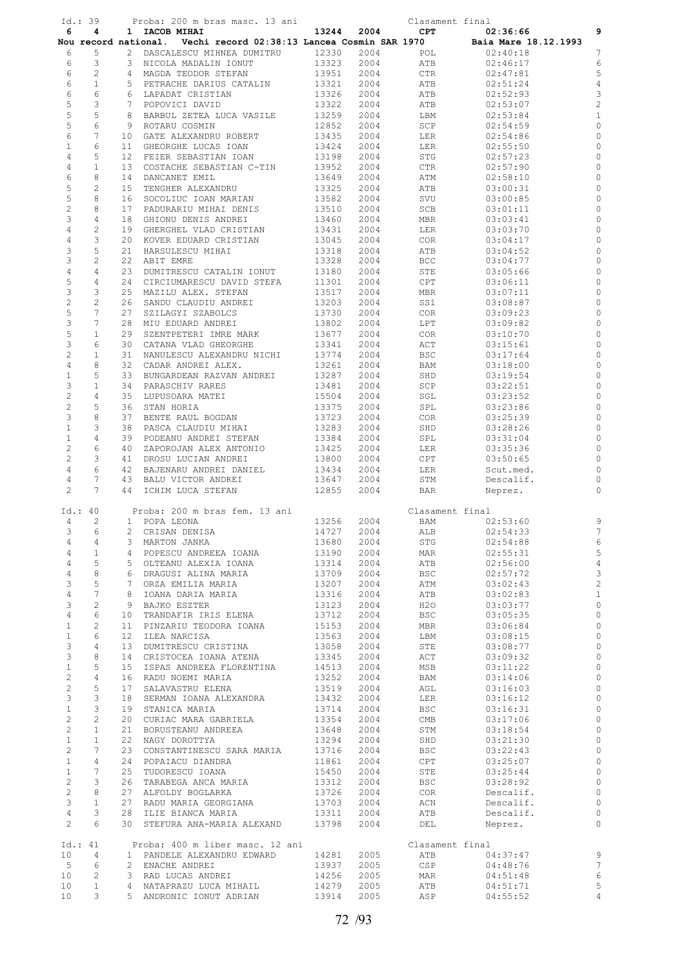|                                         | Id.:39                         |                 | Proba: 200 m bras masc. 13 ani                                    |                |              | Clasament final |                      |                                  |
|-----------------------------------------|--------------------------------|-----------------|-------------------------------------------------------------------|----------------|--------------|-----------------|----------------------|----------------------------------|
| 6                                       | 4                              |                 | 1 IACOB MIHAI                                                     | 13244          | 2004         | $\mathtt{CPT}$  | 02:36:66             | 9                                |
|                                         |                                |                 | Nou record national. Vechi record 02:38:13 Lancea Cosmin SAR 1970 |                |              |                 | Baia Mare 18.12.1993 |                                  |
| 6                                       | 5                              |                 | 2 DASCALESCU MIHNEA DUMITRU                                       | 12330          | 2004         | POL             | 02:40:18             | $\overline{7}$                   |
| 6                                       | 3                              |                 | 3 NICOLA MADALIN IONUT                                            | 13323          | 2004         | ATB             | 02:46:17             | 6                                |
| 6                                       | 2                              |                 | 4 MAGDA TEODOR STEFAN                                             | 13951          | 2004         | <b>CTR</b>      | 02:47:81             | 5                                |
| 6                                       | $\mathbf{1}$                   |                 | 5 PETRACHE DARIUS CATALIN                                         | 13321          | 2004         | ATB             | 02:51:24             | $\sqrt{4}$                       |
| 6                                       | 6                              |                 | 6 LAPADAT CRISTIAN                                                | 13326          | 2004         | ATB             | 02:52:93             | 3                                |
| 5                                       | 3                              |                 | 7 POPOVICI DAVID                                                  | 13322          | 2004         | ATB             | 02:53:07             | $\overline{\mathbf{c}}$          |
| 5                                       | 5                              |                 | 8 BARBUL ZETEA LUCA VASILE                                        | 13259          | 2004         | LBM             | 02:53:84             | $\mathbf{1}$                     |
| 5                                       | $\sqrt{6}$                     |                 | 9 ROTARU COSMIN                                                   | 12852          | 2004         | SCP             | 02:54:59             | $\circ$                          |
| 6                                       | 7                              |                 | 10 GATE ALEXANDRU ROBERT                                          | 13435          | 2004         | LER             | 02:54:86             | $\circ$                          |
| $\mathbf{1}$                            | 6                              | 11              | GHEORGHE LUCAS IOAN                                               | 13424          | 2004         | LER             | 02:55:50             | $\circ$                          |
| $\overline{4}$                          | 5                              | 12 <sup>°</sup> | FEIER SEBASTIAN IOAN                                              | 13198          | 2004         | STG             | 02:57:23             | $\circ$                          |
| $\overline{4}$                          | $\mathbf{1}$                   | 13              | COSTACHE SEBASTIAN C-TIN                                          | 13952          | 2004         | CTR             | 02:57:90             | $\circ$                          |
| 6                                       | 8                              | 14              | DANCANET EMIL                                                     | 13649          | 2004         | ATM             | 02:58:10             | $\circ$                          |
| 5                                       | 2                              | 15              | TENGHER ALEXANDRU                                                 | 13325          | 2004         | ATB             | 03:00:31             | $\circ$                          |
| 5                                       | 8                              | 16              | SOCOLIUC IOAN MARIAN                                              | 13582          | 2004         | SVU             | 03:00:85             | $\circ$                          |
| $\overline{c}$                          | 8                              | 17              | PADURARIU MIHAI DENIS                                             | 13510          | 2004         | SCB             | 03:01:11             | $\circ$                          |
| 3                                       | 4                              | 18              | GHIONU DENIS ANDREI                                               | 13460          | 2004         | MBR             | 03:03:41             | $\circ$                          |
| $\overline{4}$                          | $\overline{c}$                 | 19              | GHERGHEL VLAD CRISTIAN                                            | 13431          | 2004         | LER             | 03:03:70             | $\circ$                          |
| $\overline{4}$                          | 3                              | 20              | KOVER EDUARD CRISTIAN                                             | 13045          | 2004         | COR             | 03:04:17             | $\circ$                          |
| 3                                       | 5                              | 21              | HARSULESCU MIHAI                                                  | 13318          | 2004         | ATB             | 03:04:52             | $\circ$                          |
| 3                                       | 2                              | 22              | ABIT EMRE                                                         | 13328          | 2004         | BCC             | 03:04:77             | $\circ$                          |
| $\overline{4}$                          | $\overline{4}$                 | 23              | DUMITRESCU CATALIN IONUT                                          | 13180          | 2004         | STE             | 03:05:66             | $\circ$                          |
| 5                                       | $\overline{4}$                 | 24              | CIRCIUMARESCU DAVID STEFA                                         | 11301          | 2004         | CPT             | 03:06:11             | $\circ$                          |
| 3                                       | 3                              |                 | 25 MAZILU ALEX. STEFAN                                            | 13517          | 2004         | MBR             | 03:07:11             | $\circ$                          |
| $\overline{c}$                          | $\overline{c}$                 | 26              | SANDU CLAUDIU ANDREI                                              | 13203          | 2004         | SS1             | 03:08:87             | $\circ$                          |
| 5                                       | $7\phantom{.0}$                | 27              | SZILAGYI SZABOLCS                                                 | 13730          | 2004         | COR             | 03:09:23             | $\circ$                          |
| $\mathsf 3$                             | $7\phantom{.0}$                | 28              | MIU EDUARD ANDREI                                                 | 13802          | 2004         | LPT             | 03:09:82             | $\circ$                          |
| 5                                       | $\mathbf{1}$                   | 29              | SZENTPETERI IMRE MARK                                             | 13677          | 2004         | COR             | 03:10:70             | $\circ$                          |
| 3                                       | 6                              |                 | 30 CATANA VLAD GHEORGHE                                           | 13341          | 2004         | ACT             | 03:15:61             | $\circ$                          |
| $\overline{c}$                          | $\mathbf{1}$                   | 31              | NANULESCU ALEXANDRU NICHI                                         | 13774          | 2004         | <b>BSC</b>      | 03:17:64             | $\circ$                          |
| $\overline{4}$                          | 8                              | 32              | CADAR ANDREI ALEX.                                                | 13261          | 2004         | BAM             | 03:18:00             | $\circ$                          |
| $1\,$                                   | 5                              |                 | 33 BUNGARDEAN RAZVAN ANDREI                                       | 13287          | 2004         | SHD             | 03:19:54             | $\circ$                          |
| 3                                       | $\mathbf{1}$                   | 34              | PARASCHIV RARES                                                   | 13481          | 2004         | SCP             | 03:22:51             | $\circ$                          |
| $\overline{c}$                          | $\overline{4}$                 | 35              | LUPUSOARA MATEI                                                   | 15504          | 2004         | SGL             | 03:23:52             | $\circ$                          |
| $\overline{c}$                          | 5                              | 36              | STAN HORIA                                                        | 13375          | 2004         | SPL             | 03:23:86             | $\circ$                          |
| 3                                       | 8                              | 37              | BENTE RAUL BOGDAN                                                 | 13723          | 2004         | COR             | 03:25:39             | $\circ$                          |
| $\mathbf{1}$                            | 3                              | 38              | PASCA CLAUDIU MIHAI                                               | 13283          | 2004         | SHD             | 03:28:26             | $\circ$                          |
| $\mathbf{1}$                            | 4                              |                 | 39 PODEANU ANDREI STEFAN                                          | 13384          | 2004         | SPL             | 03:31:04             | $\circ$                          |
| $\overline{c}$                          | 6                              | 40              | ZAPOROJAN ALEX ANTONIO                                            | 13425          | 2004         | LER             | 03:35:36             | $\circ$                          |
| $\sqrt{2}$                              | 3                              | 41              | DROSU LUCIAN ANDREI                                               | 13800          | 2004         | CPT             | 03:50:65             | $\circ$                          |
| 4                                       | 6                              | 42              | BAJENARU ANDREI DANIEL                                            | 13434          | 2004         | LER             | Scut.med.            | $\circ$                          |
| $\overline{4}$<br>$\overline{2}$        | $7\phantom{.0}$<br>$7^{\circ}$ |                 | 43 BALU VICTOR ANDREI<br>44 ICHIM LUCA STEFAN                     | 13647<br>12855 | 2004<br>2004 | STM<br>BAR      | Descalif.<br>Neprez. | $\circ$<br>$\circ$               |
|                                         | Id.: 40                        |                 | Proba: 200 m bras fem. 13 ani                                     |                |              | Clasament final |                      |                                  |
| 4                                       | 2                              |                 | 1 POPA LEONA                                                      | 13256          | 2004         | BAM             | 02:53:60             | 9                                |
|                                         |                                |                 | 3 6 2 CRISAN DENISA                                               |                | 14727 2004   |                 | ALB 02:54:33         | $\overline{7}$                   |
| 4                                       | 4                              |                 | 3 MARTON JANKA                                                    | 13680          | 2004         | STG             | 02:54:88             | 6                                |
| $\overline{4}$                          | $\mathbf{1}$                   |                 | 4 POPESCU ANDREEA IOANA                                           | 13190          | 2004         | MAR             | 02:55:31             | 5                                |
| $\overline{4}$                          | 5                              |                 | 5 OLTEANU ALEXIA IOANA                                            | 13314          | 2004         | ATB             | 02:56:00             | $\overline{4}$                   |
| $\overline{4}$                          | 8                              |                 | 6 DRAGUSI ALINA MARIA                                             | 13709          | 2004         | BSC             | 02:57:72             | $\mathcal{S}_{\mathcal{S}}$      |
| 3                                       | 5                              |                 | 7 ORZA EMILIA MARIA                                               | 13207          | 2004         | ATM             | 03:02:43             | $\overline{\mathbf{c}}$          |
| $\overline{4}$                          | $7\phantom{.0}$                |                 | 8 IOANA DARIA MARIA                                               | 13316          | 2004         | ATB             | 03:02:83             | $\mathbf{1}$                     |
| 3                                       | 2                              |                 | 9 BAJKO ESZTER                                                    | 13123          | 2004         | H2O             | 03:03:77             | $\circ$                          |
| $\overline{4}$                          | 6                              |                 | 10 TRANDAFIR IRIS ELENA                                           | 13712          | 2004         | BSC             | 03:05:35             | $\circ$                          |
| $\mathbf{1}$                            | $\overline{c}$                 | 11              | PINZARIU TEODORA IOANA                                            | 15153          | 2004         | MBR             | 03:06:84             | $\circ$                          |
| $\mathbf{1}$                            | 6                              |                 | 12 ILEA NARCISA                                                   | 13563          | 2004         | LBM             | 03:08:15             | $\circ$                          |
| 3                                       | $\overline{4}$                 | 13              | DUMITRESCU CRISTINA                                               | 13058          | 2004         | STE             | 03:08:77             | $\circ$                          |
| 3                                       | 8                              |                 | 14 CRISTOCEA IOANA ATENA                                          | 13345          | 2004         | ACT             | 03:09:32             | $\circ$                          |
| $\mathbf{1}$                            | 5                              | 15              | ISPAS ANDREEA FLORENTINA                                          | 14513          | 2004         | MSB             | 03:11:22             | $\circ$                          |
| $\sqrt{2}$                              | $\overline{4}$                 |                 | 16 RADU NOEMI MARIA                                               | 13252          | 2004         | BAM             | 03:14:06             | $\circ$                          |
| $\overline{c}$                          | 5                              | 17              | SALAVASTRU ELENA                                                  | 13519          | 2004         | AGL             | 03:16:03             | $\circ$                          |
| $\mathfrak{Z}$                          | 3                              |                 | 18 SERMAN IOANA ALEXANDRA                                         | 13432          | 2004         | LER             | 03:16:12             | $\circ$                          |
| $\mathbf{1}$                            | 3                              |                 | 19 STANICA MARIA                                                  | 13714          | 2004         | BSC             | 03:16:31             | $\circ$                          |
| $\overline{c}$                          | 2                              |                 | 20 CURIAC MARA GABRIELA                                           | 13354          | 2004         | CMB             | 03:17:06             | $\circ$                          |
| $\overline{2}$                          | $\mathbf{1}$                   | 21              | BORUSTEANU ANDREEA                                                | 13648          | 2004         | STM             | 03:18:54             | $\circ$                          |
| $\mathbf{1}$                            | $\mathbf{1}$                   |                 | 22 NAGY DOROTTYA                                                  | 13294          | 2004         | SHD             | 03:21:30             | $\circ$                          |
| $\overline{c}$                          | $7\phantom{.0}$                |                 | 23 CONSTANTINESCU SARA MARIA                                      | 13716          | 2004         | <b>BSC</b>      | 03:22:43             | $\circ$                          |
| $\mathbf{1}$                            | 4                              |                 | 24 POPAIACU DIANDRA                                               | 11861          | 2004         | CPT             | 03:25:07             | $\circ$                          |
| $\mathbf{1}$                            | $7\phantom{.0}$                |                 | 25 TUDORESCU IOANA                                                | 15450          | 2004         | STE             | 03:25:44             | $\circ$                          |
| $\overline{c}$                          | 3                              |                 | 26 TARABEGA ANCA MARIA                                            | 13312          | 2004         | <b>BSC</b>      | 03:28:92             | $\circ$                          |
| $\overline{c}$                          | 8                              |                 | 27 ALFOLDY BOGLARKA                                               | 13726          | 2004         | COR             | Descalif.            | $\circ$                          |
| $\mathcal{S}$                           | $\mathbf{1}$                   |                 | 27 RADU MARIA GEORGIANA                                           | 13703          | 2004         | ACN             | Descalif.            | $\circ$                          |
| $\overline{4}$<br>$\mathbf{2}^{\prime}$ | 3<br>6                         |                 | 28 ILIE BIANCA MARIA<br>30 STEFURA ANA-MARIA ALEXAND              | 13311<br>13798 | 2004<br>2004 | ATB<br>DEL      | Descalif.<br>Neprez. | $\circ$<br>$\circ$               |
|                                         |                                |                 |                                                                   |                |              |                 |                      |                                  |
|                                         | Id.: 41                        |                 | Proba: 400 m liber masc. 12 ani                                   |                |              | Clasament final |                      |                                  |
| 10 <sub>o</sub>                         | $\overline{4}$                 |                 | 1 PANDELE ALEXANDRU EDWARD                                        | 14281          | 2005         | ATB             | 04:37:47             | $\overline{9}$<br>$\overline{7}$ |
| $5\overline{)}$<br>10 <sub>o</sub>      | 6<br>$\overline{2}$            |                 | 2 ENACHE ANDREI<br>3 RAD LUCAS ANDREI                             | 13937<br>14256 | 2005<br>2005 | CSP<br>MAR      | 04:48:76<br>04:51:48 | 6                                |
| 10                                      | $\mathbf{1}$                   |                 | 4 NATAPRAZU LUCA MIHAIL                                           | 14279          | 2005         | ATB             | 04:51:71             | 5                                |
| 10                                      | 3                              |                 | 5 ANDRONIC IONUT ADRIAN                                           | 13914          | 2005         | ASP             | 04:55:52             | $\overline{4}$                   |
|                                         |                                |                 |                                                                   |                |              |                 |                      |                                  |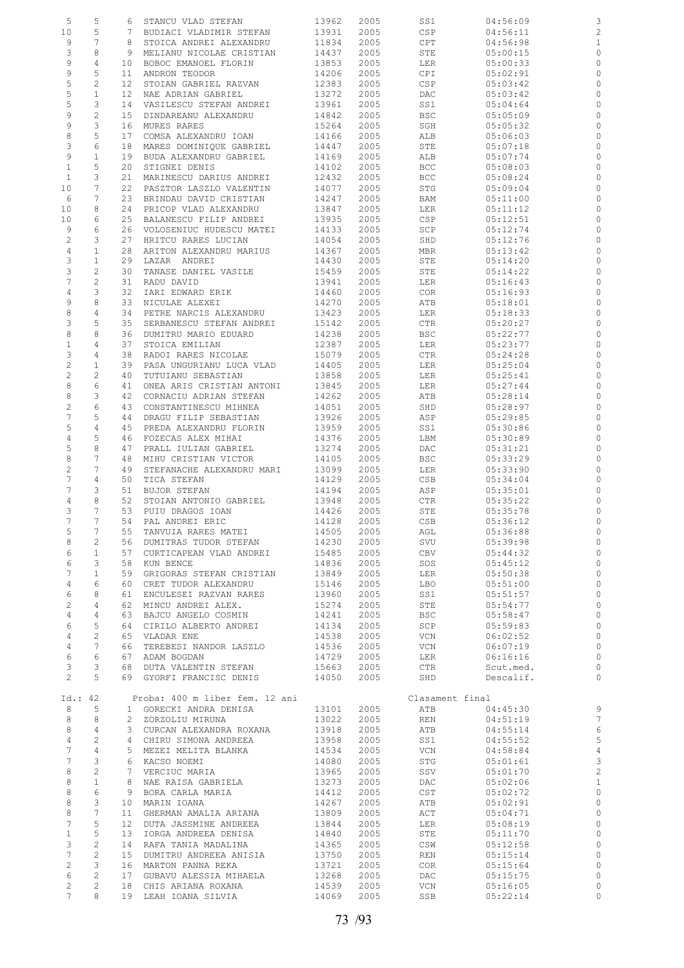| 5                     | 5                 | 6               | STANCU VLAD STEFAN                         | 13962          | 2005         | SS1             | 04:56:09             | 3                       |
|-----------------------|-------------------|-----------------|--------------------------------------------|----------------|--------------|-----------------|----------------------|-------------------------|
| 10                    | 5                 | 7               | BUDIACI VLADIMIR STEFAN                    | 13931          | 2005         | <b>CSP</b>      | 04:56:11             | $\overline{\mathbf{c}}$ |
| 9                     | 7                 | 8               | STOICA ANDREI ALEXANDRU                    | 11834          | 2005         | CPT             | 04:56:98             | $\mathbf{1}$            |
|                       |                   |                 |                                            |                |              |                 |                      |                         |
| 3                     | 8                 | 9               | MELIANU NICOLAE CRISTIAN                   | 14437          | 2005         | STE             | 05:00:15             | $\circ$                 |
| 9                     | 4                 | 10              | BOBOC EMANOEL FLORIN                       | 13853          | 2005         | LER             | 05:00:33             | 0                       |
| 9                     | 5                 | 11              | ANDRON TEODOR                              | 14206          | 2005         | CPI             | 05:02:91             | $\circ$                 |
| 5                     | 2                 | $12 \,$         | STOIAN GABRIEL RAZVAN                      | 12383          | 2005         | CSP             | 05:03:42             | 0                       |
| $\mathsf S$           | $\mathbf{1}$      | $12 \,$         | NAE ADRIAN GABRIEL                         | 13272          | 2005         | DAC             | 05:03:42             | $\circ$                 |
|                       |                   |                 |                                            |                |              |                 |                      |                         |
| 5                     | 3                 | 14              | VASILESCU STEFAN ANDREI                    | 13961          | 2005         | SS1             | 05:04:64             | 0                       |
| 9                     | $\overline{c}$    | 15              | DINDAREANU ALEXANDRU                       | 14842          | 2005         | <b>BSC</b>      | 05:05:09             | $\circ$                 |
| 9                     | 3                 | 16              | MURES RARES                                | 15264          | 2005         | SGH             | 05:05:32             | 0                       |
| 8                     | 5                 | 17              | COMSA ALEXANDRU IOAN                       | 14166          | 2005         | ALB             | 05:06:03             | 0                       |
| 3                     | 6                 | 18              | MARES DOMINIQUE GABRIEL                    | 14447          | 2005         | STE             | 05:07:18             | 0                       |
| 9                     |                   |                 | BUDA ALEXANDRU GABRIEL                     |                |              |                 |                      |                         |
|                       | $\mathbf{1}$      | 19              |                                            | 14169          | 2005         | ALB             | 05:07:74             | 0                       |
| $\mathbf{1}$          | 5                 | 20              | STIGNEI DENIS                              | 14102          | 2005         | <b>BCC</b>      | 05:08:03             | 0                       |
| 1                     | 3                 | 21              | MARINESCU DARIUS ANDREI                    | 12432          | 2005         | <b>BCC</b>      | 05:08:24             | 0                       |
| 10                    | 7                 | 22              | PASZTOR LASZLO VALENTIN                    | 14077          | 2005         | STG             | 05:09:04             | 0                       |
| 6                     | 7                 | 23              | BRINDAU DAVID CRISTIAN                     | 14247          | 2005         | BAM             | 05:11:00             | 0                       |
| 10                    | 8                 | 24              | PRICOP VLAD ALEXANDRU                      | 13847          | 2005         | LER             | 05:11:12             | 0                       |
| 10                    | 6                 | 25              | BALANESCU FILIP ANDREI                     | 13935          | 2005         | CSP             | 05:12:51             | 0                       |
|                       |                   |                 |                                            |                |              |                 |                      |                         |
| 9                     | 6                 | 26              | VOLOSENIUC HUDESCU MATEI                   | 14133          | 2005         | SCP             | 05:12:74             | 0                       |
| $\overline{c}$        | 3                 | 27              | HRITCU RARES LUCIAN                        | 14054          | 2005         | SHD             | 05:12:76             | 0                       |
| 4                     | $\mathbf{1}$      | 28              | ARITON ALEXANDRU MARIUS                    | 14367          | 2005         | MBR             | 05:13:42             | 0                       |
| 3                     | $\mathbf{1}$      | 29              | LAZAR ANDREI                               | 14430          | 2005         | STE             | 05:14:20             | 0                       |
| 3                     | 2                 | 30              | TANASE DANIEL VASILE                       | 15459          | 2005         | STE             | 05:14:22             | 0                       |
| $\overline{7}$        | 2                 | 31              |                                            | 13941          | 2005         |                 | 05:16:43             |                         |
|                       |                   |                 | RADU DAVID                                 |                |              | LER             |                      | 0                       |
| 4                     | 3                 | 32              | IARI EDWARD ERIK                           | 14460          | 2005         | <b>COR</b>      | 05:16:93             | 0                       |
| 9                     | 8                 | 33              | NICULAE ALEXEI                             | 14270          | 2005         | ATB             | 05:18:01             | 0                       |
| 8                     | 4                 | 34              | PETRE NARCIS ALEXANDRU                     | 13423          | 2005         | LER             | 05:18:33             | 0                       |
| 3                     | 5                 | 35              | SERBANESCU STEFAN ANDREI                   | 15142          | 2005         | CTR             | 05:20:27             | 0                       |
| 8                     | 8                 | 36              | DUMITRU MARIO EDUARD                       | 14238          | 2005         | BSC             | 05:22:77             | 0                       |
|                       |                   |                 |                                            |                |              |                 |                      |                         |
| $\mathbf 1$           | 4                 | 37              | STOICA EMILIAN                             | 12387          | 2005         | LER             | 05:23:77             | $\circ$                 |
| 3                     | 4                 | 38              | RADOI RARES NICOLAE                        | 15079          | 2005         | CTR             | 05:24:28             | 0                       |
| $\overline{c}$        | $\mathbf{1}$      | 39              | PASA UNGURIANU LUCA VLAD                   | 14405          | 2005         | LER             | 05:25:04             | 0                       |
| $\overline{c}$        | 2                 | 40              | TUTUIANU SEBASTIAN                         | 13858          | 2005         | LER             | 05:25:41             | 0                       |
| 8                     | 6                 | 41              | ONEA ARIS CRISTIAN ANTONI                  | 13845          | 2005         | LER             | 05:27:44             | 0                       |
| 8                     | 3                 | 42              |                                            |                |              |                 |                      | 0                       |
|                       |                   |                 | CORNACIU ADRIAN STEFAN                     | 14262          | 2005         | ATB             | 05:28:14             |                         |
| 2                     | 6                 | 43              | CONSTANTINESCU MIHNEA                      | 14051          | 2005         | SHD             | 05:28:97             | 0                       |
| 7                     | 5                 | 44              | DRAGU FILIP SEBASTIAN                      | 13926          | 2005         | ASP             | 05:29:85             | 0                       |
| 5                     | $\overline{4}$    | 45              | PREDA ALEXANDRU FLORIN                     | 13959          | 2005         | SS1             | 05:30:86             | 0                       |
| $\overline{4}$        | 5                 | 46              | FOZECAS ALEX MIHAI                         | 14376          | 2005         | LBM             | 05:30:89             | $\circ$                 |
| 5                     | 8                 | 47              | PRALL IULIAN GABRIEL                       | 13274          | 2005         | DAC             | 05:31:21             | 0                       |
| 8                     | 7                 | 48              |                                            | 14105          | 2005         |                 |                      | $\circ$                 |
|                       |                   |                 | MIHU CRISTIAN VICTOR                       |                |              | BSC             | 05:33:29             |                         |
| $\overline{c}$        | 7                 | 49              | STEFANACHE ALEXANDRU MARI                  | 13099          | 2005         | LER             | 05:33:90             | 0                       |
| 7                     | 4                 | 50              | TICA STEFAN                                | 14129          | 2005         | CSB             | 05:34:04             | $\circ$                 |
| 7                     | 3                 | 51              | BUJOR STEFAN                               | 14194          | 2005         | ASP             | 05:35:01             | 0                       |
| 4                     | 8                 | 52              | STOIAN ANTONIO GABRIEL                     | 13948          | 2005         | CTR             | 05:35:22             | $\circ$                 |
|                       | 7                 | 53              |                                            | 14426          | 2005         |                 |                      |                         |
| 3                     |                   |                 | PUIU DRAGOS IOAN                           |                |              | STE             | 05:35:78             | 0                       |
| 7                     | 7                 | 54              | PAL ANDREI ERIC                            | 14128          | 2005         | CSB             | 05:36:12             | $\circ$                 |
| 5                     | 7                 | 55              | TANVUIA RARES MATEI                        | 14505          | 2005         | AGL             | 05:36:88             | 0                       |
| 8                     | 2                 | 56              | DUMITRAS TUDOR STEFAN                      | 14230          | 2005         | SVU             | 05:39:98             | $\circ$                 |
| 6                     | $\mathbf{1}$      | 57              | CURTICAPEAN VLAD ANDREI                    | 15485          | 2005         | CBV             | 05:44:32             | $\circ$                 |
| 6                     | 3                 | 58              | KUN BENCE                                  | 14836          | 2005         | SOS             | 05:45:12             | $\circ$                 |
| 7                     | $\mathbf{1}$      | 59              |                                            |                |              |                 | 05:50:38             | $\circ$                 |
|                       |                   |                 | GRIGORAS STEFAN CRISTIAN                   | 13849          | 2005         | LER             |                      |                         |
| $\overline{4}$        | 6                 | 60              | CRET TUDOR ALEXANDRU                       | 15146          | 2005         | LBO             | 05:51:00             | $\circ$                 |
| 6                     | 8                 | 61              | ENCULESEI RAZVAN RARES                     | 13960          | 2005         | SS1             | 05:51:57             | $\circ$                 |
| $\overline{c}$        | 4                 | 62              | MINCU ANDREI ALEX.                         | 15274          | 2005         | STE             | 05:54:77             | $\circ$                 |
| 4                     | 4                 | 63              | BAJCU ANGELO COSMIN                        | 14241          | 2005         | <b>BSC</b>      | 05:58:47             | $\circ$                 |
| 6                     | 5                 | 64              | CIRILO ALBERTO ANDREI                      |                |              |                 |                      | $\circ$                 |
|                       |                   |                 |                                            |                |              |                 |                      |                         |
|                       |                   |                 |                                            | 14134          | 2005         | SCP             | 05:59:83             |                         |
| 4                     | $\mathbf{2}$      | 65              | VLADAR ENE                                 | 14538          | 2005         | VCN             | 06:02:52             | $\circ$                 |
| $\overline{4}$        | 7                 | 66              | TEREBESI NANDOR LASZLO                     | 14536          | 2005         | VCN             | 06:07:19             | $\circ$                 |
| 6                     | 6                 | 67              | ADAM BOGDAN                                | 14729          | 2005         | LER             | 06:16:16             | $\circ$                 |
| 3                     | 3                 | 68              | DUTA VALENTIN STEFAN                       | 15663          | 2005         | CTR             | Scut.med.            | $\circ$                 |
|                       |                   |                 |                                            |                |              |                 |                      |                         |
| $\mathbf{2}^{\prime}$ | 5                 | 69              | GYORFI FRANCISC DENIS                      | 14050          | 2005         | SHD             | Descalif.            | $\circ$                 |
|                       |                   |                 |                                            |                |              |                 |                      |                         |
| Id.: 42               |                   |                 | Proba: 400 m liber fem. 12 ani             |                |              | Clasament final |                      |                         |
| 8                     | 5                 |                 | 1 GORECKI ANDRA DENISA                     | 13101          | 2005         | ATB             | 04:45:30             | 9                       |
| 8                     | 8                 | $\mathbf{2}$    | ZORZOLIU MIRUNA                            | 13022          | 2005         | REN             | 04:51:19             | $\overline{7}$          |
| 8                     | 4                 | 3               | CURCAN ALEXANDRA ROXANA                    | 13918          | 2005         | ATB             | 04:55:14             |                         |
|                       |                   |                 |                                            |                |              |                 |                      | $\overline{6}$          |
| 4                     | $\mathbf{2}$      | $4\overline{ }$ | CHIRU SIMONA ANDREEA                       | 13958          | 2005         | SS1             | 04:55:52             | 5                       |
| 7                     | 4                 | 5               | MEZEI MELITA BLANKA                        | 14534          | 2005         | VCN             | 04:58:84             | $\overline{4}$          |
| 7                     | 3                 | 6               | KACSO NOEMI                                | 14080          | 2005         | STG             | 05:01:61             | 3                       |
| 8                     | $\overline{c}$    | 7               | VERCIUC MARIA                              | 13965          | 2005         | SSV             | 05:01:70             | $\overline{c}$          |
| 8                     | $\mathbf{1}$      | 8               | NAE RAISA GABRIELA                         | 13273          | 2005         | DAC             | 05:02:06             | $\mathbf{1}$            |
| 8                     | 6                 | 9               |                                            | 14412          | 2005         | CST             | 05:02:72             | $\circ$                 |
|                       |                   |                 | BORA CARLA MARIA                           |                |              |                 |                      |                         |
| 8                     | 3                 | 10              | MARIN IOANA                                | 14267          | 2005         | ATB             | 05:02:91             | $\circ$                 |
| 8                     | 7                 | 11              | GHERMAN AMALIA ARIANA                      | 13809          | 2005         | ACT             | 05:04:71             | $\circ$                 |
| 7                     | 5                 | 12              | DUTA JASSMINE ANDREEA                      | 13844          | 2005         | LER             | 05:08:19             | $\circ$                 |
| $\mathbf{1}$          | 5                 | 13              | IORGA ANDREEA DENISA                       | 14840          | 2005         | STE             | 05:11:70             | $\circ$                 |
| 3                     | $\overline{c}$    | 14              | RAFA TANIA MADALINA                        | 14365          | 2005         | CSW             | 05:12:58             | $\circ$                 |
|                       |                   |                 |                                            |                |              |                 |                      |                         |
| 7                     | 2                 | 15              | DUMITRU ANDREEA ANISIA                     | 13750          | 2005         | REN             | 05:15:14             | $\circ$                 |
| 2                     | 3                 | 16              | MARTON PANNA REKA                          | 13721          | 2005         | COR             | 05:15:64             | $\circ$                 |
| 6                     | 2                 | 17              | GUBAVU ALESSIA MIHAELA                     | 13268          | 2005         | DAC             | 05:15:75             | $\circ$                 |
| 2<br>7                | $\mathbf{2}$<br>8 | 18              | CHIS ARIANA ROXANA<br>19 LEAH IOANA SILVIA | 14539<br>14069 | 2005<br>2005 | VCN<br>SSB      | 05:16:05<br>05:22:14 | $\circ$<br>$\circ$      |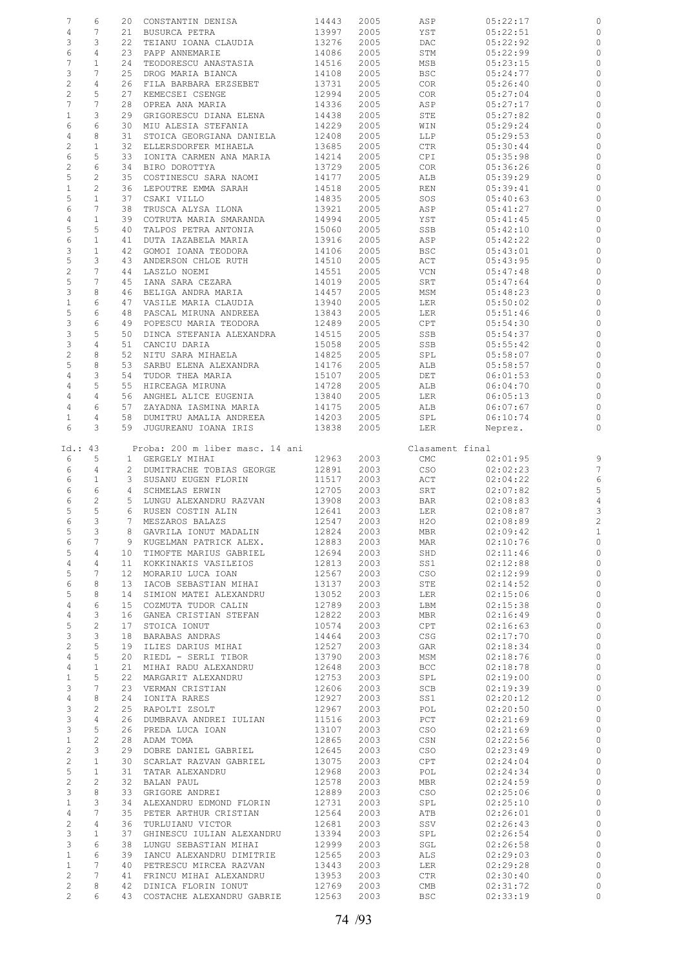| $\overline{7}$ | 6               |    | 20 CONSTANTIN DENISA            | 14443 | 2005 | ASP             | 05:22:17 | 0                       |
|----------------|-----------------|----|---------------------------------|-------|------|-----------------|----------|-------------------------|
| 4              | 7               | 21 | BUSURCA PETRA                   | 13997 | 2005 | YST             | 05:22:51 | 0                       |
| 3              | 3               | 22 | TEIANU IOANA CLAUDIA            | 13276 | 2005 | DAC             | 05:22:92 | $\circ$                 |
| 6              | $\overline{4}$  | 23 | PAPP ANNEMARIE                  | 14086 | 2005 | STM             | 05:22:99 | 0                       |
| 7              | $\mathbf{1}$    |    |                                 |       |      |                 |          |                         |
|                |                 | 24 | TEODORESCU ANASTASIA            | 14516 | 2005 | MSB             | 05:23:15 | $\circ$                 |
| 3              | $7\phantom{.0}$ | 25 | DROG MARIA BIANCA               | 14108 | 2005 | <b>BSC</b>      | 05:24:77 | $\circ$                 |
| $\overline{c}$ | 4               | 26 | FILA BARBARA ERZSEBET           | 13731 | 2005 | COR             | 05:26:40 | 0                       |
| $\overline{c}$ | 5               | 27 | KEMECSEI CSENGE                 | 12994 | 2005 | COR             | 05:27:04 | $\circ$                 |
| $\overline{7}$ | 7               | 28 | OPREA ANA MARIA                 | 14336 | 2005 | ASP             | 05:27:17 | $\circ$                 |
| $\mathbf{1}$   | 3               | 29 | GRIGORESCU DIANA ELENA          | 14438 | 2005 | STE             | 05:27:82 | $\circ$                 |
| 6              | 6               | 30 | MIU ALESIA STEFANIA             | 14229 | 2005 | WIN             | 05:29:24 | $\circ$                 |
|                |                 |    |                                 |       |      |                 |          |                         |
| $\overline{4}$ | 8               | 31 | STOICA GEORGIANA DANIELA        | 12408 | 2005 | LLP             | 05:29:53 | $\circ$                 |
| $\overline{c}$ | $\mathbf{1}$    | 32 | ELLERSDORFER MIHAELA            | 13685 | 2005 | CTR             | 05:30:44 | $\circ$                 |
| 6              | 5               | 33 | IONITA CARMEN ANA MARIA         | 14214 | 2005 | CPI             | 05:35:98 | $\circ$                 |
| $\overline{c}$ | 6               | 34 | BIRO DOROTTYA                   | 13729 | 2005 | COR             | 05:36:26 | $\circ$                 |
| 5              | $\mathbf{2}$    | 35 | COSTINESCU SARA NAOMI           | 14177 | 2005 | ALB             | 05:39:29 | $\circ$                 |
| $1\,$          | $\mathbf{2}$    | 36 | LEPOUTRE EMMA SARAH             | 14518 | 2005 | REN             | 05:39:41 | $\circ$                 |
| 5              | $\mathbf{1}$    | 37 |                                 |       |      |                 |          | $\circ$                 |
|                |                 |    | CSAKI VILLO                     | 14835 | 2005 | SOS             | 05:40:63 |                         |
| 6              | 7               | 38 | TRUSCA ALYSA ILONA              | 13921 | 2005 | ASP             | 05:41:27 | 0                       |
| $\overline{4}$ | $\mathbf{1}$    | 39 | COTRUTA MARIA SMARANDA          | 14994 | 2005 | YST             | 05:41:45 | $\circ$                 |
| 5              | 5               | 40 | TALPOS PETRA ANTONIA            | 15060 | 2005 | SSB             | 05:42:10 | 0                       |
| 6              | $\mathbf{1}$    | 41 | DUTA IAZABELA MARIA             | 13916 | 2005 | ASP             | 05:42:22 | $\circ$                 |
| 3              | $\mathbf{1}$    | 42 | GOMOI IOANA TEODORA             | 14106 | 2005 | <b>BSC</b>      | 05:43:01 | $\circ$                 |
| 5              | 3               | 43 | ANDERSON CHLOE RUTH             | 14510 | 2005 | ACT             | 05:43:95 | $\circ$                 |
| $\overline{c}$ | 7               | 44 | LASZLO NOEMI                    | 14551 | 2005 | VCN             | 05:47:48 | $\circ$                 |
|                |                 |    |                                 |       |      |                 |          |                         |
| 5              | $7\phantom{.0}$ | 45 | IANA SARA CEZARA                | 14019 | 2005 | SRT             | 05:47:64 | $\circ$                 |
| 3              | 8               | 46 | BELIGA ANDRA MARIA              | 14457 | 2005 | MSM             | 05:48:23 | $\circ$                 |
| $\mathbf 1$    | 6               | 47 | VASILE MARIA CLAUDIA            | 13940 | 2005 | LER             | 05:50:02 | $\circ$                 |
| 5              | 6               | 48 | PASCAL MIRUNA ANDREEA           | 13843 | 2005 | LER             | 05:51:46 | $\circ$                 |
| $\mathfrak{S}$ | 6               | 49 | POPESCU MARIA TEODORA           | 12489 | 2005 | CPT             | 05:54:30 | $\circ$                 |
| $\mathsf 3$    | 5               | 50 | DINCA STEFANIA ALEXANDRA        | 14515 | 2005 | SSB             | 05:54:37 | $\circ$                 |
|                |                 |    |                                 |       |      |                 |          |                         |
| $\mathsf S$    | $\overline{4}$  | 51 | CANCIU DARIA                    | 15058 | 2005 | SSB             | 05:55:42 | $\circ$                 |
| $\sqrt{2}$     | 8               | 52 | NITU SARA MIHAELA               | 14825 | 2005 | SPL             | 05:58:07 | 0                       |
| $\mathsf S$    | 8               | 53 | SARBU ELENA ALEXANDRA           | 14176 | 2005 | ALB             | 05:58:57 | $\circ$                 |
| $\overline{4}$ | 3               | 54 | TUDOR THEA MARIA                | 15107 | 2005 | DET             | 06:01:53 | $\circ$                 |
| $\overline{4}$ | 5               | 55 | HIRCEAGA MIRUNA                 | 14728 | 2005 | ALB             | 06:04:70 | $\circ$                 |
| $\overline{4}$ | 4               |    | 56 ANGHEL ALICE EUGENIA         | 13840 | 2005 | LER             | 06:05:13 | $\circ$                 |
| $\overline{4}$ | 6               | 57 | ZAYADNA IASMINA MARIA           | 14175 | 2005 | ALB             | 06:07:67 | $\circ$                 |
|                |                 |    |                                 |       |      |                 |          |                         |
| $\mathbf{1}$   | 4               | 58 | DUMITRU AMALIA ANDREEA          | 14203 | 2005 | SPL             | 06:10:74 | $\circ$                 |
| 6              | 3               | 59 | JUGUREANU IOANA IRIS            | 13838 | 2005 | LER             | Neprez.  | $\circ$                 |
|                |                 |    |                                 |       |      |                 |          |                         |
| Id.: 43        |                 |    | Proba: 200 m liber masc. 14 ani |       |      | Clasament final |          |                         |
| 6              | 5               |    | 1 GERGELY MIHAI                 | 12963 | 2003 | CMC             | 02:01:95 |                         |
|                |                 |    |                                 |       |      |                 |          |                         |
|                |                 |    |                                 |       |      |                 |          |                         |
| 6              | 4               |    | 2 DUMITRACHE TOBIAS GEORGE      | 12891 | 2003 | CSO             | 02:02:23 | $\frac{9}{7}$           |
| 6              | $\mathbf{1}$    |    | 3 SUSANU EUGEN FLORIN           | 11517 | 2003 | ACT             | 02:04:22 | 6                       |
| 6              | $\epsilon$      |    | 4 SCHMELAS ERWIN                | 12705 | 2003 | SRT             | 02:07:82 | 5                       |
| 6              | $\mathbf{2}$    |    | 5 LUNGU ALEXANDRU RAZVAN        | 13908 | 2003 | BAR             | 02:08:83 | $\overline{4}$          |
| 5              | 5               |    | 6 RUSEN COSTIN ALIN             | 12641 | 2003 | LER             | 02:08:87 | 3                       |
| 6              | 3               |    | 7 MESZAROS BALAZS               | 12547 | 2003 | H2O             | 02:08:89 |                         |
|                |                 |    |                                 |       |      |                 |          | $\overline{\mathbf{c}}$ |
| 5              | 3               |    | 8 GAVRILA IONUT MADALIN         | 12824 | 2003 | MBR             | 02:09:42 |                         |
| 6              | 7               |    | 9 KUGELMAN PATRICK ALEX.        | 12883 | 2003 | MAR             | 02:10:76 | $\circ$                 |
| 5              | $\overline{4}$  |    | 10 TIMOFTE MARIUS GABRIEL       | 12694 | 2003 | SHD             | 02:11:46 | 0                       |
| $\overline{4}$ | $\overline{4}$  |    | 11 KOKKINAKIS VASILEIOS         | 12813 | 2003 | SS1             | 02:12:88 | $\circ$                 |
| 5              | $7\phantom{.0}$ |    | 12 MORARIU LUCA IOAN            | 12567 | 2003 | CSO             | 02:12:99 | $\circ$                 |
| 6              | 8               |    | 13 IACOB SEBASTIAN MIHAI        | 13137 | 2003 | STE             | 02:14:52 | $\circ$                 |
| 5              | 8               | 14 | SIMION MATEI ALEXANDRU          | 13052 | 2003 | LER             | 02:15:06 | $\circ$                 |
|                | 6               |    |                                 |       |      |                 | 02:15:38 |                         |
| 4              |                 |    | 15 COZMUTA TUDOR CALIN          | 12789 | 2003 | LBM             |          | $\circ$                 |
| $\overline{4}$ | 3               |    | 16 GANEA CRISTIAN STEFAN        | 12822 | 2003 | MBR             | 02:16:49 | $\circ$                 |
| $\mathsf S$    | $\mathbf{2}$    | 17 | STOICA IONUT                    | 10574 | 2003 | CPT             | 02:16:63 | $\circ$                 |
| $\mathbf{3}$   | 3               | 18 | BARABAS ANDRAS                  | 14464 | 2003 | CSG             | 02:17:70 | $\circ$                 |
| $\overline{c}$ | 5               | 19 | ILIES DARIUS MIHAI              | 12527 | 2003 | GAR             | 02:18:34 | $\circ$                 |
| $\overline{4}$ | 5               | 20 | RIEDL - SERLI TIBOR             | 13790 | 2003 | MSM             | 02:18:76 | $\circ$                 |
| $\overline{4}$ | $\mathbf{1}$    |    | 21 MIHAI RADU ALEXANDRU         | 12648 | 2003 | BCC             | 02:18:78 | $\circ$                 |
|                | 5               | 22 |                                 |       |      |                 |          |                         |
| $\mathbf{1}$   | $7\phantom{.0}$ |    | MARGARIT ALEXANDRU              | 12753 | 2003 | SPL             | 02:19:00 | $\circ$                 |
| 3              |                 |    | 23 VERMAN CRISTIAN              | 12606 | 2003 | SCB             | 02:19:39 | $\circ$                 |
| $\overline{4}$ | 8               | 24 | IONITA RARES                    | 12927 | 2003 | SS1             | 02:20:12 | $\circ$                 |
| $\mathbf{3}$   | 2               |    | 25 RAPOLTI ZSOLT                | 12967 | 2003 | POL             | 02:20:50 | $\circ$                 |
| $\mathcal{E}$  | 4               | 26 | DUMBRAVA ANDREI IULIAN          | 11516 | 2003 | PCT             | 02:21:69 | $\circ$                 |
| $\mathcal{E}$  | 5               |    | 26 PREDA LUCA IOAN              | 13107 | 2003 | CSO             | 02:21:69 | $\circ$                 |
| $\mathbf{1}$   | $\overline{c}$  | 28 | ADAM TOMA                       | 12865 | 2003 | CSN             | 02:22:56 | $\circ$                 |
| $\overline{c}$ | 3               | 29 | DOBRE DANIEL GABRIEL            | 12645 | 2003 | CSO             | 02:23:49 | $\circ$                 |
| $\overline{c}$ | $\mathbf{1}$    | 30 | SCARLAT RAZVAN GABRIEL          | 13075 | 2003 | CPT             | 02:24:04 | $\circ$                 |
|                |                 |    |                                 |       |      |                 |          |                         |
| $\overline{5}$ | $\mathbf{1}$    | 31 | TATAR ALEXANDRU                 | 12968 | 2003 | POL             | 02:24:34 | $\circ$                 |
| $\overline{c}$ | $\overline{c}$  | 32 | BALAN PAUL                      | 12578 | 2003 | MBR             | 02:24:59 | $\circ$                 |
| $\mathsf 3$    | 8               |    | 33 GRIGORE ANDREI               | 12889 | 2003 | CSO             | 02:25:06 | $\circ$                 |
| $\mathbf{1}$   | 3               |    | 34 ALEXANDRU EDMOND FLORIN      | 12731 | 2003 | SPL             | 02:25:10 | $\circ$                 |
| $\overline{4}$ | $7\phantom{.0}$ |    | 35 PETER ARTHUR CRISTIAN        | 12564 | 2003 | ATB             | 02:26:01 | $\circ$                 |
| $\overline{c}$ | $\overline{4}$  |    | 36 TURLUIANU VICTOR             | 12681 | 2003 | SSV             | 02:26:43 | $\circ$                 |
|                | $\mathbf{1}$    |    | 37 GHINESCU IULIAN ALEXANDRU    | 13394 | 2003 | SPL             | 02:26:54 | $\circ$                 |
| $\mathsf 3$    |                 |    |                                 |       |      |                 |          |                         |
| $\mathcal{E}$  | 6               | 38 | LUNGU SEBASTIAN MIHAI           | 12999 | 2003 | SGL             | 02:26:58 | $\circ$                 |
| $1\,$          | 6               | 39 | IANCU ALEXANDRU DIMITRIE        | 12565 | 2003 | ALS             | 02:29:03 | $\circ$                 |
| $\mathbf{1}$   | 7               | 40 | PETRESCU MIRCEA RAZVAN          | 13443 | 2003 | LER             | 02:29:28 | $\circ$                 |
| 2              | 7               |    | 41 FRINCU MIHAI ALEXANDRU       | 13953 | 2003 | CTR             | 02:30:40 | $\circ$                 |
| $\overline{c}$ | 8               |    | 42 DINICA FLORIN IONUT          | 12769 | 2003 | CMB             | 02:31:72 | 0                       |
| $\overline{2}$ | 6               |    | 43 COSTACHE ALEXANDRU GABRIE    | 12563 | 2003 | <b>BSC</b>      | 02:33:19 | $\circ$                 |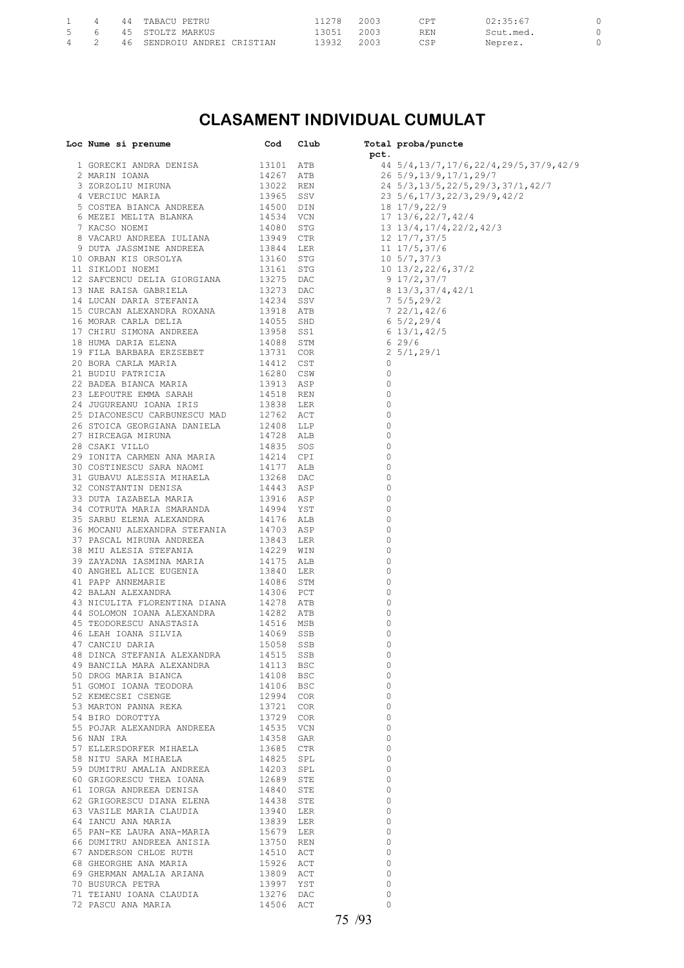|  |  | 44 TABACU PETRU             | 11278     | 2003 | ∩⊤⊤        | 02:35:67  |  |
|--|--|-----------------------------|-----------|------|------------|-----------|--|
|  |  | 5   6   45  STOLTZ MARKUS   | 3051 2003 |      | <b>REN</b> | Scut.med. |  |
|  |  | 46 SENDROIU ANDREI CRISTIAN | 3932      | 2003 | CSP        | Neprez.   |  |

### **CLASAMENT INDIVIDUAL CUMULAT**

| Loc Nume si prenume                                                                  | Cod                                                                        | Club |              | Total proba/puncte<br>Lee Numan et premission (1994)<br>2008 - Martin Country, 1992 - 1993 - 1993 - 1993 - 1993 - 1993 - 1993 - 1993 - 1993 - 1993 - 1993 - 1993 - 1993 - 1993 - 1993 - 1993 - 1993 - 1993 - 1993 - 1993 - 1993 - 1993 - 1993 - 1993 |
|--------------------------------------------------------------------------------------|----------------------------------------------------------------------------|------|--------------|------------------------------------------------------------------------------------------------------------------------------------------------------------------------------------------------------------------------------------------------------|
|                                                                                      |                                                                            |      |              |                                                                                                                                                                                                                                                      |
|                                                                                      |                                                                            |      |              | 44 5/4, 13/7, 17/6, 22/4, 29/5, 37/9, 42/9                                                                                                                                                                                                           |
|                                                                                      |                                                                            |      |              |                                                                                                                                                                                                                                                      |
|                                                                                      |                                                                            |      |              |                                                                                                                                                                                                                                                      |
|                                                                                      |                                                                            |      |              |                                                                                                                                                                                                                                                      |
|                                                                                      |                                                                            |      |              |                                                                                                                                                                                                                                                      |
|                                                                                      |                                                                            |      |              |                                                                                                                                                                                                                                                      |
|                                                                                      |                                                                            |      |              |                                                                                                                                                                                                                                                      |
|                                                                                      |                                                                            |      |              |                                                                                                                                                                                                                                                      |
|                                                                                      |                                                                            |      |              |                                                                                                                                                                                                                                                      |
|                                                                                      |                                                                            |      |              |                                                                                                                                                                                                                                                      |
|                                                                                      |                                                                            |      |              |                                                                                                                                                                                                                                                      |
|                                                                                      |                                                                            |      |              |                                                                                                                                                                                                                                                      |
|                                                                                      |                                                                            |      |              |                                                                                                                                                                                                                                                      |
|                                                                                      |                                                                            |      |              |                                                                                                                                                                                                                                                      |
|                                                                                      |                                                                            |      |              |                                                                                                                                                                                                                                                      |
|                                                                                      |                                                                            |      |              |                                                                                                                                                                                                                                                      |
|                                                                                      |                                                                            |      |              |                                                                                                                                                                                                                                                      |
|                                                                                      |                                                                            |      |              |                                                                                                                                                                                                                                                      |
|                                                                                      |                                                                            |      |              |                                                                                                                                                                                                                                                      |
|                                                                                      |                                                                            |      |              |                                                                                                                                                                                                                                                      |
|                                                                                      |                                                                            |      |              |                                                                                                                                                                                                                                                      |
|                                                                                      |                                                                            |      |              |                                                                                                                                                                                                                                                      |
|                                                                                      |                                                                            |      |              |                                                                                                                                                                                                                                                      |
|                                                                                      |                                                                            |      |              |                                                                                                                                                                                                                                                      |
|                                                                                      |                                                                            |      |              |                                                                                                                                                                                                                                                      |
|                                                                                      |                                                                            |      |              |                                                                                                                                                                                                                                                      |
|                                                                                      |                                                                            |      |              |                                                                                                                                                                                                                                                      |
|                                                                                      |                                                                            |      |              |                                                                                                                                                                                                                                                      |
|                                                                                      |                                                                            |      |              |                                                                                                                                                                                                                                                      |
|                                                                                      |                                                                            |      |              |                                                                                                                                                                                                                                                      |
|                                                                                      |                                                                            |      |              |                                                                                                                                                                                                                                                      |
|                                                                                      |                                                                            |      |              |                                                                                                                                                                                                                                                      |
|                                                                                      |                                                                            |      |              |                                                                                                                                                                                                                                                      |
|                                                                                      |                                                                            |      |              |                                                                                                                                                                                                                                                      |
|                                                                                      |                                                                            |      |              |                                                                                                                                                                                                                                                      |
|                                                                                      |                                                                            |      |              |                                                                                                                                                                                                                                                      |
|                                                                                      |                                                                            |      |              |                                                                                                                                                                                                                                                      |
|                                                                                      |                                                                            |      |              |                                                                                                                                                                                                                                                      |
|                                                                                      |                                                                            |      |              |                                                                                                                                                                                                                                                      |
|                                                                                      |                                                                            |      |              |                                                                                                                                                                                                                                                      |
|                                                                                      |                                                                            |      |              |                                                                                                                                                                                                                                                      |
|                                                                                      |                                                                            |      |              |                                                                                                                                                                                                                                                      |
|                                                                                      |                                                                            |      |              |                                                                                                                                                                                                                                                      |
|                                                                                      |                                                                            |      |              |                                                                                                                                                                                                                                                      |
|                                                                                      |                                                                            |      |              |                                                                                                                                                                                                                                                      |
|                                                                                      |                                                                            |      |              |                                                                                                                                                                                                                                                      |
|                                                                                      |                                                                            |      |              |                                                                                                                                                                                                                                                      |
| 49 BANCILA MARA ALEXANDRA<br>50 DROG MARIA BIANCA                                    |                                                                            |      | 0            |                                                                                                                                                                                                                                                      |
|                                                                                      |                                                                            |      | 0            |                                                                                                                                                                                                                                                      |
| 51 GOMOI IOANA TEODORA                                                               |                                                                            |      | $\mathbf{0}$ |                                                                                                                                                                                                                                                      |
| 52 KEMECSEI CSENGE                                                                   |                                                                            |      | $\circ$      |                                                                                                                                                                                                                                                      |
| 53 MARTON PANNA REKA<br>54 BIRO DOROTTYA                                             | 14113 BSC<br>14108 BSC<br>14106 BSC<br>12994 COR<br>13721 COR<br>13729 COR |      | $\circ$      |                                                                                                                                                                                                                                                      |
|                                                                                      |                                                                            |      | $\circ$      |                                                                                                                                                                                                                                                      |
| 55 POJAR ALEXANDRA ANDREEA                                                           | 14535 VCN                                                                  |      | 0            |                                                                                                                                                                                                                                                      |
| 56 NAN IRA                                                                           | 14358 GAR                                                                  |      | $\Omega$     |                                                                                                                                                                                                                                                      |
| 57 ELLERSDORFER MIHAELA<br>58 NITU SARA MIHAELA                                      | 13685 CTR<br>14825 SPL<br>14203 SPL<br>14269 STE                           |      | $\circ$      |                                                                                                                                                                                                                                                      |
|                                                                                      |                                                                            |      | 0            |                                                                                                                                                                                                                                                      |
| 59 DUMITRU AMALIA ANDREEA                                                            |                                                                            |      | 0            |                                                                                                                                                                                                                                                      |
| 60 GRIGORESCU THEA IOANA                                                             |                                                                            |      | $\Omega$     |                                                                                                                                                                                                                                                      |
| 61 IORGA ANDREEA DENISA                                                              | 14840 STE<br>14438 STE                                                     |      | $\Omega$     |                                                                                                                                                                                                                                                      |
| 62 GRIGORESCU DIANA ELENA                                                            |                                                                            |      | 0            |                                                                                                                                                                                                                                                      |
| 63 VASILE MARIA CLAUDIA                                                              | 13940 LER<br>13839 LER                                                     |      | $\Omega$     |                                                                                                                                                                                                                                                      |
| 64 IANCU ANA MARIA                                                                   |                                                                            |      | $\Omega$     |                                                                                                                                                                                                                                                      |
| 65 PAN-KE LAURA ANA-MARIA                                                            |                                                                            |      | $\Omega$     |                                                                                                                                                                                                                                                      |
| 66 DUMITRU ANDREEA ANISIA                                                            | 15679 LER<br>13750 REN<br>14510 ACT<br>15926 ACT                           |      | $\Omega$     |                                                                                                                                                                                                                                                      |
| 67 ANDERSON CHLOE RUTH                                                               |                                                                            |      | $\Omega$     |                                                                                                                                                                                                                                                      |
| 68 GHEORGHE ANA MARIA<br>68 GHEORGHE ANA MARIA<br>69 GHERMAN AMALIA ARIANA 13809 ACT |                                                                            |      | $\Omega$     |                                                                                                                                                                                                                                                      |
|                                                                                      |                                                                            |      | $\Omega$     |                                                                                                                                                                                                                                                      |
|                                                                                      |                                                                            |      | 0            |                                                                                                                                                                                                                                                      |
| 71 TEIANU IOANA CLAUDIA 13276 DAC<br>72 PASCU ANA MARIA                              | 14506 ACT                                                                  |      | 0<br>0       |                                                                                                                                                                                                                                                      |
|                                                                                      |                                                                            |      |              |                                                                                                                                                                                                                                                      |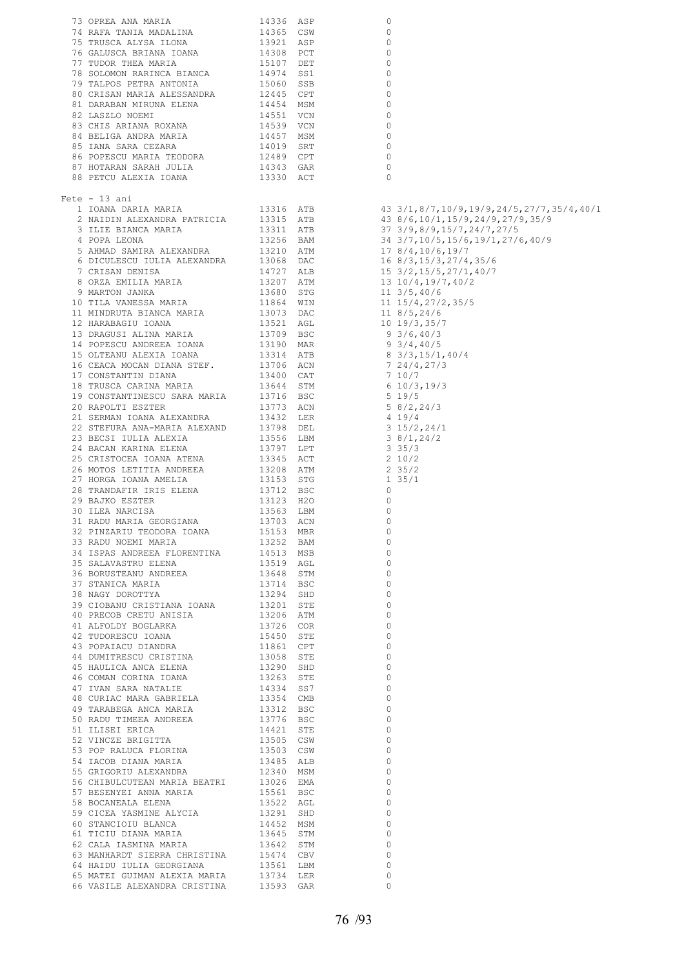| $\circ$<br>$\circ$<br>$\circ$<br>$\circ$<br>$\circ$<br>$\circ$<br>$\circ$<br>$\circ$<br>$\circ$<br>$\circ$<br>$\circ$<br>$\circ$<br>$\circ$<br>$\circ$<br>$\circ$<br>$\mathbf 0$<br>$Fete - 13 ani$<br>28 TRANDAFIR IRIS ELENA 13712 BSC<br>29 BAJKO ESZTER 13123 H2O<br>0<br>29 BAJKO ESZTER<br>30 ILEA NARCISA<br>$\circ$<br>$\circ$<br>$\circ$<br>$\begin{tabular}{lllllllllll} 32 & PINZARIU & TEODORA & IOANA && 15153 & MBR \\ 33 & RADU & NOEMI & MARIA && 13252 & BAM \\ \end{tabular}$<br>$\circ$<br>13252 BAM<br>$\circ$<br>34 ISPAS ANDREEA FLORENTINA 14513 MSB<br>35 SALAVASTRU ELENA 13519 AGL<br>$\circ$<br>$\circ$<br>$\circ$<br>$\circ$<br>$\circ$<br>$\circ$<br>$\circ$<br>$\circ$<br>$\circ$<br>$\circ$<br>$\circ$<br>$\circ$<br>$\circ$<br>$\circ$<br>48 CURIAC MARA GABRIELA (13354 CMB)<br>49 TARABEGA ANCA MARIA (13312 BSC)<br>50 DIRIL -----<br>$\circ$<br>$\circ$<br>1991 - ANNE ANDREA ANNE 1997 - ANNE 1997 - AND TIMEER ANDREA 1997 - 1997 - 1998 - 1998 - 1999 - 1999 - 1999 - 1999 - 1999 - 1999 - 1999 - 1999 - 1999 - 1999 - 1999 - 1999 - 1999 - 1999 - 1999 - 1999 - 1999 - 1999 - 1999 -<br>$\Omega$<br>$\circ$<br>$\circ$<br>$\circ$<br>$\circ$<br>$\circ$<br>56 CHIBULCUTEAN MARIA BEATRI 13026 EMA<br>$\Omega$<br>56 CHIBULCUTEAN MARIA DEALAIN 15561 BSC 2012<br>57 BESENYEI ANNA MARIA 15561 BSC 38 BOCANEALA ELENA 13291 SHD 60 STANCIOIU BLANCA 14452 MSM 62 CALA IASNINA MARIA 13642 STM 62 CHILING AT ANNA MARIA 13642 STM 15474 CRV<br>$\circ$<br>$\Omega$ |  |
|----------------------------------------------------------------------------------------------------------------------------------------------------------------------------------------------------------------------------------------------------------------------------------------------------------------------------------------------------------------------------------------------------------------------------------------------------------------------------------------------------------------------------------------------------------------------------------------------------------------------------------------------------------------------------------------------------------------------------------------------------------------------------------------------------------------------------------------------------------------------------------------------------------------------------------------------------------------------------------------------------------------------------------------------------------------------------------------------------------------------------------------------------------------------------------------------------------------------------------------------------------------------------------------------------------------------------------------------------------------------------------------------------------------------------------------------------------------------------------------------------------|--|
|                                                                                                                                                                                                                                                                                                                                                                                                                                                                                                                                                                                                                                                                                                                                                                                                                                                                                                                                                                                                                                                                                                                                                                                                                                                                                                                                                                                                                                                                                                          |  |
|                                                                                                                                                                                                                                                                                                                                                                                                                                                                                                                                                                                                                                                                                                                                                                                                                                                                                                                                                                                                                                                                                                                                                                                                                                                                                                                                                                                                                                                                                                          |  |
|                                                                                                                                                                                                                                                                                                                                                                                                                                                                                                                                                                                                                                                                                                                                                                                                                                                                                                                                                                                                                                                                                                                                                                                                                                                                                                                                                                                                                                                                                                          |  |
|                                                                                                                                                                                                                                                                                                                                                                                                                                                                                                                                                                                                                                                                                                                                                                                                                                                                                                                                                                                                                                                                                                                                                                                                                                                                                                                                                                                                                                                                                                          |  |
|                                                                                                                                                                                                                                                                                                                                                                                                                                                                                                                                                                                                                                                                                                                                                                                                                                                                                                                                                                                                                                                                                                                                                                                                                                                                                                                                                                                                                                                                                                          |  |
|                                                                                                                                                                                                                                                                                                                                                                                                                                                                                                                                                                                                                                                                                                                                                                                                                                                                                                                                                                                                                                                                                                                                                                                                                                                                                                                                                                                                                                                                                                          |  |
|                                                                                                                                                                                                                                                                                                                                                                                                                                                                                                                                                                                                                                                                                                                                                                                                                                                                                                                                                                                                                                                                                                                                                                                                                                                                                                                                                                                                                                                                                                          |  |
|                                                                                                                                                                                                                                                                                                                                                                                                                                                                                                                                                                                                                                                                                                                                                                                                                                                                                                                                                                                                                                                                                                                                                                                                                                                                                                                                                                                                                                                                                                          |  |
|                                                                                                                                                                                                                                                                                                                                                                                                                                                                                                                                                                                                                                                                                                                                                                                                                                                                                                                                                                                                                                                                                                                                                                                                                                                                                                                                                                                                                                                                                                          |  |
|                                                                                                                                                                                                                                                                                                                                                                                                                                                                                                                                                                                                                                                                                                                                                                                                                                                                                                                                                                                                                                                                                                                                                                                                                                                                                                                                                                                                                                                                                                          |  |
|                                                                                                                                                                                                                                                                                                                                                                                                                                                                                                                                                                                                                                                                                                                                                                                                                                                                                                                                                                                                                                                                                                                                                                                                                                                                                                                                                                                                                                                                                                          |  |
|                                                                                                                                                                                                                                                                                                                                                                                                                                                                                                                                                                                                                                                                                                                                                                                                                                                                                                                                                                                                                                                                                                                                                                                                                                                                                                                                                                                                                                                                                                          |  |
|                                                                                                                                                                                                                                                                                                                                                                                                                                                                                                                                                                                                                                                                                                                                                                                                                                                                                                                                                                                                                                                                                                                                                                                                                                                                                                                                                                                                                                                                                                          |  |
|                                                                                                                                                                                                                                                                                                                                                                                                                                                                                                                                                                                                                                                                                                                                                                                                                                                                                                                                                                                                                                                                                                                                                                                                                                                                                                                                                                                                                                                                                                          |  |
|                                                                                                                                                                                                                                                                                                                                                                                                                                                                                                                                                                                                                                                                                                                                                                                                                                                                                                                                                                                                                                                                                                                                                                                                                                                                                                                                                                                                                                                                                                          |  |
|                                                                                                                                                                                                                                                                                                                                                                                                                                                                                                                                                                                                                                                                                                                                                                                                                                                                                                                                                                                                                                                                                                                                                                                                                                                                                                                                                                                                                                                                                                          |  |
|                                                                                                                                                                                                                                                                                                                                                                                                                                                                                                                                                                                                                                                                                                                                                                                                                                                                                                                                                                                                                                                                                                                                                                                                                                                                                                                                                                                                                                                                                                          |  |
|                                                                                                                                                                                                                                                                                                                                                                                                                                                                                                                                                                                                                                                                                                                                                                                                                                                                                                                                                                                                                                                                                                                                                                                                                                                                                                                                                                                                                                                                                                          |  |
|                                                                                                                                                                                                                                                                                                                                                                                                                                                                                                                                                                                                                                                                                                                                                                                                                                                                                                                                                                                                                                                                                                                                                                                                                                                                                                                                                                                                                                                                                                          |  |
|                                                                                                                                                                                                                                                                                                                                                                                                                                                                                                                                                                                                                                                                                                                                                                                                                                                                                                                                                                                                                                                                                                                                                                                                                                                                                                                                                                                                                                                                                                          |  |
|                                                                                                                                                                                                                                                                                                                                                                                                                                                                                                                                                                                                                                                                                                                                                                                                                                                                                                                                                                                                                                                                                                                                                                                                                                                                                                                                                                                                                                                                                                          |  |
|                                                                                                                                                                                                                                                                                                                                                                                                                                                                                                                                                                                                                                                                                                                                                                                                                                                                                                                                                                                                                                                                                                                                                                                                                                                                                                                                                                                                                                                                                                          |  |
|                                                                                                                                                                                                                                                                                                                                                                                                                                                                                                                                                                                                                                                                                                                                                                                                                                                                                                                                                                                                                                                                                                                                                                                                                                                                                                                                                                                                                                                                                                          |  |
|                                                                                                                                                                                                                                                                                                                                                                                                                                                                                                                                                                                                                                                                                                                                                                                                                                                                                                                                                                                                                                                                                                                                                                                                                                                                                                                                                                                                                                                                                                          |  |
|                                                                                                                                                                                                                                                                                                                                                                                                                                                                                                                                                                                                                                                                                                                                                                                                                                                                                                                                                                                                                                                                                                                                                                                                                                                                                                                                                                                                                                                                                                          |  |
|                                                                                                                                                                                                                                                                                                                                                                                                                                                                                                                                                                                                                                                                                                                                                                                                                                                                                                                                                                                                                                                                                                                                                                                                                                                                                                                                                                                                                                                                                                          |  |
|                                                                                                                                                                                                                                                                                                                                                                                                                                                                                                                                                                                                                                                                                                                                                                                                                                                                                                                                                                                                                                                                                                                                                                                                                                                                                                                                                                                                                                                                                                          |  |
|                                                                                                                                                                                                                                                                                                                                                                                                                                                                                                                                                                                                                                                                                                                                                                                                                                                                                                                                                                                                                                                                                                                                                                                                                                                                                                                                                                                                                                                                                                          |  |
|                                                                                                                                                                                                                                                                                                                                                                                                                                                                                                                                                                                                                                                                                                                                                                                                                                                                                                                                                                                                                                                                                                                                                                                                                                                                                                                                                                                                                                                                                                          |  |
|                                                                                                                                                                                                                                                                                                                                                                                                                                                                                                                                                                                                                                                                                                                                                                                                                                                                                                                                                                                                                                                                                                                                                                                                                                                                                                                                                                                                                                                                                                          |  |
|                                                                                                                                                                                                                                                                                                                                                                                                                                                                                                                                                                                                                                                                                                                                                                                                                                                                                                                                                                                                                                                                                                                                                                                                                                                                                                                                                                                                                                                                                                          |  |
|                                                                                                                                                                                                                                                                                                                                                                                                                                                                                                                                                                                                                                                                                                                                                                                                                                                                                                                                                                                                                                                                                                                                                                                                                                                                                                                                                                                                                                                                                                          |  |
|                                                                                                                                                                                                                                                                                                                                                                                                                                                                                                                                                                                                                                                                                                                                                                                                                                                                                                                                                                                                                                                                                                                                                                                                                                                                                                                                                                                                                                                                                                          |  |
|                                                                                                                                                                                                                                                                                                                                                                                                                                                                                                                                                                                                                                                                                                                                                                                                                                                                                                                                                                                                                                                                                                                                                                                                                                                                                                                                                                                                                                                                                                          |  |
|                                                                                                                                                                                                                                                                                                                                                                                                                                                                                                                                                                                                                                                                                                                                                                                                                                                                                                                                                                                                                                                                                                                                                                                                                                                                                                                                                                                                                                                                                                          |  |
|                                                                                                                                                                                                                                                                                                                                                                                                                                                                                                                                                                                                                                                                                                                                                                                                                                                                                                                                                                                                                                                                                                                                                                                                                                                                                                                                                                                                                                                                                                          |  |
|                                                                                                                                                                                                                                                                                                                                                                                                                                                                                                                                                                                                                                                                                                                                                                                                                                                                                                                                                                                                                                                                                                                                                                                                                                                                                                                                                                                                                                                                                                          |  |
|                                                                                                                                                                                                                                                                                                                                                                                                                                                                                                                                                                                                                                                                                                                                                                                                                                                                                                                                                                                                                                                                                                                                                                                                                                                                                                                                                                                                                                                                                                          |  |
|                                                                                                                                                                                                                                                                                                                                                                                                                                                                                                                                                                                                                                                                                                                                                                                                                                                                                                                                                                                                                                                                                                                                                                                                                                                                                                                                                                                                                                                                                                          |  |
|                                                                                                                                                                                                                                                                                                                                                                                                                                                                                                                                                                                                                                                                                                                                                                                                                                                                                                                                                                                                                                                                                                                                                                                                                                                                                                                                                                                                                                                                                                          |  |
|                                                                                                                                                                                                                                                                                                                                                                                                                                                                                                                                                                                                                                                                                                                                                                                                                                                                                                                                                                                                                                                                                                                                                                                                                                                                                                                                                                                                                                                                                                          |  |
|                                                                                                                                                                                                                                                                                                                                                                                                                                                                                                                                                                                                                                                                                                                                                                                                                                                                                                                                                                                                                                                                                                                                                                                                                                                                                                                                                                                                                                                                                                          |  |
|                                                                                                                                                                                                                                                                                                                                                                                                                                                                                                                                                                                                                                                                                                                                                                                                                                                                                                                                                                                                                                                                                                                                                                                                                                                                                                                                                                                                                                                                                                          |  |
|                                                                                                                                                                                                                                                                                                                                                                                                                                                                                                                                                                                                                                                                                                                                                                                                                                                                                                                                                                                                                                                                                                                                                                                                                                                                                                                                                                                                                                                                                                          |  |
|                                                                                                                                                                                                                                                                                                                                                                                                                                                                                                                                                                                                                                                                                                                                                                                                                                                                                                                                                                                                                                                                                                                                                                                                                                                                                                                                                                                                                                                                                                          |  |
|                                                                                                                                                                                                                                                                                                                                                                                                                                                                                                                                                                                                                                                                                                                                                                                                                                                                                                                                                                                                                                                                                                                                                                                                                                                                                                                                                                                                                                                                                                          |  |
|                                                                                                                                                                                                                                                                                                                                                                                                                                                                                                                                                                                                                                                                                                                                                                                                                                                                                                                                                                                                                                                                                                                                                                                                                                                                                                                                                                                                                                                                                                          |  |
|                                                                                                                                                                                                                                                                                                                                                                                                                                                                                                                                                                                                                                                                                                                                                                                                                                                                                                                                                                                                                                                                                                                                                                                                                                                                                                                                                                                                                                                                                                          |  |
|                                                                                                                                                                                                                                                                                                                                                                                                                                                                                                                                                                                                                                                                                                                                                                                                                                                                                                                                                                                                                                                                                                                                                                                                                                                                                                                                                                                                                                                                                                          |  |
|                                                                                                                                                                                                                                                                                                                                                                                                                                                                                                                                                                                                                                                                                                                                                                                                                                                                                                                                                                                                                                                                                                                                                                                                                                                                                                                                                                                                                                                                                                          |  |
|                                                                                                                                                                                                                                                                                                                                                                                                                                                                                                                                                                                                                                                                                                                                                                                                                                                                                                                                                                                                                                                                                                                                                                                                                                                                                                                                                                                                                                                                                                          |  |
|                                                                                                                                                                                                                                                                                                                                                                                                                                                                                                                                                                                                                                                                                                                                                                                                                                                                                                                                                                                                                                                                                                                                                                                                                                                                                                                                                                                                                                                                                                          |  |
|                                                                                                                                                                                                                                                                                                                                                                                                                                                                                                                                                                                                                                                                                                                                                                                                                                                                                                                                                                                                                                                                                                                                                                                                                                                                                                                                                                                                                                                                                                          |  |
|                                                                                                                                                                                                                                                                                                                                                                                                                                                                                                                                                                                                                                                                                                                                                                                                                                                                                                                                                                                                                                                                                                                                                                                                                                                                                                                                                                                                                                                                                                          |  |
|                                                                                                                                                                                                                                                                                                                                                                                                                                                                                                                                                                                                                                                                                                                                                                                                                                                                                                                                                                                                                                                                                                                                                                                                                                                                                                                                                                                                                                                                                                          |  |
|                                                                                                                                                                                                                                                                                                                                                                                                                                                                                                                                                                                                                                                                                                                                                                                                                                                                                                                                                                                                                                                                                                                                                                                                                                                                                                                                                                                                                                                                                                          |  |
|                                                                                                                                                                                                                                                                                                                                                                                                                                                                                                                                                                                                                                                                                                                                                                                                                                                                                                                                                                                                                                                                                                                                                                                                                                                                                                                                                                                                                                                                                                          |  |
|                                                                                                                                                                                                                                                                                                                                                                                                                                                                                                                                                                                                                                                                                                                                                                                                                                                                                                                                                                                                                                                                                                                                                                                                                                                                                                                                                                                                                                                                                                          |  |
|                                                                                                                                                                                                                                                                                                                                                                                                                                                                                                                                                                                                                                                                                                                                                                                                                                                                                                                                                                                                                                                                                                                                                                                                                                                                                                                                                                                                                                                                                                          |  |
|                                                                                                                                                                                                                                                                                                                                                                                                                                                                                                                                                                                                                                                                                                                                                                                                                                                                                                                                                                                                                                                                                                                                                                                                                                                                                                                                                                                                                                                                                                          |  |
|                                                                                                                                                                                                                                                                                                                                                                                                                                                                                                                                                                                                                                                                                                                                                                                                                                                                                                                                                                                                                                                                                                                                                                                                                                                                                                                                                                                                                                                                                                          |  |
|                                                                                                                                                                                                                                                                                                                                                                                                                                                                                                                                                                                                                                                                                                                                                                                                                                                                                                                                                                                                                                                                                                                                                                                                                                                                                                                                                                                                                                                                                                          |  |
|                                                                                                                                                                                                                                                                                                                                                                                                                                                                                                                                                                                                                                                                                                                                                                                                                                                                                                                                                                                                                                                                                                                                                                                                                                                                                                                                                                                                                                                                                                          |  |
|                                                                                                                                                                                                                                                                                                                                                                                                                                                                                                                                                                                                                                                                                                                                                                                                                                                                                                                                                                                                                                                                                                                                                                                                                                                                                                                                                                                                                                                                                                          |  |
|                                                                                                                                                                                                                                                                                                                                                                                                                                                                                                                                                                                                                                                                                                                                                                                                                                                                                                                                                                                                                                                                                                                                                                                                                                                                                                                                                                                                                                                                                                          |  |
|                                                                                                                                                                                                                                                                                                                                                                                                                                                                                                                                                                                                                                                                                                                                                                                                                                                                                                                                                                                                                                                                                                                                                                                                                                                                                                                                                                                                                                                                                                          |  |
|                                                                                                                                                                                                                                                                                                                                                                                                                                                                                                                                                                                                                                                                                                                                                                                                                                                                                                                                                                                                                                                                                                                                                                                                                                                                                                                                                                                                                                                                                                          |  |
|                                                                                                                                                                                                                                                                                                                                                                                                                                                                                                                                                                                                                                                                                                                                                                                                                                                                                                                                                                                                                                                                                                                                                                                                                                                                                                                                                                                                                                                                                                          |  |
|                                                                                                                                                                                                                                                                                                                                                                                                                                                                                                                                                                                                                                                                                                                                                                                                                                                                                                                                                                                                                                                                                                                                                                                                                                                                                                                                                                                                                                                                                                          |  |
|                                                                                                                                                                                                                                                                                                                                                                                                                                                                                                                                                                                                                                                                                                                                                                                                                                                                                                                                                                                                                                                                                                                                                                                                                                                                                                                                                                                                                                                                                                          |  |
|                                                                                                                                                                                                                                                                                                                                                                                                                                                                                                                                                                                                                                                                                                                                                                                                                                                                                                                                                                                                                                                                                                                                                                                                                                                                                                                                                                                                                                                                                                          |  |
|                                                                                                                                                                                                                                                                                                                                                                                                                                                                                                                                                                                                                                                                                                                                                                                                                                                                                                                                                                                                                                                                                                                                                                                                                                                                                                                                                                                                                                                                                                          |  |
|                                                                                                                                                                                                                                                                                                                                                                                                                                                                                                                                                                                                                                                                                                                                                                                                                                                                                                                                                                                                                                                                                                                                                                                                                                                                                                                                                                                                                                                                                                          |  |
|                                                                                                                                                                                                                                                                                                                                                                                                                                                                                                                                                                                                                                                                                                                                                                                                                                                                                                                                                                                                                                                                                                                                                                                                                                                                                                                                                                                                                                                                                                          |  |
|                                                                                                                                                                                                                                                                                                                                                                                                                                                                                                                                                                                                                                                                                                                                                                                                                                                                                                                                                                                                                                                                                                                                                                                                                                                                                                                                                                                                                                                                                                          |  |
|                                                                                                                                                                                                                                                                                                                                                                                                                                                                                                                                                                                                                                                                                                                                                                                                                                                                                                                                                                                                                                                                                                                                                                                                                                                                                                                                                                                                                                                                                                          |  |
|                                                                                                                                                                                                                                                                                                                                                                                                                                                                                                                                                                                                                                                                                                                                                                                                                                                                                                                                                                                                                                                                                                                                                                                                                                                                                                                                                                                                                                                                                                          |  |
|                                                                                                                                                                                                                                                                                                                                                                                                                                                                                                                                                                                                                                                                                                                                                                                                                                                                                                                                                                                                                                                                                                                                                                                                                                                                                                                                                                                                                                                                                                          |  |
|                                                                                                                                                                                                                                                                                                                                                                                                                                                                                                                                                                                                                                                                                                                                                                                                                                                                                                                                                                                                                                                                                                                                                                                                                                                                                                                                                                                                                                                                                                          |  |
|                                                                                                                                                                                                                                                                                                                                                                                                                                                                                                                                                                                                                                                                                                                                                                                                                                                                                                                                                                                                                                                                                                                                                                                                                                                                                                                                                                                                                                                                                                          |  |
|                                                                                                                                                                                                                                                                                                                                                                                                                                                                                                                                                                                                                                                                                                                                                                                                                                                                                                                                                                                                                                                                                                                                                                                                                                                                                                                                                                                                                                                                                                          |  |
|                                                                                                                                                                                                                                                                                                                                                                                                                                                                                                                                                                                                                                                                                                                                                                                                                                                                                                                                                                                                                                                                                                                                                                                                                                                                                                                                                                                                                                                                                                          |  |
|                                                                                                                                                                                                                                                                                                                                                                                                                                                                                                                                                                                                                                                                                                                                                                                                                                                                                                                                                                                                                                                                                                                                                                                                                                                                                                                                                                                                                                                                                                          |  |
|                                                                                                                                                                                                                                                                                                                                                                                                                                                                                                                                                                                                                                                                                                                                                                                                                                                                                                                                                                                                                                                                                                                                                                                                                                                                                                                                                                                                                                                                                                          |  |
|                                                                                                                                                                                                                                                                                                                                                                                                                                                                                                                                                                                                                                                                                                                                                                                                                                                                                                                                                                                                                                                                                                                                                                                                                                                                                                                                                                                                                                                                                                          |  |
|                                                                                                                                                                                                                                                                                                                                                                                                                                                                                                                                                                                                                                                                                                                                                                                                                                                                                                                                                                                                                                                                                                                                                                                                                                                                                                                                                                                                                                                                                                          |  |
|                                                                                                                                                                                                                                                                                                                                                                                                                                                                                                                                                                                                                                                                                                                                                                                                                                                                                                                                                                                                                                                                                                                                                                                                                                                                                                                                                                                                                                                                                                          |  |
|                                                                                                                                                                                                                                                                                                                                                                                                                                                                                                                                                                                                                                                                                                                                                                                                                                                                                                                                                                                                                                                                                                                                                                                                                                                                                                                                                                                                                                                                                                          |  |
|                                                                                                                                                                                                                                                                                                                                                                                                                                                                                                                                                                                                                                                                                                                                                                                                                                                                                                                                                                                                                                                                                                                                                                                                                                                                                                                                                                                                                                                                                                          |  |
|                                                                                                                                                                                                                                                                                                                                                                                                                                                                                                                                                                                                                                                                                                                                                                                                                                                                                                                                                                                                                                                                                                                                                                                                                                                                                                                                                                                                                                                                                                          |  |
|                                                                                                                                                                                                                                                                                                                                                                                                                                                                                                                                                                                                                                                                                                                                                                                                                                                                                                                                                                                                                                                                                                                                                                                                                                                                                                                                                                                                                                                                                                          |  |
|                                                                                                                                                                                                                                                                                                                                                                                                                                                                                                                                                                                                                                                                                                                                                                                                                                                                                                                                                                                                                                                                                                                                                                                                                                                                                                                                                                                                                                                                                                          |  |
|                                                                                                                                                                                                                                                                                                                                                                                                                                                                                                                                                                                                                                                                                                                                                                                                                                                                                                                                                                                                                                                                                                                                                                                                                                                                                                                                                                                                                                                                                                          |  |
|                                                                                                                                                                                                                                                                                                                                                                                                                                                                                                                                                                                                                                                                                                                                                                                                                                                                                                                                                                                                                                                                                                                                                                                                                                                                                                                                                                                                                                                                                                          |  |
|                                                                                                                                                                                                                                                                                                                                                                                                                                                                                                                                                                                                                                                                                                                                                                                                                                                                                                                                                                                                                                                                                                                                                                                                                                                                                                                                                                                                                                                                                                          |  |
|                                                                                                                                                                                                                                                                                                                                                                                                                                                                                                                                                                                                                                                                                                                                                                                                                                                                                                                                                                                                                                                                                                                                                                                                                                                                                                                                                                                                                                                                                                          |  |
|                                                                                                                                                                                                                                                                                                                                                                                                                                                                                                                                                                                                                                                                                                                                                                                                                                                                                                                                                                                                                                                                                                                                                                                                                                                                                                                                                                                                                                                                                                          |  |
|                                                                                                                                                                                                                                                                                                                                                                                                                                                                                                                                                                                                                                                                                                                                                                                                                                                                                                                                                                                                                                                                                                                                                                                                                                                                                                                                                                                                                                                                                                          |  |
|                                                                                                                                                                                                                                                                                                                                                                                                                                                                                                                                                                                                                                                                                                                                                                                                                                                                                                                                                                                                                                                                                                                                                                                                                                                                                                                                                                                                                                                                                                          |  |
| $\circ$                                                                                                                                                                                                                                                                                                                                                                                                                                                                                                                                                                                                                                                                                                                                                                                                                                                                                                                                                                                                                                                                                                                                                                                                                                                                                                                                                                                                                                                                                                  |  |
| $\Omega$                                                                                                                                                                                                                                                                                                                                                                                                                                                                                                                                                                                                                                                                                                                                                                                                                                                                                                                                                                                                                                                                                                                                                                                                                                                                                                                                                                                                                                                                                                 |  |
|                                                                                                                                                                                                                                                                                                                                                                                                                                                                                                                                                                                                                                                                                                                                                                                                                                                                                                                                                                                                                                                                                                                                                                                                                                                                                                                                                                                                                                                                                                          |  |
| $\circ$                                                                                                                                                                                                                                                                                                                                                                                                                                                                                                                                                                                                                                                                                                                                                                                                                                                                                                                                                                                                                                                                                                                                                                                                                                                                                                                                                                                                                                                                                                  |  |
| $\Omega$                                                                                                                                                                                                                                                                                                                                                                                                                                                                                                                                                                                                                                                                                                                                                                                                                                                                                                                                                                                                                                                                                                                                                                                                                                                                                                                                                                                                                                                                                                 |  |
| $\Omega$                                                                                                                                                                                                                                                                                                                                                                                                                                                                                                                                                                                                                                                                                                                                                                                                                                                                                                                                                                                                                                                                                                                                                                                                                                                                                                                                                                                                                                                                                                 |  |
| 63 MANHARDT SIERRA CHRISTINA 15474 CBV<br>64 HAIDU IULIA GEORGIANA 13561 LBM                                                                                                                                                                                                                                                                                                                                                                                                                                                                                                                                                                                                                                                                                                                                                                                                                                                                                                                                                                                                                                                                                                                                                                                                                                                                                                                                                                                                                             |  |
| $\Omega$                                                                                                                                                                                                                                                                                                                                                                                                                                                                                                                                                                                                                                                                                                                                                                                                                                                                                                                                                                                                                                                                                                                                                                                                                                                                                                                                                                                                                                                                                                 |  |
| 65 MATEI GUIMAN ALEXIA MARIA<br>13734 LER<br>$\circ$                                                                                                                                                                                                                                                                                                                                                                                                                                                                                                                                                                                                                                                                                                                                                                                                                                                                                                                                                                                                                                                                                                                                                                                                                                                                                                                                                                                                                                                     |  |
|                                                                                                                                                                                                                                                                                                                                                                                                                                                                                                                                                                                                                                                                                                                                                                                                                                                                                                                                                                                                                                                                                                                                                                                                                                                                                                                                                                                                                                                                                                          |  |
| 66 VASILE ALEXANDRA CRISTINA 13593 GAR<br>$\Omega$                                                                                                                                                                                                                                                                                                                                                                                                                                                                                                                                                                                                                                                                                                                                                                                                                                                                                                                                                                                                                                                                                                                                                                                                                                                                                                                                                                                                                                                       |  |

43 3/1,8/7,10/9,19/9,24/5,27/7,35/4,40/1  $16 \frac{8}{3}$ ,  $15/3$ ,  $27/4$ ,  $35/6$  $11 \frac{3}{5}$ , 40/6  $7\frac{24}{4}$ , 27/3  $\begin{array}{c} 7 & 187 \\ 6 & 10/3 \\ 5 & 19/5 \end{array}$  $58/2,24/3$ <br>4 19/4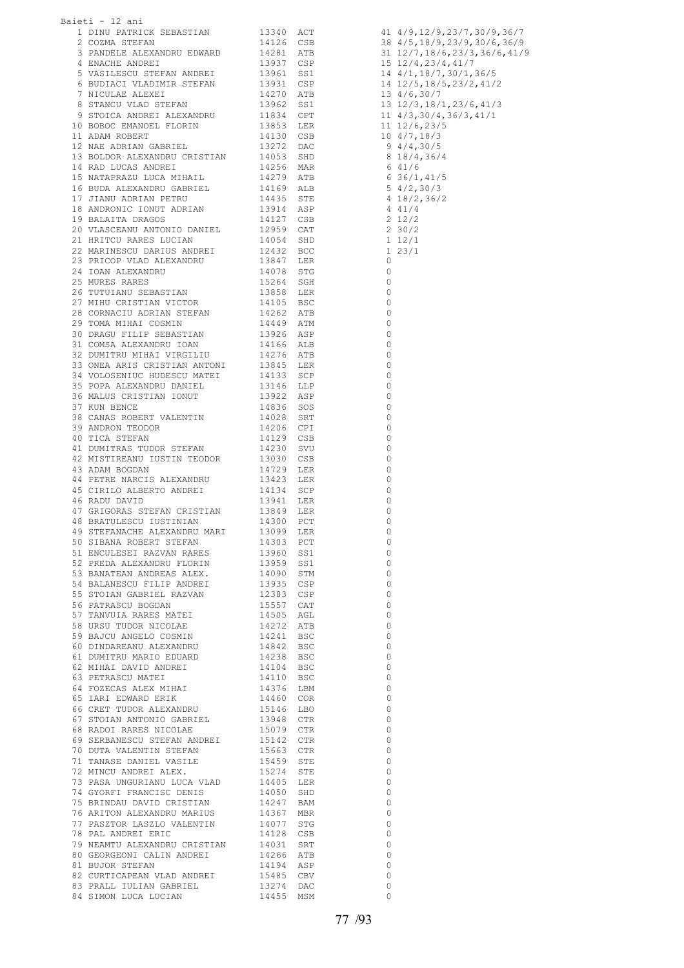| Baieti - 12 ani |                                                                                                                                                                                                                                            |  |                                                |                                                                                                                                    |
|-----------------|--------------------------------------------------------------------------------------------------------------------------------------------------------------------------------------------------------------------------------------------|--|------------------------------------------------|------------------------------------------------------------------------------------------------------------------------------------|
|                 |                                                                                                                                                                                                                                            |  |                                                |                                                                                                                                    |
|                 |                                                                                                                                                                                                                                            |  |                                                |                                                                                                                                    |
|                 |                                                                                                                                                                                                                                            |  |                                                |                                                                                                                                    |
|                 | Alexi – 12 ani<br>1 DINU PATRICK SEBASTIAN – 13340 ACT<br>2 COMA STETAN – 13340 ACT<br>2 COMA STETAN 3 13340 ACT<br>4 ENACHE MUNCHI EMEXANDRU EDWARD – 14226 CSB<br>6 FUDILAE ALEXANDRU EDWARD 13931 CSE<br>7 WISCULE ALEXANDRU TERVAND (1 |  |                                                | 41 $4/9, 12/9, 23/7, 30/9, 36/7$<br>38 $4/5, 18/9, 23/9, 30/6, 36/9$<br>31 $12/7, 18/6, 23/3, 36/6, 41/9$<br>15 $12/4, 23/4, 41/7$ |
|                 |                                                                                                                                                                                                                                            |  |                                                |                                                                                                                                    |
|                 |                                                                                                                                                                                                                                            |  |                                                | 14 4/1,18/7,30/1,36/5<br>14 12/5,18/5,23/2,41/2                                                                                    |
|                 |                                                                                                                                                                                                                                            |  |                                                |                                                                                                                                    |
|                 |                                                                                                                                                                                                                                            |  |                                                | 13 4/6,30/7<br>13 12/3,18/1,23/6,41/3                                                                                              |
|                 |                                                                                                                                                                                                                                            |  |                                                |                                                                                                                                    |
|                 |                                                                                                                                                                                                                                            |  |                                                | 11 $4/3$ , 30/4, 36/3, 41/1<br>11 12/6, 23/5                                                                                       |
|                 |                                                                                                                                                                                                                                            |  |                                                |                                                                                                                                    |
|                 |                                                                                                                                                                                                                                            |  |                                                | $10 \t4/7, 18/3$<br>9 $4/4, 30/5$                                                                                                  |
|                 |                                                                                                                                                                                                                                            |  |                                                |                                                                                                                                    |
|                 |                                                                                                                                                                                                                                            |  | $8 18/4, 36/4$<br>$6 41/6$                     |                                                                                                                                    |
|                 |                                                                                                                                                                                                                                            |  |                                                |                                                                                                                                    |
|                 |                                                                                                                                                                                                                                            |  | $6\frac{11}{26}/\frac{1}{41}/5$                |                                                                                                                                    |
|                 |                                                                                                                                                                                                                                            |  |                                                | $5\frac{4}{2}$ , 30/3                                                                                                              |
|                 |                                                                                                                                                                                                                                            |  |                                                |                                                                                                                                    |
|                 |                                                                                                                                                                                                                                            |  | $4\frac{18}{2}$ , 36/2                         |                                                                                                                                    |
|                 |                                                                                                                                                                                                                                            |  |                                                | 4 4 1 / 4                                                                                                                          |
|                 |                                                                                                                                                                                                                                            |  | $2\frac{12}{2}$                                |                                                                                                                                    |
|                 |                                                                                                                                                                                                                                            |  |                                                | 2 30/2                                                                                                                             |
|                 |                                                                                                                                                                                                                                            |  | 1 12/1                                         |                                                                                                                                    |
|                 |                                                                                                                                                                                                                                            |  |                                                |                                                                                                                                    |
|                 |                                                                                                                                                                                                                                            |  | $\begin{array}{c} 1 \ \ 23/1 \\ 0 \end{array}$ |                                                                                                                                    |
|                 |                                                                                                                                                                                                                                            |  | $\overline{0}$                                 |                                                                                                                                    |
|                 |                                                                                                                                                                                                                                            |  | 0                                              |                                                                                                                                    |
|                 |                                                                                                                                                                                                                                            |  | 0                                              |                                                                                                                                    |
|                 |                                                                                                                                                                                                                                            |  | 0                                              |                                                                                                                                    |
|                 |                                                                                                                                                                                                                                            |  | 0                                              |                                                                                                                                    |
|                 |                                                                                                                                                                                                                                            |  |                                                |                                                                                                                                    |
|                 |                                                                                                                                                                                                                                            |  | 0                                              |                                                                                                                                    |
|                 |                                                                                                                                                                                                                                            |  | 0                                              |                                                                                                                                    |
|                 |                                                                                                                                                                                                                                            |  | 0                                              |                                                                                                                                    |
|                 |                                                                                                                                                                                                                                            |  | 0                                              |                                                                                                                                    |
|                 |                                                                                                                                                                                                                                            |  | 0                                              |                                                                                                                                    |
|                 |                                                                                                                                                                                                                                            |  | 0                                              |                                                                                                                                    |
|                 |                                                                                                                                                                                                                                            |  | 0                                              |                                                                                                                                    |
|                 |                                                                                                                                                                                                                                            |  | 0                                              |                                                                                                                                    |
|                 |                                                                                                                                                                                                                                            |  | 0                                              |                                                                                                                                    |
|                 |                                                                                                                                                                                                                                            |  | 0                                              |                                                                                                                                    |
|                 |                                                                                                                                                                                                                                            |  |                                                |                                                                                                                                    |
|                 |                                                                                                                                                                                                                                            |  | 0                                              |                                                                                                                                    |
|                 |                                                                                                                                                                                                                                            |  | 0                                              |                                                                                                                                    |
|                 |                                                                                                                                                                                                                                            |  | 0                                              |                                                                                                                                    |
|                 |                                                                                                                                                                                                                                            |  | 0                                              |                                                                                                                                    |
|                 |                                                                                                                                                                                                                                            |  | 0                                              |                                                                                                                                    |
|                 |                                                                                                                                                                                                                                            |  | 0                                              |                                                                                                                                    |
|                 |                                                                                                                                                                                                                                            |  | 0                                              |                                                                                                                                    |
|                 |                                                                                                                                                                                                                                            |  | 0                                              |                                                                                                                                    |
|                 |                                                                                                                                                                                                                                            |  | 0                                              |                                                                                                                                    |
|                 |                                                                                                                                                                                                                                            |  | 0                                              |                                                                                                                                    |
|                 |                                                                                                                                                                                                                                            |  | 0                                              |                                                                                                                                    |
|                 |                                                                                                                                                                                                                                            |  |                                                |                                                                                                                                    |
|                 |                                                                                                                                                                                                                                            |  | 0                                              |                                                                                                                                    |
|                 |                                                                                                                                                                                                                                            |  | $\overline{0}$                                 |                                                                                                                                    |
|                 |                                                                                                                                                                                                                                            |  | $\circ$                                        |                                                                                                                                    |
|                 |                                                                                                                                                                                                                                            |  | $\circ$                                        |                                                                                                                                    |
|                 |                                                                                                                                                                                                                                            |  | $\circ$                                        |                                                                                                                                    |
|                 |                                                                                                                                                                                                                                            |  | $\circ$                                        |                                                                                                                                    |
|                 |                                                                                                                                                                                                                                            |  | $\circ$                                        |                                                                                                                                    |
|                 |                                                                                                                                                                                                                                            |  | 0                                              |                                                                                                                                    |
|                 |                                                                                                                                                                                                                                            |  | $\mathbf 0$                                    |                                                                                                                                    |
|                 |                                                                                                                                                                                                                                            |  | $\circ$                                        |                                                                                                                                    |
|                 |                                                                                                                                                                                                                                            |  | $\circ$                                        |                                                                                                                                    |
|                 |                                                                                                                                                                                                                                            |  |                                                |                                                                                                                                    |
|                 |                                                                                                                                                                                                                                            |  | 0                                              |                                                                                                                                    |
|                 |                                                                                                                                                                                                                                            |  | 0                                              |                                                                                                                                    |
|                 |                                                                                                                                                                                                                                            |  | $\circ$                                        |                                                                                                                                    |
|                 |                                                                                                                                                                                                                                            |  | 0                                              |                                                                                                                                    |
|                 |                                                                                                                                                                                                                                            |  | 0                                              |                                                                                                                                    |
|                 |                                                                                                                                                                                                                                            |  | 0                                              |                                                                                                                                    |
|                 |                                                                                                                                                                                                                                            |  | 0                                              |                                                                                                                                    |
|                 |                                                                                                                                                                                                                                            |  | 0                                              |                                                                                                                                    |
|                 |                                                                                                                                                                                                                                            |  | $\mathbf 0$                                    |                                                                                                                                    |
|                 |                                                                                                                                                                                                                                            |  |                                                |                                                                                                                                    |
|                 |                                                                                                                                                                                                                                            |  | 0                                              |                                                                                                                                    |
|                 |                                                                                                                                                                                                                                            |  | 0                                              |                                                                                                                                    |
|                 |                                                                                                                                                                                                                                            |  | 0                                              |                                                                                                                                    |
|                 |                                                                                                                                                                                                                                            |  | 0                                              |                                                                                                                                    |
|                 |                                                                                                                                                                                                                                            |  | 0                                              |                                                                                                                                    |
|                 |                                                                                                                                                                                                                                            |  | 0                                              |                                                                                                                                    |
|                 |                                                                                                                                                                                                                                            |  | 0                                              |                                                                                                                                    |
|                 |                                                                                                                                                                                                                                            |  | 0                                              |                                                                                                                                    |
|                 |                                                                                                                                                                                                                                            |  | 0                                              |                                                                                                                                    |
|                 |                                                                                                                                                                                                                                            |  | 0                                              |                                                                                                                                    |
|                 |                                                                                                                                                                                                                                            |  |                                                |                                                                                                                                    |
|                 |                                                                                                                                                                                                                                            |  | 0                                              |                                                                                                                                    |
|                 |                                                                                                                                                                                                                                            |  | 0                                              |                                                                                                                                    |
|                 |                                                                                                                                                                                                                                            |  | 0                                              |                                                                                                                                    |
|                 | 47 GRIGORAS STEFAN CRISTIAN 113849 LER<br>48 BRATULESCU IUSTINIAN 14300 PCT<br>49 STEFANACER ALEXANDRU MARI 11309 DER<br>50 SIBANA ROBERT STEFAN 11395 PCT<br>51 ENCULESEI RAZVAN RARES 113960 SS1<br>52 PREDA ALEXANDRU FLORIN 113959     |  | $\circ$                                        |                                                                                                                                    |
|                 |                                                                                                                                                                                                                                            |  | $\circ$                                        |                                                                                                                                    |
|                 |                                                                                                                                                                                                                                            |  |                                                |                                                                                                                                    |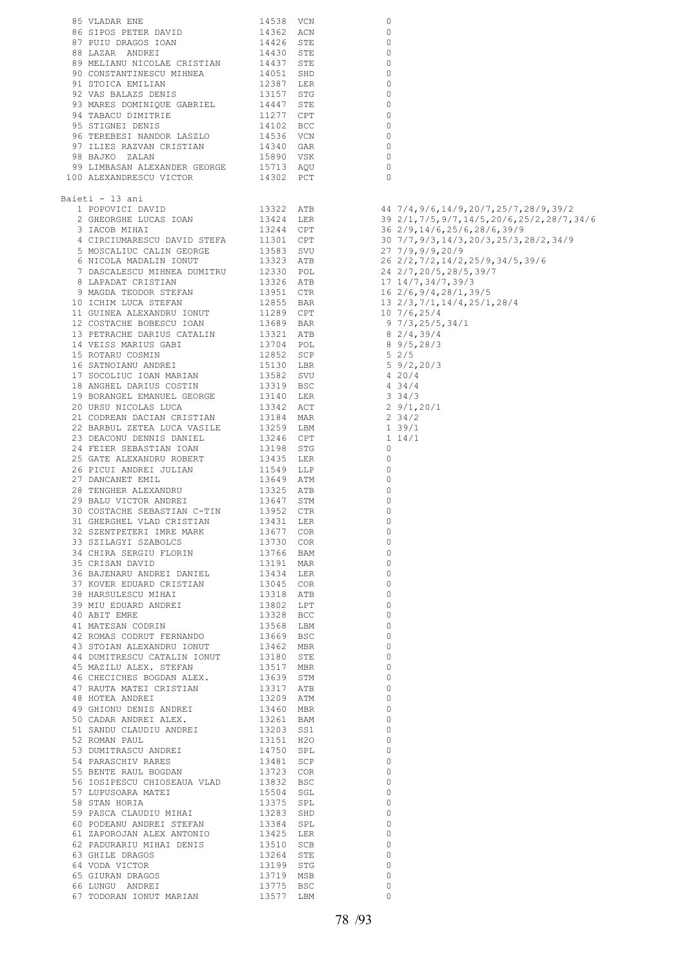| 85 VLADAR ENE                                                                                                                                                                                                                                                                                                        | 14538 VCN                                        | 0                                                                                               |  |
|----------------------------------------------------------------------------------------------------------------------------------------------------------------------------------------------------------------------------------------------------------------------------------------------------------------------|--------------------------------------------------|-------------------------------------------------------------------------------------------------|--|
| 86 SIPOS PETER DAVID                                                                                                                                                                                                                                                                                                 | 14362 ACN                                        | 0                                                                                               |  |
| 87 PUIU DRAGOS IOAN                                                                                                                                                                                                                                                                                                  |                                                  | 0                                                                                               |  |
| 88 LAZAR ANDREI                                                                                                                                                                                                                                                                                                      | 14426 STE<br>14430 STE                           | 0                                                                                               |  |
| 89 MELIANU NICOLAE CRISTIAN                                                                                                                                                                                                                                                                                          |                                                  | 0                                                                                               |  |
|                                                                                                                                                                                                                                                                                                                      | 14437 STE                                        |                                                                                                 |  |
| 90 CONSTANTINESCU MIHNEA                                                                                                                                                                                                                                                                                             | 14051 SHD                                        | 0                                                                                               |  |
| 91 STOICA EMILIAN                                                                                                                                                                                                                                                                                                    | 12387 LER<br>13157 STG                           | 0                                                                                               |  |
| 92 VAS BALAZS DENIS                                                                                                                                                                                                                                                                                                  |                                                  | 0                                                                                               |  |
| 93 MARES DOMINIQUE GABRIEL                                                                                                                                                                                                                                                                                           | 14447 STE<br>11277 CPT                           | 0                                                                                               |  |
| 94 TABACU DIMITRIE                                                                                                                                                                                                                                                                                                   |                                                  | 0                                                                                               |  |
| 95 STIGNEI DENIS                                                                                                                                                                                                                                                                                                     |                                                  | 0                                                                                               |  |
| 96 TEREBESI NANDOR LASZLO                                                                                                                                                                                                                                                                                            | 14102 BCC<br>14536 VCN                           | 0                                                                                               |  |
| 97 ILIES RAZVAN CRISTIAN                                                                                                                                                                                                                                                                                             |                                                  | 0                                                                                               |  |
| 98 BAJKO ZALAN                                                                                                                                                                                                                                                                                                       | 14340 GAR<br>15890 VSK                           | $\circ$                                                                                         |  |
|                                                                                                                                                                                                                                                                                                                      |                                                  | $\circ$                                                                                         |  |
| 98 BAJKO ZALAN<br>99 LIMBASAN ALEXANDER GEORGE 15713 AQU<br>00 ALEXANDRESCU VICTOR 14302 PCT<br>100 ALEXANDRESCU VICTOR                                                                                                                                                                                              |                                                  | $\circ$                                                                                         |  |
|                                                                                                                                                                                                                                                                                                                      |                                                  |                                                                                                 |  |
| Baieti - 13 ani                                                                                                                                                                                                                                                                                                      |                                                  |                                                                                                 |  |
|                                                                                                                                                                                                                                                                                                                      |                                                  |                                                                                                 |  |
| 1 POPOVICI DAVID                                                                                                                                                                                                                                                                                                     | 13322 ATB<br>13424 LER<br>13244 CPT<br>11301 CPT | 44   7/4, 9/6, 14/9, 20/7, 25/7, 28/9, 39/2<br>39   2/1, 7/5, 9/7, 14/5, 20/6, 25/2, 28/7, 34/6 |  |
| 2 GHEORGHE LUCAS IOAN                                                                                                                                                                                                                                                                                                |                                                  |                                                                                                 |  |
| 3 IACOB MIHAI                                                                                                                                                                                                                                                                                                        |                                                  | 36  2/9,14/6,25/6,28/6,39/9<br>30  7/7,9/3,14/3,20/3,25/3,28/2,34/9                             |  |
| 4 CIRCIUMARESCU DAVID STEFA                                                                                                                                                                                                                                                                                          |                                                  |                                                                                                 |  |
|                                                                                                                                                                                                                                                                                                                      |                                                  | 27 7/9,9/9,20/9                                                                                 |  |
| 5 MOSCALIUC CALIN GEORGE 13583 SVU<br>6 NICOLA MADALIN IONUT 13323 ATB<br>6 NICOLA MADALIN IONUT 13323 AID<br>7 DASCALESCU MIHNEA DUMITRU 12330 POL<br>8 LAPADAT CRISTIAN 13326 ATB<br>9 MAGDA TEODOR STEFAN 13951 CTR<br>10 ICHIM LUCA STEFAN 12855 BAR<br>11 GUINEA ALEXANDRU IONUT 11289 CPT<br>12 COSTACHE BOBES |                                                  | 26 2/2,7/2,14/2,25/9,34/5,39/6                                                                  |  |
|                                                                                                                                                                                                                                                                                                                      |                                                  | 24 2/7, 20/5, 28/5, 39/7                                                                        |  |
|                                                                                                                                                                                                                                                                                                                      |                                                  | 17 14/7,34/7,39/3                                                                               |  |
|                                                                                                                                                                                                                                                                                                                      |                                                  | 16 2/6, 9/4, 28/1, 39/5                                                                         |  |
|                                                                                                                                                                                                                                                                                                                      |                                                  |                                                                                                 |  |
|                                                                                                                                                                                                                                                                                                                      |                                                  | 13 2/3,7/1,14/4,25/1,28/4                                                                       |  |
|                                                                                                                                                                                                                                                                                                                      |                                                  | 10 7/6,25/4                                                                                     |  |
|                                                                                                                                                                                                                                                                                                                      |                                                  | 97/3, 25/5, 34/1                                                                                |  |
|                                                                                                                                                                                                                                                                                                                      |                                                  | $8\ 2/4,39/4$                                                                                   |  |
|                                                                                                                                                                                                                                                                                                                      |                                                  | 8 9/5,28/3                                                                                      |  |
| 15 ROTARU COSMIN                                                                                                                                                                                                                                                                                                     | 12852 SCP<br>15130 LBR<br>13582 SVU<br>13319 BSC | $5 \frac{2}{5}$                                                                                 |  |
| 16 SATNOIANU ANDREI                                                                                                                                                                                                                                                                                                  |                                                  | $5\frac{9}{2}$ , 20/3                                                                           |  |
| 17 SOCOLIUC IOAN MARIAN                                                                                                                                                                                                                                                                                              |                                                  | 420/4                                                                                           |  |
|                                                                                                                                                                                                                                                                                                                      |                                                  |                                                                                                 |  |
|                                                                                                                                                                                                                                                                                                                      |                                                  | 434/4                                                                                           |  |
| 18 ANGHEL DARIUS COSTIN 19 BORANGEL EMANUEL GEORGE 13140 LER                                                                                                                                                                                                                                                         |                                                  | $3 \frac{34}{3}$                                                                                |  |
|                                                                                                                                                                                                                                                                                                                      |                                                  | 29/1, 20/1                                                                                      |  |
| 21 CODREAN DACIAN CRISTIAN 13184 MAR                                                                                                                                                                                                                                                                                 |                                                  | $2 \frac{34}{2}$                                                                                |  |
| 22 BARBUL ZETEA LUCA VASILE                                                                                                                                                                                                                                                                                          | 13259 LBM                                        | 139/1                                                                                           |  |
| 23 DEACONU DENNIS DANIEL                                                                                                                                                                                                                                                                                             | 13246 CPT                                        | $1\;14/1$                                                                                       |  |
| 24 FEIER SEBASTIAN IOAN                                                                                                                                                                                                                                                                                              | 13198 STG                                        | 0                                                                                               |  |
|                                                                                                                                                                                                                                                                                                                      |                                                  |                                                                                                 |  |
| 25 GATE ALEXANDRU ROBERT                                                                                                                                                                                                                                                                                             | 13435 LER                                        | 0                                                                                               |  |
| 26 PICUI ANDREI JULIAN                                                                                                                                                                                                                                                                                               | 11549 LLP                                        | 0                                                                                               |  |
| 27 DANCANET EMIL                                                                                                                                                                                                                                                                                                     | 13649 ATM                                        | 0                                                                                               |  |
| 28 TENGHER ALEXANDRU                                                                                                                                                                                                                                                                                                 | 13325 ATB                                        | 0                                                                                               |  |
| 29 BALU VICTOR ANDREI                                                                                                                                                                                                                                                                                                | 13647 STM                                        | 0                                                                                               |  |
| 30 COSTACHE SEBASTIAN C-TIN                                                                                                                                                                                                                                                                                          | 13952 CTR                                        | 0                                                                                               |  |
| 31 GHERGHEL VLAD CRISTIAN                                                                                                                                                                                                                                                                                            | 13431 LER                                        | 0                                                                                               |  |
|                                                                                                                                                                                                                                                                                                                      |                                                  |                                                                                                 |  |
|                                                                                                                                                                                                                                                                                                                      |                                                  | $\overline{0}$                                                                                  |  |
|                                                                                                                                                                                                                                                                                                                      |                                                  | 0                                                                                               |  |
|                                                                                                                                                                                                                                                                                                                      |                                                  | $\circ$                                                                                         |  |
|                                                                                                                                                                                                                                                                                                                      |                                                  | $\circ$                                                                                         |  |
|                                                                                                                                                                                                                                                                                                                      |                                                  | $\circ$                                                                                         |  |
|                                                                                                                                                                                                                                                                                                                      |                                                  | $\circ$                                                                                         |  |
|                                                                                                                                                                                                                                                                                                                      |                                                  | $\mathbf 0$                                                                                     |  |
|                                                                                                                                                                                                                                                                                                                      |                                                  | $\circ$                                                                                         |  |
|                                                                                                                                                                                                                                                                                                                      |                                                  | $\circ$                                                                                         |  |
|                                                                                                                                                                                                                                                                                                                      |                                                  |                                                                                                 |  |
|                                                                                                                                                                                                                                                                                                                      |                                                  | $\circ$                                                                                         |  |
|                                                                                                                                                                                                                                                                                                                      |                                                  | $\circ$                                                                                         |  |
|                                                                                                                                                                                                                                                                                                                      |                                                  | $\circ$                                                                                         |  |
|                                                                                                                                                                                                                                                                                                                      |                                                  | $\circ$                                                                                         |  |
|                                                                                                                                                                                                                                                                                                                      |                                                  | $\mathbf 0$                                                                                     |  |
|                                                                                                                                                                                                                                                                                                                      |                                                  | $\circ$                                                                                         |  |
|                                                                                                                                                                                                                                                                                                                      |                                                  | $\circ$                                                                                         |  |
|                                                                                                                                                                                                                                                                                                                      |                                                  | $\circ$                                                                                         |  |
|                                                                                                                                                                                                                                                                                                                      |                                                  |                                                                                                 |  |
|                                                                                                                                                                                                                                                                                                                      |                                                  | $\mathbf 0$                                                                                     |  |
|                                                                                                                                                                                                                                                                                                                      |                                                  | $\circ$                                                                                         |  |
|                                                                                                                                                                                                                                                                                                                      |                                                  | $\circ$                                                                                         |  |
|                                                                                                                                                                                                                                                                                                                      |                                                  | $\circ$                                                                                         |  |
|                                                                                                                                                                                                                                                                                                                      |                                                  | $\mathbf 0$                                                                                     |  |
|                                                                                                                                                                                                                                                                                                                      |                                                  | $\circ$                                                                                         |  |
|                                                                                                                                                                                                                                                                                                                      |                                                  | $\circ$                                                                                         |  |
|                                                                                                                                                                                                                                                                                                                      |                                                  | $\circ$                                                                                         |  |
|                                                                                                                                                                                                                                                                                                                      |                                                  |                                                                                                 |  |
|                                                                                                                                                                                                                                                                                                                      |                                                  | $\circ$                                                                                         |  |
|                                                                                                                                                                                                                                                                                                                      |                                                  | $\circ$                                                                                         |  |
|                                                                                                                                                                                                                                                                                                                      |                                                  | $\circ$                                                                                         |  |
|                                                                                                                                                                                                                                                                                                                      |                                                  | $\circ$                                                                                         |  |
|                                                                                                                                                                                                                                                                                                                      |                                                  | $\circ$                                                                                         |  |
|                                                                                                                                                                                                                                                                                                                      |                                                  | $\circ$                                                                                         |  |
|                                                                                                                                                                                                                                                                                                                      |                                                  | $\circ$                                                                                         |  |
|                                                                                                                                                                                                                                                                                                                      |                                                  |                                                                                                 |  |
|                                                                                                                                                                                                                                                                                                                      |                                                  | $\Omega$                                                                                        |  |
|                                                                                                                                                                                                                                                                                                                      |                                                  | $\circ$                                                                                         |  |
|                                                                                                                                                                                                                                                                                                                      |                                                  | 0                                                                                               |  |
| 20 COSTACHE SEBASTIAN C-TIN 13952 CTR<br>30 COSTACHE SEBASTIAN C-TIN 13952 CTR<br>32 SEEMPERTERI IMAE MARK 13451 LER<br>32 SEEMPERTERI IMAE MARK 13571 COR<br>33 SEEMPERTERI IMAE MARK 13577 COR<br>33 SEEMPERTERI IMAE MARK 13577 COR<br>                                                                           |                                                  | $\Omega$                                                                                        |  |
|                                                                                                                                                                                                                                                                                                                      |                                                  |                                                                                                 |  |

 $16 \frac{2}{6}$ , 9/4, 28/1,39/5 13 2/3,7/1,14/4,25/1,28/4  $10 \frac{7}{6}$ , 25/4  $8 \frac{9}{5}$ , 28/3  $5 \frac{9}{2}$ , 20/3<br>4 20/4<br>4 34/4 2  $9/1,20/1$ <br>2  $34/2$ <br>1  $39/1$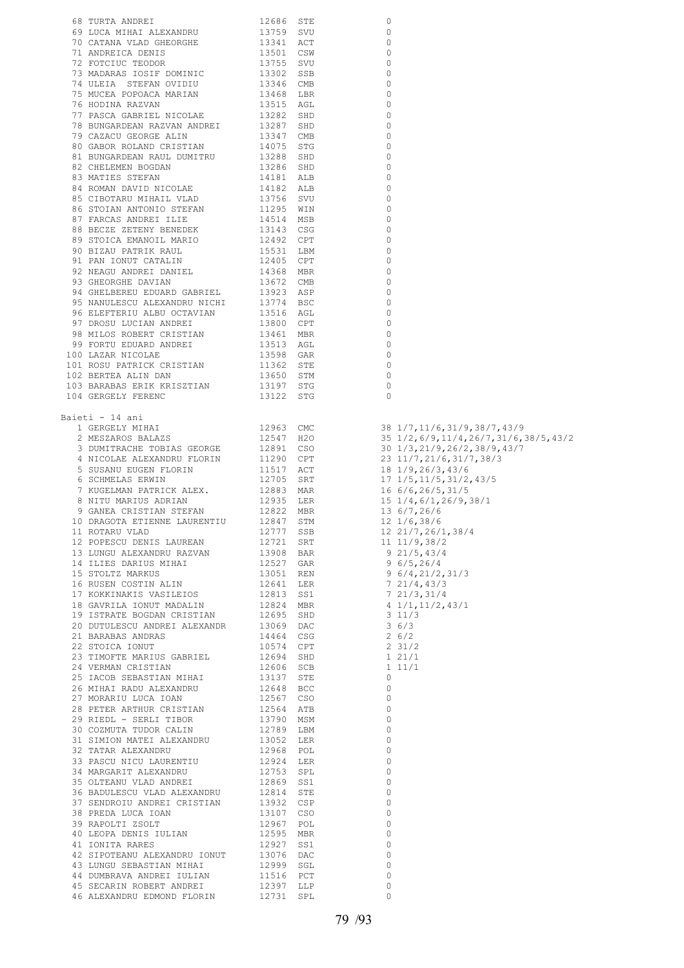| 68 TURTA ANDREI                                                                                                                                                                                                                       | 12686                                                                                                            | STE | 0        |                                           |
|---------------------------------------------------------------------------------------------------------------------------------------------------------------------------------------------------------------------------------------|------------------------------------------------------------------------------------------------------------------|-----|----------|-------------------------------------------|
| 69 LUCA MIHAI ALEXANDRU                                                                                                                                                                                                               | 13759 SVU<br>13341 ACT                                                                                           |     | 0        |                                           |
| 70 CATANA VLAD GHEORGHE                                                                                                                                                                                                               |                                                                                                                  |     | 0        |                                           |
|                                                                                                                                                                                                                                       |                                                                                                                  |     |          |                                           |
| 71 ANDREICA DENIS                                                                                                                                                                                                                     | 13501 CSW<br>13755 SVU                                                                                           |     | $\circ$  |                                           |
| 72 FOTCIUC TEODOR                                                                                                                                                                                                                     |                                                                                                                  |     | 0        |                                           |
| 73 MADARAS IOSIF DOMINIC                                                                                                                                                                                                              | 13302<br>13346                                                                                                   | SSB | 0        |                                           |
| 74 ULEIA STEFAN OVIDIU                                                                                                                                                                                                                |                                                                                                                  | CMB | 0        |                                           |
| 75 MUCEA POPOACA MARIAN                                                                                                                                                                                                               |                                                                                                                  |     | 0        |                                           |
|                                                                                                                                                                                                                                       | 13468 LBR<br>13515 AGL                                                                                           |     |          |                                           |
| 76 HODINA RAZVAN                                                                                                                                                                                                                      |                                                                                                                  |     | 0        |                                           |
| THE MINIMUM PASCA GABRIEL NICOLAE 13282 SHD<br>TA BUNGARDEAN RAZVAN ANDREI 13287 SHD<br>TA CAZACU GEORGE ALIN 13347 CMB<br>80 GABOR ROLAND CRISTIAN 14075 STG                                                                         |                                                                                                                  |     | 0        |                                           |
|                                                                                                                                                                                                                                       |                                                                                                                  |     | 0        |                                           |
|                                                                                                                                                                                                                                       |                                                                                                                  |     | 0        |                                           |
|                                                                                                                                                                                                                                       |                                                                                                                  |     |          |                                           |
|                                                                                                                                                                                                                                       |                                                                                                                  |     | 0        |                                           |
|                                                                                                                                                                                                                                       |                                                                                                                  |     | $\Omega$ |                                           |
|                                                                                                                                                                                                                                       |                                                                                                                  |     | 0        |                                           |
|                                                                                                                                                                                                                                       |                                                                                                                  |     | $\Omega$ |                                           |
|                                                                                                                                                                                                                                       |                                                                                                                  |     | 0        |                                           |
|                                                                                                                                                                                                                                       |                                                                                                                  |     |          |                                           |
|                                                                                                                                                                                                                                       |                                                                                                                  |     | $\Omega$ |                                           |
|                                                                                                                                                                                                                                       |                                                                                                                  |     | $\Omega$ |                                           |
|                                                                                                                                                                                                                                       |                                                                                                                  |     | $\Omega$ |                                           |
|                                                                                                                                                                                                                                       |                                                                                                                  |     | $\Omega$ |                                           |
|                                                                                                                                                                                                                                       |                                                                                                                  |     | $\Omega$ |                                           |
|                                                                                                                                                                                                                                       |                                                                                                                  |     |          |                                           |
|                                                                                                                                                                                                                                       |                                                                                                                  |     | $\circ$  |                                           |
|                                                                                                                                                                                                                                       |                                                                                                                  |     | $\Omega$ |                                           |
|                                                                                                                                                                                                                                       |                                                                                                                  |     | 0        |                                           |
|                                                                                                                                                                                                                                       |                                                                                                                  |     | 0        |                                           |
|                                                                                                                                                                                                                                       |                                                                                                                  |     | 0        |                                           |
|                                                                                                                                                                                                                                       |                                                                                                                  |     |          |                                           |
|                                                                                                                                                                                                                                       |                                                                                                                  |     | 0        |                                           |
| 96 ELEFTERIU ALBU OCTAVIAN                                                                                                                                                                                                            |                                                                                                                  |     | 0        |                                           |
| 97 DROSU LUCIAN ANDREI                                                                                                                                                                                                                |                                                                                                                  |     | 0        |                                           |
| 98 MILOS ROBERT CRISTIAN                                                                                                                                                                                                              |                                                                                                                  |     | 0        |                                           |
|                                                                                                                                                                                                                                       |                                                                                                                  |     |          |                                           |
| 99 FORTU EDUARD ANDREI                                                                                                                                                                                                                |                                                                                                                  |     | 0        |                                           |
| 100 LAZAR NICOLAE                                                                                                                                                                                                                     |                                                                                                                  |     | 0        |                                           |
| 101 ROSU PATRICK CRISTIAN                                                                                                                                                                                                             |                                                                                                                  |     | 0        |                                           |
| 102 BERTEA ALIN DAN                                                                                                                                                                                                                   | 13774 BSC<br>13800 CPT<br>13800 CPT<br>13461 MBR<br>13513 AGL<br>13598 GAR<br>1362 STE<br>13650 STM<br>13197 STG |     | 0        |                                           |
| 103 BARABAS ERIK KRISZTIAN                                                                                                                                                                                                            |                                                                                                                  |     | 0        |                                           |
|                                                                                                                                                                                                                                       |                                                                                                                  |     |          |                                           |
| 104 GERGELY FERENC                                                                                                                                                                                                                    | 13122 STG                                                                                                        |     | $\Omega$ |                                           |
|                                                                                                                                                                                                                                       |                                                                                                                  |     |          |                                           |
| Baieti - 14 ani                                                                                                                                                                                                                       |                                                                                                                  |     |          |                                           |
| 1 GERGELY MIHAI                                                                                                                                                                                                                       | 12963 CMC                                                                                                        |     |          | 38 1/7, 11/6, 31/9, 38/7, 43/9            |
|                                                                                                                                                                                                                                       |                                                                                                                  |     |          |                                           |
|                                                                                                                                                                                                                                       |                                                                                                                  |     |          |                                           |
| 2 MESZAROS BALAZS                                                                                                                                                                                                                     | 12547 H2O                                                                                                        |     |          | 35 1/2, 6/9, 11/4, 26/7, 31/6, 38/5, 43/2 |
| 3 DUMITRACHE TOBIAS GEORGE                                                                                                                                                                                                            |                                                                                                                  |     |          | 30 1/3,21/9,26/2,38/9,43/7                |
|                                                                                                                                                                                                                                       | 12891 CSO<br>11290 CPT                                                                                           |     |          |                                           |
| 4 NICOLAE ALEXANDRU FLORIN                                                                                                                                                                                                            |                                                                                                                  |     |          | 23 11/7, 21/6, 31/7, 38/3                 |
| 5 SUSANU EUGEN FLORIN                                                                                                                                                                                                                 | 11517 ACT                                                                                                        |     |          | 18 1/9,26/3,43/6                          |
| 6 SCHMELAS ERWIN                                                                                                                                                                                                                      |                                                                                                                  |     |          | $17$ $1/5$ , $11/5$ , $31/2$ , $43/5$     |
| 7 KUGELMAN PATRICK ALEX.                                                                                                                                                                                                              |                                                                                                                  |     |          | 16 6/6,26/5,31/5                          |
| 8 NITU MARIUS ADRIAN                                                                                                                                                                                                                  |                                                                                                                  |     |          |                                           |
|                                                                                                                                                                                                                                       |                                                                                                                  |     |          | 15 1/4,6/1,26/9,38/1                      |
| 9 GANEA CRISTIAN STEFAN                                                                                                                                                                                                               | 12705 SRT<br>12883 MAR<br>12935 LER<br>12822 MBR                                                                 |     |          | 13 6/7,26/6                               |
| 10 DRAGOTA ETIENNE LAURENTIU 12847                                                                                                                                                                                                    |                                                                                                                  | STM |          | $12 \frac{1}{6}$ , 38/6                   |
|                                                                                                                                                                                                                                       |                                                                                                                  |     |          |                                           |
|                                                                                                                                                                                                                                       |                                                                                                                  |     |          |                                           |
|                                                                                                                                                                                                                                       |                                                                                                                  |     |          |                                           |
|                                                                                                                                                                                                                                       |                                                                                                                  |     |          |                                           |
|                                                                                                                                                                                                                                       |                                                                                                                  |     |          |                                           |
|                                                                                                                                                                                                                                       |                                                                                                                  |     |          |                                           |
|                                                                                                                                                                                                                                       |                                                                                                                  |     |          |                                           |
|                                                                                                                                                                                                                                       |                                                                                                                  |     |          |                                           |
|                                                                                                                                                                                                                                       |                                                                                                                  |     |          |                                           |
|                                                                                                                                                                                                                                       |                                                                                                                  |     |          |                                           |
|                                                                                                                                                                                                                                       |                                                                                                                  |     |          |                                           |
|                                                                                                                                                                                                                                       |                                                                                                                  |     |          |                                           |
|                                                                                                                                                                                                                                       |                                                                                                                  |     |          |                                           |
|                                                                                                                                                                                                                                       |                                                                                                                  |     |          |                                           |
|                                                                                                                                                                                                                                       |                                                                                                                  |     |          |                                           |
|                                                                                                                                                                                                                                       |                                                                                                                  |     |          |                                           |
|                                                                                                                                                                                                                                       |                                                                                                                  |     |          |                                           |
|                                                                                                                                                                                                                                       |                                                                                                                  |     |          |                                           |
|                                                                                                                                                                                                                                       |                                                                                                                  |     |          |                                           |
|                                                                                                                                                                                                                                       |                                                                                                                  |     |          |                                           |
|                                                                                                                                                                                                                                       |                                                                                                                  |     |          |                                           |
|                                                                                                                                                                                                                                       |                                                                                                                  |     |          |                                           |
|                                                                                                                                                                                                                                       |                                                                                                                  |     |          |                                           |
|                                                                                                                                                                                                                                       |                                                                                                                  |     |          |                                           |
|                                                                                                                                                                                                                                       |                                                                                                                  |     |          |                                           |
|                                                                                                                                                                                                                                       |                                                                                                                  |     |          |                                           |
|                                                                                                                                                                                                                                       |                                                                                                                  |     |          |                                           |
|                                                                                                                                                                                                                                       |                                                                                                                  |     |          |                                           |
|                                                                                                                                                                                                                                       |                                                                                                                  |     |          |                                           |
|                                                                                                                                                                                                                                       |                                                                                                                  |     |          |                                           |
|                                                                                                                                                                                                                                       |                                                                                                                  |     |          |                                           |
|                                                                                                                                                                                                                                       |                                                                                                                  |     |          |                                           |
|                                                                                                                                                                                                                                       |                                                                                                                  |     |          |                                           |
|                                                                                                                                                                                                                                       |                                                                                                                  |     |          |                                           |
|                                                                                                                                                                                                                                       |                                                                                                                  |     |          |                                           |
|                                                                                                                                                                                                                                       |                                                                                                                  |     |          |                                           |
|                                                                                                                                                                                                                                       |                                                                                                                  |     |          |                                           |
|                                                                                                                                                                                                                                       |                                                                                                                  |     |          |                                           |
|                                                                                                                                                                                                                                       |                                                                                                                  |     |          |                                           |
|                                                                                                                                                                                                                                       |                                                                                                                  |     |          |                                           |
|                                                                                                                                                                                                                                       |                                                                                                                  |     |          |                                           |
| 9 GANEA CRISTIAN STEPAN 19222 MBR<br>10 DRAGOTA ETIEME LAURENTIU 12847 STR 115 6/7,26/6<br>112 DOREGU VLAD LAURENTU 12847 STR 12 21/6,38/6<br>12 POPESCU DENITS LAUREAN 19777 SSR 12 21/5,38/6<br>12 POPESCU DENITS LAUREAN 19777 SSR |                                                                                                                  |     |          |                                           |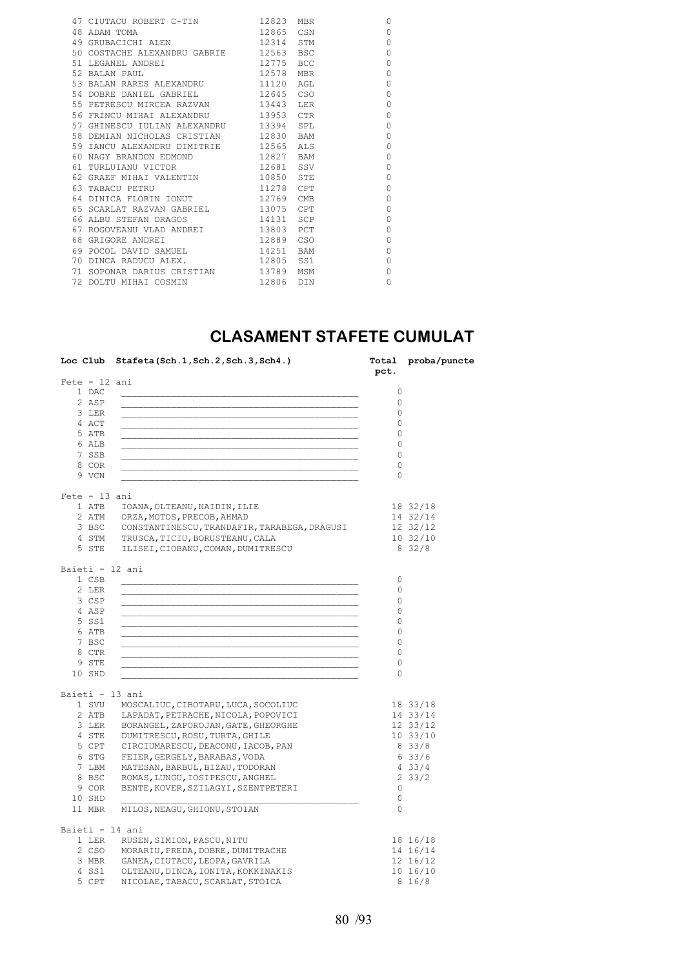| 47 CIUTACU ROBERT C-TIN 12823 MBR            |           |            | $\Omega$ |
|----------------------------------------------|-----------|------------|----------|
| 48 ADAM TOMA<br>49 GRUBACICHI ALEN 12314 STM |           |            | $\Omega$ |
|                                              |           |            | 0        |
| 50 COSTACHE ALEXANDRU GABRIE 12563           |           | <b>BSC</b> | $\circ$  |
| 12775<br>51 LEGANEL ANDRET                   |           | <b>BCC</b> | $\circ$  |
| 12578<br>52 BALAN PAUL                       |           | <b>MBR</b> | $\circ$  |
| 53 BALAN RARES ALEXANDRU 11120               |           | AGT.       | $\circ$  |
| 54 DOBRE DANIEL GABRIEL 12645 CSO            |           |            | $\circ$  |
| 55 PETRESCU MIRCEA RAZVAN 13443              |           | T.ER       | 0        |
| 56 FRINCU MIHAI ALEXANDRU 13953 CTR          |           |            | $\circ$  |
| 57 GHINESCU IULIAN ALEXANDRU 13394           |           | SPL        | 0        |
| 58 DEMIAN NICHOLAS CRISTIAN 12830 BAM        |           |            | $\circ$  |
| 59 IANCU ALEXANDRU DIMITRIE 12565            |           | ALS        | 0        |
| 60 NAGY BRANDON EDMOND 12827 BAM             |           |            | $\circ$  |
| 61 TURLUIANU VICTOR 12681 SSV                |           |            | 0        |
| 62 GRAEF MIHAI VALENTIN                      | 10850 STE |            | $\circ$  |
| 63 TABACU PETRU                              | 11278 CPT |            | 0        |
| 64 DINICA FLORIN IONUT 12769                 |           | CMB        | $\circ$  |
| 65 SCARLAT RAZVAN GABRIEL 13075 CPT          |           |            | $\circ$  |
| 66 ALBU STEFAN DRAGOS 14131 SCP              |           |            | $\circ$  |
| 67 ROGOVEANU VLAD ANDREI 13803 PCT           |           |            | $\circ$  |
| 68 GRIGORE ANDREI 12889 CSO                  |           |            | 0        |
| 69 POCOL DAVID SAMUEL 14251                  |           | <b>BAM</b> | 0        |
| 70 DINCA RADUCU ALEX. 12805 SS1              |           |            | 0        |
| 71 SOPONAR DARIUS CRISTIAN 13789             |           | MSM        | 0        |
| 72 DOLTU MIHAI COSMIN                        | 12806 DIN |            | 0        |
|                                              |           |            |          |

### **CLASAMENT STAFETE CUMULAT**

|                 | Loc Club Stafeta(Sch.1, Sch.2, Sch.3, Sch4.)                                       | pct.         | Total proba/puncte |
|-----------------|------------------------------------------------------------------------------------|--------------|--------------------|
| $Fete - 12 ani$ |                                                                                    |              |                    |
| 1 DAC           |                                                                                    | $\circ$      |                    |
| 2 ASP           |                                                                                    | $\mathbf{0}$ |                    |
| 3 LER           |                                                                                    | $\circ$      |                    |
| 4 ACT           |                                                                                    | $\circ$      |                    |
| 5 ATB           |                                                                                    | $\circ$      |                    |
| 6 ALB           |                                                                                    | 0            |                    |
| 7 SSB           |                                                                                    | 0            |                    |
| 8 COR           |                                                                                    | $\circ$      |                    |
| 9 VCN           |                                                                                    | 0            |                    |
| $Fete - 13 ani$ |                                                                                    |              |                    |
| 1 ATB           | IOANA, OLTEANU, NAIDIN, ILIE                                                       |              | 18 32/18           |
|                 | 2 ATM ORZA, MOTOS, PRECOB, AHMAD                                                   |              | 14 32/14           |
|                 | 3 BSC CONSTANTINESCU, TRANDAFIR, TARABEGA, DRAGUSI                                 |              | 12 32/12           |
|                 | 4 STM TRUSCA, TICIU, BORUSTEANU, CALA                                              |              | 1032/10            |
| 5 STE           | ILISEI, CIOBANU, COMAN, DUMITRESCU                                                 |              | 832/8              |
| Baieti - 12 ani |                                                                                    |              |                    |
| 1 CSB           |                                                                                    | $\circ$      |                    |
| 2 LER           |                                                                                    | $\circ$      |                    |
| 3 CSP           |                                                                                    | $\circ$      |                    |
| 4 ASP           |                                                                                    | $\circ$      |                    |
| 5 SS1           |                                                                                    | $\circ$      |                    |
| 6 ATB           |                                                                                    | 0            |                    |
| 7 BSC           |                                                                                    | 0            |                    |
| 8 CTR           |                                                                                    | 0            |                    |
| 9 STE           |                                                                                    | 0            |                    |
| 10 SHD          |                                                                                    | $\circ$      |                    |
| Baieti - 13 ani |                                                                                    |              |                    |
|                 | 1 SVU MOSCALIUC, CIBOTARU, LUCA, SOCOLIUC                                          |              | 18 33/18           |
|                 | 2 ATB LAPADAT, PETRACHE, NICOLA, POPOVICI                                          |              | 14 33/14           |
|                 | 3 LER BORANGEL, ZAPOROJAN, GATE, GHEORGHE                                          |              | 12 33/12           |
|                 | 4 STE DUMITRESCU, ROSU, TURTA, GHILE                                               |              | 1033/10            |
|                 | 5 CPT CIRCIUMARESCU, DEACONU, IACOB, PAN                                           |              | 8 33/8             |
|                 | 6 STG FEIER, GERGELY, BARABAS, VODA                                                |              | 633/6              |
|                 | 7 LBM MATESAN, BARBUL, BIZAU, TODORAN                                              |              | 433/4              |
|                 | 8 BSC ROMAS, LUNGU, IOSIPESCU, ANGHEL                                              |              | 233/2              |
| 9 COR           | BENTE, KOVER, SZILAGYI, SZENTPETERI                                                | $\circ$      |                    |
| 10 SHD          |                                                                                    | 0            |                    |
| 11 MBR          | MILOS, NEAGU, GHIONU, STOIAN                                                       | $\Omega$     |                    |
|                 |                                                                                    |              |                    |
|                 |                                                                                    |              |                    |
| Baieti - 14 ani |                                                                                    |              |                    |
|                 | 1 LER RUSEN, SIMION, PASCU, NITU                                                   |              | 18 16/18           |
|                 | 2 CSO MORARIU, PREDA, DOBRE, DUMITRACHE                                            |              | 14 16/14           |
|                 | 3 MBR GANEA, CIUTACU, LEOPA, GAVRILA                                               |              | 12 16/12           |
|                 | 4 SS1 OLTEANU, DINCA, IONITA, KOKKINAKIS<br>5 CPT NICOLAE, TABACU, SCARLAT, STOICA |              | 10 16/10<br>8 16/8 |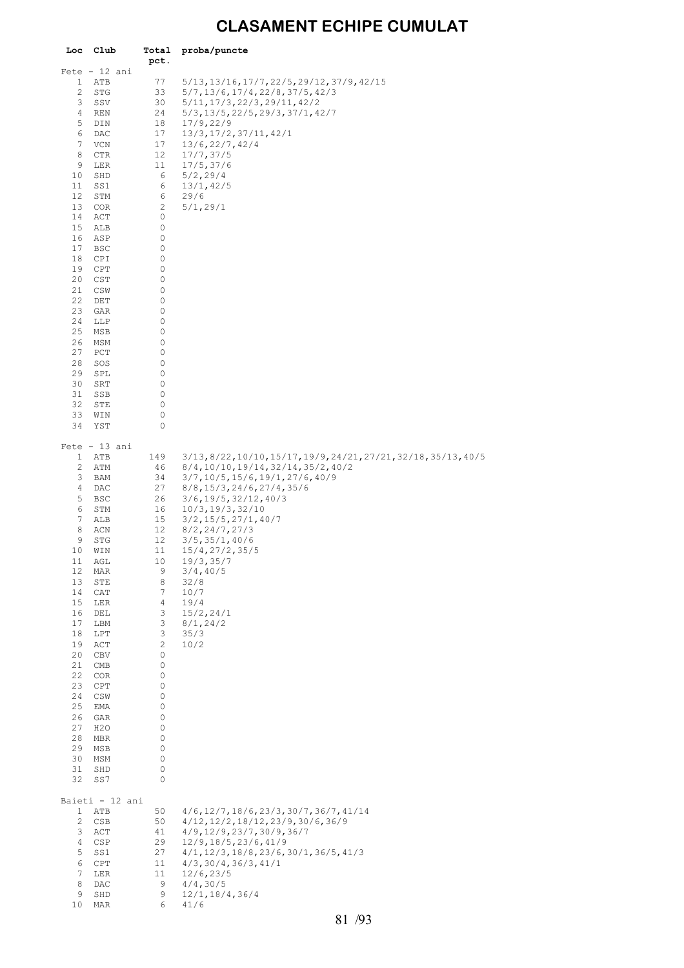### **CLASAMENT ECHIPE CUMULAT**

| Loc                 | Club             | Total<br>pct.        | proba/puncte                                                                        |
|---------------------|------------------|----------------------|-------------------------------------------------------------------------------------|
|                     | $Fete - 12 ani$  |                      |                                                                                     |
| 1                   | ATB              | 77                   | 5/13, 13/16, 17/7, 22/5, 29/12, 37/9, 42/15                                         |
| 2<br>3              | STG<br>SSV       | 33<br>30             | $5/7$ , $13/6$ , $17/4$ , $22/8$ , $37/5$ , $42/3$<br>5/11, 17/3, 22/3, 29/11, 42/2 |
| 4                   | REN              | 24                   | 5/3, 13/5, 22/5, 29/3, 37/1, 42/7                                                   |
| 5                   | DIN              | 18                   | 17/9, 22/9                                                                          |
| 6                   | DAC              | 17                   | 13/3, 17/2, 37/11, 42/1                                                             |
| 7<br>8              | VCN<br>CTR       | 17<br>12             | 13/6, 22/7, 42/4<br>17/7, 37/5                                                      |
| 9                   | LER              | 11                   | 17/5, 37/6                                                                          |
| 10                  | SHD              | 6                    | 5/2, 29/4                                                                           |
| 11                  | SS1              | 6                    | 13/1, 42/5                                                                          |
| 12<br>13            | STM<br>COR       | 6<br>2               | 29/6<br>5/1, 29/1                                                                   |
| 14                  | ACT              | 0                    |                                                                                     |
| 15                  | ALB              | 0                    |                                                                                     |
| 16<br>17            | ASP              | 0<br>0               |                                                                                     |
| 18                  | BSC<br>CPI       | 0                    |                                                                                     |
| 19                  | CPT              | 0                    |                                                                                     |
| 20                  | CST              | 0                    |                                                                                     |
| 21<br>22            | CSW<br>DET       | 0<br>0               |                                                                                     |
| 23                  | GAR              | 0                    |                                                                                     |
| 24                  | LLP              | 0                    |                                                                                     |
| 25                  | MSB              | 0                    |                                                                                     |
| 26<br>27            | MSM<br>PCT       | 0<br>0               |                                                                                     |
| 28                  | SOS              | 0                    |                                                                                     |
| 29                  | SPL              | 0                    |                                                                                     |
| 30<br>31            | SRT<br>SSB       | 0<br>0               |                                                                                     |
| 32                  | STE              | 0                    |                                                                                     |
| 33                  | WIN              | 0                    |                                                                                     |
| 34                  | YST              | 0                    |                                                                                     |
|                     | $Fete - 13 ani$  |                      |                                                                                     |
| 1                   | ATB              | 149                  | 3/13, 8/22, 10/10, 15/17, 19/9, 24/21, 27/21, 32/18, 35/13, 40/5                    |
| 2<br>3              | ATM<br>BAM       | 46<br>34             | 8/4, 10/10, 19/14, 32/14, 35/2, 40/2<br>3/7, 10/5, 15/6, 19/1, 27/6, 40/9           |
| 4                   | DAC              | 27                   | 8/8, 15/3, 24/6, 27/4, 35/6                                                         |
| 5                   | BSC              | 26                   | $3/6$ , 19/5, 32/12, 40/3                                                           |
| 6                   | STM              | 16                   | 10/3, 19/3, 32/10                                                                   |
| 7<br>8              | ALB<br>ACN       | 15<br>12             | $3/2$ , $15/5$ , $27/1$ , $40/7$<br>8/2, 24/7, 27/3                                 |
| 9                   | STG              | 12                   | $3/5$ , $35/1$ , $40/6$                                                             |
| 10                  | WIN              | 11                   | 15/4, 27/2, 35/5                                                                    |
| 11<br>12            | AGL<br>MAR       | 10<br>9              | 19/3, 35/7<br>3/4, 40/5                                                             |
| 13                  | STE              | 8                    | 32/8                                                                                |
| 14                  | CAT              | 7                    | 10/7                                                                                |
| 15<br>16            | LER              | $\overline{4}$<br>3  | 19/4<br>15/2, 24/1                                                                  |
| 17                  | DEL<br>LBM       | 3                    | 8/1, 24/2                                                                           |
| 18                  | LPT              | 3                    | 35/3                                                                                |
| 19                  | ACT              | $\mathbf{2}$         | 10/2                                                                                |
| 20<br>21            | CBV<br>CMB       | 0<br>0               |                                                                                     |
| 22                  | COR              | 0                    |                                                                                     |
| 23                  | CPT              | 0                    |                                                                                     |
| 24<br>25            | CSW<br>EMA       | 0<br>0               |                                                                                     |
| 26                  | GAR              | 0                    |                                                                                     |
| 27                  | H <sub>2</sub> O | 0                    |                                                                                     |
| 28<br>29            | MBR              | 0<br>0               |                                                                                     |
| 30                  | MSB<br>MSM       | 0                    |                                                                                     |
| 31                  | SHD              | 0                    |                                                                                     |
| 32                  | SS7              | 0                    |                                                                                     |
|                     | Baieti - 12 ani  |                      |                                                                                     |
| $\mathbf{1}$        | ATB              | 50                   | $4/6$ , $12/7$ , $18/6$ , $23/3$ , $30/7$ , $36/7$ , $41/14$                        |
| $\mathbf{2}$        | CSB              | 50                   | $4/12$ , $12/2$ , $18/12$ , $23/9$ , $30/6$ , $36/9$                                |
| 3<br>4              | ACT<br>CSP       | 41<br>29             | $4/9$ , $12/9$ , $23/7$ , $30/9$ , $36/7$<br>12/9, 18/5, 23/6, 41/9                 |
| 5                   | SS1              | 27                   | $4/1, 12/3, 18/8, 23/6, 30/1, 36/5, 41/3$                                           |
| 6                   | CPT              | 11                   | $4/3$ , 30/4, 36/3, 41/1                                                            |
| $\overline{7}$<br>8 | LER<br>DAC       | 11 <sub>1</sub><br>9 | 12/6, 23/5<br>4/4, 30/5                                                             |
| 9                   | SHD              | 9                    | 12/1, 18/4, 36/4                                                                    |
| 10                  | MAR              | 6                    | 41/6                                                                                |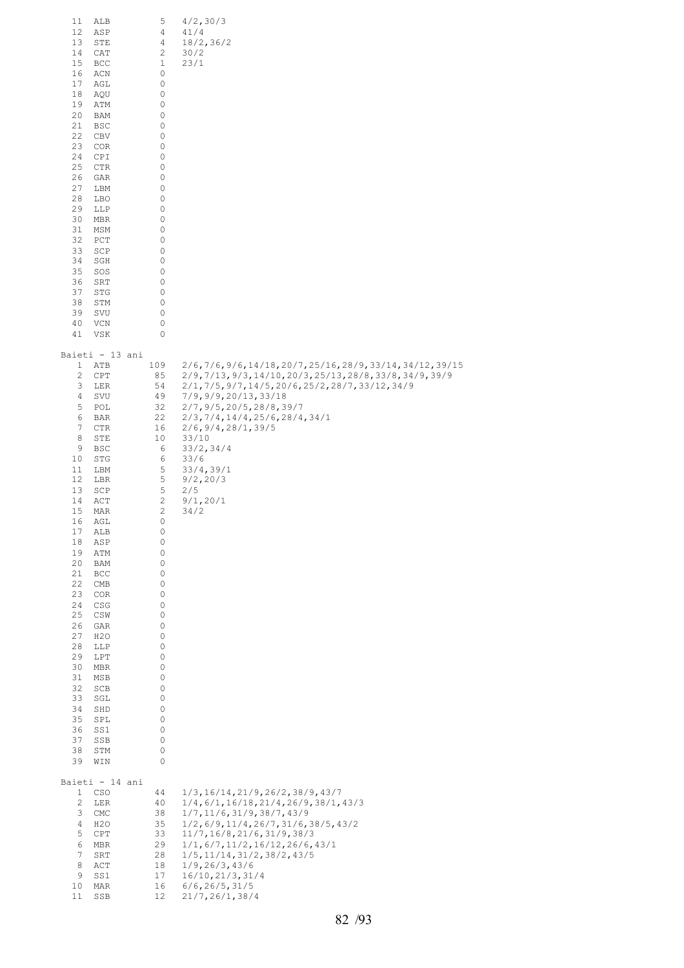| 11<br>ALB<br>12<br>ASP<br>13<br>STE<br>14<br>CAT<br>15<br>BCC<br>16<br>ACN<br>17<br>AGL<br>18<br>AQU<br>19<br>ATM<br>20<br>BAM<br>21<br><b>BSC</b><br>22<br>CBV<br>23<br>COR<br>24<br>CPI<br>25<br>CTR<br>26<br>GAR<br>27<br>LBM<br>28<br>LBO<br>29<br>LLP<br>30<br>MBR<br>31<br>MSM<br>32<br>PCT<br>33<br>SCP<br>34<br>SGH<br>35<br>SOS<br>36<br>SRT<br>37<br>STG<br>38<br>STM<br>39<br>SVU<br>40<br>VCN<br>VSK<br>41                                                                                                                                                 | 5<br>4<br>4<br>2<br>1<br>0<br>0<br>0<br>0<br>0<br>0<br>0<br>0<br>0<br>0<br>0<br>0<br>0<br>0<br>0<br>0<br>0<br>0<br>0<br>0<br>0<br>0<br>0<br>0<br>0<br>0                                                           | 4/2, 30/3<br>41/4<br>18/2, 36/2<br>30/2<br>23/1                                                                                                                                                                                                                                                                                                                                    |
|------------------------------------------------------------------------------------------------------------------------------------------------------------------------------------------------------------------------------------------------------------------------------------------------------------------------------------------------------------------------------------------------------------------------------------------------------------------------------------------------------------------------------------------------------------------------|-------------------------------------------------------------------------------------------------------------------------------------------------------------------------------------------------------------------|------------------------------------------------------------------------------------------------------------------------------------------------------------------------------------------------------------------------------------------------------------------------------------------------------------------------------------------------------------------------------------|
| Baieti - 13 ani<br>ATB<br>$\mathbf{1}$<br>$\overline{c}$<br>CPT<br>3<br>LER<br>4<br>SVU<br>5<br>POL<br>6<br>BAR<br>7<br>CTR<br>8<br>STE<br>9<br>BSC<br>10<br>STG<br>11<br>LBM<br>12<br>LBR<br>13<br>SCP<br>14<br>ACT<br>15<br>MAR<br>16<br>AGL<br>17<br>ALB<br>18<br>ASP<br>19<br>ATM<br>20<br>BAM<br>21<br>BCC<br>22<br>CMB<br>23<br>COR<br>24<br>CSG<br>25<br>CSW<br>26<br>GAR<br>27<br>H <sub>2</sub> O<br>28<br>LLP<br>29<br>LPT<br>30<br>MBR<br>31<br>MSB<br>32<br>SCB<br>33<br>SGL<br>34<br>SHD<br>35<br>SPL<br>36<br>SS1<br>37<br>SSB<br>38<br>STM<br>39<br>WIN | 109<br>85<br>54<br>49<br>32<br>22<br>16<br>10<br>6<br>6<br>5<br>5<br>5<br>$\sqrt{2}$<br>2<br>0<br>0<br>0<br>0<br>0<br>0<br>0<br>0<br>0<br>0<br>0<br>0<br>0<br>0<br>0<br>0<br>0<br>0<br>0<br>0<br>0<br>0<br>0<br>0 | $2/6, 7/6, 9/6, 14/18, 20/7, 25/16, 28/9, 33/14, 34/12, 39/15$<br>2/9,7/13,9/3,14/10,20/3,25/13,28/8,33/8,34/9,39/9<br>$2/1, 7/5, 9/7, 14/5, 20/6, 25/2, 28/7, 33/12, 34/9$<br>7/9,9/9,20/13,33/18<br>2/7, 9/5, 20/5, 28/8, 39/7<br>2/3, 7/4, 14/4, 25/6, 28/4, 34/1<br>2/6, 9/4, 28/1, 39/5<br>33/10<br>33/2, 34/4<br>33/6<br>33/4, 39/1<br>9/2, 20/3<br>2/5<br>9/1, 20/1<br>34/2 |
| Baieti - 14 ani<br>$\mathbf{1}$<br>CSO<br>$\overline{c}$<br>LER<br>3<br>CMC<br>4<br>H <sub>2</sub> O<br>5<br>CPT<br>6<br>MBR<br>$\overline{7}$<br>SRT<br>8<br>ACT<br>9<br>SS1<br>10 <sub>1</sub><br>MAR<br>11<br>SSB                                                                                                                                                                                                                                                                                                                                                   | 44<br>40<br>38<br>35<br>33<br>29<br>28<br>18<br>17<br>16<br>12                                                                                                                                                    | 1/3, 16/14, 21/9, 26/2, 38/9, 43/7<br>1/4, 6/1, 16/18, 21/4, 26/9, 38/1, 43/3<br>1/7, 11/6, 31/9, 38/7, 43/9<br>$1/2$ , 6/9, 11/4, 26/7, 31/6, 38/5, 43/2<br>11/7, 16/8, 21/6, 31/9, 38/3<br>1/1, 6/7, 11/2, 16/12, 26/6, 43/1<br>$1/5$ , $11/14$ , $31/2$ , $38/2$ , $43/5$<br>1/9, 26/3, 43/6<br>16/10, 21/3, 31/4<br>6/6, 26/5, 31/5<br>21/7, 26/1, 38/4                        |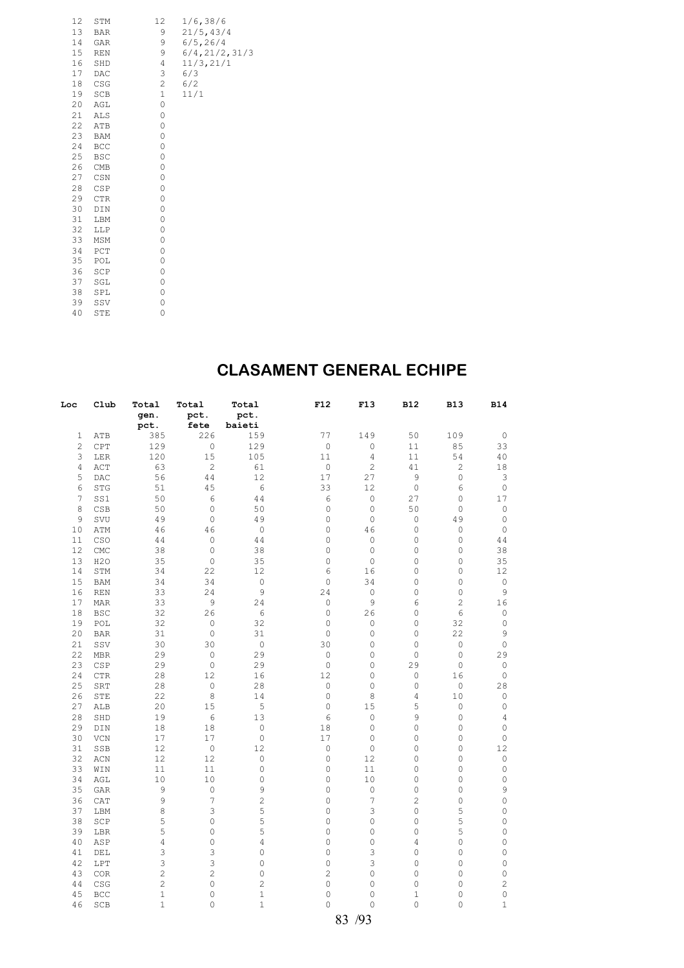| 12 | STM        | 12           | 1/6, 38/6       |
|----|------------|--------------|-----------------|
| 13 | <b>BAR</b> | 9            | 21/5, 43/4      |
| 14 | GAR        | 9            | 6/5, 26/4       |
| 15 | <b>REN</b> | 9            | 6/4, 21/2, 31/3 |
| 16 | SHD        | 4            | 11/3, 21/1      |
| 17 | DAC        | 3            | 6/3             |
| 18 | CSG        | $\mathbf{2}$ | 6/2             |
| 19 | SCB        | $\mathbf 1$  | 11/1            |
| 20 | AGL        | 0            |                 |
| 21 | ALS        | 0            |                 |
| 22 | ATB        | 0            |                 |
| 23 | BAM        | 0            |                 |
| 24 | BCC        | 0            |                 |
| 25 | <b>BSC</b> | 0            |                 |
| 26 | CMB        | 0            |                 |
| 27 | CSN        | 0            |                 |
| 28 | CSP        | 0            |                 |
| 29 | <b>CTR</b> | 0            |                 |
| 30 | DIN        | 0            |                 |
| 31 | LBM        | 0            |                 |
| 32 | LLP        | 0            |                 |
| 33 | MSM        | 0            |                 |
| 34 | PCT        | 0            |                 |
| 35 | POL        | 0            |                 |
| 36 | SCP        | 0            |                 |
| 37 | SGL        | 0            |                 |
| 38 | SPL        | 0            |                 |
| 39 | SSV        | 0            |                 |
| 40 | STE        | 0            |                 |

### **CLASAMENT GENERAL ECHIPE**

| Loc            | Club                             | Total          | Total               | Total               | F12                 | F13                 | <b>B12</b>   | <b>B13</b>          | <b>B14</b>     |
|----------------|----------------------------------|----------------|---------------------|---------------------|---------------------|---------------------|--------------|---------------------|----------------|
|                |                                  | gen.           | pct.                | pct.                |                     |                     |              |                     |                |
|                |                                  | pct.           | fete                | baieti              |                     |                     |              |                     |                |
| 1              | ATB                              | 385            | 226                 | 159                 | 77                  | 149                 | 50           | 109                 | 0              |
| $\overline{c}$ | CPT                              | 129            | $\mathbb O$         | 129                 | $\mathsf{O}\xspace$ | $\mathbb O$         | 11           | 85                  | 33             |
| 3              | LER                              | 120            | 15                  | 105                 | 11                  | $\overline{4}$      | 11           | 54                  | 40             |
| 4              | $\mathtt{ACT}$                   | 63             | $\mathbf{2}$        | 61                  | $\circ$             | $\overline{c}$      | 41           | $\overline{c}$      | 18             |
| 5              | DAC                              | 56             | 44                  | 12                  | 17                  | 27                  | 9            | $\mathsf{O}\xspace$ | 3              |
| 6              | STG                              | 51             | 45                  | 6                   | 33                  | 12                  | $\mathbb O$  | 6                   | $\circ$        |
| 7              | SS1                              | 50             | 6                   | 44                  | 6                   | $\mathbb O$         | 27           | 0                   | 17             |
| 8              | CSB                              | 50             | $\mathbb O$         | 50                  | 0                   | $\circ$             | 50           | $\mathsf{O}\xspace$ | $\mathbb O$    |
| 9              | SVU                              | 49             | $\mathbb O$         | 49                  | 0                   | $\mathbb O$         | $\circ$      | 49                  | 0              |
| 10             | ATM                              | 46             | 46                  | $\mathbb O$         | 0                   | 46                  | $\circ$      | $\mathbb O$         | $\circ$        |
| 11             | CSO                              | 44             | $\mathbb O$         | 44                  | 0                   | $\mathbb O$         | $\mathbb O$  | $\mathsf{O}\xspace$ | 44             |
| 12             | $\mathop{\rm CMC}$               | 38             | $\mathbb O$         | 38                  | 0                   | $\mathbb O$         | 0            | 0                   | 38             |
| 13             | H2O                              | 35             | $\mathbb O$         | 35                  | $\circ$             | $\mathbb O$         | $\circ$      | 0                   | 35             |
| 14             | STM                              | 34             | 22                  | 12                  | 6                   | 16                  | 0            | 0                   | 12             |
| 15             | BAM                              | 34             | 34                  | $\mathsf{O}\xspace$ | $\mathbb O$         | 34                  | $\circ$      | $\mathbb O$         | $\mathbb O$    |
| 16             | <b>REN</b>                       | 33             | 24                  | 9                   | 24                  | $\mathbb O$         | 0            | $\circ$             | 9              |
| 17             | MAR                              | 33             | 9                   | 24                  | $\circ$             | 9                   | 6            | 2                   | 16             |
| 18             | <b>BSC</b>                       | 32             | 26                  | $\epsilon$          | $\circ$             | 26                  | $\circ$      | 6                   | 0              |
| 19             | POL                              | 32             | 0                   | 32                  | 0                   | $\mathbb O$         | $\circ$      | 32                  | $\mathbb O$    |
| 20             | <b>BAR</b>                       | 31             | $\mathbb O$         | 31                  | $\circ$             | $\mathsf{O}\xspace$ | $\circ$      | 22                  | 9              |
| 21             | SSV                              | 30             | 30                  | $\mathsf{O}\xspace$ | 30                  | $\mathsf{O}\xspace$ | $\circ$      | $\mathbb O$         | 0              |
| 22             | $\operatorname{\mathsf{MBR}}$    | 29             | $\mathsf{O}\xspace$ | 29                  | $\circ$             | $\mathsf{O}\xspace$ | $\circ$      | $\mathbf 0$         | 29             |
| 23             | CSP                              | 29             | $\mathbb O$         | 29                  | $\circ$             | $\mathbf 0$         | 29           | $\mathbb O$         | $\circ$        |
| 24             | CTR                              | 28             | 12                  | 16                  | 12                  | $\mathsf{O}\xspace$ | $\circ$      | 16                  | 0              |
| 25             | SRT                              | 28             | $\mathbb O$         | 28                  | $\mathsf O$         | $\circ$             | $\mathbb O$  | $\mathbb O$         | 28             |
| 26             | STE                              | 22             | $\,8\,$             | 14                  | $\circ$             | 8                   | 4            | 10                  | 0              |
| 27             | ALB                              | 20             | 15                  | 5                   | 0                   | 15                  | 5            | $\mathbb O$         | $\mathbb O$    |
| 28             | SHD                              | 19             | 6                   | 13                  | 6                   | $\circ$             | 9            | $\mathsf{O}\xspace$ | 4              |
| 29             | $\texttt{DIN}$                   | 18             | 18                  | $\mathsf{O}\xspace$ | 18                  | $\mathbb O$         | 0            | 0                   | $\mathbb O$    |
| 30             | VCN                              | 17             | 17                  | $\mathbb O$         | 17                  | $\mathbb O$         | $\circ$      | 0                   | 0              |
| 31             | SSB                              | 12             | $\mathbb O$         | 12                  | $\circ$             | $\mathbb O$         | 0            | $\mathsf{O}\xspace$ | 12             |
| 32             | $\mbox{\rm ACN}$                 | 12             | 12                  | $\mathbb O$         | $\circ$             | 12                  | $\circ$      | 0                   | 0              |
| 33             | WIN                              | 11             | 11                  | $\mathsf{O}\xspace$ | 0                   | 11                  | 0            | 0                   | 0              |
| 34             | AGL                              | 10             | 10                  | $\mathbb O$         | $\circ$             | 10                  | $\mathbb O$  | $\mathsf{O}\xspace$ | 0              |
| 35             | GAR                              | 9              | $\mathbb O$         | 9                   | 0                   | $\mathbb O$         | $\circ$      | 0                   | 9              |
| 36             | ${\tt CAT}$                      | $\mathsf 9$    | 7                   | $\overline{c}$      | $\circ$             | 7                   | $\mathbf{2}$ | $\mathsf{O}\xspace$ | 0              |
| 37             | LBM                              | 8              | 3                   | 5                   | 0                   | 3                   | $\circ$      | 5                   | 0              |
| 38             | SCP                              | 5              | $\mathsf{O}\xspace$ | 5                   | 0                   | $\mathsf{O}\xspace$ | $\circ$      | 5                   | 0              |
| 39             | LBR                              | 5              | 0                   | 5                   | 0                   | 0                   | $\circ$      | 5                   | 0              |
| 40             | ASP                              | $\overline{4}$ | $\mathsf{O}\xspace$ | 4                   | 0                   | $\mathsf{O}\xspace$ | 4            | 0                   | 0              |
| 41             | DEL                              | 3              | 3                   | $\mathsf{O}\xspace$ | 0                   | 3                   | $\circ$      | 0                   | 0              |
| 42             | LPT                              | 3              | 3                   | $\mathsf{O}\xspace$ | 0                   | 3                   | $\circ$      | 0                   | 0              |
| 43             | $_{\mbox{\scriptsize COR}}$      | $\mathbf{2}$   | $\overline{c}$      | $\mathsf{O}\xspace$ | $\overline{c}$      | $\mathsf{O}\xspace$ | $\circ$      | 0                   | 0              |
| 44             | $\mathbb{C}\mathbb{S}\mathbb{G}$ | $\overline{c}$ | $\mathbf 0$         | $\overline{c}$      | 0                   | $\mathbf 0$         | $\circ$      | 0                   | $\overline{c}$ |
| 45             | BCC                              | $1\,$          | $\mathsf{O}\xspace$ | $\mathbf 1$         | $\mathbf 0$         | $\circ$             | $\mathbf 1$  | 0                   | 0              |
| 46             | SCB                              | $\mathbf{1}$   | 0                   | $\mathbf{1}$        | $\Omega$            | $\Omega$            | $\circ$      | 0                   | $\mathbf{1}$   |
|                |                                  |                |                     |                     |                     | 83 /93              |              |                     |                |
|                |                                  |                |                     |                     |                     |                     |              |                     |                |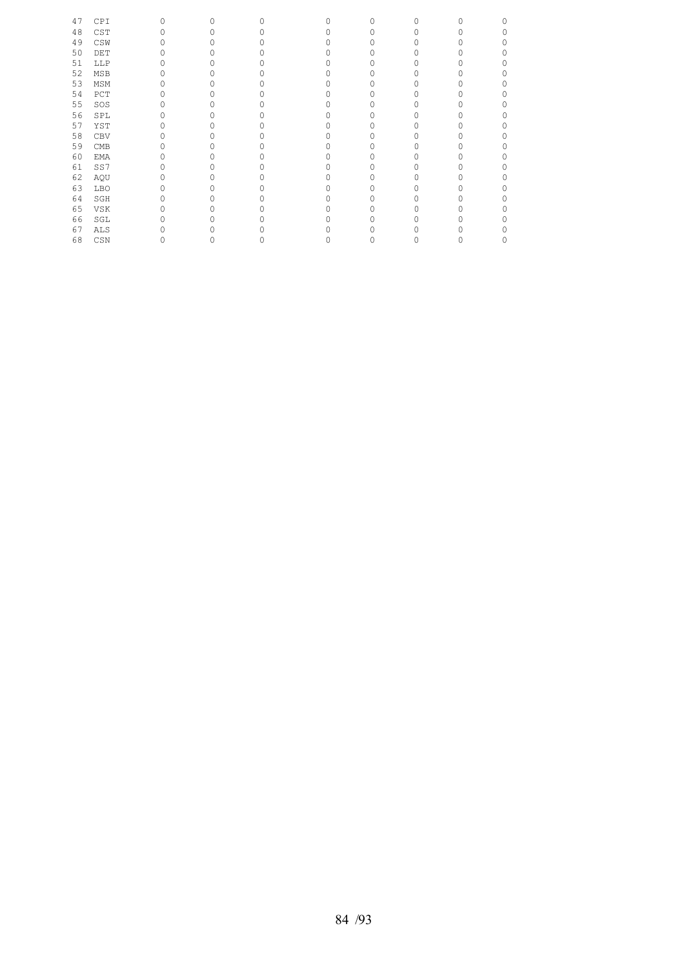| 47 | CPI        | 0 | $\circ$ | O | $\circ$ | 0 | U |  |
|----|------------|---|---------|---|---------|---|---|--|
| 48 | CST        |   | 0       |   | 0       |   |   |  |
| 49 | CSW        |   |         |   | O       |   |   |  |
| 50 | DET        |   |         |   |         |   |   |  |
| 51 | LLP        |   |         |   | ∩       |   |   |  |
| 52 | <b>MSB</b> |   |         |   | 0       |   |   |  |
| 53 | MSM        |   |         |   | O       |   |   |  |
| 54 | PCT        |   |         |   | O       |   |   |  |
| 55 | SOS        |   |         |   | 0       |   |   |  |
| 56 | SPL        |   |         |   |         |   |   |  |
| 57 | YST        |   |         |   | O       |   |   |  |
| 58 | CBV        |   |         |   |         |   |   |  |
| 59 | CMB        |   |         |   |         |   |   |  |
| 60 | EMA        |   |         |   | O       |   |   |  |
| 61 | SS7        |   |         |   | O       |   |   |  |
| 62 | AQU        |   |         |   | Ω       |   |   |  |
| 63 | <b>LBO</b> |   |         |   | O       |   |   |  |
| 64 | SGH        |   | O       |   | Ω       |   |   |  |
| 65 | VSK        |   |         |   |         |   |   |  |
| 66 | SGL        |   |         |   |         |   |   |  |
| 67 | ALS        |   |         |   |         |   |   |  |
| 68 | CSN        |   | 0       |   | 0       |   |   |  |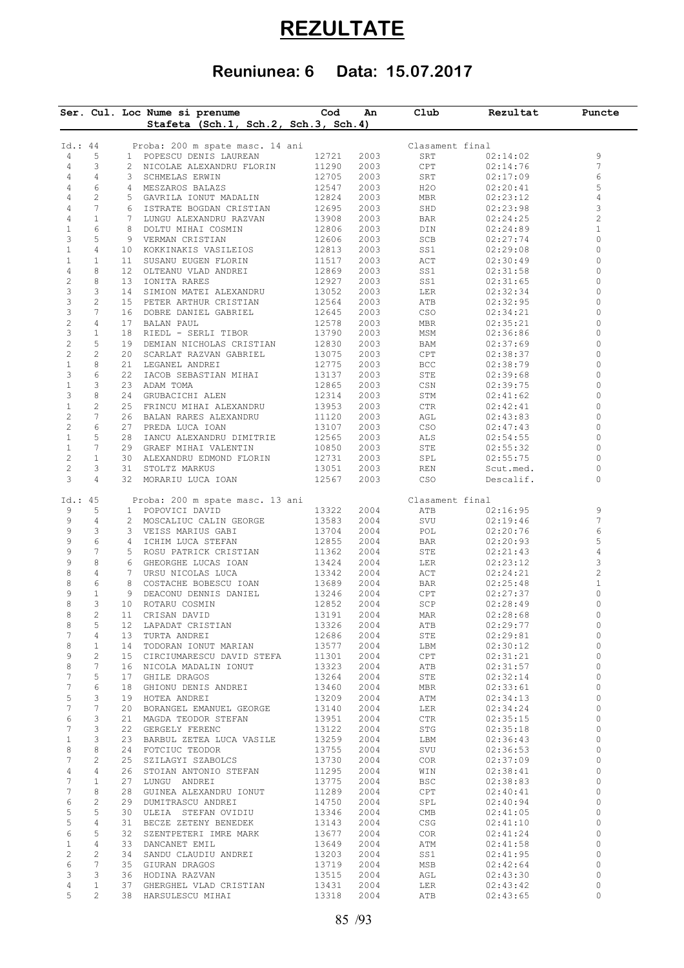# **REZULTATE**

## **Reuniunea: 6 Data: 15.07.2017**

|                         |                       |    | Ser. Cul. Loc Nume si prenume<br>Stafeta (Sch.1, Sch.2, Sch.3, Sch.4) | Cod            | An           | Club                               | Rezultat             | Puncte                  |
|-------------------------|-----------------------|----|-----------------------------------------------------------------------|----------------|--------------|------------------------------------|----------------------|-------------------------|
|                         |                       |    |                                                                       |                |              |                                    |                      |                         |
| Id.: 44                 |                       |    | Proba: 200 m spate masc. 14 ani                                       |                |              | Clasament final                    |                      |                         |
| 4                       | 5                     |    | 1 POPESCU DENIS LAUREAN                                               | 12721          | 2003         | SRT                                | 02:14:02             | 9                       |
| 4                       | 3                     |    | 2 NICOLAE ALEXANDRU FLORIN                                            | 11290          | 2003         | CPT                                | 02:14:76             | 7                       |
| 4                       | $\overline{4}$        |    | 3 SCHMELAS ERWIN                                                      | 12705          | 2003         | SRT                                | 02:17:09             | 6                       |
| 4                       | 6                     |    | 4 MESZAROS BALAZS                                                     | 12547          | 2003         | H <sub>2</sub> O                   | 02:20:41             | 5                       |
| 4                       | $\overline{c}$<br>7   |    | 5 GAVRILA IONUT MADALIN                                               | 12824          | 2003         | MBR                                | 02:23:12             | 4                       |
| 4<br>4                  | $\mathbf{1}$          |    | 6 ISTRATE BOGDAN CRISTIAN<br>7 LUNGU ALEXANDRU RAZVAN                 | 12695<br>13908 | 2003<br>2003 | SHD<br>BAR                         | 02:23:98<br>02:24:25 | 3<br>$\overline{c}$     |
| $\mathbf{1}$            | 6                     |    | 8 DOLTU MIHAI COSMIN                                                  | 12806          | 2003         | DIN                                | 02:24:89             | $\mathbf{1}$            |
| 3                       | 5                     |    | 9 VERMAN CRISTIAN                                                     | 12606          | 2003         | SCB                                | 02:27:74             | 0                       |
| $\mathbf{1}$            | 4                     |    | 10 KOKKINAKIS VASILEIOS                                               | 12813          | 2003         | SS1                                | 02:29:08             | 0                       |
| $\mathbf{1}$            | $\mathbf{1}$          |    | 11 SUSANU EUGEN FLORIN                                                | 11517          | 2003         | ACT                                | 02:30:49             | 0                       |
| 4                       | 8                     |    | 12 OLTEANU VLAD ANDREI                                                | 12869          | 2003         | SS1                                | 02:31:58             | 0                       |
| $\overline{c}$          | 8                     |    | 13 IONITA RARES                                                       | 12927          | 2003         | SS1                                | 02:31:65             | 0                       |
| 3                       | 3                     |    | 14 SIMION MATEI ALEXANDRU                                             | 13052          | 2003         | LER                                | 02:32:34             | 0                       |
| 3                       | $\overline{c}$        |    | 15 PETER ARTHUR CRISTIAN                                              | 12564          | 2003         | ATB                                | 02:32:95             | 0                       |
| 3                       | $7\phantom{.0}$       |    | 16 DOBRE DANIEL GABRIEL                                               | 12645          | 2003         | CSO                                | 02:34:21             | $\circ$                 |
| $\sqrt{2}$              | $\overline{4}$        |    | 17 BALAN PAUL                                                         | 12578          | 2003         | MBR                                | 02:35:21             | 0                       |
| 3                       | $\mathbf{1}$          |    | 18 RIEDL - SERLI TIBOR                                                | 13790          | 2003         | MSM                                | 02:36:86             | 0                       |
| $\overline{c}$          | 5                     |    | 19 DEMIAN NICHOLAS CRISTIAN                                           | 12830          | 2003         | BAM                                | 02:37:69             | 0                       |
| $\overline{c}$          | $\mathbf{2}^{\prime}$ |    | 20 SCARLAT RAZVAN GABRIEL                                             | 13075          | 2003         | CPT                                | 02:38:37             | 0                       |
| $1\,$                   | 8                     |    | 21 LEGANEL ANDREI                                                     | 12775          | 2003         | BCC                                | 02:38:79             | 0                       |
| 3                       | 6                     |    | 22 IACOB SEBASTIAN MIHAI                                              | 13137          | 2003         | STE                                | 02:39:68             | 0                       |
| $\mathbf{1}$            | 3                     |    | 23 ADAM TOMA                                                          | 12865          | 2003         | CSN                                | 02:39:75             | 0                       |
| 3                       | 8                     |    | 24 GRUBACICHI ALEN                                                    | 12314          | 2003         | STM                                | 02:41:62             | $\circ$                 |
| $\,1\,$                 | $\overline{c}$        |    | 25 FRINCU MIHAI ALEXANDRU                                             | 13953          | 2003         | $_{\rm CTR}$                       | 02:42:41             | 0                       |
| $\sqrt{2}$              | $7\phantom{.0}$       |    | 26 BALAN RARES ALEXANDRU                                              | 11120          | 2003         | AGL                                | 02:43:83             | 0                       |
| $\overline{c}$          | 6                     |    | 27 PREDA LUCA IOAN                                                    | 13107          | 2003         | CSO                                | 02:47:43             | 0                       |
| $\mathbf{1}$            | 5                     |    | 28 IANCU ALEXANDRU DIMITRIE                                           | 12565          | 2003         | ALS                                | 02:54:55             | 0                       |
| $\,1$                   | 7                     |    | 29 GRAEF MIHAI VALENTIN                                               | 10850          | 2003         | STE                                | 02:55:32             | 0                       |
| $\mathbf{2}$            | $\mathbf{1}$          |    | 30 ALEXANDRU EDMOND FLORIN                                            | 12731          | 2003         | SPL                                | 02:55:75             | 0                       |
| $\overline{c}$          | 3                     |    | 31 STOLTZ MARKUS                                                      | 13051          | 2003         | REN                                | Scut.med.            | 0                       |
| 3                       | $\overline{4}$        |    | 32 MORARIU LUCA IOAN                                                  | 12567          | 2003         | CSO                                | Descalif.            | 0                       |
|                         |                       |    |                                                                       |                |              |                                    |                      |                         |
| Id.: 45                 |                       |    | Proba: 200 m spate masc. 13 ani                                       |                |              | Clasament final                    |                      | 9                       |
| 9                       | 5                     |    | 1 POPOVICI DAVID                                                      | 13322          | 2004         | ATB                                | 02:16:95             | 7                       |
| 9                       | 4                     |    | 2 MOSCALIUC CALIN GEORGE                                              | 13583          | 2004         | SVU                                | 02:19:46             | 6                       |
| 9<br>9                  | 3<br>6                |    | 3 VEISS MARIUS GABI<br>4 ICHIM LUCA STEFAN                            | 13704<br>12855 | 2004<br>2004 | POL                                | 02:20:76             | 5                       |
| 9                       | 7                     |    | 5 ROSU PATRICK CRISTIAN                                               | 11362          | 2004         | BAR                                | 02:20:93<br>02:21:43 | 4                       |
| 9                       | 8                     |    | 6 GHEORGHE LUCAS IOAN                                                 | 13424          | 2004         | STE<br>LER                         | 02:23:12             | 3                       |
| 8                       | 4                     |    | 7 URSU NICOLAS LUCA                                                   | 13342          | 2004         | ACT                                | 02:24:21             | $\overline{\mathbf{c}}$ |
| 8                       | 6                     |    | 8 COSTACHE BOBESCU IOAN                                               | 13689          | 2004         | BAR                                | 02:25:48             |                         |
| 9                       | $\mathbf{1}$          |    | 9 DEACONU DENNIS DANIEL                                               | 13246          |              |                                    |                      |                         |
|                         | 3                     | 10 | ROTARU COSMIN                                                         |                |              |                                    |                      | 1                       |
|                         | 2                     |    |                                                                       |                | 2004         | CPT                                | 02:27:37             | 0                       |
| 8                       |                       |    |                                                                       | 12852          | 2004         | SCP                                | 02:28:49             | $\circ$                 |
| 8                       |                       | 11 | CRISAN DAVID                                                          | 13191          | 2004         | <b>MAR</b>                         | 02:28:68             | 0                       |
| 8                       | 5                     | 12 | LAPADAT CRISTIAN                                                      | 13326          | 2004         | ATB                                | 02:29:77             | 0                       |
| 7                       | 4                     |    | 13 TURTA ANDREI                                                       | 12686          | 2004         | STE                                | 02:29:81             | 0                       |
| 8                       | 1                     |    | 14 TODORAN IONUT MARIAN                                               | 13577          | 2004         | LBM                                | 02:30:12             | 0                       |
| 9                       | $\mathbf{2}$          |    | 15 CIRCIUMARESCU DAVID STEFA                                          | 11301          | 2004         | CPT                                | 02:31:21             | 0                       |
| 8                       | 7                     |    | 16 NICOLA MADALIN IONUT<br>17 GHILE DRAGOS                            | 13323          | 2004         | ATB                                | 02:31:57             | 0<br>0                  |
| 7                       | 5                     |    |                                                                       | 13264          | 2004         | STE                                | 02:32:14             | 0                       |
| 7                       | 6<br>3                |    | 18 GHIONU DENIS ANDREI<br>19 HOTEA ANDREI                             | 13460          | 2004         | MBR                                | 02:33:61<br>02:34:13 | 0                       |
| 5                       | 7                     |    | 20 BORANGEL EMANUEL GEORGE                                            | 13209          | 2004         | ATM                                |                      | 0                       |
| $\boldsymbol{7}$        | 3                     |    | 21 MAGDA TEODOR STEFAN                                                | 13140          | 2004         | LER                                | 02:34:24             | 0                       |
| 6<br>7                  | 3                     |    |                                                                       | 13951          | 2004         | CTR                                | 02:35:15             | 0                       |
|                         |                       |    | 22 GERGELY FERENC                                                     | 13122          | 2004         | STG                                | 02:35:18             | 0                       |
| $\mathbf{1}$<br>$\,8\,$ | 3<br>8                |    | 23 BARBUL ZETEA LUCA VASILE<br>24 FOTCIUC TEODOR                      | 13259<br>13755 | 2004<br>2004 | LBM<br>SVU                         | 02:36:43<br>02:36:53 | 0                       |
| 7                       | 2                     |    | 25 SZILAGYI SZABOLCS                                                  | 13730          | 2004         | COR                                | 02:37:09             | 0                       |
| 4                       | 4                     |    | 26 STOIAN ANTONIO STEFAN                                              | 11295          | 2004         | WIN                                | 02:38:41             | 0                       |
| 7                       | $\mathbf{1}$          | 27 | LUNGU ANDREI                                                          | 13775          | 2004         | BSC                                | 02:38:83             | $\circ$                 |
| 7                       | 8                     |    | 28 GUINEA ALEXANDRU IONUT                                             | 11289          | 2004         | CPT                                | 02:40:41             | 0                       |
|                         |                       |    |                                                                       |                |              |                                    |                      | $\circ$                 |
| 6                       | 2<br>5                |    | 29 DUMITRASCU ANDREI                                                  | 14750          | 2004         | SPL                                | 02:40:94             | 0                       |
| 5                       | 4                     |    | 30 ULEIA STEFAN OVIDIU<br>31 BECZE ZETENY BENEDEK                     | 13346<br>13143 | 2004<br>2004 | $\mathop{\rm CMB}\nolimits$<br>CSG | 02:41:05<br>02:41:10 | $\circ$                 |
| 5                       | 5                     |    |                                                                       | 13677          |              |                                    |                      | 0                       |
| 6                       | 4                     |    | 32 SZENTPETERI IMRE MARK                                              | 13649          | 2004         | COR                                | 02:41:24             | 0                       |
| $\mathbf{1}$            |                       |    | 33 DANCANET EMIL                                                      |                | 2004         | ATM                                | 02:41:58             | 0                       |
| $\overline{c}$          | 2                     |    | 34 SANDU CLAUDIU ANDREI                                               | 13203          | 2004         | SS1                                | 02:41:95             | 0                       |
| 6                       | 7                     |    | 35 GIURAN DRAGOS                                                      | 13719          | 2004         | MSB                                | 02:42:64             |                         |
| 3<br>4                  | 3<br>1                |    | 36 HODINA RAZVAN<br>37 GHERGHEL VLAD CRISTIAN                         | 13515<br>13431 | 2004<br>2004 | AGL<br>LER                         | 02:43:30<br>02:43:42 | 0<br>0                  |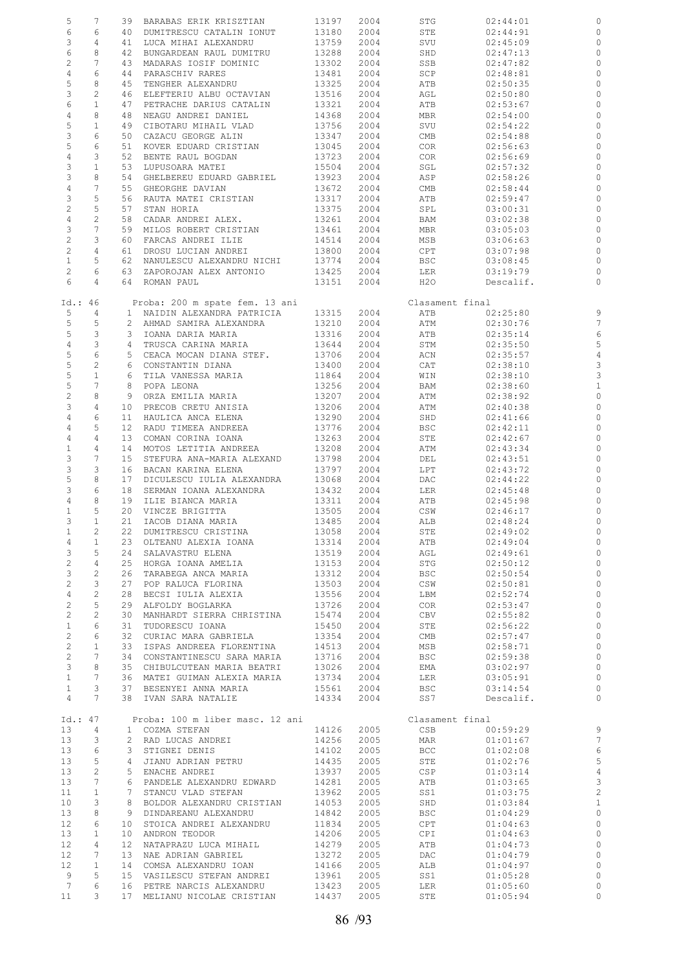| 5               | 7                         |                 | 39 BARABAS ERIK KRISZTIAN       | 13197 | 2004 | STG             | 02:44:01  |                |
|-----------------|---------------------------|-----------------|---------------------------------|-------|------|-----------------|-----------|----------------|
| 6               | 6                         |                 | 40 DUMITRESCU CATALIN IONUT     | 13180 | 2004 | STE             | 02:44:91  | $\circ$        |
| 3               | $\overline{4}$            |                 | 41 LUCA MIHAI ALEXANDRU         | 13759 | 2004 | SVU             | 02:45:09  | 0              |
| 6               | 8                         |                 | 42 BUNGARDEAN RAUL DUMITRU      | 13288 | 2004 | SHD             | 02:47:13  | $\circ$        |
| $\overline{c}$  | $7\phantom{.0}$           |                 | 43 MADARAS IOSIF DOMINIC        | 13302 | 2004 | SSB             | 02:47:82  | 0              |
| $\overline{4}$  | $\epsilon$                |                 | 44 PARASCHIV RARES              | 13481 | 2004 | SCP             | 02:48:81  | $\circ$        |
| 5               | 8                         |                 | 45 TENGHER ALEXANDRU            | 13325 | 2004 | ATB             | 02:50:35  | 0              |
| 3               | $\overline{c}$            |                 |                                 |       |      |                 |           |                |
|                 |                           |                 | 46 ELEFTERIU ALBU OCTAVIAN      | 13516 | 2004 | AGL             | 02:50:80  | 0              |
| 6               | $\mathbf{1}$              |                 | 47 PETRACHE DARIUS CATALIN      | 13321 | 2004 | ATB             | 02:53:67  | $\circ$        |
| $\overline{4}$  | 8                         |                 | 48 NEAGU ANDREI DANIEL          | 14368 | 2004 | MBR             | 02:54:00  | 0              |
| 5               | $\mathbf{1}$              |                 | 49 CIBOTARU MIHAIL VLAD         | 13756 | 2004 | SVU             | 02:54:22  | $\circ$        |
| 3               | 6                         |                 | 50 CAZACU GEORGE ALIN           | 13347 | 2004 | CMB             | 02:54:88  | 0              |
| $\mathsf S$     | 6                         |                 | 51 KOVER EDUARD CRISTIAN        | 13045 | 2004 | COR             | 02:56:63  | 0              |
| $\overline{4}$  | $\mathbf{3}$              |                 | 52 BENTE RAUL BOGDAN            | 13723 | 2004 | COR             | 02:56:69  | $\circ$        |
| $\mathsf 3$     | $1\,$                     |                 | 53 LUPUSOARA MATEI              | 15504 | 2004 | SGL             | 02:57:32  | 0              |
| 3               | 8                         |                 | 54 GHELBEREU EDUARD GABRIEL     | 13923 | 2004 | ASP             | 02:58:26  | $\circ$        |
| $\overline{4}$  | $7\overline{ }$           |                 | 55 GHEORGHE DAVIAN              | 13672 | 2004 | CMB             | 02:58:44  | 0              |
| $\mathsf 3$     | 5                         |                 | 56 RAUTA MATEI CRISTIAN         | 13317 | 2004 | ATB             | 02:59:47  | $\circ$        |
| $\overline{c}$  | 5                         |                 | 57 STAN HORIA                   | 13375 | 2004 | SPL             | 03:00:31  | 0              |
| $\overline{4}$  | $\overline{c}$            |                 | 58 CADAR ANDREI ALEX.           | 13261 | 2004 | BAM             | 03:02:38  | $\circ$        |
| 3               | $7\overline{ }$           |                 | 59 MILOS ROBERT CRISTIAN        | 13461 | 2004 | MBR             | 03:05:03  | $\circ$        |
| $\sqrt{2}$      | $\mathbf{3}$              |                 | 60 FARCAS ANDREI ILIE           | 14514 | 2004 | MSB             | 03:06:63  | $\circ$        |
| $\overline{c}$  | $\overline{4}$            |                 | 61 DROSU LUCIAN ANDREI          | 13800 | 2004 | CPT             | 03:07:98  | $\circ$        |
| $\mathbf{1}$    | 5                         |                 | 62 NANULESCU ALEXANDRU NICHI    |       |      |                 | 03:08:45  | $\circ$        |
|                 |                           |                 |                                 | 13774 | 2004 | BSC             |           |                |
| $\overline{2}$  | 6                         |                 | 63 ZAPOROJAN ALEX ANTONIO       | 13425 | 2004 | LER             | 03:19:79  | 0              |
| 6               | $\overline{4}$            |                 | 64 ROMAN PAUL                   | 13151 | 2004 | H2O             | Descalif. | $\circ$        |
|                 |                           |                 |                                 |       |      |                 |           |                |
| Id.: 46         |                           |                 | Proba: 200 m spate fem. 13 ani  |       |      | Clasament final |           |                |
| 5               | 4                         |                 | 1 NAIDIN ALEXANDRA PATRICIA     | 13315 | 2004 | ATB             | 02:25:80  | 9              |
| 5               | 5                         |                 | 2 AHMAD SAMIRA ALEXANDRA        | 13210 | 2004 | ATM             | 02:30:76  | $\overline{7}$ |
| 5               | $\mathbf{3}$              |                 | 3 IOANA DARIA MARIA             | 13316 | 2004 | ATB             | 02:35:14  | 6              |
| $\overline{4}$  | $\ensuremath{\mathsf{3}}$ |                 | 4 TRUSCA CARINA MARIA           | 13644 | 2004 | STM             | 02:35:50  | 5              |
| 5               | $\epsilon$                |                 | 5 CEACA MOCAN DIANA STEF.       | 13706 | 2004 | ACN             | 02:35:57  | $\overline{4}$ |
| $\mathsf S$     | $\sqrt{2}$                |                 | 6 CONSTANTIN DIANA              | 13400 | 2004 | CAT             | 02:38:10  | 3              |
| 5               | $1\,$                     |                 | 6 TILA VANESSA MARIA            | 11864 | 2004 | WIN             | 02:38:10  | 3              |
| 5               | $7\phantom{.0}$           |                 | 8 POPA LEONA                    | 13256 | 2004 | BAM             | 02:38:60  | $\mathbf{1}$   |
| $\overline{c}$  | 8                         |                 | 9 ORZA EMILIA MARIA             | 13207 | 2004 | ATM             | 02:38:92  | 0              |
| $\mathfrak{Z}$  | $\overline{4}$            |                 | 10 PRECOB CRETU ANISIA          | 13206 | 2004 | ATM             | 02:40:38  | 0              |
| $\overline{4}$  | 6                         |                 | 11 HAULICA ANCA ELENA           | 13290 | 2004 | SHD             | 02:41:66  | $\circ$        |
| $\overline{4}$  | 5                         |                 | 12 RADU TIMEEA ANDREEA          | 13776 | 2004 | BSC             | 02:42:11  | 0              |
| $\overline{4}$  | $\overline{4}$            |                 | 13 COMAN CORINA IOANA           | 13263 | 2004 | STE             | 02:42:67  | $\circ$        |
|                 |                           |                 |                                 |       |      |                 |           |                |
| $\mathbf{1}$    | 4                         |                 | 14 MOTOS LETITIA ANDREEA        | 13208 | 2004 | ATM             | 02:43:34  | 0              |
| 3               | $7\phantom{.0}$           |                 | 15 STEFURA ANA-MARIA ALEXAND    | 13798 | 2004 | DEL             | 02:43:51  | $\circ$        |
| $\mathsf 3$     | 3                         |                 | 16 BACAN KARINA ELENA           | 13797 | 2004 | LPT             | 02:43:72  | $\circ$        |
| 5               | 8                         | 17              | DICULESCU IULIA ALEXANDRA       | 13068 | 2004 | DAC             | 02:44:22  | 0              |
| 3               | 6                         |                 | 18 SERMAN IOANA ALEXANDRA       | 13432 | 2004 | LER             | 02:45:48  | $\circ$        |
| 4               | 8                         |                 | 19 ILIE BIANCA MARIA            | 13311 | 2004 | ATB             | 02:45:98  | 0              |
| $\mathbf{1}$    | 5                         |                 | 20 VINCZE BRIGITTA              | 13505 | 2004 | CSW             | 02:46:17  | 0              |
| 3               | $\mathbf{1}$              |                 | 21 IACOB DIANA MARIA            | 13485 | 2004 | ALB             | 02:48:24  | $\circ$        |
| $\mathbf{1}$    | 2                         |                 | 22 DUMITRESCU CRISTINA          | 13058 | 2004 | STE             | 02:49:02  |                |
| 4               | $\mathbf{1}$              |                 | 23 OLTEANU ALEXIA IOANA         | 13314 | 2004 | ATB             | 02:49:04  | $\circ$        |
| 3               | 5                         | 24              | SALAVASTRU ELENA                | 13519 | 2004 | AGL             | 02:49:61  | $\circ$        |
| $\overline{c}$  | $\overline{4}$            |                 | 25 HORGA IOANA AMELIA           | 13153 | 2004 | STG             | 02:50:12  | $\mathbb O$    |
| $\mathcal{E}$   | $\overline{c}$            | 26              | TARABEGA ANCA MARIA             | 13312 | 2004 | BSC             | 02:50:54  | $\circ$        |
| $\overline{c}$  | 3                         | 27              | POP RALUCA FLORINA              | 13503 | 2004 | CSW             | 02:50:81  | $\circ$        |
| $\overline{4}$  | $\mathbf{2}$              | 28              | BECSI IULIA ALEXIA              | 13556 | 2004 | LBM             | 02:52:74  | $\circ$        |
| $\overline{c}$  | 5                         | 29              | ALFOLDY BOGLARKA                | 13726 | 2004 | COR             | 02:53:47  | $\circ$        |
| $\overline{c}$  | $\overline{c}$            | 30              | MANHARDT SIERRA CHRISTINA       | 15474 | 2004 | CBV             | 02:55:82  | $\circ$        |
| $1\,$           | 6                         | 31              | TUDORESCU IOANA                 |       |      |                 | 02:56:22  | $\circ$        |
|                 | 6                         |                 |                                 | 15450 | 2004 | STE             |           | $\circ$        |
| $\overline{c}$  |                           | 32              | CURIAC MARA GABRIELA            | 13354 | 2004 | CMB             | 02:57:47  |                |
| $\overline{c}$  | $\mathbf{1}$              | 33              | ISPAS ANDREEA FLORENTINA        | 14513 | 2004 | MSB             | 02:58:71  | $\circ$        |
| $\overline{c}$  | $7\phantom{.0}$           |                 | 34 CONSTANTINESCU SARA MARIA    | 13716 | 2004 | BSC             | 02:59:38  | $\circ$        |
| $\mathcal{E}$   | 8                         |                 | 35 CHIBULCUTEAN MARIA BEATRI    | 13026 | 2004 | EMA             | 03:02:97  | $\circ$        |
| $\mathbf{1}$    | $7\phantom{.0}$           |                 | 36 MATEI GUIMAN ALEXIA MARIA    | 13734 | 2004 | LER             | 03:05:91  | $\circ$        |
| $\mathbf{1}$    | 3                         | 37              | BESENYEI ANNA MARIA             | 15561 | 2004 | BSC             | 03:14:54  | $\circ$        |
| $\overline{4}$  | $7\phantom{.}$            |                 | 38 IVAN SARA NATALIE            | 14334 | 2004 | SS7             | Descalif. | $\circ$        |
|                 |                           |                 |                                 |       |      |                 |           |                |
| Id.: 47         |                           |                 | Proba: 100 m liber masc. 12 ani |       |      | Clasament final |           |                |
| 13              | 4                         |                 | 1 COZMA STEFAN                  | 14126 | 2005 | CSB             | 00:59:29  | 9              |
| 13              | 3                         |                 | 2 RAD LUCAS ANDREI              | 14256 | 2005 | MAR             | 01:01:67  | $\overline{7}$ |
| 13              | 6                         |                 | 3 STIGNEI DENIS                 | 14102 | 2005 | <b>BCC</b>      | 01:02:08  | $\epsilon$     |
| 13              | 5                         | 4               | JIANU ADRIAN PETRU              | 14435 | 2005 | STE             | 01:02:76  | 5              |
| 13              | $\mathbf{2}$              |                 | 5 ENACHE ANDREI                 | 13937 | 2005 | <b>CSP</b>      | 01:03:14  | $\overline{4}$ |
| 13              | 7                         |                 | 6 PANDELE ALEXANDRU EDWARD      | 14281 | 2005 | ATB             | 01:03:65  |                |
| 11              | $\mathbf{1}$              |                 | 7 STANCU VLAD STEFAN            | 13962 | 2005 | SS1             | 01:03:75  | $\frac{3}{2}$  |
| 10              | 3                         | 8               | BOLDOR ALEXANDRU CRISTIAN       | 14053 | 2005 | SHD             | 01:03:84  | $\mathbf{1}$   |
| 13              | 8                         |                 | 9 DINDAREANU ALEXANDRU          | 14842 | 2005 | <b>BSC</b>      | 01:04:29  | $\circ$        |
| 12              | 6                         | 10              | STOICA ANDREI ALEXANDRU         | 11834 | 2005 | CPT             | 01:04:63  | $\circ$        |
| 13              | $\mathbf{1}$              | 10              | ANDRON TEODOR                   | 14206 | 2005 | CPI             |           | $\circ$        |
|                 |                           |                 |                                 |       |      |                 | 01:04:63  |                |
| 12              | 4                         | 12 <sup>°</sup> | NATAPRAZU LUCA MIHAIL           | 14279 | 2005 | ATB             | 01:04:73  | $\circ$        |
| 12              | 7                         | 13              | NAE ADRIAN GABRIEL              | 13272 | 2005 | DAC             | 01:04:79  | $\mathbb O$    |
| 12              | $\mathbf{1}$              |                 | 14 COMSA ALEXANDRU IOAN         | 14166 | 2005 | ALB             | 01:04:97  | $\circ$        |
| 9               | 5                         |                 | 15 VASILESCU STEFAN ANDREI      | 13961 | 2005 | SS1             | 01:05:28  | $\circ$        |
| $7\phantom{.0}$ | 6                         |                 | 16 PETRE NARCIS ALEXANDRU       | 13423 | 2005 | LER             | 01:05:60  | 0              |
| 11              | 3                         |                 | 17 MELIANU NICOLAE CRISTIAN     | 14437 | 2005 | STE             | 01:05:94  | $\circ$        |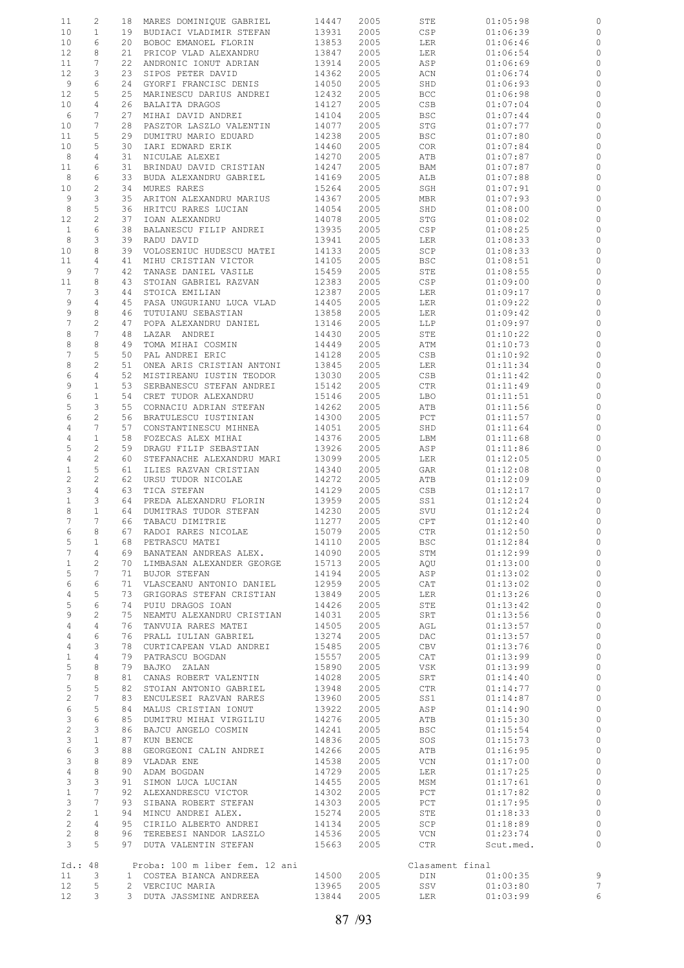| 11                                 | 2                        |    | 18 MARES DOMINIQUE GABRIEL                 | 14447          | 2005         | STE             | 01:05:98             | 0                   |
|------------------------------------|--------------------------|----|--------------------------------------------|----------------|--------------|-----------------|----------------------|---------------------|
| 10                                 | $\mathbf{1}$             |    | 19 BUDIACI VLADIMIR STEFAN                 | 13931          | 2005         | CSP             | 01:06:39             | 0                   |
| 10                                 | 6                        |    | 20 BOBOC EMANOEL FLORIN                    | 13853          | 2005         | LER             | 01:06:46             | $\circ$             |
| 12                                 | 8                        | 21 | PRICOP VLAD ALEXANDRU                      | 13847          | 2005         | LER             | 01:06:54             | 0                   |
| 11                                 | 7                        | 22 |                                            | 13914          | 2005         |                 |                      | $\circ$             |
|                                    |                          |    | ANDRONIC IONUT ADRIAN                      |                |              | ASP             | 01:06:69             |                     |
| 12                                 | 3                        | 23 | SIPOS PETER DAVID                          | 14362          | 2005         | ACN             | 01:06:74             | $\circ$             |
| 9                                  | 6                        | 24 | GYORFI FRANCISC DENIS                      | 14050          | 2005         | SHD             | 01:06:93             | $\circ$             |
| 12                                 | 5                        | 25 | MARINESCU DARIUS ANDREI                    | 12432          | 2005         | <b>BCC</b>      | 01:06:98             | $\circ$             |
| 10 <sub>o</sub>                    | 4                        | 26 | BALAITA DRAGOS                             | 14127          | 2005         | CSB             | 01:07:04             | $\circ$             |
|                                    |                          |    |                                            |                |              |                 |                      |                     |
| 6                                  | 7                        | 27 | MIHAI DAVID ANDREI                         | 14104          | 2005         | <b>BSC</b>      | 01:07:44             | $\circ$             |
| 10                                 | 7                        | 28 | PASZTOR LASZLO VALENTIN                    | 14077          | 2005         | STG             | 01:07:77             | $\circ$             |
| 11                                 | 5                        | 29 | DUMITRU MARIO EDUARD                       | 14238          | 2005         | <b>BSC</b>      | 01:07:80             | 0                   |
|                                    |                          |    |                                            |                |              |                 |                      |                     |
| 10                                 | 5                        | 30 | IARI EDWARD ERIK                           | 14460          | 2005         | COR             | 01:07:84             | $\circ$             |
| 8                                  | 4                        | 31 | NICULAE ALEXEI                             | 14270          | 2005         | ATB             | 01:07:87             | 0                   |
| 11                                 | 6                        | 31 | BRINDAU DAVID CRISTIAN                     | 14247          | 2005         | BAM             | 01:07:87             | $\circ$             |
| 8                                  | 6                        | 33 | BUDA ALEXANDRU GABRIEL                     | 14169          | 2005         | ALB             | 01:07:88             | 0                   |
| 10 <sub>o</sub>                    | 2                        | 34 | MURES RARES                                | 15264          | 2005         | SGH             | 01:07:91             | $\circ$             |
|                                    |                          |    |                                            |                |              |                 |                      |                     |
| 9                                  | 3                        | 35 | ARITON ALEXANDRU MARIUS                    | 14367          | 2005         | MBR             | 01:07:93             | 0                   |
| 8                                  | 5                        | 36 | HRITCU RARES LUCIAN                        | 14054          | 2005         | SHD             | 01:08:00             | 0                   |
| 12                                 | 2                        | 37 | IOAN ALEXANDRU                             | 14078          | 2005         | STG             | 01:08:02             | $\circ$             |
| $\mathbf{1}$                       | 6                        | 38 | BALANESCU FILIP ANDREI                     | 13935          | 2005         | CSP             | 01:08:25             | 0                   |
|                                    |                          |    |                                            |                |              |                 |                      |                     |
| 8                                  | 3                        | 39 | RADU DAVID                                 | 13941          | 2005         | LER             | 01:08:33             | $\circ$             |
| 10                                 | 8                        | 39 | VOLOSENIUC HUDESCU MATEI                   | 14133          | 2005         | SCP             | 01:08:33             | 0                   |
| 11                                 | 4                        | 41 | MIHU CRISTIAN VICTOR                       | 14105          | 2005         | BSC             | 01:08:51             | $\circ$             |
| 9                                  | 7                        | 42 | TANASE DANIEL VASILE                       | 15459          | 2005         | STE             | 01:08:55             | 0                   |
|                                    | 8                        |    |                                            |                |              |                 |                      |                     |
| 11                                 |                          | 43 | STOIAN GABRIEL RAZVAN                      | 12383          | 2005         | CSP             | 01:09:00             | 0                   |
| $7\phantom{.0}$                    | 3                        | 44 | STOICA EMILIAN                             | 12387          | 2005         | LER             | 01:09:17             | $\circ$             |
| 9                                  | $\overline{4}$           | 45 | PASA UNGURIANU LUCA VLAD                   | 14405          | 2005         | LER             | 01:09:22             | 0                   |
| 9                                  | 8                        | 46 | TUTUIANU SEBASTIAN                         | 13858          | 2005         | LER             | 01:09:42             | $\circ$             |
|                                    |                          |    |                                            |                |              |                 |                      |                     |
| 7                                  | 2                        | 47 | POPA ALEXANDRU DANIEL                      | 13146          | 2005         | LLP             | 01:09:97             | $\circ$             |
| 8                                  | 7                        | 48 | LAZAR ANDREI                               | 14430          | 2005         | STE             | 01:10:22             | 0                   |
| 8                                  | 8                        | 49 | TOMA MIHAI COSMIN                          | 14449          | 2005         | ATM             | 01:10:73             | $\circ$             |
| 7                                  | 5                        | 50 | PAL ANDREI ERIC                            | 14128          | 2005         | CSB             | 01:10:92             | 0                   |
|                                    |                          |    |                                            |                |              |                 |                      |                     |
| 8                                  | $\mathbf{2}$             | 51 | ONEA ARIS CRISTIAN ANTONI                  | 13845          | 2005         | LER             | 01:11:34             | $\circ$             |
| 6                                  | 4                        | 52 | MISTIREANU IUSTIN TEODOR                   | 13030          | 2005         | CSB             | 01:11:42             | 0                   |
| 9                                  | $\mathbf{1}$             | 53 | SERBANESCU STEFAN ANDREI                   | 15142          | 2005         | CTR             | 01:11:49             | $\circ$             |
| 6                                  | $\mathbf{1}$             | 54 | CRET TUDOR ALEXANDRU                       | 15146          | 2005         | LBO             | 01:11:51             | 0                   |
| 5                                  | 3                        | 55 |                                            |                |              |                 |                      | $\circ$             |
|                                    |                          |    | CORNACIU ADRIAN STEFAN                     | 14262          | 2005         | ATB             | 01:11:56             |                     |
| 6                                  | 2                        | 56 | BRATULESCU IUSTINIAN                       | 14300          | 2005         | PCT             | 01:11:57             | $\circ$             |
| $\overline{4}$                     | 7                        | 57 | CONSTANTINESCU MIHNEA                      | 14051          | 2005         | SHD             | 01:11:64             | $\circ$             |
| 4                                  | $\mathbf{1}$             | 58 | FOZECAS ALEX MIHAI                         | 14376          | 2005         | LBM             | 01:11:68             | $\circ$             |
|                                    |                          |    |                                            |                |              |                 |                      |                     |
| 5                                  | 2                        | 59 | DRAGU FILIP SEBASTIAN                      | 13926          | 2005         | ASP             | 01:11:86             | $\circ$             |
| 4                                  | 2                        | 60 | STEFANACHE ALEXANDRU MARI                  | 13099          | 2005         | LER             | 01:12:05             | 0                   |
| $\mathbf{1}$                       | 5                        | 61 | ILIES RAZVAN CRISTIAN                      | 14340          | 2005         | GAR             | 01:12:08             | $\circ$             |
| 2                                  | 2                        | 62 | URSU TUDOR NICOLAE                         | 14272          | 2005         | ATB             | 01:12:09             | 0                   |
| 3                                  | $\overline{4}$           | 63 | TICA STEFAN                                | 14129          | 2005         | CSB             |                      | $\circ$             |
|                                    |                          |    |                                            |                |              |                 | 01:12:17             |                     |
| $\mathbf{1}$                       | 3                        | 64 | PREDA ALEXANDRU FLORIN                     | 13959          | 2005         | SS1             | 01:12:24             | 0                   |
| 8                                  | $\mathbf{1}$             | 64 | DUMITRAS TUDOR STEFAN                      | 14230          | 2005         | SVU             | 01:12:24             | $\circ$             |
| 7                                  | 7                        | 66 | TABACU DIMITRIE                            | 11277          | 2005         | CPT             | 01:12:40             | $\circ$             |
| 6                                  | 8                        |    | 67 RADOI RARES NICOLAE                     | 15079          | 2005         | CTR             | 01:12:50             | $\circ$             |
|                                    |                          |    |                                            |                |              |                 |                      |                     |
| 5                                  | $\mathbf{1}$             |    | 68 PETRASCU MATEI                          | 14110          | 2005         | BSC             | 01:12:84             | $\circ$             |
| $7\phantom{.0}$                    | $4\overline{ }$          |    | 69 BANATEAN ANDREAS ALEX.                  | 14090          | 2005         | STM             | 01:12:99             | $\circ$             |
| $\mathbf{1}$                       | $\mathbf{2}$             |    | 70 LIMBASAN ALEXANDER GEORGE               | 15713          | 2005         | AQU             | 01:13:00             | $\circ$             |
| 5                                  | 7                        |    | 71 BUJOR STEFAN                            | 14194          | 2005         | ASP             | 01:13:02             | $\circ$             |
|                                    |                          |    |                                            |                |              |                 |                      |                     |
| 6                                  | 6                        |    | 71 VLASCEANU ANTONIO DANIEL                | 12959          | 2005         | CAT             | 01:13:02             | $\circ$             |
| $\overline{4}$                     | 5                        |    | 73 GRIGORAS STEFAN CRISTIAN                | 13849          | 2005         | LER             | 01:13:26             | $\circ$             |
| 5                                  | 6                        |    | 74 PUIU DRAGOS IOAN                        | 14426          | 2005         | STE             | 01:13:42             | $\circ$             |
| 9                                  | $\mathbf{2}$             |    | 75 NEAMTU ALEXANDRU CRISTIAN               | 14031          | 2005         | SRT             | 01:13:56             | $\circ$             |
|                                    |                          |    |                                            |                |              |                 |                      |                     |
| 4                                  | $\overline{4}$           |    | 76 TANVUIA RARES MATEI                     | 14505          | 2005         | AGL             | 01:13:57             | $\circ$             |
| 4                                  | 6                        |    | 76 PRALL IULIAN GABRIEL                    | 13274          | 2005         | DAC             | 01:13:57             | $\circ$             |
| 4                                  | 3                        |    | 78 CURTICAPEAN VLAD ANDREI                 | 15485          | 2005         | CBV             | 01:13:76             | $\circ$             |
| $\mathbf{1}$                       | $\overline{4}$           |    | 79 PATRASCU BOGDAN                         | 15557          | 2005         | CAT             | 01:13:99             | $\circ$             |
| 5                                  | 8                        |    | 79 BAJKO ZALAN                             |                |              |                 | 01:13:99             | $\circ$             |
|                                    |                          |    |                                            |                |              |                 |                      |                     |
|                                    |                          |    |                                            | 15890          | 2005         | VSK             |                      |                     |
| 7                                  | 8                        |    | 81 CANAS ROBERT VALENTIN                   | 14028          | 2005         | SRT             | 01:14:40             | $\circ$             |
| 5                                  | 5                        |    | 82 STOIAN ANTONIO GABRIEL                  | 13948          | 2005         | CTR             | 01:14:77             | $\circ$             |
|                                    |                          |    |                                            |                |              |                 |                      |                     |
| $\overline{c}$                     | 7                        |    | 83 ENCULESEI RAZVAN RARES                  | 13960          | 2005         | SS1             | 01:14:87             | $\circ$             |
| 6                                  | 5                        |    | 84 MALUS CRISTIAN IONUT                    | 13922          | 2005         | ASP             | 01:14:90             | $\circ$             |
| 3                                  | 6                        |    | 85 DUMITRU MIHAI VIRGILIU                  | 14276          | 2005         | ATB             | 01:15:30             | $\circ$             |
| $\mathbf{2}$                       | 3                        |    | 86 BAJCU ANGELO COSMIN                     | 14241          | 2005         | BSC             | 01:15:54             | $\circ$             |
| 3                                  | $\mathbf{1}$             | 87 | KUN BENCE                                  | 14836          | 2005         | SOS             | 01:15:73             | $\circ$             |
|                                    | 3                        |    |                                            |                |              |                 |                      |                     |
| 6                                  |                          |    | 88 GEORGEONI CALIN ANDREI                  | 14266          | 2005         | ATB             | 01:16:95             | $\circ$             |
| 3                                  | 8                        |    | 89 VLADAR ENE                              | 14538          | 2005         | VCN             | 01:17:00             | $\circ$             |
| 4                                  | 8                        |    | 90 ADAM BOGDAN                             | 14729          | 2005         | LER             | 01:17:25             | $\circ$             |
| $\mathcal{E}$                      | 3                        |    | 91 SIMON LUCA LUCIAN                       | 14455          | 2005         | MSM             | 01:17:61             | $\circ$             |
|                                    | $7^{\circ}$              |    |                                            |                |              |                 |                      |                     |
| $\mathbf{1}$                       |                          |    | 92 ALEXANDRESCU VICTOR                     | 14302          | 2005         | PCT             | 01:17:82             | $\circ$             |
| 3                                  | $7\phantom{.0}$          |    | 93 SIBANA ROBERT STEFAN                    | 14303          | 2005         | PCT             | 01:17:95             | $\circ$             |
| $\overline{c}$                     | $\mathbf{1}$             |    | 94 MINCU ANDREI ALEX.                      | 15274          | 2005         | STE             | 01:18:33             | $\circ$             |
| $\overline{2}$                     | 4                        |    | 95 CIRILO ALBERTO ANDREI                   | 14134          | 2005         | SCP             | 01:18:89             | $\circ$             |
| $\overline{2}$                     | 8                        |    | 96 TEREBESI NANDOR LASZLO                  |                | 2005         | VCN             | 01:23:74             | $\circ$             |
|                                    |                          |    |                                            | 14536          |              |                 |                      |                     |
| 3                                  | 5                        |    | 97 DUTA VALENTIN STEFAN                    | 15663          | 2005         | CTR             | Scut.med.            | $\circ$             |
|                                    |                          |    |                                            |                |              |                 |                      |                     |
| Id.: 48                            |                          |    | Proba: 100 m liber fem. 12 ani             |                |              | Clasament final |                      |                     |
| 11                                 | $\overline{\phantom{a}}$ |    | 1 COSTEA BIANCA ANDREEA                    | 14500          | 2005         | DIN             | 01:00:35             | 9                   |
|                                    |                          |    |                                            |                |              |                 |                      |                     |
| 12 <sub>2</sub><br>12 <sup>°</sup> | 5<br>3                   |    | 2 VERCIUC MARIA<br>3 DUTA JASSMINE ANDREEA | 13965<br>13844 | 2005<br>2005 | SSV<br>LER      | 01:03:80<br>01:03:99 | $\overline{7}$<br>6 |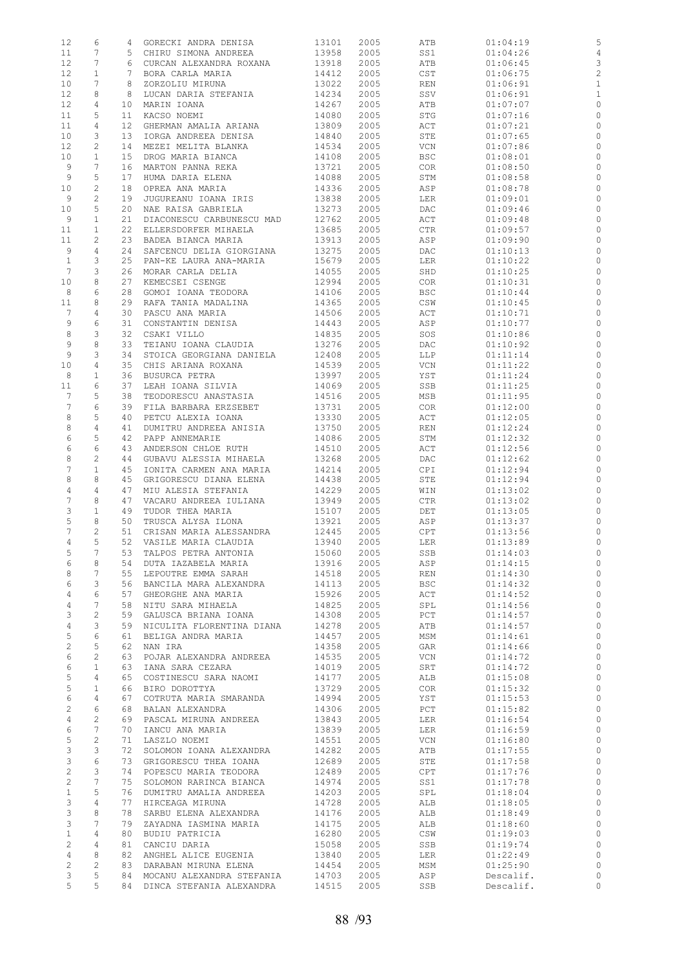| 12              | 6                     |                 | 4 GORECKI ANDRA DENISA       | 13101      | 2005 | ATB | 01:04:19  | 5                        |
|-----------------|-----------------------|-----------------|------------------------------|------------|------|-----|-----------|--------------------------|
| 11              | $7\phantom{.0}$       |                 | 5 CHIRU SIMONA ANDREEA       | 13958      | 2005 | SS1 | 01:04:26  | $\overline{4}$           |
| 12              | $7\phantom{.0}$       |                 | 6 CURCAN ALEXANDRA ROXANA    | 13918      | 2005 | ATB | 01:06:45  | 3                        |
| 12              | $\mathbf{1}$          |                 | 7 BORA CARLA MARIA           | 14412      | 2005 | CST | 01:06:75  | $\overline{c}$           |
| 10              | 7                     |                 | 8 ZORZOLIU MIRUNA            | 13022      | 2005 | REN | 01:06:91  | $\mathbf{1}$             |
| 12              | 8                     | 8               | LUCAN DARIA STEFANIA         | 14234      | 2005 | SSV | 01:06:91  | $\mathbf{1}$             |
| 12              | 4                     |                 | 10 MARIN IOANA               | 14267      | 2005 | ATB | 01:07:07  | $\circ$                  |
| 11              | 5                     | 11              | KACSO NOEMI                  | 14080      | 2005 | STG | 01:07:16  | $\circ$                  |
| 11              | $\overline{4}$        | 12 <sup>7</sup> | GHERMAN AMALIA ARIANA        | 13809      | 2005 | ACT | 01:07:21  | $\circ$                  |
| 10 <sub>o</sub> | 3                     | 13              | IORGA ANDREEA DENISA         | 14840      | 2005 | STE | 01:07:65  | $\circ$                  |
| 12              | $\mathbf{2}$          |                 | 14 MEZEI MELITA BLANKA       | 14534      | 2005 | VCN | 01:07:86  | $\circ$                  |
| 10 <sub>o</sub> | $\mathbf{1}$          | 15              | DROG MARIA BIANCA            | 14108      | 2005 | BSC | 01:08:01  | $\circ$                  |
| 9               | 7                     | 16              | MARTON PANNA REKA            | 13721      | 2005 | COR | 01:08:50  | $\circ$                  |
| 9               | 5                     | 17              | HUMA DARIA ELENA             | 14088      | 2005 | STM | 01:08:58  | 0                        |
| 10              | $\mathbf{2}$          |                 | 18 OPREA ANA MARIA           | 14336      | 2005 | ASP | 01:08:78  | $\circ$                  |
| 9               | $\mathbf{2}$          | 19              | JUGUREANU IOANA IRIS         | 13838      | 2005 | LER | 01:09:01  | 0                        |
| 10              | 5                     | 20              | NAE RAISA GABRIELA           | 13273      | 2005 | DAC | 01:09:46  | $\circ$                  |
| 9               | $\mathbf{1}$          | 21              | DIACONESCU CARBUNESCU MAD    | 12762      | 2005 | ACT | 01:09:48  | 0                        |
| 11              | $\mathbf{1}$          | 22              | ELLERSDORFER MIHAELA         | 13685      | 2005 | CTR | 01:09:57  | 0                        |
| 11              | 2                     | 23              | BADEA BIANCA MARIA           | 13913      | 2005 | ASP | 01:09:90  | 0                        |
| 9               | 4                     | 24              | SAFCENCU DELIA GIORGIANA     | 13275      | 2005 | DAC | 01:10:13  | 0                        |
| $\mathbf{1}$    | 3                     | 25              | PAN-KE LAURA ANA-MARIA       | 15679      | 2005 | LER | 01:10:22  | $\circ$                  |
| $7\phantom{.0}$ | 3                     | 26              | MORAR CARLA DELIA            | 14055      | 2005 | SHD | 01:10:25  | 0                        |
| 10              | 8                     | 27              | KEMECSEI CSENGE              | 12994      | 2005 | COR | 01:10:31  | $\circ$                  |
| 8               | 6                     | 28              | GOMOI IOANA TEODORA          | 14106      | 2005 | BSC | 01:10:44  | 0                        |
| 11              | 8                     | 29              | RAFA TANIA MADALINA          | 14365      | 2005 | CSW | 01:10:45  | 0                        |
| 7               | 4                     | 30              | PASCU ANA MARIA              | 14506      | 2005 | ACT | 01:10:71  | $\circ$                  |
| 9               | 6                     | 31              | CONSTANTIN DENISA            | 14443      | 2005 | ASP | 01:10:77  | $\circ$                  |
| 8               | 3                     | 32              | CSAKI VILLO                  | 14835      | 2005 | SOS | 01:10:86  | $\circ$                  |
| 9               | 8                     | 33              | TEIANU IOANA CLAUDIA         | 13276      | 2005 | DAC | 01:10:92  | 0                        |
| 9               | 3                     | 34              | STOICA GEORGIANA DANIELA     | 12408      | 2005 | LLP | 01:11:14  | 0                        |
|                 | $\overline{4}$        | 35              |                              | 14539      |      |     |           | $\circ$                  |
| 10              |                       |                 | CHIS ARIANA ROXANA           |            | 2005 | VCN | 01:11:22  |                          |
| 8               | $\mathbf{1}$          | 36              | BUSURCA PETRA                | 13997      | 2005 | YST | 01:11:24  | 0                        |
| 11              | 6                     | 37              | LEAH IOANA SILVIA            | 14069      | 2005 | SSB | 01:11:25  | $\circ$                  |
| 7               | 5                     | 38              | TEODORESCU ANASTASIA         | 14516      | 2005 | MSB | 01:11:95  | 0                        |
| $7\phantom{.0}$ | 6                     | 39              | FILA BARBARA ERZSEBET        | 13731      | 2005 | COR | 01:12:00  | $\circ$                  |
| 8               | 5                     | 40              | PETCU ALEXIA IOANA           | 13330      | 2005 | ACT | 01:12:05  | 0                        |
| 8               | $\overline{4}$        | 41              | DUMITRU ANDREEA ANISIA       | 13750      | 2005 | REN | 01:12:24  | $\circ$                  |
| 6               | 5                     | 42              | PAPP ANNEMARIE               | 14086      | 2005 | STM | 01:12:32  | $\circ$                  |
| 6               | 6                     | 43              | ANDERSON CHLOE RUTH          | 14510      | 2005 | ACT | 01:12:56  | $\circ$                  |
| 8               | 2                     | 44              | GUBAVU ALESSIA MIHAELA       | 13268      | 2005 | DAC | 01:12:62  | $\circ$                  |
| 7               | $\mathbf{1}$          | 45              | IONITA CARMEN ANA MARIA      | 14214      | 2005 | CPI | 01:12:94  | $\circ$                  |
| 8               | 8                     | 45              | GRIGORESCU DIANA ELENA       | 14438      | 2005 | STE | 01:12:94  | 0                        |
| $\overline{4}$  | 4                     | 47              | MIU ALESIA STEFANIA          | 14229      | 2005 | WIN | 01:13:02  | $\circ$                  |
| 7               | 8                     | 47              | VACARU ANDREEA IULIANA       | 13949      | 2005 | CTR | 01:13:02  | $\circ$                  |
| 3               | $\mathbf{1}$          | 49              | TUDOR THEA MARIA             | 15107      | 2005 | DET | 01:13:05  | $\circ$                  |
| 5               | 8                     | 50              | TRUSCA ALYSA ILONA           | 13921      | 2005 | ASP | 01:13:37  | $\circ$                  |
| 7               | 2                     |                 | 51 CRISAN MARIA ALESSANDRA   | 12445      | 2005 | CPT | 01:13:56  | $\circ$                  |
| 4               | 5                     |                 | 52 VASILE MARIA CLAUDIA      | 13940      | 2005 | LER | 01:13:89  | $\circ$                  |
| 5               | 7                     |                 | 53 TALPOS PETRA ANTONIA      | 15060 2005 |      | SSB | 01:14:03  | $\overline{\phantom{0}}$ |
| 6               | 8                     |                 | 54 DUTA IAZABELA MARIA       | 13916      | 2005 | ASP | 01:14:15  | $\circ$                  |
| 8               | $7\phantom{.0}$       |                 | 55 LEPOUTRE EMMA SARAH       | 14518      | 2005 | REN | 01:14:30  | $\circ$                  |
| 6               | 3                     |                 | 56 BANCILA MARA ALEXANDRA    | 14113      | 2005 | BSC | 01:14:32  | $\circ$                  |
| 4               | 6                     | 57              | GHEORGHE ANA MARIA           | 15926      | 2005 | ACT | 01:14:52  | $\circ$                  |
| 4               | 7                     | 58              | NITU SARA MIHAELA            | 14825      | 2005 | SPL | 01:14:56  | $\circ$                  |
| 3               | $\mathbf{2}$          | 59              | GALUSCA BRIANA IOANA         | 14308      | 2005 | PCT | 01:14:57  | $\circ$                  |
| $\overline{4}$  | 3                     | 59              | NICULITA FLORENTINA DIANA    | 14278      | 2005 | ATB | 01:14:57  | $\circ$                  |
| 5               | 6                     | 61              | BELIGA ANDRA MARIA           | 14457      | 2005 | MSM | 01:14:61  | $\circ$                  |
| $\overline{c}$  | 5                     | 62              | NAN IRA                      | 14358      | 2005 | GAR | 01:14:66  | 0                        |
| 6               | $\mathbf{2}$          | 63              | POJAR ALEXANDRA ANDREEA      | 14535      | 2005 | VCN | 01:14:72  | $\circ$                  |
| 6               | $\mathbf{1}$          | 63              | IANA SARA CEZARA             | 14019      | 2005 | SRT | 01:14:72  | $\circ$                  |
| 5               | 4                     | 65              | COSTINESCU SARA NAOMI        | 14177      | 2005 | ALB | 01:15:08  | $\circ$                  |
| 5               | $\mathbf{1}$          | 66              | BIRO DOROTTYA                | 13729      | 2005 | COR | 01:15:32  | $\circ$                  |
| 6               | $\overline{4}$        | 67              | COTRUTA MARIA SMARANDA       | 14994      | 2005 | YST | 01:15:53  | $\circ$                  |
| $\overline{c}$  | 6                     | 68              | BALAN ALEXANDRA              | 14306      | 2005 | PCT | 01:15:82  | $\circ$                  |
| $\overline{4}$  | $\mathbf{2}$          | 69              | PASCAL MIRUNA ANDREEA        | 13843      | 2005 | LER | 01:16:54  | $\circ$                  |
| 6               | $7\phantom{.0}$       | 70              | IANCU ANA MARIA              | 13839      | 2005 | LER | 01:16:59  | $\circ$                  |
| 5               | $\mathbf{2}^{\prime}$ | 71              | LASZLO NOEMI                 | 14551      | 2005 | VCN | 01:16:80  | $\circ$                  |
| $\mathcal{E}$   | 3                     | 72              | SOLOMON IOANA ALEXANDRA      | 14282      | 2005 | ATB | 01:17:55  | $\circ$                  |
| $\mathcal{E}$   | 6                     | 73              | GRIGORESCU THEA IOANA        | 12689      | 2005 | STE | 01:17:58  | $\circ$                  |
| $\overline{c}$  | 3                     | 74              | POPESCU MARIA TEODORA        | 12489      | 2005 | CPT | 01:17:76  | $\circ$                  |
| $\mathbf{2}$    | 7                     |                 |                              |            |      |     |           |                          |
| $\mathbf{1}$    | 5                     | 75<br>76        | SOLOMON RARINCA BIANCA       | 14974      | 2005 | SS1 | 01:17:78  | $\circ$<br>$\circ$       |
| $\mathcal{E}$   |                       |                 | DUMITRU AMALIA ANDREEA       | 14203      | 2005 | SPL | 01:18:04  |                          |
|                 | 4                     | 77              | HIRCEAGA MIRUNA              | 14728      | 2005 | ALB | 01:18:05  | $\circ$                  |
| 3               | 8<br>7                | 78              | SARBU ELENA ALEXANDRA        | 14176      | 2005 | ALB | 01:18:49  | $\circ$                  |
| 3               |                       | 79              | ZAYADNA IASMINA MARIA        | 14175      | 2005 | ALB | 01:18:60  | $\circ$                  |
| $\mathbf{1}$    | 4                     | 80              | BUDIU PATRICIA               | 16280      | 2005 | CSW | 01:19:03  | $\circ$                  |
| $\overline{c}$  | 4                     | 81              | CANCIU DARIA                 | 15058      | 2005 | SSB | 01:19:74  | $\circ$                  |
| $\overline{4}$  | 8                     |                 | 82 ANGHEL ALICE EUGENIA      | 13840      | 2005 | LER | 01:22:49  | $\circ$                  |
| $\overline{c}$  | 2                     | 83              | DARABAN MIRUNA ELENA         | 14454      | 2005 | MSM | 01:25:90  | $\circ$                  |
| 3               | 5                     |                 | 84 MOCANU ALEXANDRA STEFANIA | 14703      | 2005 | ASP | Descalif. | 0                        |
| 5               | 5                     |                 | 84 DINCA STEFANIA ALEXANDRA  | 14515      | 2005 | SSB | Descalif. | $\circ$                  |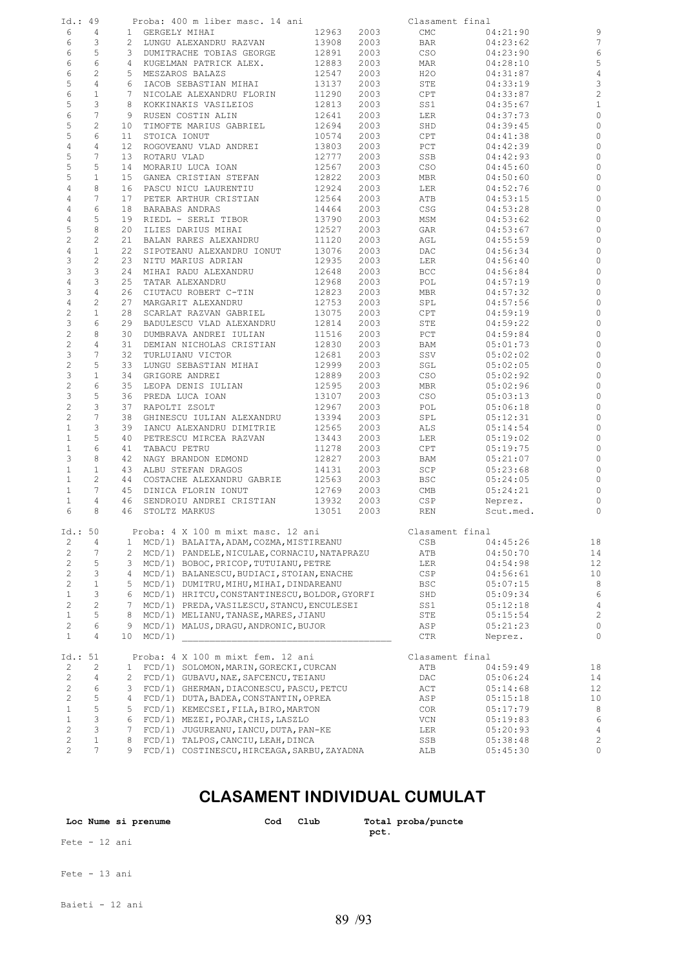| Id.: 49                               | Proba: 400 m liber masc. 14 ani                                |       |      | Clasament final        |                |
|---------------------------------------|----------------------------------------------------------------|-------|------|------------------------|----------------|
| 6<br>4                                | 1 GERGELY MIHAI                                                | 12963 | 2003 | CMC<br>04:21:90        | 9              |
| 6<br>3                                | 2 LUNGU ALEXANDRU RAZVAN                                       | 13908 | 2003 | BAR<br>04:23:62        | 7              |
| 6<br>5                                | 3 DUMITRACHE TOBIAS GEORGE                                     | 12891 | 2003 | CSO<br>04:23:90        | 6              |
| 6<br>6                                | 4 KUGELMAN PATRICK ALEX.                                       | 12883 | 2003 | MAR<br>04:28:10        | 5              |
|                                       |                                                                |       |      |                        |                |
| 6<br>$\mathbf{2}$                     | 5 MESZAROS BALAZS                                              | 12547 | 2003 | H20<br>04:31:87        | $\overline{4}$ |
| 5<br>4                                | IACOB SEBASTIAN MIHAI<br>6                                     | 13137 | 2003 | STE<br>04:33:19        | 3              |
| 6<br>$\mathbf{1}$                     | 7 NICOLAE ALEXANDRU FLORIN                                     | 11290 | 2003 | CPT<br>04:33:87        | $\overline{c}$ |
| 5<br>3                                | 8<br>KOKKINAKIS VASILEIOS                                      | 12813 | 2003 | SS1<br>04:35:67        | $\mathbf{1}$   |
| 6<br>$7\phantom{.0}$                  | 9 RUSEN COSTIN ALIN                                            | 12641 | 2003 | 04:37:73<br>LER        | $\circ$        |
| 5<br>$\mathbf{2}$                     | TIMOFTE MARIUS GABRIEL<br>10                                   | 12694 | 2003 | SHD<br>04:39:45        | 0              |
| 5<br>6                                |                                                                |       |      | 04:41:38               | $\circ$        |
|                                       | 11<br>STOICA IONUT                                             | 10574 | 2003 | CPT                    |                |
| $\overline{4}$<br>4                   | 12<br>ROGOVEANU VLAD ANDREI                                    | 13803 | 2003 | PCT<br>04:42:39        | 0              |
| 5<br>7                                | ROTARU VLAD<br>13                                              | 12777 | 2003 | SSB<br>04:42:93        | 0              |
| 5<br>5                                | MORARIU LUCA IOAN<br>14                                        | 12567 | 2003 | CSO<br>04:45:60        | 0              |
| 5<br>$\mathbf{1}$                     | 15<br>GANEA CRISTIAN STEFAN                                    | 12822 | 2003 | MBR<br>04:50:60        | $\circ$        |
| 4<br>8                                | PASCU NICU LAURENTIU<br>16                                     | 12924 | 2003 | LER<br>04:52:76        | 0              |
| $7\phantom{.0}$<br>4                  | 17<br>PETER ARTHUR CRISTIAN                                    | 12564 | 2003 | ATB<br>04:53:15        | $\circ$        |
|                                       |                                                                |       |      |                        |                |
| 4<br>6                                | 18<br>BARABAS ANDRAS                                           | 14464 | 2003 | CSG<br>04:53:28        | 0              |
| 4<br>5                                | 19<br>RIEDL - SERLI TIBOR                                      | 13790 | 2003 | MSM<br>04:53:62        | 0              |
| 5<br>8                                | 20<br>ILIES DARIUS MIHAI                                       | 12527 | 2003 | GAR<br>04:53:67        | 0              |
| $\overline{c}$<br>$\mathbf{2}$        | 21<br>BALAN RARES ALEXANDRU                                    | 11120 | 2003 | AGL<br>04:55:59        | $\circ$        |
| $\overline{4}$<br>$\mathbf{1}$        | 22<br>SIPOTEANU ALEXANDRU IONUT                                | 13076 | 2003 | DAC<br>04:56:34        | 0              |
| 3<br>2                                | 23<br>NITU MARIUS ADRIAN                                       | 12935 | 2003 | LER<br>04:56:40        | 0              |
|                                       |                                                                |       |      |                        |                |
| 3<br>3                                | 24<br>MIHAI RADU ALEXANDRU                                     | 12648 | 2003 | <b>BCC</b><br>04:56:84 | 0              |
| $\overline{4}$<br>3                   | 25<br>TATAR ALEXANDRU                                          | 12968 | 2003 | POL<br>04:57:19        | 0              |
| 3<br>4                                | 26<br>CIUTACU ROBERT C-TIN                                     | 12823 | 2003 | MBR<br>04:57:32        | 0              |
| $\overline{4}$<br>$\overline{c}$      | 27<br>MARGARIT ALEXANDRU                                       | 12753 | 2003 | SPL<br>04:57:56        | $\circ$        |
| $\sqrt{2}$<br>$\mathbf{1}$            | 28<br>SCARLAT RAZVAN GABRIEL                                   | 13075 | 2003 | CPT<br>04:59:19        | 0              |
| 3<br>6                                | 29<br>BADULESCU VLAD ALEXANDRU                                 | 12814 | 2003 | STE<br>04:59:22        | $\circ$        |
| $\overline{c}$<br>8                   | 30                                                             | 11516 |      | 04:59:84               | 0              |
|                                       | DUMBRAVA ANDREI IULIAN                                         |       | 2003 | PCT                    |                |
| $\overline{c}$<br>4                   | 31<br>DEMIAN NICHOLAS CRISTIAN                                 | 12830 | 2003 | BAM<br>05:01:73        | $\circ$        |
| 3<br>7                                | 32<br>TURLUIANU VICTOR                                         | 12681 | 2003 | SSV<br>05:02:02        | 0              |
| $\overline{c}$<br>5                   | 33<br>LUNGU SEBASTIAN MIHAI                                    | 12999 | 2003 | SGL<br>05:02:05        | $\circ$        |
| 3<br>$\mathbf{1}$                     | 34<br>GRIGORE ANDREI                                           | 12889 | 2003 | CSO<br>05:02:92        | 0              |
| $\overline{c}$<br>6                   | 35<br>LEOPA DENIS IULIAN                                       | 12595 | 2003 | MBR<br>05:02:96        | $\circ$        |
| 3<br>5                                | 36<br>PREDA LUCA IOAN                                          | 13107 | 2003 | CSO<br>05:03:13        | 0              |
|                                       |                                                                |       |      |                        |                |
| $\mathbf 2$<br>3                      | 37<br>RAPOLTI ZSOLT                                            | 12967 | 2003 | POL<br>05:06:18        | 0              |
| $\overline{c}$<br>7                   | 38<br>GHINESCU IULIAN ALEXANDRU                                | 13394 | 2003 | SPL<br>05:12:31        | 0              |
| 3<br>$\mathbf{1}$                     | 39<br>IANCU ALEXANDRU DIMITRIE                                 | 12565 | 2003 | ALS<br>05:14:54        | $\circ$        |
| 5<br>$\mathbf{1}$                     | PETRESCU MIRCEA RAZVAN<br>40                                   | 13443 | 2003 | 05:19:02<br>LER        | 0              |
| $\mathbf{1}$<br>6                     | 41<br>TABACU PETRU                                             | 11278 | 2003 | CPT<br>05:19:75        | 0              |
| 3<br>8                                | 42<br>NAGY BRANDON EDMOND                                      | 12827 | 2003 | BAM<br>05:21:07        | 0              |
| $\mathbf{1}$<br>$\mathbf{1}$          | 43<br>ALBU STEFAN DRAGOS                                       | 14131 | 2003 | SCP<br>05:23:68        | $\circ$        |
|                                       |                                                                |       |      |                        |                |
| $\mathbf{2}^{\prime}$<br>$\mathbf{1}$ | 44<br>COSTACHE ALEXANDRU GABRIE                                | 12563 | 2003 | BSC<br>05:24:05        | 0              |
| $\mathbf{1}$<br>7                     | 45<br>DINICA FLORIN IONUT                                      | 12769 | 2003 | CMB<br>05:24:21        | $\circ$        |
| $\mathbf{1}$<br>$\overline{4}$        | 46 SENDROIU ANDREI CRISTIAN                                    | 13932 | 2003 | <b>CSP</b><br>Neprez.  | $\circ$        |
| 6<br>8                                | 46 STOLTZ MARKUS                                               | 13051 | 2003 | REN<br>Scut.med.       | $\circ$        |
|                                       |                                                                |       |      |                        |                |
| Id.: 50                               | Proba: 4 X 100 m mixt masc. 12 ani                             |       |      | Clasament final        |                |
|                                       |                                                                |       |      |                        | 18             |
| $\overline{c}$<br>4                   | MCD/1) BALAITA, ADAM, COZMA, MISTIREANU<br>$\mathbf{1}$        |       |      | CSB<br>04:45:26        |                |
| $\overline{c}$<br>7                   | MCD/1) PANDELE, NICULAE, CORNACIU, NATAPRAZU<br>$\overline{2}$ |       |      | ATB<br>04:50:70        | 14             |
| $\overline{c}$<br>5                   | MCD/1) BOBOC, PRICOP, TUTUIANU, PETRE<br>3                     |       |      | LER<br>04:54:98        | 12             |
| $\overline{c}$<br>3                   | MCD/1) BALANESCU, BUDIACI, STOIAN, ENACHE<br>4                 |       |      | CSP<br>04:56:61        | 10             |
| $\overline{c}$<br>$\mathbf 1$         | 5<br>MCD/1) DUMITRU, MIHU, MIHAI, DINDAREANU                   |       |      | BSC<br>05:07:15        | 8              |
| 3<br>$\mathbf{1}$                     | MCD/1) HRITCU, CONSTANTINESCU, BOLDOR, GYORFI<br>6             |       |      | SHD<br>05:09:34        | 6              |
|                                       |                                                                |       |      |                        |                |
| $\overline{c}$<br>$\overline{c}$      | $7^{\circ}$<br>MCD/1) PREDA, VASILESCU, STANCU, ENCULESEI      |       |      | SS1<br>05:12:18        | $\overline{4}$ |
| $\mathbf{1}$<br>5                     | 8<br>MCD/1) MELIANU, TANASE, MARES, JIANU                      |       |      | STE<br>05:15:54        | $\overline{c}$ |
| $\overline{c}$<br>6                   | 9<br>MCD/1) MALUS, DRAGU, ANDRONIC, BUJOR                      |       |      | ASP<br>05:21:23        | $\circ$        |
| 4<br>$\mathbf{1}$                     | MCD/1)<br>10                                                   |       |      | CTR<br>Neprez.         | 0              |
|                                       |                                                                |       |      |                        |                |
| Id.: 51                               | Proba: 4 X 100 m mixt fem. 12 ani                              |       |      | Clasament final        |                |
| 2<br>2                                | 1 FCD/1) SOLOMON, MARIN, GORECKI, CURCAN                       |       |      | ATB                    | 18             |
|                                       |                                                                |       |      | 04:59:49               |                |
| $\overline{c}$<br>4                   | $\mathbf{2}$<br>FCD/1) GUBAVU, NAE, SAFCENCU, TEIANU           |       |      | DAC<br>05:06:24        | 14             |
| $\overline{c}$<br>6                   | 3<br>FCD/1) GHERMAN, DIACONESCU, PASCU, PETCU                  |       |      | ACT<br>05:14:68        | 12             |
| $\overline{c}$<br>5                   | FCD/1) DUTA, BADEA, CONSTANTIN, OPREA<br>4                     |       |      | ASP<br>05:15:18        | 10             |
| 5<br>$\mathbf{1}$                     | 5<br>FCD/1) KEMECSEI, FILA, BIRO, MARTON                       |       |      | COR.<br>05:17:79       | 8              |
| 3<br>$\mathbf{1}$                     | FCD/1) MEZEI, POJAR, CHIS, LASZLO<br>6                         |       |      | VCN<br>05:19:83        | 6              |
| $\overline{c}$<br>3                   | $7\phantom{.0}$<br>FCD/1) JUGUREANU, IANCU, DUTA, PAN-KE       |       |      |                        | $\overline{4}$ |
|                                       |                                                                |       |      | LER<br>05:20:93        |                |
| $\overline{c}$<br>$\mathbf{1}$        | 8<br>FCD/1) TALPOS, CANCIU, LEAH, DINCA                        |       |      | SSB<br>05:38:48        | $\overline{c}$ |
| $\overline{c}$<br>$7\phantom{.}$      | 9 FCD/1) COSTINESCU, HIRCEAGA, SARBU, ZAYADNA                  |       |      | ALB<br>05:45:30        | $\circ$        |

### **CLASAMENT INDIVIDUAL CUMULAT**

| Loc Nume si prenume | Cod | Club | Total proba/puncte<br>pct. |
|---------------------|-----|------|----------------------------|
| Fete - 12 ani       |     |      |                            |
| Fete - 13 ani       |     |      |                            |

Baieti - 12 ani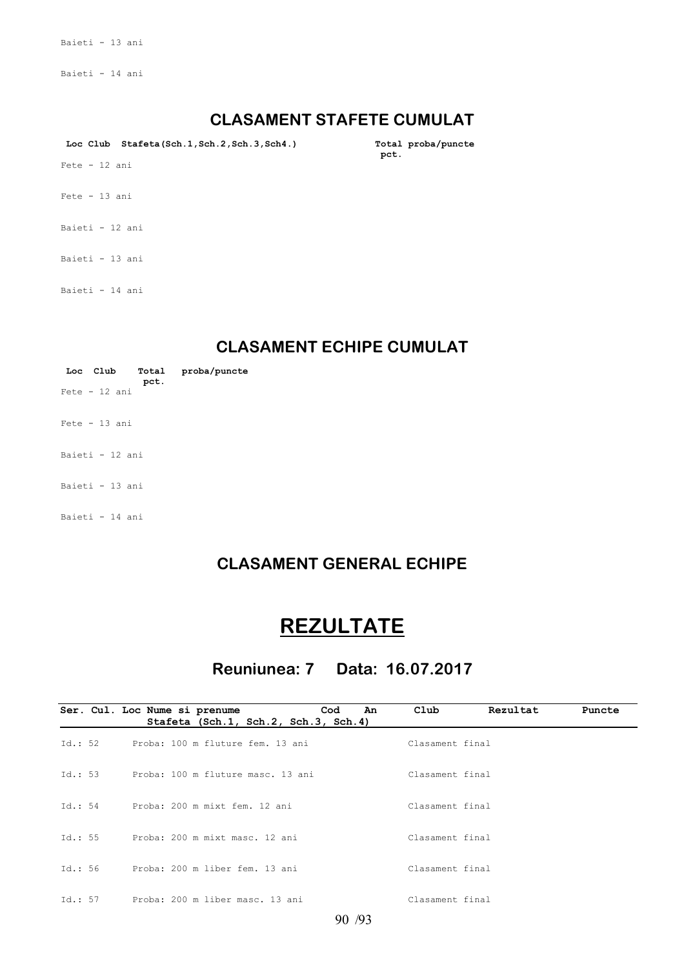Baieti - 13 ani

Baieti - 14 ani

#### **CLASAMENT STAFETE CUMULAT**

Loc Club Stafeta(Sch.1,Sch.2,Sch.3,Sch4.) Total proba/puncte<br>pct.

 $\mathbf{pct.}$ 

Fete - 12 ani

- Fete 13 ani
- Baieti 12 ani
- Baieti 13 ani

Baieti - 14 ani

#### **CLASAMENT ECHIPE CUMULAT**

|                 |      | Loc Club Total proba/puncte |
|-----------------|------|-----------------------------|
| $Fete - 12$ ani | pct. |                             |
| $Fete - 13 ani$ |      |                             |
| Baieti - 12 ani |      |                             |
| Bajeti - 13 ani |      |                             |
| Baieti - 14 ani |      |                             |

/ 90 93

#### **CLASAMENT GENERAL ECHIPE**

## **REZULTATE**

### **Reuniunea: 7 Data: 16.07.2017**

|         | Cod<br>An<br>Ser. Cul. Loc Nume si prenume<br>Stafeta (Sch.1, Sch.2, Sch.3, Sch.4) | Club<br>Rezultat | Puncte |
|---------|------------------------------------------------------------------------------------|------------------|--------|
| Id.: 52 | Proba: 100 m fluture fem. 13 ani                                                   | Clasament final  |        |
| Id.: 53 | Proba: 100 m fluture masc. 13 ani                                                  | Clasament final  |        |
| Td.: 54 | Proba: 200 m mixt fem. 12 ani                                                      | Clasament final  |        |
| Td.: 55 | Proba: 200 m mixt masc. 12 ani                                                     | Clasament final  |        |
| Id.: 56 | Proba: 200 m liber fem. 13 ani                                                     | Clasament final  |        |
| Td.: 57 | Proba: 200 m liber masc. 13 ani                                                    | Clasament final  |        |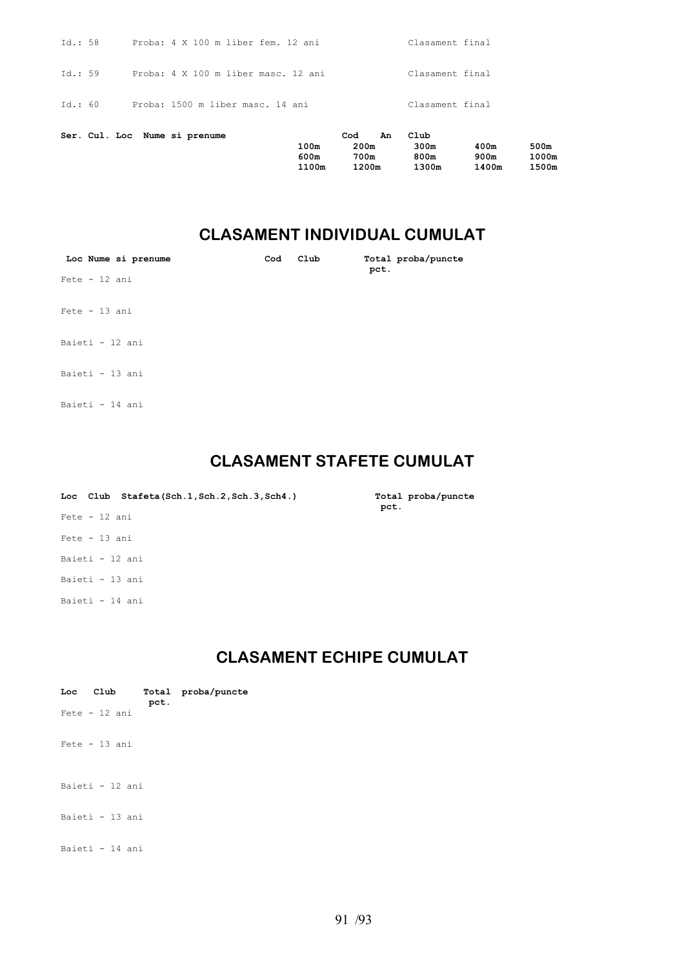|         |  |                                     | 100m<br>600m | 200m<br>700m | 300m<br>800m    | 400m<br>900m | 500m<br>1000m |
|---------|--|-------------------------------------|--------------|--------------|-----------------|--------------|---------------|
|         |  | Ser. Cul. Loc Nume si prenume       |              | Cod          | Club<br>An      |              |               |
| Td.: 60 |  | Proba: 1500 m liber masc. 14 ani    |              |              | Clasament final |              |               |
| Id.: 59 |  | Proba: 4 X 100 m liber masc. 12 ani |              |              | Clasament final |              |               |
| Id.: 58 |  | Proba: 4 X 100 m liber fem. 12 ani  |              |              | Clasament final |              |               |

 **1100m 1200m 1300m 1400m 1500m**

#### **CLASAMENT INDIVIDUAL CUMULAT**

| Loc Nume si prenume | Cod | Club | Total proba/puncte<br>pct. |
|---------------------|-----|------|----------------------------|
| Fete - 12 ani       |     |      |                            |
| Fete - 13 ani       |     |      |                            |
| Baieti - 12 ani     |     |      |                            |
| Baieti - 13 ani     |     |      |                            |
| Baieti - 14 ani     |     |      |                            |

#### **CLASAMENT STAFETE CUMULAT**

Total proba/puncte<br>pct.

| Loc Club Stafeta(Sch.1, Sch.2, Sch.3, Sch4.) | Total<br>pct. |
|----------------------------------------------|---------------|
| $Fete - 12 ani$                              |               |
| $Fete - 13 ani$                              |               |
| Baieti - 12 ani                              |               |
| Baieti - 13 ani                              |               |
| Baieti - 14 ani                              |               |

#### **CLASAMENT ECHIPE CUMULAT**

| Loc Club        | pct. | Total proba/puncte |
|-----------------|------|--------------------|
| $Fete - 12 ani$ |      |                    |
| $Fete - 13 ani$ |      |                    |
| Baieti - 12 ani |      |                    |
| Baieti - 13 ani |      |                    |
| Baieti - 14 ani |      |                    |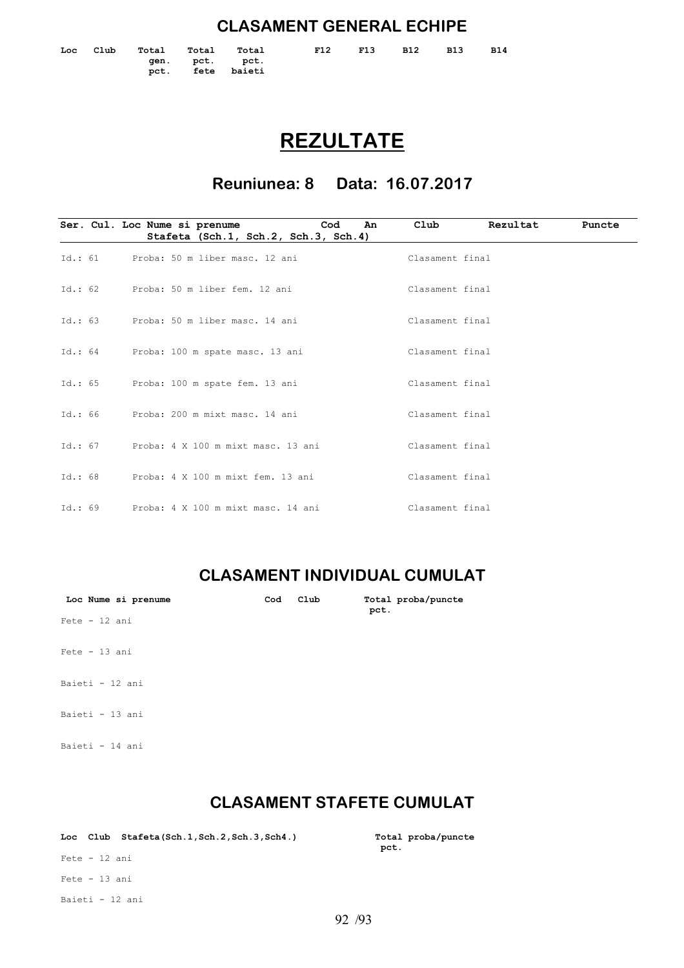#### **CLASAMENT GENERAL ECHIPE**

|  | Loc Club |                                    | Total Total Total | F12 F13 | <b>B12</b> | B13 | B14 |
|--|----------|------------------------------------|-------------------|---------|------------|-----|-----|
|  |          | gen. pct. pct.<br>pct. fete baieti |                   |         |            |     |     |
|  |          |                                    |                   |         |            |     |     |

## **REZULTATE**

**Reuniunea: 8 Data: 16.07.2017**

|         | Cod<br>Ser. Cul. Loc Nume si prenume<br>An | Club<br>Rezultat | Puncte |
|---------|--------------------------------------------|------------------|--------|
|         | Stafeta (Sch.1, Sch.2, Sch.3, Sch.4)       |                  |        |
| Id.: 61 | Proba: 50 m liber masc. 12 ani             | Clasament final  |        |
| Id.: 62 | Proba: 50 m liber fem. 12 ani              | Clasament final  |        |
| Id.: 63 | Proba: 50 m liber masc. 14 ani             | Clasament final  |        |
|         | Id.: 64 Proba: 100 m spate masc. 13 ani    | Clasament final  |        |
| Id.: 65 | Proba: 100 m spate fem. 13 ani             | Clasament final  |        |
| Id.: 66 | Proba: 200 m mixt masc. 14 ani             | Clasament final  |        |
| Id.: 67 | Proba: 4 X 100 m mixt masc. 13 ani         | Clasament final  |        |
| Id.: 68 | Proba: 4 X 100 m mixt fem. 13 ani          | Clasament final  |        |
| Id.: 69 | Proba: 4 X 100 m mixt masc. 14 ani         | Clasament final  |        |

### **CLASAMENT INDIVIDUAL CUMULAT**

| Loc Nume si prenume | Cod | Club | pct. | Total proba/puncte |
|---------------------|-----|------|------|--------------------|
| $Fete - 12 ani$     |     |      |      |                    |
| $Fete - 13 ani$     |     |      |      |                    |
| Baieti - 12 ani     |     |      |      |                    |
| Baieti - 13 ani     |     |      |      |                    |
| Baieti - 14 ani     |     |      |      |                    |

### **CLASAMENT STAFETE CUMULAT**

|               | Loc Club Stafeta(Sch.1, Sch.2, Sch.3, Sch4.) | Total<br>pct. |
|---------------|----------------------------------------------|---------------|
| Fete - 12 ani |                                              |               |
| Fete - 13 ani |                                              |               |

Baieti - 12 ani

**Total proba/puncte**<br>pct.